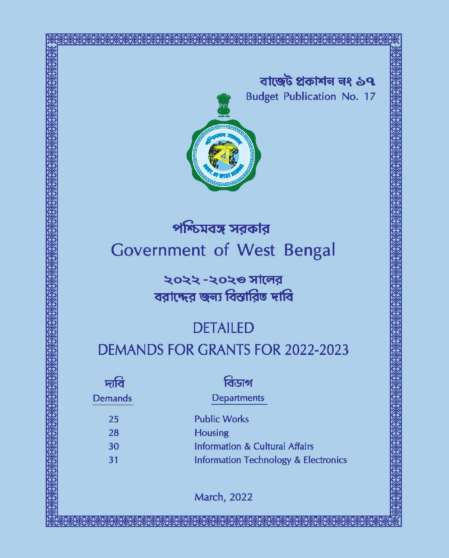

# পশ্চিমবঙ্গ সরকার Government of West Bengal

২০২২ -২০২৩ সালের বরাদ্দের জন্য বিস্তারিত দাবি

## **DETAILED**

## **DEMANDS FOR GRANTS FOR 2022-2023**

| দাব            | বিডাগ                                           |
|----------------|-------------------------------------------------|
| <b>Demands</b> | <b>Departments</b>                              |
| 25             | <b>Public Works</b>                             |
| 28             | <b>Housing</b>                                  |
| 30             | <b>Information &amp; Cultural Affairs</b>       |
| 31             | <b>Information Technology &amp; Electronics</b> |
|                |                                                 |

**March, 2022**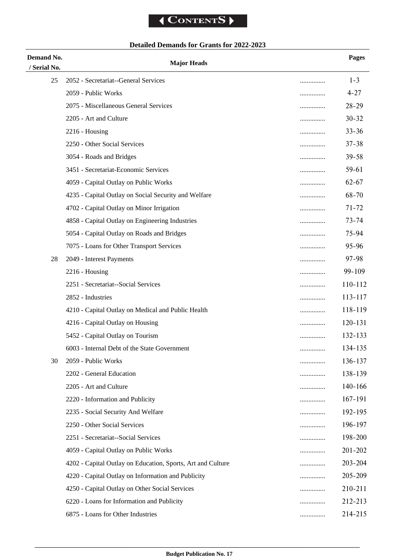### **Detailed Demands for Grants for 2022-2023**

| Demand No.   | <b>Major Heads</b>                                               | Pages     |
|--------------|------------------------------------------------------------------|-----------|
| / Serial No. |                                                                  |           |
| 25           | 2052 - Secretariat--General Services<br>                         | $1 - 3$   |
|              | 2059 - Public Works<br>.                                         | $4 - 27$  |
|              | 2075 - Miscellaneous General Services<br>                        | $28 - 29$ |
|              | 2205 - Art and Culture<br>.                                      | $30 - 32$ |
|              | $2216$ - Housing<br>                                             | $33 - 36$ |
|              | 2250 - Other Social Services<br>                                 | $37 - 38$ |
|              | 3054 - Roads and Bridges<br>                                     | $39 - 58$ |
|              | 3451 - Secretariat-Economic Services<br>                         | 59-61     |
|              | 4059 - Capital Outlay on Public Works<br>                        | $62 - 67$ |
|              | 4235 - Capital Outlay on Social Security and Welfare<br>         | 68-70     |
|              | 4702 - Capital Outlay on Minor Irrigation<br>                    | $71 - 72$ |
|              | 4858 - Capital Outlay on Engineering Industries<br>              | $73 - 74$ |
|              | 5054 - Capital Outlay on Roads and Bridges<br>                   | 75-94     |
|              | 7075 - Loans for Other Transport Services<br>                    | 95-96     |
| 28           | 2049 - Interest Payments<br>                                     | 97-98     |
|              | $2216$ - Housing<br>                                             | 99-109    |
|              | 2251 - Secretariat--Social Services<br>                          | 110-112   |
|              | 2852 - Industries<br>                                            | 113-117   |
|              | 4210 - Capital Outlay on Medical and Public Health<br>           | 118-119   |
|              | 4216 - Capital Outlay on Housing<br>                             | 120-131   |
|              | 5452 - Capital Outlay on Tourism<br>                             | 132-133   |
|              | 6003 - Internal Debt of the State Government<br>                 | 134-135   |
| 30           | 2059 - Public Works<br>.                                         | 136-137   |
|              | 2202 - General Education<br>                                     | 138-139   |
|              | 2205 - Art and Culture<br>                                       | 140-166   |
|              | 2220 - Information and Publicity<br>                             | 167-191   |
|              | 2235 - Social Security And Welfare<br>                           | 192-195   |
|              | 2250 - Other Social Services<br>                                 | 196-197   |
|              | 2251 - Secretariat--Social Services<br>                          | 198-200   |
|              | 4059 - Capital Outlay on Public Works<br>                        | 201-202   |
|              | 4202 - Capital Outlay on Education, Sports, Art and Culture<br>. | 203-204   |
|              | 4220 - Capital Outlay on Information and Publicity<br>.          | 205-209   |
|              | 4250 - Capital Outlay on Other Social Services<br>.              | 210-211   |
|              | 6220 - Loans for Information and Publicity<br>.                  | 212-213   |
|              | 6875 - Loans for Other Industries<br>                            | 214-215   |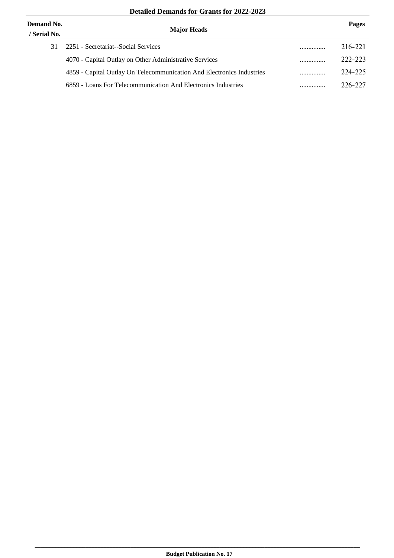| Demand No.<br>/ Serial No. | <b>Major Heads</b>                                                    |   | Pages   |
|----------------------------|-----------------------------------------------------------------------|---|---------|
| 31                         | 2251 - Secretariat--Social Services                                   | . | 216-221 |
|                            | 4070 - Capital Outlay on Other Administrative Services                | . | 222-223 |
|                            | 4859 - Capital Outlay On Telecommunication And Electronics Industries | . | 224-225 |
|                            | 6859 - Loans For Telecommunication And Electronics Industries         | . | 226-227 |
|                            |                                                                       |   |         |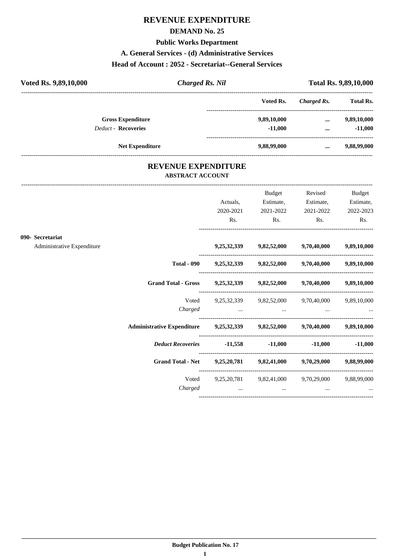### **REVENUE EXPENDITURE**

#### **DEMAND No. 25**

#### **Public Works Department**

#### **A. General Services - (d) Administrative Services**

#### **Head of Account : 2052 - Secretariat--General Services**

| Voted Rs. 9,89,10,000      | <b>Charged Rs. Nil</b> |             |             | <b>Total Rs. 9,89,10,000</b> |
|----------------------------|------------------------|-------------|-------------|------------------------------|
|                            |                        | Voted Rs.   | Charged Rs. | <b>Total Rs.</b>             |
| <b>Gross Expenditure</b>   |                        | 9,89,10,000 | $\cdots$    | 9,89,10,000                  |
| <b>Deduct - Recoveries</b> |                        | $-11.000$   | $\cdots$    | $-11,000$                    |
|                            | <b>Net Expenditure</b> | 9,88,99,000 | $\cdots$    | 9,88,99,000                  |

#### **REVENUE EXPENDITURE ABSTRACT ACCOUNT**

---------------------------------------------------------------------------------------------------------------------------------------------------------------------------------

|                            |                                                                            | Actuals,<br>2020-2021                                                                                                                                                                                                          | Budget<br>Estimate,<br>2021-2022                                                                                                                             | Revised<br>Estimate, | Budget<br>Estimate,<br>2021-2022 2022-2023 |
|----------------------------|----------------------------------------------------------------------------|--------------------------------------------------------------------------------------------------------------------------------------------------------------------------------------------------------------------------------|--------------------------------------------------------------------------------------------------------------------------------------------------------------|----------------------|--------------------------------------------|
|                            |                                                                            | Rs.                                                                                                                                                                                                                            | Rs.                                                                                                                                                          | Rs.                  | Rs.                                        |
| 090- Secretariat           |                                                                            |                                                                                                                                                                                                                                |                                                                                                                                                              |                      |                                            |
| Administrative Expenditure |                                                                            |                                                                                                                                                                                                                                | 9,25,32,339 9,82,52,000 9,70,40,000 9,89,10,000                                                                                                              |                      |                                            |
|                            |                                                                            |                                                                                                                                                                                                                                | Total - 090 $9,25,32,339$ $9,82,52,000$ $9,70,40,000$ $9,89,10,000$                                                                                          |                      |                                            |
|                            | Grand Total - Gross 9,25,32,339 9,82,52,000 9,70,40,000 9,89,10,000        |                                                                                                                                                                                                                                |                                                                                                                                                              |                      |                                            |
|                            |                                                                            |                                                                                                                                                                                                                                | Voted 9,25,32,339 9,82,52,000 9,70,40,000 9,89,10,000                                                                                                        |                      |                                            |
|                            | Administrative Expenditure 9,25,32,339 9,82,52,000 9,70,40,000 9,89,10,000 |                                                                                                                                                                                                                                |                                                                                                                                                              |                      |                                            |
|                            | <i>Deduct Recoveries</i> 11,558 -11,000 -11,000 -11,000                    |                                                                                                                                                                                                                                |                                                                                                                                                              |                      |                                            |
|                            | Grand Total - Net 9,25,20,781 9,82,41,000 9,70,29,000 9,88,99,000          |                                                                                                                                                                                                                                |                                                                                                                                                              |                      |                                            |
|                            | Charged                                                                    | and the contract of the contract of the contract of the contract of the contract of the contract of the contract of the contract of the contract of the contract of the contract of the contract of the contract of the contra | Voted 9,25,20,781 9,82,41,000 9,70,29,000 9,88,99,000<br>the contract of the contract of the contract of the contract of the contract of the contract of the |                      |                                            |
|                            |                                                                            |                                                                                                                                                                                                                                |                                                                                                                                                              |                      |                                            |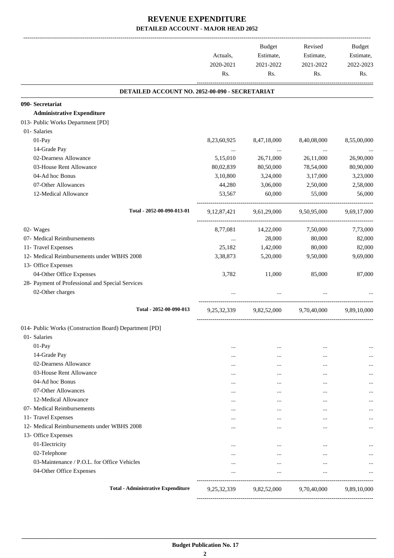|                                                        | Actuals,<br>2020-2021<br>Rs. | <b>Budget</b><br>Estimate,<br>2021-2022<br>Rs. | Revised<br>Estimate,<br>2021-2022<br>Rs. | Budget<br>Estimate,<br>2022-2023<br>Rs. |
|--------------------------------------------------------|------------------------------|------------------------------------------------|------------------------------------------|-----------------------------------------|
| DETAILED ACCOUNT NO. 2052-00-090 - SECRETARIAT         |                              |                                                |                                          |                                         |
| 090- Secretariat                                       |                              |                                                |                                          |                                         |
| <b>Administrative Expenditure</b>                      |                              |                                                |                                          |                                         |
| 013- Public Works Department [PD]                      |                              |                                                |                                          |                                         |
| 01- Salaries                                           |                              |                                                |                                          |                                         |
| 01-Pay                                                 | 8,23,60,925                  | 8,47,18,000                                    | 8,40,08,000                              | 8,55,00,000                             |
| 14-Grade Pay                                           | $\cdots$                     | $\sim$ 1000 $\mu$                              | $\cdots$                                 |                                         |
| 02-Dearness Allowance                                  | 5,15,010                     | 26,71,000                                      | 26,11,000                                | 26,90,000                               |
| 03-House Rent Allowance                                | 80,02,839                    | 80,50,000                                      | 78,54,000                                | 80,90,000                               |
| 04-Ad hoc Bonus                                        | 3,10,800                     | 3,24,000                                       | 3,17,000                                 | 3,23,000                                |
| 07-Other Allowances                                    | 44,280                       | 3,06,000                                       | 2,50,000                                 | 2,58,000                                |
| 12-Medical Allowance                                   | 53,567                       | 60,000                                         | 55,000                                   | 56,000                                  |
| Total - 2052-00-090-013-01                             | 9, 12, 87, 421               | 9,61,29,000                                    | 9,50,95,000                              | 9,69,17,000                             |
| 02- Wages                                              | 8,77,081                     | 14,22,000                                      | 7,50,000                                 | 7,73,000                                |
| 07- Medical Reimbursements                             | $\cdots$                     | 28,000                                         | 80,000                                   | 82,000                                  |
| 11- Travel Expenses                                    | 25,182                       | 1,42,000                                       | 80,000                                   | 82,000                                  |
| 12- Medical Reimbursements under WBHS 2008             | 3,38,873                     | 5,20,000                                       | 9,50,000                                 | 9,69,000                                |
| 13- Office Expenses                                    |                              |                                                |                                          |                                         |
| 04-Other Office Expenses                               | 3,782                        | 11,000                                         | 85,000                                   | 87,000                                  |
| 28- Payment of Professional and Special Services       |                              |                                                |                                          |                                         |
| 02-Other charges                                       |                              |                                                |                                          |                                         |
| Total - 2052-00-090-013                                | 9,25,32,339                  |                                                | 9,82,52,000 9,70,40,000                  | 9,89,10,000                             |
| 014- Public Works (Construction Board) Department [PD] |                              |                                                |                                          |                                         |
| 01- Salaries                                           |                              |                                                |                                          |                                         |
| 01-Pay                                                 | $\cdots$                     | $\cdots$                                       | $\cdots$                                 |                                         |
| 14-Grade Pay                                           |                              | $\ddotsc$                                      | $\cdots$                                 |                                         |
| 02-Dearness Allowance                                  | $\ddotsc$                    | $\cdots$                                       | $\ddotsc$                                |                                         |
| 03-House Rent Allowance                                | $\cdots$                     | $\cdots$                                       | $\cdots$                                 |                                         |
| 04-Ad hoc Bonus                                        | $\cdots$                     | $\cdots$                                       |                                          |                                         |
| 07-Other Allowances                                    | $\cdots$                     | $\ddotsc$                                      | $\cdots$                                 |                                         |
| 12-Medical Allowance                                   | $\cdots$                     | $\cdots$                                       | $\cdots$                                 |                                         |
| 07- Medical Reimbursements                             |                              | $\cdots$                                       | $\cdots$                                 |                                         |
| 11- Travel Expenses                                    | $\cdots$                     | $\cdots$                                       | $\cdots$                                 |                                         |
| 12- Medical Reimbursements under WBHS 2008             | $\cdots$                     | $\cdots$                                       | $\cdots$                                 |                                         |
| 13- Office Expenses                                    |                              |                                                |                                          |                                         |
| 01-Electricity                                         | $\cdots$                     | $\ddotsc$                                      | $\cdots$                                 |                                         |
| 02-Telephone                                           | $\cdots$                     | $\ddotsc$                                      | $\cdots$                                 |                                         |
| 03-Maintenance / P.O.L. for Office Vehicles            | $\cdots$                     | $\cdots$                                       | $\cdots$                                 |                                         |
| 04-Other Office Expenses                               |                              | $\ddotsc$                                      | $\cdots$                                 |                                         |
| <b>Total - Administrative Expenditure</b>              | 9,25,32,339                  | 9,82,52,000                                    | 9,70,40,000                              | 9,89,10,000                             |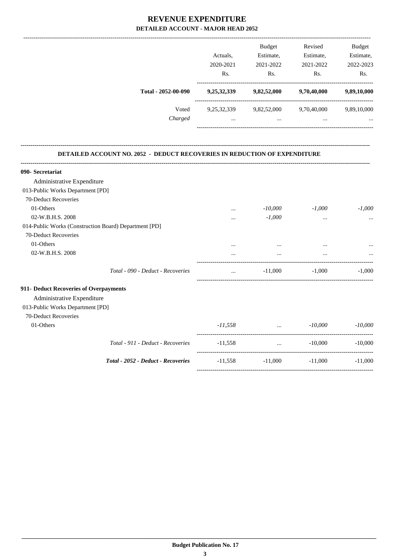|                     | Actuals.<br>2020-2021   | <b>Budget</b><br>Estimate,<br>2021-2022 | Revised<br>Estimate,<br>2021-2022 | <b>Budget</b><br>Estimate,<br>2022-2023 |
|---------------------|-------------------------|-----------------------------------------|-----------------------------------|-----------------------------------------|
|                     | Rs.                     | Rs.                                     | Rs.                               | Rs.                                     |
| Total - 2052-00-090 | 9,25,32,339             | 9,82,52,000                             | 9,70,40,000                       | 9,89,10,000                             |
| Voted<br>Charged    | 9,25,32,339<br>$\cdots$ | 9,82,52,000<br>$\cdots$                 | 9,70,40,000<br>$\cdots$           | 9,89,10,000<br>                         |

**--------------------------------------------------------------------------------------------------------------------------------------------------------------------------------**

#### **DETAILED ACCOUNT NO. 2052 - DEDUCT RECOVERIES IN REDUCTION OF EXPENDITURE**

| 090- Secretariat                                      |           |                          |           |           |
|-------------------------------------------------------|-----------|--------------------------|-----------|-----------|
| Administrative Expenditure                            |           |                          |           |           |
| 013-Public Works Department [PD]                      |           |                          |           |           |
| 70-Deduct Recoveries                                  |           |                          |           |           |
| 01-Others                                             | $\cdots$  | $-10,000$                | $-1,000$  | $-1,000$  |
| 02-W.B.H.S. 2008                                      |           | $-1,000$                 | $\cdots$  |           |
| 014-Public Works (Construction Board) Department [PD] |           |                          |           |           |
| 70-Deduct Recoveries                                  |           |                          |           |           |
| 01-Others                                             | $\cdots$  |                          | $\cdots$  | $\cdots$  |
| 02-W.B.H.S. 2008                                      |           | $\cdots$                 |           |           |
| Total - 090 - Deduct - Recoveries                     | $\cdots$  | $-11,000$                | $-1,000$  | $-1.000$  |
| 911- Deduct Recoveries of Overpayments                |           |                          |           |           |
| Administrative Expenditure                            |           |                          |           |           |
| 013-Public Works Department [PD]                      |           |                          |           |           |
| 70-Deduct Recoveries                                  |           |                          |           |           |
| 01-Others                                             | $-11,558$ | <b>Contract Contract</b> | $-10,000$ | $-10,000$ |
| Total - 911 - Deduct - Recoveries                     | $-11,558$ | $\sim$                   | $-10,000$ | $-10,000$ |
| Total - 2052 - Deduct - Recoveries                    | $-11,558$ | $-11,000$                | $-11.000$ | $-11,000$ |
|                                                       |           |                          |           |           |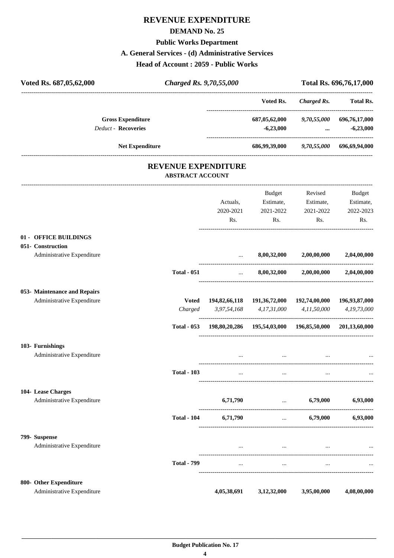### **REVENUE EXPENDITURE**

#### **DEMAND No. 25**

### **Public Works Department**

#### **A. General Services - (d) Administrative Services**

**Head of Account : 2059 - Public Works**

| Voted Rs. 687,05,62,000                         | <b>Charged Rs. 9,70,55,000</b> |                            |                                                            |                                                     | Total Rs. 696,76,17,000 |
|-------------------------------------------------|--------------------------------|----------------------------|------------------------------------------------------------|-----------------------------------------------------|-------------------------|
|                                                 |                                |                            | Voted Rs.                                                  | <b>Charged Rs.</b>                                  | <b>Total Rs.</b>        |
| <b>Gross Expenditure</b><br>Deduct - Recoveries |                                |                            | $-6,23,000$                                                | 687,05,62,000 9,70,55,000 696,76,17,000<br>$\cdots$ | $-6,23,000$             |
| Net Expenditure                                 |                                |                            |                                                            | 686,99,39,000 9,70,55,000 696,69,94,000             |                         |
|                                                 | <b>ABSTRACT ACCOUNT</b>        | <b>REVENUE EXPENDITURE</b> |                                                            |                                                     |                         |
|                                                 |                                |                            | Budget                                                     | Revised                                             | <b>Budget</b>           |
|                                                 |                                | Actuals,                   | Estimate,                                                  | Estimate,                                           | Estimate,               |
|                                                 |                                | 2020-2021                  | 2021-2022                                                  | 2021-2022                                           | 2022-2023               |
|                                                 |                                | Rs.                        | Rs.                                                        | Rs.                                                 | Rs.                     |
| 01 - OFFICE BUILDINGS                           |                                |                            |                                                            |                                                     |                         |
| 051- Construction                               |                                |                            |                                                            |                                                     |                         |
| Administrative Expenditure                      |                                | $\cdots$                   | 8,00,32,000                                                | 2,00,00,000                                         | 2,04,00,000             |
|                                                 | <b>Total - 051</b>             | <b>Sales Committee</b>     |                                                            | $8,00,32,000$ $2,00,00,000$                         | 2,04,00,000             |
| 053- Maintenance and Repairs                    |                                |                            |                                                            |                                                     |                         |
| Administrative Expenditure                      | <b>Voted</b>                   |                            | 194,82,66,118 191,36,72,000                                | 192,74,00,000                                       | 196,93,87,000           |
|                                                 | Charged                        | 3,97,54,168                | 4,17,31,000                                                | 4,11,50,000<br>-----------------------------------  | 4,19,73,000             |
|                                                 | <b>Total - 053</b>             |                            | 198,80,20,286  195,54,03,000  196,85,50,000  201,13,60,000 |                                                     |                         |
| 103- Furnishings                                |                                |                            |                                                            |                                                     |                         |
| Administrative Expenditure                      |                                |                            | $\cdots$                                                   |                                                     |                         |
|                                                 | <b>Total - 103</b>             |                            |                                                            |                                                     |                         |
| 104- Lease Charges                              |                                |                            |                                                            |                                                     |                         |
| Administrative Expenditure                      |                                | 6,71,790                   | and the control of the control of                          | 6,79,000                                            | 6,93,000                |
|                                                 | <b>Total - 104</b>             | 6,71,790                   |                                                            | $\dots$ 6,79,000                                    | 6,93,000                |
| 799- Suspense                                   |                                |                            |                                                            |                                                     |                         |
| Administrative Expenditure                      |                                | $\cdots$                   | $\cdots$                                                   | $\cdots$                                            |                         |
|                                                 | <b>Total - 799</b>             | $\cdots$                   | $\cdots$                                                   | $\cdots$                                            |                         |
| 800- Other Expenditure                          |                                |                            |                                                            |                                                     |                         |
| Administrative Expenditure                      |                                | 4,05,38,691                | 3,12,32,000                                                | 3,95,00,000                                         | 4,08,00,000             |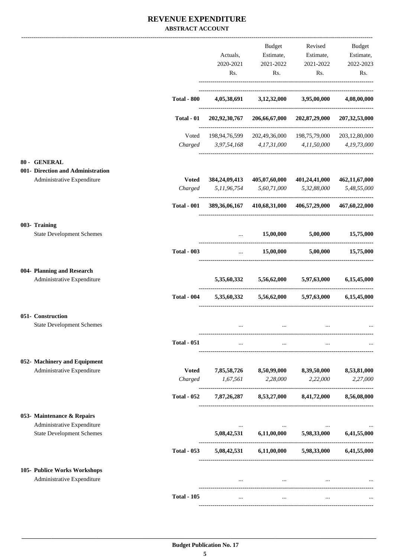#### **REVENUE EXPENDITURE ABSTRACT ACCOUNT**

|                                                                |                         |                                             | Budget                                                                                                          | Revised                                                 | Budget                  |
|----------------------------------------------------------------|-------------------------|---------------------------------------------|-----------------------------------------------------------------------------------------------------------------|---------------------------------------------------------|-------------------------|
|                                                                |                         | Actuals,                                    |                                                                                                                 | Estimate, Estimate,                                     | Estimate,               |
|                                                                |                         | 2020-2021                                   | 2021-2022                                                                                                       | 2021-2022                                               | 2022-2023               |
|                                                                |                         | Rs.                                         | Rs.                                                                                                             | Rs.                                                     | Rs.                     |
|                                                                | <b>Total - 800</b>      |                                             | 4,05,38,691 3,12,32,000 3,95,00,000                                                                             |                                                         | 4,08,00,000             |
|                                                                | <b>Total - 01</b>       |                                             |                                                                                                                 | 202,92,30,767 206,66,67,000 202,87,29,000 207,32,53,000 |                         |
|                                                                |                         |                                             |                                                                                                                 |                                                         |                         |
|                                                                | Voted                   | Charged 3,97,54,168 4,17,31,000 4,11,50,000 |                                                                                                                 | 198,94,76,599 202,49,36,000 198,75,79,000 203,12,80,000 | 4,19,73,000             |
| 80 - GENERAL                                                   |                         |                                             |                                                                                                                 |                                                         |                         |
| 001- Direction and Administration                              |                         |                                             |                                                                                                                 |                                                         |                         |
| Administrative Expenditure                                     | <b>Voted</b>            |                                             |                                                                                                                 | 384,24,09,413 405,07,60,000 401,24,41,000               | 462,11,67,000           |
|                                                                | Charged                 |                                             | 5,11,96,754 5,60,71,000                                                                                         | 5,32,88,000                                             | 5,48,55,000             |
|                                                                | <b>Total - 001</b>      |                                             |                                                                                                                 | 389,36,06,167 410,68,31,000 406,57,29,000 467,60,22,000 |                         |
| 003- Training<br><b>State Development Schemes</b>              |                         |                                             | 15,00,000                                                                                                       | 5,00,000                                                | 15,75,000               |
|                                                                |                         | $\cdots$                                    |                                                                                                                 |                                                         |                         |
|                                                                | <b>Total - 003</b>      |                                             | $\ldots$ 15,00,000 5,00,000                                                                                     |                                                         | 15,75,000               |
| 004- Planning and Research                                     |                         |                                             |                                                                                                                 |                                                         |                         |
| Administrative Expenditure                                     |                         |                                             | $5,35,60,332$ $5,56,62,000$ $5,97,63,000$                                                                       |                                                         | 6,15,45,000             |
|                                                                | <b>Total - 004</b>      |                                             | $5,35,60,332$ $5,56,62,000$                                                                                     | 5,97,63,000                                             | 6,15,45,000             |
| 051- Construction                                              |                         |                                             |                                                                                                                 |                                                         |                         |
| <b>State Development Schemes</b>                               |                         |                                             | $\cdots$                                                                                                        |                                                         |                         |
|                                                                | <b>Total - 051</b>      | $\cdots$                                    | $\cdots$                                                                                                        | $\cdots$                                                |                         |
| 052- Machinery and Equipment                                   |                         |                                             |                                                                                                                 |                                                         |                         |
| Administrative Expenditure                                     | <b>Voted</b><br>Charged | 1,67,561                                    | 7,85,58,726 8,50,99,000 8,39,50,000<br>2,28,000                                                                 | 2,22,000                                                | 8,53,81,000<br>2,27,000 |
|                                                                |                         |                                             |                                                                                                                 |                                                         |                         |
|                                                                | <b>Total - 052</b>      |                                             | 7,87,26,287 8,53,27,000                                                                                         | 8,41,72,000                                             | 8,56,08,000             |
| 053- Maintenance & Repairs                                     |                         |                                             |                                                                                                                 |                                                         |                         |
| Administrative Expenditure<br><b>State Development Schemes</b> |                         |                                             | 5,08,42,531 6,11,00,000                                                                                         | 5,98,33,000                                             | 6,41,55,000             |
|                                                                | <b>Total - 053</b>      |                                             | $5,08,42,531$ $6,11,00,000$                                                                                     | 5,98,33,000                                             | 6,41,55,000             |
|                                                                |                         |                                             |                                                                                                                 |                                                         |                         |
| 105- Publice Works Workshops<br>Administrative Expenditure     |                         |                                             | and the state of the state of the state of the state of the state of the state of the state of the state of the | $\sim$ $\sim$ $\sim$                                    |                         |
|                                                                | <b>Total - 105</b>      |                                             |                                                                                                                 |                                                         |                         |
|                                                                |                         |                                             |                                                                                                                 |                                                         |                         |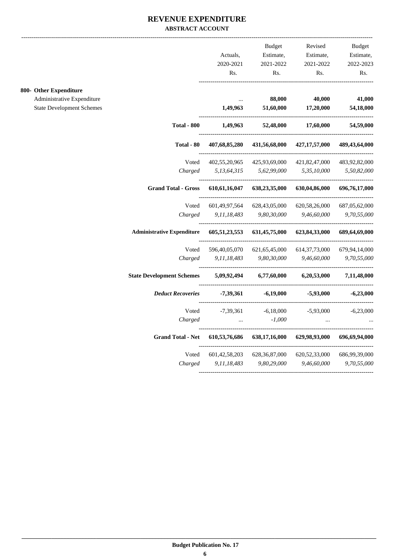#### **REVENUE EXPENDITURE ABSTRACT ACCOUNT**

**800-**

|                                  |                                   |                  | <b>Budget</b>    | Revised          | <b>Budget</b> |
|----------------------------------|-----------------------------------|------------------|------------------|------------------|---------------|
|                                  |                                   | Actuals,         | Estimate,        | Estimate,        | Estimate,     |
|                                  |                                   | 2020-2021        | 2021-2022        | 2021-2022        | 2022-2023     |
|                                  |                                   | Rs.              | Rs.              | Rs.              | Rs.           |
| 800- Other Expenditure           |                                   |                  |                  |                  |               |
| Administrative Expenditure       |                                   |                  | 88,000           | 40,000           | 41,000        |
| <b>State Development Schemes</b> |                                   | 1,49,963         | 51,60,000        | 17,20,000        | 54,18,000     |
|                                  | <b>Total - 800</b>                | 1,49,963         | 52,48,000        | 17,60,000        | 54,59,000     |
|                                  | Total - $80\,$                    | 407,68,85,280    | 431,56,68,000    | 427, 17, 57, 000 | 489,43,64,000 |
|                                  | Voted                             | 402,55,20,965    | 425,93,69,000    | 421,82,47,000    | 483,92,82,000 |
|                                  | Charged                           | 5,13,64,315      | 5,62,99,000      | 5,35,10,000      | 5,50,82,000   |
|                                  | <b>Grand Total - Gross</b>        | 610, 61, 16, 047 | 638,23,35,000    | 630,04,86,000    | 696,76,17,000 |
|                                  | Voted                             | 601,49,97,564    | 628,43,05,000    | 620, 58, 26, 000 | 687,05,62,000 |
|                                  | Charged                           | 9,11,18,483      | 9,80,30,000      | 9,46,60,000      | 9,70,55,000   |
|                                  | <b>Administrative Expenditure</b> | 605,51,23,553    | 631,45,75,000    | 623,84,33,000    | 689,64,69,000 |
|                                  | Voted                             | 596,40,05,070    | 621, 65, 45, 000 | 614, 37, 73, 000 | 679,94,14,000 |
|                                  | Charged                           | 9,11,18,483      | 9,80,30,000      | 9,46,60,000      | 9,70,55,000   |
|                                  | <b>State Development Schemes</b>  | 5,09,92,494      | 6,77,60,000      | 6,20,53,000      | 7,11,48,000   |
|                                  | <b>Deduct Recoveries</b>          | -7,39,361        | $-6,19,000$      | $-5,93,000$      | $-6,23,000$   |
|                                  | Voted                             | $-7,39,361$      | $-6,18,000$      | -5,93,000        | $-6,23,000$   |
|                                  | Charged                           | $\ddotsc$        | $-1,000$         |                  |               |
|                                  | <b>Grand Total - Net</b>          | 610,53,76,686    | 638,17,16,000    | 629,98,93,000    | 696,69,94,000 |
|                                  | Voted                             | 601, 42, 58, 203 | 628, 36, 87, 000 | 620, 52, 33, 000 | 686,99,39,000 |
|                                  | Charged                           | 9,11,18,483      | 9,80,29,000      | 9,46,60,000      | 9,70,55,000   |
|                                  |                                   |                  |                  |                  |               |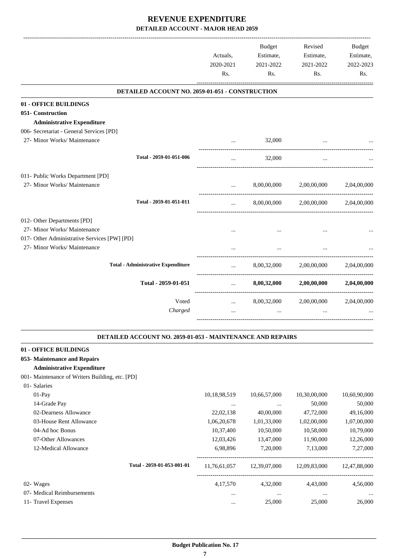|                                                            |                       | <b>Budget</b><br>Estimate, | Revised                 | Budget<br>Estimate, |
|------------------------------------------------------------|-----------------------|----------------------------|-------------------------|---------------------|
|                                                            | Actuals,<br>2020-2021 | 2021-2022                  | Estimate,<br>2021-2022  | 2022-2023           |
|                                                            | Rs.                   | Rs.                        | Rs.                     | Rs.                 |
|                                                            |                       |                            |                         |                     |
| DETAILED ACCOUNT NO. 2059-01-051 - CONSTRUCTION            |                       |                            |                         |                     |
| 01 - OFFICE BUILDINGS                                      |                       |                            |                         |                     |
| 051- Construction                                          |                       |                            |                         |                     |
| <b>Administrative Expenditure</b>                          |                       |                            |                         |                     |
| 006- Secretariat - General Services [PD]                   |                       |                            |                         |                     |
| 27- Minor Works/ Maintenance                               |                       | 32,000                     |                         |                     |
|                                                            |                       |                            |                         |                     |
| Total - 2059-01-051-006                                    |                       | 32,000                     |                         |                     |
| 011- Public Works Department [PD]                          |                       |                            |                         |                     |
| 27- Minor Works/ Maintenance                               |                       | 8,00,00,000                | 2,00,00,000             | 2,04,00,000         |
|                                                            |                       |                            |                         |                     |
| Total - 2059-01-051-011                                    | $\cdots$              | 8,00,00,000                | 2,00,00,000             | 2,04,00,000         |
| 012- Other Departments [PD]                                |                       |                            |                         |                     |
| 27- Minor Works/ Maintenance                               |                       |                            |                         |                     |
| 017- Other Administrative Services [PW] [PD]               |                       |                            |                         |                     |
| 27- Minor Works/ Maintenance                               |                       |                            |                         |                     |
|                                                            |                       |                            |                         |                     |
| <b>Total - Administrative Expenditure</b>                  | $\cdots$              | 8,00,32,000                | 2,00,00,000             | 2,04,00,000         |
| Total - 2059-01-051                                        | $\cdots$              | 8,00,32,000                | 2,00,00,000             | 2,04,00,000         |
| Voted                                                      |                       |                            | 8,00,32,000 2,00,00,000 | 2,04,00,000         |
| Charged                                                    | $\cdots$              |                            |                         |                     |
|                                                            |                       |                            |                         |                     |
| DETAILED ACCOUNT NO. 2059-01-053 - MAINTENANCE AND REPAIRS |                       |                            |                         |                     |
| 01 - OFFICE BUILDINGS                                      |                       |                            |                         |                     |
| 053- Maintenance and Repairs                               |                       |                            |                         |                     |
| <b>Administrative Expenditure</b>                          |                       |                            |                         |                     |
| 001- Maintenance of Writers Building, etc. [PD]            |                       |                            |                         |                     |
| 01- Salaries                                               |                       |                            |                         |                     |
| 01-Pay                                                     | 10,18,98,519          | 10,66,57,000               | 10,30,00,000            | 10,60,90,000        |
| 14-Grade Pay                                               | $\cdots$              | $\ldots$                   | 50,000                  | 50,000              |
| 02-Dearness Allowance                                      | 22,02,138             | 40,00,000                  | 47,72,000               | 49,16,000           |
| 03-House Rent Allowance                                    | 1,06,20,678           | 1,01,33,000                | 1,02,00,000             | 1,07,00,000         |
| 04-Ad hoc Bonus                                            | 10,37,400             | 10,50,000                  | 10,58,000               | 10,79,000           |
| 07-Other Allowances                                        | 12,03,426             | 13,47,000                  | 11,90,000               | 12,26,000           |
| 12-Medical Allowance                                       | 6,98,896              | 7,20,000                   | 7,13,000                | 7,27,000            |

|                            | Total - 2059-01-053-001-01 | 11.76.61.057 | 12.39.07.000 | 12.09.83.000 | 12,47,88,000 |
|----------------------------|----------------------------|--------------|--------------|--------------|--------------|
| 02- Wages                  |                            | 4,17,570     | 4,32,000     | 4.43.000     | 4,56,000     |
| 07- Medical Reimbursements |                            | $\cdots$     | $\cdots$     | $\cdots$     | $\cdots$     |
| 11- Travel Expenses        |                            |              | 25,000       | 25,000       | 26,000       |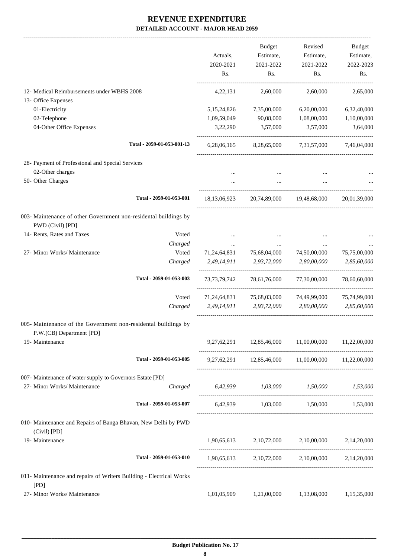|                                                                                            |                            |                  | <b>Budget</b>    | Revised                                                    | Budget           |
|--------------------------------------------------------------------------------------------|----------------------------|------------------|------------------|------------------------------------------------------------|------------------|
|                                                                                            |                            | Actuals,         | Estimate,        | Estimate,                                                  | Estimate,        |
|                                                                                            |                            | 2020-2021<br>Rs. | 2021-2022<br>Rs. | 2021-2022<br>Rs.                                           | 2022-2023<br>Rs. |
| 12- Medical Reimbursements under WBHS 2008                                                 |                            | 4,22,131         | 2,60,000         | 2,60,000                                                   | 2,65,000         |
| 13- Office Expenses                                                                        |                            |                  |                  |                                                            |                  |
| 01-Electricity                                                                             |                            | 5, 15, 24, 826   | 7,35,00,000      | 6,20,00,000                                                | 6,32,40,000      |
| 02-Telephone                                                                               |                            | 1,09,59,049      | 90,08,000        | 1,08,00,000                                                | 1,10,00,000      |
| 04-Other Office Expenses                                                                   |                            | 3,22,290         | 3,57,000         | 3,57,000                                                   | 3,64,000         |
|                                                                                            | Total - 2059-01-053-001-13 | 6,28,06,165      | 8,28,65,000      | 7,31,57,000                                                | 7,46,04,000      |
| 28- Payment of Professional and Special Services                                           |                            |                  |                  |                                                            |                  |
| 02-Other charges                                                                           |                            |                  |                  |                                                            |                  |
| 50- Other Charges                                                                          |                            |                  | $\cdots$         |                                                            |                  |
|                                                                                            | Total - 2059-01-053-001    | 18,13,06,923     | 20,74,89,000     | 19,48,68,000                                               | 20,01,39,000     |
| 003- Maintenance of other Government non-residental buildings by<br>PWD (Civil) [PD]       |                            |                  |                  |                                                            |                  |
| 14- Rents, Rates and Taxes                                                                 | Voted                      |                  |                  |                                                            |                  |
|                                                                                            | Charged                    |                  |                  |                                                            |                  |
| 27- Minor Works/ Maintenance                                                               | Voted                      | 71,24,64,831     | 75,68,04,000     | 74,50,00,000                                               | 75,75,00,000     |
|                                                                                            | Charged                    | 2,49,14,911      | 2,93,72,000      | 2,80,00,000                                                | 2,85,60,000      |
|                                                                                            | Total - 2059-01-053-003    | 73, 73, 79, 742  | 78,61,76,000     | 77,30,00,000                                               | 78,60,60,000     |
|                                                                                            | Voted                      | 71, 24, 64, 831  | 75,68,03,000     | 74,49,99,000                                               | 75,74,99,000     |
|                                                                                            | Charged                    | 2,49,14,911      | 2,93,72,000      | 2,80,00,000                                                | 2,85,60,000      |
| 005- Maintenance of the Government non-residental buildings by<br>P.W.(CB) Department [PD] |                            |                  |                  |                                                            |                  |
| 19- Maintenance                                                                            |                            |                  |                  | $9,27,62,291$ $12,85,46,000$ $11,00,00,000$ $11,22,00,000$ |                  |
|                                                                                            | Total - 2059-01-053-005    |                  |                  | 9,27,62,291 12,85,46,000 11,00,00,000 11,22,00,000         |                  |
| 007- Maintenance of water supply to Governors Estate [PD]                                  |                            |                  |                  |                                                            |                  |
| 27- Minor Works/ Maintenance                                                               | Charged                    |                  |                  | 6,42,939 1,03,000 1,50,000 1,53,000                        |                  |
|                                                                                            | Total - 2059-01-053-007    |                  |                  | 6,42,939 1,03,000 1,50,000 1,53,000                        |                  |
| 010- Maintenance and Repairs of Banga Bhavan, New Delhi by PWD<br>(Civil) [PD]             |                            |                  |                  |                                                            |                  |
| 19- Maintenance                                                                            |                            |                  |                  | $1,90,65,613$ $2,10,72,000$ $2,10,00,000$ $2,14,20,000$    |                  |
|                                                                                            | Total - 2059-01-053-010    |                  |                  | 1,90,65,613 2,10,72,000 2,10,00,000 2,14,20,000            |                  |
| 011- Maintenance and repairs of Writers Building - Electrical Works<br>[PD]                |                            |                  |                  |                                                            |                  |
| 27- Minor Works/ Maintenance                                                               |                            | 1,01,05,909      | 1,21,00,000      | 1,13,08,000                                                | 1,15,35,000      |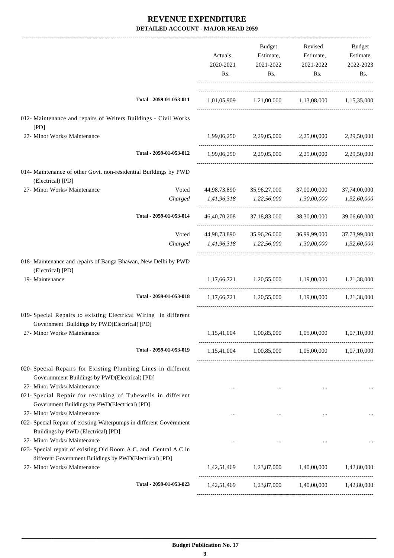|                                                                                                                                                            | Actuals,<br>2020-2021<br>Rs.                    | Budget<br>Estimate,<br>2021-2022<br>Rs. | Revised<br>Estimate,<br>2021-2022<br>Rs.                                                                         | Budget<br>Estimate,<br>2022-2023<br>Rs. |
|------------------------------------------------------------------------------------------------------------------------------------------------------------|-------------------------------------------------|-----------------------------------------|------------------------------------------------------------------------------------------------------------------|-----------------------------------------|
| Total - 2059-01-053-011                                                                                                                                    |                                                 |                                         | 1,01,05,909 1,21,00,000 1,13,08,000 1,15,35,000                                                                  |                                         |
| 012- Maintenance and repairs of Writers Buildings - Civil Works<br>[PD]                                                                                    |                                                 |                                         |                                                                                                                  |                                         |
| 27- Minor Works/ Maintenance                                                                                                                               |                                                 |                                         | 1,99,06,250 2,29,05,000 2,25,00,000 2,29,50,000                                                                  |                                         |
| Total - 2059-01-053-012                                                                                                                                    |                                                 |                                         | 1,99,06,250 2,29,05,000 2,25,00,000 2,29,50,000                                                                  |                                         |
| 014- Maintenance of other Govt. non-residential Buildings by PWD<br>(Electrical) [PD]                                                                      |                                                 |                                         |                                                                                                                  |                                         |
| 27- Minor Works/ Maintenance<br>Voted                                                                                                                      |                                                 | 44,98,73,890 35,96,27,000               | 37,00,00,000                                                                                                     | 37,74,00,000                            |
| Charged                                                                                                                                                    | 1,41,96,318 1,22,56,000                         |                                         | 1,30,00,000                                                                                                      | 1,32,60,000                             |
| Total - 2059-01-053-014                                                                                                                                    |                                                 |                                         | 46,40,70,208 37,18,83,000 38,30,00,000                                                                           | 39,06,60,000                            |
| Voted                                                                                                                                                      | 44,98,73,890                                    |                                         | 35,96,26,000 36,99,99,000                                                                                        | 37,73,99,000                            |
| Charged                                                                                                                                                    | 1,41,96,318 1,22,56,000 1,30,00,000 1,32,60,000 |                                         |                                                                                                                  |                                         |
| 018- Maintenance and repairs of Banga Bhawan, New Delhi by PWD<br>(Electrical) [PD]                                                                        |                                                 |                                         |                                                                                                                  |                                         |
| 19- Maintenance                                                                                                                                            |                                                 |                                         | 1,17,66,721 1,20,55,000 1,19,00,000 1,21,38,000                                                                  |                                         |
| Total - 2059-01-053-018                                                                                                                                    |                                                 |                                         | $1,17,66,721$ $1,20,55,000$ $1,19,00,000$ $1,21,38,000$                                                          |                                         |
| 019- Special Repairs to existing Electrical Wiring in different<br>Government Buildings by PWD(Electrical) [PD]                                            |                                                 |                                         |                                                                                                                  |                                         |
| 27- Minor Works/ Maintenance                                                                                                                               |                                                 |                                         | 1,15,41,004 1,00,85,000 1,05,00,000 1,07,10,000                                                                  |                                         |
| Total - 2059-01-053-019                                                                                                                                    |                                                 |                                         | $1,15,41,004$ $1,00,85,000$ $1,05,00,000$ $1,07,10,000$                                                          |                                         |
| 020- Special Repairs for Existing Plumbing Lines in different<br>Governmment Buildings by PWD(Electrical) [PD]<br>27- Minor Works/ Maintenance             | $\cdots$                                        | $\cdots$                                | $\cdots$                                                                                                         |                                         |
| 021- Special Repair for resinking of Tubewells in different<br>Government Buildings by PWD(Electrical) [PD]<br>27- Minor Works/ Maintenance                | $\cdots$                                        |                                         |                                                                                                                  |                                         |
| 022- Special Repair of existing Waterpumps in different Government<br>Buildings by PWD (Electrical) [PD]                                                   |                                                 |                                         |                                                                                                                  |                                         |
| 27- Minor Works/ Maintenance<br>023- Special repair of existing Old Room A.C. and Central A.C in<br>different Government Buildings by PWD(Electrical) [PD] |                                                 | $\cdots$                                |                                                                                                                  |                                         |
| 27- Minor Works/ Maintenance                                                                                                                               |                                                 |                                         | $1{,}42{,}51{,}469 \qquad \quad 1{,}23{,}87{,}000 \qquad \quad 1{,}40{,}00{,}000 \qquad \quad 1{,}42{,}80{,}000$ |                                         |
| Total - 2059-01-053-023                                                                                                                                    |                                                 |                                         | 1,42,51,469 1,23,87,000 1,40,00,000 1,42,80,000                                                                  |                                         |
|                                                                                                                                                            |                                                 |                                         |                                                                                                                  |                                         |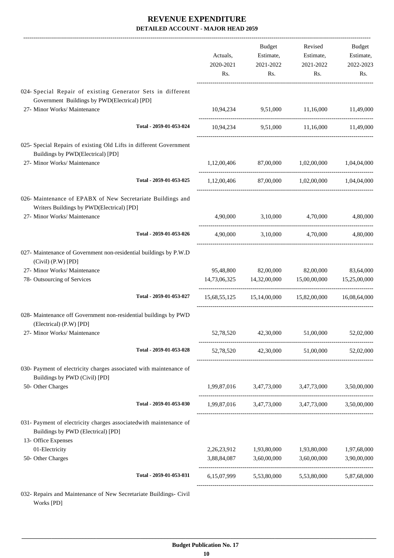|                                                                                                          | Actuals,<br>2020-2021<br>Rs. | <b>Budget</b><br>Estimate,<br>2021-2022<br>Rs. | Revised<br>Estimate,<br>2021-2022<br>Rs.                    | Budget<br>Estimate,<br>2022-2023<br>Rs. |
|----------------------------------------------------------------------------------------------------------|------------------------------|------------------------------------------------|-------------------------------------------------------------|-----------------------------------------|
| 024- Special Repair of existing Generator Sets in different                                              |                              |                                                |                                                             |                                         |
| Government Buildings by PWD(Electrical) [PD]                                                             |                              |                                                |                                                             |                                         |
| 27- Minor Works/ Maintenance                                                                             |                              |                                                | 10,94,234 9,51,000 11,16,000 11,49,000                      |                                         |
| Total - 2059-01-053-024                                                                                  |                              |                                                | 10,94,234 9,51,000 11,16,000 11,49,000                      |                                         |
| 025- Special Repairs of existing Old Lifts in different Government                                       |                              |                                                |                                                             |                                         |
| Buildings by PWD(Electrical) [PD]                                                                        |                              |                                                |                                                             |                                         |
| 27- Minor Works/ Maintenance                                                                             |                              |                                                | 1,12,00,406 87,00,000 1,02,00,000 1,04,04,000               |                                         |
| Total - 2059-01-053-025                                                                                  |                              |                                                | $1,12,00,406$ $87,00,000$ $1,02,00,000$                     | 1,04,04,000                             |
| 026- Maintenance of EPABX of New Secretariate Buildings and                                              |                              |                                                |                                                             |                                         |
| Writers Buildings by PWD(Electrical) [PD]                                                                |                              |                                                |                                                             |                                         |
| 27- Minor Works/ Maintenance                                                                             | 4,90,000                     |                                                | 3,10,000 4,70,000                                           | 4,80,000                                |
| Total - 2059-01-053-026                                                                                  | 4,90,000                     | 3,10,000                                       | 4,70,000                                                    | 4,80,000                                |
| 027- Maintenance of Government non-residential buildings by P.W.D<br>$(Civil)$ $(P.W)$ $[PD]$            |                              |                                                |                                                             |                                         |
| 27- Minor Works/ Maintenance                                                                             | 95,48,800                    | 82,00,000                                      | 82,00,000                                                   | 83,64,000                               |
| 78- Outsourcing of Services                                                                              |                              |                                                | $14,73,06,325$ $14,32,00,000$ $15,00,00,000$ $15,25,00,000$ |                                         |
| Total - 2059-01-053-027                                                                                  |                              |                                                | 15,68,55,125 15,14,00,000 15,82,00,000 16,08,64,000         |                                         |
| 028- Maintenance off Government non-residential buildings by PWD<br>(Electrical) (P.W) [PD]              |                              |                                                |                                                             |                                         |
| 27- Minor Works/ Maintenance                                                                             |                              |                                                | 52,78,520 42,30,000 51,00,000 52,02,000                     |                                         |
| Total - 2059-01-053-028                                                                                  |                              |                                                | 52,78,520 42,30,000 51,00,000 52,02,000                     |                                         |
| 030- Payment of electricity charges associated with maintenance of<br>Buildings by PWD (Civil) [PD]      |                              |                                                |                                                             |                                         |
| 50- Other Charges                                                                                        |                              |                                                | 1,99,87,016 3,47,73,000 3,47,73,000 3,50,00,000             |                                         |
| Total - 2059-01-053-030                                                                                  |                              |                                                | 1,99,87,016 3,47,73,000 3,47,73,000 3,50,00,000             |                                         |
| 031- Payment of electricity charges associated with maintenance of<br>Buildings by PWD (Electrical) [PD] |                              |                                                |                                                             |                                         |
| 13- Office Expenses<br>01-Electricity                                                                    |                              |                                                |                                                             |                                         |
| 50- Other Charges                                                                                        |                              | 3,88,84,087 3,60,00,000 3,60,00,000            | 2,26,23,912 1,93,80,000 1,93,80,000 1,97,68,000             | 3,90,00,000                             |
|                                                                                                          |                              |                                                |                                                             |                                         |
| Total - 2059-01-053-031                                                                                  |                              |                                                | 6,15,07,999 5,53,80,000 5,53,80,000 5,87,68,000             |                                         |
| 032- Repairs and Maintenance of New Secretariate Buildings- Civil                                        |                              |                                                |                                                             |                                         |

Works [PD]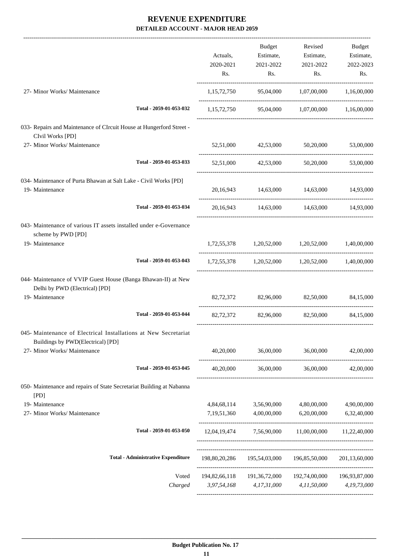|                                                                                                      |                                           |             | Budget                                                     | Revised             | Budget      |
|------------------------------------------------------------------------------------------------------|-------------------------------------------|-------------|------------------------------------------------------------|---------------------|-------------|
|                                                                                                      |                                           | Actuals,    | Estimate,                                                  | Estimate,           | Estimate,   |
|                                                                                                      |                                           | 2020-2021   |                                                            |                     |             |
|                                                                                                      |                                           |             | 2021-2022                                                  | 2021-2022           | 2022-2023   |
|                                                                                                      |                                           | Rs.         | Rs.                                                        | Rs.                 | Rs.         |
| 27- Minor Works/ Maintenance                                                                         |                                           |             | 1,15,72,750 95,04,000 1,07,00,000 1,16,00,000              |                     |             |
|                                                                                                      | Total - 2059-01-053-032                   |             | 1,15,72,750 95,04,000 1,07,00,000 1,16,00,000              |                     |             |
| 033- Repairs and Maintenance of CIrcuit House at Hungerford Street -<br>CIvil Works [PD]             |                                           |             |                                                            |                     |             |
| 27- Minor Works/ Maintenance                                                                         |                                           |             | 52,51,000 42,53,000 50,20,000                              |                     | 53,00,000   |
|                                                                                                      | Total - 2059-01-053-033                   |             | 52,51,000 42,53,000 50,20,000                              |                     | 53,00,000   |
| 034- Maintenance of Purta Bhawan at Salt Lake - Civil Works [PD]                                     |                                           |             |                                                            |                     |             |
| 19- Maintenance                                                                                      |                                           |             | 20,16,943 14,63,000 14,63,000 14,93,000                    |                     |             |
|                                                                                                      | Total - 2059-01-053-034                   |             | 20,16,943 14,63,000 14,63,000 14,93,000                    |                     |             |
| 043- Maintenance of various IT assets installed under e-Governance                                   |                                           |             |                                                            |                     |             |
| scheme by PWD [PD]                                                                                   |                                           |             |                                                            |                     |             |
| 19- Maintenance                                                                                      |                                           |             | 1,72,55,378 1,20,52,000 1,20,52,000 1,40,00,000            |                     |             |
|                                                                                                      | Total - 2059-01-053-043                   |             | 1,72,55,378 1,20,52,000 1,20,52,000 1,40,00,000            |                     |             |
| 044- Maintenance of VVIP Guest House (Banga Bhawan-II) at New<br>Delhi by PWD (Electrical) [PD]      |                                           |             |                                                            |                     |             |
| 19- Maintenance                                                                                      |                                           |             | 82,72,372 82,96,000 82,50,000                              |                     | 84,15,000   |
|                                                                                                      | Total - 2059-01-053-044                   |             | 82.72.372 82.96.000 82.50.000                              |                     | 84,15,000   |
| 045- Maintenance of Electrical Installations at New Secretariat<br>Buildings by PWD(Electrical) [PD] |                                           |             |                                                            |                     |             |
| 27- Minor Works/ Maintenance                                                                         |                                           | 40,20,000   | 36,00,000                                                  | 36,00,000           | 42,00,000   |
|                                                                                                      | Total - 2059-01-053-045                   | 40,20,000   |                                                            | 36,00,000 36,00,000 | 42,00,000   |
| 050- Maintenance and repairs of State Secretariat Building at Nabanna<br>[PD]                        |                                           |             |                                                            |                     |             |
| 19- Maintenance                                                                                      |                                           |             | 4,84,68,114 3,56,90,000                                    | 4,80,00,000         | 4,90,00,000 |
| 27- Minor Works/ Maintenance                                                                         |                                           | 7,19,51,360 | 4,00,00,000                                                | 6,20,00,000         | 6,32,40,000 |
|                                                                                                      | Total - 2059-01-053-050                   |             | 12,04,19,474 7,56,90,000 11,00,00,000 11,22,40,000         |                     |             |
|                                                                                                      | <b>Total - Administrative Expenditure</b> |             | 198,80,20,286  195,54,03,000  196,85,50,000  201,13,60,000 |                     |             |
|                                                                                                      |                                           |             |                                                            |                     |             |
|                                                                                                      | Voted                                     |             | 194,82,66,118 191,36,72,000 192,74,00,000 196,93,87,000    |                     |             |
|                                                                                                      | Charged                                   |             | 3,97,54,168 4,17,31,000 4,11,50,000                        |                     | 4,19,73,000 |
|                                                                                                      |                                           |             |                                                            |                     |             |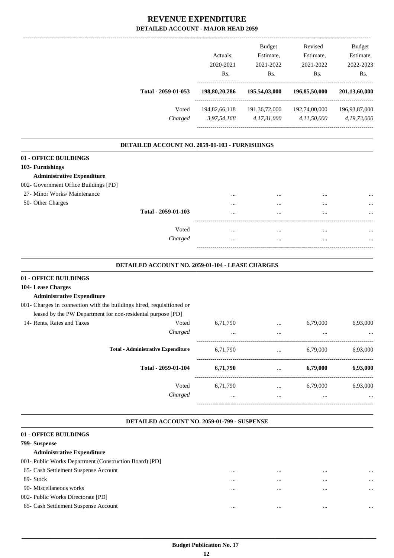| Total - 2059-01-053<br>Voted                                                                                                         | Actuals,<br>2020-2021<br>Rs.<br>198,80,20,286<br>194,82,66,118 | <b>Budget</b><br>Estimate,<br>2021-2022<br>Rs.<br>195,54,03,000<br>191,36,72,000 | Revised<br>Estimate,<br>2021-2022<br>Rs.<br>196,85,50,000<br>192,74,00,000 | <b>Budget</b><br>Estimate,<br>2022-2023<br>Rs.<br>201,13,60,000<br>196,93,87,000 |
|--------------------------------------------------------------------------------------------------------------------------------------|----------------------------------------------------------------|----------------------------------------------------------------------------------|----------------------------------------------------------------------------|----------------------------------------------------------------------------------|
| Charged                                                                                                                              | 3,97,54,168                                                    | 4,17,31,000                                                                      | 4,11,50,000                                                                | 4,19,73,000                                                                      |
| DETAILED ACCOUNT NO. 2059-01-103 - FURNISHINGS                                                                                       |                                                                |                                                                                  |                                                                            |                                                                                  |
| 01 - OFFICE BUILDINGS                                                                                                                |                                                                |                                                                                  |                                                                            |                                                                                  |
| 103- Furnishings                                                                                                                     |                                                                |                                                                                  |                                                                            |                                                                                  |
| <b>Administrative Expenditure</b>                                                                                                    |                                                                |                                                                                  |                                                                            |                                                                                  |
| 002- Government Office Buildings [PD]                                                                                                |                                                                |                                                                                  |                                                                            |                                                                                  |
| 27- Minor Works/ Maintenance                                                                                                         |                                                                |                                                                                  |                                                                            |                                                                                  |
| 50- Other Charges                                                                                                                    |                                                                |                                                                                  |                                                                            |                                                                                  |
| Total - 2059-01-103                                                                                                                  |                                                                |                                                                                  | $\cdots$                                                                   |                                                                                  |
| Voted                                                                                                                                | $\ddotsc$                                                      | $\cdots$                                                                         | $\cdots$                                                                   |                                                                                  |
| Charged                                                                                                                              |                                                                | $\ddotsc$                                                                        | $\ddotsc$                                                                  |                                                                                  |
| DETAILED ACCOUNT NO. 2059-01-104 - LEASE CHARGES                                                                                     |                                                                |                                                                                  |                                                                            |                                                                                  |
|                                                                                                                                      |                                                                |                                                                                  |                                                                            |                                                                                  |
| 01 - OFFICE BUILDINGS                                                                                                                |                                                                |                                                                                  |                                                                            |                                                                                  |
| 104- Lease Charges                                                                                                                   |                                                                |                                                                                  |                                                                            |                                                                                  |
| <b>Administrative Expenditure</b>                                                                                                    |                                                                |                                                                                  |                                                                            |                                                                                  |
| 001- Charges in connection with the buildings hired, requisitioned or<br>leased by the PW Department for non-residental purpose [PD] |                                                                |                                                                                  |                                                                            |                                                                                  |
| 14- Rents, Rates and Taxes<br>Voted                                                                                                  | 6,71,790                                                       |                                                                                  | 6,79,000                                                                   | 6,93,000                                                                         |
| Charged                                                                                                                              | $\ddotsc$                                                      | $\cdots$<br>$\ddotsc$                                                            | $\cdots$                                                                   |                                                                                  |
|                                                                                                                                      |                                                                |                                                                                  |                                                                            |                                                                                  |

| 6,71,790             | $\cdots$             | 6,79,000     | 6,93,000     |
|----------------------|----------------------|--------------|--------------|
| 6,71,790             | $\cdots$             | 6,79,000     | 6,93,000     |
| 6,71,790<br>$\cdots$ | $\cdots$<br>$\cdots$ | 6,79,000<br> | 6,93,000<br> |
| Charged              |                      |              |              |

-----------------------------------------------------------------------------------------

.

#### **DETAILED ACCOUNT NO. 2059-01-799 - SUSPENSE .**

#### **01 - OFFICE BUILDINGS 799- Suspense Administrative Expenditure** 001- Public Works Department (Construction Board) [PD] 65- Cash Settlement Suspense Account ... ... ... ... 89- Stock ... ... ... ... 90- Miscellaneous works ... ... ... ... 002- Public Works Directorate [PD] 65- Cash Settlement Suspense Account ... ... ... ...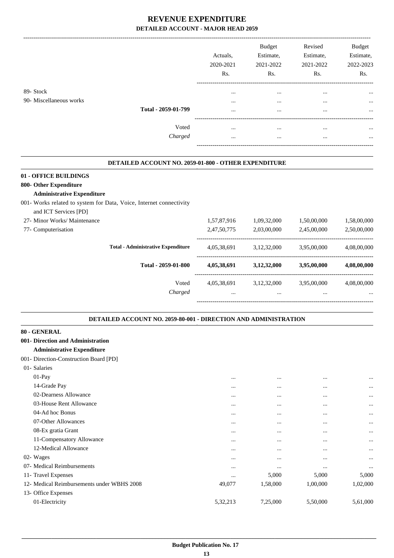|                         |                     | Actuals.<br>2020-2021<br>Rs. | <b>Budget</b><br>Estimate,<br>2021-2022<br>Rs. | Revised<br>Estimate,<br>2021-2022<br>Rs. | <b>Budget</b><br>Estimate,<br>2022-2023<br>Rs. |
|-------------------------|---------------------|------------------------------|------------------------------------------------|------------------------------------------|------------------------------------------------|
| 89- Stock               |                     | $\cdots$                     | $\cdots$                                       | $\cdots$                                 | $\cdots$                                       |
| 90- Miscellaneous works |                     | $\cdots$                     | $\cdots$                                       | $\cdots$                                 | $\cdots$                                       |
|                         | Total - 2059-01-799 |                              | $\cdots$                                       |                                          | $\cdots$                                       |
|                         | Voted               | $\cdots$                     |                                                |                                          | $\cdots$                                       |
|                         | Charged             | $\cdots$                     | $\cdots$                                       |                                          | $\cdots$                                       |

#### **DETAILED ACCOUNT NO. 2059-01-800 - OTHER EXPENDITURE .**

#### **01 - OFFICE BUILDINGS**

### **800- Other Expenditure**

#### **Administrative Expenditure**

- 001- Works related to system for Data, Voice, Internet connectivity
- and ICT Services [PD]

| 27- Minor Works/ Maintenance |                                           | 1,57,87,916 | 1,09,32,000 | 1,50,00,000 | 1,58,00,000 |
|------------------------------|-------------------------------------------|-------------|-------------|-------------|-------------|
| 77- Computerisation          |                                           | 2,47,50,775 | 2,03,00,000 | 2,45,00,000 | 2,50,00,000 |
|                              | <b>Total - Administrative Expenditure</b> | 4,05,38,691 | 3,12,32,000 | 3.95.00.000 | 4,08,00,000 |
|                              | Total - 2059-01-800                       | 4,05,38,691 | 3,12,32,000 | 3,95,00,000 | 4,08,00,000 |
|                              | Voted                                     | 4,05,38,691 | 3,12,32,000 | 3,95,00,000 | 4,08,00,000 |
|                              | Charged                                   |             | $\cdots$    | $\cdots$    | $\cdots$    |
|                              |                                           |             |             |             |             |

.

.

#### **DETAILED ACCOUNT NO. 2059-80-001 - DIRECTION AND ADMINISTRATION**

| 80 - GENERAL                               |          |          |          |          |
|--------------------------------------------|----------|----------|----------|----------|
| 001- Direction and Administration          |          |          |          |          |
| <b>Administrative Expenditure</b>          |          |          |          |          |
| 001- Direction-Construction Board [PD]     |          |          |          |          |
| 01- Salaries                               |          |          |          |          |
| $01-Pay$                                   | $\cdots$ | $\cdots$ |          |          |
| 14-Grade Pay                               | $\cdots$ | $\cdots$ | $\cdots$ | $\cdots$ |
| 02-Dearness Allowance                      | $\cdots$ | $\cdots$ |          | $\cdots$ |
| 03-House Rent Allowance                    | $\cdots$ | $\cdots$ | $\cdots$ | $\cdots$ |
| 04-Ad hoc Bonus                            | $\cdots$ | $\cdots$ | $\cdots$ |          |
| 07-Other Allowances                        | $\cdots$ | $\cdots$ | $\cdots$ | $\cdots$ |
| 08-Ex gratia Grant                         | $\cdots$ | $\cdots$ |          | $\cdots$ |
| 11-Compensatory Allowance                  | $\cdots$ | $\cdots$ | $\cdots$ | $\cdots$ |
| 12-Medical Allowance                       |          | $\cdots$ |          |          |
| 02- Wages                                  | $\cdots$ | $\cdots$ | $\cdots$ |          |
| 07- Medical Reimbursements                 | $\cdots$ | $\cdots$ | $\cdots$ | $\cdots$ |
| 11- Travel Expenses                        | $\cdots$ | 5,000    | 5,000    | 5,000    |
| 12- Medical Reimbursements under WBHS 2008 | 49,077   | 1,58,000 | 1,00,000 | 1,02,000 |
| 13- Office Expenses                        |          |          |          |          |
| 01-Electricity                             | 5,32,213 | 7,25,000 | 5,50,000 | 5,61,000 |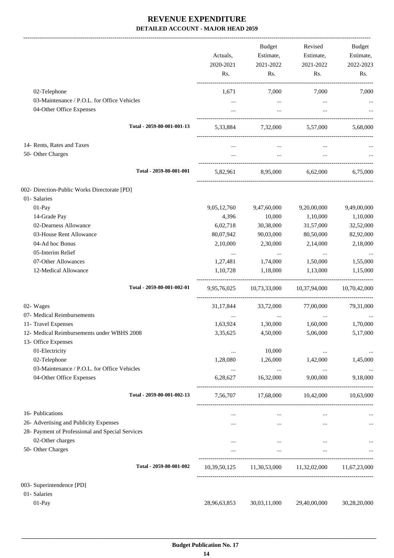-------------------------------------------------------------------------------------------------------------------------------------------------------------------------------

|                                                                         | Actuals,<br>2020-2021<br>Rs. | <b>Budget</b><br>Estimate,<br>2021-2022<br>Rs. | Revised<br>Estimate,<br>2021-2022<br>Rs.            | <b>Budget</b><br>Estimate,<br>2022-2023<br>Rs. |
|-------------------------------------------------------------------------|------------------------------|------------------------------------------------|-----------------------------------------------------|------------------------------------------------|
| 02-Telephone                                                            | 1,671                        | 7,000                                          | 7,000                                               | 7,000                                          |
| 03-Maintenance / P.O.L. for Office Vehicles                             | $\cdots$                     | $\cdots$                                       | $\cdots$                                            |                                                |
| 04-Other Office Expenses                                                |                              | $\cdots$                                       | $\cdots$                                            |                                                |
| Total - 2059-80-001-001-13                                              | 5,33,884                     |                                                | 7,32,000 5,57,000                                   | 5,68,000                                       |
| 14- Rents, Rates and Taxes<br>50- Other Charges                         | $\cdots$<br>$\cdots$         | $\cdots$<br>$\cdots$                           | $\cdots$<br>$\cdots$                                |                                                |
| Total - 2059-80-001-001                                                 |                              |                                                | 5,82,961 8,95,000 6,62,000                          | 6.75.000                                       |
| 002- Direction-Public Works Directorate [PD]                            |                              |                                                |                                                     |                                                |
| 01- Salaries                                                            |                              |                                                |                                                     |                                                |
| 01-Pay                                                                  | 9,05,12,760                  | 9,47,60,000                                    | 9,20,00,000                                         | 9,49,00,000                                    |
| 14-Grade Pay                                                            | 4,396                        | 10,000                                         | 1,10,000                                            | 1,10,000                                       |
| 02-Dearness Allowance                                                   | 6,02,718                     | 30,38,000                                      | 31,57,000                                           | 32,52,000                                      |
| 03-House Rent Allowance                                                 | 80,07,942                    | 90,03,000                                      | 80,50,000                                           | 82,92,000                                      |
| 04-Ad hoc Bonus                                                         | 2,10,000                     | 2,30,000                                       | 2,14,000                                            | 2,18,000                                       |
| 05-Interim Relief                                                       | $\cdots$                     | $\ldots$                                       | $\ldots$                                            | $\cdots$                                       |
| 07-Other Allowances                                                     | 1,27,481                     | 1,74,000                                       | 1,50,000                                            | 1,55,000                                       |
| 12-Medical Allowance                                                    | 1,10,728                     | 1,18,000                                       | 1,13,000                                            | 1,15,000                                       |
| Total - 2059-80-001-002-01                                              |                              |                                                | 9,95,76,025 10,73,33,000 10,37,94,000               | 10,70,42,000                                   |
| 02- Wages                                                               | 31, 17, 844                  | 33,72,000                                      | 77,00,000                                           | 79,31,000                                      |
| 07- Medical Reimbursements                                              | $\cdots$                     | $\cdots$                                       | $\cdots$                                            |                                                |
| 11- Travel Expenses                                                     | 1,63,924                     | 1,30,000                                       | 1,60,000                                            | 1,70,000                                       |
| 12- Medical Reimbursements under WBHS 2008                              | 3,35,625                     | 4,50,000                                       | 5,06,000                                            | 5,17,000                                       |
| 13- Office Expenses                                                     |                              |                                                |                                                     |                                                |
| 01-Electricity                                                          | $\ddotsc$                    | 10,000                                         | $\ddotsc$                                           |                                                |
| 02-Telephone                                                            | 1,28,080                     | 1,26,000                                       | 1,42,000                                            | 1,45,000                                       |
| 03-Maintenance / P.O.L. for Office Vehicles<br>04-Other Office Expenses | $\cdots$<br>6,28,627         | $\cdots$<br>16,32,000                          | $\ldots$<br>9,00,000                                | 9,18,000                                       |
| Total - 2059-80-001-002-13                                              | 7,56,707                     |                                                | 17,68,000 10,42,000                                 | 10,63,000                                      |
| 16- Publications                                                        | $\cdots$                     | $\cdots$                                       | $\cdots$                                            |                                                |
| 26- Advertising and Publicity Expenses                                  | $\cdots$                     | $\cdots$                                       | $\cdots$                                            |                                                |
| 28- Payment of Professional and Special Services                        |                              |                                                |                                                     |                                                |
| 02-Other charges                                                        | $\cdots$                     | $\cdots$                                       | $\cdots$                                            |                                                |
| 50- Other Charges                                                       | $\cdots$                     | $\ldots$                                       | $\ldots$                                            |                                                |
| Total - 2059-80-001-002                                                 |                              |                                                | 10,39,50,125 11,30,53,000 11,32,02,000 11,67,23,000 |                                                |
|                                                                         |                              |                                                |                                                     |                                                |
| 003- Superintendence [PD]<br>01- Salaries                               |                              |                                                |                                                     |                                                |
| 01-Pay                                                                  | 28,96,63,853                 | 30,03,11,000                                   | 29,40,00,000                                        | 30,28,20,000                                   |
|                                                                         |                              |                                                |                                                     |                                                |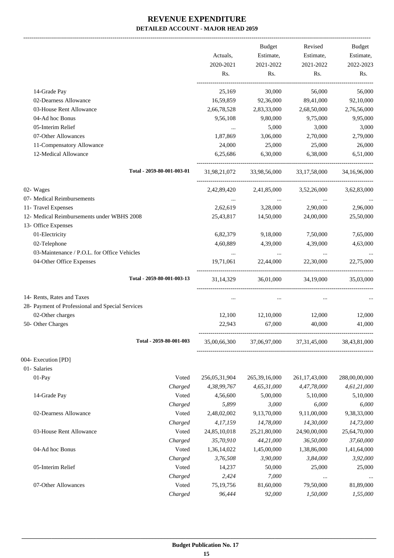|                                                  |                            |               | Budget              | Revised          | <b>Budget</b> |
|--------------------------------------------------|----------------------------|---------------|---------------------|------------------|---------------|
|                                                  |                            | Actuals,      | Estimate,           | Estimate,        | Estimate,     |
|                                                  |                            | 2020-2021     | 2021-2022           | 2021-2022        | 2022-2023     |
|                                                  |                            | Rs.           | Rs.                 | Rs.              | Rs.           |
| 14-Grade Pay                                     |                            | 25,169        | 30,000              | 56,000           | 56,000        |
| 02-Dearness Allowance                            |                            | 16,59,859     | 92,36,000           | 89,41,000        | 92,10,000     |
| 03-House Rent Allowance                          |                            | 2,66,78,528   | 2,83,33,000         | 2,68,50,000      | 2,76,56,000   |
| 04-Ad hoc Bonus                                  |                            | 9,56,108      | 9,80,000            | 9,75,000         | 9,95,000      |
| 05-Interim Relief                                |                            | $\cdots$      | 5,000               | 3,000            | 3,000         |
| 07-Other Allowances                              |                            | 1,87,869      | 3,06,000            | 2,70,000         | 2,79,000      |
| 11-Compensatory Allowance                        |                            | 24,000        | 25,000              | 25,000           | 26,000        |
| 12-Medical Allowance                             |                            | 6,25,686      | 6,30,000            | 6,38,000         | 6,51,000      |
|                                                  | Total - 2059-80-001-003-01 | 31,98,21,072  | 33,98,56,000        | 33, 17, 58, 000  | 34,16,96,000  |
| 02- Wages                                        |                            | 2,42,89,420   | 2,41,85,000         | 3,52,26,000      | 3,62,83,000   |
| 07- Medical Reimbursements                       |                            | $\ldots$      | $\ldots$            | $\ldots$         |               |
| 11- Travel Expenses                              |                            | 2,62,619      | 3,28,000            | 2,90,000         | 2,96,000      |
| 12- Medical Reimbursements under WBHS 2008       |                            | 25,43,817     | 14,50,000           | 24,00,000        | 25,50,000     |
| 13- Office Expenses                              |                            |               |                     |                  |               |
| 01-Electricity                                   |                            | 6,82,379      | 9,18,000            | 7,50,000         | 7,65,000      |
| 02-Telephone                                     |                            | 4,60,889      | 4,39,000            | 4,39,000         | 4,63,000      |
| 03-Maintenance / P.O.L. for Office Vehicles      |                            | $\ddots$      | $\sim$ $\sim$       | $\ldots$         |               |
| 04-Other Office Expenses                         |                            | 19,71,061     | 22,44,000           | 22,30,000        | 22,75,000     |
|                                                  | Total - 2059-80-001-003-13 |               | 31,14,329 36,01,000 | 34,19,000        | 35,03,000     |
| 14- Rents, Rates and Taxes                       |                            | $\cdots$      | $\cdots$            | $\cdots$         |               |
| 28- Payment of Professional and Special Services |                            |               |                     |                  |               |
| 02-Other charges                                 |                            | 12,100        | 12,10,000           | 12,000           | 12,000        |
| 50- Other Charges                                |                            | 22,943        | 67,000              | 40,000           | 41,000        |
|                                                  | Total - 2059-80-001-003    | 35,00,66,300  | 37,06,97,000        | 37, 31, 45, 000  | 38,43,81,000  |
| 004- Execution [PD]                              |                            |               |                     |                  |               |
| 01- Salaries                                     |                            |               |                     |                  |               |
| $01-Pay$                                         | Voted                      | 256,05,31,904 | 265, 39, 16, 000    | 261, 17, 43, 000 | 288,00,00,000 |
|                                                  | Charged                    | 4,38,99,767   | 4,65,31,000         | 4,47,78,000      | 4,61,21,000   |
| 14-Grade Pay                                     | Voted                      | 4,56,600      | 5,00,000            | 5,10,000         | 5,10,000      |
|                                                  | Charged                    | 5,899         | 3,000               | 6,000            | 6,000         |
| 02-Dearness Allowance                            | Voted                      | 2,48,02,002   | 9,13,70,000         | 9,11,00,000      | 9,38,33,000   |
|                                                  | Charged                    | 4,17,159      | 14,78,000           | 14,30,000        | 14,73,000     |
| 03-House Rent Allowance                          | Voted                      | 24,85,10,018  | 25,21,80,000        | 24,90,00,000     | 25,64,70,000  |
|                                                  | Charged                    | 35,70,910     | 44,21,000           | 36,50,000        | 37,60,000     |
| 04-Ad hoc Bonus                                  | Voted                      | 1,36,14,022   | 1,45,00,000         | 1,38,86,000      | 1,41,64,000   |
|                                                  | Charged                    | 3,76,508      | 3,90,000            | 3,84,000         | 3,92,000      |
| 05-Interim Relief                                | Voted                      | 14,237        | 50,000              | 25,000           | 25,000        |
|                                                  | Charged                    | 2,424         | 7,000               | $\cdots$         |               |
| 07-Other Allowances                              | Voted                      | 75,19,756     | 81,60,000           | 79,50,000        | 81,89,000     |
|                                                  | Charged                    | 96,444        | 92,000              | 1,50,000         | 1,55,000      |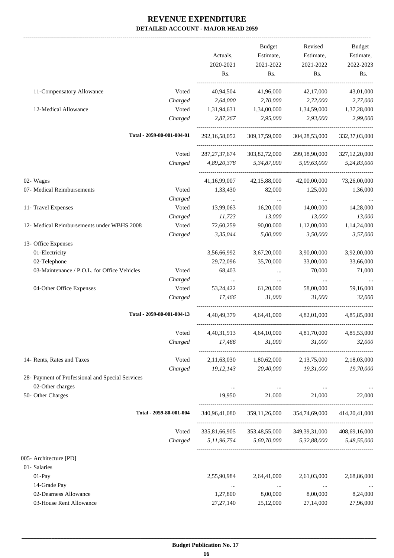-------------------------------------------------------------------------------------------------------------------------------------------------------------------------------

|                                                  |                            | Actuals,<br>2020-2021<br>Rs. | <b>Budget</b><br>Estimate,<br>2021-2022<br>Rs. | Revised<br>Estimate,<br>2021-2022<br>Rs.                   | <b>Budget</b><br>Estimate,<br>2022-2023<br>Rs. |
|--------------------------------------------------|----------------------------|------------------------------|------------------------------------------------|------------------------------------------------------------|------------------------------------------------|
| 11-Compensatory Allowance                        | Voted                      | 40,94,504                    | 41,96,000                                      | 42,17,000                                                  | 43,01,000                                      |
|                                                  | Charged                    | 2,64,000                     | 2,70,000                                       | 2,72,000                                                   | 2,77,000                                       |
| 12-Medical Allowance                             | Voted                      | 1,31,94,631                  | 1,34,00,000                                    | 1,34,59,000                                                | 1,37,28,000                                    |
|                                                  | Charged                    | 2,87,267                     | 2,95,000                                       | 2,93,000                                                   | 2,99,000                                       |
|                                                  | Total - 2059-80-001-004-01 | 292, 16, 58, 052             | 309,17,59,000                                  | 304,28,53,000                                              | 332, 37, 03, 000                               |
|                                                  | Voted                      | 287, 27, 37, 674             | 303,82,72,000                                  | 299,18,90,000                                              | 327,12,20,000                                  |
|                                                  | Charged                    | 4,89,20,378                  | 5,34,87,000                                    | 5,09,63,000                                                | 5,24,83,000                                    |
| 02- Wages                                        |                            | 41,16,99,007                 | 42,15,88,000                                   | 42,00,00,000                                               | 73,26,00,000                                   |
| 07- Medical Reimbursements                       | Voted                      | 1,33,430                     | 82,000                                         | 1,25,000                                                   | 1,36,000                                       |
|                                                  | Charged                    | $\ldots$                     | $\ldots$                                       | $\ldots$                                                   |                                                |
| 11- Travel Expenses                              | Voted                      | 13,99,063                    | 16,20,000                                      | 14,00,000                                                  | 14,28,000                                      |
|                                                  | Charged                    | 11,723                       | 13,000                                         | 13,000                                                     | 13,000                                         |
| 12- Medical Reimbursements under WBHS 2008       | Voted                      | 72,60,259                    | 90,00,000                                      | 1,12,00,000                                                | 1,14,24,000                                    |
|                                                  | Charged                    | 3,35,044                     | 5,00,000                                       | 3,50,000                                                   | 3,57,000                                       |
| 13- Office Expenses                              |                            |                              |                                                |                                                            |                                                |
| 01-Electricity                                   |                            | 3,56,66,992                  | 3,67,20,000                                    | 3,90,00,000                                                | 3,92,00,000                                    |
| 02-Telephone                                     |                            | 29,72,096                    | 35,70,000                                      | 33,00,000                                                  | 33,66,000                                      |
| 03-Maintenance / P.O.L. for Office Vehicles      | Voted                      | 68,403                       | $\cdots$                                       | 70,000                                                     | 71,000                                         |
|                                                  | Charged                    | $\cdots$                     | $\cdots$                                       | $\cdots$                                                   | $\ldots$                                       |
| 04-Other Office Expenses                         | Voted                      | 53, 24, 422                  | 61,20,000                                      | 58,00,000                                                  | 59,16,000                                      |
|                                                  | Charged                    | 17,466                       | 31,000                                         | 31,000                                                     | 32,000                                         |
|                                                  | Total - 2059-80-001-004-13 | 4,40,49,379                  | 4,64,41,000                                    | 4,82,01,000                                                | 4,85,85,000                                    |
|                                                  | Voted                      | 4,40,31,913                  | 4,64,10,000                                    | 4,81,70,000                                                | 4,85,53,000                                    |
|                                                  | Charged                    | 17,466                       | 31,000                                         | 31,000                                                     | 32,000                                         |
| 14- Rents, Rates and Taxes                       | Voted                      |                              | 2,11,63,030 1,80,62,000                        | 2,13,75,000                                                | 2,18,03,000                                    |
|                                                  | Charged                    | 19, 12, 143                  | 20,40,000                                      | 19,31,000                                                  | 19,70,000                                      |
| 28- Payment of Professional and Special Services |                            |                              |                                                |                                                            |                                                |
| 02-Other charges                                 |                            | $\cdots$                     | $\ldots$                                       | $\ldots$                                                   | $\cdots$                                       |
| 50- Other Charges                                |                            | 19,950                       | 21,000                                         | 21,000                                                     | 22,000                                         |
|                                                  | Total - 2059-80-001-004    |                              |                                                | 340,96,41,080  359,11,26,000  354,74,69,000  414,20,41,000 |                                                |
|                                                  | Voted                      |                              |                                                | 335,81,66,905 353,48,55,000 349,39,31,000 408,69,16,000    |                                                |
|                                                  | Charged                    |                              | 5,11,96,754 5,60,70,000 5,32,88,000            |                                                            | 5,48,55,000                                    |
| 005- Architecture [PD]                           |                            |                              |                                                |                                                            |                                                |
| 01- Salaries                                     |                            |                              |                                                |                                                            |                                                |
| 01-Pay                                           |                            | 2,55,90,984                  | 2,64,41,000                                    | 2,61,03,000                                                | 2,68,86,000                                    |
| 14-Grade Pay                                     |                            | $\ldots$                     | $\cdots$                                       | $\ldots$                                                   |                                                |
| 02-Dearness Allowance                            |                            | 1,27,800                     | 8,00,000                                       | 8,00,000                                                   | 8,24,000                                       |
| 03-House Rent Allowance                          |                            | 27, 27, 140                  | 25,12,000                                      | 27,14,000                                                  | 27,96,000                                      |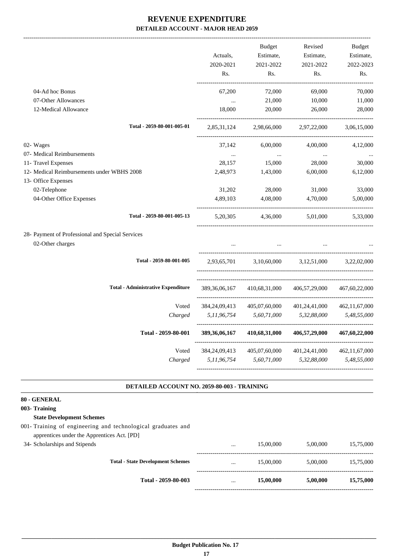|                                                                   |                  | <b>Budget</b> | Revised       | <b>Budget</b>    |
|-------------------------------------------------------------------|------------------|---------------|---------------|------------------|
|                                                                   | Actuals,         | Estimate,     | Estimate,     | Estimate,        |
|                                                                   | 2020-2021        | 2021-2022     | 2021-2022     | 2022-2023        |
|                                                                   | Rs.              | Rs.           | Rs.           | Rs.              |
| 04-Ad hoc Bonus                                                   | 67,200           | 72,000        | 69,000        | 70,000           |
| 07-Other Allowances                                               | $\cdots$         | 21,000        | 10,000        | 11,000           |
| 12-Medical Allowance                                              | 18,000           | 20,000        | 26,000        | 28,000           |
| Total - 2059-80-001-005-01                                        | 2,85,31,124      | 2,98,66,000   | 2,97,22,000   | 3,06,15,000      |
| 02- Wages                                                         | 37,142           | 6,00,000      | 4,00,000      | 4,12,000         |
| 07- Medical Reimbursements                                        | $\ldots$         | $\cdots$      | $\cdots$      |                  |
| 11- Travel Expenses                                               | 28,157           | 15,000        | 28,000        | 30,000           |
| 12- Medical Reimbursements under WBHS 2008<br>13- Office Expenses | 2,48,973         | 1,43,000      | 6,00,000      | 6,12,000         |
| 02-Telephone                                                      | 31,202           | 28,000        | 31,000        | 33,000           |
| 04-Other Office Expenses                                          | 4,89,103         | 4,08,000      | 4,70,000      | 5,00,000         |
| Total - 2059-80-001-005-13                                        | 5, 20, 305       | 4,36,000      | 5,01,000      | 5,33,000         |
| 28- Payment of Professional and Special Services                  |                  |               |               |                  |
| 02-Other charges                                                  |                  | $\ddotsc$     |               |                  |
| Total - 2059-80-001-005                                           | 2,93,65,701      | 3,10,60,000   | 3,12,51,000   | 3,22,02,000      |
| <b>Total - Administrative Expenditure</b>                         | 389, 36, 06, 167 | 410,68,31,000 | 406,57,29,000 | 467,60,22,000    |
| Voted                                                             | 384, 24, 09, 413 | 405,07,60,000 | 401,24,41,000 | 462, 11, 67, 000 |
| Charged                                                           | 5,11,96,754      | 5,60,71,000   | 5,32,88,000   | 5,48,55,000      |
| Total - 2059-80-001                                               | 389, 36, 06, 167 | 410,68,31,000 | 406,57,29,000 | 467,60,22,000    |
| Voted                                                             | 384, 24, 09, 413 | 405,07,60,000 | 401,24,41,000 | 462, 11, 67, 000 |
| Charged                                                           | 5,11,96,754      | 5,60,71,000   | 5,32,88,000   | 5,48,55,000      |

#### **DETAILED ACCOUNT NO. 2059-80-003 - TRAINING .**

#### **80 - GENERAL**

#### **003- Training**

#### **State Development Schemes**

- 001- Training of engineering and technological graduates and apprentices under the Apprentices Act. [PD]
- 

|                               | Total - 2059-80-003                      | $\cdots$ | 15,00,000 | 5,00,000 | 15,75,000 |
|-------------------------------|------------------------------------------|----------|-----------|----------|-----------|
|                               | <b>Total - State Development Schemes</b> | $\cdots$ | 15,00,000 | 5,00,000 | 15,75,000 |
| 34- Scholarships and Stipends |                                          | $\cdots$ | 15,00,000 | 5.00.000 | 15,75,000 |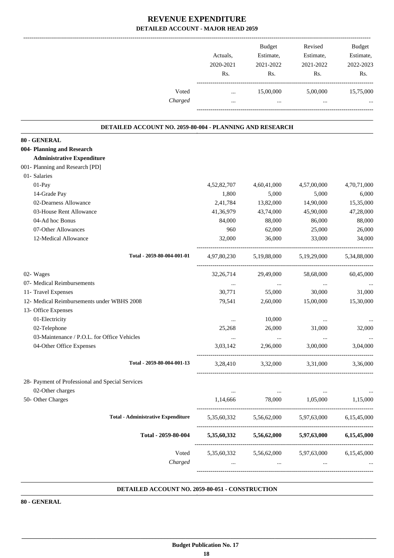|                                                          | Actuals,<br>2020-2021<br>Rs.    | Budget<br>Estimate,<br>2021-2022<br>Rs.                   | Revised<br>Estimate,<br>2021-2022<br>Rs.                         | Budget<br>Estimate,<br>2022-2023<br>Rs. |
|----------------------------------------------------------|---------------------------------|-----------------------------------------------------------|------------------------------------------------------------------|-----------------------------------------|
| Voted<br>Charged                                         | $\cdots$<br>$\cdots$            | 15,00,000<br>$\cdots$                                     | 5,00,000<br>$\cdots$                                             | 15,75,000                               |
| DETAILED ACCOUNT NO. 2059-80-004 - PLANNING AND RESEARCH |                                 |                                                           |                                                                  |                                         |
| 80 - GENERAL                                             |                                 |                                                           |                                                                  |                                         |
| 004- Planning and Research                               |                                 |                                                           |                                                                  |                                         |
| <b>Administrative Expenditure</b>                        |                                 |                                                           |                                                                  |                                         |
| 001- Planning and Research [PD]                          |                                 |                                                           |                                                                  |                                         |
| 01- Salaries                                             |                                 |                                                           |                                                                  |                                         |
| 01-Pay                                                   | 4,52,82,707                     | 4,60,41,000                                               | 4,57,00,000                                                      | 4,70,71,000                             |
| 14-Grade Pay                                             | 1,800                           | 5,000                                                     | 5,000                                                            | 6,000                                   |
| 02-Dearness Allowance                                    | 2,41,784                        | 13,82,000                                                 | 14,90,000                                                        | 15,35,000                               |
| 03-House Rent Allowance                                  | 41,36,979                       | 43,74,000                                                 | 45,90,000                                                        | 47,28,000                               |
| 04-Ad hoc Bonus                                          | 84,000                          | 88,000                                                    | 86,000                                                           | 88,000                                  |
| 07-Other Allowances                                      | 960                             | 62,000                                                    | 25,000                                                           | 26,000                                  |
| 12-Medical Allowance                                     | 32,000                          | 36,000                                                    | 33,000                                                           | 34,000                                  |
| Total - 2059-80-004-001-01                               | 4,97,80,230                     | 5,19,88,000                                               | 5,19,29,000                                                      | 5,34,88,000                             |
| 02- Wages                                                | 32, 26, 714                     | 29,49,000                                                 | 58,68,000                                                        | 60,45,000                               |
| 07- Medical Reimbursements                               | $\ldots$                        | $\cdots$                                                  | $\cdots$                                                         |                                         |
| 11- Travel Expenses                                      | 30,771                          | 55,000                                                    | 30,000                                                           | 31,000                                  |
| 12- Medical Reimbursements under WBHS 2008               | 79,541                          | 2,60,000                                                  | 15,00,000                                                        | 15,30,000                               |
| 13- Office Expenses                                      |                                 |                                                           |                                                                  |                                         |
| 01-Electricity                                           |                                 | 10,000                                                    | $\cdots$                                                         |                                         |
| 02-Telephone                                             | 25,268                          | 26,000                                                    | 31,000                                                           | 32,000                                  |
| 03-Maintenance / P.O.L. for Office Vehicles              | $\cdots$                        |                                                           |                                                                  | $\ddotsc$                               |
| 04-Other Office Expenses                                 |                                 |                                                           | 3,03,142 2,96,000 3,00,000 3,04,000                              |                                         |
| Total - 2059-80-004-001-13                               | 3,28,410                        | 3,32,000                                                  | 3,31,000                                                         | 3,36,000                                |
| 28- Payment of Professional and Special Services         |                                 |                                                           |                                                                  |                                         |
| 02-Other charges                                         | $\cdots$                        | $\mathcal{L}_{\text{max}}$ and $\mathcal{L}_{\text{max}}$ | $\ldots$                                                         |                                         |
| 50- Other Charges                                        |                                 |                                                           | 1,14,666 78,000 1,05,000 1,15,000                                |                                         |
| <b>Total - Administrative Expenditure</b>                |                                 |                                                           | 5,35,60,332 5,56,62,000 5,97,63,000 6,15,45,000                  |                                         |
| Total - 2059-80-004                                      |                                 |                                                           | $5,35,60,332$ $5,56,62,000$ $5,97,63,000$                        | 6,15,45,000                             |
| Voted                                                    |                                 |                                                           | 5,35,60,332 5,56,62,000 5,97,63,000 6,15,45,000                  |                                         |
| Charged                                                  | $\mathbf{r}$ , and $\mathbf{r}$ |                                                           | $\mathbf{m}$ and $\mathbf{m}$ and $\mathbf{m}$<br><b>Section</b> |                                         |
|                                                          |                                 |                                                           |                                                                  |                                         |

#### **DETAILED ACCOUNT NO. 2059-80-051 - CONSTRUCTION .**

**80 - GENERAL**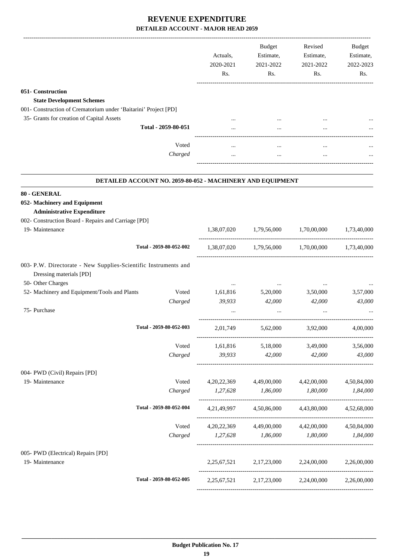|                                                                                            |                                                            | Actuals,<br>2020-2021<br>Rs. | Budget<br>Estimate,<br>2021-2022<br>Rs.   | Revised<br>Estimate,<br>2021-2022<br>Rs.        | Budget<br>Estimate,<br>2022-2023<br>Rs. |
|--------------------------------------------------------------------------------------------|------------------------------------------------------------|------------------------------|-------------------------------------------|-------------------------------------------------|-----------------------------------------|
| 051- Construction                                                                          |                                                            |                              |                                           |                                                 |                                         |
| <b>State Development Schemes</b>                                                           |                                                            |                              |                                           |                                                 |                                         |
| 001- Construction of Crematorium under 'Baitarini' Project [PD]                            |                                                            |                              |                                           |                                                 |                                         |
| 35- Grants for creation of Capital Assets                                                  |                                                            |                              |                                           |                                                 |                                         |
|                                                                                            | Total - 2059-80-051                                        |                              |                                           |                                                 |                                         |
|                                                                                            | Voted                                                      |                              |                                           | $\cdots$                                        |                                         |
|                                                                                            | Charged                                                    |                              |                                           | $\cdots$                                        |                                         |
|                                                                                            | DETAILED ACCOUNT NO. 2059-80-052 - MACHINERY AND EQUIPMENT |                              |                                           |                                                 |                                         |
| 80 - GENERAL                                                                               |                                                            |                              |                                           |                                                 |                                         |
| 052- Machinery and Equipment                                                               |                                                            |                              |                                           |                                                 |                                         |
| <b>Administrative Expenditure</b>                                                          |                                                            |                              |                                           |                                                 |                                         |
| 002- Construction Board - Repairs and Carriage [PD]<br>19- Maintenance                     |                                                            |                              |                                           |                                                 |                                         |
|                                                                                            |                                                            | 1,38,07,020                  | 1,79,56,000                               | 1,70,00,000                                     | 1,73,40,000                             |
|                                                                                            | Total - 2059-80-052-002                                    |                              | $1,38,07,020$ $1,79,56,000$ $1,70,00,000$ |                                                 | 1,73,40,000                             |
| 003- P.W. Directorate - New Supplies-Scientific Instruments and<br>Dressing materials [PD] |                                                            |                              |                                           |                                                 |                                         |
| 50- Other Charges                                                                          |                                                            |                              |                                           |                                                 |                                         |
| 52- Machinery and Equipment/Tools and Plants                                               | Voted<br>Charged                                           | 1,61,816<br>39,933           | 5,20,000<br>42,000                        | 3,50,000<br>42,000                              | 3,57,000<br>43,000                      |
| 75- Purchase                                                                               |                                                            |                              |                                           |                                                 |                                         |
|                                                                                            | Total - 2059-80-052-003                                    | 2,01,749                     | 5,62,000                                  | 3,92,000                                        | 4,00,000                                |
|                                                                                            | Voted                                                      |                              | 1,61,816 5,18,000                         | 3,49,000                                        | 3,56,000                                |
|                                                                                            | Charged                                                    | 39,933                       | 42,000                                    | 42,000                                          | 43,000                                  |
| 004- PWD (Civil) Repairs [PD]                                                              |                                                            |                              |                                           |                                                 |                                         |
| 19- Maintenance                                                                            | Voted                                                      |                              | 4,20,22,369 4,49,00,000                   | 4,42,00,000                                     | 4,50,84,000                             |
|                                                                                            | Charged                                                    | 1,27,628 1,86,000            |                                           | 1,80,000                                        | 1,84,000                                |
|                                                                                            | Total - 2059-80-052-004                                    |                              | 4,21,49,997 4,50,86,000                   | 4,43,80,000                                     | 4,52,68,000                             |
|                                                                                            | Voted                                                      |                              |                                           | 4,20,22,369 4,49,00,000 4,42,00,000 4,50,84,000 |                                         |
|                                                                                            | Charged                                                    | 1,27,628 1,86,000            |                                           | 1,80,000                                        | 1,84,000                                |
| 005- PWD (Electrical) Repairs [PD]                                                         |                                                            |                              |                                           |                                                 |                                         |
| 19- Maintenance                                                                            |                                                            |                              |                                           | 2,25,67,521 2,17,23,000 2,24,00,000 2,26,00,000 |                                         |
|                                                                                            | Total - 2059-80-052-005                                    |                              |                                           | 2,25,67,521 2,17,23,000 2,24,00,000             | 2,26,00,000                             |
|                                                                                            |                                                            |                              |                                           |                                                 |                                         |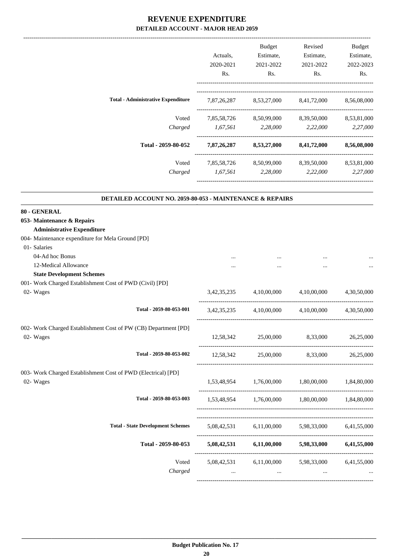|                                           | Actuals.    | <b>Budget</b><br>Estimate, | Revised<br>Estimate, | <b>Budget</b><br>Estimate, |
|-------------------------------------------|-------------|----------------------------|----------------------|----------------------------|
|                                           | 2020-2021   | 2021-2022                  | 2021-2022            | 2022-2023                  |
|                                           | Rs.         | Rs.                        | Rs.                  | Rs.                        |
| <b>Total - Administrative Expenditure</b> | 7,87,26,287 | 8,53,27,000                | 8,41,72,000          | 8,56,08,000                |
| Voted                                     | 7,85,58,726 | 8,50,99,000                | 8,39,50,000          | 8,53,81,000                |
| Charged                                   | 1,67,561    | 2,28,000                   | 2,22,000             | 2,27,000                   |
| Total - 2059-80-052                       | 7,87,26,287 | 8,53,27,000                | 8,41,72,000          | 8,56,08,000                |
| Voted                                     | 7,85,58,726 | 8,50,99,000                | 8,39,50,000          | 8,53,81,000                |
| Charged                                   | 1,67,561    | 2,28,000                   | 2,22,000             | 2,27,000                   |
|                                           |             |                            |                      |                            |

.

#### **DETAILED ACCOUNT NO. 2059-80-053 - MAINTENANCE & REPAIRS**

| 80 - GENERAL                                                    |          |                         |                                                                   |             |
|-----------------------------------------------------------------|----------|-------------------------|-------------------------------------------------------------------|-------------|
| 053- Maintenance & Repairs                                      |          |                         |                                                                   |             |
| <b>Administrative Expenditure</b>                               |          |                         |                                                                   |             |
| 004- Maintenance expenditure for Mela Ground [PD]               |          |                         |                                                                   |             |
| 01- Salaries                                                    |          |                         |                                                                   |             |
| 04-Ad hoc Bonus                                                 |          |                         |                                                                   |             |
| 12-Medical Allowance                                            |          |                         |                                                                   |             |
| <b>State Development Schemes</b>                                |          |                         |                                                                   |             |
| 001- Work Charged Establishment Cost of PWD (Civil) [PD]        |          |                         |                                                                   |             |
| 02- Wages                                                       |          |                         | $3,42,35,235$ $4,10,00,000$ $4,10,00,000$ $4,30,50,000$           |             |
| Total - 2059-80-053-001                                         |          | 3,42,35,235 4,10,00,000 | 4,10,00,000                                                       | 4,30,50,000 |
| 002- Work Charged Establishment Cost of PW (CB) Department [PD] |          |                         |                                                                   |             |
| 02- Wages                                                       |          |                         | 12,58,342 25,00,000 8,33,000 26,25,000                            |             |
| Total - 2059-80-053-002                                         |          |                         | 12,58,342 25,00,000 8,33,000 26,25,000                            |             |
| 003- Work Charged Establishment Cost of PWD (Electrical) [PD]   |          |                         |                                                                   |             |
| 02- Wages                                                       |          |                         | 1,53,48,954 1,76,00,000 1,80,00,000 1,84,80,000                   |             |
| Total - 2059-80-053-003                                         |          |                         | 1,53,48,954 1,76,00,000 1,80,00,000 1,84,80,000                   |             |
|                                                                 |          |                         |                                                                   |             |
| <b>Total - State Development Schemes</b>                        |          |                         | 5,08,42,531 6,11,00,000 5,98,33,000 6,41,55,000                   |             |
| Total - 2059-80-053                                             |          |                         | 5,08,42,531 6,11,00,000 5,98,33,000 6,41,55,000                   |             |
| Voted<br>Charged                                                | $\cdots$ | $\cdots$                | 5,08,42,531 6,11,00,000 5,98,33,000 6,41,55,000<br><b>Section</b> |             |
|                                                                 |          |                         |                                                                   |             |
|                                                                 |          |                         |                                                                   |             |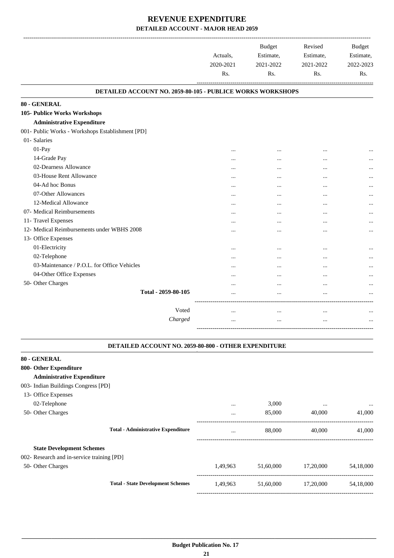|                                                            | Actuals,<br>2020-2021<br>Rs. | <b>Budget</b><br>Estimate,<br>2021-2022<br>Rs. | Revised<br>Estimate,<br>2021-2022<br>Rs. | <b>Budget</b><br>Estimate,<br>2022-2023<br>Rs. |
|------------------------------------------------------------|------------------------------|------------------------------------------------|------------------------------------------|------------------------------------------------|
| DETAILED ACCOUNT NO. 2059-80-105 - PUBLICE WORKS WORKSHOPS |                              |                                                |                                          |                                                |
| 80 - GENERAL                                               |                              |                                                |                                          |                                                |
| 105- Publice Works Workshops                               |                              |                                                |                                          |                                                |
| <b>Administrative Expenditure</b>                          |                              |                                                |                                          |                                                |
| 001- Public Works - Workshops Establishment [PD]           |                              |                                                |                                          |                                                |
| 01- Salaries                                               |                              |                                                |                                          |                                                |
| 01-Pay                                                     | $\cdots$                     | $\cdots$                                       | $\ddotsc$                                | $\ddotsc$                                      |
| 14-Grade Pay                                               | $\cdots$                     | $\ddotsc$                                      | $\cdot \cdot$                            |                                                |
| 02-Dearness Allowance                                      |                              |                                                |                                          |                                                |
| 03-House Rent Allowance                                    |                              |                                                |                                          |                                                |
| 04-Ad hoc Bonus                                            |                              |                                                |                                          |                                                |
| 07-Other Allowances                                        |                              |                                                |                                          | $\cdots$                                       |
| 12-Medical Allowance                                       |                              |                                                |                                          |                                                |
| 07- Medical Reimbursements                                 | $\cdots$                     | $\cdots$                                       | $\cdots$                                 |                                                |
| 11- Travel Expenses                                        |                              |                                                |                                          |                                                |
| 12- Medical Reimbursements under WBHS 2008                 | $\cdots$                     |                                                |                                          |                                                |
| 13- Office Expenses                                        |                              |                                                |                                          |                                                |
| 01-Electricity                                             |                              |                                                |                                          | $\cdots$                                       |
| 02-Telephone                                               |                              |                                                |                                          | $\cdots$                                       |
| 03-Maintenance / P.O.L. for Office Vehicles                |                              |                                                | $\ddotsc$                                | $\cdots$                                       |
| 04-Other Office Expenses                                   |                              | $\cdots$                                       | $\ddotsc$                                |                                                |
| 50- Other Charges                                          |                              | $\cdots$                                       | $\cdots$                                 |                                                |
| Total - 2059-80-105                                        |                              |                                                | $\ddotsc$                                |                                                |
|                                                            |                              |                                                |                                          |                                                |
| Voted                                                      |                              | $\cdots$                                       |                                          |                                                |
| Charged                                                    | $\cdots$                     | $\cdots$                                       | $\ddotsc$                                | $\ddotsc$                                      |
|                                                            |                              |                                                |                                          |                                                |

#### **DETAILED ACCOUNT NO. 2059-80-800 - OTHER EXPENDITURE**

.

| 80 - GENERAL                               |          |           |           |           |
|--------------------------------------------|----------|-----------|-----------|-----------|
| 800- Other Expenditure                     |          |           |           |           |
| <b>Administrative Expenditure</b>          |          |           |           |           |
| 003- Indian Buildings Congress [PD]        |          |           |           |           |
| 13- Office Expenses                        |          |           |           |           |
| 02-Telephone                               | $\cdots$ | 3,000     | $\cdots$  | $\ddotsc$ |
| 50- Other Charges                          | $\cdots$ | 85,000    | 40,000    | 41,000    |
| <b>Total - Administrative Expenditure</b>  | $\cdots$ | 88,000    | 40,000    | 41,000    |
| <b>State Development Schemes</b>           |          |           |           |           |
| 002- Research and in-service training [PD] |          |           |           |           |
| 50- Other Charges                          | 1,49,963 | 51,60,000 | 17,20,000 | 54,18,000 |
| <b>Total - State Development Schemes</b>   | 1,49,963 | 51,60,000 | 17,20,000 | 54,18,000 |
|                                            |          |           |           |           |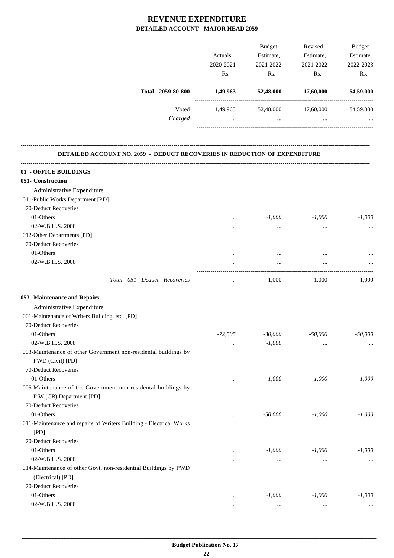|                                                                           |           | Budget    | Revised             | Budget    |
|---------------------------------------------------------------------------|-----------|-----------|---------------------|-----------|
|                                                                           | Actuals,  | Estimate, | Estimate,           | Estimate, |
|                                                                           | 2020-2021 | 2021-2022 | 2021-2022           | 2022-2023 |
|                                                                           | Rs.       | Rs.       | Rs.                 | Rs.       |
| Total - 2059-80-800                                                       | 1,49,963  | 52,48,000 | 17,60,000           | 54,59,000 |
| Voted                                                                     | 1,49,963  |           | 52,48,000 17,60,000 | 54,59,000 |
| Charged                                                                   | $\cdots$  | $\cdots$  | $\cdots$            |           |
| DETAILED ACCOUNT NO. 2059 - DEDUCT RECOVERIES IN REDUCTION OF EXPENDITURE |           |           |                     |           |
| 01 - OFFICE BUILDINGS                                                     |           |           |                     |           |
| 051- Construction                                                         |           |           |                     |           |
| Administrative Expenditure                                                |           |           |                     |           |
| 011-Public Works Department [PD]                                          |           |           |                     |           |
| 70-Deduct Recoveries                                                      |           |           |                     |           |
| 01-Others                                                                 | $\cdots$  | $-1,000$  | $-1,000$            | $-1,000$  |
| 02-W.B.H.S. 2008                                                          | $\cdots$  | $\cdots$  | $\cdots$            |           |
| 012-Other Departments [PD]                                                |           |           |                     |           |
| 70-Deduct Recoveries                                                      |           |           |                     |           |

| <b>Budget Publication No. 17</b> |
|----------------------------------|
| ~<br>44                          |

| Administrative Expenditure                                         |           |                               |           |           |
|--------------------------------------------------------------------|-----------|-------------------------------|-----------|-----------|
| 011-Public Works Department [PD]                                   |           |                               |           |           |
| 70-Deduct Recoveries                                               |           |                               |           |           |
| 01-Others                                                          | $\cdots$  | $-1,000$                      | $-1,000$  | $-1,000$  |
| 02-W.B.H.S. 2008                                                   |           | $\ldots$                      | $\ldots$  | $\ldots$  |
| 012-Other Departments [PD]                                         |           |                               |           |           |
| 70-Deduct Recoveries                                               |           |                               |           |           |
| 01-Others                                                          | $\cdots$  | $\cdots$                      | $\ddotsc$ |           |
| 02-W.B.H.S. 2008                                                   | $\cdots$  | $\cdots$<br>_________________ | $\ddotsc$ |           |
| Total - 051 - Deduct - Recoveries                                  | $\ddotsc$ | $-1,000$                      | $-1.000$  | $-1.000$  |
| 053- Maintenance and Repairs                                       |           |                               |           |           |
| Administrative Expenditure                                         |           |                               |           |           |
| 001-Maintenance of Writers Building, etc. [PD]                     |           |                               |           |           |
| 70-Deduct Recoveries                                               |           |                               |           |           |
| 01-Others                                                          | $-72,505$ | $-30,000$                     | $-50,000$ | $-50,000$ |
| 02-W.B.H.S. 2008                                                   | $\cdots$  | $-1,000$                      | $\cdots$  | $\ldots$  |
| 003-Maintenance of other Government non-residental buildings by    |           |                               |           |           |
| PWD (Civil) [PD]                                                   |           |                               |           |           |
| 70-Deduct Recoveries                                               |           |                               |           |           |
| 01-Others                                                          | $\cdots$  | $-1,000$                      | $-1,000$  | $-1,000$  |
| 005-Maintenance of the Government non-residental buildings by      |           |                               |           |           |
| P.W.(CB) Department [PD]                                           |           |                               |           |           |
| 70-Deduct Recoveries                                               |           |                               |           |           |
| 01-Others                                                          | $\cdots$  | $-50,000$                     | $-1,000$  | $-1.000$  |
| 011-Maintenance and repairs of Writers Building - Electrical Works |           |                               |           |           |
| [PD]                                                               |           |                               |           |           |
| 70-Deduct Recoveries                                               |           |                               |           |           |
| 01-Others                                                          | $\cdots$  | $-1,000$                      | $-1,000$  | $-1,000$  |
| 02-W.B.H.S. 2008                                                   | $\cdots$  | $\cdots$                      | $\ddotsc$ | $\cdots$  |
| 014-Maintenance of other Govt. non-residential Buildings by PWD    |           |                               |           |           |
| (Electrical) [PD]                                                  |           |                               |           |           |
| 70-Deduct Recoveries                                               |           |                               |           |           |
| 01-Others                                                          |           | $-1,000$                      | $-1,000$  | $-1,000$  |
| 02-W.B.H.S. 2008                                                   |           | $\ddots$                      |           |           |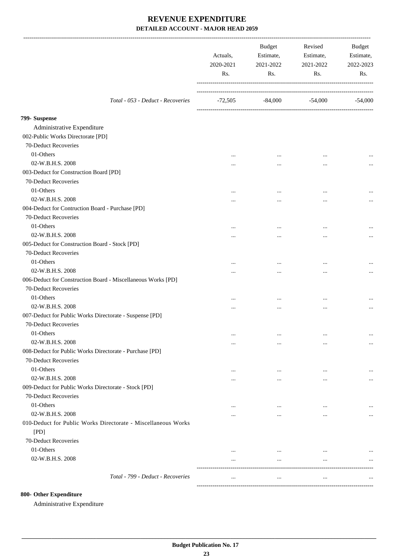|                                                               | Actuals,<br>2020-2021<br>Rs. | Budget<br>Estimate,<br>2021-2022<br>Rs. | Revised<br>Estimate,<br>2021-2022<br>Rs. | <b>Budget</b><br>Estimate,<br>2022-2023<br>Rs. |
|---------------------------------------------------------------|------------------------------|-----------------------------------------|------------------------------------------|------------------------------------------------|
| Total - 053 - Deduct - Recoveries                             | -72,505                      | $-84,000$                               | -54,000                                  | $-54,000$                                      |
| 799- Suspense                                                 |                              |                                         |                                          |                                                |
| Administrative Expenditure                                    |                              |                                         |                                          |                                                |
| 002-Public Works Directorate [PD]                             |                              |                                         |                                          |                                                |
| 70-Deduct Recoveries                                          |                              |                                         |                                          |                                                |
| 01-Others                                                     | $\ddotsc$                    |                                         |                                          |                                                |
| 02-W.B.H.S. 2008                                              | $\cdots$                     | $\cdots$                                | $\cdots$                                 |                                                |
| 003-Deduct for Construction Board [PD]                        |                              |                                         |                                          |                                                |
| 70-Deduct Recoveries                                          |                              |                                         |                                          |                                                |
| 01-Others                                                     |                              | $\ddotsc$                               |                                          |                                                |
| 02-W.B.H.S. 2008                                              |                              | $\cdots$                                | $\cdots$                                 |                                                |
| 004-Deduct for Contruction Board - Purchase [PD]              |                              |                                         |                                          |                                                |
| 70-Deduct Recoveries                                          |                              |                                         |                                          |                                                |
| 01-Others                                                     |                              | $\ddotsc$                               |                                          |                                                |
| 02-W.B.H.S. 2008                                              |                              |                                         | $\cdots$                                 |                                                |
| 005-Deduct for Construction Board - Stock [PD]                |                              |                                         |                                          |                                                |
| 70-Deduct Recoveries                                          |                              |                                         |                                          |                                                |
| 01-Others                                                     |                              |                                         |                                          |                                                |
| 02-W.B.H.S. 2008                                              |                              | $\cdots$                                | $\cdots$                                 |                                                |
| 006-Deduct for Construction Board - Miscellaneous Works [PD]  |                              |                                         |                                          |                                                |
| 70-Deduct Recoveries                                          |                              |                                         |                                          |                                                |
| 01-Others                                                     |                              |                                         |                                          |                                                |
| 02-W.B.H.S. 2008                                              |                              |                                         | $\ddotsc$                                |                                                |
| 007-Deduct for Public Works Directorate - Suspense [PD]       | $\cdots$                     |                                         |                                          |                                                |
| 70-Deduct Recoveries                                          |                              |                                         |                                          |                                                |
| 01-Others                                                     |                              |                                         |                                          |                                                |
| 02-W.B.H.S. 2008                                              | $\cdots$                     | $\cdots$                                | $\cdots$                                 | $\cdots$                                       |
| 008-Deduct for Public Works Directorate - Purchase [PD]       | $\cdots$                     | $\cdots$                                | $\ddotsc$                                | $\cdots$                                       |
| 70-Deduct Recoveries                                          |                              |                                         |                                          |                                                |
| 01-Others                                                     |                              |                                         |                                          |                                                |
| 02-W.B.H.S. 2008                                              | $\cdots$                     | $\cdots$                                | $\ddotsc$                                |                                                |
| 009-Deduct for Public Works Directorate - Stock [PD]          | $\cdots$                     | $\cdots$                                | $\cdots$                                 |                                                |
| 70-Deduct Recoveries                                          |                              |                                         |                                          |                                                |
| 01-Others                                                     |                              |                                         |                                          |                                                |
| 02-W.B.H.S. 2008                                              | $\cdots$                     | $\cdots$                                | $\ddotsc$                                |                                                |
| 010-Deduct for Public Works Directorate - Miscellaneous Works | $\cdots$                     | $\cdots$                                | $\cdots$                                 |                                                |
| [PD]                                                          |                              |                                         |                                          |                                                |
| 70-Deduct Recoveries                                          |                              |                                         |                                          |                                                |
| 01-Others                                                     |                              | $\cdots$                                | $\ddotsc$                                |                                                |
| 02-W.B.H.S. 2008                                              | $\cdots$                     | $\cdots$                                | $\cdots$                                 |                                                |
| Total - 799 - Deduct - Recoveries                             | $\cdots$                     | $\cdots$                                | $\ldots$                                 | $\cdots$                                       |
|                                                               |                              |                                         |                                          |                                                |

#### **800- Other Expenditure**

Administrative Expenditure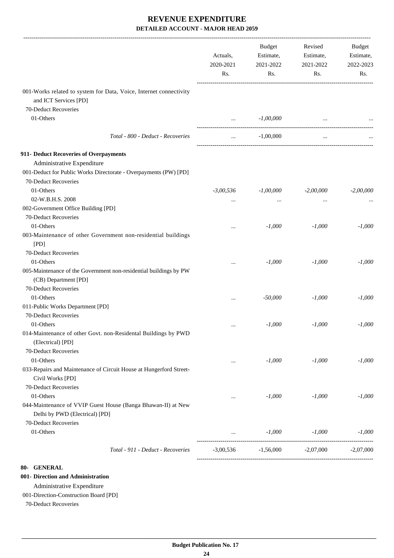|                                                                                                | Actuals,<br>2020-2021<br>Rs. | <b>Budget</b><br>Estimate,<br>2021-2022<br>Rs. | Revised<br>Estimate,<br>2021-2022<br>Rs. | Budget<br>Estimate,<br>2022-2023<br>Rs. |
|------------------------------------------------------------------------------------------------|------------------------------|------------------------------------------------|------------------------------------------|-----------------------------------------|
| 001-Works related to system for Data, Voice, Internet connectivity<br>and ICT Services [PD]    |                              |                                                |                                          |                                         |
| 70-Deduct Recoveries                                                                           |                              |                                                |                                          |                                         |
| 01-Others                                                                                      | $\cdots$                     | $-1,00,000$                                    |                                          |                                         |
| Total - 800 - Deduct - Recoveries                                                              |                              | $-1,00,000$                                    | $\ddotsc$                                |                                         |
| 911- Deduct Recoveries of Overpayments                                                         |                              |                                                |                                          |                                         |
| Administrative Expenditure                                                                     |                              |                                                |                                          |                                         |
| 001-Deduct for Public Works Directorate - Overpayments (PW) [PD]                               |                              |                                                |                                          |                                         |
| 70-Deduct Recoveries                                                                           |                              |                                                |                                          |                                         |
| 01-Others                                                                                      | $-3,00,536$                  | $-1,00,000$                                    | $-2,00,000$                              | $-2,00,000$                             |
| 02-W.B.H.S. 2008                                                                               |                              |                                                |                                          |                                         |
| 002-Government Office Building [PD]                                                            |                              | $\cdots$                                       | $\ddotsc$                                |                                         |
| 70-Deduct Recoveries                                                                           |                              |                                                |                                          |                                         |
| 01-Others                                                                                      |                              |                                                |                                          |                                         |
|                                                                                                | $\cdots$                     | $-1,000$                                       | $-1,000$                                 | $-1,000$                                |
| 003-Maintenance of other Government non-residential buildings                                  |                              |                                                |                                          |                                         |
| [PD]                                                                                           |                              |                                                |                                          |                                         |
| 70-Deduct Recoveries                                                                           |                              |                                                |                                          |                                         |
| 01-Others                                                                                      | $\cdots$                     | $-1,000$                                       | $-1,000$                                 | $-1,000$                                |
| 005-Maintenance of the Government non-residential buildings by PW                              |                              |                                                |                                          |                                         |
| (CB) Department [PD]                                                                           |                              |                                                |                                          |                                         |
| 70-Deduct Recoveries                                                                           |                              |                                                |                                          |                                         |
| 01-Others                                                                                      | $\cdots$                     | $-50,000$                                      | $-1,000$                                 | $-1,000$                                |
| 011-Public Works Department [PD]                                                               |                              |                                                |                                          |                                         |
| 70-Deduct Recoveries                                                                           |                              |                                                |                                          |                                         |
| 01-Others                                                                                      | $\cdots$                     | $-1,000$                                       | $-1,000$                                 | $-1,000$                                |
| 014-Maintenance of other Govt. non-Residental Buildings by PWD                                 |                              |                                                |                                          |                                         |
| (Electrical) [PD]                                                                              |                              |                                                |                                          |                                         |
| 70-Deduct Recoveries                                                                           |                              |                                                |                                          |                                         |
| 01-Others                                                                                      | $\cdots$                     | $-1,000$                                       | $-1,000$                                 | $-1,000$                                |
| 033-Repairs and Maintenance of Circuit House at Hungerford Street-<br>Civil Works [PD]         |                              |                                                |                                          |                                         |
| 70-Deduct Recoveries                                                                           |                              |                                                |                                          |                                         |
|                                                                                                |                              |                                                |                                          |                                         |
| 01-Others                                                                                      | $\cdots$                     | $-1,000$                                       | $-1,000$                                 | $-1,000$                                |
| 044-Maintenance of VVIP Guest House (Banga Bhawan-II) at New<br>Delhi by PWD (Electrical) [PD] |                              |                                                |                                          |                                         |
| 70-Deduct Recoveries                                                                           |                              |                                                |                                          |                                         |
| 01-Others                                                                                      | $\cdots$                     | $-1,000$                                       | $-1,000$                                 | $-1,000$                                |
| Total - 911 - Deduct - Recoveries                                                              | $-3,00,536$                  | $-1,56,000$                                    | $-2,07,000$                              | $-2,07,000$                             |
|                                                                                                |                              |                                                |                                          |                                         |

**80- GENERAL**

#### **001- Direction and Administration**

Administrative Expenditure

#### 001-Direction-Construction Board [PD]

70-Deduct Recoveries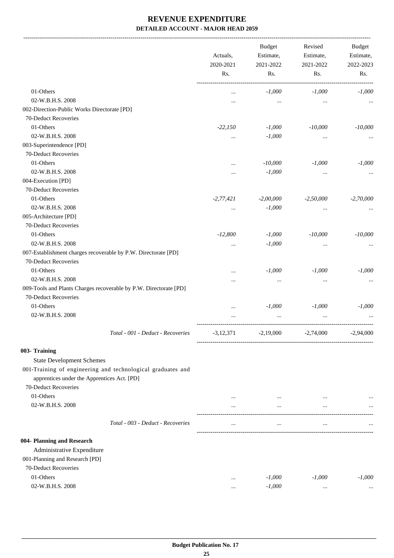|                                                                   | Actuals,<br>2020-2021<br>Rs. | <b>Budget</b><br>Estimate,<br>2021-2022<br>Rs. | Revised<br>Estimate,<br>2021-2022<br>Rs. | <b>Budget</b><br>Estimate,<br>2022-2023<br>Rs. |
|-------------------------------------------------------------------|------------------------------|------------------------------------------------|------------------------------------------|------------------------------------------------|
|                                                                   |                              |                                                |                                          |                                                |
| 01-Others                                                         | $\cdots$                     | $-1,000$                                       | $-1,000$                                 | $-1,000$                                       |
| 02-W.B.H.S. 2008                                                  |                              |                                                |                                          |                                                |
| 002-Direction-Public Works Directorate [PD]                       |                              |                                                |                                          |                                                |
| 70-Deduct Recoveries                                              |                              |                                                |                                          |                                                |
| 01-Others                                                         | $-22,150$                    | $-1,000$                                       | $-10,000$                                | $-10,000$                                      |
| 02-W.B.H.S. 2008                                                  | $\cdots$                     | $-1,000$                                       |                                          |                                                |
| 003-Superintendence [PD]                                          |                              |                                                |                                          |                                                |
| 70-Deduct Recoveries                                              |                              |                                                |                                          |                                                |
| 01-Others                                                         |                              | $-10,000$                                      | $-1,000$                                 | $-1,000$                                       |
| 02-W.B.H.S. 2008                                                  |                              | $-1,000$                                       |                                          |                                                |
| 004-Execution [PD]                                                |                              |                                                |                                          |                                                |
| 70-Deduct Recoveries                                              |                              |                                                |                                          |                                                |
| 01-Others                                                         | $-2,77,421$                  | $-2,00,000$                                    | $-2,50,000$                              | $-2,70,000$                                    |
| 02-W.B.H.S. 2008                                                  | $\cdots$                     | $-1,000$                                       |                                          |                                                |
| 005-Architecture [PD]                                             |                              |                                                |                                          |                                                |
| 70-Deduct Recoveries                                              |                              |                                                |                                          |                                                |
| 01-Others                                                         | $-12,800$                    | $-1,000$                                       | $-10,000$                                | $-10,000$                                      |
| 02-W.B.H.S. 2008                                                  | $\cdots$                     | $-1,000$                                       | $\cdots$                                 |                                                |
| 007-Establishment charges recoverable by P.W. Directorate [PD]    |                              |                                                |                                          |                                                |
| 70-Deduct Recoveries                                              |                              |                                                |                                          |                                                |
| 01-Others                                                         | $\ddotsc$                    | $-1,000$                                       | $-1,000$                                 | $-1,000$                                       |
| 02-W.B.H.S. 2008                                                  |                              |                                                |                                          |                                                |
| 009-Tools and Plants Charges recoverable by P.W. Directorate [PD] |                              |                                                |                                          |                                                |
| 70-Deduct Recoveries                                              |                              |                                                |                                          |                                                |
| 01-Others                                                         |                              | $-1,000$                                       | $-1,000$                                 | $-1,000$                                       |
|                                                                   | $\cdots$                     |                                                |                                          |                                                |
| 02-W.B.H.S. 2008                                                  |                              |                                                |                                          |                                                |
| Total - 001 - Deduct - Recoveries                                 | $-3,12,371$                  | $-2,19,000$                                    | $-2,74,000$                              | $-2,94,000$                                    |
| 003- Training                                                     |                              |                                                |                                          |                                                |
| <b>State Development Schemes</b>                                  |                              |                                                |                                          |                                                |
| 001-Training of engineering and technological graduates and       |                              |                                                |                                          |                                                |
| apprentices under the Apprentices Act. [PD]                       |                              |                                                |                                          |                                                |
| 70-Deduct Recoveries                                              |                              |                                                |                                          |                                                |
| 01-Others                                                         | $\cdots$                     | $\cdots$                                       | $\cdots$                                 |                                                |
| 02-W.B.H.S. 2008                                                  | $\cdots$                     | $\cdots$                                       | $\cdots$                                 |                                                |
| Total - 003 - Deduct - Recoveries                                 | $\cdots$                     | $\ddotsc$                                      | $\cdots$                                 |                                                |
| 004- Planning and Research                                        |                              |                                                |                                          |                                                |
| Administrative Expenditure                                        |                              |                                                |                                          |                                                |
| 001-Planning and Research [PD]                                    |                              |                                                |                                          |                                                |
| 70-Deduct Recoveries                                              |                              |                                                |                                          |                                                |
| 01-Others                                                         |                              | $-1,000$                                       | $-1,000$                                 | $-1,000$                                       |
| 02-W.B.H.S. 2008                                                  | $\cdots$                     |                                                |                                          |                                                |
|                                                                   | $\cdots$                     | $-1,000$                                       | $\cdots$                                 |                                                |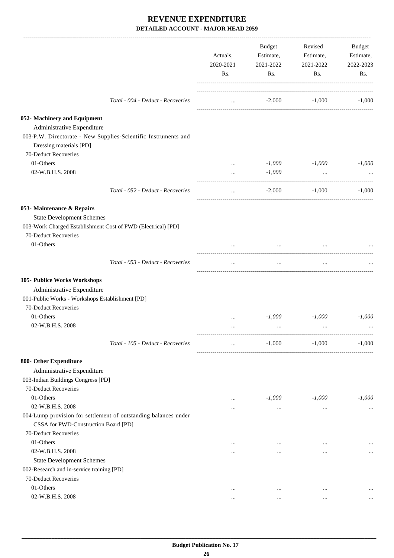|                                                                                           | Actuals,<br>2020-2021<br>Rs. | Budget<br>Estimate,<br>2021-2022<br>Rs. | Revised<br>Estimate,<br>2021-2022<br>Rs. | Budget<br>Estimate,<br>2022-2023<br>Rs. |
|-------------------------------------------------------------------------------------------|------------------------------|-----------------------------------------|------------------------------------------|-----------------------------------------|
| Total - 004 - Deduct - Recoveries                                                         | $\cdots$                     | $-2,000$                                | $-1,000$                                 | $-1,000$                                |
| 052- Machinery and Equipment<br>Administrative Expenditure                                |                              |                                         |                                          |                                         |
| 003-P.W. Directorate - New Supplies-Scientific Instruments and<br>Dressing materials [PD] |                              |                                         |                                          |                                         |
| 70-Deduct Recoveries                                                                      |                              |                                         |                                          |                                         |
| 01-Others                                                                                 | $\cdots$                     | $-1,000$                                | $-1,000$                                 | $-1,000$                                |
| 02-W.B.H.S. 2008                                                                          | $\cdots$                     | $-1,000$                                | $\cdots$                                 |                                         |
| Total - 052 - Deduct - Recoveries                                                         | $\cdots$                     | $-2,000$                                | $-1,000$                                 | $-1,000$                                |
| 053- Maintenance & Repairs                                                                |                              |                                         |                                          |                                         |
| <b>State Development Schemes</b>                                                          |                              |                                         |                                          |                                         |
| 003-Work Charged Establishment Cost of PWD (Electrical) [PD]                              |                              |                                         |                                          |                                         |
| 70-Deduct Recoveries                                                                      |                              |                                         |                                          |                                         |
| 01-Others                                                                                 |                              | $\cdots$                                |                                          |                                         |
| Total - 053 - Deduct - Recoveries                                                         | $\cdots$                     | $\cdots$                                | $\cdots$                                 |                                         |
| 105- Publice Works Workshops                                                              |                              |                                         |                                          |                                         |
| Administrative Expenditure                                                                |                              |                                         |                                          |                                         |
| 001-Public Works - Workshops Establishment [PD]                                           |                              |                                         |                                          |                                         |
| 70-Deduct Recoveries                                                                      |                              |                                         |                                          |                                         |
| 01-Others                                                                                 | $\cdots$                     | $-1.000$                                | $-1,000$                                 | $-1,000$                                |
| 02-W.B.H.S. 2008                                                                          |                              |                                         |                                          |                                         |
| Total - 105 - Deduct - Recoveries                                                         | $\cdots$                     | $-1,000$                                | $-1,000$                                 | $-1,000$                                |
| 800- Other Expenditure                                                                    |                              |                                         |                                          |                                         |
| Administrative Expenditure                                                                |                              |                                         |                                          |                                         |
| 003-Indian Buildings Congress [PD]                                                        |                              |                                         |                                          |                                         |
| 70-Deduct Recoveries                                                                      |                              |                                         |                                          |                                         |
| 01-Others                                                                                 | $\cdots$                     | $-1,000$                                | $-1,000$                                 | $-1,000$                                |
| 02-W.B.H.S. 2008                                                                          | $\cdots$                     | $\cdots$                                | $\ddotsc$                                |                                         |
| 004-Lump provision for settlement of outstanding balances under                           |                              |                                         |                                          |                                         |
| CSSA for PWD-Construction Board [PD]                                                      |                              |                                         |                                          |                                         |
| 70-Deduct Recoveries                                                                      |                              |                                         |                                          |                                         |
| 01-Others                                                                                 |                              | $\cdots$                                | $\cdots$                                 |                                         |
| 02-W.B.H.S. 2008                                                                          | $\cdots$                     | $\cdots$                                |                                          | $\cdots$                                |
| <b>State Development Schemes</b>                                                          |                              |                                         |                                          |                                         |
| 002-Research and in-service training [PD]                                                 |                              |                                         |                                          |                                         |
| 70-Deduct Recoveries                                                                      |                              |                                         |                                          |                                         |
| 01-Others                                                                                 | $\cdots$                     | $\ddotsc$                               | $\ddotsc$                                |                                         |
| 02-W.B.H.S. 2008                                                                          |                              | $\cdots$                                | $\cdots$                                 |                                         |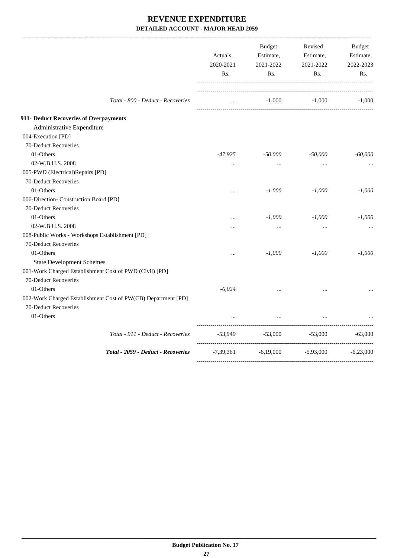|                                                               | Actuals,<br>2020-2021<br>Rs. | <b>Budget</b><br>Estimate,<br>2021-2022<br>Rs. | Revised<br>Estimate,<br>2021-2022<br>Rs. | <b>Budget</b><br>Estimate,<br>2022-2023<br>Rs. |
|---------------------------------------------------------------|------------------------------|------------------------------------------------|------------------------------------------|------------------------------------------------|
| Total - 800 - Deduct - Recoveries                             | $\cdots$                     |                                                | $-1,000$ $-1,000$ $-1,000$               |                                                |
| 911- Deduct Recoveries of Overpayments                        |                              |                                                |                                          |                                                |
| Administrative Expenditure                                    |                              |                                                |                                          |                                                |
| 004-Execution [PD]                                            |                              |                                                |                                          |                                                |
| 70-Deduct Recoveries                                          |                              |                                                |                                          |                                                |
| 01-Others                                                     | $-47,925$                    | $-50,000$                                      | $-50,000$                                | $-60,000$                                      |
| 02-W.B.H.S. 2008                                              | $\cdots$                     | $\cdots$                                       | $\cdots$                                 |                                                |
| 005-PWD (Electrical)Repairs [PD]                              |                              |                                                |                                          |                                                |
| 70-Deduct Recoveries                                          |                              |                                                |                                          |                                                |
| 01-Others                                                     | $\ddotsc$                    | $-1,000$                                       | $-1,000$                                 | $-1,000$                                       |
| 006-Direction- Construction Board [PD]                        |                              |                                                |                                          |                                                |
| 70-Deduct Recoveries                                          |                              |                                                |                                          |                                                |
| 01-Others                                                     | $\ddotsc$                    | $-1,000$                                       | $-1,000$                                 | $-1,000$                                       |
| 02-W.B.H.S. 2008                                              | $\cdots$                     | $\cdots$                                       |                                          |                                                |
| 008-Public Works - Workshops Establishment [PD]               |                              |                                                |                                          |                                                |
| 70-Deduct Recoveries                                          |                              |                                                |                                          |                                                |
| 01-Others                                                     | $\ddotsc$                    | $-1,000$                                       | $-1,000$                                 | $-1,000$                                       |
| <b>State Development Schemes</b>                              |                              |                                                |                                          |                                                |
| 001-Work Charged Establishment Cost of PWD (Civil) [PD]       |                              |                                                |                                          |                                                |
| 70-Deduct Recoveries                                          |                              |                                                |                                          |                                                |
| 01-Others                                                     | $-6,024$                     | $\ddotsc$                                      | $\cdots$                                 |                                                |
| 002-Work Charged Establishment Cost of PW(CB) Department [PD] |                              |                                                |                                          |                                                |
| 70-Deduct Recoveries                                          |                              |                                                |                                          |                                                |
| 01-Others                                                     |                              | $\cdots$                                       |                                          |                                                |
| Total - 911 - Deduct - Recoveries                             | $-53,949$                    | $-53,000$                                      | $-53,000$                                | $-63,000$                                      |
| Total - 2059 - Deduct - Recoveries                            | $-7,39,361$ $-6,19,000$      |                                                | $-5,93,000$                              | $-6,23,000$                                    |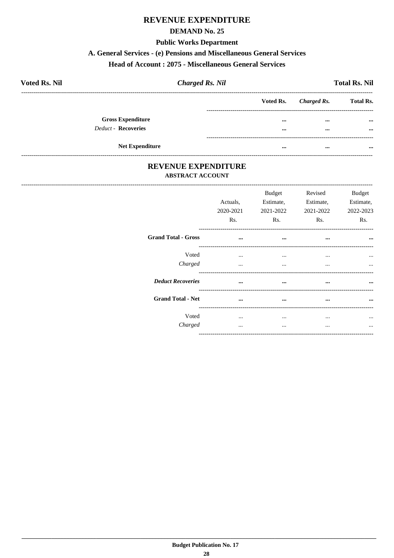#### **REVENUE EXPENDITURE**

#### **DEMAND No. 25**

#### **Public Works Department**

#### A. General Services - (e) Pensions and Miscellaneous General Services

#### **Head of Account: 2075 - Miscellaneous General Services**

| <b>Voted Rs. Nil</b>       | <b>Charged Rs. Nil</b> |           |             | <b>Total Rs. Nil</b> |
|----------------------------|------------------------|-----------|-------------|----------------------|
|                            |                        | Voted Rs. | Charged Rs. | <b>Total Rs.</b>     |
| <b>Gross Expenditure</b>   |                        | $\cdots$  | $\cdots$    | $\cdots$             |
| <b>Deduct - Recoveries</b> |                        | $\cdots$  | $\cdots$    | $\cdots$             |
| <b>Net Expenditure</b>     |                        | $\cdots$  | $\cdots$    | $\cdots$             |

#### REVENUE EXPENDITURE **ABSTRACT ACCOUNT**

|                            | Actuals,<br>2020-2021<br>Rs. | <b>Budget</b><br>Estimate,<br>2021-2022<br>R <sub>s</sub> . | Revised<br>Estimate,<br>2021-2022<br>Rs. | <b>Budget</b><br>Estimate,<br>2022-2023<br>Rs. |
|----------------------------|------------------------------|-------------------------------------------------------------|------------------------------------------|------------------------------------------------|
| <b>Grand Total - Gross</b> | $\cdots$                     | $\cdots$                                                    | $\cdots$                                 |                                                |
| Voted<br>Charged           | $\cdots$<br>$\cdots$         | $\cdots$<br>$\cdots$                                        | $\cdots$<br>$\cdots$                     | $\cdots$<br>$\cdots$                           |
| <b>Deduct Recoveries</b>   | $\cdots$                     | $\cdots$                                                    | $\cdots$                                 | $\cdots$                                       |
| <b>Grand Total - Net</b>   |                              | $\cdots$                                                    | $\cdots$                                 | $\cdots$                                       |
| Voted<br>Charged           | $\cdots$<br>                 | $\cdots$<br>$\cdots$                                        | <br>                                     | $\ddotsc$<br>$\ddotsc$                         |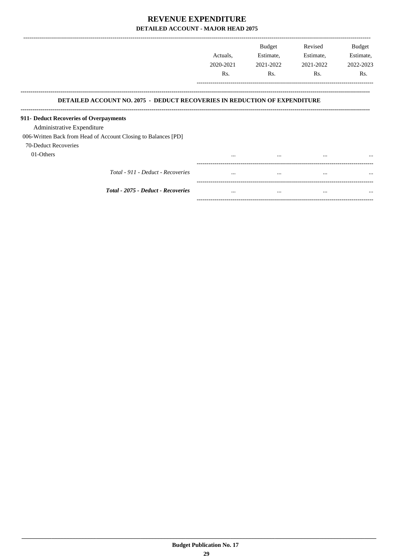|                                                                                  | Actuals,<br>2020-2021<br>Rs. | <b>Budget</b><br>Estimate,<br>2021-2022<br>Rs. | Revised<br>Estimate,<br>2021-2022<br>Rs. | <b>Budget</b><br>Estimate,<br>2022-2023<br>Rs. |
|----------------------------------------------------------------------------------|------------------------------|------------------------------------------------|------------------------------------------|------------------------------------------------|
| <b>DETAILED ACCOUNT NO. 2075 - DEDUCT RECOVERIES IN REDUCTION OF EXPENDITURE</b> |                              |                                                |                                          |                                                |
| 911- Deduct Recoveries of Overpayments                                           |                              |                                                |                                          |                                                |
| Administrative Expenditure                                                       |                              |                                                |                                          |                                                |
| 006-Written Back from Head of Account Closing to Balances [PD]                   |                              |                                                |                                          |                                                |
| 70-Deduct Recoveries                                                             |                              |                                                |                                          |                                                |
| 01-Others                                                                        | $\cdots$                     | $\cdots$                                       | $\cdots$                                 | $\cdots$                                       |
| Total - 911 - Deduct - Recoveries                                                | $\cdots$                     | $\cdots$                                       | $\cdots$                                 | $\cdots$                                       |
| Total - 2075 - Deduct - Recoveries                                               | $\cdots$                     | $\cdots$                                       | $\cdots$                                 | $\cdots$                                       |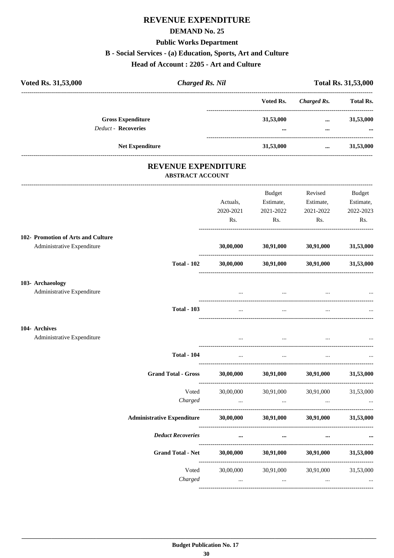## REVENUE EXPENDITURE

#### **DEMAND No. 25**

### **Public Works Department**

#### B - Social Services - (a) Education, Sports, Art and Culture

Head of Account: 2205 - Art and Culture

| Voted Rs. 31,53,000                                                | <b>Charged Rs. Nil</b>       |                                                  | <b>Total Rs. 31,53,000</b>                                                                                                             |                                                |
|--------------------------------------------------------------------|------------------------------|--------------------------------------------------|----------------------------------------------------------------------------------------------------------------------------------------|------------------------------------------------|
|                                                                    |                              | Voted Rs.                                        | -------------------------<br><b>Charged Rs.</b>                                                                                        | <b>Total Rs.</b>                               |
| <b>Gross Expenditure</b><br>Deduct - Recoveries                    |                              | 31,53,000                                        | <b>ALCOHOL:</b><br>$\cdots$                                                                                                            | 31,53,000                                      |
| <b>Net Expenditure</b>                                             |                              | 31,53,000                                        | $\cdots$                                                                                                                               | 31,53,000                                      |
| <b>REVENUE EXPENDITURE</b><br><b>ABSTRACT ACCOUNT</b>              |                              |                                                  |                                                                                                                                        |                                                |
|                                                                    | Actuals,<br>2020-2021<br>Rs. | Budget<br>Estimate,<br>2021-2022<br>Rs.          | Revised<br>Estimate,<br>2021-2022<br>Rs.                                                                                               | <b>Budget</b><br>Estimate,<br>2022-2023<br>Rs. |
| 102- Promotion of Arts and Culture<br>Administrative Expenditure   | 30,00,000                    | 30,91,000                                        | 30,91,000                                                                                                                              | 31,53,000                                      |
| <b>Total - 102</b>                                                 |                              |                                                  | $30,00,000$ $30,91,000$ $30,91,000$                                                                                                    | 31,53,000                                      |
| 103- Archaeology<br>Administrative Expenditure                     |                              | and the contract of the contract of              | the contract of the contract of the                                                                                                    |                                                |
| <b>Total - 103</b>                                                 |                              | $\cdots$                                         |                                                                                                                                        |                                                |
| 104- Archives<br>Administrative Expenditure                        |                              | $\cdots$<br>and the state of the state of the    | $\cdots$                                                                                                                               |                                                |
| <b>Total - 104</b>                                                 | $\cdots$                     | $\ddotsc$                                        | $\cdots$                                                                                                                               |                                                |
| <b>Grand Total - Gross</b>                                         | 30,00,000                    |                                                  | 30,91,000 30,91,000                                                                                                                    | 31,53,000                                      |
| Voted<br>Charged                                                   | 30,00,000                    |                                                  | 30,91,000 30,91,000<br>المسافر المسافر المسافر المسافر المسافر المسافر المسافر المسافر المسافر المسافر المسافر المسافر المسافر المسافر | 31,53,000                                      |
| Administrative Expenditure 30,00,000 30,91,000 30,91,000 31,53,000 |                              |                                                  |                                                                                                                                        |                                                |
| <b>Deduct Recoveries</b>                                           |                              | $\cdots$<br>$\cdots$                             | $\cdots$                                                                                                                               |                                                |
| <b>Grand Total - Net</b>                                           | 30,00,000                    |                                                  | 30,91,000 30,91,000                                                                                                                    | 31,53,000                                      |
| Voted<br>Charged                                                   | 30,00,000                    | and the state of the state<br>$\sim$ 0.000 $\mu$ | 30,91,000 30,91,000<br>$\ldots$                                                                                                        | 31,53,000                                      |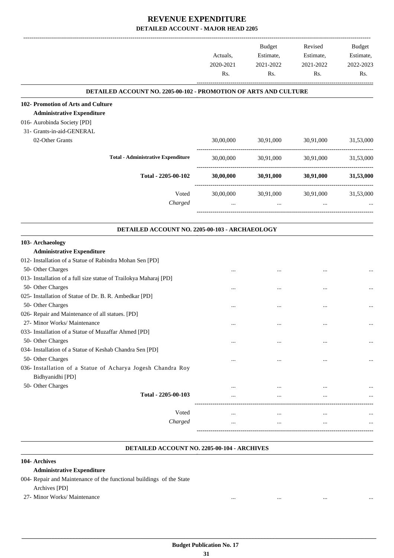|                                                                   |           | <b>Budget</b>       | Revised   | Budget                 |
|-------------------------------------------------------------------|-----------|---------------------|-----------|------------------------|
|                                                                   | Actuals,  | Estimate,           | Estimate, | Estimate,<br>2022-2023 |
|                                                                   | 2020-2021 | 2021-2022           | 2021-2022 |                        |
|                                                                   | Rs.       | Rs.                 | Rs.       | Rs.                    |
| DETAILED ACCOUNT NO. 2205-00-102 - PROMOTION OF ARTS AND CULTURE  |           |                     |           |                        |
| 102- Promotion of Arts and Culture                                |           |                     |           |                        |
| <b>Administrative Expenditure</b>                                 |           |                     |           |                        |
| 016- Aurobinda Society [PD]                                       |           |                     |           |                        |
| 31- Grants-in-aid-GENERAL                                         |           |                     |           |                        |
| 02-Other Grants                                                   | 30,00,000 | 30,91,000 30,91,000 |           | 31,53,000              |
| <b>Total - Administrative Expenditure</b>                         | 30,00,000 | 30,91,000           | 30,91,000 | 31,53,000              |
| Total - 2205-00-102                                               | 30,00,000 | 30,91,000           |           | 30,91,000 31,53,000    |
| Voted                                                             | 30,00,000 | 30,91,000           | 30,91,000 | 31,53,000              |
| Charged                                                           | $\cdots$  | $\cdots$            | $\cdots$  |                        |
|                                                                   |           |                     |           |                        |
| DETAILED ACCOUNT NO. 2205-00-103 - ARCHAEOLOGY                    |           |                     |           |                        |
| 103- Archaeology                                                  |           |                     |           |                        |
| <b>Administrative Expenditure</b>                                 |           |                     |           |                        |
| 012- Installation of a Statue of Rabindra Mohan Sen [PD]          |           |                     |           |                        |
| 50- Other Charges                                                 |           |                     |           |                        |
| 013- Installation of a full size statue of Trailokya Maharaj [PD] |           |                     |           |                        |
| 50- Other Charges                                                 |           |                     |           |                        |
| 025- Installation of Statue of Dr. B. R. Ambedkar [PD]            |           |                     |           |                        |
| 50- Other Charges                                                 |           |                     | $\ddotsc$ |                        |
| 026- Repair and Maintenance of all statues. [PD]                  |           |                     |           |                        |
| 27- Minor Works/ Maintenance                                      |           | $\cdots$            |           |                        |
| 033- Installation of a Statue of Muzaffar Ahmed [PD]              |           |                     |           |                        |
| 50- Other Charges                                                 |           |                     |           |                        |
| 034- Installation of a Statue of Keshab Chandra Sen [PD]          |           |                     |           |                        |
| 50- Other Charges                                                 | $\cdots$  |                     |           |                        |
| 036- Installation of a Statue of Acharya Jogesh Chandra Roy       |           |                     |           |                        |
| Bidhyanidhi [PD]                                                  |           |                     |           |                        |
| 50- Other Charges                                                 |           |                     |           |                        |
| Total - 2205-00-103                                               |           |                     |           |                        |
| Voted                                                             | $\ddotsc$ |                     | $\ddotsc$ |                        |
| Charged                                                           | $\cdots$  | $\cdots$            | $\cdots$  |                        |
|                                                                   |           |                     |           |                        |
|                                                                   |           |                     |           |                        |

#### **DETAILED ACCOUNT NO. 2205-00-104 - ARCHIVES .**

#### **104- Archives**

#### **Administrative Expenditure**

- 004- Repair and Maintenance of the functional buildings of the State
	- Archives [PD]
- 27- Minor Works/ Maintenance ... ... ... ...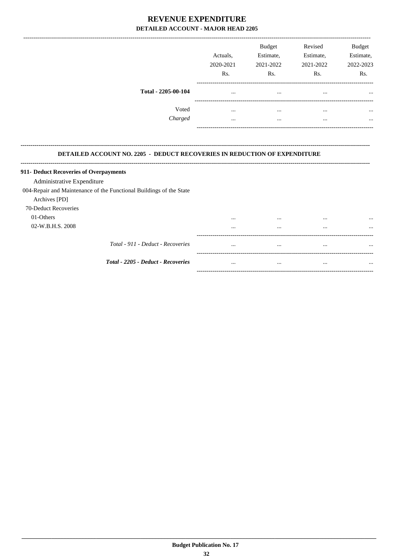|                     | Actuals,<br>2020-2021<br>Rs. | <b>Budget</b><br>Estimate,<br>2021-2022<br>Rs. | Revised<br>Estimate,<br>2021-2022<br>Rs. | <b>Budget</b><br>Estimate,<br>2022-2023<br>Rs. |
|---------------------|------------------------------|------------------------------------------------|------------------------------------------|------------------------------------------------|
| Total - 2205-00-104 | $\cdots$                     |                                                | $\cdots$                                 | $\cdots$                                       |
| Voted               |                              |                                                |                                          | $\cdots$                                       |
| Charged             |                              |                                                |                                          | $\cdots$                                       |

#### DETAILED ACCOUNT NO. 2205 - DEDUCT RECOVERIES IN REDUCTION OF EXPENDITURE

..........................

| 911- Deduct Recoveries of Overpayments                              |          |          |          |          |
|---------------------------------------------------------------------|----------|----------|----------|----------|
| Administrative Expenditure                                          |          |          |          |          |
| 004-Repair and Maintenance of the Functional Buildings of the State |          |          |          |          |
| Archives [PD]                                                       |          |          |          |          |
| 70-Deduct Recoveries                                                |          |          |          |          |
| 01-Others                                                           | $\cdots$ |          | $\cdots$ | $\cdots$ |
| 02-W.B.H.S. 2008                                                    | $\cdots$ | $\cdots$ | $\cdots$ | $\cdots$ |
|                                                                     |          |          |          |          |
| Total - 911 - Deduct - Recoveries                                   | $\cdots$ | $\cdots$ | $\cdots$ |          |
|                                                                     |          |          |          |          |
| <b>Total - 2205 - Deduct - Recoveries</b>                           |          | $\cdots$ |          |          |
|                                                                     |          |          |          |          |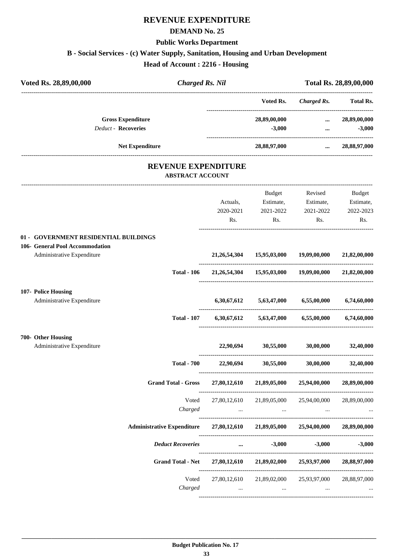### **REVENUE EXPENDITURE**

#### **DEMAND No. 25**

#### **Public Works Department**

**B - Social Services - (c) Water Supply, Sanitation, Housing and Urban Development**

**Head of Account : 2216 - Housing**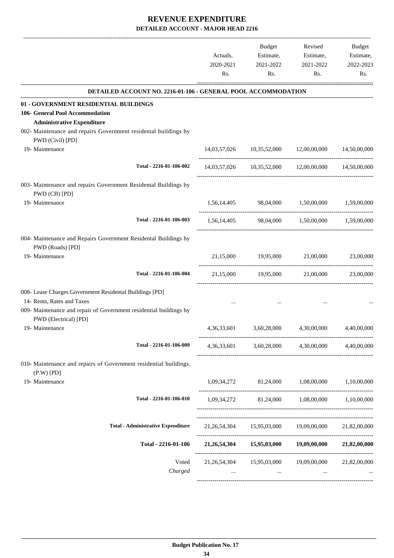|                                                                                                      | Actuals,<br>2020-2021<br>Rs. | Budget<br>Estimate,<br>2021-2022<br>Rs. | Revised<br>Estimate,<br>2021-2022<br>Rs.              | Budget<br>Estimate,<br>2022-2023<br>Rs. |
|------------------------------------------------------------------------------------------------------|------------------------------|-----------------------------------------|-------------------------------------------------------|-----------------------------------------|
| DETAILED ACCOUNT NO. 2216-01-106 - GENERAL POOL ACCOMMODATION                                        |                              |                                         |                                                       |                                         |
| 01 - GOVERNMENT RESIDENTIAL BUILDINGS                                                                |                              |                                         |                                                       |                                         |
| 106- General Pool Accommodation                                                                      |                              |                                         |                                                       |                                         |
| <b>Administrative Expenditure</b><br>002- Maintenance and repairs Government residental buildings by |                              |                                         |                                                       |                                         |
| PWD (Civil) [PD]                                                                                     |                              |                                         |                                                       |                                         |
| 19- Maintenance                                                                                      |                              |                                         | 14,03,57,026 10,35,52,000 12,00,00,000 14,50,00,000   |                                         |
| Total - 2216-01-106-002                                                                              |                              |                                         | 14,03,57,026 10,35,52,000 12,00,00,000 14,50,00,000   |                                         |
| 003- Maintenance and repairs Government Residental Buildings by<br>PWD (CB) [PD]                     |                              |                                         |                                                       |                                         |
| 19- Maintenance                                                                                      |                              |                                         | 1,56,14,405 98,04,000 1,50,00,000 1,59,00,000         |                                         |
| Total - 2216-01-106-003                                                                              |                              |                                         | 1,56,14,405 98,04,000 1,50,00,000 1,59,00,000         |                                         |
| 004- Maintenance and Repairs Government Residental Buildings by<br>PWD (Roads) [PD]                  |                              |                                         |                                                       |                                         |
| 19- Maintenance                                                                                      |                              |                                         | 21,15,000 19,95,000 21,00,000 23,00,000               |                                         |
| Total - 2216-01-106-004                                                                              |                              | 21,15,000 19,95,000                     | 21,00,000                                             | 23,00,000                               |
| 008- Lease Charges Government Residental Buildings [PD]                                              |                              |                                         |                                                       |                                         |
| 14- Rents, Rates and Taxes                                                                           |                              |                                         |                                                       |                                         |
| 009- Maintenance and repair of Government residential buildings by<br>PWD (Electrical) [PD]          |                              |                                         |                                                       |                                         |
| 19- Maintenance                                                                                      | 4,36,33,601                  | 3,60,28,000                             | 4,30,00,000                                           | 4,40,00,000                             |
| Total - 2216-01-106-009                                                                              |                              |                                         | 4,36,33,601 3,60,28,000 4,30,00,000                   | 4.40.00.000                             |
| 010- Maintenance and repairs of Government residential buildings.<br>$(P.W)$ $[PD]$                  |                              |                                         |                                                       |                                         |
| 19- Maintenance                                                                                      |                              |                                         | $1,09,34,272$ $81,24,000$ $1,08,00,000$ $1,10,00,000$ |                                         |
| Total - 2216-01-106-010                                                                              |                              |                                         | 1,09,34,272 81,24,000 1,08,00,000 1,10,00,000         |                                         |
|                                                                                                      |                              |                                         |                                                       |                                         |
| <b>Total - Administrative Expenditure</b>                                                            |                              |                                         | 21,26,54,304 15,95,03,000 19,09,00,000 21,82,00,000   |                                         |
| Total - 2216-01-106                                                                                  |                              |                                         | 21,26,54,304 15,95,03,000 19,09,00,000 21,82,00,000   |                                         |
| Voted<br>Charged                                                                                     | $\cdots$                     | $\cdots$                                | 21,26,54,304 15,95,03,000 19,09,00,000<br>$\ddotsc$   | 21,82,00,000                            |
|                                                                                                      |                              |                                         |                                                       |                                         |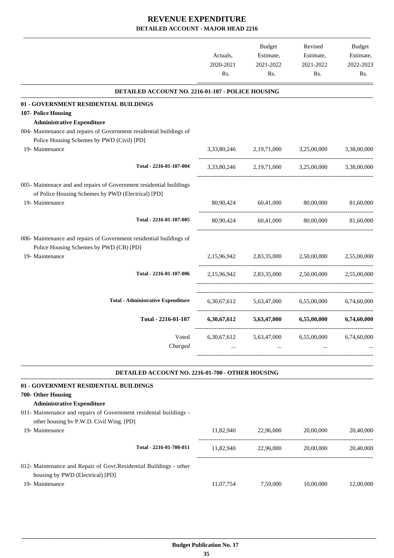|                                                                                                                |                         | Budget                        | Revised                                         | Budget      |
|----------------------------------------------------------------------------------------------------------------|-------------------------|-------------------------------|-------------------------------------------------|-------------|
|                                                                                                                | Actuals,                | Estimate,                     | Estimate,                                       | Estimate,   |
|                                                                                                                | 2020-2021               | 2021-2022                     | 2021-2022                                       | 2022-2023   |
|                                                                                                                | Rs.                     | Rs.                           | Rs.                                             | Rs.         |
| DETAILED ACCOUNT NO. 2216-01-107 - POLICE HOUSING                                                              |                         |                               |                                                 |             |
| 01 - GOVERNMENT RESIDENTIAL BUILDINGS                                                                          |                         |                               |                                                 |             |
| 107- Police Housing                                                                                            |                         |                               |                                                 |             |
| <b>Administrative Expenditure</b>                                                                              |                         |                               |                                                 |             |
| 004- Maintenance and repairs of Government residential buildings of                                            |                         |                               |                                                 |             |
| Police Housing Schemes by PWD (Civil) [PD]                                                                     |                         |                               |                                                 |             |
| 19- Maintenance                                                                                                |                         |                               | 3,33,80,246 2,19,71,000 3,25,00,000             | 3,38,00,000 |
| Total - 2216-01-107-004                                                                                        |                         |                               | 3,33,80,246 2,19,71,000 3,25,00,000             | 3,38,00,000 |
| 005- Maintenace and and repairs of Government residential buildings                                            |                         |                               |                                                 |             |
| of Police Housing Schemes by PWD (Electrical) [PD]                                                             |                         |                               |                                                 |             |
| 19- Maintenance                                                                                                |                         | 80,90,424 60,41,000 80,00,000 |                                                 | 81,60,000   |
| Total - 2216-01-107-005                                                                                        |                         |                               | 80,90,424 60,41,000 80,00,000                   | 81,60,000   |
| 006- Maintenance and repairs of Government residential buildings of<br>Police Housing Schemes by PWD (CB) [PD] |                         |                               |                                                 |             |
| 19- Maintenance                                                                                                |                         |                               | 2,15,96,942 2,83,35,000 2,50,00,000 2,55,00,000 |             |
| Total - 2216-01-107-006                                                                                        |                         |                               | 2,15,96,942 2,83,35,000 2,50,00,000 2,55,00,000 |             |
| <b>Total - Administrative Expenditure</b>                                                                      |                         |                               | 6,30,67,612 5,63,47,000 6,55,00,000             | 6,74,60,000 |
| Total - 2216-01-107                                                                                            |                         |                               | 6,30,67,612 5,63,47,000 6,55,00,000 6,74,60,000 |             |
|                                                                                                                |                         |                               |                                                 |             |
| Voted<br>Charged                                                                                               | 6,30,67,612<br>$\cdots$ | 5,63,47,000<br>$\cdots$       | 6,55,00,000                                     | 6,74,60,000 |
|                                                                                                                |                         |                               |                                                 |             |
| DETAILED ACCOUNT NO. 2216-01-700 - OTHER HOUSING                                                               |                         |                               |                                                 |             |
| 01 - GOVERNMENT RESIDENTIAL BUILDINGS                                                                          |                         |                               |                                                 |             |
| 700- Other Housing                                                                                             |                         |                               |                                                 |             |
| <b>Administrative Expenditure</b>                                                                              |                         |                               |                                                 |             |
| 011- Maintenance and repairs of Government residental buildings -                                              |                         |                               |                                                 |             |
| other housing bv P.W.D. Civil Wing. [PD]                                                                       |                         |                               |                                                 |             |

| 19- Maintenance                                                                                        | 11.82.940 | 22.96.000 | 20,00,000 | 20,40,000 |
|--------------------------------------------------------------------------------------------------------|-----------|-----------|-----------|-----------|
| Total - 2216-01-700-011                                                                                | 11.82.940 | 22,96,000 | 20,00,000 | 20,40,000 |
| 012- Maintenance and Repair of Govt. Residential Buildings - other<br>housing by PWD (Electrical) [PD] |           |           |           |           |
| 19- Maintenance                                                                                        | 11,07,754 | 7.59.000  | 10,00,000 | 12,00,000 |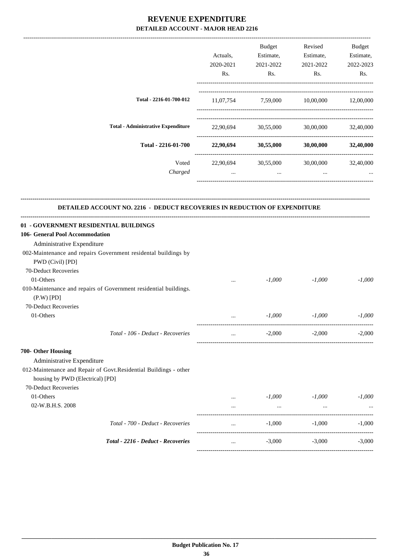|                                           | Actuals,<br>2020-2021<br>Rs. | <b>Budget</b><br>Estimate,<br>2021-2022<br>Rs. | Revised<br>Estimate,<br>2021-2022<br>R <sub>s</sub> . | <b>Budget</b><br>Estimate,<br>2022-2023<br>Rs. |
|-------------------------------------------|------------------------------|------------------------------------------------|-------------------------------------------------------|------------------------------------------------|
| Total - 2216-01-700-012                   | 11,07,754                    | 7,59,000                                       | 10,00,000                                             | 12,00,000                                      |
| <b>Total - Administrative Expenditure</b> | 22,90,694                    | 30,55,000                                      | 30,00,000                                             | 32,40,000                                      |
| Total - 2216-01-700                       | 22,90,694                    | 30,55,000                                      | 30,00,000                                             | 32,40,000                                      |
| Voted<br>Charged                          | 22,90,694<br>$\cdots$        | 30,55,000<br>$\cdots$                          | 30,00,000<br>$\cdots$                                 | 32,40,000                                      |

-------------------------------------------------------------------------------------------------------------------------------------------------------------------------------

## **DETAILED ACCOUNT NO. 2216 - DEDUCT RECOVERIES IN REDUCTION OF EXPENDITURE**

**--------------------------------------------------------------------------------------------------------------------------------------------------------------------------------**

| 01 - GOVERNMENT RESIDENTIAL BUILDINGS                            |                                                                                                                                                                                                                                  |          |          |          |
|------------------------------------------------------------------|----------------------------------------------------------------------------------------------------------------------------------------------------------------------------------------------------------------------------------|----------|----------|----------|
| 106- General Pool Accommodation                                  |                                                                                                                                                                                                                                  |          |          |          |
| Administrative Expenditure                                       |                                                                                                                                                                                                                                  |          |          |          |
| 002-Maintenance and repairs Government residental buildings by   |                                                                                                                                                                                                                                  |          |          |          |
| PWD (Civil) [PD]                                                 |                                                                                                                                                                                                                                  |          |          |          |
| 70-Deduct Recoveries                                             |                                                                                                                                                                                                                                  |          |          |          |
| 01-Others                                                        | $\cdots$                                                                                                                                                                                                                         | $-1,000$ | $-1,000$ | $-1,000$ |
| 010-Maintenance and repairs of Government residential buildings. |                                                                                                                                                                                                                                  |          |          |          |
| $(P.W)$ $[PD]$                                                   |                                                                                                                                                                                                                                  |          |          |          |
| 70-Deduct Recoveries                                             |                                                                                                                                                                                                                                  |          |          |          |
| 01-Others                                                        | $\mathbf{r}$ , and the set of the set of the set of the set of the set of the set of the set of the set of the set of the set of the set of the set of the set of the set of the set of the set of the set of the set of the set | $-1,000$ | $-1,000$ | $-1,000$ |
| Total - 106 - Deduct - Recoveries                                | $\cdots$                                                                                                                                                                                                                         | $-2,000$ | $-2,000$ | $-2.000$ |
| 700- Other Housing                                               |                                                                                                                                                                                                                                  |          |          |          |
| Administrative Expenditure                                       |                                                                                                                                                                                                                                  |          |          |          |
| 012-Maintenance and Repair of Govt.Residential Buildings - other |                                                                                                                                                                                                                                  |          |          |          |
| housing by PWD (Electrical) [PD]                                 |                                                                                                                                                                                                                                  |          |          |          |
| 70-Deduct Recoveries                                             |                                                                                                                                                                                                                                  |          |          |          |
| 01-Others                                                        |                                                                                                                                                                                                                                  | $-1,000$ | -1,000   | $-1,000$ |
| 02-W.B.H.S. 2008                                                 |                                                                                                                                                                                                                                  | $\cdots$ |          |          |
| Total - 700 - Deduct - Recoveries                                | $\cdots$                                                                                                                                                                                                                         | $-1,000$ | $-1,000$ | $-1,000$ |
| Total - 2216 - Deduct - Recoveries                               | $\ddotsc$                                                                                                                                                                                                                        | $-3,000$ | $-3.000$ | $-3,000$ |
|                                                                  |                                                                                                                                                                                                                                  |          |          |          |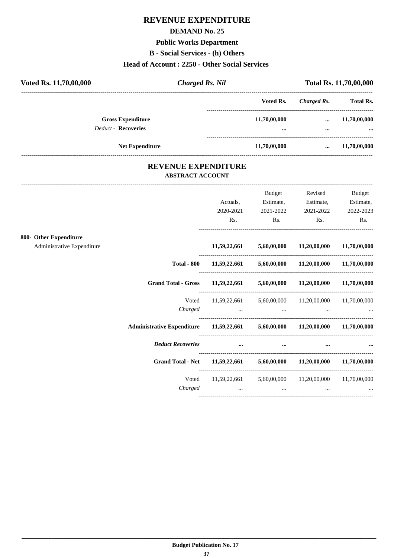# **REVENUE EXPENDITURE**

### **DEMAND No. 25**

## **Public Works Department**

**B - Social Services - (h) Others**

## **Head of Account : 2250 - Other Social Services**

| Voted Rs. 11,70,00,000                                 | <b>Charged Rs. Nil</b> |                  | <b>Total Rs. 11,70,00,000</b> |                  |  |
|--------------------------------------------------------|------------------------|------------------|-------------------------------|------------------|--|
|                                                        |                        | Voted Rs.        | Charged Rs.                   | <b>Total Rs.</b> |  |
| <b>Gross Expenditure</b><br><b>Deduct - Recoveries</b> |                        | 11,70,00,000<br> | $\cdots$<br>                  | 11,70,00,000<br> |  |
| <b>Net Expenditure</b>                                 |                        | 11,70,00,000     | $\cdots$                      | 11,70,00,000     |  |

## **REVENUE EXPENDITURE ABSTRACT ACCOUNT**

---------------------------------------------------------------------------------------------------------------------------------------------------------------------------------

|                            |                                                                               | Actuals,<br>2020-2021                                                                                                                                                                                                                | Budget<br>Estimate,<br>2021-2022 | Revised<br>Estimate,<br>2021-2022                                                                                    | <b>Budget</b><br>Estimate,<br>2022-2023 |
|----------------------------|-------------------------------------------------------------------------------|--------------------------------------------------------------------------------------------------------------------------------------------------------------------------------------------------------------------------------------|----------------------------------|----------------------------------------------------------------------------------------------------------------------|-----------------------------------------|
|                            |                                                                               | Rs.                                                                                                                                                                                                                                  | Rs.                              | Rs.                                                                                                                  | Rs.                                     |
| 800- Other Expenditure     |                                                                               |                                                                                                                                                                                                                                      |                                  |                                                                                                                      |                                         |
| Administrative Expenditure |                                                                               |                                                                                                                                                                                                                                      |                                  | $11,59,22,661$ $5,60,00,000$ $11,20,00,000$ $11,70,00,000$                                                           |                                         |
|                            | <b>Total - 800</b>                                                            |                                                                                                                                                                                                                                      |                                  | $11,59,22,661$ $5,60,00,000$ $11,20,00,000$ $11,70,00,000$                                                           |                                         |
|                            | Grand Total - Gross 11,59,22,661 5,60,00,000 11,20,00,000 11,70,00,000        |                                                                                                                                                                                                                                      |                                  |                                                                                                                      |                                         |
|                            | Voted                                                                         |                                                                                                                                                                                                                                      |                                  | 11,59,22,661 5,60,00,000 11,20,00,000 11,70,00,000                                                                   |                                         |
|                            | Charged                                                                       |                                                                                                                                                                                                                                      |                                  | المستخدم المستخدم المستخدم المستخدم المستخدم المستخدم المستخدم المستخدم المستخدم المستخدم المستخدم المستخدم المستخدم |                                         |
|                            | Administrative Expenditure 11,59,22,661 5,60,00,000 11,20,00,000 11,70,00,000 |                                                                                                                                                                                                                                      |                                  |                                                                                                                      |                                         |
|                            | <b>Deduct Recoveries</b>                                                      | <u>and the company of the company of the company of the company of the company of the company of the company of the company of the company of the company of the company of the company of the company of the company of the com</u> | $\cdots$                         |                                                                                                                      |                                         |
|                            | Grand Total - Net 11,59,22,661 5,60,00,000 11,20,00,000 11,70,00,000          |                                                                                                                                                                                                                                      |                                  |                                                                                                                      |                                         |
|                            | Voted                                                                         |                                                                                                                                                                                                                                      |                                  | 11,59,22,661 5,60,00,000 11,20,00,000 11,70,00,000                                                                   |                                         |
|                            | Charged                                                                       | $\cdots$                                                                                                                                                                                                                             | $\cdots$                         | $\cdots$                                                                                                             |                                         |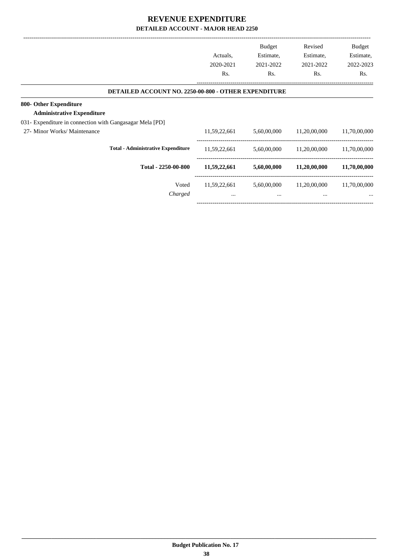| Actuals,<br>2020-2021<br>Rs. | <b>Budget</b><br>Estimate,<br>2021-2022<br>Rs. | Revised<br>Estimate,<br>2021-2022<br>Rs.                    | <b>Budget</b><br>Estimate,<br>2022-2023<br>Rs. |
|------------------------------|------------------------------------------------|-------------------------------------------------------------|------------------------------------------------|
|                              |                                                |                                                             |                                                |
|                              |                                                |                                                             |                                                |
|                              |                                                |                                                             |                                                |
|                              |                                                |                                                             |                                                |
| 11,59,22,661                 | 5,60,00,000                                    | 11,20,00,000                                                | 11,70,00,000                                   |
| 11,59,22,661                 | 5,60,00,000                                    | 11,20,00,000                                                | 11,70,00,000                                   |
| 11,59,22,661                 | 5,60,00,000                                    | 11,20,00,000                                                | 11,70,00,000                                   |
| 11,59,22,661                 | 5,60,00,000                                    | 11,20,00,000                                                | 11,70,00,000                                   |
| $\cdots$                     | $\cdots$                                       | $\cdots$                                                    | $\cdots$                                       |
|                              |                                                | <b>DETAILED ACCOUNT NO. 2250-00-800 - OTHER EXPENDITURE</b> |                                                |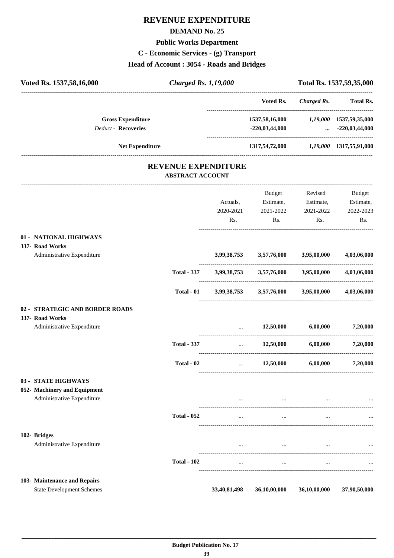# **REVENUE EXPENDITURE**

### **DEMAND No. 25**

### **Public Works Department**

**C - Economic Services - (g) Transport**

# **Head of Account : 3054 - Roads and Bridges**

| Voted Rs. 1537,58,16,000                               | <b>Charged Rs. 1,19,000</b>                           |           |                                                                                                                                                                                                                                                               |                      | Total Rs. 1537,59,35,000                         |
|--------------------------------------------------------|-------------------------------------------------------|-----------|---------------------------------------------------------------------------------------------------------------------------------------------------------------------------------------------------------------------------------------------------------------|----------------------|--------------------------------------------------|
|                                                        |                                                       |           | Voted Rs.                                                                                                                                                                                                                                                     | Charged Rs.          | ----------------------------<br><b>Total Rs.</b> |
| <b>Gross Expenditure</b><br><b>Deduct - Recoveries</b> |                                                       |           | 1537,58,16,000 1,19,000 1537,59,35,000<br>$-220,03,44,000$                                                                                                                                                                                                    |                      | $\ldots$ -220,03,44,000                          |
|                                                        |                                                       |           |                                                                                                                                                                                                                                                               |                      |                                                  |
| <b>Net Expenditure</b>                                 |                                                       |           | 1317,54,72,000 1,19,000 1317,55,91,000                                                                                                                                                                                                                        |                      |                                                  |
|                                                        | <b>REVENUE EXPENDITURE</b><br><b>ABSTRACT ACCOUNT</b> |           |                                                                                                                                                                                                                                                               |                      |                                                  |
|                                                        |                                                       |           | Budget                                                                                                                                                                                                                                                        | Revised              | Budget                                           |
|                                                        |                                                       | Actuals,  | Estimate, Estimate,                                                                                                                                                                                                                                           |                      | Estimate,                                        |
|                                                        |                                                       | 2020-2021 | 2021-2022                                                                                                                                                                                                                                                     | 2021-2022            | 2022-2023                                        |
|                                                        |                                                       | Rs.       | Rs.                                                                                                                                                                                                                                                           | Rs.                  | Rs.                                              |
| 01 - NATIONAL HIGHWAYS<br>337- Road Works              |                                                       |           |                                                                                                                                                                                                                                                               |                      |                                                  |
| Administrative Expenditure                             |                                                       |           | 3,99,38,753 3,57,76,000                                                                                                                                                                                                                                       | 3,95,00,000          | 4,03,06,000                                      |
|                                                        | <b>Total - 337</b>                                    |           | 3,99,38,753 3,57,76,000                                                                                                                                                                                                                                       | 3,95,00,000          | 4,03,06,000                                      |
|                                                        | Total - 01                                            |           | 3,99,38,753 3,57,76,000 3,95,00,000                                                                                                                                                                                                                           |                      | 4,03,06,000                                      |
| 02 - STRATEGIC AND BORDER ROADS                        |                                                       |           |                                                                                                                                                                                                                                                               |                      |                                                  |
| 337- Road Works                                        |                                                       |           |                                                                                                                                                                                                                                                               |                      |                                                  |
| Administrative Expenditure                             |                                                       | $\cdots$  | 12,50,000                                                                                                                                                                                                                                                     | 6,00,000             | 7,20,000                                         |
|                                                        | <b>Total - 337</b>                                    | $\cdots$  | 12,50,000                                                                                                                                                                                                                                                     | 6,00,000             | 7,20,000                                         |
|                                                        | Total - 02                                            | $\cdots$  | 12,50,000                                                                                                                                                                                                                                                     | 6,00,000             | 7,20,000                                         |
| 03 - STATE HIGHWAYS                                    |                                                       |           |                                                                                                                                                                                                                                                               |                      |                                                  |
| 052- Machinery and Equipment                           |                                                       |           |                                                                                                                                                                                                                                                               |                      |                                                  |
| Administrative Expenditure                             |                                                       | $\cdots$  | and the contract of the con-                                                                                                                                                                                                                                  | $\cdots$             | $\cdots$                                         |
|                                                        | <b>Total - 052</b>                                    | $\ddotsc$ | $\ddots$                                                                                                                                                                                                                                                      | $\cdots$             |                                                  |
| 102- Bridges                                           |                                                       |           |                                                                                                                                                                                                                                                               |                      |                                                  |
| Administrative Expenditure                             |                                                       |           | $\cdots$ . The contract of the contract of the contract of the contract of the contract of the contract of the contract of the contract of the contract of the contract of the contract of the contract of the contract of the c<br>$\sim 100$ and $\sim 100$ | $\sim$ $\sim$ $\sim$ | $\cdots$                                         |
|                                                        | <b>Total - 102</b>                                    | $\cdots$  | $\ddots$                                                                                                                                                                                                                                                      | $\cdots$             |                                                  |
| 103- Maintenance and Repairs                           |                                                       |           |                                                                                                                                                                                                                                                               |                      |                                                  |

State Development Schemes **33,40,81,498 36,10,00,000 36,10,00,000 37,90,50,000**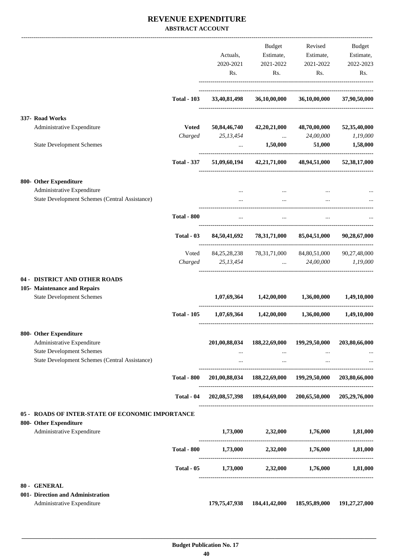## **REVENUE EXPENDITURE ABSTRACT ACCOUNT**

|                                                                                           |                    |                              | Budget                                    | Revised                                                         | Budget        |
|-------------------------------------------------------------------------------------------|--------------------|------------------------------|-------------------------------------------|-----------------------------------------------------------------|---------------|
|                                                                                           |                    | Actuals,                     |                                           | Estimate, Estimate, Estimate,                                   |               |
|                                                                                           |                    | 2020-2021                    | 2021-2022                                 | 2021-2022                                                       | 2022-2023     |
|                                                                                           |                    | Rs.                          | Rs.                                       | Rs.                                                             | Rs.           |
|                                                                                           | <b>Total - 103</b> | 33,40,81,498                 | 36,10,00,000                              | 36,10,00,000                                                    | 37,90,50,000  |
|                                                                                           |                    |                              |                                           |                                                                 |               |
| 337- Road Works                                                                           |                    |                              |                                           |                                                                 |               |
| Administrative Expenditure                                                                | <b>Voted</b>       | 50,84,46,740                 | 42,20,21,000                              | 48,70,00,000                                                    | 52,35,40,000  |
|                                                                                           |                    | Charged 25,13,454            |                                           | $\ldots$ 24,00,000                                              | 1,19,000      |
| <b>State Development Schemes</b>                                                          |                    | $\ddotsc$                    | 1,50,000                                  | 51,000                                                          | 1,58,000      |
|                                                                                           | <b>Total - 337</b> |                              |                                           | 51,09,60,194 42,21,71,000 48,94,51,000 52,38,17,000             |               |
| 800- Other Expenditure                                                                    |                    |                              |                                           |                                                                 |               |
| Administrative Expenditure                                                                |                    |                              |                                           |                                                                 |               |
| State Development Schemes (Central Assistance)                                            |                    |                              | $\cdots$                                  |                                                                 |               |
|                                                                                           | <b>Total - 800</b> | $\cdots$                     | $\ddots$                                  | $\cdots$                                                        |               |
|                                                                                           | Total - 03         |                              |                                           | 84,50,41,692 78,31,71,000 85,04,51,000                          | 90,28,67,000  |
|                                                                                           | Voted              |                              |                                           | 84, 25, 28, 238 78, 31, 71, 000 84, 80, 51, 000 90, 27, 48, 000 |               |
|                                                                                           |                    | Charged 25,13,454  24,00,000 |                                           |                                                                 | 1,19,000      |
| 04 - DISTRICT AND OTHER ROADS                                                             |                    |                              |                                           |                                                                 |               |
| 105- Maintenance and Repairs                                                              |                    |                              |                                           |                                                                 |               |
| <b>State Development Schemes</b>                                                          |                    |                              | $1,07,69,364$ $1,42,00,000$ $1,36,00,000$ |                                                                 | 1,49,10,000   |
|                                                                                           | <b>Total - 105</b> |                              |                                           | $1,07,69,364$ $1,42,00,000$ $1,36,00,000$                       | 1,49,10,000   |
| 800- Other Expenditure                                                                    |                    |                              |                                           |                                                                 |               |
| Administrative Expenditure                                                                |                    | 201,00,88,034                | 188,22,69,000                             | 199,29,50,000                                                   | 203,80,66,000 |
| <b>State Development Schemes</b><br><b>State Development Schemes (Central Assistance)</b> |                    | $\cdots$<br>$\cdots$         | $\cdots$<br>$\cdots$                      | $\cdots$<br>$\cdots$                                            |               |
|                                                                                           | <b>Total - 800</b> |                              |                                           | 201,00,88,034 188,22,69,000 199,29,50,000 203,80,66,000         |               |
|                                                                                           | Total - 04         |                              |                                           | 202,08,57,398 189,64,69,000 200,65,50,000 205,29,76,000         |               |
| 05 - ROADS OF INTER-STATE OF ECONOMIC IMPORTANCE                                          |                    |                              |                                           |                                                                 |               |
| 800- Other Expenditure                                                                    |                    |                              |                                           |                                                                 |               |
| Administrative Expenditure                                                                |                    | 1,73,000                     | 2,32,000                                  | 1,76,000                                                        | 1,81,000      |
|                                                                                           | <b>Total - 800</b> |                              |                                           | $1,73,000$ $2,32,000$ $1,76,000$ $1,81,000$                     |               |
|                                                                                           | Total - 05         | 1,73,000                     | 2,32,000                                  | 1,76,000                                                        | 1,81,000      |
| 80 - GENERAL                                                                              |                    |                              |                                           |                                                                 |               |
| 001- Direction and Administration                                                         |                    |                              |                                           |                                                                 |               |
| Administrative Expenditure                                                                |                    | 179, 75, 47, 938             | 184,41,42,000                             | 185,95,89,000                                                   | 191,27,27,000 |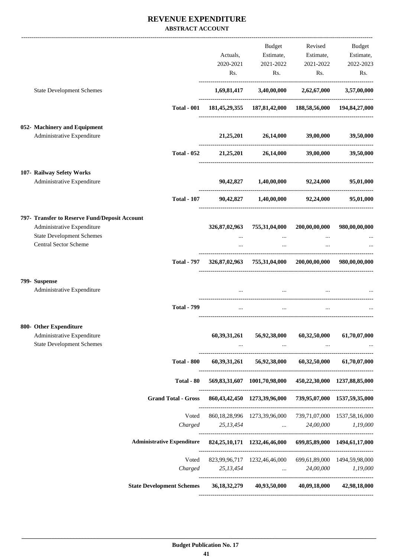## **REVENUE EXPENDITURE ABSTRACT ACCOUNT**

|                                                                |                                                                                           |                 | Budget                                                                                                                                                       |               | Revised Budget |
|----------------------------------------------------------------|-------------------------------------------------------------------------------------------|-----------------|--------------------------------------------------------------------------------------------------------------------------------------------------------------|---------------|----------------|
|                                                                |                                                                                           | Actuals,        | Estimate,                                                                                                                                                    | Estimate,     | Estimate,      |
|                                                                |                                                                                           | 2020-2021       | 2021-2022                                                                                                                                                    | 2021-2022     | 2022-2023      |
|                                                                |                                                                                           | Rs.             | Rs.                                                                                                                                                          | Rs.           | Rs.            |
| <b>State Development Schemes</b>                               |                                                                                           |                 | $1,69,81,417$ $3,40,00,000$ $2,62,67,000$                                                                                                                    |               | 3,57,00,000    |
|                                                                | <b>Total - 001</b>                                                                        |                 | 181,45,29,355 187,81,42,000 188,58,56,000 194,84,27,000                                                                                                      |               |                |
| 052- Machinery and Equipment                                   |                                                                                           |                 |                                                                                                                                                              |               |                |
| Administrative Expenditure                                     |                                                                                           |                 | $21,25,201$ $26,14,000$ $39,00,000$ $39,50,000$                                                                                                              |               |                |
|                                                                | <b>Total - 052</b>                                                                        |                 | 21,25,201 26,14,000 39,00,000                                                                                                                                |               | 39,50,000      |
| 107- Railway Sefety Works                                      |                                                                                           |                 |                                                                                                                                                              |               |                |
| Administrative Expenditure                                     |                                                                                           |                 | 90,42,827 1,40,00,000 92,24,000                                                                                                                              |               | 95,01,000      |
|                                                                | <b>Total - 107</b>                                                                        |                 | 90,42,827 1,40,00,000 92,24,000                                                                                                                              |               | 95,01,000      |
| 797- Transfer to Reserve Fund/Deposit Account                  |                                                                                           |                 |                                                                                                                                                              |               |                |
| Administrative Expenditure<br><b>State Development Schemes</b> |                                                                                           | 326,87,02,963   | 755,31,04,000                                                                                                                                                | 200,00,00,000 | 980,00,00,000  |
| Central Sector Scheme                                          |                                                                                           | $\cdots$        | $\cdots$                                                                                                                                                     |               |                |
|                                                                |                                                                                           |                 |                                                                                                                                                              |               |                |
|                                                                | <b>Total - 797</b>                                                                        |                 | 326,87,02,963 755,31,04,000 200,00,00,000                                                                                                                    |               | 980,00,00,000  |
| 799- Suspense                                                  |                                                                                           |                 |                                                                                                                                                              |               |                |
| Administrative Expenditure                                     |                                                                                           |                 |                                                                                                                                                              |               |                |
|                                                                | <b>Total - 799</b>                                                                        |                 |                                                                                                                                                              |               |                |
| 800- Other Expenditure                                         |                                                                                           |                 |                                                                                                                                                              |               |                |
| Administrative Expenditure<br><b>State Development Schemes</b> |                                                                                           | 60, 39, 31, 261 | 56,92,38,000<br>$\mathbf{m}_{\mathrm{eff}}$ , and the same contribution of the same contribution of the same contribution of the $\mathbf{m}_{\mathrm{eff}}$ | 60,32,50,000  | 61,70,07,000   |
|                                                                |                                                                                           |                 | Total - 800 60,39,31,261 56,92,38,000 60,32,50,000 61,70,07,000                                                                                              |               |                |
|                                                                | Total - 80                                                                                |                 | 569,83,31,607 1001,70,98,000 450,22,30,000 1237,88,85,000                                                                                                    |               |                |
|                                                                | Grand Total - Gross 860, 43, 42, 450 1273, 39, 96, 000 739, 95, 07, 000 1537, 59, 35, 000 |                 |                                                                                                                                                              |               |                |
|                                                                |                                                                                           |                 | Voted 860,18,28,996 1273,39,96,000 739,71,07,000 1537,58,16,000                                                                                              |               |                |
|                                                                |                                                                                           |                 | Charged 25,13,454  24,00,000 1,19,000                                                                                                                        |               |                |
|                                                                | Administrative Expenditure 824,25,10,171 1232,46,46,000 699,85,89,000 1494,61,17,000      |                 |                                                                                                                                                              |               |                |
|                                                                |                                                                                           |                 | Voted 823,99,96,717 1232,46,46,000 699,61,89,000 1494,59,98,000                                                                                              |               |                |
|                                                                |                                                                                           |                 | Charged 25,13,454  24,00,000 1,19,000                                                                                                                        |               |                |
|                                                                | State Development Schemes 36, 18, 32, 279 40, 93, 50, 000 40, 09, 18, 000 42, 98, 18, 000 |                 |                                                                                                                                                              |               |                |
|                                                                |                                                                                           |                 |                                                                                                                                                              |               |                |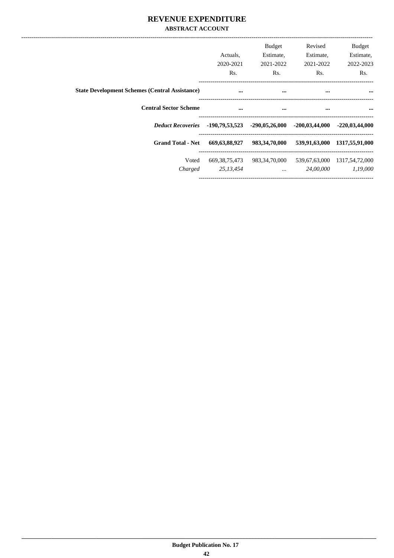## REVENUE EXPENDITURE **ABSTRACT ACCOUNT**

|                                                       | Actuals.<br>2020-2021<br>Rs.  | <b>Budget</b><br>Estimate,<br>2021-2022<br>Rs. | Revised<br>Estimate,<br>2021-2022<br>Rs. | <b>Budget</b><br>Estimate,<br>2022-2023<br>Rs. |  |
|-------------------------------------------------------|-------------------------------|------------------------------------------------|------------------------------------------|------------------------------------------------|--|
| <b>State Development Schemes (Central Assistance)</b> | $\cdots$                      | $\cdots$                                       | $\cdots$                                 | $\cdots$                                       |  |
| <b>Central Sector Scheme</b>                          | $\cdots$                      | $\cdots$                                       |                                          | <br>$\cdots$                                   |  |
| <b>Deduct Recoveries</b>                              | -190,79,53,523                |                                                | $-290,05,26,000$ $-200,03,44,000$        | $-220,03,44,000$                               |  |
| <b>Grand Total - Net</b>                              | 669, 63, 88, 927              | 983,34,70,000                                  | 539,91,63,000                            | 1317,55,91,000                                 |  |
| Voted<br>Charged                                      | 669, 38, 75, 473<br>25,13,454 | 983,34,70,000<br>$\cdots$                      | 539,67,63,000<br>24,00,000               | 1317,54,72,000<br>1,19,000                     |  |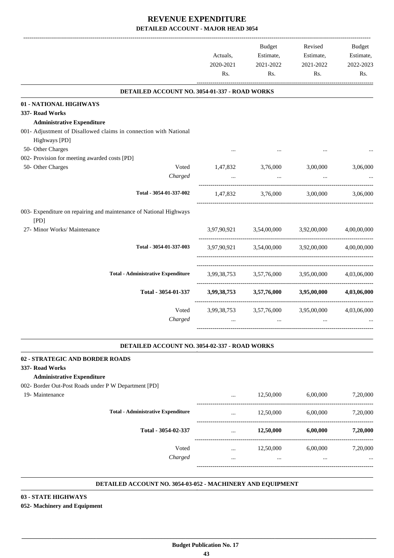|                                                                            | Actuals,<br>2020-2021<br>Rs. | Budget<br>Estimate,<br>2021-2022<br>Rs. | Revised<br>Estimate,<br>2021-2022<br>Rs.        | Budget<br>Estimate,<br>2022-2023<br>Rs. |
|----------------------------------------------------------------------------|------------------------------|-----------------------------------------|-------------------------------------------------|-----------------------------------------|
| DETAILED ACCOUNT NO. 3054-01-337 - ROAD WORKS                              |                              |                                         |                                                 |                                         |
| 01 - NATIONAL HIGHWAYS                                                     |                              |                                         |                                                 |                                         |
| 337- Road Works                                                            |                              |                                         |                                                 |                                         |
| <b>Administrative Expenditure</b>                                          |                              |                                         |                                                 |                                         |
| 001- Adjustment of Disallowed claims in connection with National           |                              |                                         |                                                 |                                         |
| Highways [PD]                                                              |                              |                                         |                                                 |                                         |
| 50- Other Charges                                                          |                              |                                         |                                                 |                                         |
| 002- Provision for meeting awarded costs [PD]                              |                              |                                         |                                                 |                                         |
| 50- Other Charges<br>Voted                                                 | 1,47,832                     | 3,76,000                                | 3,00,000                                        | 3,06,000                                |
| Charged                                                                    | $\ddotsc$                    | $\cdots$                                | $\cdots$                                        |                                         |
| Total - 3054-01-337-002                                                    |                              |                                         | 1,47,832 3,76,000 3,00,000 3,06,000             |                                         |
| 003- Expenditure on repairing and maintenance of National Highways<br>[PD] |                              |                                         |                                                 |                                         |
| 27- Minor Works/ Maintenance                                               |                              |                                         | 3,97,90,921 3,54,00,000 3,92,00,000 4,00,00,000 |                                         |
| Total - 3054-01-337-003                                                    |                              |                                         | 3,97,90,921 3,54,00,000 3,92,00,000 4,00,00,000 |                                         |
| <b>Total - Administrative Expenditure</b>                                  |                              |                                         | 3,99,38,753 3,57,76,000 3,95,00,000 4,03,06,000 |                                         |
| Total - 3054-01-337                                                        |                              |                                         | 3,99,38,753 3,57,76,000 3,95,00,000 4,03,06,000 |                                         |
| Voted                                                                      |                              |                                         | 3,99,38,753 3,57,76,000 3,95,00,000             | 4,03,06,000                             |
| Charged                                                                    |                              | $\cdots$                                |                                                 |                                         |

#### **DETAILED ACCOUNT NO. 3054-02-337 - ROAD WORKS .**

#### **02 - STRATEGIC AND BORDER ROADS**

#### **337- Road Works**

19- Maintenance

#### **Administrative Expenditure**

002- Border Out-Post Roads under P W Department [PD]

|                                           | $\cdots$             | 12,50,000             | 6,00,000             | 7,20,000             |
|-------------------------------------------|----------------------|-----------------------|----------------------|----------------------|
| <b>Total - Administrative Expenditure</b> | $\cdots$             | 12,50,000             | 6,00,000             | 7,20,000             |
| Total - 3054-02-337                       | $\cdots$             | 12,50,000             | 6,00,000             | 7,20,000             |
| Voted<br>Charged                          | $\cdots$<br>$\cdots$ | 12,50,000<br>$\cdots$ | 6,00,000<br>$\cdots$ | 7,20,000<br>$\cdots$ |
|                                           |                      |                       |                      |                      |

.

.

#### **DETAILED ACCOUNT NO. 3054-03-052 - MACHINERY AND EQUIPMENT .**

### **03 - STATE HIGHWAYS 052- Machinery and Equipment**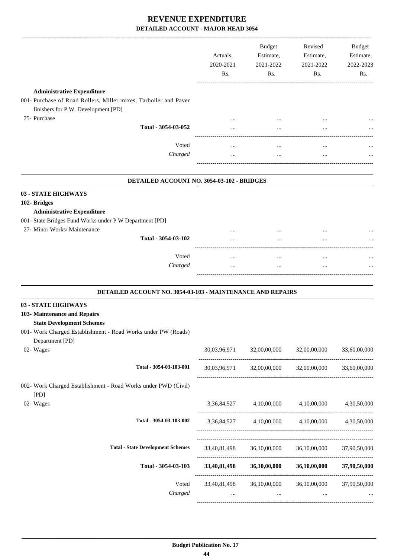|                                                                                                                                                                                          | Actuals,<br>2020-2021<br>Rs. | Budget<br>Estimate,<br>2021-2022<br>Rs. | Revised<br>Estimate,<br>2021-2022<br>Rs.        | <b>Budget</b><br>Estimate,<br>2022-2023<br>Rs. |
|------------------------------------------------------------------------------------------------------------------------------------------------------------------------------------------|------------------------------|-----------------------------------------|-------------------------------------------------|------------------------------------------------|
| <b>Administrative Expenditure</b><br>001- Purchase of Road Rollers, Miller mixes, Tarboiler and Paver                                                                                    |                              |                                         |                                                 |                                                |
| finishers for P.W. Development [PD]                                                                                                                                                      |                              |                                         |                                                 |                                                |
| 75- Purchase<br>Total - 3054-03-052                                                                                                                                                      |                              |                                         |                                                 |                                                |
|                                                                                                                                                                                          |                              |                                         |                                                 |                                                |
| Voted                                                                                                                                                                                    | $\cdots$                     | $\cdots$                                | $\cdots$                                        |                                                |
| Charged                                                                                                                                                                                  | $\cdots$                     |                                         | $\ddotsc$                                       |                                                |
| DETAILED ACCOUNT NO. 3054-03-102 - BRIDGES                                                                                                                                               |                              |                                         |                                                 |                                                |
| 03 - STATE HIGHWAYS<br>102- Bridges<br><b>Administrative Expenditure</b><br>001- State Bridges Fund Works under P W Department [PD]                                                      |                              |                                         |                                                 |                                                |
| 27- Minor Works/ Maintenance<br>Total - 3054-03-102                                                                                                                                      |                              |                                         |                                                 |                                                |
|                                                                                                                                                                                          |                              |                                         |                                                 |                                                |
| Voted<br>Charged                                                                                                                                                                         | $\cdots$                     |                                         | $\cdots$                                        |                                                |
|                                                                                                                                                                                          |                              |                                         |                                                 |                                                |
| <b>DETAILED ACCOUNT NO. 3054-03-103 - MAINTENANCE AND REPAIRS</b>                                                                                                                        |                              |                                         |                                                 |                                                |
| 03 - STATE HIGHWAYS<br>103- Maintenance and Repairs<br><b>State Development Schemes</b><br>001- Work Charged Establishment - Road Works under PW (Roads)<br>Department [PD]<br>02- Wages |                              | 30,03,96,971 32,00,00,000 32,00,00,000  |                                                 | 33,60,00,000                                   |
| Total - 3054-03-103-001                                                                                                                                                                  |                              |                                         | 30,03,96,971 32,00,00,000 32,00,00,000          | 33,60,00,000                                   |
| 002- Work Charged Establishment - Road Works under PWD (Civil)<br>[PD]                                                                                                                   |                              |                                         |                                                 |                                                |
| 02- Wages                                                                                                                                                                                |                              | 3,36,84,527 4,10,00,000 4,10,00,000     |                                                 | 4,30,50,000                                    |
| Total - 3054-03-103-002                                                                                                                                                                  |                              |                                         | 3,36,84,527 4,10,00,000 4,10,00,000 4,30,50,000 |                                                |
| <b>Total - State Development Schemes</b>                                                                                                                                                 | 33,40,81,498                 |                                         | 36,10,00,000 36,10,00,000                       | 37,90,50,000                                   |
| Total - 3054-03-103                                                                                                                                                                      | 33,40,81,498                 |                                         | <b>36,10,00,000 36,10,00,000</b>                | 37,90,50,000                                   |
| Voted<br>Charged                                                                                                                                                                         | 33,40,81,498<br>$\cdots$     | $\cdots$                                | 36,10,00,000 36,10,00,000<br>$\ddots$           | 37,90,50,000                                   |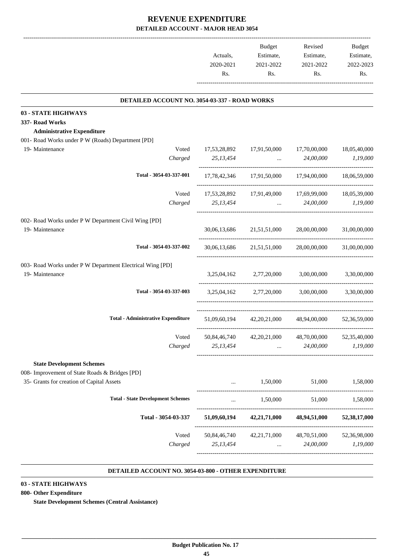|           | <b>Budget</b> | Revised   | <b>Budget</b> |
|-----------|---------------|-----------|---------------|
| Actuals.  | Estimate,     | Estimate, | Estimate,     |
| 2020-2021 | 2021-2022     | 2021-2022 | 2022-2023     |
| Rs.       | Rs.           | Rs.       | Rs            |
|           |               |           |               |

.

.

# **DETAILED ACCOUNT NO. 3054-03-337 - ROAD WORKS**

| DETAILED ACCOUNT NO. 3054-03- <i>331 -</i> ROAD WORKS     |              |                                        |                                                     |              |
|-----------------------------------------------------------|--------------|----------------------------------------|-----------------------------------------------------|--------------|
| 03 - STATE HIGHWAYS                                       |              |                                        |                                                     |              |
| 337- Road Works                                           |              |                                        |                                                     |              |
| <b>Administrative Expenditure</b>                         |              |                                        |                                                     |              |
| 001- Road Works under P W (Roads) Department [PD]         |              |                                        |                                                     |              |
| 19- Maintenance<br>Voted                                  | 17,53,28,892 | 17,91,50,000 17,70,00,000              |                                                     | 18,05,40,000 |
| Charged                                                   | 25,13,454    |                                        | 24,00,000<br><b>Sales Committee</b>                 | 1,19,000     |
| Total - 3054-03-337-001                                   |              |                                        | 17,78,42,346 17,91,50,000 17,94,00,000              | 18,06,59,000 |
| Voted                                                     |              |                                        | 17,53,28,892 17,91,49,000 17,69,99,000              | 18,05,39,000 |
| Charged                                                   | 25,13,454    | $\mathbf{r}$ , and $\mathbf{r}$        | 24,00,000                                           | 1,19,000     |
| 002- Road Works under P W Department Civil Wing [PD]      |              |                                        |                                                     |              |
| 19- Maintenance                                           |              | 30,06,13,686 21,51,51,000 28,00,00,000 |                                                     | 31,00,00,000 |
| Total - 3054-03-337-002                                   |              |                                        | 30,06,13,686 21,51,51,000 28,00,00,000 31,00,00,000 |              |
| 003- Road Works under P W Department Electrical Wing [PD] |              |                                        |                                                     |              |
| 19- Maintenance                                           |              | 3,25,04,162 2,77,20,000 3,00,00,000    |                                                     | 3,30,00,000  |
| Total - 3054-03-337-003                                   |              |                                        | 3,25,04,162 2,77,20,000 3,00,00,000 3,30,00,000     |              |
| <b>Total - Administrative Expenditure</b>                 |              |                                        | 51,09,60,194 42,20,21,000 48,94,00,000 52,36,59,000 |              |
| Voted                                                     |              |                                        | 50,84,46,740 42,20,21,000 48,70,00,000 52,35,40,000 |              |
| Charged                                                   | 25, 13, 454  | $\mathbf{r}$ and $\mathbf{r}$          | 24,00,000                                           | 1,19,000     |
| <b>State Development Schemes</b>                          |              |                                        |                                                     |              |
| 008- Improvement of State Roads & Bridges [PD]            |              |                                        |                                                     |              |
| 35- Grants for creation of Capital Assets                 |              | 1,50,000                               | 51,000                                              | 1.58.000     |
| <b>Total - State Development Schemes</b>                  |              | 1,50,000                               | 51,000                                              | 1,58,000     |
| Total - 3054-03-337                                       | 51,09,60,194 | 42,21,71,000                           | 48,94,51,000                                        | 52,38,17,000 |
| Voted                                                     | 50,84,46,740 | 42, 21, 71, 000                        | 48,70,51,000                                        | 52,36,98,000 |
| Charged                                                   | 25,13,454    |                                        | 24,00,000                                           | 1,19,000     |
|                                                           |              |                                        |                                                     |              |

#### **DETAILED ACCOUNT NO. 3054-03-800 - OTHER EXPENDITURE .**

### **03 - STATE HIGHWAYS**

### **800- Other Expenditure**

**State Development Schemes (Central Assistance)**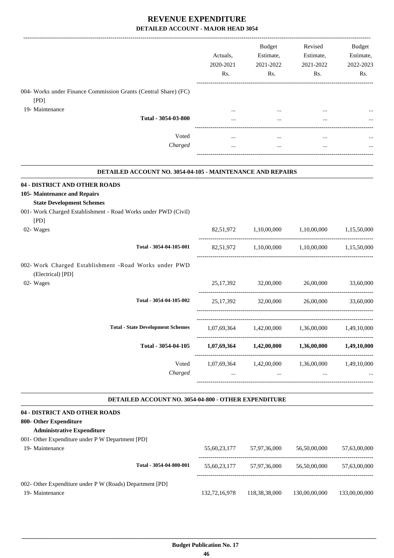|                                                                                                                                                                     | Actuals,<br>2020-2021<br>Rs. | Budget<br>Estimate,<br>2021-2022<br>Rs.         | Revised<br>Estimate,<br>2021-2022<br>Rs.                | Budget<br>Estimate,<br>2022-2023<br>Rs. |
|---------------------------------------------------------------------------------------------------------------------------------------------------------------------|------------------------------|-------------------------------------------------|---------------------------------------------------------|-----------------------------------------|
| 004- Works under Finance Commission Grants (Central Share) (FC)<br>[PD]                                                                                             |                              |                                                 |                                                         |                                         |
| 19- Maintenance                                                                                                                                                     |                              |                                                 |                                                         |                                         |
| Total - 3054-03-800                                                                                                                                                 |                              |                                                 |                                                         |                                         |
| Voted<br>Charged                                                                                                                                                    | $\cdots$<br>$\cdots$         | $\cdots$<br>$\cdots$                            | $\cdots$<br>$\cdots$                                    |                                         |
| <b>DETAILED ACCOUNT NO. 3054-04-105 - MAINTENANCE AND REPAIRS</b>                                                                                                   |                              |                                                 |                                                         |                                         |
| 04 - DISTRICT AND OTHER ROADS<br>105- Maintenance and Repairs<br><b>State Development Schemes</b><br>001- Work Charged Establishment - Road Works under PWD (Civil) |                              |                                                 |                                                         |                                         |
| [PD]<br>02- Wages                                                                                                                                                   |                              | 82,51,972 1,10,00,000                           | 1,10,00,000                                             | 1,15,50,000                             |
| Total - 3054-04-105-001                                                                                                                                             |                              |                                                 | 82,51,972 1,10,00,000 1,10,00,000 1,15,50,000           |                                         |
| 002- Work Charged Establishment -Road Works under PWD<br>(Electrical) [PD]<br>02- Wages                                                                             |                              | 25,17,392 32,00,000                             | 26,00,000                                               | 33,60,000                               |
| Total - 3054-04-105-002                                                                                                                                             |                              |                                                 | 25,17,392 32,00,000 26,00,000                           | 33,60,000                               |
| <b>Total - State Development Schemes</b>                                                                                                                            | 1,07,69,364                  | 1,42,00,000                                     | 1,36,00,000                                             | 1,49,10,000                             |
| Total - 3054-04-105                                                                                                                                                 |                              |                                                 | $1,07,69,364$ $1,42,00,000$ $1,36,00,000$ $1,49,10,000$ |                                         |
| Voted<br>Charged                                                                                                                                                    | $\cdots$                     | 1,07,69,364 1,42,00,000 1,36,00,000<br>$\cdots$ | $\cdots$                                                | 1,49,10,000                             |
| DETAILED ACCOUNT NO. 3054-04-800 - OTHER EXPENDITURE                                                                                                                |                              |                                                 |                                                         |                                         |
| 04 - DISTRICT AND OTHER ROADS<br>800- Other Expenditure<br><b>Administrative Expenditure</b><br>001- Other Expenditure under P W Department [PD]                    |                              |                                                 |                                                         |                                         |
| 19- Maintenance                                                                                                                                                     |                              | 55,60,23,177 57,97,36,000                       | 56,50,00,000                                            | 57,63,00,000                            |
| Total - 3054-04-800-001                                                                                                                                             |                              | 55,60,23,177 57,97,36,000 56,50,00,000          |                                                         | 57,63,00,000                            |
| 002- Other Expenditure under P W (Roads) Department [PD]<br>19- Maintenance                                                                                         | 132,72,16,978                | 118,38,38,000                                   | 130,00,00,000                                           | 133,00,00,000                           |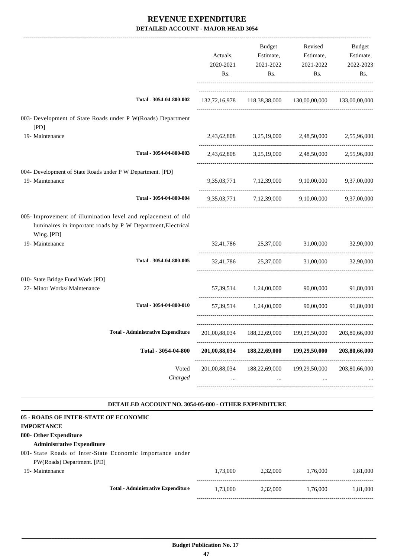|                                                                                                                                            | Actuals,<br>2020-2021<br>Rs. | <b>Budget</b><br>Estimate,<br>2021-2022<br>Rs. | Revised<br>Estimate,<br>2021-2022<br>Rs.                | Budget<br>Estimate,<br>2022-2023<br>Rs. |
|--------------------------------------------------------------------------------------------------------------------------------------------|------------------------------|------------------------------------------------|---------------------------------------------------------|-----------------------------------------|
| Total - 3054-04-800-002                                                                                                                    |                              |                                                | 132,72,16,978 118,38,38,000 130,00,00,000 133,00,00,000 |                                         |
| 003- Development of State Roads under P W(Roads) Department<br>[PD]                                                                        |                              |                                                |                                                         |                                         |
| 19- Maintenance                                                                                                                            |                              |                                                | 2,43,62,808 3,25,19,000 2,48,50,000 2,55,96,000         |                                         |
| Total - 3054-04-800-003                                                                                                                    |                              |                                                | 2,43,62,808 3,25,19,000 2,48,50,000 2,55,96,000         |                                         |
| 004- Development of State Roads under P W Department. [PD]<br>19- Maintenance                                                              |                              |                                                | 9,35,03,771 7,12,39,000 9,10,00,000 9,37,00,000         |                                         |
| Total - 3054-04-800-004                                                                                                                    |                              |                                                | 9,35,03,771 7,12,39,000 9,10,00,000 9,37,00,000         |                                         |
| 005- Improvement of illumination level and replacement of old<br>luminaires in important roads by P W Department, Electrical<br>Wing. [PD] |                              |                                                |                                                         |                                         |
| 19- Maintenance                                                                                                                            |                              |                                                | 32,41,786 25,37,000 31,00,000                           | 32,90,000                               |
| Total - 3054-04-800-005                                                                                                                    |                              | 32,41,786 25,37,000                            | 31,00,000                                               | 32,90,000                               |
| 010- State Bridge Fund Work [PD]<br>27- Minor Works/ Maintenance                                                                           |                              | 57,39,514 1,24,00,000                          | 90,00,000                                               | 91,80,000                               |
| Total - 3054-04-800-010                                                                                                                    |                              | 57,39,514 1,24,00,000                          | 90,00,000                                               | 91,80,000                               |
| Total - Administrative Expenditure 201,00,88,034 188,22,69,000 199,29,50,000 203,80,66,000                                                 |                              |                                                |                                                         |                                         |
| Total - 3054-04-800                                                                                                                        | 201,00,88,034                | 188,22,69,000                                  | 199,29,50,000                                           | 203,80,66,000                           |
| Voted<br>Charged                                                                                                                           | 201,00,88,034<br>$\cdots$    | 188,22,69,000<br>$\cdots$                      | 199,29,50,000                                           | 203,80,66,000                           |

#### **DETAILED ACCOUNT NO. 3054-05-800 - OTHER EXPENDITURE .**

| 05 - ROADS OF INTER-STATE OF ECONOMIC |                                                           |          |          |          |          |
|---------------------------------------|-----------------------------------------------------------|----------|----------|----------|----------|
| <b>IMPORTANCE</b>                     |                                                           |          |          |          |          |
| 800- Other Expenditure                |                                                           |          |          |          |          |
| <b>Administrative Expenditure</b>     |                                                           |          |          |          |          |
|                                       | 001- State Roads of Inter-State Economic Importance under |          |          |          |          |
| PW(Roads) Department. [PD]            |                                                           |          |          |          |          |
| 19- Maintenance                       |                                                           | 1.73.000 | 2.32,000 | 1.76,000 | 1.81.000 |
|                                       | <b>Total - Administrative Expenditure</b>                 | 1.73.000 | 2,32,000 | 1,76,000 | 1,81,000 |
|                                       |                                                           |          |          |          |          |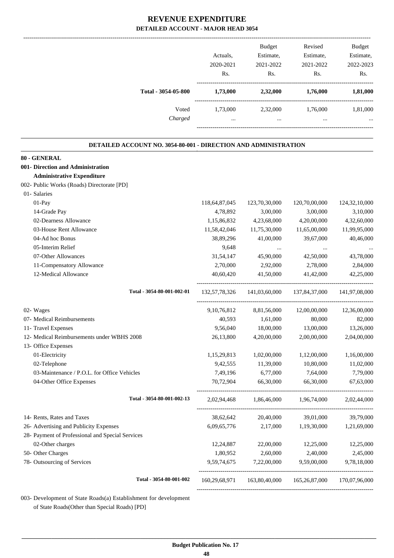|                                                                        | Actuals,<br>2020-2021<br>Rs. | <b>Budget</b><br>Estimate,<br>2021-2022<br>Rs. | Revised<br>Estimate,<br>2021-2022<br>Rs. | <b>Budget</b><br>Estimate,<br>2022-2023<br>Rs. |
|------------------------------------------------------------------------|------------------------------|------------------------------------------------|------------------------------------------|------------------------------------------------|
| Total - 3054-05-800                                                    | 1,73,000                     | 2,32,000                                       | 1,76,000                                 | 1,81,000                                       |
| Voted<br>Charged                                                       | 1,73,000<br>$\cdots$         | 2,32,000<br>$\ddotsc$                          | 1,76,000<br>$\ddotsc$                    | 1,81,000                                       |
| <b>DETAILED ACCOUNT NO. 3054-80-001 - DIRECTION AND ADMINISTRATION</b> |                              |                                                |                                          |                                                |
| 80 - GENERAL                                                           |                              |                                                |                                          |                                                |
| 001- Direction and Administration                                      |                              |                                                |                                          |                                                |
| <b>Administrative Expenditure</b>                                      |                              |                                                |                                          |                                                |
| 002- Public Works (Roads) Directorate [PD]                             |                              |                                                |                                          |                                                |
| 01- Salaries                                                           |                              |                                                |                                          |                                                |
| 01-Pay                                                                 | 118, 64, 87, 045             | 123,70,30,000                                  | 120,70,00,000                            | 124,32,10,000                                  |
| 14-Grade Pay                                                           | 4,78,892                     | 3,00,000                                       | 3,00,000                                 | 3,10,000                                       |
| 02-Dearness Allowance                                                  | 1,15,86,832                  | 4,23,68,000                                    | 4,20,00,000                              | 4,32,60,000                                    |
| 03-House Rent Allowance                                                | 11,58,42,046                 | 11,75,30,000                                   | 11,65,00,000                             | 11,99,95,000                                   |
| 04-Ad hoc Bonus                                                        | 38,89,296                    | 41,00,000                                      | 39,67,000                                | 40,46,000                                      |
| 05-Interim Relief                                                      | 9,648                        | $\cdots$                                       | $\cdots$                                 |                                                |
| 07-Other Allowances                                                    | 31,54,147                    | 45,90,000                                      | 42,50,000                                | 43,78,000                                      |
| 11-Compensatory Allowance                                              | 2,70,000                     | 2,92,000                                       | 2,78,000                                 | 2,84,000                                       |
| 12-Medical Allowance                                                   | 40,60,420                    | 41,50,000                                      | 41,42,000                                | 42,25,000                                      |
| Total - 3054-80-001-002-01                                             | 132, 57, 78, 326             | 141,03,60,000                                  | 137,84,37,000                            | 141,97,08,000                                  |
| 02- Wages                                                              | 9, 10, 76, 812               | 8,81,56,000                                    | 12,00,00,000                             | 12,36,00,000                                   |
| 07- Medical Reimbursements                                             | 40,593                       | 1,61,000                                       | 80,000                                   | 82,000                                         |
| 11- Travel Expenses                                                    | 9,56,040                     | 18,00,000                                      | 13,00,000                                | 13,26,000                                      |
| 12- Medical Reimbursements under WBHS 2008                             | 26,13,800                    | 4,20,00,000                                    | 2,00,00,000                              | 2,04,00,000                                    |
| 13- Office Expenses                                                    |                              |                                                |                                          |                                                |
| 01-Electricity                                                         | 1,15,29,813                  | 1,02,00,000                                    | 1,12,00,000                              | 1,16,00,000                                    |
| 02-Telephone                                                           | 9,42,555                     | 11,39,000                                      | 10,80,000                                | 11,02,000                                      |
| 03-Maintenance / P.O.L. for Office Vehicles                            | 7,49,196                     | 6,77,000                                       | 7,64,000                                 | 7,79,000                                       |
| 04-Other Office Expenses                                               | 70,72,904                    | 66,30,000                                      | 66,30,000                                | 67,63,000                                      |
| Total - 3054-80-001-002-13                                             | 2,02,94,468                  | 1,86,46,000                                    | 1,96,74,000                              | 2,02,44,000                                    |
| 14- Rents, Rates and Taxes                                             | 38,62,642                    | 20,40,000                                      | 39,01,000                                | 39,79,000                                      |
| 26- Advertising and Publicity Expenses                                 | 6,09,65,776                  | 2,17,000                                       | 1,19,30,000                              | 1,21,69,000                                    |
| 28- Payment of Professional and Special Services                       |                              |                                                |                                          |                                                |
| 02-Other charges                                                       | 12,24,887                    | 22,00,000                                      | 12,25,000                                | 12,25,000                                      |
| 50- Other Charges                                                      | 1,80,952                     | 2,60,000                                       | 2,40,000                                 | 2,45,000                                       |
| 78- Outsourcing of Services                                            | 9,59,74,675                  | 7,22,00,000                                    | 9,59,00,000                              | 9,78,18,000                                    |
| Total - 3054-80-001-002                                                | 160,29,68,971                | 163,80,40,000                                  | 165,26,87,000                            | 170,07,96,000                                  |
|                                                                        |                              |                                                |                                          |                                                |

003- Development of State Roads(a) Establishment for development of State Roads(Other than Special Roads) [PD]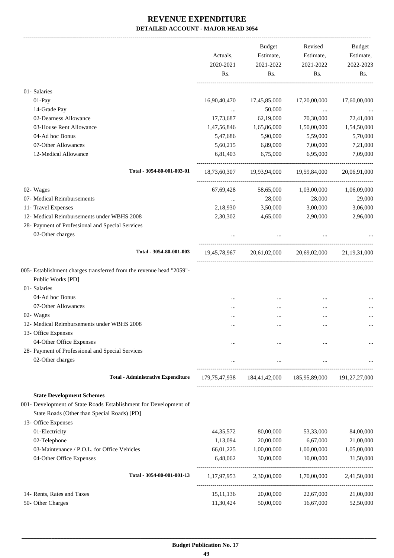|                                                                      |              | <b>Budget</b>                                                       | Revised      | Budget          |
|----------------------------------------------------------------------|--------------|---------------------------------------------------------------------|--------------|-----------------|
|                                                                      | Actuals,     | Estimate,                                                           | Estimate,    | Estimate,       |
|                                                                      | 2020-2021    | 2021-2022                                                           | 2021-2022    | 2022-2023       |
|                                                                      | Rs.          | Rs.                                                                 | Rs.          | Rs.             |
| 01- Salaries                                                         |              |                                                                     |              |                 |
| 01-Pay                                                               | 16,90,40,470 | 17,45,85,000                                                        | 17,20,00,000 | 17,60,00,000    |
| 14-Grade Pay                                                         |              | 50,000                                                              | $\ldots$     |                 |
| 02-Dearness Allowance                                                | 17,73,687    | 62,19,000                                                           | 70,30,000    | 72,41,000       |
| 03-House Rent Allowance                                              | 1,47,56,846  | 1,65,86,000                                                         | 1,50,00,000  | 1,54,50,000     |
| 04-Ad hoc Bonus                                                      | 5,47,686     | 5,90,000                                                            | 5,59,000     | 5,70,000        |
| 07-Other Allowances                                                  | 5,60,215     | 6,89,000                                                            | 7,00,000     | 7,21,000        |
| 12-Medical Allowance                                                 | 6,81,403     | 6,75,000                                                            | 6,95,000     | 7,09,000        |
| Total - 3054-80-001-003-01                                           |              | 18,73,60,307 19,93,94,000 19,59,84,000                              |              | 20,06,91,000    |
| 02- Wages                                                            | 67,69,428    | 58,65,000                                                           | 1,03,00,000  | 1,06,09,000     |
| 07- Medical Reimbursements                                           | $\cdots$     | 28,000                                                              | 28,000       | 29,000          |
| 11- Travel Expenses                                                  | 2,18,930     | 3,50,000                                                            | 3,00,000     | 3,06,000        |
| 12- Medical Reimbursements under WBHS 2008                           | 2,30,302     | 4,65,000                                                            | 2,90,000     | 2,96,000        |
| 28- Payment of Professional and Special Services                     |              |                                                                     |              |                 |
| 02-Other charges                                                     |              |                                                                     |              |                 |
| Total - 3054-80-001-003                                              |              | $19,45,78,967$ $20,61,02,000$ $20,69,02,000$                        |              | 21, 19, 31, 000 |
| 005- Establishment charges transferred from the revenue head "2059"- |              |                                                                     |              |                 |
| Public Works [PD]                                                    |              |                                                                     |              |                 |
| 01- Salaries                                                         |              |                                                                     |              |                 |
| 04-Ad hoc Bonus                                                      |              |                                                                     |              |                 |
| 07-Other Allowances                                                  |              |                                                                     |              |                 |
| 02- Wages                                                            |              |                                                                     |              |                 |
| 12- Medical Reimbursements under WBHS 2008                           |              |                                                                     |              |                 |
| 13- Office Expenses                                                  |              |                                                                     |              |                 |
| 04-Other Office Expenses                                             |              |                                                                     |              |                 |
| 28- Payment of Professional and Special Services                     |              |                                                                     |              |                 |
| 02-Other charges                                                     | $\cdots$     | $\cdots$                                                            | $\cdots$     |                 |
| <b>Total - Administrative Expenditure</b>                            |              | 179, 75, 47, 938 184, 41, 42, 000 185, 95, 89, 000 191, 27, 27, 000 |              |                 |
| <b>State Development Schemes</b>                                     |              |                                                                     |              |                 |
| 001- Development of State Roads Establishment for Development of     |              |                                                                     |              |                 |
| State Roads (Other than Special Roads) [PD]                          |              |                                                                     |              |                 |
| 13- Office Expenses                                                  |              |                                                                     |              |                 |
| 01-Electricity                                                       | 44, 35, 572  | 80,00,000                                                           | 53,33,000    | 84,00,000       |
| 02-Telephone                                                         | 1,13,094     | 20,00,000                                                           | 6,67,000     | 21,00,000       |
| 03-Maintenance / P.O.L. for Office Vehicles                          | 66,01,225    | 1,00,00,000                                                         | 1,00,00,000  | 1,05,00,000     |
| 04-Other Office Expenses                                             | 6,48,062     | 30,00,000                                                           | 10,00,000    | 31,50,000       |
| Total - 3054-80-001-001-13                                           | 1,17,97,953  | 2,30,00,000                                                         | 1,70,00,000  | 2,41,50,000     |
| 14- Rents, Rates and Taxes                                           | 15, 11, 136  | 20,00,000                                                           | 22,67,000    | 21,00,000       |
| 50- Other Charges                                                    | 11,30,424    | 50,00,000                                                           | 16,67,000    | 52,50,000       |
|                                                                      |              |                                                                     |              |                 |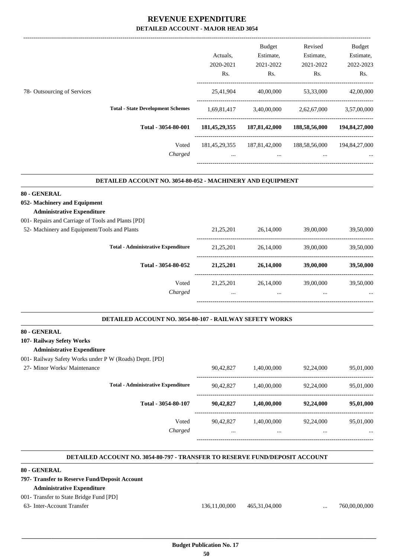|                             |                                          |                  | <b>Budget</b>    | Revised       | <b>Budget</b>    |
|-----------------------------|------------------------------------------|------------------|------------------|---------------|------------------|
|                             |                                          | Actuals.         | Estimate,        | Estimate,     | Estimate,        |
|                             |                                          | 2020-2021        | 2021-2022        | 2021-2022     | 2022-2023        |
|                             |                                          | Rs.              | Rs.              | Rs.           | Rs.              |
| 78- Outsourcing of Services |                                          | 25,41,904        | 40,00,000        | 53,33,000     | 42,00,000        |
|                             | <b>Total - State Development Schemes</b> | 1,69,81,417      | 3,40,00,000      | 2,62,67,000   | 3,57,00,000      |
|                             | Total - 3054-80-001                      | 181, 45, 29, 355 | 187, 81, 42, 000 | 188,58,56,000 | 194, 84, 27, 000 |
|                             | Voted                                    | 181, 45, 29, 355 | 187,81,42,000    | 188,58,56,000 | 194, 84, 27, 000 |
|                             | Charged                                  | $\cdots$         | $\cdots$         | $\cdots$      | $\cdots$         |
|                             |                                          |                  |                  |               |                  |

#### **DETAILED ACCOUNT NO. 3054-80-052 - MACHINERY AND EQUIPMENT .**

#### **80 - GENERAL**

### **052- Machinery and Equipment**

#### **Administrative Expenditure**

| 001- Repairs and Carriage of Tools and Plants [PD] |             |           |           |           |
|----------------------------------------------------|-------------|-----------|-----------|-----------|
| 52- Machinery and Equipment/Tools and Plants       | 21,25,201   | 26,14,000 | 39,00,000 | 39,50,000 |
| <b>Total - Administrative Expenditure</b>          | 21,25,201   | 26,14,000 | 39,00,000 | 39,50,000 |
| Total - 3054-80-052                                | 21, 25, 201 | 26,14,000 | 39,00,000 | 39,50,000 |
| Voted                                              | 21.25.201   | 26,14,000 | 39,00,000 | 39,50,000 |
| Charged                                            |             | $\cdots$  |           |           |

#### **DETAILED ACCOUNT NO. 3054-80-107 - RAILWAY SEFETY WORKS .**

#### **80 - GENERAL**

#### **107- Railway Sefety Works**

#### **Administrative Expenditure**

- 001- Railway Safety Works under P W (Roads) Deptt. [PD]
- 

| 27- Minor Works/ Maintenance |                                           | 90.42.827             | 1.40.00.000             | 92,24,000     | 95,01,000             |
|------------------------------|-------------------------------------------|-----------------------|-------------------------|---------------|-----------------------|
|                              | <b>Total - Administrative Expenditure</b> | 90.42,827             | 1,40,00,000             | 92,24,000     | 95,01,000             |
|                              | Total - 3054-80-107                       | 90.42,827             | 1,40,00,000             | 92,24,000     | 95,01,000             |
|                              | Voted<br>Charged                          | 90.42.827<br>$\cdots$ | 1,40,00,000<br>$\cdots$ | 92,24,000<br> | 95,01,000<br>$\cdots$ |
|                              |                                           |                       |                         |               |                       |

#### **DETAILED ACCOUNT NO. 3054-80-797 - TRANSFER TO RESERVE FUND/DEPOSIT ACCOUNT .**

#### **80 - GENERAL**

### **797- Transfer to Reserve Fund/Deposit Account**

## **Administrative Expenditure**

## 001- Transfer to State Bridge Fund [PD]

63- Inter-Account Transfer 136,11,00,000 465,31,04,000 ... 760,00,00,000

.

.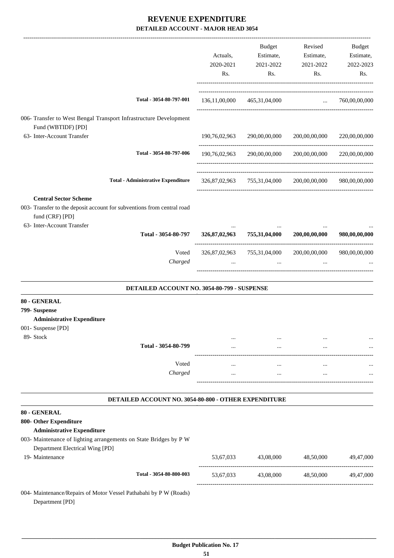|                                                                                                                                                         | Actuals,<br>2020-2021<br>Rs. | Budget<br>Estimate,<br>2021-2022<br>Rs.                 | Revised<br>Estimate,<br>2021-2022<br>Rs. | Budget<br>Estimate,<br>2022-2023<br>Rs. |
|---------------------------------------------------------------------------------------------------------------------------------------------------------|------------------------------|---------------------------------------------------------|------------------------------------------|-----------------------------------------|
| Total - 3054-80-797-001                                                                                                                                 |                              | 136,11,00,000 465,31,04,000                             | $\ldots$ 760,00,00,000                   |                                         |
| 006- Transfer to West Bengal Transport Infrastructure Development<br>Fund (WBTIDF) [PD]                                                                 |                              |                                                         | -------------------------------          |                                         |
| 63- Inter-Account Transfer                                                                                                                              | 190,76,02,963                | 290,00,00,000                                           | 200,00,00,000                            | 220,00,00,000                           |
| Total - 3054-80-797-006                                                                                                                                 | 190,76,02,963                | 290,00,00,000                                           | 200,00,00,000                            | 220,00,00,000                           |
| <b>Total - Administrative Expenditure</b>                                                                                                               |                              | 326,87,02,963 755,31,04,000 200,00,00,000 980,00,00,000 |                                          |                                         |
| <b>Central Sector Scheme</b><br>003- Transfer to the deposit account for subventions from central road<br>fund (CRF) [PD]<br>63- Inter-Account Transfer | $\cdots$                     | $\cdots$                                                | $\cdots$                                 |                                         |
| Total - 3054-80-797                                                                                                                                     | 326,87,02,963                | 755,31,04,000                                           | 200,00,00,000                            | 980,00,00,000                           |
| Voted<br>Charged                                                                                                                                        |                              | 326,87,02,963 755,31,04,000<br>$\cdots$                 | 200,00,00,000                            | 980,00,00,000                           |
| DETAILED ACCOUNT NO. 3054-80-799 - SUSPENSE                                                                                                             |                              |                                                         |                                          |                                         |
| 80 - GENERAL<br>799- Suspense<br><b>Administrative Expenditure</b>                                                                                      |                              |                                                         |                                          |                                         |
| 001- Suspense [PD]<br>89- Stock                                                                                                                         |                              |                                                         |                                          |                                         |
| Total - 3054-80-799                                                                                                                                     |                              |                                                         |                                          |                                         |
| Voted                                                                                                                                                   | $\cdots$                     | $\cdots$                                                | $\cdots$                                 |                                         |
| Charged                                                                                                                                                 |                              | $\cdots$                                                | $\cdots$                                 |                                         |
| DETAILED ACCOUNT NO. 3054-80-800 - OTHER EXPENDITURE                                                                                                    |                              |                                                         |                                          |                                         |
| 80 - GENERAL                                                                                                                                            |                              |                                                         |                                          |                                         |
| 800- Other Expenditure<br><b>Administrative Expenditure</b>                                                                                             |                              |                                                         |                                          |                                         |
| 003- Maintenance of lighting arrangements on State Bridges by P W                                                                                       |                              |                                                         |                                          |                                         |
| Department Electrical Wing [PD]<br>19- Maintenance                                                                                                      | 53,67,033                    | 43,08,000                                               | 48,50,000                                | 49,47,000                               |
|                                                                                                                                                         |                              |                                                         |                                          |                                         |
| Total - 3054-80-800-003                                                                                                                                 | 53,67,033                    | 43,08,000                                               | 48,50,000                                | 49,47,000                               |
| 004- Maintenance/Repairs of Motor Vessel Pathabahi by P W (Roads)<br>Department [PD]                                                                    |                              |                                                         |                                          |                                         |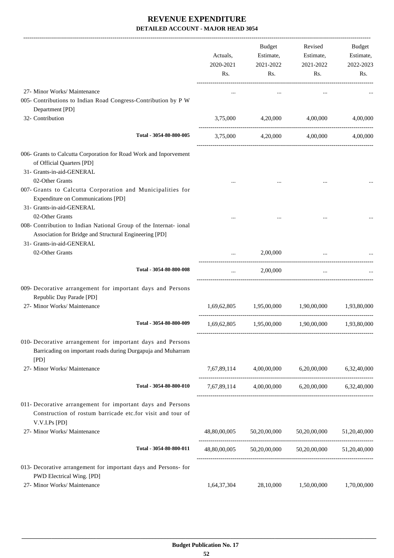|                                                                                                                                                                             | Actuals,<br>2020-2021<br>Rs. | Budget<br>Estimate,<br>2021-2022<br>Rs. | Revised<br>Estimate,<br>2021-2022<br>Rs.            | Budget<br>Estimate,<br>2022-2023<br>Rs. |
|-----------------------------------------------------------------------------------------------------------------------------------------------------------------------------|------------------------------|-----------------------------------------|-----------------------------------------------------|-----------------------------------------|
| 27- Minor Works/ Maintenance                                                                                                                                                |                              |                                         |                                                     |                                         |
| 005- Contributions to Indian Road Congress-Contribution by P W<br>Department [PD]                                                                                           |                              |                                         |                                                     |                                         |
| 32- Contribution                                                                                                                                                            | 3,75,000                     | 4,20,000                                | 4,00,000                                            | 4,00,000                                |
| Total - 3054-80-800-005                                                                                                                                                     | 3,75,000                     | 4,20,000                                | 4,00,000                                            | 4,00,000                                |
| 006- Grants to Calcutta Corporation for Road Work and Inporvement<br>of Official Quarters [PD]<br>31- Grants-in-aid-GENERAL                                                 |                              |                                         |                                                     |                                         |
| 02-Other Grants<br>007- Grants to Calcutta Corporation and Municipalities for<br>Expenditure on Communications [PD]<br>31- Grants-in-aid-GENERAL                            |                              |                                         |                                                     |                                         |
| 02-Other Grants<br>008- Contribution to Indian National Group of the Internat- ional<br>Association for Bridge and Structural Engineering [PD]<br>31- Grants-in-aid-GENERAL |                              |                                         |                                                     |                                         |
| 02-Other Grants                                                                                                                                                             |                              | 2,00,000                                |                                                     |                                         |
| Total - 3054-80-800-008                                                                                                                                                     |                              | 2,00,000                                | ------------------------------------                |                                         |
| 009- Decorative arrangement for important days and Persons<br>Republic Day Parade [PD]                                                                                      |                              |                                         |                                                     |                                         |
| 27- Minor Works/ Maintenance                                                                                                                                                | 1,69,62,805                  | 1,95,00,000                             | 1,90,00,000                                         | 1,93,80,000                             |
| Total - 3054-80-800-009                                                                                                                                                     | 1,69,62,805                  | 1,95,00,000                             | 1,90,00,000                                         | 1,93,80,000                             |
| 010- Decorative arrangement for important days and Persons<br>Barricading on important roads during Durgapuja and Muharram<br>[PD]                                          |                              |                                         |                                                     |                                         |
| 27- Minor Works/ Maintenance                                                                                                                                                | 7,67,89,114                  | 4,00,00,000                             | 6,20,00,000                                         | 6,32,40,000                             |
| Total - 3054-80-800-010                                                                                                                                                     |                              |                                         | 7,67,89,114 4,00,00,000 6,20,00,000 6,32,40,000     |                                         |
| 011- Decorative arrangement for important days and Persons<br>Construction of rostum barricade etc.for visit and tour of<br>V.V.I.Ps [PD]                                   |                              |                                         |                                                     |                                         |
| 27- Minor Works/ Maintenance                                                                                                                                                | 48,80,00,005                 | 50,20,00,000                            | 50,20,00,000                                        | 51,20,40,000                            |
| Total - 3054-80-800-011                                                                                                                                                     |                              |                                         | 48,80,00,005 50,20,00,000 50,20,00,000 51,20,40,000 |                                         |
| 013- Decorative arrangement for important days and Persons- for<br>PWD Electrical Wing. [PD]                                                                                |                              |                                         |                                                     |                                         |
| 27- Minor Works/ Maintenance                                                                                                                                                | 1,64,37,304                  | 28,10,000                               | 1,50,00,000                                         | 1,70,00,000                             |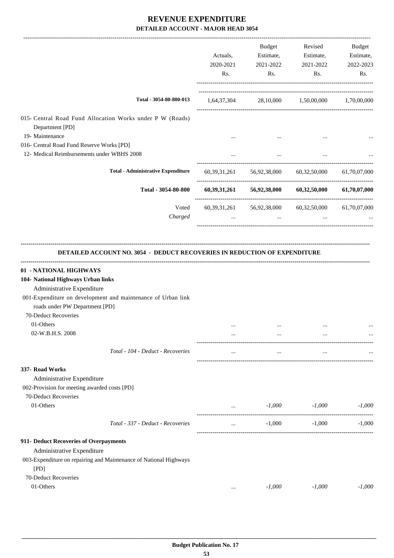|                                                                                                                                                                                       | Actuals,<br>2020-2021<br>Rs. | Budget<br>Estimate,<br>2021-2022<br>Rs. | Revised<br>Estimate,<br>2021-2022<br>Rs.     | Budget<br>Estimate,<br>2022-2023<br>Rs. |
|---------------------------------------------------------------------------------------------------------------------------------------------------------------------------------------|------------------------------|-----------------------------------------|----------------------------------------------|-----------------------------------------|
| Total - 3054-80-800-013                                                                                                                                                               | 1,64,37,304                  |                                         | 28,10,000 1,50,00,000 1,70,00,000            |                                         |
| 015- Central Road Fund Allocation Works under P W (Roads)<br>Department [PD]<br>19- Maintenance                                                                                       |                              |                                         |                                              |                                         |
| 016- Central Road Fund Reserve Works [PD]                                                                                                                                             |                              |                                         |                                              |                                         |
| 12- Medical Reimbursements under WBHS 2008                                                                                                                                            |                              | $\cdots$                                |                                              |                                         |
| <b>Total - Administrative Expenditure</b>                                                                                                                                             |                              | 60,39,31,261 56,92,38,000               | 60,32,50,000                                 | 61,70,07,000                            |
| Total - 3054-80-800                                                                                                                                                                   |                              |                                         | $60,39,31,261$ $56,92,38,000$ $60,32,50,000$ | 61,70,07,000                            |
| Voted<br>Charged                                                                                                                                                                      | 60, 39, 31, 261              | 56,92,38,000<br>$\cdots$                | 60,32,50,000<br>$\cdots$                     | 61,70,07,000                            |
|                                                                                                                                                                                       |                              |                                         |                                              |                                         |
| Administrative Expenditure<br>001-Expenditure on development and maintenance of Urban link<br>roads under PW Department [PD]<br>70-Deduct Recoveries<br>01-Others<br>02-W.B.H.S. 2008 |                              | $\ddotsc$                               | $\ddotsc$                                    |                                         |
| Total - 104 - Deduct - Recoveries                                                                                                                                                     |                              | $\cdots$                                | $\cdots$                                     |                                         |
| 337- Road Works<br>Administrative Expenditure<br>002-Provision for meeting awarded costs [PD]<br>70-Deduct Recoveries<br>01-Others                                                    | $\cdots$                     | $-1,000$                                | $-1,000$                                     |                                         |
| Total - 337 - Deduct - Recoveries                                                                                                                                                     | $\cdots$                     | $-1,000$                                | $-1,000$                                     | $-1,000$<br>$-1,000$                    |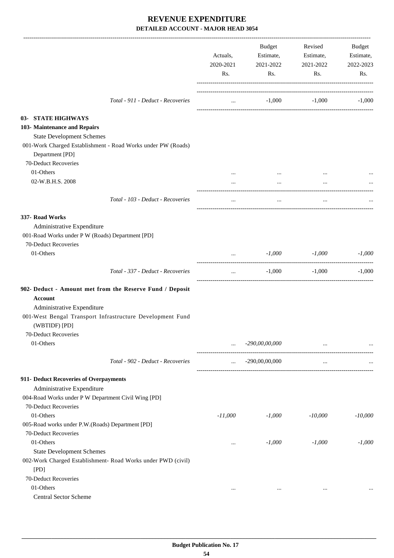|                                                                                                         | Actuals,<br>2020-2021<br>Rs. | Budget<br>Estimate,<br>2021-2022<br>Rs. | Revised<br>Estimate,<br>2021-2022<br>Rs. | Budget<br>Estimate,<br>2022-2023<br>Rs. |
|---------------------------------------------------------------------------------------------------------|------------------------------|-----------------------------------------|------------------------------------------|-----------------------------------------|
| Total - 911 - Deduct - Recoveries                                                                       | $\cdots$                     | $-1,000$                                | $-1,000$                                 | $-1,000$                                |
| 03- STATE HIGHWAYS<br>103- Maintenance and Repairs<br><b>State Development Schemes</b>                  |                              |                                         |                                          |                                         |
| 001-Work Charged Establishment - Road Works under PW (Roads)<br>Department [PD]<br>70-Deduct Recoveries |                              |                                         |                                          |                                         |
| 01-Others                                                                                               |                              |                                         |                                          |                                         |
| 02-W.B.H.S. 2008                                                                                        |                              | $\cdots$                                | $\cdots$                                 |                                         |
| Total - 103 - Deduct - Recoveries                                                                       | $\cdots$                     | $\cdots$                                |                                          |                                         |
| 337- Road Works                                                                                         |                              |                                         |                                          |                                         |
| Administrative Expenditure                                                                              |                              |                                         |                                          |                                         |
| 001-Road Works under P W (Roads) Department [PD]                                                        |                              |                                         |                                          |                                         |
| 70-Deduct Recoveries                                                                                    |                              |                                         |                                          |                                         |
| 01-Others                                                                                               |                              | $-1,000$                                | $-1,000$                                 | $-1,000$                                |
| Total - 337 - Deduct - Recoveries                                                                       | $\cdots$                     | $-1,000$                                | $-1,000$                                 | $-1,000$                                |
| 902- Deduct - Amount met from the Reserve Fund / Deposit                                                |                              |                                         |                                          |                                         |
| <b>Account</b>                                                                                          |                              |                                         |                                          |                                         |
| Administrative Expenditure                                                                              |                              |                                         |                                          |                                         |
| 001-West Bengal Transport Infrastructure Development Fund<br>(WBTIDF) [PD]                              |                              |                                         |                                          |                                         |
| 70-Deduct Recoveries                                                                                    |                              |                                         |                                          |                                         |
| 01-Others                                                                                               |                              | -290,00,00,000                          | $\cdots$                                 |                                         |
| Total - 902 - Deduct - Recoveries                                                                       | $\cdots$                     | $-290,00,00,000$                        | $\cdots$                                 |                                         |
| 911- Deduct Recoveries of Overpayments                                                                  |                              |                                         |                                          |                                         |
| Administrative Expenditure                                                                              |                              |                                         |                                          |                                         |
| 004-Road Works under P W Department Civil Wing [PD]                                                     |                              |                                         |                                          |                                         |
| 70-Deduct Recoveries                                                                                    |                              |                                         |                                          |                                         |
| 01-Others                                                                                               | $-11,000$                    | $-1,000$                                | $-10,000$                                | $-10,000$                               |
| 005-Road works under P.W.(Roads) Department [PD]                                                        |                              |                                         |                                          |                                         |
| 70-Deduct Recoveries                                                                                    |                              |                                         |                                          |                                         |
| 01-Others                                                                                               | $\cdots$                     | $-1,000$                                | $-1,000$                                 | $-1,000$                                |
| <b>State Development Schemes</b>                                                                        |                              |                                         |                                          |                                         |
| 002-Work Charged Establishment- Road Works under PWD (civil)<br>[PD]                                    |                              |                                         |                                          |                                         |
| 70-Deduct Recoveries                                                                                    |                              |                                         |                                          |                                         |
| 01-Others                                                                                               | $\cdots$                     | $\cdots$                                | $\cdots$                                 |                                         |
| Central Sector Scheme                                                                                   |                              |                                         |                                          |                                         |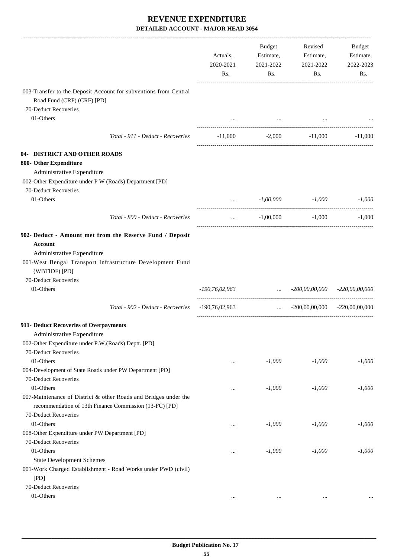|                                                                                                                                                                                        | Actuals,<br>2020-2021<br>Rs. | Budget<br>Estimate,<br>2021-2022<br>Rs.  | Revised<br>Estimate,<br>2021-2022<br>Rs. | Budget<br>Estimate,<br>2022-2023<br>Rs. |
|----------------------------------------------------------------------------------------------------------------------------------------------------------------------------------------|------------------------------|------------------------------------------|------------------------------------------|-----------------------------------------|
| 003-Transfer to the Deposit Account for subventions from Central<br>Road Fund (CRF) (CRF) [PD]                                                                                         |                              |                                          |                                          |                                         |
| 70-Deduct Recoveries<br>01-Others                                                                                                                                                      |                              |                                          |                                          |                                         |
|                                                                                                                                                                                        |                              | $\sim 100$ and $\sim 100$                |                                          |                                         |
| Total - 911 - Deduct - Recoveries                                                                                                                                                      | $-11,000$                    |                                          | $-2,000$ $-11,000$                       | -11,000                                 |
| 04- DISTRICT AND OTHER ROADS<br>800- Other Expenditure<br>Administrative Expenditure<br>002-Other Expenditure under P W (Roads) Department [PD]                                        |                              |                                          |                                          |                                         |
| 70-Deduct Recoveries                                                                                                                                                                   |                              |                                          |                                          |                                         |
| 01-Others                                                                                                                                                                              |                              | $-1,00,000$                              | -1,000                                   | $-1,000$                                |
| Total - 800 - Deduct - Recoveries                                                                                                                                                      | $\cdots$                     | $-1,00,000$                              | $-1,000$                                 | $-1,000$                                |
| 902- Deduct - Amount met from the Reserve Fund / Deposit<br><b>Account</b><br>Administrative Expenditure<br>001-West Bengal Transport Infrastructure Development Fund<br>(WBTIDF) [PD] |                              |                                          |                                          |                                         |
| 70-Deduct Recoveries<br>01-Others                                                                                                                                                      | -190,76,02,963               | <b><i>Committee Committee States</i></b> | $-200,00,00,000$ $-220,00,00,000$        |                                         |
|                                                                                                                                                                                        |                              |                                          |                                          |                                         |
| Total - 902 - Deduct - Recoveries                                                                                                                                                      | $-190,76,02,963$             | $\sim 10^{-10}$                          | $-200,00,00,000$ $-220,00,00,000$        |                                         |
| 911- Deduct Recoveries of Overpayments<br>Administrative Expenditure<br>002-Other Expenditure under P.W.(Roads) Deptt. [PD]                                                            |                              |                                          |                                          |                                         |
| 70-Deduct Recoveries                                                                                                                                                                   |                              |                                          |                                          |                                         |
| 01-Others<br>004-Development of State Roads under PW Department [PD]<br>70-Deduct Recoveries                                                                                           | $\cdots$                     | $-1,000$                                 | $-1,000$                                 | $-1,000$                                |
| 01-Others<br>007-Maintenance of District & other Roads and Bridges under the<br>recommendation of 13th Finance Commission (13-FC) [PD]                                                 |                              | $-1,000$                                 | $-1,000$                                 | $-1,000$                                |
| 70-Deduct Recoveries<br>01-Others<br>008-Other Expenditure under PW Department [PD]                                                                                                    | $\cdots$                     | $-1,000$                                 | $-1,000$                                 | $-1,000$                                |
| 70-Deduct Recoveries<br>01-Others                                                                                                                                                      | $\cdots$                     | $-1,000$                                 | $-1,000$                                 | $-1,000$                                |
| <b>State Development Schemes</b><br>001-Work Charged Establishment - Road Works under PWD (civil)<br>[PD]                                                                              |                              |                                          |                                          |                                         |
| 70-Deduct Recoveries<br>01-Others                                                                                                                                                      |                              |                                          |                                          |                                         |
|                                                                                                                                                                                        | $\cdots$                     | $\cdots$                                 | $\ldots$                                 |                                         |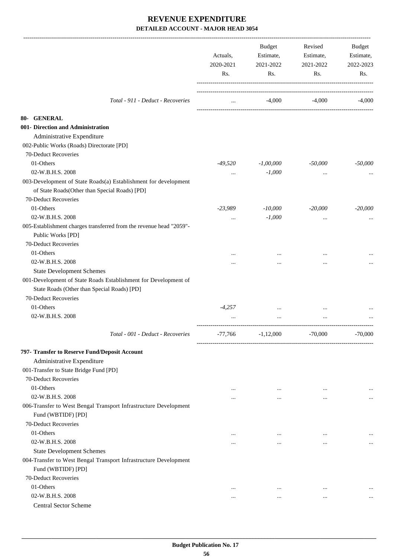|                                                                                        | Actuals,<br>2020-2021<br>Rs. | Budget<br>Estimate,<br>2021-2022<br>Rs. | Revised<br>Estimate,<br>2021-2022<br>Rs. | Budget<br>Estimate,<br>2022-2023<br>Rs. |
|----------------------------------------------------------------------------------------|------------------------------|-----------------------------------------|------------------------------------------|-----------------------------------------|
|                                                                                        |                              |                                         |                                          |                                         |
| Total - 911 - Deduct - Recoveries                                                      | $\cdots$                     | $-4,000$                                | $-4,000$                                 | $-4,000$                                |
|                                                                                        |                              |                                         |                                          |                                         |
| 80- GENERAL<br>001- Direction and Administration                                       |                              |                                         |                                          |                                         |
| Administrative Expenditure                                                             |                              |                                         |                                          |                                         |
| 002-Public Works (Roads) Directorate [PD]                                              |                              |                                         |                                          |                                         |
| 70-Deduct Recoveries                                                                   |                              |                                         |                                          |                                         |
| 01-Others                                                                              | -49,520                      | $-1,00,000$                             | $-50,000$                                | $-50,000$                               |
| 02-W.B.H.S. 2008                                                                       |                              | $-1,000$                                |                                          |                                         |
| 003-Development of State Roads(a) Establishment for development                        |                              |                                         |                                          |                                         |
| of State Roads(Other than Special Roads) [PD]                                          |                              |                                         |                                          |                                         |
| 70-Deduct Recoveries                                                                   |                              |                                         |                                          |                                         |
| 01-Others                                                                              | $-23,989$                    | $-10,000$                               | $-20,000$                                | $-20,000$                               |
| 02-W.B.H.S. 2008                                                                       |                              | $-1,000$                                |                                          |                                         |
| 005-Establishment charges transferred from the revenue head "2059"-                    |                              |                                         |                                          |                                         |
| Public Works [PD]                                                                      |                              |                                         |                                          |                                         |
| 70-Deduct Recoveries                                                                   |                              |                                         |                                          |                                         |
| 01-Others                                                                              |                              |                                         |                                          |                                         |
| 02-W.B.H.S. 2008                                                                       |                              |                                         |                                          |                                         |
| <b>State Development Schemes</b>                                                       |                              |                                         |                                          |                                         |
| 001-Development of State Roads Establishment for Development of                        |                              |                                         |                                          |                                         |
| State Roads (Other than Special Roads) [PD]                                            |                              |                                         |                                          |                                         |
| 70-Deduct Recoveries                                                                   |                              |                                         |                                          |                                         |
| 01-Others                                                                              | $-4,257$                     |                                         |                                          |                                         |
| 02-W.B.H.S. 2008                                                                       |                              |                                         |                                          |                                         |
| Total - 001 - Deduct - Recoveries                                                      | $-77,766$                    | $-1,12,000$                             | $-70,000$                                | $-70,000$                               |
| 797- Transfer to Reserve Fund/Deposit Account                                          |                              |                                         |                                          |                                         |
| Administrative Expenditure                                                             |                              |                                         |                                          |                                         |
| 001-Transfer to State Bridge Fund [PD]                                                 |                              |                                         |                                          |                                         |
| 70-Deduct Recoveries                                                                   |                              |                                         |                                          |                                         |
| 01-Others                                                                              | $\cdots$                     | $\cdots$                                | $\cdots$                                 |                                         |
| 02-W.B.H.S. 2008                                                                       |                              | $\cdots$                                | $\cdots$                                 | $\cdots$                                |
| 006-Transfer to West Bengal Transport Infrastructure Development<br>Fund (WBTIDF) [PD] |                              |                                         |                                          |                                         |
| 70-Deduct Recoveries                                                                   |                              |                                         |                                          |                                         |
| 01-Others                                                                              | $\cdots$                     | $\cdots$                                | $\cdots$                                 |                                         |
| 02-W.B.H.S. 2008                                                                       |                              | $\cdots$                                |                                          | $\cdots$                                |
| <b>State Development Schemes</b>                                                       |                              |                                         |                                          |                                         |
| 004-Transfer to West Bengal Transport Infrastructure Development                       |                              |                                         |                                          |                                         |
| Fund (WBTIDF) [PD]                                                                     |                              |                                         |                                          |                                         |
| 70-Deduct Recoveries                                                                   |                              |                                         |                                          |                                         |
| 01-Others                                                                              | $\cdots$                     | $\cdots$                                | $\cdots$                                 |                                         |
| 02-W.B.H.S. 2008                                                                       | $\cdots$                     | $\ddotsc$                               | $\cdots$                                 |                                         |
| Central Sector Scheme                                                                  |                              |                                         |                                          |                                         |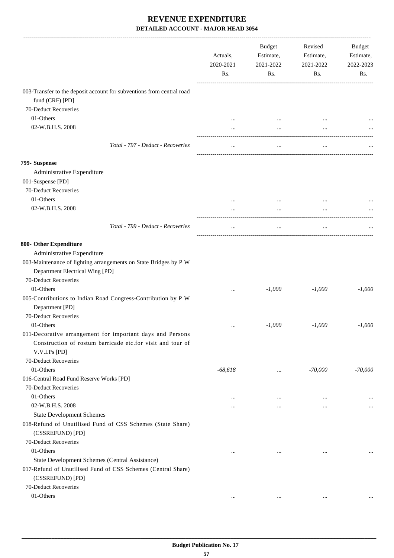|                                                                            | Actuals,<br>2020-2021<br>Rs. | <b>Budget</b><br>Estimate,<br>2021-2022<br>Rs. | Revised<br>Estimate,<br>2021-2022<br>Rs. | Budget<br>Estimate,<br>2022-2023<br>Rs. |
|----------------------------------------------------------------------------|------------------------------|------------------------------------------------|------------------------------------------|-----------------------------------------|
| 003-Transfer to the deposit account for subventions from central road      |                              |                                                |                                          |                                         |
| fund (CRF) [PD]                                                            |                              |                                                |                                          |                                         |
| 70-Deduct Recoveries                                                       |                              |                                                |                                          |                                         |
| 01-Others                                                                  |                              |                                                |                                          |                                         |
| 02-W.B.H.S. 2008                                                           |                              |                                                |                                          |                                         |
| Total - 797 - Deduct - Recoveries                                          | $\cdots$                     | $\cdots$                                       | $\cdots$                                 |                                         |
| 799- Suspense                                                              |                              |                                                |                                          |                                         |
| Administrative Expenditure                                                 |                              |                                                |                                          |                                         |
| 001-Suspense [PD]                                                          |                              |                                                |                                          |                                         |
| 70-Deduct Recoveries                                                       |                              |                                                |                                          |                                         |
| 01-Others                                                                  |                              |                                                |                                          |                                         |
| 02-W.B.H.S. 2008                                                           |                              | $\cdots$                                       | $\ddotsc$                                |                                         |
| Total - 799 - Deduct - Recoveries                                          | $\cdots$                     | $\ldots$                                       | $\cdots$                                 |                                         |
| 800- Other Expenditure                                                     |                              |                                                |                                          |                                         |
| Administrative Expenditure                                                 |                              |                                                |                                          |                                         |
| 003-Maintenance of lighting arrangements on State Bridges by P W           |                              |                                                |                                          |                                         |
| Department Electrical Wing [PD]                                            |                              |                                                |                                          |                                         |
| 70-Deduct Recoveries                                                       |                              |                                                |                                          |                                         |
| 01-Others<br>005-Contributions to Indian Road Congress-Contribution by P W |                              | $-1,000$                                       | $-1,000$                                 | $-1,000$                                |
| Department [PD]                                                            |                              |                                                |                                          |                                         |
| 70-Deduct Recoveries                                                       |                              |                                                |                                          |                                         |
| 01-Others                                                                  |                              | $-1,000$                                       | $-1,000$                                 | $-1,000$                                |
| 011-Decorative arrangement for important days and Persons                  |                              |                                                |                                          |                                         |
| Construction of rostum barricade etc.for visit and tour of                 |                              |                                                |                                          |                                         |
| V.V.I.Ps [PD]                                                              |                              |                                                |                                          |                                         |
| 70-Deduct Recoveries                                                       |                              |                                                |                                          |                                         |
| 01-Others<br>016-Central Road Fund Reserve Works [PD]                      | $-68,618$                    | $\cdots$                                       | $-70,000$                                | $-70,000$                               |
| 70-Deduct Recoveries                                                       |                              |                                                |                                          |                                         |
| 01-Others                                                                  |                              |                                                |                                          |                                         |
| 02-W.B.H.S. 2008                                                           |                              | $\cdots$                                       |                                          |                                         |
| <b>State Development Schemes</b>                                           | $\cdots$                     | $\cdots$                                       |                                          |                                         |
| 018-Refund of Unutilised Fund of CSS Schemes (State Share)                 |                              |                                                |                                          |                                         |
| (CSSREFUND) [PD]                                                           |                              |                                                |                                          |                                         |
| 70-Deduct Recoveries                                                       |                              |                                                |                                          |                                         |
| 01-Others                                                                  |                              |                                                | $\ddotsc$                                |                                         |
| State Development Schemes (Central Assistance)                             |                              |                                                |                                          |                                         |
| 017-Refund of Unutilised Fund of CSS Schemes (Central Share)               |                              |                                                |                                          |                                         |
| (CSSREFUND) [PD]                                                           |                              |                                                |                                          |                                         |
| 70-Deduct Recoveries                                                       |                              |                                                |                                          |                                         |
| 01-Others                                                                  | $\ddotsc$                    | $\cdots$                                       |                                          |                                         |
|                                                                            |                              |                                                |                                          |                                         |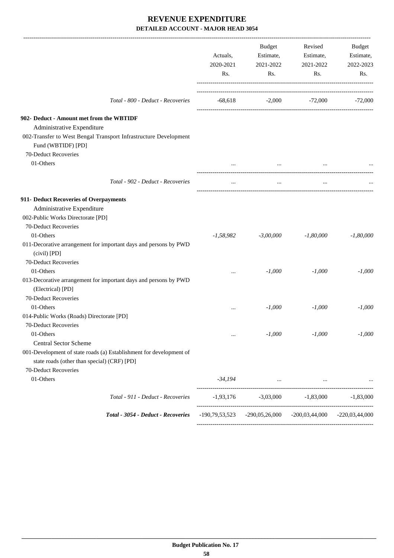|                                                                                                                    | Actuals,<br>2020-2021<br>Rs. | Budget<br>Estimate,<br>2021-2022<br>Rs.                             | Revised<br>Estimate,<br>2021-2022<br>Rs.     | Budget<br>Estimate,<br>2022-2023<br>Rs. |
|--------------------------------------------------------------------------------------------------------------------|------------------------------|---------------------------------------------------------------------|----------------------------------------------|-----------------------------------------|
| Total - 800 - Deduct - Recoveries                                                                                  |                              | $-68,618$ $-2,000$ $-72,000$ $-72,000$                              |                                              |                                         |
| 902- Deduct - Amount met from the WBTIDF                                                                           |                              |                                                                     |                                              |                                         |
| Administrative Expenditure                                                                                         |                              |                                                                     |                                              |                                         |
| 002-Transfer to West Bengal Transport Infrastructure Development<br>Fund (WBTIDF) [PD]                             |                              |                                                                     |                                              |                                         |
| 70-Deduct Recoveries                                                                                               |                              |                                                                     |                                              |                                         |
| 01-Others                                                                                                          | $\cdots$                     |                                                                     |                                              |                                         |
| Total - 902 - Deduct - Recoveries                                                                                  | $\cdots$                     | $\cdots$                                                            | $\cdots$                                     |                                         |
| 911- Deduct Recoveries of Overpayments                                                                             |                              |                                                                     |                                              |                                         |
| Administrative Expenditure                                                                                         |                              |                                                                     |                                              |                                         |
| 002-Public Works Directorate [PD]                                                                                  |                              |                                                                     |                                              |                                         |
| 70-Deduct Recoveries                                                                                               |                              |                                                                     |                                              |                                         |
| 01-Others                                                                                                          | $-1,58,982$                  | $-3,00,000$                                                         | $-1,80,000$                                  | $-1,80,000$                             |
| 011-Decorative arrangement for important days and persons by PWD<br>(civil) [PD]                                   |                              |                                                                     |                                              |                                         |
| 70-Deduct Recoveries                                                                                               |                              |                                                                     |                                              |                                         |
| 01-Others                                                                                                          |                              | $-1,000$                                                            | $-1,000$                                     | $-1,000$                                |
| 013-Decorative arrangement for important days and persons by PWD<br>(Electrical) [PD]                              |                              |                                                                     |                                              |                                         |
| 70-Deduct Recoveries                                                                                               |                              |                                                                     |                                              |                                         |
| 01-Others                                                                                                          | $\ddotsc$                    | $-1,000$                                                            | $-1,000$                                     | $-1,000$                                |
| 014-Public Works (Roads) Directorate [PD]                                                                          |                              |                                                                     |                                              |                                         |
| 70-Deduct Recoveries                                                                                               |                              |                                                                     |                                              |                                         |
| 01-Others                                                                                                          | $\cdots$                     | $-1,000$                                                            | $-1,000$                                     | $-1,000$                                |
| <b>Central Sector Scheme</b>                                                                                       |                              |                                                                     |                                              |                                         |
| 001-Development of state roads (a) Establishment for development of<br>state roads (other than special) (CRF) [PD] |                              |                                                                     |                                              |                                         |
| 70-Deduct Recoveries                                                                                               |                              |                                                                     |                                              |                                         |
| 01-Others                                                                                                          | -34,194                      |                                                                     | the control of the control of the control of |                                         |
| Total - 911 - Deduct - Recoveries                                                                                  | -1,93,176                    | $-3,03,000$                                                         | $-1,83,000$                                  | $-1,83,000$                             |
| Total - 3054 - Deduct - Recoveries                                                                                 |                              | $-190,79,53,523$ $-290,05,26,000$ $-200,03,44,000$ $-220,03,44,000$ |                                              |                                         |
|                                                                                                                    |                              |                                                                     |                                              |                                         |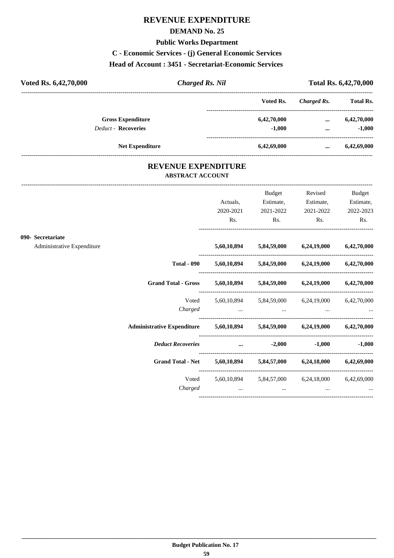# **REVENUE EXPENDITURE**

### **DEMAND No. 25**

### **Public Works Department**

**C - Economic Services - (j) General Economic Services**

### **Head of Account : 3451 - Secretariat-Economic Services**

| Voted Rs. 6,42,70,000      | <b>Charged Rs. Nil</b> |             | Total Rs. 6,42,70,000 |                  |
|----------------------------|------------------------|-------------|-----------------------|------------------|
|                            |                        | Voted Rs.   | Charged Rs.           | <b>Total Rs.</b> |
| <b>Gross Expenditure</b>   |                        | 6,42,70,000 | $\cdots$              | 6,42,70,000      |
| <b>Deduct - Recoveries</b> |                        | $-1,000$    | $\cdots$              | $-1,000$         |
| <b>Net Expenditure</b>     |                        | 6,42,69,000 |                       | 6,42,69,000      |

## **REVENUE EXPENDITURE ABSTRACT ACCOUNT**

---------------------------------------------------------------------------------------------------------------------------------------------------------------------------------

|                            |                                                                            |                       | <b>Budget</b>                                                       | Revised                                                             | <b>Budget</b>          |
|----------------------------|----------------------------------------------------------------------------|-----------------------|---------------------------------------------------------------------|---------------------------------------------------------------------|------------------------|
|                            |                                                                            | Actuals,<br>2020-2021 | Estimate,<br>2021-2022                                              | Estimate,<br>2021-2022                                              | Estimate,<br>2022-2023 |
|                            |                                                                            | Rs.                   | $\mathbf{Rs.}$                                                      | $\mathbf{Rs.}$                                                      | Rs.                    |
| 090- Secretariate          |                                                                            |                       |                                                                     |                                                                     |                        |
| Administrative Expenditure |                                                                            |                       |                                                                     | 5,60,10,894 5,84,59,000 6,24,19,000 6,42,70,000                     |                        |
|                            |                                                                            |                       |                                                                     | Total - 090 $5,60,10,894$ $5,84,59,000$ $6,24,19,000$ $6,42,70,000$ |                        |
|                            | Grand Total - Gross 5,60,10,894 5,84,59,000 6,24,19,000 6,42,70,000        |                       |                                                                     |                                                                     |                        |
|                            |                                                                            |                       |                                                                     | Voted 5,60,10,894 5,84,59,000 6,24,19,000 6,42,70,000               |                        |
|                            |                                                                            |                       |                                                                     |                                                                     |                        |
|                            | Administrative Expenditure 5,60,10,894 5,84,59,000 6,24,19,000 6,42,70,000 |                       |                                                                     |                                                                     |                        |
|                            | Deduct Recoveries  2,000                                                   |                       |                                                                     |                                                                     | $-1,000$ $-1,000$      |
|                            | Grand Total - Net 5,60,10,894 5,84,57,000 6,24,18,000 6,42,69,000          |                       |                                                                     |                                                                     |                        |
|                            |                                                                            |                       |                                                                     | Voted 5,60,10,894 5,84,57,000 6,24,18,000 6,42,69,000               |                        |
|                            | Charged                                                                    |                       | the contract of the contract of the contract of the contract of the | $\cdots$                                                            |                        |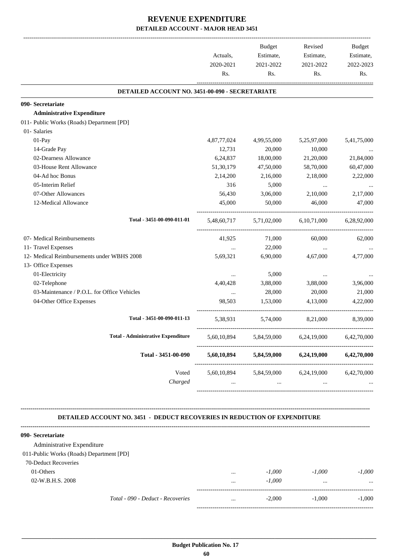| DETAILED ACCOUNT NO. 3451-00-090 - SECRETARIATE<br>090- Secretariate<br><b>Administrative Expenditure</b> |             |                         |                |             |
|-----------------------------------------------------------------------------------------------------------|-------------|-------------------------|----------------|-------------|
|                                                                                                           |             |                         |                |             |
|                                                                                                           |             |                         |                |             |
|                                                                                                           |             |                         |                |             |
| 011- Public Works (Roads) Department [PD]                                                                 |             |                         |                |             |
| 01- Salaries                                                                                              |             |                         |                |             |
| 01-Pay                                                                                                    | 4,87,77,024 | 4,99,55,000             | 5,25,97,000    | 5,41,75,000 |
| 14-Grade Pay                                                                                              | 12,731      | 20,000                  | 10,000         |             |
| 02-Dearness Allowance                                                                                     | 6,24,837    | 18,00,000               | 21,20,000      | 21,84,000   |
| 03-House Rent Allowance                                                                                   | 51, 30, 179 | 47,50,000               | 58,70,000      | 60,47,000   |
| 04-Ad hoc Bonus                                                                                           | 2,14,200    | 2,16,000                | 2,18,000       | 2,22,000    |
| 05-Interim Relief                                                                                         | 316         | 5,000                   | $\ldots$       | $\cdots$    |
| 07-Other Allowances                                                                                       | 56,430      | 3,06,000                | 2,10,000       | 2,17,000    |
| 12-Medical Allowance                                                                                      | 45,000      | 50,000                  | 46,000         | 47,000      |
| Total - 3451-00-090-011-01                                                                                |             | 5,48,60,717 5,71,02,000 | 6, 10, 71, 000 | 6.28.92.000 |
| 07- Medical Reimbursements                                                                                | 41,925      | 71,000                  | 60,000         | 62,000      |
| 11- Travel Expenses                                                                                       | $\cdots$    | 22,000                  | $\cdots$       |             |
| 12- Medical Reimbursements under WBHS 2008                                                                | 5,69,321    | 6,90,000                | 4,67,000       | 4,77,000    |
| 13- Office Expenses                                                                                       |             |                         |                |             |
| 01-Electricity                                                                                            | $\cdots$    | 5,000                   | $\cdots$       |             |
| 02-Telephone                                                                                              | 4,40,428    | 3,88,000                | 3,88,000       | 3,96,000    |
| 03-Maintenance / P.O.L. for Office Vehicles                                                               | $\ddots$    | 28,000                  | 20,000         | 21,000      |
| 04-Other Office Expenses                                                                                  | 98,503      | 1,53,000                | 4,13,000       | 4,22,000    |
| Total - 3451-00-090-011-13                                                                                | 5,38,931    | 5,74,000                | 8,21,000       | 8,39,000    |
| <b>Total - Administrative Expenditure</b>                                                                 | 5,60,10,894 | 5,84,59,000             | 6,24,19,000    | 6,42,70,000 |
| Total - 3451-00-090                                                                                       | 5,60,10,894 | 5,84,59,000             | 6,24,19,000    | 6,42,70,000 |
| Voted                                                                                                     | 5,60,10,894 | 5,84,59,000             | 6,24,19,000    | 6,42,70,000 |
| Charged                                                                                                   |             |                         |                |             |

 **DETAILED ACCOUNT NO. 3451 - DEDUCT RECOVERIES IN REDUCTION OF EXPENDITURE**

| 090- Secretariate                        |          |          |          |           |
|------------------------------------------|----------|----------|----------|-----------|
| Administrative Expenditure               |          |          |          |           |
| 011-Public Works (Roads) Department [PD] |          |          |          |           |
| 70-Deduct Recoveries                     |          |          |          |           |
| 01-Others                                | $\cdots$ | $-1,000$ | $-1.000$ | $-1,000$  |
| 02-W.B.H.S. 2008                         | $\cdots$ | $-1,000$ |          | $\ddotsc$ |
| Total - 090 - Deduct - Recoveries        | $\cdots$ | $-2,000$ | $-1.000$ | $-1,000$  |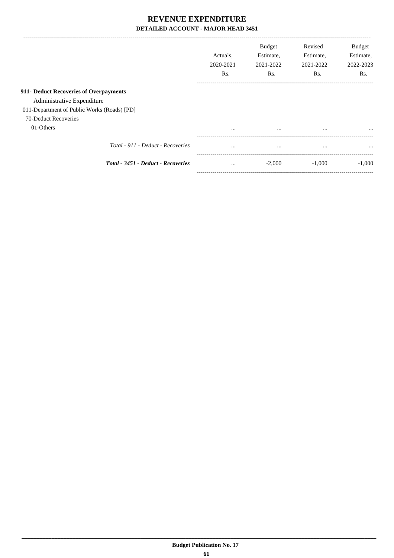|                                             | Actuals.<br>2020-2021<br>Rs. | <b>Budget</b><br>Estimate,<br>2021-2022<br>Rs. | Revised<br>Estimate,<br>2021-2022<br>Rs. | Budget<br>Estimate,<br>2022-2023<br>Rs. |
|---------------------------------------------|------------------------------|------------------------------------------------|------------------------------------------|-----------------------------------------|
|                                             |                              |                                                |                                          |                                         |
| 911- Deduct Recoveries of Overpayments      |                              |                                                |                                          |                                         |
| Administrative Expenditure                  |                              |                                                |                                          |                                         |
| 011-Department of Public Works (Roads) [PD] |                              |                                                |                                          |                                         |
| 70-Deduct Recoveries                        |                              |                                                |                                          |                                         |
| 01-Others                                   | $\cdots$                     | $\cdots$                                       | $\cdots$                                 | $\cdots$                                |
| Total - 911 - Deduct - Recoveries           | $\cdots$                     | $\cdots$                                       | $\cdots$                                 | $\cdots$                                |
| Total - 3451 - Deduct - Recoveries          | $\cdots$                     | $-2,000$                                       | $-1,000$                                 | $-1.000$                                |

-----------------------------------------------------------------------------------------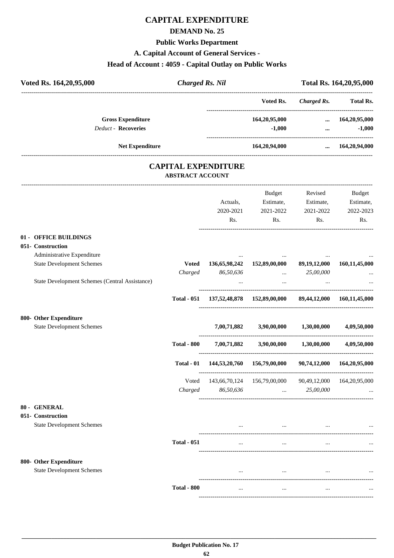# **CAPITAL EXPENDITURE**

## **DEMAND No. 25**

# **Public Works Department**

## **A. Capital Account of General Services -**

## **Head of Account : 4059 - Capital Outlay on Public Works**

| Voted Rs. 164, 20, 95, 000                             | <b>Charged Rs. Nil</b>                                |                              |                                                        |                                          | Total Rs. 164, 20, 95, 000                           |
|--------------------------------------------------------|-------------------------------------------------------|------------------------------|--------------------------------------------------------|------------------------------------------|------------------------------------------------------|
|                                                        |                                                       |                              | Voted Rs.                                              | <b>Charged Rs.</b>                       | <b>Total Rs.</b>                                     |
| <b>Gross Expenditure</b><br><b>Deduct - Recoveries</b> |                                                       |                              | 164,20,95,000<br>$-1,000$                              |                                          | $\dots$ 164,20,95,000<br>$-1,000$<br><b>ALCOHOL:</b> |
| Net Expenditure                                        |                                                       |                              | 164,20,94,000                                          |                                          | $\dots$ 164,20,94,000                                |
|                                                        | <b>CAPITAL EXPENDITURE</b><br><b>ABSTRACT ACCOUNT</b> |                              |                                                        |                                          |                                                      |
|                                                        |                                                       | Actuals,<br>2020-2021<br>Rs. | Budget<br>Estimate,<br>2021-2022<br>Rs.                | Revised<br>Estimate,<br>2021-2022<br>Rs. | Budget<br>Estimate,<br>2022-2023<br>Rs.              |
| 01 - OFFICE BUILDINGS                                  |                                                       |                              |                                                        |                                          |                                                      |
| 051- Construction                                      |                                                       |                              |                                                        |                                          |                                                      |
| Administrative Expenditure                             |                                                       |                              |                                                        |                                          |                                                      |
| <b>State Development Schemes</b>                       | <b>Voted</b>                                          |                              | 136,65,98,242 152,89,00,000 89,19,12,000               |                                          | 160,11,45,000                                        |
| State Development Schemes (Central Assistance)         | Charged                                               | 86,50,636<br>$\cdots$        | <b>Contract Contract</b><br>$\ldots$                   | 25,00,000<br>$\cdots$                    | $\ddotsc$                                            |
|                                                        | <b>Total - 051</b>                                    |                              | 137,52,48,878 152,89,00,000 89,44,12,000 160,11,45,000 |                                          |                                                      |
| 800- Other Expenditure                                 |                                                       |                              |                                                        |                                          |                                                      |
| <b>State Development Schemes</b>                       |                                                       |                              | $7,00,71,882$ $3,90,00,000$ $1,30,00,000$              |                                          | 4,09,50,000                                          |
|                                                        | <b>Total - 800</b>                                    |                              | $7,00,71,882$ $3,90,00,000$ $1,30,00,000$              |                                          | 4,09,50,000                                          |
|                                                        | Total - 01                                            |                              | 144,53,20,760 156,79,00,000                            |                                          | 90,74,12,000 164,20,95,000                           |
|                                                        | Voted                                                 |                              | 143,66,70,124 156,79,00,000                            | 90,49,12,000 164,20,95,000               |                                                      |
|                                                        | Charged                                               | 86,50,636                    | $\cdots$                                               | 25,00,000                                |                                                      |
| 80 - GENERAL                                           |                                                       |                              |                                                        |                                          |                                                      |
| 051- Construction                                      |                                                       |                              |                                                        |                                          |                                                      |
| <b>State Development Schemes</b>                       |                                                       |                              | $\cdots$                                               |                                          |                                                      |
|                                                        | <b>Total - 051</b>                                    | $\cdots$                     | $\ddotsc$                                              |                                          |                                                      |
| 800- Other Expenditure                                 |                                                       |                              |                                                        |                                          |                                                      |
| <b>State Development Schemes</b>                       |                                                       |                              | $\cdots$                                               |                                          |                                                      |
|                                                        | <b>Total - 800</b>                                    | $\cdots$                     | $\cdots$                                               | $\cdots$                                 |                                                      |

----------------------------------------------------------------------------------------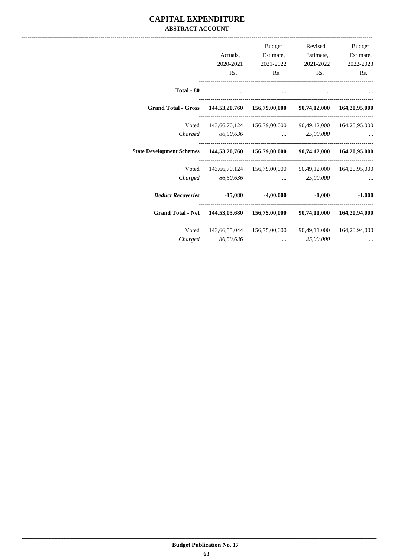## **CAPITAL EXPENDITURE ABSTRACT ACCOUNT**

| <b>Budget</b>        | Revised   | Budget                                                       |           |                                                                                  |
|----------------------|-----------|--------------------------------------------------------------|-----------|----------------------------------------------------------------------------------|
| Estimate,            | Estimate, | Estimate,                                                    | Actuals,  |                                                                                  |
| 2022-2023            | 2021-2022 | 2021-2022                                                    | 2020-2021 |                                                                                  |
| Rs.                  | Rs.       | Rs.                                                          | Rs.       |                                                                                  |
|                      |           | $\cdots$                                                     | $\cdots$  | Total - 80                                                                       |
|                      |           |                                                              |           | Grand Total - Gross 144,53,20,760 156,79,00,000 90,74,12,000 164,20,95,000       |
|                      |           | Voted 143,66,70,124 156,79,00,000 90,49,12,000 164,20,95,000 |           |                                                                                  |
|                      |           | Charged 86,50,636  25,00,000                                 |           |                                                                                  |
|                      |           |                                                              |           | State Development Schemes 144,53,20,760 156,79,00,000 90,74,12,000 164,20,95,000 |
|                      |           | 143,66,70,124 156,79,00,000 90,49,12,000 164,20,95,000       |           | Voted                                                                            |
|                      |           | 86,50,636  25,00,000                                         |           | Charged                                                                          |
| $-1,000$<br>$-1,000$ |           |                                                              |           | <i>Deduct Recoveries</i> -15,080 -4,00,000                                       |
|                      |           |                                                              |           | Grand Total - Net 144,53,05,680 156,75,00,000 90,74,11,000 164,20,94,000         |
|                      |           | 143,66,55,044  156,75,00,000  90,49,11,000  164,20,94,000    |           | Voted                                                                            |
|                      |           | $\ldots$ 25,00,000                                           | 86,50,636 | Charged                                                                          |
|                      |           |                                                              |           |                                                                                  |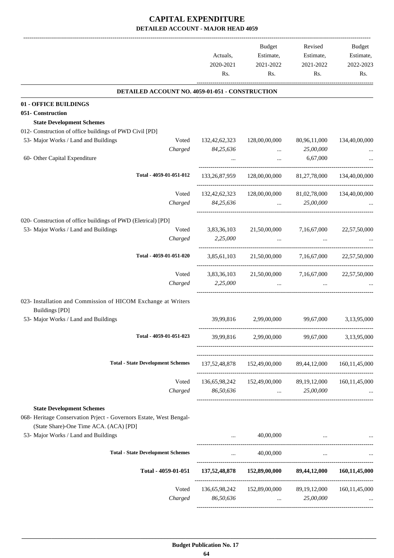|                                                                                        | Actuals,<br>2020-2021<br>Rs. | <b>Budget</b><br>Estimate,<br>2021-2022<br>Rs.         | Revised<br>Estimate,<br>2021-2022<br>Rs.                  | Budget<br>Estimate,<br>2022-2023<br>Rs. |
|----------------------------------------------------------------------------------------|------------------------------|--------------------------------------------------------|-----------------------------------------------------------|-----------------------------------------|
| DETAILED ACCOUNT NO. 4059-01-051 - CONSTRUCTION                                        |                              |                                                        |                                                           |                                         |
| 01 - OFFICE BUILDINGS                                                                  |                              |                                                        |                                                           |                                         |
| 051- Construction                                                                      |                              |                                                        |                                                           |                                         |
| <b>State Development Schemes</b>                                                       |                              |                                                        |                                                           |                                         |
| 012- Construction of office buildings of PWD Civil [PD]                                |                              |                                                        |                                                           |                                         |
| 53- Major Works / Land and Buildings<br>Voted                                          | 132, 42, 62, 323             | 128,00,00,000                                          | 80,96,11,000                                              | 134,40,00,000                           |
| Charged                                                                                | 84,25,636                    |                                                        | 25,00,000                                                 |                                         |
| 60- Other Capital Expenditure                                                          |                              |                                                        | 6,67,000                                                  |                                         |
| Total - 4059-01-051-012                                                                | 133,26,87,959                | 128,00,00,000                                          | 81,27,78,000                                              | 134,40,00,000                           |
|                                                                                        |                              |                                                        |                                                           |                                         |
| Voted                                                                                  | 132, 42, 62, 323             | 128,00,00,000                                          | 81,02,78,000                                              | 134,40,00,000                           |
| Charged                                                                                | 84,25,636                    | $\ddotsc$                                              | 25,00,000                                                 |                                         |
| 020- Construction of office buildings of PWD (Eletrical) [PD]                          |                              |                                                        |                                                           |                                         |
| 53- Major Works / Land and Buildings<br>Voted                                          | 3,83,36,103                  | 21,50,00,000                                           | 7,16,67,000                                               | 22,57,50,000                            |
| Charged                                                                                | 2,25,000                     | $\ddots$                                               |                                                           |                                         |
|                                                                                        |                              |                                                        |                                                           |                                         |
| Total - 4059-01-051-020                                                                |                              | 3,85,61,103 21,50,00,000 7,16,67,000                   |                                                           | 22,57,50,000                            |
| Voted                                                                                  | 3,83,36,103                  | 21,50,00,000                                           | 7,16,67,000                                               | 22,57,50,000                            |
| Charged                                                                                | 2,25,000                     |                                                        |                                                           |                                         |
|                                                                                        |                              |                                                        |                                                           |                                         |
| 023- Installation and Commission of HICOM Exchange at Writers<br><b>Buildings [PD]</b> |                              |                                                        |                                                           |                                         |
| 53- Major Works / Land and Buildings                                                   | 39,99,816                    | 2,99,00,000                                            | 99,67,000                                                 | 3,13,95,000                             |
| Total - 4059-01-051-023                                                                | 39,99,816                    | 2,99,00,000                                            | 99,67,000                                                 | 3,13,95,000                             |
| <b>Total - State Development Schemes</b>                                               |                              | 137,52,48,878 152,49,00,000 89,44,12,000 160,11,45,000 |                                                           |                                         |
|                                                                                        |                              |                                                        |                                                           |                                         |
| Voted                                                                                  |                              | 136,65,98,242 152,49,00,000 89,19,12,000               |                                                           | 160, 11, 45, 000                        |
| Charged                                                                                | 86,50,636                    |                                                        | $\ldots$ 25,00,000                                        |                                         |
|                                                                                        |                              |                                                        |                                                           |                                         |
| <b>State Development Schemes</b>                                                       |                              |                                                        |                                                           |                                         |
| 068- Heritage Conservation Priect - Governors Estate, West Bengal-                     |                              |                                                        |                                                           |                                         |
| (State Share)-One Time ACA. (ACA) [PD]                                                 |                              |                                                        |                                                           |                                         |
| 53- Major Works / Land and Buildings                                                   |                              | 40,00,000                                              | $\cdots$                                                  |                                         |
| <b>Total - State Development Schemes</b>                                               | $\cdots$                     | 40,00,000                                              | $\cdots$                                                  |                                         |
| Total - 4059-01-051                                                                    | 137,52,48,878                |                                                        | 152,89,00,000 89,44,12,000                                | 160, 11, 45, 000                        |
|                                                                                        |                              |                                                        |                                                           |                                         |
| Voted                                                                                  |                              | 136,65,98,242 152,89,00,000 89,19,12,000 160,11,45,000 |                                                           |                                         |
| Charged                                                                                | 86,50,636                    |                                                        | 25,00,000<br>$\mathbf{r}$ , and the state of $\mathbf{r}$ |                                         |
|                                                                                        |                              |                                                        |                                                           |                                         |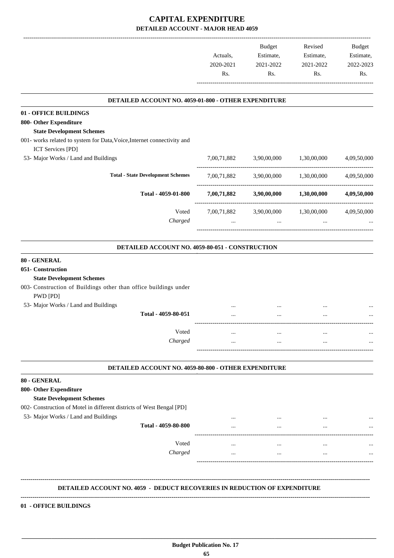|           | Budget    | Revised   | <b>Budget</b> |
|-----------|-----------|-----------|---------------|
| Actuals.  | Estimate, | Estimate, | Estimate,     |
| 2020-2021 | 2021-2022 | 2021-2022 | 2022-2023     |
| Rs.       | Rs.       | Rs.       | Rs.           |
|           |           |           |               |

.

#### **DETAILED ACCOUNT NO. 4059-01-800 - OTHER EXPENDITURE**

| 01 - OFFICE BUILDINGS                                                        |             |             |             |             |
|------------------------------------------------------------------------------|-------------|-------------|-------------|-------------|
| 800- Other Expenditure                                                       |             |             |             |             |
| <b>State Development Schemes</b>                                             |             |             |             |             |
| 001- works related to system for Data, Voice, Internet connectivity and      |             |             |             |             |
| <b>ICT Services [PD]</b>                                                     |             |             |             |             |
| 53- Major Works / Land and Buildings                                         | 7,00,71,882 | 3,90,00,000 | 1,30,00,000 | 4,09,50,000 |
| <b>Total - State Development Schemes</b>                                     | 7,00,71,882 | 3,90,00,000 | 1,30,00,000 | 4,09,50,000 |
| Total - 4059-01-800                                                          | 7,00,71,882 | 3,90,00,000 | 1,30,00,000 | 4,09,50,000 |
| Voted                                                                        | 7,00,71,882 | 3,90,00,000 | 1,30,00,000 | 4,09,50,000 |
| Charged                                                                      | $\cdots$    | $\cdots$    | $\cdots$    |             |
| DETAILED ACCOUNT NO. 4059-80-051 - CONSTRUCTION                              |             |             |             |             |
| 80 - GENERAL                                                                 |             |             |             |             |
| 051- Construction                                                            |             |             |             |             |
| <b>State Development Schemes</b>                                             |             |             |             |             |
| 003- Construction of Buildings other than office buildings under<br>PWD [PD] |             |             |             |             |
| 53- Major Works / Land and Buildings                                         |             |             |             |             |
| Total - 4059-80-051                                                          |             |             |             |             |
| Voted                                                                        | $\cdots$    | $\cdots$    | $\cdots$    |             |
| Charged                                                                      | $\ddotsc$   | $\ddotsc$   | $\cdots$    | $\cdots$    |
| DETAILED ACCOUNT NO. 4059-80-800 - OTHER EXPENDITURE                         |             |             |             |             |
| 80 - GENERAL                                                                 |             |             |             |             |
| 800- Other Expenditure                                                       |             |             |             |             |
| <b>State Development Schemes</b>                                             |             |             |             |             |
| 002- Construction of Motel in different districts of West Bengal [PD]        |             |             |             |             |
| 53- Major Works / Land and Buildings                                         |             |             |             |             |
| Total - 4059-80-800                                                          |             |             |             |             |
| Voted                                                                        |             |             |             |             |
| Charged                                                                      |             |             |             |             |
|                                                                              |             |             |             |             |

#### **DETAILED ACCOUNT NO. 4059 - DEDUCT RECOVERIES IN REDUCTION OF EXPENDITURE**

# **--------------------------------------------------------------------------------------------------------------------------------------------------------------------------------**

 **\_\_\_\_\_\_\_\_\_\_\_\_\_\_\_\_\_\_\_\_\_\_\_\_\_\_\_\_\_\_\_\_\_\_\_\_\_\_\_\_\_\_\_\_\_\_\_\_\_\_\_\_\_\_\_\_\_\_\_\_\_\_\_\_\_\_\_\_\_\_\_\_\_\_\_\_\_\_\_\_\_\_\_\_\_\_\_\_\_\_\_\_\_\_\_\_\_\_\_\_\_\_\_\_\_\_\_\_\_\_\_\_\_\_\_\_\_\_\_**

#### **01 - OFFICE BUILDINGS**

**--------------------------------------------------------------------------------------------------------------------------------------------------------------------------------**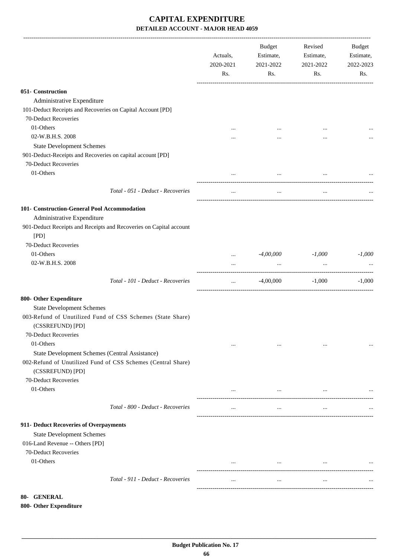|                                                                                                                                       | Actuals,<br>2020-2021<br>Rs. | Budget<br>Estimate,<br>2021-2022<br>Rs. | Revised<br>Estimate,<br>2021-2022<br>Rs.                                                                                                                                                                                                                                                                                                                                                                                                               | Budget<br>Estimate,<br>2022-2023<br>Rs. |
|---------------------------------------------------------------------------------------------------------------------------------------|------------------------------|-----------------------------------------|--------------------------------------------------------------------------------------------------------------------------------------------------------------------------------------------------------------------------------------------------------------------------------------------------------------------------------------------------------------------------------------------------------------------------------------------------------|-----------------------------------------|
| 051- Construction                                                                                                                     |                              |                                         |                                                                                                                                                                                                                                                                                                                                                                                                                                                        |                                         |
| Administrative Expenditure                                                                                                            |                              |                                         |                                                                                                                                                                                                                                                                                                                                                                                                                                                        |                                         |
| 101-Deduct Receipts and Recoveries on Capital Account [PD]                                                                            |                              |                                         |                                                                                                                                                                                                                                                                                                                                                                                                                                                        |                                         |
| 70-Deduct Recoveries                                                                                                                  |                              |                                         |                                                                                                                                                                                                                                                                                                                                                                                                                                                        |                                         |
| 01-Others                                                                                                                             |                              |                                         |                                                                                                                                                                                                                                                                                                                                                                                                                                                        |                                         |
| 02-W.B.H.S. 2008                                                                                                                      |                              |                                         |                                                                                                                                                                                                                                                                                                                                                                                                                                                        |                                         |
| <b>State Development Schemes</b>                                                                                                      |                              |                                         |                                                                                                                                                                                                                                                                                                                                                                                                                                                        |                                         |
| 901-Deduct-Receipts and Recoveries on capital account [PD]                                                                            |                              |                                         |                                                                                                                                                                                                                                                                                                                                                                                                                                                        |                                         |
| 70-Deduct Recoveries                                                                                                                  |                              |                                         |                                                                                                                                                                                                                                                                                                                                                                                                                                                        |                                         |
| 01-Others                                                                                                                             |                              |                                         |                                                                                                                                                                                                                                                                                                                                                                                                                                                        |                                         |
|                                                                                                                                       |                              | $\cdots$                                | $\cdots$                                                                                                                                                                                                                                                                                                                                                                                                                                               |                                         |
| Total - 051 - Deduct - Recoveries                                                                                                     |                              | $\cdots$                                | $\cdots$                                                                                                                                                                                                                                                                                                                                                                                                                                               |                                         |
| 101- Construction-General Pool Accommodation                                                                                          |                              |                                         |                                                                                                                                                                                                                                                                                                                                                                                                                                                        |                                         |
| Administrative Expenditure                                                                                                            |                              |                                         |                                                                                                                                                                                                                                                                                                                                                                                                                                                        |                                         |
| 901-Deduct Receipts and Receipts and Recoveries on Capital account<br>[PD]                                                            |                              |                                         |                                                                                                                                                                                                                                                                                                                                                                                                                                                        |                                         |
| 70-Deduct Recoveries                                                                                                                  |                              |                                         |                                                                                                                                                                                                                                                                                                                                                                                                                                                        |                                         |
| 01-Others                                                                                                                             | $\cdots$                     | -4,00,000                               | $-1,000$                                                                                                                                                                                                                                                                                                                                                                                                                                               | $-1,000$                                |
| 02-W.B.H.S. 2008                                                                                                                      | $\cdots$                     | $\cdots$                                | $\ddots$                                                                                                                                                                                                                                                                                                                                                                                                                                               |                                         |
| Total - 101 - Deduct - Recoveries                                                                                                     | $\cdots$                     | $-4,00,000$                             | $-1,000$                                                                                                                                                                                                                                                                                                                                                                                                                                               | $-1,000$                                |
| 800- Other Expenditure                                                                                                                |                              |                                         |                                                                                                                                                                                                                                                                                                                                                                                                                                                        |                                         |
| <b>State Development Schemes</b>                                                                                                      |                              |                                         |                                                                                                                                                                                                                                                                                                                                                                                                                                                        |                                         |
| 003-Refund of Unutilized Fund of CSS Schemes (State Share)<br>(CSSREFUND) [PD]                                                        |                              |                                         |                                                                                                                                                                                                                                                                                                                                                                                                                                                        |                                         |
| 70-Deduct Recoveries                                                                                                                  |                              |                                         |                                                                                                                                                                                                                                                                                                                                                                                                                                                        |                                         |
| 01-Others                                                                                                                             | $\cdots$                     | $\ldots$                                | $\cdots$                                                                                                                                                                                                                                                                                                                                                                                                                                               |                                         |
| State Development Schemes (Central Assistance)<br>002-Refund of Unutilized Fund of CSS Schemes (Central Share)<br>(CSSREFUND) [PD]    |                              |                                         |                                                                                                                                                                                                                                                                                                                                                                                                                                                        |                                         |
| 70-Deduct Recoveries                                                                                                                  |                              |                                         |                                                                                                                                                                                                                                                                                                                                                                                                                                                        |                                         |
| 01-Others                                                                                                                             | $\cdots$                     |                                         | $\mathbf{1}_{\mathbf{1}_{\mathbf{1}_{\mathbf{2}}\mathbf{1}_{\mathbf{3}}\mathbf{1}_{\mathbf{4}}\mathbf{1}_{\mathbf{5}}\mathbf{1}_{\mathbf{6}}\mathbf{1}_{\mathbf{7}}\mathbf{1}_{\mathbf{8}}\mathbf{1}_{\mathbf{9}}\mathbf{1}_{\mathbf{1}_{\mathbf{1}}\mathbf{1}_{\mathbf{1}}\mathbf{1}_{\mathbf{1}}\mathbf{1}_{\mathbf{1}}\mathbf{1}_{\mathbf{1}}\mathbf{1}_{\mathbf{1}}\mathbf{1}_{\mathbf{1}}\mathbf{1}_{\mathbf{1}}\mathbf{1}_{\mathbf{$<br>$\cdots$ |                                         |
| Total - 800 - Deduct - Recoveries                                                                                                     | $\cdots$                     | $\cdots$                                | $\cdots$                                                                                                                                                                                                                                                                                                                                                                                                                                               |                                         |
| 911- Deduct Recoveries of Overpayments<br><b>State Development Schemes</b><br>016-Land Revenue -- Others [PD]<br>70-Deduct Recoveries |                              |                                         |                                                                                                                                                                                                                                                                                                                                                                                                                                                        |                                         |
| 01-Others                                                                                                                             | $\cdots$                     | $\cdots$                                | $\cdots$                                                                                                                                                                                                                                                                                                                                                                                                                                               |                                         |
| Total - 911 - Deduct - Recoveries                                                                                                     | $\cdots$                     | $\cdots$                                | $\cdots$                                                                                                                                                                                                                                                                                                                                                                                                                                               |                                         |
|                                                                                                                                       |                              |                                         |                                                                                                                                                                                                                                                                                                                                                                                                                                                        |                                         |

# **80- GENERAL**

## **800- Other Expenditure**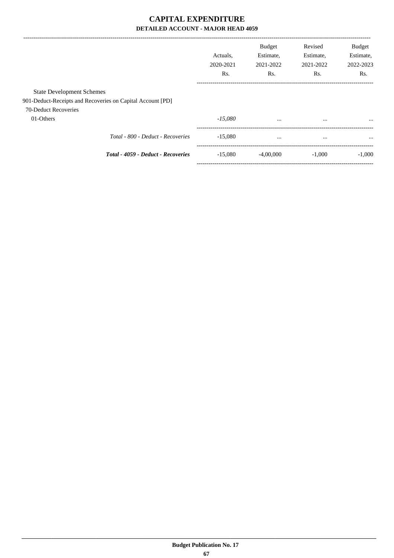|                                  |                                                            | Actuals.<br>2020-2021<br>R <sub>s</sub> . | <b>Budget</b><br>Estimate,<br>2021-2022<br>Rs. | Revised<br>Estimate,<br>2021-2022<br>Rs. | <b>Budget</b><br>Estimate,<br>2022-2023<br>Rs. |
|----------------------------------|------------------------------------------------------------|-------------------------------------------|------------------------------------------------|------------------------------------------|------------------------------------------------|
| <b>State Development Schemes</b> |                                                            |                                           |                                                |                                          |                                                |
|                                  | 901-Deduct-Receipts and Recoveries on Capital Account [PD] |                                           |                                                |                                          |                                                |
| 70-Deduct Recoveries             |                                                            |                                           |                                                |                                          |                                                |
| 01-Others                        |                                                            | $-15,080$                                 | $\cdots$                                       | $\cdots$                                 | $\cdots$                                       |
|                                  | Total - 800 - Deduct - Recoveries                          | $-15.080$                                 | $\cdots$                                       | $\cdots$                                 | $\cdots$                                       |
|                                  | <b>Total - 4059 - Deduct - Recoveries</b>                  | $-15,080$                                 | $-4.00,000$                                    | $-1.000$                                 | $-1,000$                                       |
|                                  |                                                            |                                           |                                                |                                          |                                                |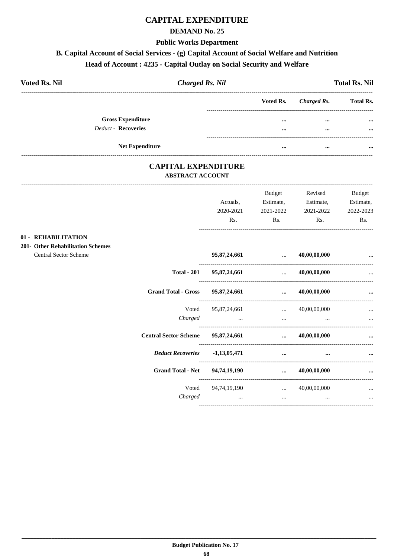# **CAPITAL EXPENDITURE**

## **DEMAND No. 25**

### **Public Works Department**

# B. Capital Account of Social Services - (g) Capital Account of Social Welfare and Nutrition

# Head of Account: 4235 - Capital Outlay on Social Security and Welfare

| <b>Voted Rs. Nil</b> | <b>Charged Rs. Nil</b>   |  |          |                       | <b>Total Rs. Nil</b> |  |
|----------------------|--------------------------|--|----------|-----------------------|----------------------|--|
|                      |                          |  |          | Voted Rs. Charged Rs. | <b>Total Rs.</b>     |  |
|                      | <b>Gross Expenditure</b> |  |          | $\cdots$              | $\cdots$             |  |
|                      | Deduct - Recoveries      |  |          |                       |                      |  |
|                      |                          |  |          |                       |                      |  |
|                      | <b>Net Expenditure</b>   |  | $\cdots$ | $\cdots$              |                      |  |

## **CAPITAL EXPENDITURE ABSTRACT ACCOUNT**

|                                                                 |                              |                                  | Budget                                                                                                           | Revised                | Budget                 |
|-----------------------------------------------------------------|------------------------------|----------------------------------|------------------------------------------------------------------------------------------------------------------|------------------------|------------------------|
|                                                                 |                              | Actuals,<br>2020-2021            | Estimate,<br>2021-2022                                                                                           | Estimate,<br>2021-2022 | Estimate,<br>2022-2023 |
|                                                                 |                              | Rs.                              | Rs.                                                                                                              | Rs.                    | Rs.                    |
| 01 - REHABILITATION<br><b>201- Other Rehabilitation Schemes</b> |                              |                                  |                                                                                                                  |                        |                        |
| Central Sector Scheme                                           |                              |                                  | 95,87,24,661  40,00,00,000                                                                                       |                        |                        |
|                                                                 | <b>Total - 201</b>           | 95,87,24,661                     | $\ldots$ 40,00,00,000                                                                                            |                        |                        |
|                                                                 | <b>Grand Total - Gross</b>   | 95,87,24,661                     | $\dots$ 40,00,00,000                                                                                             |                        | $\cdots$               |
|                                                                 |                              | Voted 95,87,24,661  40,00,00,000 |                                                                                                                  |                        | $\cdots$               |
|                                                                 | Charged                      |                                  | and the control of the control of the control of the control of the control of the control of the control of the |                        | $\cdots$               |
|                                                                 | <b>Central Sector Scheme</b> | 95,87,24,661                     |                                                                                                                  | $\dots$ 40,00,00,000   |                        |
|                                                                 | <b>Deduct Recoveries</b>     | $-1,13,05,471$                   | $\cdots$                                                                                                         |                        |                        |
|                                                                 | <b>Grand Total - Net</b>     | 94,74,19,190                     |                                                                                                                  | $\dots$ 40,00,00,000   | $\cdots$               |
|                                                                 | Voted                        | 94,74,19,190                     |                                                                                                                  | $\ldots$ 40,00,00,000  | $\cdots$               |
|                                                                 | Charged                      | $\cdots$                         | $\cdots$                                                                                                         | $\cdots$               | $\cdots$               |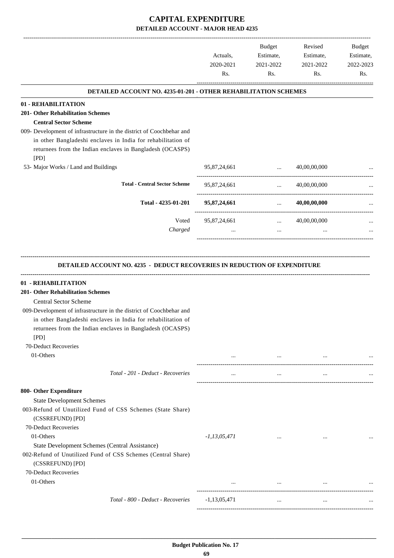-------------------------------------------------------------------------------------------------------------------------------------------------------------------------------

|                                                                                                                                                                                                                                                                                                                                                 | Actuals,<br>2020-2021     | <b>Budget</b><br>Estimate,<br>2021-2022 | Revised<br>Estimate,<br>2021-2022 | <b>Budget</b><br>Estimate,<br>2022-2023 |
|-------------------------------------------------------------------------------------------------------------------------------------------------------------------------------------------------------------------------------------------------------------------------------------------------------------------------------------------------|---------------------------|-----------------------------------------|-----------------------------------|-----------------------------------------|
|                                                                                                                                                                                                                                                                                                                                                 | Rs.                       | Rs.                                     | Rs.                               | Rs.                                     |
| <b>DETAILED ACCOUNT NO. 4235-01-201 - OTHER REHABILITATION SCHEMES</b>                                                                                                                                                                                                                                                                          |                           |                                         |                                   |                                         |
| 01 - REHABILITATION<br><b>201- Other Rehabilitation Schemes</b><br><b>Central Sector Scheme</b>                                                                                                                                                                                                                                                 |                           |                                         |                                   |                                         |
| 009- Development of infrastructure in the district of Coochbehar and<br>in other Bangladeshi enclaves in India for rehabilitation of<br>returnees from the Indian enclaves in Bangladesh (OCASPS)<br>[PD]                                                                                                                                       |                           |                                         |                                   |                                         |
| 53- Major Works / Land and Buildings                                                                                                                                                                                                                                                                                                            | 95,87,24,661              | $\ddotsc$                               | 40,00,00,000                      |                                         |
| <b>Total - Central Sector Scheme</b>                                                                                                                                                                                                                                                                                                            | 95,87,24,661              | $\cdots$                                | 40,00,00,000                      |                                         |
| Total - 4235-01-201                                                                                                                                                                                                                                                                                                                             | 95,87,24,661              | $\mathbf{r}$ , and $\mathbf{r}$         | 40,00,00,000                      |                                         |
| Voted<br>Charged                                                                                                                                                                                                                                                                                                                                | 95,87,24,661<br>$\ddotsc$ | $\ddotsc$<br>$\cdots$                   | 40,00,00,000<br>$\cdots$          |                                         |
| 01 - REHABILITATION<br><b>201- Other Rehabilitation Schemes</b><br><b>Central Sector Scheme</b><br>009-Development of infrastructure in the district of Coochbehar and<br>in other Bangladeshi enclaves in India for rehabilitation of<br>returnees from the Indian enclaves in Bangladesh (OCASPS)<br>[PD]<br>70-Deduct Recoveries             |                           |                                         |                                   |                                         |
| 01-Others                                                                                                                                                                                                                                                                                                                                       | $\cdots$                  |                                         |                                   |                                         |
| Total - 201 - Deduct - Recoveries                                                                                                                                                                                                                                                                                                               | $\cdots$                  | $\cdots$                                | $\cdots$                          |                                         |
| 800- Other Expenditure<br><b>State Development Schemes</b><br>003-Refund of Unutilized Fund of CSS Schemes (State Share)<br>(CSSREFUND) [PD]<br>70-Deduct Recoveries<br>01-Others<br>State Development Schemes (Central Assistance)<br>002-Refund of Unutilized Fund of CSS Schemes (Central Share)<br>(CSSREFUND) [PD]<br>70-Deduct Recoveries | $-1, 13, 05, 471$         | $\cdots$                                | $\cdots$                          |                                         |
| 01-Others                                                                                                                                                                                                                                                                                                                                       | $\ldots$                  | $\cdots$                                |                                   |                                         |
| Total - 800 - Deduct - Recoveries                                                                                                                                                                                                                                                                                                               | $-1,13,05,471$            | $\cdots$                                | $\ddots$                          |                                         |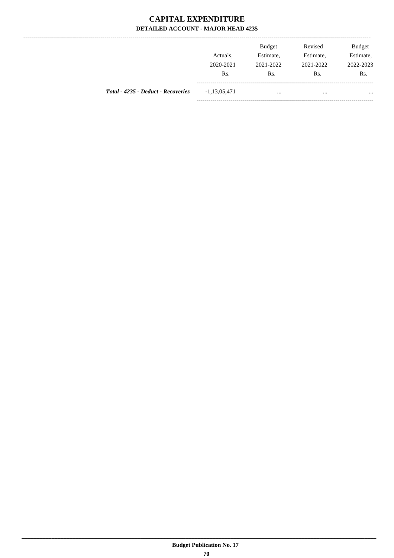----------------

|                                    | Actuals.         | <b>Budget</b><br>Estimate, | Revised<br>Estimate, | <b>Budget</b><br>Estimate, |
|------------------------------------|------------------|----------------------------|----------------------|----------------------------|
|                                    | 2020-2021<br>Rs. | 2021-2022<br>Rs.           | 2021-2022<br>Rs.     | 2022-2023<br>Rs.           |
| Total - 4235 - Deduct - Recoveries | $-1,13,05,471$   | $\cdots$                   |                      | $\cdots$                   |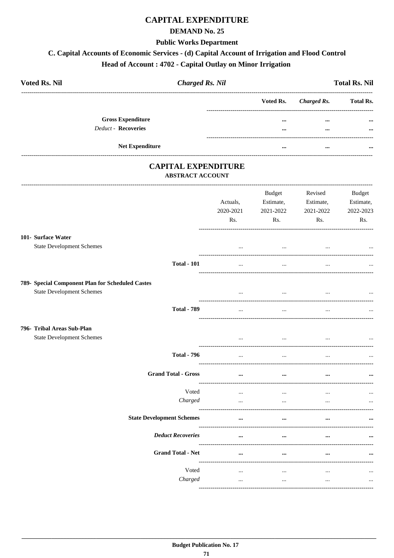## **CAPITAL EXPENDITURE**

#### **DEMAND No. 25**

#### **Public Works Department**

## C. Capital Accounts of Economic Services - (d) Capital Account of Irrigation and Flood Control

## Head of Account: 4702 - Capital Outlay on Minor Irrigation

| <b>Voted Rs. Nil</b>       |                          | <b>Charged Rs. Nil</b> |                         |                       | <b>Total Rs. Nil</b> |
|----------------------------|--------------------------|------------------------|-------------------------|-----------------------|----------------------|
|                            |                          |                        |                         | Voted Rs. Charged Rs. | <b>Total Rs.</b>     |
|                            | <b>Gross Expenditure</b> |                        | $\cdots$                | $\cdots$              | $\cdots$             |
| <b>Deduct - Recoveries</b> |                          |                        | $\bullet\bullet\bullet$ | $\cdots$              | $\cdots$             |
|                            | <b>Net Expenditure</b>   |                        | $\cdots$                | $\cdots$              | $\cdots$             |

## **CAPITAL EXPENDITURE ABSTRACT ACCOUNT**

|                                                                                      | Actuals,<br>2020-2021<br>Rs. | Budget<br>Estimate,<br>2021-2022<br>Rs. | Revised<br>Estimate,<br>2021-2022<br>Rs.      | <b>Budget</b><br>Estimate,<br>2022-2023<br>Rs. |
|--------------------------------------------------------------------------------------|------------------------------|-----------------------------------------|-----------------------------------------------|------------------------------------------------|
| 101- Surface Water<br><b>State Development Schemes</b>                               | $\cdots$                     | $\ddots$                                | $\ddotsc$                                     |                                                |
| <b>Total - 101</b>                                                                   | $\cdots$                     | $\cdots$                                | $\cdots$                                      |                                                |
| 789- Special Component Plan for Scheduled Castes<br><b>State Development Schemes</b> | $\cdots$                     | $\cdots$                                | $\cdots$                                      | $\cdots$                                       |
| <b>Total - 789</b>                                                                   | $\ddotsc$                    | $\overline{\phantom{a}}$                |                                               |                                                |
| 796- Tribal Areas Sub-Plan<br><b>State Development Schemes</b>                       | $\cdots$                     | $\ddots$                                | $\ddotsc$                                     |                                                |
| <b>Total - 796</b>                                                                   | $\cdots$                     | $\ddots$                                | $\cdots$                                      |                                                |
| <b>Grand Total - Gross</b>                                                           | $\cdots$                     | $\cdots$                                | $\ddot{\phantom{a}}$<br>_____________________ |                                                |
| Voted<br>Charged                                                                     | $\cdots$<br>$\cdots$         | $\cdots$<br>$\cdots$                    | $\ddotsc$<br>$\ddotsc$                        |                                                |
| <b>State Development Schemes</b>                                                     | $\cdots$                     |                                         |                                               |                                                |
| <b>Deduct Recoveries</b>                                                             |                              |                                         |                                               |                                                |
| <b>Grand Total - Net</b>                                                             | $\cdots$                     |                                         |                                               |                                                |
| Voted<br>Charged                                                                     | $\cdots$<br>$\cdots$         | $\cdots$<br>$\ddots$                    | $\cdots$<br>$\cdots$                          | $\cdots$                                       |
|                                                                                      |                              |                                         |                                               |                                                |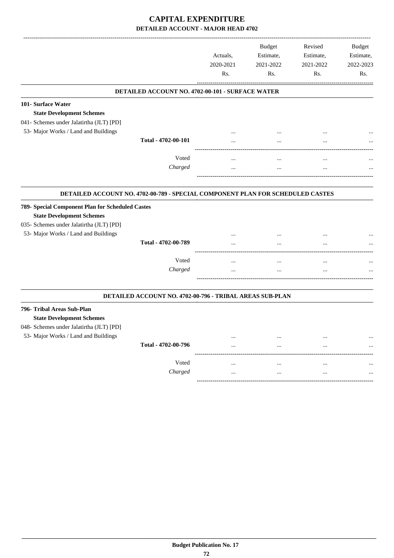|                                                                                                                                                                          |                                                          | Actuals,<br>2020-2021<br>Rs. | <b>Budget</b><br>Estimate,<br>2021-2022<br>Rs. | Revised<br>Estimate,<br>2021-2022<br>Rs. | <b>Budget</b><br>Estimate,<br>2022-2023<br>Rs. |
|--------------------------------------------------------------------------------------------------------------------------------------------------------------------------|----------------------------------------------------------|------------------------------|------------------------------------------------|------------------------------------------|------------------------------------------------|
|                                                                                                                                                                          | DETAILED ACCOUNT NO. 4702-00-101 - SURFACE WATER         |                              |                                                |                                          |                                                |
| 101- Surface Water                                                                                                                                                       |                                                          |                              |                                                |                                          |                                                |
| <b>State Development Schemes</b>                                                                                                                                         |                                                          |                              |                                                |                                          |                                                |
| 041- Schemes under Jalatirtha (JLT) [PD]                                                                                                                                 |                                                          |                              |                                                |                                          |                                                |
| 53- Major Works / Land and Buildings                                                                                                                                     |                                                          |                              |                                                |                                          |                                                |
|                                                                                                                                                                          | Total - 4702-00-101                                      |                              |                                                |                                          |                                                |
|                                                                                                                                                                          | Voted                                                    |                              | $\ddotsc$                                      | $\ddotsc$                                |                                                |
|                                                                                                                                                                          | Charged                                                  |                              |                                                |                                          |                                                |
| 789- Special Component Plan for Scheduled Castes<br><b>State Development Schemes</b><br>035- Schemes under Jalatirtha (JLT) [PD]<br>53- Major Works / Land and Buildings | Total - 4702-00-789<br>Voted                             | $\ddotsc$                    | $\ddotsc$<br>$\ddotsc$                         | $\cdot \cdot$<br>$\ddotsc$               |                                                |
|                                                                                                                                                                          | Charged                                                  | $\ddotsc$                    | <br>$\ddotsc$                                  | <br>$\ddotsc$                            |                                                |
|                                                                                                                                                                          | DETAILED ACCOUNT NO. 4702-00-796 - TRIBAL AREAS SUB-PLAN |                              |                                                |                                          |                                                |
| 796- Tribal Areas Sub-Plan<br><b>State Development Schemes</b><br>048- Schemes under Jalatirtha (JLT) [PD]                                                               |                                                          |                              |                                                |                                          |                                                |
| 53- Major Works / Land and Buildings                                                                                                                                     |                                                          | $\cdots$                     |                                                | $\ddotsc$                                |                                                |
|                                                                                                                                                                          | Total - 4702-00-796                                      |                              |                                                | $\ddotsc$                                |                                                |
|                                                                                                                                                                          | Voted                                                    |                              |                                                |                                          |                                                |
|                                                                                                                                                                          | Charged                                                  |                              |                                                |                                          |                                                |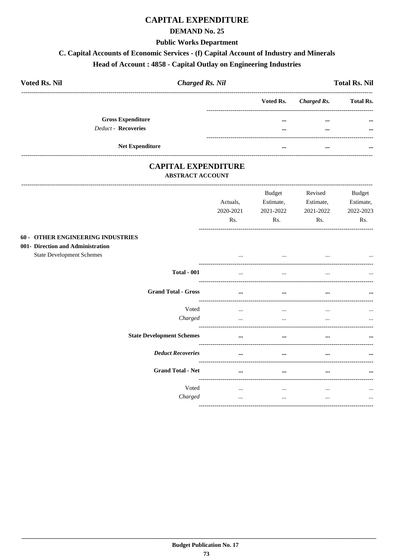## **CAPITAL EXPENDITURE**

### **DEMAND No. 25**

#### **Public Works Department**

## C. Capital Accounts of Economic Services - (f) Capital Account of Industry and Minerals

## Head of Account: 4858 - Capital Outlay on Engineering Industries

| <b>Voted Rs. Nil</b> | <b>Charged Rs. Nil</b>     |          | <b>Total Rs. Nil</b>  |                  |  |
|----------------------|----------------------------|----------|-----------------------|------------------|--|
|                      |                            |          | Voted Rs. Charged Rs. | <b>Total Rs.</b> |  |
|                      | <b>Gross Expenditure</b>   |          | $\cdots$              | $\cdots$         |  |
|                      | <b>Deduct - Recoveries</b> |          | $\cdots$              |                  |  |
|                      | <b>Net Expenditure</b>     | $\cdots$ | $\cdots$              | $\cdots$         |  |

## **CAPITAL EXPENDITURE ABSTRACT ACCOUNT**

-----------------------------

|                                                                                                                   | Actuals,<br>2020-2021<br>Rs. | <b>Budget</b><br>Estimate,<br>2021-2022<br>Rs. | Revised<br>Estimate,<br>2021-2022<br>Rs. | <b>Budget</b><br>Estimate,<br>2022-2023<br>Rs. |
|-------------------------------------------------------------------------------------------------------------------|------------------------------|------------------------------------------------|------------------------------------------|------------------------------------------------|
| <b>60 - OTHER ENGINEERING INDUSTRIES</b><br>001- Direction and Administration<br><b>State Development Schemes</b> |                              | $\cdots$                                       | $\cdots$                                 | $\cdots$                                       |
| <b>Total - 001</b>                                                                                                | $\cdots$                     | $\cdots$                                       | $\cdots$                                 | $\cdots$                                       |
| <b>Grand Total - Gross</b>                                                                                        | $\cdots$                     | $\cdots$                                       | $\cdots$                                 |                                                |
| Voted<br>Charged                                                                                                  | $\cdots$<br>$\cdots$         | $\cdots$<br>$\cdots$                           | $\cdots$<br>$\cdots$                     | $\cdots$<br>$\cdots$                           |
| <b>State Development Schemes</b>                                                                                  | $\cdots$                     | $\cdots$                                       | $\cdots$                                 |                                                |
| <b>Deduct Recoveries</b>                                                                                          | $\cdots$                     | $\cdots$                                       | $\cdots$                                 | $\ddotsc$                                      |
| <b>Grand Total - Net</b>                                                                                          | $\cdots$                     | $\cdots$                                       | $\cdots$                                 |                                                |
| Voted<br>Charged                                                                                                  | $\cdots$<br>$\cdots$         | $\cdots$<br>$\cdots$                           | $\cdots$<br>$\cdots$                     | $\cdots$<br>$\cdots$                           |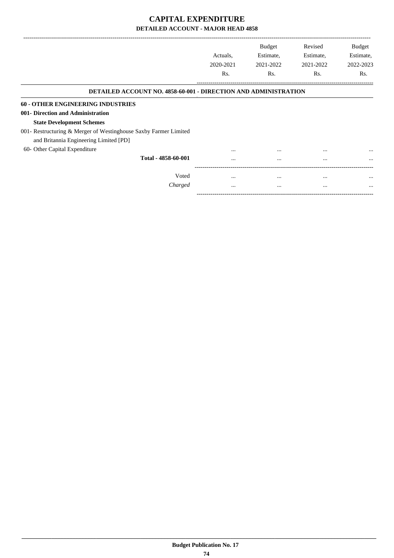|          | <b>Budget</b>                | Revised                       | <b>Budget</b><br>Estimate,                                                                              |
|----------|------------------------------|-------------------------------|---------------------------------------------------------------------------------------------------------|
|          |                              |                               | 2022-2023                                                                                               |
|          |                              |                               | Rs.                                                                                                     |
|          |                              |                               |                                                                                                         |
|          |                              |                               |                                                                                                         |
|          |                              |                               |                                                                                                         |
|          |                              |                               |                                                                                                         |
|          |                              |                               |                                                                                                         |
|          |                              |                               |                                                                                                         |
|          |                              |                               |                                                                                                         |
| $\cdots$ | $\cdots$                     | $\cdots$                      | $\cdots$                                                                                                |
| $\cdots$ | $\cdots$                     | $\cdots$                      | $\cdots$                                                                                                |
| $\cdots$ |                              | $\cdots$                      | $\cdots$                                                                                                |
| $\cdots$ | $\cdots$                     | $\cdots$                      | $\cdots$                                                                                                |
|          | Actuals.<br>2020-2021<br>Rs. | Estimate,<br>2021-2022<br>Rs. | Estimate,<br>2021-2022<br>Rs.<br><b>DETAILED ACCOUNT NO. 4858-60-001 - DIRECTION AND ADMINISTRATION</b> |

-----------------------------------------------------------------------------------------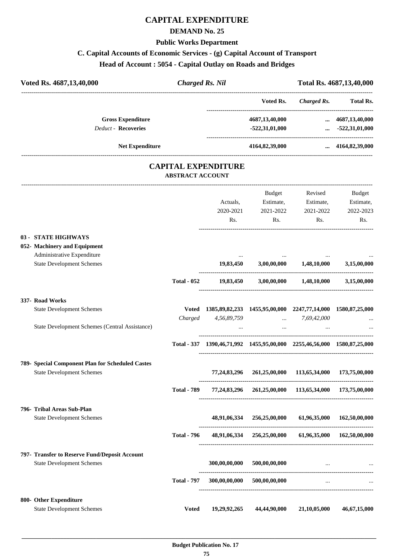## **CAPITAL EXPENDITURE**

## **DEMAND No. 25**

#### **Public Works Department**

## **C. Capital Accounts of Economic Services - (g) Capital Account of Transport**

**Head of Account : 5054 - Capital Outlay on Roads and Bridges**

| Voted Rs. 4687, 13, 40, 000                      | <b>Charged Rs. Nil</b>  |                            |                                                                               |                                | Total Rs. 4687,13,40,000   |
|--------------------------------------------------|-------------------------|----------------------------|-------------------------------------------------------------------------------|--------------------------------|----------------------------|
|                                                  |                         |                            | Voted Rs.                                                                     |                                | Charged Rs. Total Rs.      |
| <b>Gross Expenditure</b>                         |                         |                            | 4687,13,40,000                                                                |                                | $\dots$ 4687,13,40,000     |
| <b>Deduct - Recoveries</b>                       |                         |                            | $-522,31,01,000$                                                              |                                | $\ldots$ -522,31,01,000    |
| Net Expenditure                                  |                         |                            |                                                                               | 4164,82,39,000  4164,82,39,000 |                            |
|                                                  | <b>ABSTRACT ACCOUNT</b> | <b>CAPITAL EXPENDITURE</b> |                                                                               |                                |                            |
|                                                  |                         |                            | Budget                                                                        | Revised                        | Budget                     |
|                                                  |                         | Actuals,                   | Estimate,                                                                     | Estimate,                      | Estimate,                  |
|                                                  |                         | 2020-2021<br>Rs.           | 2021-2022<br>Rs.                                                              | 2021-2022<br>Rs.               | 2022-2023<br>Rs.           |
| 03 - STATE HIGHWAYS                              |                         |                            |                                                                               |                                |                            |
| 052- Machinery and Equipment                     |                         |                            |                                                                               |                                |                            |
| Administrative Expenditure                       |                         |                            |                                                                               |                                |                            |
| <b>State Development Schemes</b>                 |                         |                            | $19,83,450$ $3,00,00,000$ $1,48,10,000$ $3,15,00,000$                         |                                |                            |
|                                                  | <b>Total - 052</b>      |                            | 19,83,450 3,00,00,000 1,48,10,000 3,15,00,000                                 |                                |                            |
| 337- Road Works                                  |                         |                            |                                                                               |                                |                            |
| <b>State Development Schemes</b>                 |                         |                            | Voted 1385, 89, 82, 233 1455, 95, 00, 000 2247, 77, 14, 000 1580, 87, 25, 000 |                                |                            |
| State Development Schemes (Central Assistance)   |                         | Charged 4,56,89,759        | $\ldots$ 7,69,42,000                                                          |                                |                            |
|                                                  |                         |                            | and the state of the state of the state of the state of the                   |                                |                            |
|                                                  |                         |                            | Total - 337 1390,46,71,992 1455,95,00,000 2255,46,56,000 1580,87,25,000       |                                |                            |
| 789- Special Component Plan for Scheduled Castes |                         |                            |                                                                               |                                |                            |
| <b>State Development Schemes</b>                 |                         | 77,24,83,296               | 261,25,00,000 113,65,34,000 173,75,00,000                                     |                                |                            |
|                                                  | <b>Total - 789</b>      |                            | 77,24,83,296  261,25,00,000  113,65,34,000  173,75,00,000                     |                                |                            |
| 796- Tribal Areas Sub-Plan                       |                         |                            |                                                                               |                                |                            |
| <b>State Development Schemes</b>                 |                         | 48,91,06,334               | 256,25,00,000                                                                 |                                | 61,96,35,000 162,50,00,000 |
|                                                  | <b>Total - 796</b>      |                            | 48,91,06,334 256,25,00,000 61,96,35,000 162,50,00,000                         |                                |                            |
| 797- Transfer to Reserve Fund/Deposit Account    |                         |                            |                                                                               |                                |                            |
| <b>State Development Schemes</b>                 |                         | 300,00,00,000              | 500,00,00,000                                                                 | $\cdots$                       |                            |
|                                                  | <b>Total - 797</b>      |                            | 300,00,00,000 500,00,00,000                                                   | $\overline{a}$                 |                            |
|                                                  |                         |                            |                                                                               |                                |                            |

**800- Other Expenditure** State Development Schemes **Voted 19,29,92,265 44,44,90,000 21,10,05,000 46,67,15,000**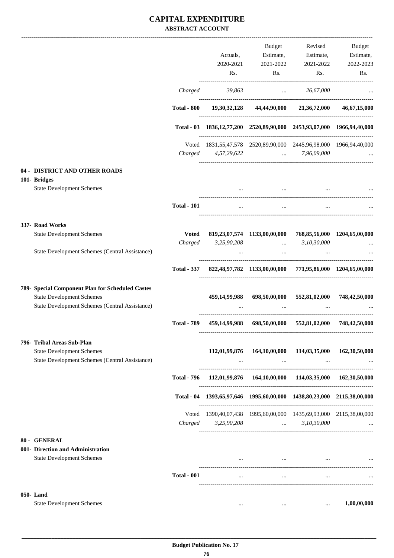## **CAPITAL EXPENDITURE ABSTRACT ACCOUNT**

|                                                                                    |                    |                                                                        | Budget                                                                                                           | Revised                                                            | Budget                      |
|------------------------------------------------------------------------------------|--------------------|------------------------------------------------------------------------|------------------------------------------------------------------------------------------------------------------|--------------------------------------------------------------------|-----------------------------|
|                                                                                    |                    | Actuals,                                                               | Estimate,                                                                                                        | Estimate,                                                          | Estimate,                   |
|                                                                                    |                    | 2020-2021                                                              | 2021-2022                                                                                                        | 2021-2022                                                          | 2022-2023                   |
|                                                                                    |                    | Rs.                                                                    | Rs.                                                                                                              | Rs.                                                                | Rs.                         |
|                                                                                    | Charged            | 39,863                                                                 |                                                                                                                  | 26,67,000<br><b>Contract Contract</b>                              |                             |
|                                                                                    | <b>Total - 800</b> |                                                                        |                                                                                                                  | 19,30,32,128 44,44,90,000 21,36,72,000 46,67,15,000                |                             |
|                                                                                    |                    | Total - 03 1836,12,77,200 2520,89,90,000 2453,93,07,000 1966,94,40,000 |                                                                                                                  |                                                                    |                             |
|                                                                                    |                    | Voted 1831,55,47,578 2520,89,90,000 2445,96,98,000 1966,94,40,000      |                                                                                                                  |                                                                    |                             |
|                                                                                    |                    | Charged 4,57,29,622                                                    |                                                                                                                  | $\ldots$ 7,96,09,000                                               |                             |
| 04 - DISTRICT AND OTHER ROADS                                                      |                    |                                                                        |                                                                                                                  |                                                                    |                             |
| 101- Bridges<br><b>State Development Schemes</b>                                   |                    |                                                                        | and the state of the state of the state of the state of the state of the state of the                            |                                                                    |                             |
|                                                                                    | <b>Total - 101</b> | $\overline{a}$                                                         | $\cdots$                                                                                                         |                                                                    |                             |
| 337- Road Works                                                                    |                    |                                                                        |                                                                                                                  |                                                                    |                             |
| <b>State Development Schemes</b>                                                   | <b>Voted</b>       |                                                                        |                                                                                                                  | 819,23,07,574 1133,00,00,000 768,85,56,000 1204,65,00,000          |                             |
|                                                                                    | Charged            | 3,25,90,208                                                            | <b>Contract Contract Contract Contract</b>                                                                       | 3,10,30,000                                                        |                             |
| State Development Schemes (Central Assistance)                                     |                    |                                                                        | $\sim$ $\sim$                                                                                                    |                                                                    |                             |
|                                                                                    |                    | Total - 337 822,48,97,782 1133,00,00,000 771,95,86,000 1204,65,00,000  |                                                                                                                  |                                                                    |                             |
| 789- Special Component Plan for Scheduled Castes                                   |                    |                                                                        |                                                                                                                  |                                                                    |                             |
| <b>State Development Schemes</b><br>State Development Schemes (Central Assistance) |                    |                                                                        |                                                                                                                  | 459,14,99,988 698,50,00,000 552,81,02,000 748,42,50,000            |                             |
|                                                                                    | <b>Total - 789</b> |                                                                        |                                                                                                                  | 459,14,99,988 698,50,00,000 552,81,02,000 748,42,50,000            |                             |
|                                                                                    |                    |                                                                        |                                                                                                                  |                                                                    |                             |
| 796- Tribal Areas Sub-Plan<br><b>State Development Schemes</b>                     |                    |                                                                        | 112,01,99,876 164,10,00,000                                                                                      |                                                                    | 114,03,35,000 162,30,50,000 |
| State Development Schemes (Central Assistance)                                     |                    | $\cdots$                                                               |                                                                                                                  | $\sim$ 1000 $\sim$ 1000 $\sim$ 1000 $\sim$ 1000 $\sim$<br>$\cdots$ |                             |
|                                                                                    |                    | Total - 796 112,01,99,876 164,10,00,000 114,03,35,000 162,30,50,000    |                                                                                                                  |                                                                    |                             |
|                                                                                    |                    | Total - 04 1393,65,97,646 1995,60,00,000 1438,80,23,000 2115,38,00,000 |                                                                                                                  |                                                                    |                             |
|                                                                                    |                    | Voted 1390,40,07,438 1995,60,00,000 1435,69,93,000 2115,38,00,000      |                                                                                                                  |                                                                    |                             |
|                                                                                    |                    | Charged 3,25,90,208  3,10,30,000                                       |                                                                                                                  |                                                                    |                             |
| 80 - GENERAL                                                                       |                    |                                                                        |                                                                                                                  |                                                                    |                             |
| 001- Direction and Administration<br><b>State Development Schemes</b>              |                    |                                                                        | and the control of the control of the control of the control of the control of the control of the control of the |                                                                    |                             |
|                                                                                    | <b>Total - 001</b> | $\cdots$                                                               | $\cdots$                                                                                                         | $\cdots$                                                           |                             |
|                                                                                    |                    |                                                                        |                                                                                                                  |                                                                    |                             |
| 050-Land<br><b>State Development Schemes</b>                                       |                    |                                                                        |                                                                                                                  |                                                                    | 1,00,00,000                 |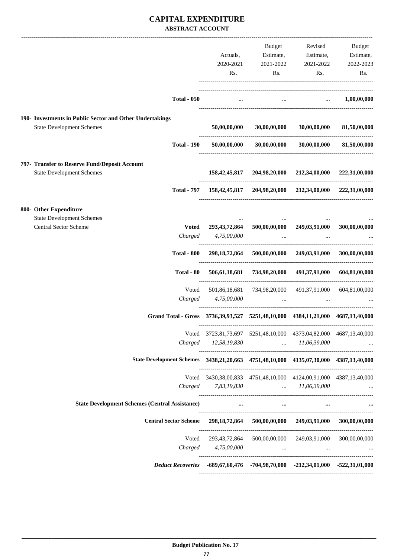## **CAPITAL EXPENDITURE ABSTRACT ACCOUNT**

|                                                                                              |                              |                  | Budget                                                                                      | Revised                                            | Budget        |
|----------------------------------------------------------------------------------------------|------------------------------|------------------|---------------------------------------------------------------------------------------------|----------------------------------------------------|---------------|
|                                                                                              |                              | Actuals,         | Estimate,                                                                                   | Estimate,                                          | Estimate,     |
|                                                                                              |                              | 2020-2021        | 2021-2022                                                                                   | 2021-2022                                          | 2022-2023     |
|                                                                                              |                              | Rs.              | Rs.                                                                                         | Rs.                                                | Rs.           |
|                                                                                              |                              |                  |                                                                                             |                                                    |               |
|                                                                                              | <b>Total - 050</b>           | $\cdots$         |                                                                                             | $1,00,00,000$                                      |               |
| 190- Investments in Public Sector and Other Undertakings<br><b>State Development Schemes</b> |                              | 50,00,00,000     | 30,00,00,000                                                                                | 30,00,00,000                                       |               |
|                                                                                              |                              |                  |                                                                                             |                                                    | 81,50,00,000  |
|                                                                                              | <b>Total - 190</b>           | 50,00,00,000     |                                                                                             | $30,00,00,000$ $30,00,00,000$                      | 81,50,00,000  |
| 797- Transfer to Reserve Fund/Deposit Account                                                |                              |                  |                                                                                             |                                                    |               |
| <b>State Development Schemes</b>                                                             |                              |                  | 158, 42, 45, 817 204, 98, 20, 000 212, 34, 00, 000 222, 31, 00, 000                         |                                                    |               |
|                                                                                              |                              |                  | Total - 797 158,42,45,817 204,98,20,000 212,34,00,000 222,31,00,000                         |                                                    |               |
| 800- Other Expenditure                                                                       |                              |                  |                                                                                             |                                                    |               |
| <b>State Development Schemes</b>                                                             |                              |                  |                                                                                             |                                                    |               |
| <b>Central Sector Scheme</b>                                                                 | <b>Voted</b>                 | 293, 43, 72, 864 |                                                                                             | 500,00,00,000 249,03,91,000                        | 300,00,00,000 |
|                                                                                              | Charged                      | 4,75,00,000      | $\sim 100$ and                                                                              | $\ddotsc$                                          |               |
|                                                                                              | <b>Total - 800</b>           |                  | 298,18,72,864 500,00,00,000 249,03,91,000                                                   |                                                    | 300,00,00,000 |
|                                                                                              | Total - 80                   |                  | 506,61,18,681 734,98,20,000 491,37,91,000                                                   |                                                    | 604,81,00,000 |
|                                                                                              | Voted                        | 501,86,18,681    |                                                                                             | 734,98,20,000 491,37,91,000                        | 604,81,00,000 |
|                                                                                              | Charged                      | 4,75,00,000      | and the contract of the same                                                                | $\sim$ $\sim$ $\sim$ $\sim$ $\sim$                 |               |
|                                                                                              |                              |                  | Grand Total - Gross 3736, 39, 93, 527 5251, 48, 10, 000 4384, 11, 21, 000 4687, 13, 40, 000 |                                                    |               |
|                                                                                              | Voted                        |                  | 3723,81,73,697 5251,48,10,000 4373,04,82,000 4687,13,40,000                                 |                                                    |               |
|                                                                                              | Charged                      | 12,58,19,830     | 11,06,39,000                                                                                |                                                    |               |
|                                                                                              |                              |                  | State Development Schemes 3438,21,20,663 4751,48,10,000 4135,07,30,000 4387,13,40,000       |                                                    |               |
|                                                                                              |                              |                  | Voted 3430, 38, 00, 833 4751, 48, 10, 000 4124, 00, 91, 000 4387, 13, 40, 000               |                                                    |               |
|                                                                                              | Charged                      | 7,83,19,830      |                                                                                             | 11,06,39,000                                       |               |
| <b>State Development Schemes (Central Assistance)</b>                                        |                              |                  | $\cdots$                                                                                    | $\cdots$ . The set of $\mathbb{R}^n$<br>$\cdots$   |               |
|                                                                                              | <b>Central Sector Scheme</b> |                  | 298,18,72,864 500,00,00,000 249,03,91,000                                                   |                                                    | 300,00,00,000 |
|                                                                                              | Voted                        | 293,43,72,864    |                                                                                             | 500,00,00,000 249,03,91,000                        | 300,00,00,000 |
|                                                                                              | Charged                      | 4,75,00,000      |                                                                                             | and the company of the<br><b>Contract Contract</b> |               |
|                                                                                              |                              |                  | Deduct Recoveries $-689,67,60,476$ $-704,98,70,000$ $-212,34,01,000$ $-522,31,01,000$       |                                                    |               |
|                                                                                              |                              |                  |                                                                                             |                                                    |               |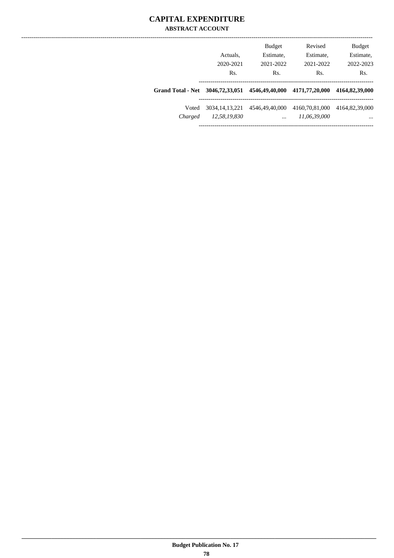## **CAPITAL EXPENDITURE ABSTRACT ACCOUNT**

|                                                                |                | <b>Budget</b>  | Revised        | <b>Budget</b>    |
|----------------------------------------------------------------|----------------|----------------|----------------|------------------|
|                                                                | Actuals.       | Estimate,      | Estimate,      | Estimate,        |
|                                                                | 2020-2021      | 2021-2022      | 2021-2022      | 2022-2023        |
|                                                                | Rs.            | Rs.            | Rs.            | R <sub>s</sub> . |
| Grand Total - Net 3046,72,33,051 4546,49,40,000 4171,77,20,000 |                |                |                | 4164,82,39,000   |
| Voted                                                          | 3034.14.13.221 | 4546,49,40,000 | 4160,70,81,000 | 4164,82,39,000   |
| Charged                                                        | 12,58,19,830   | $\cdots$       | 11,06,39,000   | $\cdots$         |
|                                                                |                |                |                |                  |

----------------------------------------------------------------------------------------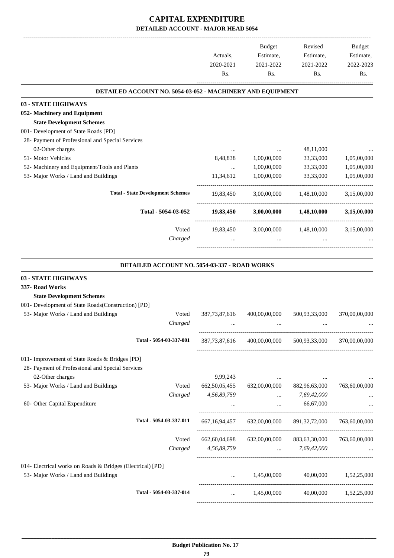|                                                            | Actuals,<br>2020-2021<br>Rs. | Budget<br>Estimate,<br>2021-2022<br>Rs. | Revised<br>Estimate,<br>2021-2022<br>Rs. | Budget<br>Estimate,<br>2022-2023<br>Rs. |
|------------------------------------------------------------|------------------------------|-----------------------------------------|------------------------------------------|-----------------------------------------|
| DETAILED ACCOUNT NO. 5054-03-052 - MACHINERY AND EQUIPMENT |                              |                                         |                                          |                                         |
| 03 - STATE HIGHWAYS                                        |                              |                                         |                                          |                                         |
| 052- Machinery and Equipment                               |                              |                                         |                                          |                                         |
| <b>State Development Schemes</b>                           |                              |                                         |                                          |                                         |
| 001- Development of State Roads [PD]                       |                              |                                         |                                          |                                         |
| 28- Payment of Professional and Special Services           |                              |                                         |                                          |                                         |
| 02-Other charges                                           |                              |                                         | 48,11,000                                |                                         |
| 51- Motor Vehicles                                         | 8,48,838                     | 1,00,00,000                             | 33,33,000                                | 1,05,00,000                             |
| 52- Machinery and Equipment/Tools and Plants               | $\cdots$                     | 1,00,00,000                             | 33,33,000                                | 1,05,00,000                             |
| 53- Major Works / Land and Buildings                       | 11,34,612                    | 1,00,00,000                             | 33,33,000                                | 1,05,00,000                             |
| <b>Total - State Development Schemes</b>                   | 19,83,450                    | 3,00,00,000                             | 1,48,10,000                              | 3,15,00,000                             |
|                                                            |                              |                                         |                                          |                                         |
| Total - 5054-03-052                                        | 19,83,450                    | 3,00,00,000                             | 1,48,10,000                              | 3,15,00,000                             |
| Voted                                                      | 19,83,450                    |                                         | 3,00,00,000 1,48,10,000                  | 3,15,00,000                             |
| Charged                                                    |                              | $\cdots$                                |                                          |                                         |
| DETAILED ACCOUNT NO. 5054-03-337 - ROAD WORKS              |                              |                                         |                                          |                                         |
| 03 - STATE HIGHWAYS                                        |                              |                                         |                                          |                                         |
| 337- Road Works                                            |                              |                                         |                                          |                                         |
| <b>State Development Schemes</b>                           |                              |                                         |                                          |                                         |
| 001- Development of State Roads(Construction) [PD]         |                              |                                         |                                          |                                         |
| 53- Major Works / Land and Buildings<br>Voted              | 387, 73, 87, 616             | 400,00,00,000                           | 500,93,33,000                            | 370,00,00,000                           |
| Charged                                                    |                              |                                         |                                          |                                         |
| Total - 5054-03-337-001                                    | 387, 73, 87, 616             | 400,00,00,000                           | 500,93,33,000                            | 370,00,00,000                           |
| 011- Improvement of State Roads & Bridges [PD]             |                              |                                         |                                          |                                         |
| 28- Payment of Professional and Special Services           |                              |                                         |                                          |                                         |
| 02-Other charges                                           | 9,99,243                     | and the contract and                    |                                          |                                         |
| 53- Major Works / Land and Buildings<br>Voted              | 662, 50, 05, 455             | 632,00,00,000                           | 882,96,63,000                            | 763,60,00,000                           |
| Charged                                                    | 4,56,89,759                  | $\cdots$                                | 7,69,42,000                              |                                         |
| 60- Other Capital Expenditure                              | $\cdots$                     | $\ldots$                                | 66,67,000                                |                                         |
| Total - 5054-03-337-011                                    | 667, 16, 94, 457             | 632,00,00,000                           | 891, 32, 72, 000                         | 763,60,00,000                           |
|                                                            |                              |                                         |                                          |                                         |
| Voted                                                      | 662, 60, 04, 698             | 632,00,00,000                           | 883,63,30,000                            | 763,60,00,000                           |
| Charged                                                    | 4,56,89,759                  |                                         | $\ldots$ 7,69,42,000                     |                                         |
| 014- Electrical works on Roads & Bridges (Electrical) [PD] |                              |                                         |                                          |                                         |
| 53- Major Works / Land and Buildings                       | $\cdots$                     | 1,45,00,000                             | 40,00,000                                | 1,52,25,000                             |
| Total - 5054-03-337-014                                    | $\cdots$                     | 1,45,00,000                             |                                          | 40,00,000 1,52,25,000                   |
|                                                            |                              |                                         |                                          |                                         |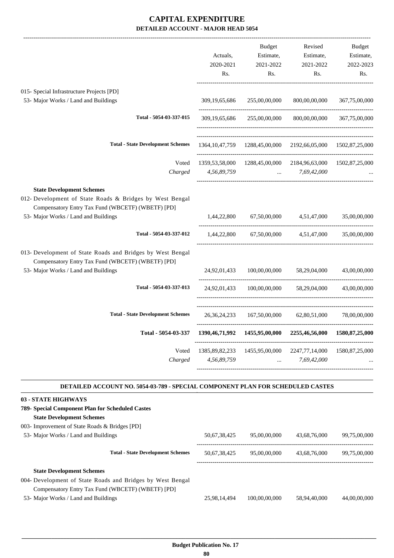|                                                                                                                                                               | Actuals,<br>2020-2021<br>Rs. | Budget<br>Estimate,<br>2021-2022<br>Rs. | Revised<br>Estimate,<br>2021-2022<br>Rs.                                                        | Budget<br>Estimate,<br>2022-2023<br>Rs. |
|---------------------------------------------------------------------------------------------------------------------------------------------------------------|------------------------------|-----------------------------------------|-------------------------------------------------------------------------------------------------|-----------------------------------------|
| 015- Special Infrastructure Projects [PD]<br>53- Major Works / Land and Buildings                                                                             |                              | 309,19,65,686 255,00,00,000             | 800,00,00,000                                                                                   | 367,75,00,000                           |
| Total - 5054-03-337-015                                                                                                                                       |                              | 309,19,65,686 255,00,00,000             |                                                                                                 | 800,00,00,000 367,75,00,000             |
| <b>Total - State Development Schemes</b>                                                                                                                      |                              |                                         | 1364, 10, 47, 759 1288, 45, 00, 000 2192, 66, 05, 000 1502, 87, 25, 000                         |                                         |
| Voted<br>Charged                                                                                                                                              | 4,56,89,759                  |                                         | 1359, 53, 58, 000 1288, 45, 00, 000 2184, 96, 63, 000 1502, 87, 25, 000<br>$\ldots$ 7,69,42,000 |                                         |
| <b>State Development Schemes</b><br>012- Development of State Roads & Bridges by West Bengal<br>Compensatory Entry Tax Fund (WBCETF) (WBETF) [PD]             |                              |                                         |                                                                                                 |                                         |
| 53- Major Works / Land and Buildings                                                                                                                          |                              |                                         | 1,44,22,800 67,50,00,000 4,51,47,000                                                            | 35,00,00,000                            |
| Total - 5054-03-337-012                                                                                                                                       | 1,44,22,800                  |                                         | 67,50,00,000 4,51,47,000 35,00,00,000                                                           |                                         |
| 013- Development of State Roads and Bridges by West Bengal<br>Compensatory Entry Tax Fund (WBCETF) (WBETF) [PD]<br>53- Major Works / Land and Buildings       | 24,92,01,433                 | 100,00,00,000                           | 58,29,04,000                                                                                    | 43,00,00,000                            |
| Total - 5054-03-337-013                                                                                                                                       |                              |                                         | 24,92,01,433 100,00,00,000 58,29,04,000 43,00,00,000                                            |                                         |
| <b>Total - State Development Schemes</b>                                                                                                                      |                              |                                         | 26, 36, 24, 233 167, 50, 00, 000 62, 80, 51, 000 78, 00, 00, 000                                |                                         |
| Total - 5054-03-337                                                                                                                                           |                              |                                         | 1390,46,71,992  1455,95,00,000  2255,46,56,000  1580,87,25,000                                  |                                         |
| Voted<br>Charged                                                                                                                                              |                              | 4,56,89,759  7,69,42,000                | 1385,89,82,233 1455,95,00,000 2247,77,14,000 1580,87,25,000                                     |                                         |
| DETAILED ACCOUNT NO. 5054-03-789 - SPECIAL COMPONENT PLAN FOR SCHEDULED CASTES                                                                                |                              |                                         |                                                                                                 |                                         |
| 03 - STATE HIGHWAYS<br>789- Special Component Plan for Scheduled Castes<br><b>State Development Schemes</b><br>003- Improvement of State Roads & Bridges [PD] |                              |                                         |                                                                                                 |                                         |
| 53- Major Works / Land and Buildings                                                                                                                          |                              | 50,67,38,425 95,00,00,000               | 43,68,76,000                                                                                    | 99,75,00,000                            |
| <b>Total - State Development Schemes</b>                                                                                                                      |                              |                                         | 50,67,38,425 95,00,00,000 43,68,76,000                                                          | 99,75,00,000                            |
| <b>State Development Schemes</b><br>004- Development of State Roads and Bridges by West Bengal                                                                |                              |                                         |                                                                                                 |                                         |

Compensatory Entry Tax Fund (WBCETF) (WBETF) [PD] 53- Major Works / Land and Buildings 25,98,14,494 100,00,00,000 58,94,40,000 44,00,00,000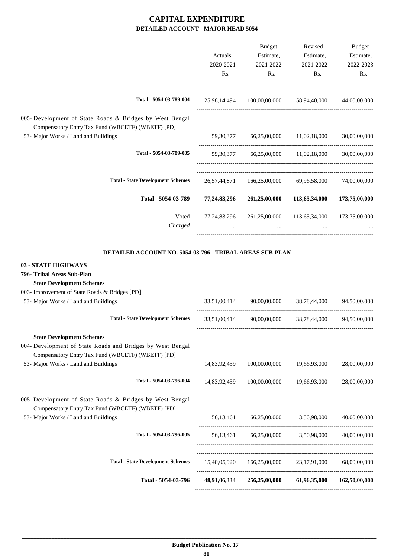|                                                                                                               |              | Budget                                                                | Revised                    | Budget       |
|---------------------------------------------------------------------------------------------------------------|--------------|-----------------------------------------------------------------------|----------------------------|--------------|
|                                                                                                               | Actuals,     | Estimate,                                                             | Estimate,                  | Estimate,    |
|                                                                                                               | 2020-2021    | 2021-2022                                                             | 2021-2022                  | 2022-2023    |
|                                                                                                               | Rs.          | Rs.                                                                   | Rs.                        | Rs.          |
| Total - 5054-03-789-004                                                                                       | 25,98,14,494 |                                                                       | 100,00,00,000 58,94,40,000 | 44,00,00,000 |
| 005- Development of State Roads & Bridges by West Bengal<br>Compensatory Entry Tax Fund (WBCETF) (WBETF) [PD] |              |                                                                       |                            |              |
| 53- Major Works / Land and Buildings                                                                          | 59,30,377    |                                                                       | 66,25,00,000 11,02,18,000  | 30,00,00,000 |
| Total - 5054-03-789-005                                                                                       |              | 59,30,377 66,25,00,000 11,02,18,000 30,00,00,000                      |                            |              |
| <b>Total - State Development Schemes</b>                                                                      |              | 26,57,44,871 166,25,00,000 69,96,58,000 74,00,00,000                  |                            |              |
| Total - 5054-03-789                                                                                           |              | 77,24,83,296 261,25,00,000 113,65,34,000 173,75,00,000                |                            |              |
| Voted<br>Charged                                                                                              | $\cdots$     | 77,24,83,296  261,25,00,000  113,65,34,000  173,75,00,000<br>$\cdots$ | $\cdots$                   |              |
| <b>DETAILED ACCOUNT NO. 5054-03-796 - TRIBAL AREAS SUB-PLAN</b>                                               |              |                                                                       |                            |              |
| 03 - STATE HIGHWAYS                                                                                           |              |                                                                       |                            |              |
| 796- Tribal Areas Sub-Plan                                                                                    |              |                                                                       |                            |              |
| <b>State Development Schemes</b>                                                                              |              |                                                                       |                            |              |
| 003- Improvement of State Roads & Bridges [PD]                                                                |              |                                                                       |                            |              |
| 53- Major Works / Land and Buildings                                                                          | 33,51,00,414 | 90,00,00,000                                                          | 38,78,44,000               | 94,50,00,000 |

| Total - 5054-03-796                                                                                           | 48,91,06,334 | 256,25,00,000 | 61,96,35,000             | 162,50,00,000 |
|---------------------------------------------------------------------------------------------------------------|--------------|---------------|--------------------------|---------------|
|                                                                                                               | 15,40,05,920 | 166,25,00,000 | 23,17,91,000             | 68,00,00,000  |
| <b>Total - State Development Schemes</b>                                                                      |              |               |                          |               |
| Total - 5054-03-796-005                                                                                       | 56.13.461    |               | 66,25,00,000 3,50,98,000 | 40,00,00,000  |
| 53- Major Works / Land and Buildings                                                                          | 56.13.461    |               | 66,25,00,000 3,50,98,000 | 40,00,00,000  |
| 005- Development of State Roads & Bridges by West Bengal<br>Compensatory Entry Tax Fund (WBCETF) (WBETF) [PD] |              |               |                          |               |
| Total - 5054-03-796-004                                                                                       | 14,83,92,459 | 100,00,00,000 | 19,66,93,000             | 28,00,00,000  |
| Compensatory Entry Tax Fund (WBCETF) (WBETF) [PD]<br>53- Major Works / Land and Buildings                     | 14,83,92,459 | 100,00,00,000 | 19,66,93,000             | 28,00,00,000  |
| 004- Development of State Roads and Bridges by West Bengal                                                    |              |               |                          |               |
| <b>State Development Schemes</b>                                                                              |              |               |                          |               |
| <b>Total - State Development Schemes</b>                                                                      | 33,51,00,414 | 90,00,00,000  | 38,78,44,000             | 94,50,00,000  |
|                                                                                                               |              |               |                          |               |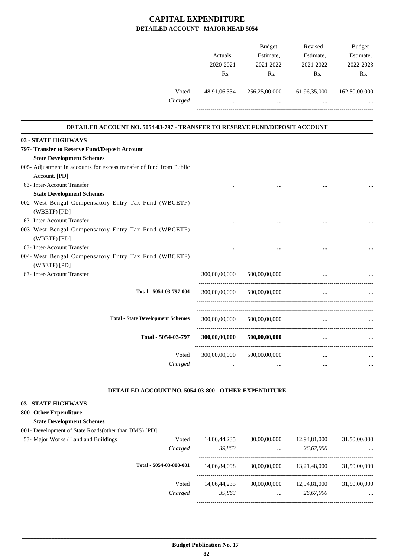|         |              | <b>Budget</b> | Revised      | <b>Budget</b> |
|---------|--------------|---------------|--------------|---------------|
|         | Actuals.     | Estimate,     | Estimate,    | Estimate,     |
|         | 2020-2021    | 2021-2022     | 2021-2022    | 2022-2023     |
|         | Rs.          | Rs.           | Rs.          | Rs.           |
| Voted   | 48,91,06,334 | 256,25,00,000 | 61,96,35,000 | 162,50,00,000 |
| Charged | $\cdots$     | $\cdots$      |              | $\cdots$      |

.

.

#### **DETAILED ACCOUNT NO. 5054-03-797 - TRANSFER TO RESERVE FUND/DEPOSIT ACCOUNT .**

| 03 - STATE HIGHWAYS                                                 |               |               |          |  |
|---------------------------------------------------------------------|---------------|---------------|----------|--|
| 797- Transfer to Reserve Fund/Deposit Account                       |               |               |          |  |
| <b>State Development Schemes</b>                                    |               |               |          |  |
| 005- Adjustment in accounts for excess transfer of fund from Public |               |               |          |  |
| Account. [PD]                                                       |               |               |          |  |
| 63- Inter-Account Transfer                                          |               |               |          |  |
| <b>State Development Schemes</b>                                    |               |               |          |  |
| 002- West Bengal Compensatory Entry Tax Fund (WBCETF)               |               |               |          |  |
| (WBETF) [PD]                                                        |               |               |          |  |
| 63- Inter-Account Transfer                                          | $\cdots$      |               |          |  |
| 003- West Bengal Compensatory Entry Tax Fund (WBCETF)               |               |               |          |  |
| (WBETF) [PD]                                                        |               |               |          |  |
| 63- Inter-Account Transfer                                          |               |               |          |  |
| 004- West Bengal Compensatory Entry Tax Fund (WBCETF)               |               |               |          |  |
| (WBETF) [PD]                                                        |               |               |          |  |
| 63- Inter-Account Transfer                                          | 300,00,00,000 | 500,00,00,000 |          |  |
| Total - 5054-03-797-004                                             |               |               |          |  |
|                                                                     | 300,00,00,000 | 500,00,00,000 |          |  |
|                                                                     |               |               |          |  |
| <b>Total - State Development Schemes</b>                            | 300,00,00,000 | 500,00,00,000 |          |  |
|                                                                     |               |               |          |  |
| Total - 5054-03-797                                                 | 300,00,00,000 | 500,00,00,000 | $\cdots$ |  |
|                                                                     |               |               |          |  |
| Voted                                                               | 300,00,00,000 | 500,00,00,000 | $\cdots$ |  |
| Charged                                                             |               |               | $\cdots$ |  |
|                                                                     |               |               |          |  |
|                                                                     |               |               |          |  |

#### **DETAILED ACCOUNT NO. 5054-03-800 - OTHER EXPENDITURE .**

#### **03 - STATE HIGHWAYS**

#### **800- Other Expenditure State Development Schemes**

## 001- Development of State Roads(other than BMS) [PD]

| 14,06,44,235<br>Voted<br>Charged<br>39,863 | 30,00,00,000<br>$\cdots$ | 12,94,81,000<br>26,67,000 | 31,50,00,000<br>$\cdots$ |
|--------------------------------------------|--------------------------|---------------------------|--------------------------|
| Total - 5054-03-800-001<br>14.06.84.098    | 30,00,00,000             | 13.21.48.000              | 31,50,00,000             |
| Voted<br>14.06.44.235<br>39,863<br>Charged | 30,00,00,000<br>$\cdots$ | 12.94.81.000<br>26,67,000 | 31,50,00,000<br>$\cdots$ |
|                                            |                          |                           |                          |

-----------------------------------------------------------------------------------------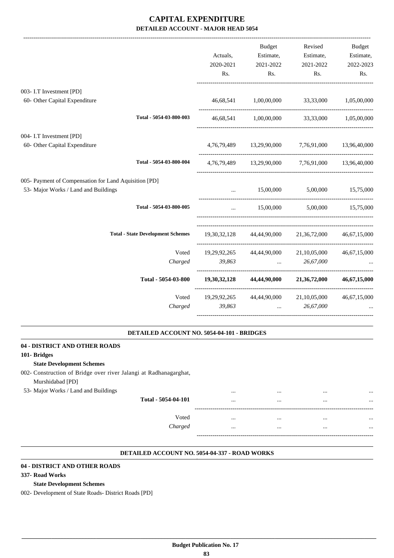|                                                       |                                          | Actuals,  | Budget<br>Estimate,                                                                   | Revised<br>Estimate,                                | <b>Budget</b><br>Estimate, |
|-------------------------------------------------------|------------------------------------------|-----------|---------------------------------------------------------------------------------------|-----------------------------------------------------|----------------------------|
|                                                       |                                          | 2020-2021 | 2021-2022                                                                             | 2021-2022                                           | 2022-2023                  |
|                                                       |                                          | Rs.       | Rs.                                                                                   | Rs.                                                 | Rs.                        |
| 003- I.T Investment [PD]                              |                                          |           |                                                                                       |                                                     |                            |
| 60- Other Capital Expenditure                         |                                          |           |                                                                                       | 46,68,541 1,00,00,000 33,33,000 1,05,00,000         |                            |
|                                                       | Total - 5054-03-800-003                  |           | 46,68,541 1,00,00,000                                                                 |                                                     | 33,33,000 1,05,00,000      |
| 004- I.T Investment [PD]                              |                                          |           |                                                                                       |                                                     |                            |
| 60- Other Capital Expenditure                         |                                          |           |                                                                                       | 4,76,79,489 13,29,90,000 7,76,91,000 13,96,40,000   |                            |
|                                                       | Total - 5054-03-800-004                  |           |                                                                                       | 4,76,79,489 13,29,90,000 7,76,91,000 13,96,40,000   |                            |
| 005- Payment of Compensation for Land Aquisition [PD] |                                          |           |                                                                                       |                                                     |                            |
| 53- Major Works / Land and Buildings                  |                                          |           |                                                                                       | 15,00,000 5,00,000 15,75,000                        |                            |
|                                                       | Total - 5054-03-800-005                  | $\cdots$  |                                                                                       | 15,00,000 5,00,000 15,75,000                        |                            |
|                                                       | <b>Total - State Development Schemes</b> |           |                                                                                       | 19,30,32,128 44,44,90,000 21,36,72,000 46,67,15,000 |                            |
|                                                       | Voted                                    |           |                                                                                       | 19,29,92,265 44,44,90,000 21,10,05,000 46,67,15,000 |                            |
|                                                       | Charged                                  | 39,863    | <b>Contract Contract Contract</b>                                                     | 26,67,000                                           |                            |
|                                                       | Total - 5054-03-800                      |           |                                                                                       | $19,30,32,128$ $44,44,90,000$ $21,36,72,000$        | 46,67,15,000               |
|                                                       | Voted                                    |           |                                                                                       | 19,29,92,265 44,44,90,000 21,10,05,000              | 46,67,15,000               |
|                                                       | Charged                                  | 39,863    | $\mathbf{r}$ , and the state of $\mathbf{r}$<br>------------------------------------- | 26,67,000                                           |                            |
|                                                       |                                          |           |                                                                                       |                                                     |                            |

#### **DETAILED ACCOUNT NO. 5054-04-101 - BRIDGES**

.

.

| 04 - DISTRICT AND OTHER ROADS                                     |              |          |          |
|-------------------------------------------------------------------|--------------|----------|----------|
| 101- Bridges                                                      |              |          |          |
| <b>State Development Schemes</b>                                  |              |          |          |
| 002- Construction of Bridge over river Jalangi at Radhanagarghat, |              |          |          |
| Murshidabad [PD]                                                  |              |          |          |
| 53- Major Works / Land and Buildings                              | <br>         |          |          |
| Total - 5054-04-101                                               | <br>         |          |          |
|                                                                   |              |          |          |
| Voted                                                             | <br>         | $\cdots$ | $\cdots$ |
| Charged                                                           | <br>$\cdots$ | $\cdots$ | $\cdots$ |
|                                                                   |              |          |          |

#### **DETAILED ACCOUNT NO. 5054-04-337 - ROAD WORKS .**

#### **04 - DISTRICT AND OTHER ROADS**

#### **337- Road Works**

#### **State Development Schemes**

002- Development of State Roads- District Roads [PD]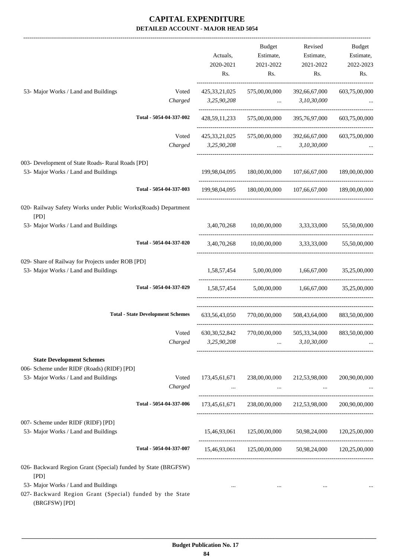|                                                                                                                           | Actuals,<br>2020-2021<br>Rs. | <b>Budget</b><br>Estimate,<br>2021-2022<br>Rs. | Revised<br>Estimate,<br>2021-2022<br>Rs.                                                   | Budget<br>Estimate,<br>2022-2023<br>Rs. |
|---------------------------------------------------------------------------------------------------------------------------|------------------------------|------------------------------------------------|--------------------------------------------------------------------------------------------|-----------------------------------------|
| 53- Major Works / Land and Buildings<br>Voted                                                                             | 425, 33, 21, 025             | 575,00,00,000                                  | 392,66,67,000                                                                              | 603,75,00,000                           |
| Charged                                                                                                                   | 3,25,90,208                  | and the contract of the contract of            | 3,10,30,000                                                                                |                                         |
| Total - 5054-04-337-002                                                                                                   | 428, 59, 11, 233             | 575,00,00,000                                  | 395,76,97,000                                                                              | 603,75,00,000                           |
| Voted                                                                                                                     | 425, 33, 21, 025             | 575,00,00,000                                  | 392,66,67,000                                                                              | 603,75,00,000                           |
| Charged                                                                                                                   | 3,25,90,208                  |                                                | 3,10,30,000<br>$\mathbf{r}$ and $\mathbf{r}$                                               |                                         |
| 003- Development of State Roads- Rural Roads [PD]                                                                         |                              |                                                |                                                                                            |                                         |
| 53- Major Works / Land and Buildings                                                                                      |                              | 199,98,04,095 180,00,00,000                    | 107,66,67,000                                                                              | 189,00,00,000                           |
| Total - 5054-04-337-003                                                                                                   | 199.98.04.095                | 180,00,00,000                                  |                                                                                            | 107,66,67,000 189,00,00,000             |
| 020- Railway Safety Works under Public Works(Roads) Department<br>[PD]                                                    |                              |                                                |                                                                                            |                                         |
| 53- Major Works / Land and Buildings                                                                                      | 3,40,70,268                  | 10,00,00,000 3,33,33,000                       |                                                                                            | 55,50,00,000                            |
| Total - 5054-04-337-020                                                                                                   | 3,40,70,268                  |                                                | $10,00,00,000$ $3,33,33,000$                                                               | 55,50,00,000                            |
| 029- Share of Railway for Projects under ROB [PD]                                                                         |                              |                                                |                                                                                            |                                         |
| 53- Major Works / Land and Buildings                                                                                      | -----------------------      | 1,58,57,454 5,00,00,000                        | 1,66,67,000                                                                                | 35,25,00,000                            |
| Total - 5054-04-337-029                                                                                                   |                              |                                                | 1,58,57,454 5,00,00,000 1,66,67,000                                                        | 35,25,00,000                            |
| <b>Total - State Development Schemes</b>                                                                                  | 633, 56, 43, 050             | 770,00,00,000                                  | 508,43,64,000                                                                              | 883,50,00,000                           |
| Charged                                                                                                                   | 3,25,90,208                  | and the contract of the                        | Voted 630,30,52,842 770,00,00,000 505,33,34,000 883,50,00,000<br>3,10,30,000               |                                         |
| <b>State Development Schemes</b>                                                                                          |                              |                                                |                                                                                            |                                         |
| 006- Scheme under RIDF (Roads) (RIDF) [PD]                                                                                |                              |                                                |                                                                                            |                                         |
| 53- Major Works / Land and Buildings<br>Voted<br>Charged                                                                  |                              |                                                | 173,45,61,671 238,00,00,000 212,53,98,000<br>and the state of the state of the<br>$\ddots$ | 200,90,00,000                           |
| Total - 5054-04-337-006                                                                                                   |                              |                                                | 173,45,61,671 238,00,00,000 212,53,98,000                                                  | 200,90,00,000                           |
| 007- Scheme under RIDF (RIDF) [PD]                                                                                        |                              |                                                |                                                                                            |                                         |
| 53- Major Works / Land and Buildings                                                                                      |                              |                                                | 15,46,93,061  125,00,00,000  50,98,24,000  120,25,00,000                                   |                                         |
| Total - 5054-04-337-007                                                                                                   |                              |                                                | 15,46,93,061 125,00,00,000 50,98,24,000 120,25,00,000                                      |                                         |
| 026- Backward Region Grant (Special) funded by State (BRGFSW)                                                             |                              |                                                |                                                                                            |                                         |
| [PD]<br>53- Major Works / Land and Buildings<br>027- Backward Region Grant (Special) funded by the State<br>(BRGFSW) [PD] | $\cdots$                     | $\cdots$                                       | $\cdots$                                                                                   |                                         |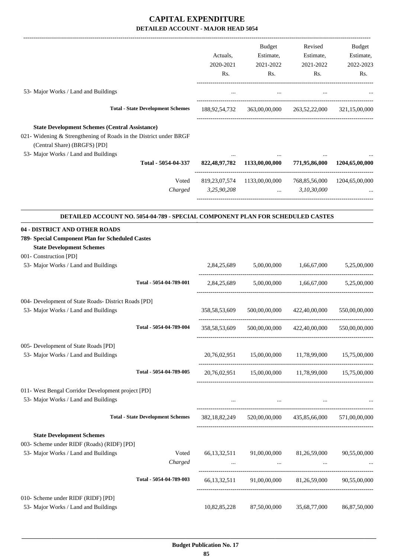|                                                                                                                                                                                                    |                                          |                  | Budget                                                                          | Revised                 | Budget                       |
|----------------------------------------------------------------------------------------------------------------------------------------------------------------------------------------------------|------------------------------------------|------------------|---------------------------------------------------------------------------------|-------------------------|------------------------------|
|                                                                                                                                                                                                    |                                          | Actuals,         | Estimate,                                                                       | Estimate,               | Estimate,                    |
|                                                                                                                                                                                                    |                                          | 2020-2021        | 2021-2022                                                                       | 2021-2022               | 2022-2023                    |
|                                                                                                                                                                                                    |                                          | Rs.              | Rs.                                                                             | Rs.                     | Rs.                          |
| 53- Major Works / Land and Buildings                                                                                                                                                               |                                          | $\cdots$         | $\cdots$                                                                        | $\cdots$                |                              |
|                                                                                                                                                                                                    |                                          |                  |                                                                                 |                         |                              |
|                                                                                                                                                                                                    | <b>Total - State Development Schemes</b> |                  |                                                                                 |                         | 321,15,00,000                |
| <b>State Development Schemes (Central Assistance)</b><br>021- Widening & Strengthening of Roads in the District under BRGF<br>(Central Share) (BRGFS) [PD]<br>53- Major Works / Land and Buildings |                                          |                  |                                                                                 |                         |                              |
|                                                                                                                                                                                                    | Total - 5054-04-337                      |                  | 822,48,97,782 1133,00,00,000                                                    | 771,95,86,000           | 1204,65,00,000               |
|                                                                                                                                                                                                    | Voted                                    |                  | 819,23,07,574 1133,00,00,000                                                    |                         | 768,85,56,000 1204,65,00,000 |
|                                                                                                                                                                                                    | Charged                                  | 3,25,90,208      | <b>Sales Committee</b>                                                          | 3,10,30,000             |                              |
| DETAILED ACCOUNT NO. 5054-04-789 - SPECIAL COMPONENT PLAN FOR SCHEDULED CASTES                                                                                                                     |                                          |                  |                                                                                 |                         |                              |
| 04 - DISTRICT AND OTHER ROADS                                                                                                                                                                      |                                          |                  |                                                                                 |                         |                              |
| 789- Special Component Plan for Scheduled Castes<br><b>State Development Schemes</b>                                                                                                               |                                          |                  |                                                                                 |                         |                              |
| 001- Construction [PD]                                                                                                                                                                             |                                          |                  |                                                                                 |                         |                              |
| 53- Major Works / Land and Buildings                                                                                                                                                               |                                          | 2,84,25,689      | 5,00,00,000                                                                     | 1,66,67,000             | 5,25,00,000                  |
|                                                                                                                                                                                                    | Total - 5054-04-789-001                  | 2,84,25,689      |                                                                                 | 5,00,00,000 1,66,67,000 | 5,25,00,000                  |
| 004- Development of State Roads- District Roads [PD]                                                                                                                                               |                                          |                  |                                                                                 |                         |                              |
| 53- Major Works / Land and Buildings                                                                                                                                                               |                                          | 358, 58, 53, 609 | 500,00,00,000                                                                   | 422,40,00,000           | 550,00,00,000                |
|                                                                                                                                                                                                    | Total - 5054-04-789-004                  | 358, 58, 53, 609 | 500,00,00,000                                                                   | 422,40,00,000           | 550,00,00,000                |
| 005- Development of State Roads [PD]                                                                                                                                                               |                                          |                  |                                                                                 |                         |                              |
| 53- Major Works / Land and Buildings                                                                                                                                                               |                                          |                  | 20,76,02,951 15,00,00,000 11,78,99,000 15,75,00,000                             |                         |                              |
|                                                                                                                                                                                                    | Total - 5054-04-789-005                  |                  | 20,76,02,951 15,00,00,000 11,78,99,000 15,75,00,000                             |                         |                              |
| 011- West Bengal Corridor Development project [PD]                                                                                                                                                 |                                          |                  |                                                                                 |                         |                              |
| 53- Major Works / Land and Buildings                                                                                                                                                               |                                          |                  | the contract of the contract of the contract of the contract of the contract of |                         |                              |
|                                                                                                                                                                                                    | <b>Total - State Development Schemes</b> |                  | 382,18,82,249 520,00,00,000 435,85,66,000 571,00,00,000                         |                         |                              |
| <b>State Development Schemes</b>                                                                                                                                                                   |                                          |                  |                                                                                 |                         |                              |
| 003- Scheme under RIDF (Roads) (RIDF) [PD]                                                                                                                                                         |                                          |                  |                                                                                 |                         |                              |
| 53- Major Works / Land and Buildings                                                                                                                                                               | Voted<br>Charged                         | 66, 13, 32, 511  | 91,00,00,000<br><b>Contract Contract</b>                                        | 81,26,59,000            | 90,55,00,000                 |
|                                                                                                                                                                                                    | Total - 5054-04-789-003                  |                  | 66,13,32,511 91,00,00,000 81,26,59,000 90,55,00,000                             |                         |                              |
|                                                                                                                                                                                                    |                                          |                  |                                                                                 |                         |                              |
| 010- Scheme under RIDF (RIDF) [PD]<br>53- Major Works / Land and Buildings                                                                                                                         |                                          | 10,82,85,228     | 87,50,00,000                                                                    | 35,68,77,000            | 86,87,50,000                 |
|                                                                                                                                                                                                    |                                          |                  |                                                                                 |                         |                              |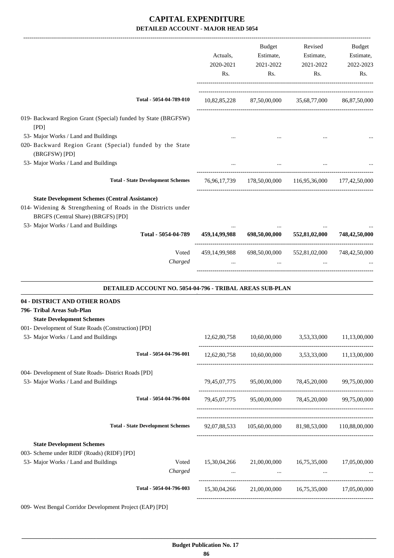|                                                                                                                                                                                                      | Actuals,<br>2020-2021<br>Rs. | Budget<br>Estimate,<br>2021-2022<br>Rs. | Revised<br>Estimate,<br>2021-2022<br>Rs.               | Budget<br>Estimate,<br>2022-2023<br>Rs. |
|------------------------------------------------------------------------------------------------------------------------------------------------------------------------------------------------------|------------------------------|-----------------------------------------|--------------------------------------------------------|-----------------------------------------|
| Total - 5054-04-789-010                                                                                                                                                                              |                              |                                         | 10,82,85,228 87,50,00,000 35,68,77,000 86,87,50,000    |                                         |
| 019- Backward Region Grant (Special) funded by State (BRGFSW)<br>[PD]                                                                                                                                |                              |                                         |                                                        |                                         |
| 53- Major Works / Land and Buildings<br>020- Backward Region Grant (Special) funded by the State                                                                                                     |                              |                                         |                                                        |                                         |
| (BRGFSW) [PD]<br>53- Major Works / Land and Buildings                                                                                                                                                |                              |                                         |                                                        |                                         |
| <b>Total - State Development Schemes</b>                                                                                                                                                             |                              |                                         | 76,96,17,739 178,50,00,000 116,95,36,000 177,42,50,000 |                                         |
| <b>State Development Schemes (Central Assistance)</b><br>014- Widening & Strengthening of Roads in the Districts under<br>BRGFS (Central Share) (BRGFS) [PD]<br>53- Major Works / Land and Buildings |                              |                                         |                                                        |                                         |
| Total - 5054-04-789                                                                                                                                                                                  | 459,14,99,988                | 698,50,00,000                           | 552,81,02,000                                          | 748,42,50,000                           |
| Voted<br>Charged                                                                                                                                                                                     | 459,14,99,988                | 698,50,00,000<br>$\cdots$               | 552,81,02,000 748,42,50,000                            |                                         |
| DETAILED ACCOUNT NO. 5054-04-796 - TRIBAL AREAS SUB-PLAN                                                                                                                                             |                              |                                         |                                                        |                                         |
| 04 - DISTRICT AND OTHER ROADS<br>796- Tribal Areas Sub-Plan<br><b>State Development Schemes</b><br>001- Development of State Roads (Construction) [PD]<br>53- Major Works / Land and Buildings       | 12,62,80,758                 | 10,60,00,000                            | 3,53,33,000                                            | 11,13,00,000                            |
| Total - 5054-04-796-001                                                                                                                                                                              |                              |                                         | 12,62,80,758 10,60,00,000 3,53,33,000 11,13,00,000     |                                         |
| 004- Development of State Roads- District Roads [PD]<br>53- Major Works / Land and Buildings                                                                                                         | 79,45,07,775                 | 95,00,00,000                            | 78,45,20,000                                           | 99,75,00,000                            |
| Total - 5054-04-796-004                                                                                                                                                                              |                              |                                         | 79,45,07,775 95,00,00,000 78,45,20,000 99,75,00,000    |                                         |
| <b>Total - State Development Schemes</b>                                                                                                                                                             |                              |                                         | 92,07,88,533 105,60,00,000 81,98,53,000 110,88,00,000  |                                         |
| <b>State Development Schemes</b><br>003- Scheme under RIDF (Roads) (RIDF) [PD]<br>53- Major Works / Land and Buildings<br>Voted<br>Charged                                                           |                              | the company of the company of           | 15,30,04,266 21,00,00,000 16,75,35,000 17,05,00,000    |                                         |
| Total - 5054-04-796-003                                                                                                                                                                              |                              |                                         | 15,30,04,266 21,00,00,000 16,75,35,000 17,05,00,000    |                                         |
| 009- West Bengal Corridor Development Project (EAP) [PD]                                                                                                                                             |                              |                                         |                                                        |                                         |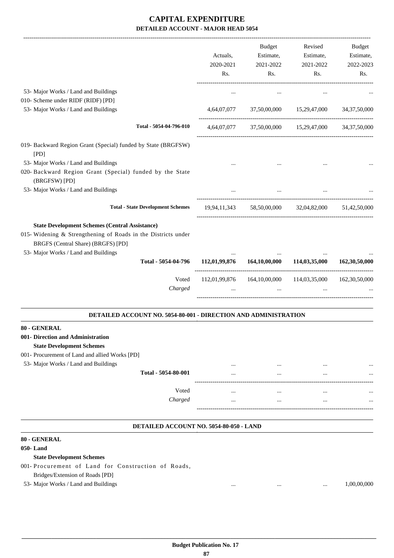|                                                                                                                                                                                                                             | Actuals,<br>2020-2021 | <b>Budget</b><br>Estimate,<br>2021-2022                 | Revised<br>Estimate,<br>2021-2022      | Budget<br>Estimate,<br>2022-2023 |
|-----------------------------------------------------------------------------------------------------------------------------------------------------------------------------------------------------------------------------|-----------------------|---------------------------------------------------------|----------------------------------------|----------------------------------|
|                                                                                                                                                                                                                             | Rs.                   | Rs.                                                     | Rs.                                    | Rs.                              |
| 53- Major Works / Land and Buildings<br>010- Scheme under RIDF (RIDF) [PD]                                                                                                                                                  |                       |                                                         | $\ddotsc$                              |                                  |
| 53- Major Works / Land and Buildings                                                                                                                                                                                        | 4,64,07,077           | 37,50,00,000                                            | 15,29,47,000                           | 34, 37, 50, 000                  |
| Total - 5054-04-796-010                                                                                                                                                                                                     |                       | 4,64,07,077 37,50,00,000 15,29,47,000 34,37,50,000      | -------------------------------------- |                                  |
| 019- Backward Region Grant (Special) funded by State (BRGFSW)<br>[PD]                                                                                                                                                       |                       |                                                         |                                        |                                  |
| 53- Major Works / Land and Buildings                                                                                                                                                                                        |                       |                                                         |                                        |                                  |
| 020- Backward Region Grant (Special) funded by the State<br>(BRGFSW) [PD]                                                                                                                                                   |                       |                                                         |                                        |                                  |
| 53- Major Works / Land and Buildings                                                                                                                                                                                        |                       |                                                         |                                        |                                  |
| <b>Total - State Development Schemes</b>                                                                                                                                                                                    |                       | 19,94,11,343 58,50,00,000 32,04,82,000                  |                                        | 51,42,50,000                     |
| <b>State Development Schemes (Central Assistance)</b><br>015- Widening & Strengthening of Roads in the Districts under<br>BRGFS (Central Share) (BRGFS) [PD]<br>53- Major Works / Land and Buildings<br>Total - 5054-04-796 | 112,01,99,876         | 164,10,00,000                                           | 114,03,35,000                          | 162,30,50,000                    |
| Voted<br>Charged                                                                                                                                                                                                            | $\cdots$              | 112,01,99,876  164,10,00,000  114,03,35,000<br>$\cdots$ | $\cdots$                               | 162,30,50,000                    |
| <b>DETAILED ACCOUNT NO. 5054-80-001 - DIRECTION AND ADMINISTRATION</b>                                                                                                                                                      |                       |                                                         |                                        |                                  |
| 80 - GENERAL                                                                                                                                                                                                                |                       |                                                         |                                        |                                  |
| 001- Direction and Administration                                                                                                                                                                                           |                       |                                                         |                                        |                                  |
| <b>State Development Schemes</b>                                                                                                                                                                                            |                       |                                                         |                                        |                                  |
| 001- Procurement of Land and allied Works [PD]                                                                                                                                                                              |                       |                                                         |                                        |                                  |
| 53- Major Works / Land and Buildings                                                                                                                                                                                        |                       |                                                         |                                        | $\cdots$                         |
| Total - 5054-80-001                                                                                                                                                                                                         |                       |                                                         | $\ddotsc$                              |                                  |
| Voted                                                                                                                                                                                                                       |                       |                                                         | $\ddotsc$                              |                                  |
| Charged                                                                                                                                                                                                                     |                       | $\cdots$                                                | $\cdots$                               |                                  |
|                                                                                                                                                                                                                             |                       |                                                         |                                        |                                  |
| DETAILED ACCOUNT NO. 5054-80-050 - LAND<br>80 - GENERAL                                                                                                                                                                     |                       |                                                         |                                        |                                  |

#### **050- Land**

#### **State Development Schemes**

001- Procurement of Land for Construction of Roads,

Bridges/Extension of Roads [PD]

53- Major Works / Land and Buildings ... ... ... 1,00,00,000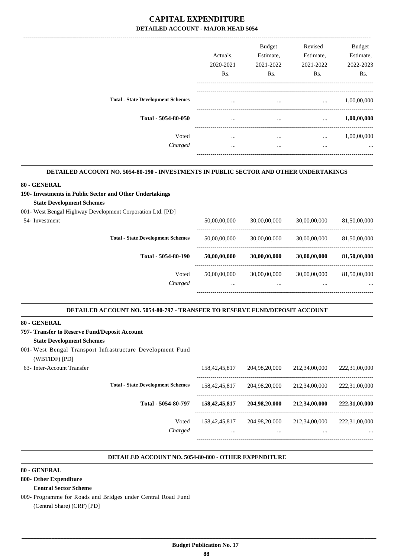|                                          | Actuals,  | <b>Budget</b><br>Estimate, | Revised<br>Estimate, | <b>Budget</b><br>Estimate, |
|------------------------------------------|-----------|----------------------------|----------------------|----------------------------|
|                                          | 2020-2021 | 2021-2022                  | 2021-2022            | 2022-2023                  |
|                                          | Rs.       | Rs.                        | Rs.                  | Rs.                        |
| <b>Total - State Development Schemes</b> | $\cdots$  | $\cdots$                   | $\cdots$             | 1,00,00,000                |
| Total - 5054-80-050                      | $\cdots$  | $\cdots$                   | $\cdots$             | 1,00,00,000                |
| Voted                                    | $\cdots$  | $\cdots$                   | $\cdots$             | 1,00,00,000                |
| Charged                                  | $\cdots$  | $\cdots$                   | $\cdots$             | $\cdots$                   |
|                                          |           |                            |                      |                            |

#### **DETAILED ACCOUNT NO. 5054-80-190 - INVESTMENTS IN PUBLIC SECTOR AND OTHER UNDERTAKINGS .**

#### **80 - GENERAL**

## **190- Investments in Public Sector and Other Undertakings State Development Schemes**

001- West Bengal Highway Development Corporation Ltd. [PD]

| 50,00,00,000 | 30,00,00,000 | 30,00,00,000 | 81,50,00,000 |
|--------------|--------------|--------------|--------------|
|              |              |              |              |
| 50,00,00,000 | 30,00,00,000 | 30,00,00,000 | 81,50,00,000 |
|              | $\cdots$     | $\cdots$     |              |

-----------------------------------------------------------------------------------------

.

.

.

#### **DETAILED ACCOUNT NO. 5054-80-797 - TRANSFER TO RESERVE FUND/DEPOSIT ACCOUNT .**

#### **80 - GENERAL**

**797- Transfer to Reserve Fund/Deposit Account State Development Schemes** 001- West Bengal Transport Infrastructure Development Fund (WBTIDF) [PD] 63- Inter-Account Transfer 158,42,45,817 204,98,20,000 212,34,00,000 222,31,00,000 ----------------------------------------------------------------------------------------- **Total - State Development Schemes** 158,42,45,817 204,98,20,000 212,34,00,000 222,31,00,000 ----------------------------------------------------------------------------------------- **Total - 5054-80-797 158,42,45,817 204,98,20,000 212,34,00,000 222,31,00,000** Voted 158,42,45,817 204,98,20,000 212,34,00,000 222,31,00,000 *Charged* ... ... ... ...

#### **DETAILED ACCOUNT NO. 5054-80-800 - OTHER EXPENDITURE .**

#### **80 - GENERAL**

**800- Other Expenditure**

#### **Central Sector Scheme**

009- Programme for Roads and Bridges under Central Road Fund (Central Share) (CRF) [PD]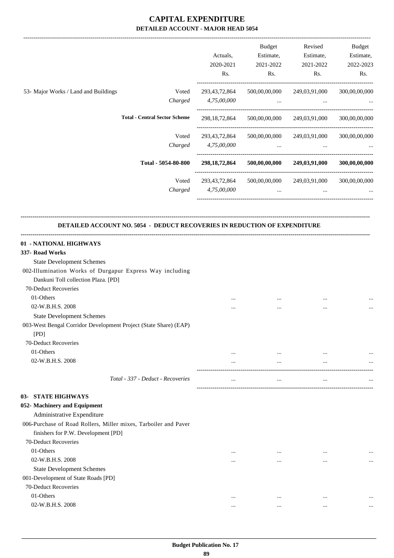|                                                                           | Actuals,<br>2020-2021 | Budget<br>Estimate,<br>2021-2022 | Revised<br>Estimate,<br>2021-2022         | Budget<br>Estimate,<br>2022-2023 |
|---------------------------------------------------------------------------|-----------------------|----------------------------------|-------------------------------------------|----------------------------------|
|                                                                           | Rs.                   | Rs.                              | Rs.                                       | Rs.                              |
| 53- Major Works / Land and Buildings<br>Voted                             | 293,43,72,864         |                                  | 500,00,00,000 249,03,91,000               | 300,00,00,000                    |
| Charged                                                                   | 4,75,00,000           | <b>Section</b>                   | $\cdots$                                  |                                  |
|                                                                           |                       |                                  |                                           |                                  |
| <b>Total - Central Sector Scheme</b>                                      | 298, 18, 72, 864      |                                  | 500,00,00,000 249,03,91,000               | 300,00,00,000                    |
| Voted                                                                     | 293,43,72,864         |                                  | 500,00,00,000 249,03,91,000               | 300,00,00,000                    |
| Charged                                                                   | 4,75,00,000           | $\cdots$                         | $\cdots$                                  |                                  |
|                                                                           |                       |                                  |                                           |                                  |
| Total - 5054-80-800                                                       |                       |                                  | 298,18,72,864 500,00,00,000 249,03,91,000 | 300,00,00,000                    |
| Voted                                                                     | 293,43,72,864         | 500,00,00,000                    | 249,03,91,000                             | 300,00,00,000                    |
| Charged                                                                   | 4.75.00.000           | $\cdots$                         | $\cdots$                                  |                                  |
| DETAILED ACCOUNT NO. 5054 - DEDUCT RECOVERIES IN REDUCTION OF EXPENDITURE |                       |                                  |                                           |                                  |
| 01 - NATIONAL HIGHWAYS                                                    |                       |                                  |                                           |                                  |
| 337- Road Works                                                           |                       |                                  |                                           |                                  |
| <b>State Development Schemes</b>                                          |                       |                                  |                                           |                                  |
| 002-Illumination Works of Durgapur Express Way including                  |                       |                                  |                                           |                                  |
| Dankuni Toll collection Plaza. [PD]                                       |                       |                                  |                                           |                                  |
| 70-Deduct Recoveries                                                      |                       |                                  |                                           |                                  |
| 01-Others                                                                 |                       |                                  |                                           |                                  |
| 02-W.B.H.S. 2008                                                          |                       |                                  |                                           |                                  |
| <b>State Development Schemes</b>                                          |                       |                                  |                                           |                                  |
| 003-West Bengal Corridor Development Project (State Share) (EAP)          |                       |                                  |                                           |                                  |
| [PD]                                                                      |                       |                                  |                                           |                                  |
| 70-Deduct Recoveries                                                      |                       |                                  |                                           |                                  |
| 01-Others                                                                 |                       |                                  |                                           |                                  |
| 02-W.B.H.S. 2008                                                          |                       | $\cdots$                         |                                           |                                  |
| Total - 337 - Deduct - Recoveries                                         |                       |                                  |                                           |                                  |
|                                                                           |                       |                                  |                                           |                                  |
| <b>03- STATE HIGHWAYS</b>                                                 |                       |                                  |                                           |                                  |
| 052- Machinery and Equipment                                              |                       |                                  |                                           |                                  |
| Administrative Expenditure                                                |                       |                                  |                                           |                                  |
| 006-Purchase of Road Rollers, Miller mixes, Tarboiler and Paver           |                       |                                  |                                           |                                  |
| finishers for P.W. Development [PD]                                       |                       |                                  |                                           |                                  |
| 70-Deduct Recoveries                                                      |                       |                                  |                                           |                                  |
| 01-Others                                                                 |                       |                                  |                                           |                                  |
| 02-W.B.H.S. 2008                                                          |                       |                                  |                                           |                                  |
| <b>State Development Schemes</b>                                          |                       |                                  |                                           |                                  |
| 001-Development of State Roads [PD]<br>70-Deduct Recoveries               |                       |                                  |                                           |                                  |
| 01-Others                                                                 |                       |                                  |                                           |                                  |
| 02-W.B.H.S. 2008                                                          | $\cdots$              | $\cdots$                         | $\cdots$                                  |                                  |
|                                                                           | $\cdots$              |                                  | $\cdots$                                  |                                  |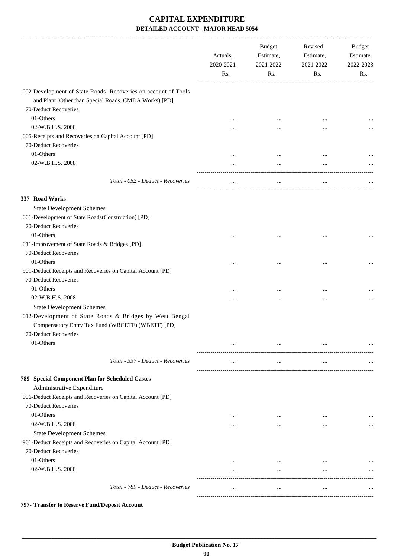| 002-Development of State Roads- Recoveries on account of Tools<br>and Plant (Other than Special Roads, CMDA Works) [PD]<br>70-Deduct Recoveries<br>01-Others<br><br>$\cdots$<br>$\ddotsc$<br>02-W.B.H.S. 2008<br>$\cdots$<br><br><br>005-Receipts and Recoveries on Capital Account [PD]<br>70-Deduct Recoveries<br>01-Others<br><br><br>02-W.B.H.S. 2008<br>$\cdots$<br>$\cdots$<br><br>Total - 052 - Deduct - Recoveries<br>$\cdots$<br><br>$\cdots$ | Budget<br>Estimate,<br>2022-2023<br>Rs. |
|--------------------------------------------------------------------------------------------------------------------------------------------------------------------------------------------------------------------------------------------------------------------------------------------------------------------------------------------------------------------------------------------------------------------------------------------------------|-----------------------------------------|
|                                                                                                                                                                                                                                                                                                                                                                                                                                                        |                                         |
|                                                                                                                                                                                                                                                                                                                                                                                                                                                        |                                         |
|                                                                                                                                                                                                                                                                                                                                                                                                                                                        |                                         |
|                                                                                                                                                                                                                                                                                                                                                                                                                                                        |                                         |
|                                                                                                                                                                                                                                                                                                                                                                                                                                                        |                                         |
|                                                                                                                                                                                                                                                                                                                                                                                                                                                        |                                         |
|                                                                                                                                                                                                                                                                                                                                                                                                                                                        |                                         |
|                                                                                                                                                                                                                                                                                                                                                                                                                                                        |                                         |
|                                                                                                                                                                                                                                                                                                                                                                                                                                                        |                                         |
|                                                                                                                                                                                                                                                                                                                                                                                                                                                        |                                         |
| 337- Road Works                                                                                                                                                                                                                                                                                                                                                                                                                                        |                                         |
| <b>State Development Schemes</b>                                                                                                                                                                                                                                                                                                                                                                                                                       |                                         |
| 001-Development of State Roads(Construction) [PD]                                                                                                                                                                                                                                                                                                                                                                                                      |                                         |
| 70-Deduct Recoveries                                                                                                                                                                                                                                                                                                                                                                                                                                   |                                         |
| 01-Others                                                                                                                                                                                                                                                                                                                                                                                                                                              |                                         |
| 011-Improvement of State Roads & Bridges [PD]                                                                                                                                                                                                                                                                                                                                                                                                          |                                         |
| 70-Deduct Recoveries                                                                                                                                                                                                                                                                                                                                                                                                                                   |                                         |
| 01-Others<br><br>                                                                                                                                                                                                                                                                                                                                                                                                                                      |                                         |
| 901-Deduct Receipts and Recoveries on Capital Account [PD]                                                                                                                                                                                                                                                                                                                                                                                             |                                         |
| 70-Deduct Recoveries                                                                                                                                                                                                                                                                                                                                                                                                                                   |                                         |
| 01-Others<br>$\cdots$<br>                                                                                                                                                                                                                                                                                                                                                                                                                              |                                         |
| 02-W.B.H.S. 2008<br>                                                                                                                                                                                                                                                                                                                                                                                                                                   |                                         |
| <b>State Development Schemes</b>                                                                                                                                                                                                                                                                                                                                                                                                                       |                                         |
| 012-Development of State Roads & Bridges by West Bengal                                                                                                                                                                                                                                                                                                                                                                                                |                                         |
| Compensatory Entry Tax Fund (WBCETF) (WBETF) [PD]                                                                                                                                                                                                                                                                                                                                                                                                      |                                         |
| 70-Deduct Recoveries                                                                                                                                                                                                                                                                                                                                                                                                                                   |                                         |
| 01-Others<br><br>$\cdots$<br>$\ddotsc$                                                                                                                                                                                                                                                                                                                                                                                                                 |                                         |
|                                                                                                                                                                                                                                                                                                                                                                                                                                                        |                                         |
| Total - 337 - Deduct - Recoveries<br>$\cdots$<br><br>$\cdots$                                                                                                                                                                                                                                                                                                                                                                                          |                                         |
| 789- Special Component Plan for Scheduled Castes                                                                                                                                                                                                                                                                                                                                                                                                       |                                         |
| Administrative Expenditure                                                                                                                                                                                                                                                                                                                                                                                                                             |                                         |
| 006-Deduct Receipts and Recoveries on Capital Account [PD]                                                                                                                                                                                                                                                                                                                                                                                             |                                         |
| 70-Deduct Recoveries                                                                                                                                                                                                                                                                                                                                                                                                                                   |                                         |
| 01-Others<br><br>$\cdots$<br>$\cdots$                                                                                                                                                                                                                                                                                                                                                                                                                  |                                         |
| 02-W.B.H.S. 2008<br>$\cdots$<br><br>$\cdots$                                                                                                                                                                                                                                                                                                                                                                                                           |                                         |
| <b>State Development Schemes</b>                                                                                                                                                                                                                                                                                                                                                                                                                       |                                         |
| 901-Deduct Receipts and Recoveries on Capital Account [PD]                                                                                                                                                                                                                                                                                                                                                                                             |                                         |
| 70-Deduct Recoveries                                                                                                                                                                                                                                                                                                                                                                                                                                   |                                         |
| 01-Others<br>$\cdots$<br>$\cdots$<br>$\cdots$                                                                                                                                                                                                                                                                                                                                                                                                          |                                         |
| 02-W.B.H.S. 2008<br>$\cdots$<br>$\cdots$<br>$\cdots$                                                                                                                                                                                                                                                                                                                                                                                                   |                                         |
|                                                                                                                                                                                                                                                                                                                                                                                                                                                        |                                         |
| Total - 789 - Deduct - Recoveries<br>$\cdots$<br>$\cdots$<br>$\cdots$                                                                                                                                                                                                                                                                                                                                                                                  |                                         |

**797- Transfer to Reserve Fund/Deposit Account**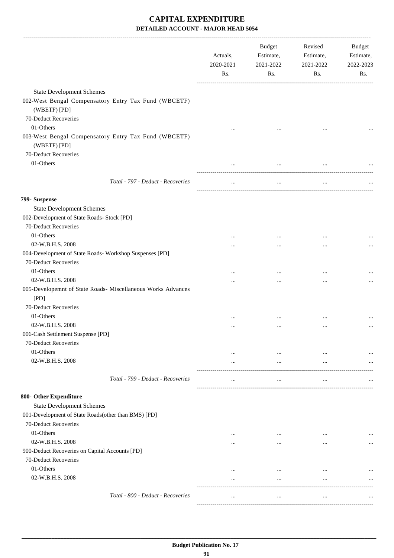|                                                                      | Actuals,<br>2020-2021<br>Rs. | <b>Budget</b><br>Estimate,<br>2021-2022<br>Rs. | Revised<br>Estimate,<br>2021-2022<br>Rs. | Budget<br>Estimate,<br>2022-2023<br>Rs. |
|----------------------------------------------------------------------|------------------------------|------------------------------------------------|------------------------------------------|-----------------------------------------|
| <b>State Development Schemes</b>                                     |                              |                                                |                                          |                                         |
| 002-West Bengal Compensatory Entry Tax Fund (WBCETF)                 |                              |                                                |                                          |                                         |
| (WBETF) [PD]                                                         |                              |                                                |                                          |                                         |
| 70-Deduct Recoveries                                                 |                              |                                                |                                          |                                         |
| 01-Others                                                            |                              |                                                |                                          |                                         |
| 003-West Bengal Compensatory Entry Tax Fund (WBCETF)<br>(WBETF) [PD] |                              |                                                |                                          |                                         |
| 70-Deduct Recoveries                                                 |                              |                                                |                                          |                                         |
| 01-Others                                                            | $\cdots$                     | $\cdots$                                       | $\ddotsc$                                |                                         |
|                                                                      |                              |                                                |                                          |                                         |
| Total - 797 - Deduct - Recoveries                                    | $\cdots$                     | $\cdots$                                       | $\cdots$                                 |                                         |
| 799- Suspense                                                        |                              |                                                |                                          |                                         |
| <b>State Development Schemes</b>                                     |                              |                                                |                                          |                                         |
| 002-Development of State Roads- Stock [PD]                           |                              |                                                |                                          |                                         |
| 70-Deduct Recoveries                                                 |                              |                                                |                                          |                                         |
| 01-Others                                                            | $\cdots$                     |                                                | $\cdots$                                 |                                         |
| 02-W.B.H.S. 2008                                                     |                              |                                                | $\cdots$                                 |                                         |
| 004-Development of State Roads- Workshop Suspenses [PD]              |                              |                                                |                                          |                                         |
| 70-Deduct Recoveries                                                 |                              |                                                |                                          |                                         |
| 01-Others                                                            | $\cdots$                     |                                                | $\cdots$                                 |                                         |
| 02-W.B.H.S. 2008                                                     | $\ddotsc$                    |                                                | $\cdots$                                 | $\cdots$                                |
| 005-Developemnt of State Roads- Miscellaneous Works Advances<br>[PD] |                              |                                                |                                          |                                         |
| 70-Deduct Recoveries                                                 |                              |                                                |                                          |                                         |
| 01-Others                                                            | $\cdots$                     |                                                | $\cdots$                                 |                                         |
| 02-W.B.H.S. 2008                                                     |                              | $\cdots$                                       | $\cdots$                                 |                                         |
| 006-Cash Settlement Suspense [PD]                                    |                              |                                                |                                          |                                         |
| 70-Deduct Recoveries                                                 |                              |                                                |                                          |                                         |
| 01-Others                                                            |                              | $\cdots$                                       | $\cdots$                                 |                                         |
| 02-W.B.H.S. 2008                                                     |                              |                                                | $\cdots$                                 |                                         |
| Total - 799 - Deduct - Recoveries                                    | $\ddotsc$                    | $\cdots$                                       | $\cdots$                                 |                                         |
| 800- Other Expenditure                                               |                              |                                                |                                          |                                         |
| <b>State Development Schemes</b>                                     |                              |                                                |                                          |                                         |
| 001-Development of State Roads(other than BMS) [PD]                  |                              |                                                |                                          |                                         |
| 70-Deduct Recoveries                                                 |                              |                                                |                                          |                                         |
| 01-Others                                                            |                              |                                                |                                          |                                         |
| 02-W.B.H.S. 2008                                                     | $\ddotsc$                    | $\cdots$                                       | $\cdots$                                 |                                         |
| 900-Deduct Recoveries on Capital Accounts [PD]                       | $\ddotsc$                    | $\cdots$                                       | $\ddotsc$                                |                                         |
| 70-Deduct Recoveries                                                 |                              |                                                |                                          |                                         |
| 01-Others                                                            |                              |                                                |                                          |                                         |
| 02-W.B.H.S. 2008                                                     | $\ddotsc$<br>                | $\ddotsc$<br>$\cdots$                          | $\ddotsc$<br>$\cdots$                    |                                         |
|                                                                      |                              |                                                |                                          |                                         |
| Total - 800 - Deduct - Recoveries                                    | $\cdots$                     | $\cdots$                                       | $\cdots$                                 |                                         |

-----------------------------------------------------------------------------------------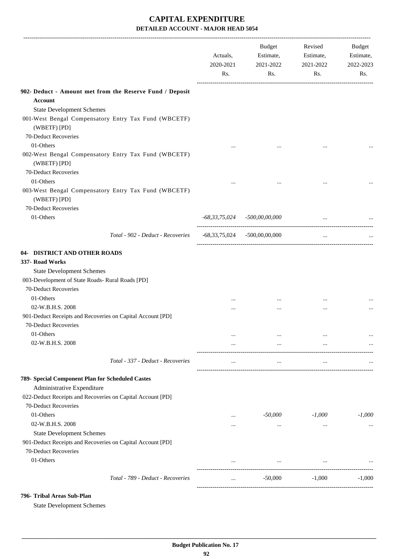|                                                                                                                                                                      | Actuals,<br>2020-2021<br>Rs. | <b>Budget</b><br>Estimate,<br>2021-2022<br>Rs.    | Revised<br>Estimate,<br>2021-2022<br>Rs. | Budget<br>Estimate,<br>2022-2023<br>Rs. |
|----------------------------------------------------------------------------------------------------------------------------------------------------------------------|------------------------------|---------------------------------------------------|------------------------------------------|-----------------------------------------|
| 902- Deduct - Amount met from the Reserve Fund / Deposit                                                                                                             |                              |                                                   |                                          |                                         |
| Account                                                                                                                                                              |                              |                                                   |                                          |                                         |
| <b>State Development Schemes</b>                                                                                                                                     |                              |                                                   |                                          |                                         |
| 001-West Bengal Compensatory Entry Tax Fund (WBCETF)<br>(WBETF) [PD]                                                                                                 |                              |                                                   |                                          |                                         |
| 70-Deduct Recoveries                                                                                                                                                 |                              |                                                   |                                          |                                         |
| 01-Others                                                                                                                                                            | $\cdots$                     |                                                   | $\cdots$                                 |                                         |
| 002-West Bengal Compensatory Entry Tax Fund (WBCETF)<br>(WBETF) [PD]                                                                                                 |                              |                                                   |                                          |                                         |
| 70-Deduct Recoveries                                                                                                                                                 |                              |                                                   |                                          |                                         |
| 01-Others                                                                                                                                                            |                              |                                                   |                                          |                                         |
| 003-West Bengal Compensatory Entry Tax Fund (WBCETF)<br>(WBETF) [PD]                                                                                                 |                              |                                                   |                                          |                                         |
| 70-Deduct Recoveries                                                                                                                                                 |                              |                                                   |                                          |                                         |
| 01-Others                                                                                                                                                            |                              | $-68,33,75,024$ $-500,00,00,000$                  | $\cdots$                                 |                                         |
| Total - 902 - Deduct - Recoveries                                                                                                                                    |                              | $-68,33,75,024$ $-500,00,00,000$                  | $\cdots$                                 |                                         |
| 04- DISTRICT AND OTHER ROADS<br>337- Road Works<br><b>State Development Schemes</b><br>003-Development of State Roads- Rural Roads [PD]<br>70-Deduct Recoveries      |                              |                                                   |                                          |                                         |
| 01-Others                                                                                                                                                            | $\cdots$                     | $\cdots$                                          | $\cdots$                                 |                                         |
| 02-W.B.H.S. 2008                                                                                                                                                     | $\cdots$                     |                                                   | $\cdots$                                 |                                         |
| 901-Deduct Receipts and Recoveries on Capital Account [PD]                                                                                                           |                              |                                                   |                                          |                                         |
| 70-Deduct Recoveries                                                                                                                                                 |                              |                                                   |                                          |                                         |
| 01-Others                                                                                                                                                            | $\cdots$                     | $\cdots$                                          | $\cdots$                                 | $\cdots$                                |
| 02-W.B.H.S. 2008                                                                                                                                                     | $\cdots$                     | $\cdots$<br>------------------------------------- |                                          |                                         |
| Total - 337 - Deduct - Recoveries                                                                                                                                    | $\cdots$                     | $\cdots$                                          | $\cdots$                                 |                                         |
| 789- Special Component Plan for Scheduled Castes<br>Administrative Expenditure<br>022-Deduct Receipts and Recoveries on Capital Account [PD]<br>70-Deduct Recoveries |                              |                                                   |                                          |                                         |
| 01-Others                                                                                                                                                            |                              | -50,000                                           | $-1,000$                                 | $-1,000$                                |
| 02-W.B.H.S. 2008                                                                                                                                                     | $\cdots$                     |                                                   |                                          |                                         |
| <b>State Development Schemes</b>                                                                                                                                     | $\cdots$                     | $\cdots$                                          | $\cdots$                                 | $\cdots$                                |
| 901-Deduct Receipts and Recoveries on Capital Account [PD]                                                                                                           |                              |                                                   |                                          |                                         |
| 70-Deduct Recoveries                                                                                                                                                 |                              |                                                   |                                          |                                         |
| 01-Others                                                                                                                                                            | $\cdots$                     | $\ldots$                                          | $\cdots$                                 |                                         |
| Total - 789 - Deduct - Recoveries                                                                                                                                    | $\cdots$                     | $-50,000$                                         | $-1,000$                                 | $-1,000$                                |
|                                                                                                                                                                      |                              |                                                   |                                          |                                         |

#### **796- Tribal Areas Sub-Plan**

State Development Schemes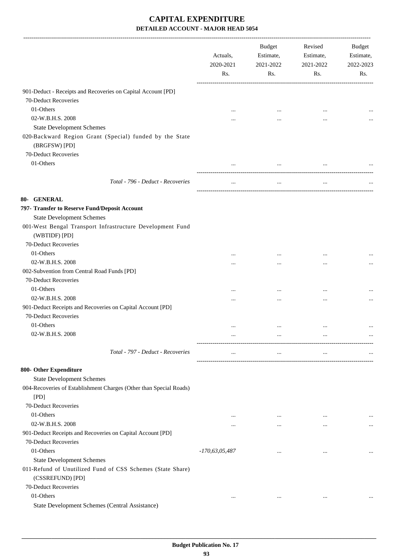|                                                                                | Actuals,<br>2020-2021<br>Rs. | Budget<br>Estimate,<br>2021-2022<br>Rs. | Revised<br>Estimate,<br>2021-2022<br>Rs. | Budget<br>Estimate,<br>2022-2023<br>Rs. |
|--------------------------------------------------------------------------------|------------------------------|-----------------------------------------|------------------------------------------|-----------------------------------------|
| 901-Deduct - Receipts and Recoveries on Capital Account [PD]                   |                              |                                         |                                          |                                         |
| 70-Deduct Recoveries                                                           |                              |                                         |                                          |                                         |
| 01-Others                                                                      |                              | $\cdots$                                | $\cdots$                                 |                                         |
| 02-W.B.H.S. 2008                                                               |                              |                                         |                                          |                                         |
| <b>State Development Schemes</b>                                               |                              |                                         |                                          |                                         |
| 020-Backward Region Grant (Special) funded by the State                        |                              |                                         |                                          |                                         |
| (BRGFSW) [PD]                                                                  |                              |                                         |                                          |                                         |
| 70-Deduct Recoveries                                                           |                              |                                         |                                          |                                         |
| 01-Others                                                                      | $\cdots$                     | $\cdots$                                | $\cdots$                                 |                                         |
|                                                                                |                              |                                         |                                          |                                         |
| Total - 796 - Deduct - Recoveries                                              | $\cdots$                     | $\cdots$                                | $\cdots$                                 |                                         |
| 80- GENERAL                                                                    |                              |                                         |                                          |                                         |
| 797- Transfer to Reserve Fund/Deposit Account                                  |                              |                                         |                                          |                                         |
| <b>State Development Schemes</b>                                               |                              |                                         |                                          |                                         |
| 001-West Bengal Transport Infrastructure Development Fund                      |                              |                                         |                                          |                                         |
| (WBTIDF) [PD]                                                                  |                              |                                         |                                          |                                         |
| 70-Deduct Recoveries                                                           |                              |                                         |                                          |                                         |
| 01-Others                                                                      |                              |                                         |                                          |                                         |
| 02-W.B.H.S. 2008                                                               |                              |                                         | $\cdots$                                 |                                         |
| 002-Subvention from Central Road Funds [PD]                                    |                              |                                         |                                          |                                         |
| 70-Deduct Recoveries                                                           |                              |                                         |                                          |                                         |
| 01-Others                                                                      |                              |                                         |                                          |                                         |
| 02-W.B.H.S. 2008                                                               |                              |                                         | $\cdots$                                 |                                         |
| 901-Deduct Receipts and Recoveries on Capital Account [PD]                     |                              |                                         |                                          |                                         |
| 70-Deduct Recoveries                                                           |                              |                                         |                                          |                                         |
| 01-Others                                                                      |                              |                                         | $\ddotsc$                                |                                         |
| 02-W.B.H.S. 2008                                                               | $\cdots$                     |                                         |                                          |                                         |
| Total - 797 - Deduct - Recoveries                                              | $\cdots$                     | $\cdots$                                | $\cdots$                                 |                                         |
| 800- Other Expenditure                                                         |                              |                                         |                                          |                                         |
| <b>State Development Schemes</b>                                               |                              |                                         |                                          |                                         |
| 004-Recoveries of Establishment Charges (Other than Special Roads)             |                              |                                         |                                          |                                         |
| [PD]                                                                           |                              |                                         |                                          |                                         |
| 70-Deduct Recoveries                                                           |                              |                                         |                                          |                                         |
| 01-Others                                                                      |                              | $\cdots$                                | $\cdots$                                 |                                         |
| 02-W.B.H.S. 2008                                                               |                              | $\cdots$                                | $\ddotsc$                                |                                         |
| 901-Deduct Receipts and Recoveries on Capital Account [PD]                     |                              |                                         |                                          |                                         |
| 70-Deduct Recoveries                                                           |                              |                                         |                                          |                                         |
| 01-Others                                                                      | $-170,63,05,487$             |                                         | $\ddotsc$                                |                                         |
| <b>State Development Schemes</b>                                               |                              |                                         |                                          |                                         |
| 011-Refund of Unutilized Fund of CSS Schemes (State Share)<br>(CSSREFUND) [PD] |                              |                                         |                                          |                                         |
| 70-Deduct Recoveries                                                           |                              |                                         |                                          |                                         |
| 01-Others                                                                      | $\cdots$                     | $\cdots$                                | $\cdots$                                 |                                         |
| State Development Schemes (Central Assistance)                                 |                              |                                         |                                          |                                         |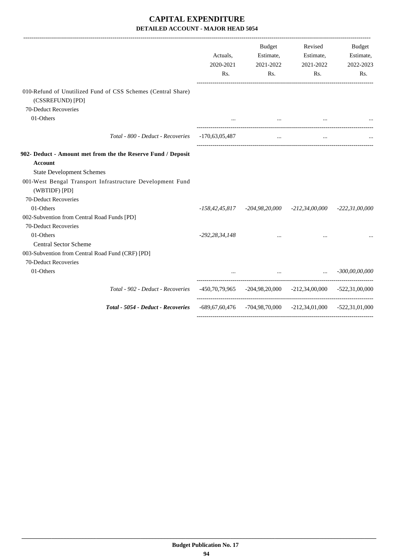|                                                                                  | Actuals,<br>2020-2021<br>Rs. | Budget<br>Estimate,<br>2021-2022<br>Rs.                             | Revised<br>Estimate,<br>2021-2022<br>Rs. | <b>Budget</b><br>Estimate,<br>2022-2023<br>Rs. |
|----------------------------------------------------------------------------------|------------------------------|---------------------------------------------------------------------|------------------------------------------|------------------------------------------------|
| 010-Refund of Unutilized Fund of CSS Schemes (Central Share)<br>(CSSREFUND) [PD] |                              |                                                                     |                                          |                                                |
| 70-Deduct Recoveries                                                             |                              |                                                                     |                                          |                                                |
| 01-Others                                                                        |                              | <b>Search College</b>                                               | $\cdots$                                 |                                                |
| Total - 800 - Deduct - Recoveries - 170,63,05,487                                |                              | $\cdots$                                                            | $\cdots$                                 |                                                |
| 902- Deduct - Amount met from the the Reserve Fund / Deposit                     |                              |                                                                     |                                          |                                                |
| <b>Account</b>                                                                   |                              |                                                                     |                                          |                                                |
| <b>State Development Schemes</b>                                                 |                              |                                                                     |                                          |                                                |
| 001-West Bengal Transport Infrastructure Development Fund<br>(WBTIDF) [PD]       |                              |                                                                     |                                          |                                                |
| 70-Deduct Recoveries                                                             |                              |                                                                     |                                          |                                                |
| 01-Others                                                                        | -158,42,45,817               |                                                                     | -204,98,20,000 -212,34,00,000            | $-222,31,00,000$                               |
| 002-Subvention from Central Road Funds [PD]                                      |                              |                                                                     |                                          |                                                |
| 70-Deduct Recoveries                                                             |                              |                                                                     |                                          |                                                |
| 01-Others                                                                        | $-292, 28, 34, 148$          |                                                                     |                                          |                                                |
| <b>Central Sector Scheme</b>                                                     |                              |                                                                     |                                          |                                                |
| 003-Subvention from Central Road Fund (CRF) [PD]                                 |                              |                                                                     |                                          |                                                |
| 70-Deduct Recoveries                                                             |                              |                                                                     |                                          |                                                |
| 01-Others                                                                        |                              | $-300,00,00,000$                                                    |                                          |                                                |
| Total - 902 - Deduct - Recoveries                                                |                              | $-450,70,79,965$ $-204,98,20,000$ $-212,34,00,000$ $-522,31,00,000$ |                                          |                                                |
| Total - 5054 - Deduct - Recoveries                                               |                              | $-689,67,60,476$ $-704,98,70,000$ $-212,34,01,000$ $-522,31,01,000$ |                                          |                                                |
|                                                                                  |                              |                                                                     |                                          |                                                |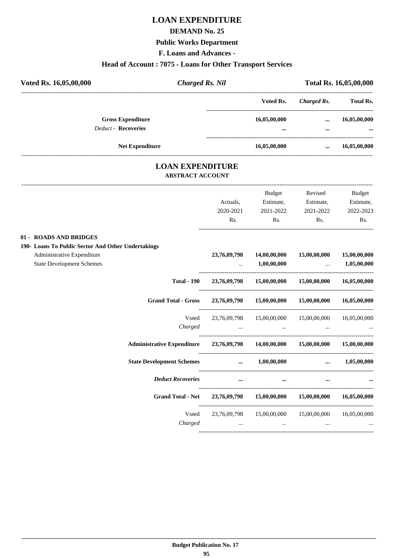# **LOAN EXPENDITURE**

### **DEMAND No. 25**

### **Public Works Department**

**F. Loans and Advances -**

### **Head of Account : 7075 - Loans for Other Transport Services**

| Voted Rs. 16,05,00,000     | <b>Charged Rs. Nil</b>   |                          |              | Total Rs. 16,05,00,000   |
|----------------------------|--------------------------|--------------------------|--------------|--------------------------|
|                            |                          | Voted Rs.                | Charged Rs.  | <b>Total Rs.</b>         |
| <b>Deduct - Recoveries</b> | <b>Gross Expenditure</b> | 16,05,00,000<br>$\cdots$ | <br>$\cdots$ | 16,05,00,000<br>$\cdots$ |
|                            | <b>Net Expenditure</b>   | 16,05,00,000             |              | 16,05,00,000             |

## **LOAN EXPENDITURE ABSTRACT ACCOUNT**

---------------------------------------------------------------------------------------------------------------------------------------------------------------------------------

|                                                                                |                                                                                                                     | <b>Budget</b>                                                                                   | Revised                                             | <b>Budget</b> |
|--------------------------------------------------------------------------------|---------------------------------------------------------------------------------------------------------------------|-------------------------------------------------------------------------------------------------|-----------------------------------------------------|---------------|
|                                                                                | Actuals,                                                                                                            | Estimate,                                                                                       | Estimate,                                           | Estimate,     |
|                                                                                | 2020-2021                                                                                                           | 2021-2022                                                                                       | 2021-2022                                           | 2022-2023     |
|                                                                                | Rs.                                                                                                                 | Rs.                                                                                             | Rs.                                                 | Rs.           |
| 01 - ROADS AND BRIDGES                                                         |                                                                                                                     |                                                                                                 |                                                     |               |
| 190- Loans To Public Sector And Other Undertakings                             |                                                                                                                     |                                                                                                 |                                                     |               |
| Administrative Expenditure                                                     |                                                                                                                     | 23,76,09,798 14,00,00,000                                                                       | 15,00,00,000                                        | 15,00,00,000  |
| <b>State Development Schemes</b>                                               |                                                                                                                     | $\dots$ 1,00,00,000                                                                             | $\ldots$ 1,05,00,000                                |               |
| <b>Total - 190</b>                                                             |                                                                                                                     |                                                                                                 | 23,76,09,798 15,00,00,000 15,00,00,000 16,05,00,000 |               |
| <b>Grand Total - Gross</b>                                                     |                                                                                                                     |                                                                                                 | 23,76,09,798 15,00,00,000 15,00,00,000 16,05,00,000 |               |
|                                                                                | Voted 23,76,09,798 15,00,00,000 15,00,00,000 16,05,00,000                                                           |                                                                                                 |                                                     |               |
| Charged                                                                        |                                                                                                                     | the contract of the contract of the contract of the contract of the contract of the contract of |                                                     |               |
| Administrative Expenditure 23,76,09,798 14,00,00,000 15,00,00,000 15,00,00,000 |                                                                                                                     |                                                                                                 |                                                     |               |
| <b>State Development Schemes</b>                                               | $\dots$ 1,00,00,000 $\dots$ 1,05,00,000                                                                             |                                                                                                 |                                                     |               |
| <b>Deduct Recoveries</b>                                                       | $\cdots$                                                                                                            | $\cdots$                                                                                        |                                                     |               |
| Grand Total - Net 23,76,09,798 15,00,00,000 15,00,00,000 16,05,00,000          |                                                                                                                     |                                                                                                 |                                                     |               |
|                                                                                | Voted 23,76,09,798 15,00,00,000 15,00,00,000 16,05,00,000                                                           |                                                                                                 |                                                     |               |
| Charged                                                                        | and the contract of the contract of the contract of the contract of the contract of the contract of the contract of |                                                                                                 | $\cdots$                                            |               |
|                                                                                |                                                                                                                     |                                                                                                 |                                                     |               |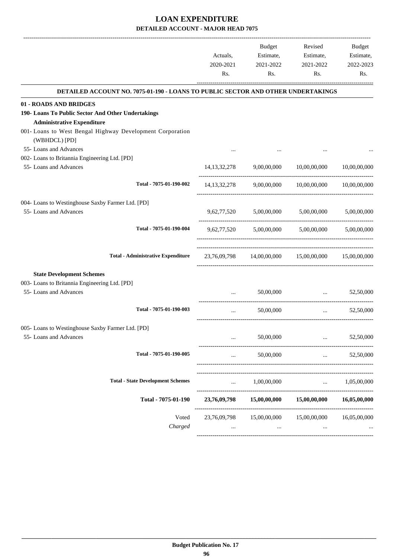|                                                                                  | Actuals,<br>2020-2021<br>Rs. | <b>Budget</b><br>Estimate,<br>2021-2022<br>Rs. | Revised<br>Estimate,<br>2021-2022<br>Rs.            | Budget<br>Estimate,<br>2022-2023<br>Rs. |
|----------------------------------------------------------------------------------|------------------------------|------------------------------------------------|-----------------------------------------------------|-----------------------------------------|
| DETAILED ACCOUNT NO. 7075-01-190 - LOANS TO PUBLIC SECTOR AND OTHER UNDERTAKINGS |                              |                                                |                                                     |                                         |
| 01 - ROADS AND BRIDGES                                                           |                              |                                                |                                                     |                                         |
| 190- Loans To Public Sector And Other Undertakings                               |                              |                                                |                                                     |                                         |
| <b>Administrative Expenditure</b>                                                |                              |                                                |                                                     |                                         |
| 001- Loans to West Bengal Highway Development Corporation<br>(WBHDCL) [PD]       |                              |                                                |                                                     |                                         |
| 55- Loans and Advances                                                           |                              |                                                |                                                     |                                         |
| 002- Loans to Britannia Engineering Ltd. [PD]                                    |                              |                                                |                                                     |                                         |
| 55- Loans and Advances                                                           | 14, 13, 32, 278              | 9,00,00,000                                    | 10,00,00,000                                        | 10.00.00.000                            |
| Total - 7075-01-190-002                                                          |                              |                                                | 14,13,32,278 9,00,00,000 10,00,00,000               | 10,00,00,000                            |
| 004- Loans to Westinghouse Saxby Farmer Ltd. [PD]                                |                              |                                                |                                                     |                                         |
| 55- Loans and Advances                                                           |                              | 9,62,77,520 5,00,00,000 5,00,00,000            |                                                     | 5,00,00,000                             |
| Total - 7075-01-190-004                                                          | 9,62,77,520                  |                                                | 5,00,00,000 5,00,00,000                             | 5.00.00.000                             |
| <b>Total - Administrative Expenditure</b>                                        |                              |                                                | 23,76,09,798 14,00,00,000 15,00,00,000              | 15,00,00,000                            |
| <b>State Development Schemes</b>                                                 |                              |                                                |                                                     |                                         |
| 003- Loans to Britannia Engineering Ltd. [PD]                                    |                              |                                                |                                                     |                                         |
| 55- Loans and Advances                                                           |                              | 50,00,000                                      | <b>Contract Contract Contract</b>                   | 52,50,000                               |
| Total - 7075-01-190-003                                                          | $\cdots$                     | 50,00,000                                      | -----------------------------------<br>$\mathbf{r}$ | 52,50,000                               |
| 005- Loans to Westinghouse Saxby Farmer Ltd. [PD]                                |                              |                                                |                                                     |                                         |
| 55- Loans and Advances                                                           |                              | 50,00,000                                      | $\cdot \cdot$                                       | 52,50,000                               |
| Total - 7075-01-190-005                                                          |                              | 50,00,000                                      | $\cdots$                                            | 52,50,000                               |
| <b>Total - State Development Schemes</b>                                         | $\cdots$                     | 1,00,00,000                                    | $\cdots$                                            | 1,05,00,000                             |
| Total - 7075-01-190                                                              | 23,76,09,798                 | 15,00,00,000                                   | 15,00,00,000                                        | 16,05,00,000                            |
|                                                                                  |                              |                                                |                                                     |                                         |
| Voted<br>Charged                                                                 | 23,76,09,798                 | 15,00,00,000                                   | 15,00,00,000                                        | 16,05,00,000                            |
|                                                                                  |                              |                                                |                                                     |                                         |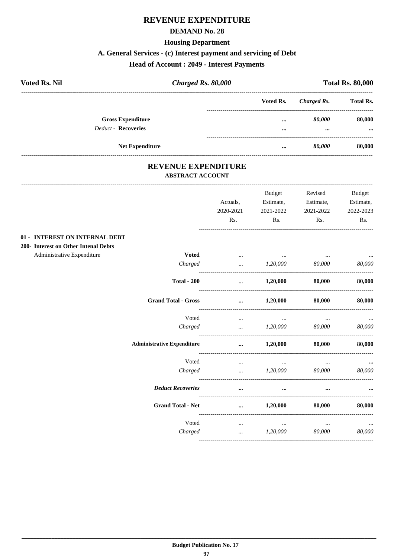# REVENUE EXPENDITURE

#### **DEMAND No. 28**

# **Housing Department**

# A. General Services - (c) Interest payment and servicing of Debt

## **Head of Account : 2049 - Interest Payments**

| <b>Voted Rs. Nil</b> |                            | Charged Rs. 80,000 |                         | <b>Total Rs. 80,000</b> |                  |  |
|----------------------|----------------------------|--------------------|-------------------------|-------------------------|------------------|--|
|                      |                            |                    | Voted Rs.               | Charged Rs.             | <b>Total Rs.</b> |  |
|                      | <b>Gross Expenditure</b>   |                    |                         | 80.000                  | 80,000           |  |
|                      | <b>Deduct - Recoveries</b> |                    | $\bullet\bullet\bullet$ | $\cdots$                |                  |  |
|                      | <b>Net Expenditure</b>     |                    |                         | 80,000                  | 80,000           |  |

## REVENUE EXPENDITURE **ABSTRACT ACCOUNT**

-------------------

|                                      |                                   | Actuals,<br>2020-2021<br>Rs. | <b>Budget</b><br>Estimate,<br>2021-2022<br>Rs. | Revised<br>Estimate,<br>2021-2022<br>Rs. | <b>Budget</b><br>Estimate,<br>2022-2023<br>Rs. |
|--------------------------------------|-----------------------------------|------------------------------|------------------------------------------------|------------------------------------------|------------------------------------------------|
| 01 - INTEREST ON INTERNAL DEBT       |                                   |                              |                                                |                                          |                                                |
| 200- Interest on Other Intenal Debts |                                   |                              |                                                |                                          |                                                |
| Administrative Expenditure           | <b>Voted</b>                      | $\cdots$                     | <b>Contract Contract</b>                       | <b>Contract Contract</b>                 | $\sim$ 0.000                                   |
|                                      | Charged                           | $\cdots$                     | 1,20,000                                       | 80,000                                   | 80,000                                         |
|                                      | <b>Total - 200</b>                | $\cdots$                     | 1,20,000                                       | 80,000                                   | 80,000                                         |
|                                      | <b>Grand Total - Gross</b>        | $\cdots$                     | 1,20,000                                       | 80,000                                   | 80,000                                         |
|                                      | Voted                             | $\cdots$                     | $\cdots$                                       | $\cdots$                                 |                                                |
|                                      | Charged                           | $\ddotsc$                    | 1,20,000                                       | 80,000                                   | 80,000                                         |
|                                      | <b>Administrative Expenditure</b> | $\ddotsc$                    | 1,20,000                                       | 80.000                                   | 80,000                                         |
|                                      | Voted                             | $\cdots$                     | $\cdots$                                       | $\cdots$                                 |                                                |
|                                      | Charged                           | $\cdots$                     | 1,20,000                                       | 80,000                                   | 80,000                                         |
|                                      | <b>Deduct Recoveries</b>          | $\cdots$                     | $\cdots$                                       | $\cdots$                                 |                                                |
|                                      | <b>Grand Total - Net</b>          | $\cdots$                     | 1,20,000                                       | 80,000                                   | 80,000                                         |
|                                      | Voted                             | $\cdots$                     | $\cdots$                                       | $\cdots$                                 |                                                |
|                                      | Charged                           | $\cdots$                     | 1,20,000                                       | 80,000                                   | 80,000                                         |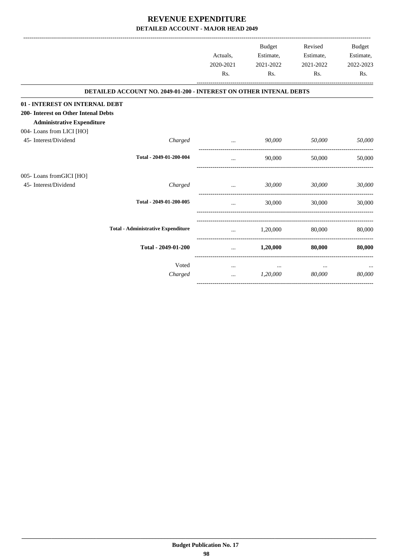|                                      |                                                                           |           | Budget    | Revised   | <b>Budget</b> |
|--------------------------------------|---------------------------------------------------------------------------|-----------|-----------|-----------|---------------|
|                                      |                                                                           | Actuals,  | Estimate, | Estimate, | Estimate,     |
|                                      |                                                                           | 2020-2021 | 2021-2022 | 2021-2022 | 2022-2023     |
|                                      |                                                                           | Rs.       | Rs.       | Rs.       | Rs.           |
|                                      | <b>DETAILED ACCOUNT NO. 2049-01-200 - INTEREST ON OTHER INTENAL DEBTS</b> |           |           |           |               |
| 01 - INTEREST ON INTERNAL DEBT       |                                                                           |           |           |           |               |
| 200- Interest on Other Intenal Debts |                                                                           |           |           |           |               |
| <b>Administrative Expenditure</b>    |                                                                           |           |           |           |               |
| 004- Loans from LICI [HO]            |                                                                           |           |           |           |               |
| 45- Interest/Dividend                | Charged                                                                   |           | 90,000    | 50,000    | 50,000        |
|                                      | Total - 2049-01-200-004                                                   | $\cdots$  | 90,000    | 50,000    | 50,000        |
| 005-Loans fromGICI [HO]              |                                                                           |           |           |           |               |
| 45- Interest/Dividend                | Charged                                                                   | $\cdots$  | 30,000    | 30,000    | 30,000        |
|                                      | Total - 2049-01-200-005                                                   | $\cdots$  | 30,000    | 30,000    | 30,000        |
|                                      |                                                                           |           |           |           |               |
|                                      | <b>Total - Administrative Expenditure</b>                                 | $\cdots$  | 1,20,000  | 80,000    | 80,000        |
|                                      | Total - 2049-01-200                                                       | $\cdots$  | 1,20,000  | 80,000    | 80,000        |
|                                      | Voted                                                                     | $\cdots$  | $\cdots$  | $\cdots$  |               |
|                                      | Charged                                                                   | $\cdots$  | 1,20,000  | 80,000    | 80,000        |
|                                      |                                                                           |           |           |           |               |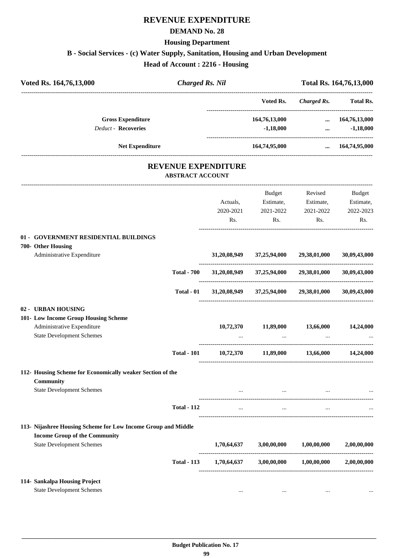# **REVENUE EXPENDITURE**

#### **DEMAND No. 28**

### **Housing Department**

**B - Social Services - (c) Water Supply, Sanitation, Housing and Urban Development**

**Head of Account : 2216 - Housing** 

| Voted Rs. 164,76,13,000                                                                                                                   | <b>Charged Rs. Nil</b>                                |                              |                                                                       |                                          | Total Rs. 164,76,13,000                                                                |
|-------------------------------------------------------------------------------------------------------------------------------------------|-------------------------------------------------------|------------------------------|-----------------------------------------------------------------------|------------------------------------------|----------------------------------------------------------------------------------------|
|                                                                                                                                           |                                                       |                              | Voted Rs.                                                             | <b>Charged Rs.</b>                       | <b>Total Rs.</b>                                                                       |
| <b>Gross Expenditure</b><br><b>Deduct - Recoveries</b>                                                                                    |                                                       |                              | 164,76,13,000<br>$-1,18,000$                                          |                                          | $\dots$ 164,76,13,000<br>$-1,18,000$<br>$\mathbf{a}$ and $\mathbf{a}$ and $\mathbf{a}$ |
| Net Expenditure                                                                                                                           |                                                       |                              | 164,74,95,000                                                         |                                          | $\dots$ 164,74,95,000                                                                  |
|                                                                                                                                           | <b>REVENUE EXPENDITURE</b><br><b>ABSTRACT ACCOUNT</b> |                              |                                                                       |                                          |                                                                                        |
|                                                                                                                                           |                                                       | Actuals,<br>2020-2021<br>Rs. | Budget<br>Estimate,<br>2021-2022<br>Rs.                               | Revised<br>Estimate,<br>2021-2022<br>Rs. | <b>Budget</b><br>Estimate,<br>2022-2023<br>Rs.                                         |
| 01 - GOVERNMENT RESIDENTIAL BUILDINGS<br>700- Other Housing<br>Administrative Expenditure                                                 |                                                       |                              | 31,20,08,949 37,25,94,000                                             | 29,38,01,000                             | 30,09,43,000                                                                           |
|                                                                                                                                           | <b>Total - 700</b>                                    |                              | 31,20,08,949 37,25,94,000 29,38,01,000                                |                                          | 30,09,43,000                                                                           |
|                                                                                                                                           | Total - 01                                            |                              | 31,20,08,949 37,25,94,000                                             | 29,38,01,000                             | 30,09,43,000                                                                           |
| 02 - URBAN HOUSING<br>101- Low Income Group Housing Scheme<br>Administrative Expenditure<br><b>State Development Schemes</b>              |                                                       | 10,72,370                    | 11,89,000                                                             | 13,66,000                                | 14,24,000                                                                              |
|                                                                                                                                           | <b>Total - 101</b>                                    |                              | 10,72,370 11,89,000                                                   | 13,66,000                                | 14,24,000                                                                              |
| 112- Housing Scheme for Economically weaker Section of the<br><b>Community</b>                                                            |                                                       |                              |                                                                       |                                          |                                                                                        |
| <b>State Development Schemes</b>                                                                                                          | <b>Total - 112</b>                                    | $\cdots$                     | and the state of the state<br>$\sim$ $\sim$ $\sim$ $\sim$<br>$\cdots$ | $\ldots$<br>$\ddotsc$                    |                                                                                        |
| 113- Nijashree Housing Scheme for Low Income Group and Middle<br><b>Income Group of the Community</b><br><b>State Development Schemes</b> |                                                       | 1,70,64,637                  | 3,00,00,000                                                           | 1,00,00,000                              | 2,00,00,000                                                                            |
|                                                                                                                                           | <b>Total - 113</b>                                    | 1,70,64,637                  | 3,00,00,000                                                           | $1,\!00,\!00,\!000$                      | 2,00,00,000                                                                            |
| 114- Sankalpa Housing Project<br><b>State Development Schemes</b>                                                                         |                                                       | $\cdots$                     | $\cdots$                                                              | $\cdots$                                 |                                                                                        |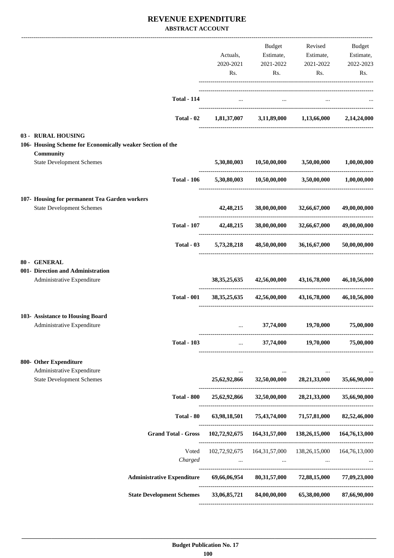## **REVENUE EXPENDITURE ABSTRACT ACCOUNT**

|                                                                                  |                                                     |                       | Budget                                                  | Revised                                    | Budget                    |
|----------------------------------------------------------------------------------|-----------------------------------------------------|-----------------------|---------------------------------------------------------|--------------------------------------------|---------------------------|
|                                                                                  |                                                     | Actuals,<br>2020-2021 | Estimate,                                               | Estimate,                                  | Estimate,<br>2022-2023    |
|                                                                                  |                                                     | Rs.                   | 2021-2022<br>Rs.                                        | 2021-2022<br>Rs.                           | Rs.                       |
|                                                                                  |                                                     |                       |                                                         |                                            |                           |
|                                                                                  | <b>Total - 114</b>                                  | $\cdots$              | $\cdots$                                                |                                            |                           |
|                                                                                  |                                                     |                       |                                                         |                                            |                           |
|                                                                                  | Total - 02                                          |                       | $1,81,37,007$ $3,11,89,000$ $1,13,66,000$               |                                            | 2.14.24.000               |
| 03 - RURAL HOUSING<br>106- Housing Scheme for Economically weaker Section of the |                                                     |                       |                                                         |                                            |                           |
| Community                                                                        |                                                     |                       |                                                         |                                            |                           |
| <b>State Development Schemes</b>                                                 |                                                     | 5,30,80,003           |                                                         | $10,50,00,000$ $3,50,00,000$               | 1,00,00,000               |
|                                                                                  | <b>Total - 106</b>                                  | 5,30,80,003           |                                                         | $10,50,00,000$ $3,50,00,000$ $1,00,00,000$ |                           |
| 107- Housing for permanent Tea Garden workers                                    |                                                     |                       |                                                         |                                            |                           |
| <b>State Development Schemes</b>                                                 |                                                     | 42,48,215             |                                                         | 38,00,00,000 32,66,67,000                  | 49,00,00,000              |
|                                                                                  | <b>Total - 107</b>                                  | 42,48,215             | 38,00,00,000                                            | 32,66,67,000                               | 49,00,00,000              |
|                                                                                  | $Total - 03$                                        | 5,73,28,218           | 48,50,00,000                                            | 36,16,67,000                               | 50,00,00,000              |
| 80 - GENERAL                                                                     |                                                     |                       |                                                         |                                            |                           |
| 001- Direction and Administration                                                |                                                     |                       |                                                         |                                            |                           |
| Administrative Expenditure                                                       |                                                     | 38, 35, 25, 635       | 42,56,00,000                                            | 43, 16, 78, 000                            | 46,10,56,000              |
|                                                                                  | <b>Total - 001</b>                                  | 38, 35, 25, 635       | 42,56,00,000                                            | 43, 16, 78, 000                            | 46,10,56,000              |
| 103- Assistance to Housing Board                                                 |                                                     |                       |                                                         |                                            |                           |
| Administrative Expenditure                                                       |                                                     | $\cdots$              | 37,74,000                                               | 19,70,000                                  | 75,00,000                 |
|                                                                                  | <b>Total - 103</b>                                  |                       | and the state                                           | 37,74,000 19,70,000                        | 75,00,000                 |
| 800- Other Expenditure                                                           |                                                     |                       |                                                         |                                            |                           |
| Administrative Expenditure<br><b>State Development Schemes</b>                   |                                                     | 25,62,92,866          |                                                         | 32,50,00,000 28,21,33,000                  | 35,66,90,000              |
|                                                                                  |                                                     |                       |                                                         | -------------------                        |                           |
|                                                                                  | <b>Total - 800</b>                                  | 25,62,92,866          | 32,50,00,000                                            | 28,21,33,000                               | 35,66,90,000              |
|                                                                                  | Total - 80                                          |                       | 63,98,18,501 75,43,74,000                               | 71,57,81,000                               | 82,52,46,000              |
|                                                                                  | <b>Grand Total - Gross</b>                          |                       | 102,72,92,675 164,31,57,000 138,26,15,000 164,76,13,000 |                                            |                           |
|                                                                                  | Voted                                               |                       | 102,72,92,675  164,31,57,000  138,26,15,000             |                                            | 164,76,13,000             |
|                                                                                  | Charged                                             |                       | $\cdots$                                                |                                            |                           |
|                                                                                  | <b>Administrative Expenditure</b>                   | 69,66,06,954          |                                                         | 80,31,57,000 72,88,15,000                  | 77,09,23,000              |
|                                                                                  | State Development Schemes 33,06,85,721 84,00,00,000 |                       |                                                         |                                            | 65,38,00,000 87,66,90,000 |
|                                                                                  |                                                     |                       |                                                         |                                            |                           |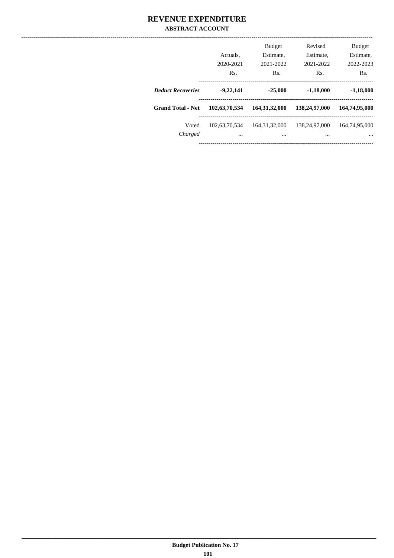## **REVENUE EXPENDITURE ABSTRACT ACCOUNT**

|                          | Actuals.<br>2020-2021<br>Rs. | <b>Budget</b><br>Estimate,<br>2021-2022<br>Rs. | Revised<br>Estimate,<br>2021-2022<br>Rs. | <b>Budget</b><br>Estimate,<br>2022-2023<br>Rs. |
|--------------------------|------------------------------|------------------------------------------------|------------------------------------------|------------------------------------------------|
| <b>Deduct Recoveries</b> | $-9,22,141$                  | $-25,000$                                      | $-1,18,000$                              | $-1,18,000$                                    |
| <b>Grand Total - Net</b> | 102,63,70,534                | 164, 31, 32, 000                               | 138,24,97,000                            | 164,74,95,000                                  |
| Voted<br>Charged         | 102.63.70.534<br>$\cdots$    | 164.31.32,000<br>$\cdots$                      | 138,24,97,000<br>                        | 164,74,95,000<br>                              |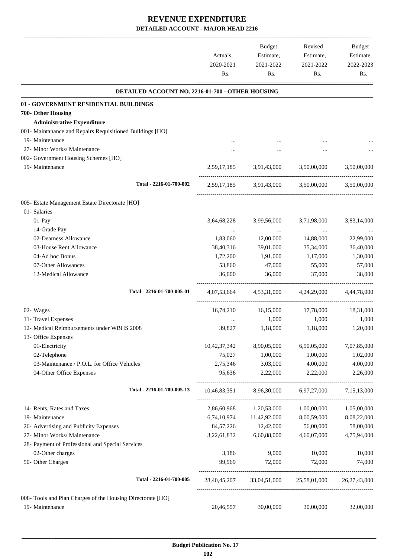|                                                                   | Actuals,<br>2020-2021<br>Rs. | Budget<br>Estimate,<br>2021-2022<br>Rs. | Revised<br>Estimate,<br>2021-2022<br>Rs.            | Budget<br>Estimate,<br>2022-2023<br>Rs. |
|-------------------------------------------------------------------|------------------------------|-----------------------------------------|-----------------------------------------------------|-----------------------------------------|
| DETAILED ACCOUNT NO. 2216-01-700 - OTHER HOUSING                  |                              |                                         |                                                     |                                         |
| 01 - GOVERNMENT RESIDENTIAL BUILDINGS                             |                              |                                         |                                                     |                                         |
| 700- Other Housing                                                |                              |                                         |                                                     |                                         |
| <b>Administrative Expenditure</b>                                 |                              |                                         |                                                     |                                         |
| 001- Maintanance and Repairs Requisitioned Buildings [HO]         |                              |                                         |                                                     |                                         |
| 19- Maintenance                                                   |                              |                                         |                                                     |                                         |
| 27- Minor Works/ Maintenance                                      |                              |                                         |                                                     |                                         |
| 002- Government Housing Schemes [HO]                              |                              |                                         |                                                     |                                         |
| 19- Maintenance                                                   |                              | 2,59,17,185 3,91,43,000                 | 3,50,00,000                                         | 3,50,00,000                             |
| Total - 2216-01-700-002                                           |                              |                                         | 2,59,17,185 3,91,43,000 3,50,00,000                 | 3.50,00,000                             |
| 005- Estate Management Estate Directorate [HO]                    |                              |                                         |                                                     |                                         |
| 01- Salaries                                                      |                              |                                         |                                                     |                                         |
| 01-Pay                                                            | 3,64,68,228                  | 3,99,56,000                             | 3,71,98,000                                         | 3,83,14,000                             |
| 14-Grade Pay                                                      |                              | $\ldots$                                |                                                     |                                         |
| 02-Dearness Allowance                                             | 1,83,060                     | 12,00,000                               | 14,88,000                                           | 22,99,000                               |
| 03-House Rent Allowance                                           | 38,40,316                    | 39,01,000                               | 35,34,000                                           | 36,40,000                               |
| 04-Ad hoc Bonus                                                   | 1,72,200                     | 1,91,000                                | 1,17,000                                            | 1,30,000                                |
| 07-Other Allowances                                               | 53,860                       | 47,000                                  | 55,000                                              | 57,000                                  |
| 12-Medical Allowance                                              | 36,000                       | 36,000                                  | 37,000                                              | 38,000                                  |
| Total - 2216-01-700-005-01                                        |                              |                                         | 4.07.53.664 4.53.31.000 4.24.29.000                 | 4,44,78,000                             |
| 02- Wages                                                         |                              | 16,74,210 16,15,000                     | 17,78,000                                           | 18,31,000                               |
| 11- Travel Expenses                                               |                              | 1,000                                   | 1,000                                               | 1,000                                   |
| 12- Medical Reimbursements under WBHS 2008<br>13- Office Expenses | 39,827                       | 1,18,000                                | 1,18,000                                            | 1,20,000                                |
| 01-Electricity                                                    | 10,42,37,342                 | 8,90,05,000                             | 6,90,05,000                                         | 7,07,85,000                             |
| 02-Telephone                                                      | 75,027                       | 1,00,000                                | 1,00,000                                            | 1,02,000                                |
| 03-Maintenance / P.O.L. for Office Vehicles                       | 2,75,346                     | 3,03,000                                | 4,00,000                                            | 4,00,000                                |
| 04-Other Office Expenses                                          | 95,636                       | 2,22,000                                | 2,22,000                                            | 2,26,000                                |
| Total - 2216-01-700-005-13                                        | 10,46,83,351                 | 8,96,30,000                             | 6,97,27,000                                         | 7,15,13,000                             |
| 14- Rents, Rates and Taxes                                        | 2,86,60,968                  | 1,20,53,000                             | 1,00,00,000                                         | 1,05,00,000                             |
| 19- Maintenance                                                   | 6,74,10,974                  | 11,42,92,000                            | 8,00,59,000                                         | 8,08,22,000                             |
| 26- Advertising and Publicity Expenses                            | 84, 57, 226                  | 12,42,000                               | 56,00,000                                           | 58,00,000                               |
| 27- Minor Works/ Maintenance                                      | 3,22,61,832                  | 6,60,88,000                             | 4,60,07,000                                         | 4,75,94,000                             |
| 28- Payment of Professional and Special Services                  |                              |                                         |                                                     |                                         |
| 02-Other charges                                                  | 3,186                        | 9,000                                   | 10,000                                              | 10,000                                  |
| 50- Other Charges                                                 | 99,969                       | 72,000                                  | 72,000                                              | 74,000                                  |
| Total - 2216-01-700-005                                           |                              |                                         | 28,40,45,207 33,04,51,000 25,58,01,000 26,27,43,000 |                                         |
| 008- Tools and Plan Charges of the Housing Directorate [HO]       |                              |                                         |                                                     |                                         |
| 19- Maintenance                                                   | 20,46,557                    | 30,00,000                               | 30,00,000                                           | 32,00,000                               |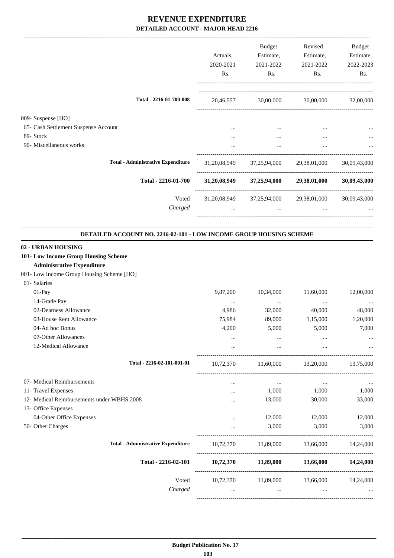|                                                                                                                                                                                                                    | Actuals,<br>2020-2021<br>Rs.         | <b>Budget</b><br>Estimate,<br>2021-2022<br>Rs. | Revised<br>Estimate,<br>2021-2022<br>Rs. | <b>Budget</b><br>Estimate,<br>2022-2023<br>Rs. |
|--------------------------------------------------------------------------------------------------------------------------------------------------------------------------------------------------------------------|--------------------------------------|------------------------------------------------|------------------------------------------|------------------------------------------------|
| Total - 2216-01-700-008                                                                                                                                                                                            | 20,46,557                            | 30,00,000                                      | 30,00,000                                | 32,00,000                                      |
| 009- Suspense [HO]<br>65- Cash Settlement Suspense Account<br>89- Stock<br>90- Miscellaneous works                                                                                                                 | $\cdots$<br><br>                     | $\cdots$<br>$\cdots$<br>$\cdots$               | $\cdots$<br>$\cdots$<br>$\cdots$         |                                                |
| <b>Total - Administrative Expenditure</b>                                                                                                                                                                          | 31,20,08,949                         | 37,25,94,000                                   | 29,38,01,000                             | 30,09,43,000                                   |
| Total - 2216-01-700                                                                                                                                                                                                | 31,20,08,949                         | 37,25,94,000                                   | 29,38,01,000                             | 30,09,43,000                                   |
| Voted<br>Charged                                                                                                                                                                                                   | 31,20,08,949<br>$\cdots$             | 37,25,94,000<br>$\cdots$                       | 29,38,01,000                             | 30,09,43,000                                   |
| DETAILED ACCOUNT NO. 2216-02-101 - LOW INCOME GROUP HOUSING SCHEME<br>02 - URBAN HOUSING<br>101- Low Income Group Housing Scheme<br><b>Administrative Expenditure</b><br>001- Low Income Group Housing Scheme [HO] |                                      |                                                |                                          |                                                |
| 01- Salaries<br>01-Pay<br>14-Grade Pay                                                                                                                                                                             | 9,87,200                             | 10,34,000                                      | 11,60,000                                | 12,00,000                                      |
| 02-Dearness Allowance<br>03-House Rent Allowance<br>04-Ad hoc Bonus<br>07-Other Allowances                                                                                                                         | $\cdots$<br>4,986<br>75,984<br>4,200 | $\ldots$<br>32,000<br>89,000<br>5,000          | $\cdots$<br>40,000<br>1,15,000<br>5,000  | 48,000<br>1,20,000<br>7,000                    |
| 12-Medical Allowance                                                                                                                                                                                               | $\cdots$                             | $\cdots$                                       |                                          |                                                |
| Total - 2216-02-101-001-01<br>07- Medical Reimbursements                                                                                                                                                           | 10,72,370<br>$\cdots$                | 11,60,000<br>$\ldots$                          | 13,20,000<br>$\cdots$                    | 13,75,000                                      |
| 11- Travel Expenses<br>12- Medical Reimbursements under WBHS 2008<br>13- Office Expenses                                                                                                                           | <br>$\cdots$                         | 1,000<br>13,000                                | 1,000<br>30,000                          | 1,000<br>33,000                                |
| 04-Other Office Expenses<br>50- Other Charges                                                                                                                                                                      | $\cdots$<br>$\cdots$                 | 12,000<br>3,000                                | 12,000<br>3,000                          | 12,000<br>3,000                                |
| <b>Total - Administrative Expenditure</b>                                                                                                                                                                          | 10,72,370                            | 11,89,000                                      | 13,66,000                                | 14,24,000                                      |
| Total - 2216-02-101                                                                                                                                                                                                | 10,72,370                            | 11,89,000                                      | 13,66,000                                | 14,24,000                                      |
| Voted                                                                                                                                                                                                              | 10,72,370                            | 11,89,000                                      | 13,66,000                                | 14,24,000                                      |
| Charged                                                                                                                                                                                                            | $\cdots$                             | $\cdots$                                       | $\cdots$                                 |                                                |

-----------------------------------------------------------------------------------------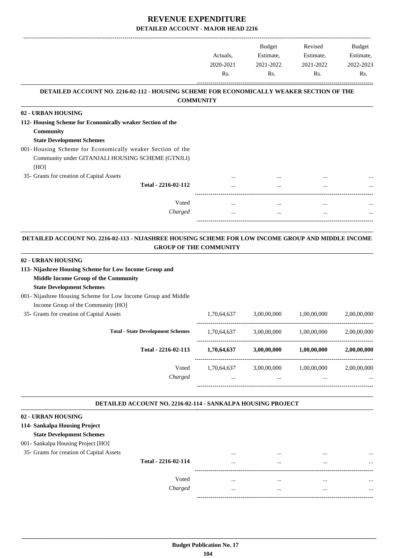|                                                                                                 |           | Budget    | Revised   | Budget    |
|-------------------------------------------------------------------------------------------------|-----------|-----------|-----------|-----------|
|                                                                                                 | Actuals,  | Estimate, | Estimate, | Estimate, |
|                                                                                                 | 2020-2021 | 2021-2022 | 2021-2022 | 2022-2023 |
|                                                                                                 | Rs.       | Rs.       | Rs.       | Rs.       |
| <b>DETAILED ACCOUNT NO. 2216-02-112 - HOUSING SCHEME FOR ECONOMICALLY WEAKER SECTION OF THE</b> |           |           |           |           |
| <b>COMMUNITY</b>                                                                                |           |           |           |           |
| 02 - URBAN HOUSING                                                                              |           |           |           |           |
| 112- Housing Scheme for Economically weaker Section of the                                      |           |           |           |           |
| <b>Community</b>                                                                                |           |           |           |           |
| <b>State Development Schemes</b>                                                                |           |           |           |           |
| 001- Housing Scheme for Economically weaker Section of the                                      |           |           |           |           |
| Community under GITANJALI HOUSING SCHEME (GTNJLI)                                               |           |           |           |           |
| [HO]                                                                                            |           |           |           |           |
| 35- Grants for creation of Capital Assets                                                       |           |           | $\cdots$  |           |
| Total - 2216-02-112                                                                             | .         |           | $\cdots$  | $\cdots$  |
|                                                                                                 |           |           |           |           |
| Voted                                                                                           | $\cdots$  |           | $\cdots$  | $\cdots$  |
| Charged                                                                                         | $\cdots$  | $\cdots$  | $\cdots$  | $\cdots$  |

#### **DETAILED ACCOUNT NO. 2216-02-113 - NIJASHREE HOUSING SCHEME FOR LOW INCOME GROUP AND MIDDLE INCOME GROUP OF THE COMMUNITY .**

-----------------------------------------------------------------------------------------

-----------------------------------------------------------------------------------------

.

#### **02 - URBAN HOUSING**

| 113- Nijashree Housing Scheme for Low Income Group and         |             |             |             |             |
|----------------------------------------------------------------|-------------|-------------|-------------|-------------|
| <b>Middle Income Group of the Community</b>                    |             |             |             |             |
| <b>State Development Schemes</b>                               |             |             |             |             |
| 001 - Nijashree Housing Scheme for Low Income Group and Middle |             |             |             |             |
| Income Group of the Community [HO]                             |             |             |             |             |
| 35- Grants for creation of Capital Assets                      | 1,70,64,637 | 3,00,00,000 | 1.00.00.000 | 2,00,00,000 |
| <b>Total - State Development Schemes</b>                       | 1,70,64,637 | 3,00,00,000 | 1,00,00,000 | 2,00,00,000 |
| Total - 2216-02-113                                            | 1,70,64,637 | 3,00,00,000 | 1,00,00,000 | 2,00,00,000 |
| Voted                                                          | 1.70.64.637 | 3,00,00,000 | 1,00,00,000 | 2,00,00,000 |
| Charged                                                        | $\cdots$    | $\cdots$    | $\cdots$    | $\cdots$    |
|                                                                |             |             |             |             |

#### **DETAILED ACCOUNT NO. 2216-02-114 - SANKALPA HOUSING PROJECT .**

| 02 - URBAN HOUSING                        |                     |          |          |              |
|-------------------------------------------|---------------------|----------|----------|--------------|
| 114- Sankalpa Housing Project             |                     |          |          |              |
| <b>State Development Schemes</b>          |                     |          |          |              |
| 001- Sankalpa Housing Project [HO]        |                     |          |          |              |
| 35- Grants for creation of Capital Assets |                     |          |          | <br>$\cdots$ |
|                                           | Total - 2216-02-114 | $\cdots$ | $\cdots$ | <br>$\cdots$ |
|                                           | Voted               | $\cdots$ |          | <br>$\cdots$ |
|                                           | Charged             |          | $\cdots$ | <br>$\cdots$ |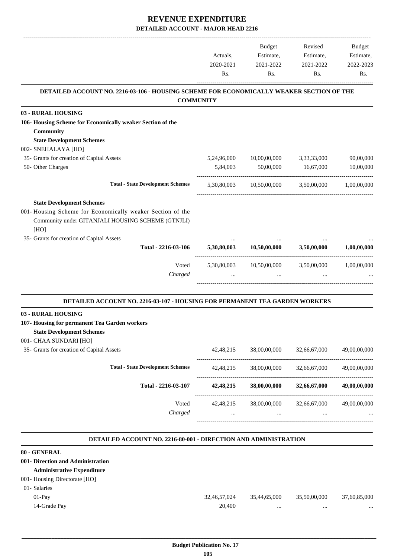|                                                                                          |             | Budget       | Revised      | Budget       |
|------------------------------------------------------------------------------------------|-------------|--------------|--------------|--------------|
|                                                                                          | Actuals,    | Estimate,    | Estimate,    | Estimate,    |
|                                                                                          | 2020-2021   | 2021-2022    | 2021-2022    | 2022-2023    |
|                                                                                          | Rs.         | Rs.          | Rs.          | Rs.          |
| DETAILED ACCOUNT NO. 2216-03-106 - HOUSING SCHEME FOR ECONOMICALLY WEAKER SECTION OF THE |             |              |              |              |
| <b>COMMUNITY</b>                                                                         |             |              |              |              |
| 03 - RURAL HOUSING                                                                       |             |              |              |              |
| 106- Housing Scheme for Economically weaker Section of the<br>Community                  |             |              |              |              |
| <b>State Development Schemes</b>                                                         |             |              |              |              |
| 002- SNEHALAYA [HO]                                                                      |             |              |              |              |
| 35- Grants for creation of Capital Assets                                                | 5,24,96,000 | 10,00,00,000 | 3,33,33,000  | 90,00,000    |
| 50- Other Charges                                                                        | 5,84,003    | 50,00,000    | 16,67,000    | 10,00,000    |
| <b>Total - State Development Schemes</b>                                                 | 5,30,80,003 | 10,50,00,000 | 3,50,00,000  | 1,00,00,000  |
| <b>State Development Schemes</b>                                                         |             |              |              |              |
| 001- Housing Scheme for Economically weaker Section of the                               |             |              |              |              |
| Community under GITANJALI HOUSING SCHEME (GTNJLI)                                        |             |              |              |              |
| [HO]                                                                                     |             |              |              |              |
|                                                                                          |             |              |              |              |
| 35- Grants for creation of Capital Assets<br>Total - 2216-03-106                         | 5,30,80,003 | 10,50,00,000 | 3,50,00,000  | 1,00,00,000  |
|                                                                                          |             |              |              |              |
| Voted                                                                                    | 5,30,80,003 | 10,50,00,000 | 3,50,00,000  | 1,00,00,000  |
| Charged                                                                                  |             |              |              |              |
|                                                                                          |             |              |              |              |
| <b>DETAILED ACCOUNT NO. 2216-03-107 - HOUSING FOR PERMANENT TEA GARDEN WORKERS</b>       |             |              |              |              |
| 03 - RURAL HOUSING                                                                       |             |              |              |              |
| 107- Housing for permanent Tea Garden workers                                            |             |              |              |              |
| <b>State Development Schemes</b>                                                         |             |              |              |              |
| 001- CHAA SUNDARI [HO]                                                                   |             |              |              |              |
| 35- Grants for creation of Capital Assets                                                | 42,48,215   | 38,00,00,000 | 32,66,67,000 | 49,00,00,000 |
| <b>Total - State Development Schemes</b>                                                 | 42, 48, 215 | 38,00,00,000 | 32,66,67,000 | 49,00,00,000 |
| Total - 2216-03-107                                                                      | 42, 48, 215 | 38,00,00,000 | 32,66,67,000 | 49,00,00,000 |
| Voted                                                                                    | 42, 48, 215 | 38,00,00,000 | 32,66,67,000 | 49,00,00,000 |
| Charged                                                                                  |             |              |              |              |
|                                                                                          |             |              |              |              |
| <b>DETAILED ACCOUNT NO. 2216-80-001 - DIRECTION AND ADMINISTRATION</b>                   |             |              |              |              |

| 80 - GENERAL                      |              |              |              |              |
|-----------------------------------|--------------|--------------|--------------|--------------|
| 001- Direction and Administration |              |              |              |              |
| <b>Administrative Expenditure</b> |              |              |              |              |
| 001- Housing Directorate [HO]     |              |              |              |              |
| 01- Salaries                      |              |              |              |              |
| $01-Pav$                          | 32,46,57,024 | 35.44.65.000 | 35,50,00,000 | 37,60,85,000 |
| 14-Grade Pay                      | 20,400       |              |              | $\cdots$     |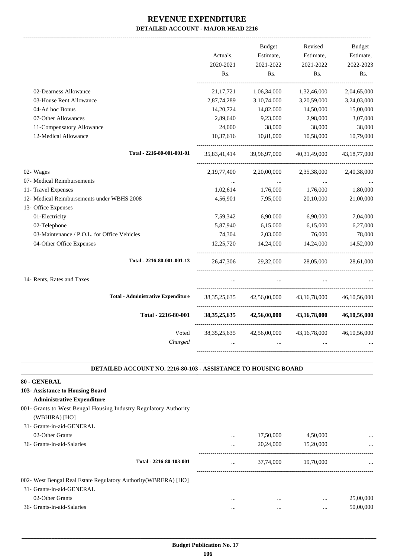|                                             |                 | <b>Budget</b> | Revised         | <b>Budget</b>   |
|---------------------------------------------|-----------------|---------------|-----------------|-----------------|
|                                             | Actuals,        | Estimate,     | Estimate,       | Estimate,       |
|                                             | 2020-2021       | 2021-2022     | 2021-2022       | 2022-2023       |
|                                             | Rs.             | Rs.           | Rs.             | Rs.             |
| 02-Dearness Allowance                       | 21, 17, 721     | 1,06,34,000   | 1,32,46,000     | 2,04,65,000     |
| 03-House Rent Allowance                     | 2,87,74,289     | 3,10,74,000   | 3,20,59,000     | 3,24,03,000     |
| 04-Ad hoc Bonus                             | 14,20,724       | 14,82,000     | 14,50,000       | 15,00,000       |
| 07-Other Allowances                         | 2,89,640        | 9,23,000      | 2,98,000        | 3,07,000        |
| 11-Compensatory Allowance                   | 24,000          | 38,000        | 38,000          | 38,000          |
| 12-Medical Allowance                        | 10,37,616       | 10,81,000     | 10,58,000       | 10,79,000       |
| Total - 2216-80-001-001-01                  | 35,83,41,414    | 39,96,97,000  | 40,31,49,000    | 43, 18, 77, 000 |
| 02- Wages                                   | 2,19,77,400     | 2,20,00,000   | 2,35,38,000     | 2,40,38,000     |
| 07- Medical Reimbursements                  |                 |               |                 |                 |
| 11- Travel Expenses                         | 1,02,614        | 1,76,000      | 1,76,000        | 1,80,000        |
| 12- Medical Reimbursements under WBHS 2008  | 4,56,901        | 7,95,000      | 20,10,000       | 21,00,000       |
| 13- Office Expenses                         |                 |               |                 |                 |
| 01-Electricity                              | 7,59,342        | 6,90,000      | 6,90,000        | 7,04,000        |
| 02-Telephone                                | 5,87,940        | 6,15,000      | 6,15,000        | 6,27,000        |
| 03-Maintenance / P.O.L. for Office Vehicles | 74,304          | 2,03,000      | 76,000          | 78,000          |
| 04-Other Office Expenses                    | 12,25,720       | 14,24,000     | 14,24,000       | 14,52,000       |
| Total - 2216-80-001-001-13                  | 26,47,306       | 29,32,000     | 28,05,000       | 28,61,000       |
| 14- Rents, Rates and Taxes                  |                 |               |                 |                 |
| <b>Total - Administrative Expenditure</b>   | 38, 35, 25, 635 | 42,56,00,000  | 43,16,78,000    | 46, 10, 56, 000 |
| Total - 2216-80-001                         | 38, 35, 25, 635 | 42,56,00,000  | 43, 16, 78, 000 | 46,10,56,000    |
| Voted                                       | 38, 35, 25, 635 | 42,56,00,000  | 43, 16, 78, 000 | 46, 10, 56, 000 |
| Charged                                     |                 |               |                 |                 |
|                                             |                 |               |                 |                 |

### **DETAILED ACCOUNT NO. 2216-80-103 - ASSISTANCE TO HOUSING BOARD**

.

| 80 - GENERAL                                                     |          |           |           |           |
|------------------------------------------------------------------|----------|-----------|-----------|-----------|
| 103- Assistance to Housing Board                                 |          |           |           |           |
| <b>Administrative Expenditure</b>                                |          |           |           |           |
| 001- Grants to West Bengal Housing Industry Regulatory Authority |          |           |           |           |
| (WBHIRA) [HO]                                                    |          |           |           |           |
| 31- Grants-in-aid-GENERAL                                        |          |           |           |           |
| 02-Other Grants                                                  | $\cdots$ | 17,50,000 | 4,50,000  |           |
| 36- Grants-in-aid-Salaries                                       | $\cdots$ | 20,24,000 | 15,20,000 | $\cdots$  |
| Total - 2216-80-103-001                                          | $\cdots$ | 37,74,000 | 19,70,000 | $\cdots$  |
| 002- West Bengal Real Estate Regulatory Authority (WBRERA) [HO]  |          |           |           |           |
| 31- Grants-in-aid-GENERAL                                        |          |           |           |           |
| 02-Other Grants                                                  | $\cdots$ | $\cdots$  | $\cdots$  | 25,00,000 |
| 36- Grants-in-aid-Salaries                                       | $\cdots$ | $\cdots$  | $\cdots$  | 50,00,000 |
|                                                                  |          |           |           |           |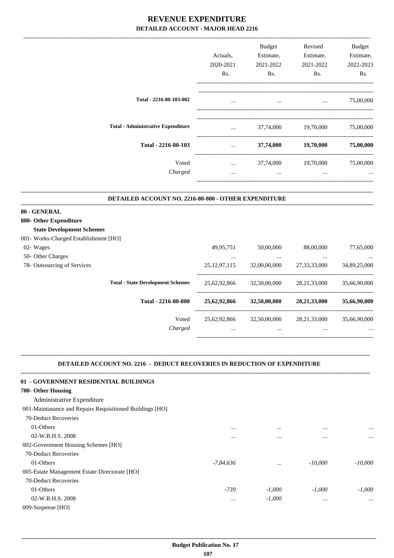|                                           | Actuals.<br>2020-2021<br>Rs. | <b>Budget</b><br>Estimate,<br>2021-2022<br>Rs. | Revised<br>Estimate,<br>2021-2022<br>Rs. | <b>Budget</b><br>Estimate,<br>2022-2023<br>Rs. |
|-------------------------------------------|------------------------------|------------------------------------------------|------------------------------------------|------------------------------------------------|
| Total - 2216-80-103-002                   | $\cdots$                     | $\cdots$                                       | $\cdots$                                 | 75,00,000                                      |
| <b>Total - Administrative Expenditure</b> | $\cdots$                     | 37,74,000                                      | 19,70,000                                | 75,00,000                                      |
| Total - 2216-80-103                       | $\cdots$                     | 37,74,000                                      | 19,70,000                                | 75,00,000                                      |
| Voted<br>Charged                          | $\cdots$<br>$\cdots$         | 37,74,000<br>$\cdots$                          | 19,70,000<br>$\cdots$                    | 75,00,000<br>                                  |

.

-------------------------------------------------------------------------------------------------------------------------------------------------------------------------------

#### **DETAILED ACCOUNT NO. 2216-80-800 - OTHER EXPENDITURE .**

### **80 - GENERAL**

| 800- Other Expenditure                   |                 |              |                 |              |
|------------------------------------------|-----------------|--------------|-----------------|--------------|
| <b>State Development Schemes</b>         |                 |              |                 |              |
| 001- Works-Charged Establishment [HO]    |                 |              |                 |              |
| 02- Wages                                | 49,95,751       | 50,00,000    | 88,00,000       | 77,65,000    |
| 50- Other Charges                        | $\cdots$        | $\cdots$     | $\cdots$        | $\cdots$     |
| 78- Outsourcing of Services              | 25, 12, 97, 115 | 32,00,00,000 | 27, 33, 33, 000 | 34,89,25,000 |
| <b>Total - State Development Schemes</b> | 25.62.92.866    | 32,50,00,000 | 28.21.33.000    | 35.66.90.000 |
| Total - 2216-80-800                      | 25,62,92,866    | 32,50,00,000 | 28, 21, 33, 000 | 35,66,90,000 |
| Voted                                    | 25,62,92,866    | 32,50,00,000 | 28, 21, 33, 000 | 35,66,90,000 |
| Charged                                  | $\cdots$        | $\cdots$     | $\cdots$        | $\cdots$     |
|                                          |                 |              |                 |              |

## **DETAILED ACCOUNT NO. 2216 - DEDUCT RECOVERIES IN REDUCTION OF EXPENDITURE**

**--------------------------------------------------------------------------------------------------------------------------------------------------------------------------------**

| 01 - GOVERNMENT RESIDENTIAL BUILDINGS                    |             |          |           |           |
|----------------------------------------------------------|-------------|----------|-----------|-----------|
| 700- Other Housing                                       |             |          |           |           |
| Administrative Expenditure                               |             |          |           |           |
| 001-Maintanance and Repairs Requisitioned Buildings [HO] |             |          |           |           |
| 70-Deduct Recoveries                                     |             |          |           |           |
| 01-Others                                                | $\cdots$    | $\cdots$ | $\cdots$  | $\cdots$  |
| 02-W.B.H.S. 2008                                         | $\cdots$    | $\cdots$ | $\cdots$  | $\ddotsc$ |
| 002-Government Housing Schemes [HO]                      |             |          |           |           |
| 70-Deduct Recoveries                                     |             |          |           |           |
| 01-Others                                                | $-7,84,636$ | $\cdots$ | $-10,000$ | $-10,000$ |
| 005-Estate Management Estate Directorate [HO]            |             |          |           |           |
| 70-Deduct Recoveries                                     |             |          |           |           |
| 01-Others                                                | $-739$      | $-1,000$ | $-1,000$  | $-1,000$  |
| 02-W.B.H.S. 2008                                         | $\cdots$    | $-1,000$ | $\cdots$  | $\ddotsc$ |
| 009-Suspense [HO]                                        |             |          |           |           |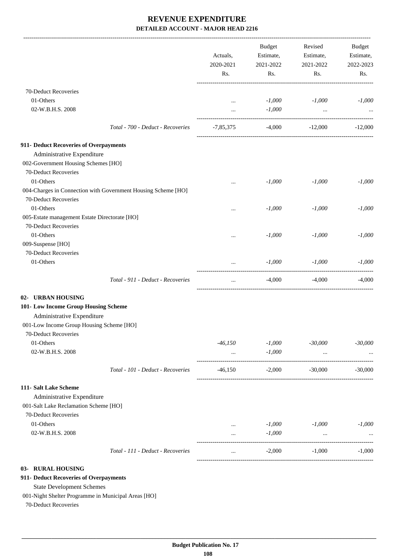|                                                                             | Actuals,<br>2020-2021<br>Rs.  | Budget<br>Estimate,<br>2021-2022<br>Rs.           | Revised<br>Estimate,<br>2021-2022<br>Rs. | <b>Budget</b><br>Estimate,<br>2022-2023<br>Rs. |
|-----------------------------------------------------------------------------|-------------------------------|---------------------------------------------------|------------------------------------------|------------------------------------------------|
| 70-Deduct Recoveries                                                        |                               |                                                   |                                          |                                                |
| 01-Others                                                                   | $\cdots$                      | $-1,000$                                          | $-1,000$                                 | $-1,000$                                       |
| 02-W.B.H.S. 2008                                                            | $\cdots$                      | $-1,000$                                          | $\ddots$                                 |                                                |
| Total - 700 - Deduct - Recoveries                                           | -7,85,375                     |                                                   | $-4,000$ $-12,000$                       | $-12,000$                                      |
| 911- Deduct Recoveries of Overpayments                                      |                               |                                                   |                                          |                                                |
| Administrative Expenditure                                                  |                               |                                                   |                                          |                                                |
| 002-Government Housing Schemes [HO]                                         |                               |                                                   |                                          |                                                |
| 70-Deduct Recoveries                                                        |                               |                                                   |                                          |                                                |
| 01-Others                                                                   |                               | $-1,000$                                          | $-1,000$                                 | $-1,000$                                       |
| 004-Charges in Connection with Government Housing Scheme [HO]               |                               |                                                   |                                          |                                                |
| 70-Deduct Recoveries                                                        |                               |                                                   |                                          |                                                |
| 01-Others                                                                   |                               | $-1,000$                                          | $-1,000$                                 | $-1,000$                                       |
| 005-Estate management Estate Directorate [HO]                               |                               |                                                   |                                          |                                                |
| 70-Deduct Recoveries                                                        |                               |                                                   |                                          |                                                |
| 01-Others                                                                   |                               | $-1,000$                                          | $-1,000$                                 | $-1,000$                                       |
| 009-Suspense [HO]                                                           |                               |                                                   |                                          |                                                |
| 70-Deduct Recoveries                                                        |                               |                                                   |                                          |                                                |
| 01-Others                                                                   |                               | $-1,000$<br>. _ _ _ _ _ _ _ _ _ _ _ _ _ _ _ _ _ _ | $-1,000$                                 | $-1,000$                                       |
| Total - 911 - Deduct - Recoveries                                           | $\cdots$                      | $-4,000$                                          | $-4,000$                                 | $-4,000$                                       |
| 02- URBAN HOUSING                                                           |                               |                                                   |                                          |                                                |
| 101- Low Income Group Housing Scheme                                        |                               |                                                   |                                          |                                                |
| Administrative Expenditure                                                  |                               |                                                   |                                          |                                                |
| 001-Low Income Group Housing Scheme [HO]                                    |                               |                                                   |                                          |                                                |
| 70-Deduct Recoveries                                                        |                               |                                                   |                                          |                                                |
| 01-Others                                                                   | $-46,150$                     | $-1,000$                                          | $-30,000$                                | $-30,000$                                      |
| 02-W.B.H.S. 2008                                                            | $\cdots$                      | $-1,000$                                          | $\cdots$                                 |                                                |
| Total - 101 - Deduct - Recoveries                                           |                               | $-46,150$ $-2,000$ $-30,000$                      |                                          | $-30,000$                                      |
| 111- Salt Lake Scheme                                                       |                               |                                                   |                                          |                                                |
| Administrative Expenditure                                                  |                               |                                                   |                                          |                                                |
| 001-Salt Lake Reclamation Scheme [HO]                                       |                               |                                                   |                                          |                                                |
| 70-Deduct Recoveries                                                        |                               |                                                   |                                          |                                                |
| 01-Others                                                                   | $\cdots$                      | $-1,000$                                          | $-1,000$                                 | $-1,000$                                       |
| 02-W.B.H.S. 2008                                                            | $\cdots$<br>----------------- | $-1,000$                                          | $\cdots$                                 |                                                |
| Total - 111 - Deduct - Recoveries                                           | $\cdots$                      | $-2,000$                                          | $-1,000$                                 | $-1,000$                                       |
| 03- RURAL HOUSING                                                           |                               |                                                   |                                          |                                                |
| 911- Deduct Recoveries of Overpayments                                      |                               |                                                   |                                          |                                                |
| <b>State Development Schemes</b>                                            |                               |                                                   |                                          |                                                |
| 001-Night Shelter Programme in Municipal Areas [HO]<br>70-Deduct Recoveries |                               |                                                   |                                          |                                                |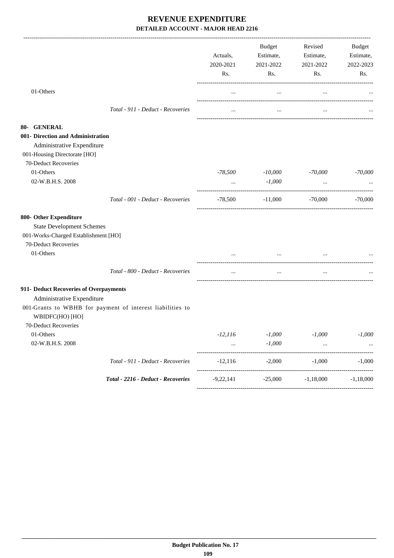|                                                                                                                            |                                                           | Actuals,<br>2020-2021<br>Rs. | <b>Budget</b><br>Estimate,<br>2021-2022<br>Rs. | Revised<br>Estimate,<br>2021-2022<br>Rs. | Budget<br>Estimate,<br>2022-2023<br>Rs. |
|----------------------------------------------------------------------------------------------------------------------------|-----------------------------------------------------------|------------------------------|------------------------------------------------|------------------------------------------|-----------------------------------------|
| 01-Others                                                                                                                  |                                                           | $\ldots$                     | $\ldots$                                       | $\cdots$                                 |                                         |
|                                                                                                                            | Total - 911 - Deduct - Recoveries                         | $\cdots$                     | $\cdots$                                       | $\cdots$                                 |                                         |
| 80- GENERAL                                                                                                                |                                                           |                              |                                                |                                          |                                         |
| 001- Direction and Administration<br>Administrative Expenditure<br>001-Housing Directorate [HO]<br>70-Deduct Recoveries    |                                                           |                              |                                                |                                          |                                         |
| 01-Others                                                                                                                  |                                                           | -78,500                      | $-10,000$                                      | -70,000                                  | $-70,000$                               |
| 02-W.B.H.S. 2008                                                                                                           |                                                           | $\cdots$                     | $-1,000$                                       | $\cdots$                                 |                                         |
|                                                                                                                            | Total - 001 - Deduct - Recoveries                         | -78,500                      | $-11,000$ $-70,000$                            |                                          | $-70,000$                               |
| 800- Other Expenditure<br><b>State Development Schemes</b><br>001-Works-Charged Establishment [HO]<br>70-Deduct Recoveries |                                                           |                              |                                                |                                          |                                         |
| 01-Others                                                                                                                  |                                                           |                              |                                                |                                          |                                         |
|                                                                                                                            | Total - 800 - Deduct - Recoveries                         | $\cdots$                     | $\ldots$                                       | $\cdots$                                 |                                         |
| 911- Deduct Recoveries of Overpayments<br>Administrative Expenditure<br>WBIDFC(HO) [HO]<br>70-Deduct Recoveries            | 001-Grants to WBHB for payment of interest liabilities to |                              |                                                |                                          |                                         |
| 01-Others<br>02-W.B.H.S. 2008                                                                                              |                                                           | $-12, 116$                   | $-1,000$<br>$-1,000$                           | $-1,000$                                 | $-1,000$                                |
|                                                                                                                            | Total - 911 - Deduct - Recoveries                         | $-12,116$                    | $-2,000$                                       | $-1,000$                                 | $-1,000$                                |
|                                                                                                                            | Total - 2216 - Deduct - Recoveries                        |                              | $-25,000$                                      | $-1,18,000$                              | $-1,18,000$                             |
|                                                                                                                            |                                                           | $-9,22,141$                  |                                                |                                          |                                         |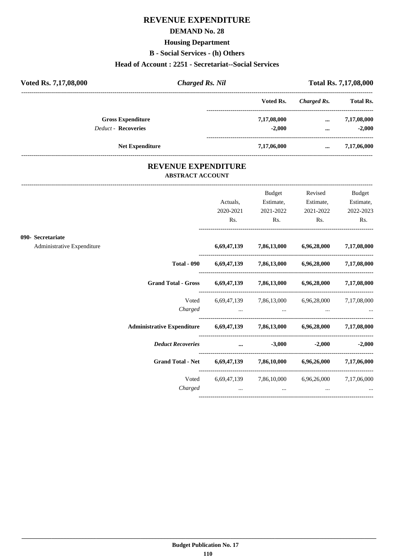# **REVENUE EXPENDITURE**

### **DEMAND No. 28**

### **Housing Department**

**B - Social Services - (h) Others**

### **Head of Account : 2251 - Secretariat--Social Services**

| Voted Rs. 7,17,08,000      | <b>Charged Rs. Nil</b> |             |             |                  |
|----------------------------|------------------------|-------------|-------------|------------------|
|                            |                        | Voted Rs.   | Charged Rs. | <b>Total Rs.</b> |
| <b>Gross Expenditure</b>   |                        | 7,17,08,000 | $\cdots$    | 7,17,08,000      |
| <b>Deduct - Recoveries</b> |                        | $-2.000$    | $\cdots$    | $-2.000$         |
| <b>Net Expenditure</b>     |                        | 7,17,06,000 | $\cdots$    | 7,17,06,000      |

## **REVENUE EXPENDITURE ABSTRACT ACCOUNT**

|                            |                          |                                                                                                                         | Budget    | Revised                                                                    | <b>Budget</b>     |
|----------------------------|--------------------------|-------------------------------------------------------------------------------------------------------------------------|-----------|----------------------------------------------------------------------------|-------------------|
|                            |                          | Actuals,                                                                                                                | Estimate, | Estimate,                                                                  | Estimate,         |
|                            |                          | 2020-2021                                                                                                               | 2021-2022 | 2021-2022                                                                  | 2022-2023         |
|                            |                          | Rs.                                                                                                                     | Rs.       | Rs.                                                                        | Rs.               |
| 090- Secretariate          |                          |                                                                                                                         |           |                                                                            |                   |
| Administrative Expenditure |                          |                                                                                                                         |           | 6,69,47,139 7,86,13,000 6,96,28,000 7,17,08,000                            |                   |
|                            | <b>Total - 090</b>       |                                                                                                                         |           | 6,69,47,139 7,86,13,000 6,96,28,000 7,17,08,000                            |                   |
|                            |                          |                                                                                                                         |           | Grand Total - Gross 6,69,47,139 7,86,13,000 6,96,28,000 7,17,08,000        |                   |
|                            |                          |                                                                                                                         |           | Voted 6,69,47,139 7,86,13,000 6,96,28,000 7,17,08,000                      |                   |
|                            |                          | Charged                                                                                                                 | $\cdots$  |                                                                            |                   |
|                            |                          |                                                                                                                         |           | Administrative Expenditure 6,69,47,139 7,86,13,000 6,96,28,000 7,17,08,000 |                   |
|                            | <b>Deduct Recoveries</b> | <u>and the community of the community of the community of the community of the community of the community of the co</u> | $-3,000$  |                                                                            | $-2,000$ $-2,000$ |
|                            |                          |                                                                                                                         |           | Grand Total - Net 6,69,47,139 7,86,10,000 6,96,26,000 7,17,06,000          |                   |
|                            | Voted                    |                                                                                                                         |           | 6,69,47,139 7,86,10,000 6,96,26,000 7,17,06,000                            |                   |
|                            | Charged                  | $\cdots$                                                                                                                | $\cdots$  | $\cdots$                                                                   |                   |
|                            |                          |                                                                                                                         |           |                                                                            |                   |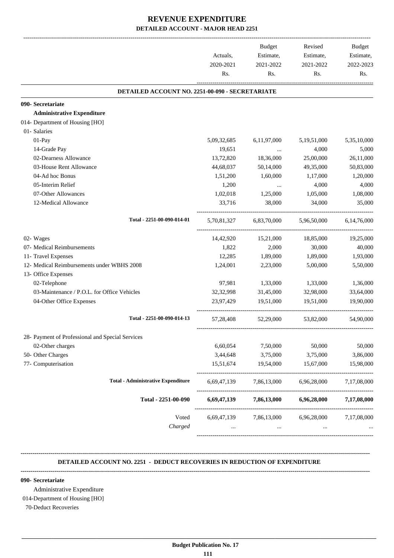| Rs.<br>DETAILED ACCOUNT NO. 2251-00-090 - SECRETARIATE<br>090- Secretariate<br><b>Administrative Expenditure</b><br>01- Salaries<br>01-Pay<br>5,09,32,685<br>14-Grade Pay<br>19,651<br>02-Dearness Allowance<br>13,72,820<br>03-House Rent Allowance<br>44,68,037<br>04-Ad hoc Bonus<br>1,51,200<br>05-Interim Relief<br>1,200<br>07-Other Allowances<br>1,02,018<br>12-Medical Allowance<br>33,716<br>Total - 2251-00-090-014-01<br>5,70,81,327<br>02- Wages<br>14,42,920 | Rs.         | Rs.               | Rs.         |
|----------------------------------------------------------------------------------------------------------------------------------------------------------------------------------------------------------------------------------------------------------------------------------------------------------------------------------------------------------------------------------------------------------------------------------------------------------------------------|-------------|-------------------|-------------|
|                                                                                                                                                                                                                                                                                                                                                                                                                                                                            |             |                   |             |
|                                                                                                                                                                                                                                                                                                                                                                                                                                                                            |             |                   |             |
|                                                                                                                                                                                                                                                                                                                                                                                                                                                                            |             |                   |             |
| 014- Department of Housing [HO]                                                                                                                                                                                                                                                                                                                                                                                                                                            |             |                   |             |
|                                                                                                                                                                                                                                                                                                                                                                                                                                                                            |             |                   |             |
|                                                                                                                                                                                                                                                                                                                                                                                                                                                                            |             |                   |             |
|                                                                                                                                                                                                                                                                                                                                                                                                                                                                            | 6,11,97,000 | 5,19,51,000       | 5,35,10,000 |
|                                                                                                                                                                                                                                                                                                                                                                                                                                                                            |             | 4,000<br>$\ddots$ | 5,000       |
|                                                                                                                                                                                                                                                                                                                                                                                                                                                                            | 18,36,000   | 25,00,000         | 26,11,000   |
|                                                                                                                                                                                                                                                                                                                                                                                                                                                                            | 50,14,000   | 49,35,000         | 50,83,000   |
|                                                                                                                                                                                                                                                                                                                                                                                                                                                                            | 1,60,000    | 1,17,000          | 1,20,000    |
|                                                                                                                                                                                                                                                                                                                                                                                                                                                                            |             | 4,000<br>$\cdots$ | 4,000       |
|                                                                                                                                                                                                                                                                                                                                                                                                                                                                            | 1,25,000    | 1,05,000          | 1,08,000    |
|                                                                                                                                                                                                                                                                                                                                                                                                                                                                            | 38,000      | 34,000            | 35,000      |
|                                                                                                                                                                                                                                                                                                                                                                                                                                                                            | 6,83,70,000 | 5,96,50,000       | 6.14.76.000 |
|                                                                                                                                                                                                                                                                                                                                                                                                                                                                            | 15,21,000   | 18,85,000         | 19,25,000   |
| 07- Medical Reimbursements<br>1,822                                                                                                                                                                                                                                                                                                                                                                                                                                        | 2,000       | 30,000            | 40,000      |
| 11- Travel Expenses<br>12,285                                                                                                                                                                                                                                                                                                                                                                                                                                              | 1,89,000    | 1,89,000          | 1,93,000    |
| 12- Medical Reimbursements under WBHS 2008<br>1,24,001                                                                                                                                                                                                                                                                                                                                                                                                                     | 2,23,000    | 5,00,000          | 5,50,000    |
| 13- Office Expenses                                                                                                                                                                                                                                                                                                                                                                                                                                                        |             |                   |             |
| 02-Telephone<br>97,981                                                                                                                                                                                                                                                                                                                                                                                                                                                     | 1,33,000    | 1,33,000          | 1,36,000    |
| 03-Maintenance / P.O.L. for Office Vehicles<br>32,32,998                                                                                                                                                                                                                                                                                                                                                                                                                   | 31,45,000   | 32,98,000         | 33,64,000   |
| 04-Other Office Expenses<br>23,97,429                                                                                                                                                                                                                                                                                                                                                                                                                                      | 19,51,000   | 19,51,000         | 19,90,000   |
| Total - 2251-00-090-014-13<br>57,28,408                                                                                                                                                                                                                                                                                                                                                                                                                                    | 52,29,000   | 53,82,000         | 54,90,000   |
| 28- Payment of Professional and Special Services                                                                                                                                                                                                                                                                                                                                                                                                                           |             |                   |             |
| 02-Other charges<br>6,60,054                                                                                                                                                                                                                                                                                                                                                                                                                                               | 7,50,000    | 50,000            | 50,000      |
| 50- Other Charges<br>3,44,648                                                                                                                                                                                                                                                                                                                                                                                                                                              | 3,75,000    | 3,75,000          | 3,86,000    |
| 77- Computerisation<br>15,51,674                                                                                                                                                                                                                                                                                                                                                                                                                                           | 19,54,000   | 15,67,000         | 15,98,000   |
| <b>Total - Administrative Expenditure</b><br>6,69,47,139                                                                                                                                                                                                                                                                                                                                                                                                                   | 7,86,13,000 | 6,96,28,000       | 7,17,08,000 |
| Total - 2251-00-090<br>6,69,47,139                                                                                                                                                                                                                                                                                                                                                                                                                                         | 7,86,13,000 | 6,96,28,000       | 7,17,08,000 |
| Voted<br>6,69,47,139                                                                                                                                                                                                                                                                                                                                                                                                                                                       | 7,86,13,000 | 6,96,28,000       | 7,17,08,000 |
| Charged                                                                                                                                                                                                                                                                                                                                                                                                                                                                    |             |                   |             |

### **DETAILED ACCOUNT NO. 2251 - DEDUCT RECOVERIES IN REDUCTION OF EXPENDITURE**

**--------------------------------------------------------------------------------------------------------------------------------------------------------------------------------**

**--------------------------------------------------------------------------------------------------------------------------------------------------------------------------------**

### **090- Secretariate**

Administrative Expenditure

014-Department of Housing [HO]

70-Deduct Recoveries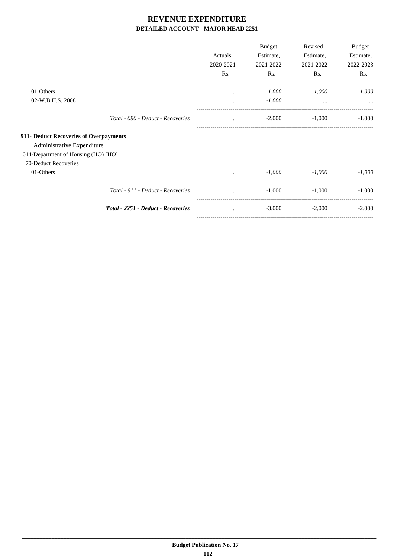-------------------------------------------------------------------------------------------------------------------------------------------------------------------------------

|                                                                      |                                    | Actuals,<br>2020-2021<br>Rs. | <b>Budget</b><br>Estimate,<br>2021-2022<br>Rs. | Revised<br>Estimate,<br>2021-2022<br>Rs. | Budget<br>Estimate,<br>2022-2023<br>Rs. |
|----------------------------------------------------------------------|------------------------------------|------------------------------|------------------------------------------------|------------------------------------------|-----------------------------------------|
| 01-Others<br>02-W.B.H.S. 2008                                        |                                    |                              | $-1,000$<br>$-1,000$                           | $-1,000$<br>$\cdots$                     | $-1,000$                                |
|                                                                      | Total - 090 - Deduct - Recoveries  | $\cdots$<br>$\cdots$         | $-2,000$                                       | $-1,000$                                 | $-1,000$                                |
| 911- Deduct Recoveries of Overpayments<br>Administrative Expenditure |                                    |                              |                                                |                                          |                                         |
| 014-Department of Housing (HO) [HO]                                  |                                    |                              |                                                |                                          |                                         |
| 70-Deduct Recoveries<br>01-Others                                    |                                    |                              | $-1,000$                                       | $-1,000$                                 | $-1,000$                                |
|                                                                      | Total - 911 - Deduct - Recoveries  | $\cdots$                     | $-1,000$                                       | $-1,000$                                 | $-1,000$                                |
|                                                                      | Total - 2251 - Deduct - Recoveries | $\cdots$                     | $-3,000$                                       | $-2,000$                                 | $-2,000$                                |
|                                                                      |                                    |                              |                                                |                                          |                                         |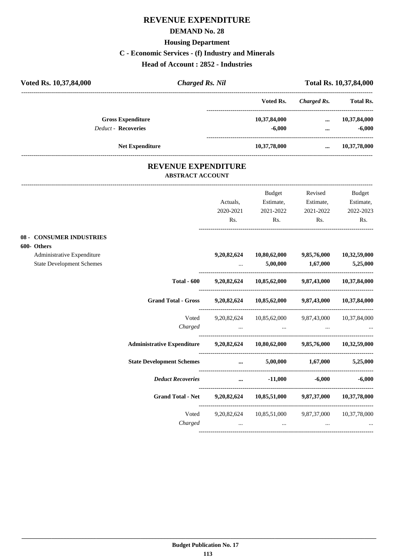# **REVENUE EXPENDITURE**

### **DEMAND No. 28**

# **Housing Department**

# **C - Economic Services - (f) Industry and Minerals**

**Head of Account : 2852 - Industries**

| Voted Rs. 10,37,84,000     | <b>Charged Rs. Nil</b>                                |              | Total Rs. 10,37,84,000 |                  |  |
|----------------------------|-------------------------------------------------------|--------------|------------------------|------------------|--|
|                            |                                                       | Voted Rs.    | Charged Rs.            | <b>Total Rs.</b> |  |
| <b>Gross Expenditure</b>   |                                                       | 10,37,84,000 | $\cdots$               | 10,37,84,000     |  |
| <b>Deduct - Recoveries</b> |                                                       | $-6,000$     |                        | $-6,000$         |  |
| <b>Net Expenditure</b>     |                                                       | 10,37,78,000 | $\cdots$               | 10,37,78,000     |  |
|                            | <b>REVENUE EXPENDITURE</b><br><b>ABSTRACT ACCOUNT</b> |              |                        |                  |  |

|                                  |                                                                              |                                     | Budget                                                    | Revised                          | Budget                                                                                                                                                                                                                            |
|----------------------------------|------------------------------------------------------------------------------|-------------------------------------|-----------------------------------------------------------|----------------------------------|-----------------------------------------------------------------------------------------------------------------------------------------------------------------------------------------------------------------------------------|
|                                  |                                                                              | Actuals,                            | Estimate,                                                 | Estimate,                        | Estimate,                                                                                                                                                                                                                         |
|                                  |                                                                              | 2020-2021                           | 2021-2022                                                 | 2021-2022                        | 2022-2023                                                                                                                                                                                                                         |
|                                  |                                                                              | Rs.                                 | Rs.                                                       | Rs.                              | Rs.                                                                                                                                                                                                                               |
| <b>08 - CONSUMER INDUSTRIES</b>  |                                                                              |                                     |                                                           |                                  |                                                                                                                                                                                                                                   |
| 600- Others                      |                                                                              |                                     |                                                           |                                  |                                                                                                                                                                                                                                   |
| Administrative Expenditure       |                                                                              |                                     | $9,20,82,624$ $10,80,62,000$ $9,85,76,000$ $10,32,59,000$ |                                  |                                                                                                                                                                                                                                   |
| <b>State Development Schemes</b> |                                                                              |                                     |                                                           | $5,00,000$ $1,67,000$            | 5,25,000                                                                                                                                                                                                                          |
|                                  | <b>Total - 600</b>                                                           |                                     | $9,20,82,624$ $10,85,62,000$ $9,87,43,000$ $10,37,84,000$ |                                  |                                                                                                                                                                                                                                   |
|                                  | Grand Total - Gross 9,20,82,624 10,85,62,000 9,87,43,000 10,37,84,000        |                                     |                                                           |                                  |                                                                                                                                                                                                                                   |
|                                  |                                                                              |                                     | Voted 9,20,82,624 10,85,62,000 9,87,43,000 10,37,84,000   |                                  |                                                                                                                                                                                                                                   |
|                                  |                                                                              |                                     | $Charged$ $\dots$ $\dots$ $\dots$ $\dots$                 |                                  |                                                                                                                                                                                                                                   |
|                                  | Administrative Expenditure 9,20,82,624 10,80,62,000 9,85,76,000 10,32,59,000 |                                     |                                                           |                                  |                                                                                                                                                                                                                                   |
|                                  | <b>State Development Schemes</b>                                             | and the contract of the contract of |                                                           | $5,00,000$ $1,67,000$ $5,25,000$ |                                                                                                                                                                                                                                   |
|                                  | <b>Deduct Recoveries</b>                                                     |                                     |                                                           | $-11,000$ $-6,000$ $-6,000$      |                                                                                                                                                                                                                                   |
|                                  | Grand Total - Net 9,20,82,624 10,85,51,000 9,87,37,000 10,37,78,000          |                                     |                                                           |                                  |                                                                                                                                                                                                                                   |
|                                  |                                                                              |                                     | Voted 9,20,82,624 10,85,51,000 9,87,37,000 10,37,78,000   |                                  |                                                                                                                                                                                                                                   |
|                                  |                                                                              |                                     | Charged                                                   |                                  | $\mathbf{r}$ , and the contract of the contract of the contract of the contract of the contract of the contract of the contract of the contract of the contract of the contract of the contract of the contract of the contract o |
|                                  |                                                                              |                                     |                                                           |                                  |                                                                                                                                                                                                                                   |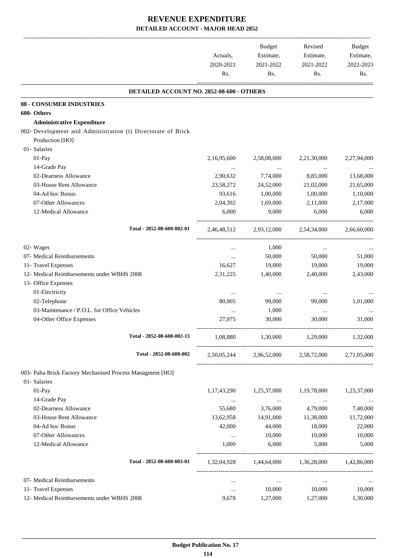|                                                              | Actuals,<br>2020-2021<br>Rs. | Budget<br>Estimate,<br>2021-2022<br>Rs. | Revised<br>Estimate,<br>2021-2022<br>Rs.        | Budget<br>Estimate,<br>2022-2023<br>Rs. |
|--------------------------------------------------------------|------------------------------|-----------------------------------------|-------------------------------------------------|-----------------------------------------|
| DETAILED ACCOUNT NO. 2852-08-600 - OTHERS                    |                              |                                         |                                                 |                                         |
| <b>08 - CONSUMER INDUSTRIES</b>                              |                              |                                         |                                                 |                                         |
| 600- Others                                                  |                              |                                         |                                                 |                                         |
| <b>Administrative Expenditure</b>                            |                              |                                         |                                                 |                                         |
| 002- Development and Administration (i) Directorate of Brick |                              |                                         |                                                 |                                         |
| Production [HO]                                              |                              |                                         |                                                 |                                         |
| 01- Salaries                                                 |                              |                                         |                                                 |                                         |
| 01-Pay                                                       | 2,16,95,600                  | 2,58,08,000                             | 2,21,30,000                                     | 2,27,94,000                             |
| 14-Grade Pay                                                 | $\cdots$                     | $\cdots$                                | $\cdots$                                        |                                         |
| 02-Dearness Allowance                                        | 2,90,632                     | 7,74,000                                | 8,85,000                                        | 13,68,000                               |
| 03-House Rent Allowance                                      | 23,58,272                    | 24,52,000                               | 21,02,000                                       | 21,65,000                               |
| 04-Ad hoc Bonus                                              | 93,616                       | 1,00,000                                | 1,00,000                                        | 1,10,000                                |
| 07-Other Allowances                                          | 2,04,392                     | 1,69,000                                | 2,11,000                                        | 2,17,000                                |
| 12-Medical Allowance                                         | 6,000                        | 9,000                                   | 6,000                                           | 6,000                                   |
| Total - 2852-08-600-002-01                                   |                              |                                         | 2,46,48,512 2,93,12,000 2,54,34,000             | 2,66,60,000                             |
| 02- Wages                                                    | $\cdots$                     | 1,000                                   | $\cdots$                                        |                                         |
| 07- Medical Reimbursements                                   | $\cdots$                     | 50,000                                  | 50,000                                          | 51,000                                  |
| 11- Travel Expenses                                          | 16,627                       | 19,000                                  | 19,000                                          | 19,000                                  |
| 12- Medical Reimbursements under WBHS 2008                   | 2,31,225                     | 1,40,000                                | 2,40,000                                        | 2,43,000                                |
| 13- Office Expenses                                          |                              |                                         |                                                 |                                         |
| 01-Electricity                                               |                              |                                         |                                                 |                                         |
| 02-Telephone                                                 | $\cdots$<br>80,905           | $\cdots$<br>99,000                      | $\cdots$<br>99,000                              | $\cdots$<br>1,01,000                    |
| 03-Maintenance / P.O.L. for Office Vehicles                  |                              |                                         |                                                 |                                         |
| 04-Other Office Expenses                                     | $\cdots$<br>27,975           | 1,000<br>30,000                         | $\cdots$<br>30,000                              | 31,000                                  |
|                                                              |                              |                                         |                                                 |                                         |
| Total - 2852-08-600-002-13                                   | 1,08,880                     | 1,30,000                                | 1,29,000                                        | 1,32,000                                |
| Total - 2852-08-600-002                                      |                              |                                         | 2,50,05,244 2,96,52,000 2,58,72,000             | 2,71,05,000                             |
| 003- Palta Brick Factory Mechanised Process Managment [HO]   |                              |                                         |                                                 |                                         |
| 01- Salaries                                                 |                              |                                         |                                                 |                                         |
| 01-Pay                                                       | 1, 17, 43, 290               | 1,25,37,000                             | 1,19,78,000                                     | 1,23,37,000                             |
| 14-Grade Pay                                                 | $\cdots$                     | <b>Contractor</b>                       | $\sim 100$ km $^{-1}$                           | $\cdots$                                |
| 02-Dearness Allowance                                        | 55,680                       | 3,76,000                                | 4,79,000                                        | 7,40,000                                |
| 03-House Rent Allowance                                      | 13,62,958                    | 14,91,000                               | 11,38,000                                       | 11,72,000                               |
| 04-Ad hoc Bonus                                              | 42,000                       | 44,000                                  | 18,000                                          | 22,000                                  |
| 07-Other Allowances                                          | $\cdots$                     | 10,000                                  | 10,000                                          | 10,000                                  |
| 12-Medical Allowance                                         | 1,000                        | 6,000                                   | 5,000                                           | 5,000                                   |
| Total - 2852-08-600-003-01                                   |                              |                                         | 1,32,04,928 1,44,64,000 1,36,28,000 1,42,86,000 |                                         |
| 07- Medical Reimbursements                                   | $\cdots$                     | $\cdots$                                | $\cdots$                                        |                                         |
| 11- Travel Expenses                                          | $\cdots$                     | 10,000                                  | 10,000                                          | 10,000                                  |
| 12- Medical Reimbursements under WBHS 2008                   | 9,678                        | 1,27,000                                | 1,27,000                                        | 1,30,000                                |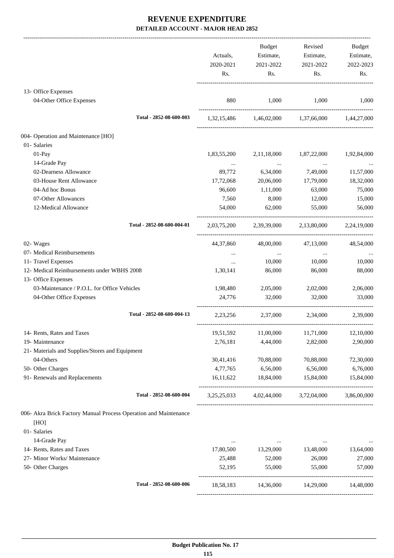|                                                                  | Actuals,         | Budget<br>Estimate,       | Revised<br>Estimate,                            | <b>Budget</b><br>Estimate, |
|------------------------------------------------------------------|------------------|---------------------------|-------------------------------------------------|----------------------------|
|                                                                  | 2020-2021<br>Rs. | 2021-2022<br>Rs.          | 2021-2022<br>Rs.                                | 2022-2023<br>Rs.           |
| 13- Office Expenses                                              |                  |                           |                                                 |                            |
| 04-Other Office Expenses                                         | 880              | 1,000                     | 1,000                                           | 1,000                      |
| Total - 2852-08-600-003                                          |                  |                           | 1,32,15,486 1,46,02,000 1,37,66,000 1,44,27,000 |                            |
| 004- Operation and Maintenance [HO]                              |                  |                           |                                                 |                            |
| 01- Salaries                                                     |                  |                           |                                                 |                            |
| 01-Pay                                                           | 1,83,55,200      | 2,11,18,000               | 1,87,22,000                                     | 1,92,84,000                |
| 14-Grade Pay                                                     |                  | $\cdots$                  | $\cdots$                                        |                            |
| 02-Dearness Allowance                                            | 89,772           | 6,34,000                  | 7,49,000                                        | 11,57,000                  |
| 03-House Rent Allowance                                          | 17,72,068        | 20,06,000                 | 17,79,000                                       | 18,32,000                  |
| 04-Ad hoc Bonus                                                  | 96,600           | 1,11,000                  | 63,000                                          | 75,000                     |
| 07-Other Allowances                                              | 7,560            | 8,000                     | 12,000                                          | 15,000                     |
| 12-Medical Allowance                                             | 54,000           | 62,000                    | 55,000                                          | 56,000                     |
| Total - 2852-08-600-004-01                                       |                  |                           | 2,03,75,200 2,39,39,000 2,13,80,000 2,24,19,000 |                            |
| 02- Wages                                                        | 44,37,860        | 48,00,000                 | 47,13,000                                       | 48,54,000                  |
| 07- Medical Reimbursements                                       | $\cdots$         | $\sim 100$ and $\sim 100$ | $\sim 100$ and                                  |                            |
| 11- Travel Expenses                                              | $\cdots$         | 10,000                    | 10,000                                          | 10,000                     |
| 12- Medical Reimbursements under WBHS 2008                       | 1,30,141         | 86,000                    | 86,000                                          | 88,000                     |
| 13- Office Expenses                                              |                  |                           |                                                 |                            |
| 03-Maintenance / P.O.L. for Office Vehicles                      | 1,98,480         | 2,05,000                  | 2,02,000                                        | 2,06,000                   |
| 04-Other Office Expenses                                         | 24,776           | 32,000                    | 32,000                                          | 33,000                     |
| Total - 2852-08-600-004-13                                       |                  |                           | 2,23,256 2,37,000 2,34,000                      | 2,39,000                   |
| 14- Rents, Rates and Taxes                                       |                  |                           | 19,51,592 11,00,000 11,71,000 12,10,000         |                            |
| 19- Maintenance                                                  | 2,76,181         | 4,44,000                  | 2,82,000                                        | 2,90,000                   |
| 21- Materials and Supplies/Stores and Equipment                  |                  |                           |                                                 |                            |
| 04-Others                                                        | 30,41,416        | 70,88,000                 | 70,88,000                                       | 72,30,000                  |
| 50- Other Charges                                                | 4,77,765         | 6,56,000                  | 6,56,000                                        | 6,76,000                   |
| 91- Renewals and Replacements                                    | 16,11,622        | 18,84,000                 | 15,84,000                                       | 15,84,000                  |
| Total - 2852-08-600-004                                          |                  |                           | 3,25,25,033 4,02,44,000 3,72,04,000             | 3,86,00,000                |
| 006- Akra Brick Factory Manual Process Operation and Maintenance |                  |                           |                                                 |                            |
| [HO]<br>01- Salaries                                             |                  |                           |                                                 |                            |
| 14-Grade Pay                                                     | $\cdots$         | $\cdots$                  |                                                 |                            |
| 14- Rents, Rates and Taxes                                       | 17,80,500        | 13,29,000                 | 13,48,000                                       | 13,64,000                  |
| 27- Minor Works/ Maintenance                                     | 25,488           | 52,000                    | 26,000                                          | 27,000                     |
| 50- Other Charges                                                | 52,195           | 55,000                    | 55,000                                          | 57,000                     |
| Total - 2852-08-600-006                                          | 18,58,183        | 14,36,000                 | 14,29,000                                       | 14,48,000                  |
|                                                                  |                  |                           |                                                 |                            |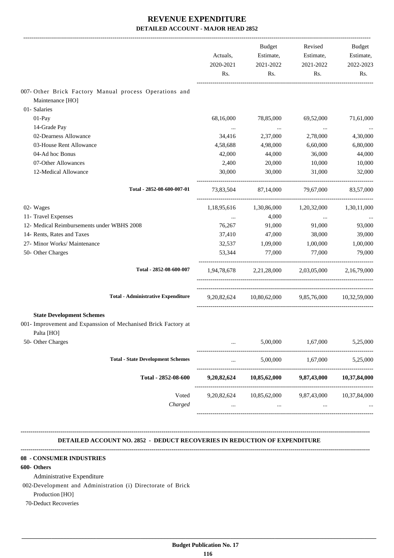|                                                                                                                  | Actuals,<br>2020-2021<br>Rs. | Budget<br>Estimate,<br>2021-2022<br>Rs.           | Revised<br>Estimate,<br>2021-2022<br>Rs. | Budget<br>Estimate,<br>2022-2023<br>Rs. |
|------------------------------------------------------------------------------------------------------------------|------------------------------|---------------------------------------------------|------------------------------------------|-----------------------------------------|
| 007- Other Brick Factory Manual process Operations and<br>Maintenance [HO]                                       |                              |                                                   |                                          |                                         |
| 01- Salaries                                                                                                     |                              |                                                   |                                          |                                         |
| 01-Pay                                                                                                           | 68,16,000                    | 78,85,000                                         | 69,52,000                                | 71,61,000                               |
| 14-Grade Pay                                                                                                     | $\cdots$                     | $\ldots$                                          | $\ldots$                                 |                                         |
| 02-Dearness Allowance                                                                                            | 34,416                       | 2,37,000                                          | 2,78,000                                 | 4,30,000                                |
| 03-House Rent Allowance                                                                                          | 4,58,688                     | 4,98,000                                          | 6,60,000                                 | 6,80,000                                |
| 04-Ad hoc Bonus                                                                                                  | 42,000                       | 44,000                                            | 36,000                                   | 44,000                                  |
| 07-Other Allowances                                                                                              | 2,400                        | 20,000                                            | 10,000                                   | 10,000                                  |
| 12-Medical Allowance                                                                                             | 30,000                       | 30,000                                            | 31,000                                   | 32,000                                  |
| Total - 2852-08-600-007-01                                                                                       | 73,83,504                    | 87,14,000                                         | 79.67.000                                | 83,57,000                               |
| 02- Wages                                                                                                        |                              | 1,18,95,616 1,30,86,000                           | 1,20,32,000                              | 1,30,11,000                             |
| 11- Travel Expenses                                                                                              | $\cdots$                     | 4,000                                             | $\cdots$                                 |                                         |
| 12- Medical Reimbursements under WBHS 2008                                                                       | 76,267                       | 91,000                                            | 91,000                                   | 93,000                                  |
| 14- Rents, Rates and Taxes                                                                                       | 37,410                       | 47,000                                            | 38,000                                   | 39,000                                  |
| 27- Minor Works/ Maintenance                                                                                     | 32,537                       | 1,09,000                                          | 1,00,000                                 | 1,00,000                                |
| 50- Other Charges                                                                                                | 53,344                       | 77,000                                            | 77,000                                   | 79,000                                  |
| Total - 2852-08-600-007                                                                                          |                              | 1,94,78,678 2,21,28,000 2,03,05,000 2,16,79,000   |                                          |                                         |
| <b>Total - Administrative Expenditure</b>                                                                        |                              | 9,20,82,624 10,80,62,000 9,85,76,000 10,32,59,000 |                                          |                                         |
| <b>State Development Schemes</b><br>001- Improvement and Expanssion of Mechanised Brick Factory at<br>Palta [HO] |                              |                                                   |                                          |                                         |
| 50- Other Charges                                                                                                |                              | 5,00,000                                          | 1,67,000                                 | 5,25,000                                |
| <b>Total - State Development Schemes</b>                                                                         |                              | 5,00,000                                          | 1,67,000                                 | 5,25,000                                |
| Total - 2852-08-600                                                                                              | 9,20,82,624                  | 10,85,62,000                                      | 9,87,43,000                              | 10,37,84,000                            |
| Voted<br>Charged                                                                                                 | 9,20,82,624                  | 10,85,62,000<br>                                  | 9,87,43,000<br>$\ddotsc$                 | 10,37,84,000                            |

 **DETAILED ACCOUNT NO. 2852 - DEDUCT RECOVERIES IN REDUCTION OF EXPENDITURE**

**--------------------------------------------------------------------------------------------------------------------------------------------------------------------------------**

**--------------------------------------------------------------------------------------------------------------------------------------------------------------------------------**

### **08 - CONSUMER INDUSTRIES**

### **600- Others**

Administrative Expenditure

002-Development and Administration (i) Directorate of Brick

Production [HO]

70-Deduct Recoveries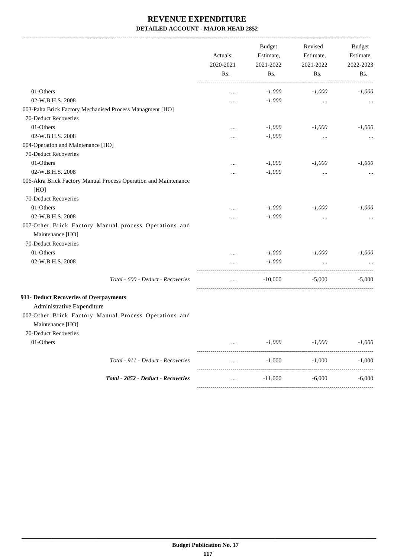-------------------------------------------------------------------------------------------------------------------------------------------------------------------------------

|                                                                                                         | Actuals,<br>2020-2021 | <b>Budget</b><br>Estimate,<br>2021-2022 | Revised<br>Estimate,<br>2021-2022 | <b>Budget</b><br>Estimate,<br>2022-2023 |
|---------------------------------------------------------------------------------------------------------|-----------------------|-----------------------------------------|-----------------------------------|-----------------------------------------|
|                                                                                                         | Rs.                   | Rs.                                     | Rs.                               | Rs.                                     |
| 01-Others                                                                                               |                       | $-1,000$                                | $-1,000$                          | $-1,000$                                |
| 02-W.B.H.S. 2008                                                                                        | $\cdots$              | $-1,000$                                |                                   |                                         |
| 003-Palta Brick Factory Mechanised Process Managment [HO]                                               |                       |                                         |                                   |                                         |
| 70-Deduct Recoveries                                                                                    |                       |                                         |                                   |                                         |
| 01-Others                                                                                               |                       | $-1,000$                                | $-1,000$                          | $-1,000$                                |
| 02-W.B.H.S. 2008                                                                                        | $\cdots$              | $-1,000$                                | $\cdots$                          |                                         |
| 004-Operation and Maintenance [HO]                                                                      |                       |                                         |                                   |                                         |
| 70-Deduct Recoveries                                                                                    |                       |                                         |                                   |                                         |
| 01-Others                                                                                               |                       | $-1,000$                                | $-1,000$                          | $-1,000$                                |
| 02-W.B.H.S. 2008                                                                                        | $\cdots$              | $-1,000$                                | $\cdots$                          |                                         |
| 006-Akra Brick Factory Manual Process Operation and Maintenance<br>[HO]<br>70-Deduct Recoveries         |                       |                                         |                                   |                                         |
|                                                                                                         |                       |                                         |                                   |                                         |
| 01-Others                                                                                               | $\cdots$              | $-1,000$                                | $-1,000$                          | $-1,000$                                |
| 02-W.B.H.S. 2008                                                                                        | $\cdots$              | $-1,000$                                | $\cdots$                          |                                         |
| 007-Other Brick Factory Manual process Operations and                                                   |                       |                                         |                                   |                                         |
| Maintenance [HO]                                                                                        |                       |                                         |                                   |                                         |
| 70-Deduct Recoveries                                                                                    |                       |                                         |                                   |                                         |
| 01-Others                                                                                               | $\cdots$              | $-1,000$                                | $-1,000$                          | $-1,000$                                |
| 02-W.B.H.S. 2008                                                                                        |                       | $-1,000$                                |                                   |                                         |
| Total - 600 - Deduct - Recoveries                                                                       | $\cdots$              | $-10,000$                               | $-5,000$                          | $-5,000$                                |
| 911- Deduct Recoveries of Overpayments                                                                  |                       |                                         |                                   |                                         |
| Administrative Expenditure<br>007-Other Brick Factory Manual Process Operations and<br>Maintenance [HO] |                       |                                         |                                   |                                         |
| 70-Deduct Recoveries                                                                                    |                       |                                         |                                   |                                         |
| 01-Others                                                                                               |                       | $-1,000$                                | $-1,000$                          | $-1,000$                                |
| Total - 911 - Deduct - Recoveries                                                                       |                       | $-1,000$                                | $-1,000$                          | $-1,000$                                |
| Total - 2852 - Deduct - Recoveries                                                                      |                       | $-11,000$                               | $-6,000$                          | $-6,000$                                |
|                                                                                                         |                       |                                         |                                   |                                         |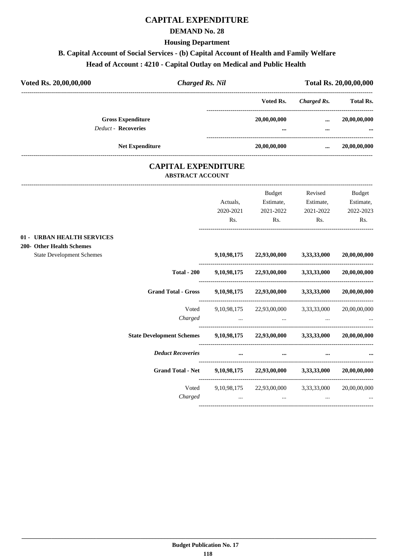# **CAPITAL EXPENDITURE**

## **DEMAND No. 28**

**Housing Department**

# **B. Capital Account of Social Services - (b) Capital Account of Health and Family Welfare**

# **Head of Account : 4210 - Capital Outlay on Medical and Public Health**

| Voted Rs. 20,00,00,000 |                                                        | <b>Charged Rs. Nil</b> | Total Rs. 20,00,00,000   |                      |                          |
|------------------------|--------------------------------------------------------|------------------------|--------------------------|----------------------|--------------------------|
|                        |                                                        |                        | Voted Rs.                | Charged Rs.          | <b>Total Rs.</b>         |
|                        | <b>Gross Expenditure</b><br><b>Deduct - Recoveries</b> |                        | 20,00,00,000<br>$\cdots$ | $\cdots$<br>$\cdots$ | 20,00,00,000<br>$\cdots$ |
|                        | <b>Net Expenditure</b>                                 |                        | 20,00,00,000             | $\cdots$             | 20,00,00,000             |

## **CAPITAL EXPENDITURE ABSTRACT ACCOUNT**

|                                  |                                                                | Actuals,         | Budget<br>Estimate,                                                                                 | Revised<br>Estimate, | <b>Budget</b><br>Estimate, |
|----------------------------------|----------------------------------------------------------------|------------------|-----------------------------------------------------------------------------------------------------|----------------------|----------------------------|
|                                  |                                                                | 2020-2021<br>Rs. | 2021-2022<br>Rs.                                                                                    | 2021-2022<br>Rs.     | 2022-2023<br>Rs.           |
| 01 - URBAN HEALTH SERVICES       |                                                                |                  |                                                                                                     |                      |                            |
| 200- Other Health Schemes        |                                                                |                  |                                                                                                     |                      |                            |
| <b>State Development Schemes</b> |                                                                |                  | 9,10,98,175 22,93,00,000 3,33,33,000                                                                |                      | 20,00,00,000               |
|                                  | <b>Total - 200</b>                                             |                  | 9,10,98,175 22,93,00,000 3,33,33,000                                                                |                      | 20,00,00,000               |
|                                  | <b>Grand Total - Gross</b>                                     |                  | 9,10,98,175 22,93,00,000 3,33,33,000                                                                |                      | 20,00,00,000               |
|                                  | Voted                                                          |                  | 9,10,98,175 22,93,00,000 3,33,33,000                                                                |                      | 20,00,00,000               |
|                                  | Charged                                                        |                  | the contract of the contract of the contract of the contract of the contract of the contract of the |                      |                            |
|                                  | State Development Schemes 9,10,98,175 22,93,00,000 3,33,33,000 |                  |                                                                                                     |                      | 20.00.00.000               |
|                                  | <b>Deduct Recoveries</b>                                       | $\cdots$         | $\cdots$                                                                                            |                      |                            |
|                                  | <b>Grand Total - Net</b>                                       |                  | $9,10,98,175$ $22,93,00,000$ $3,33,33,000$                                                          |                      | 20,00,00,000               |
|                                  | Voted                                                          |                  | 9,10,98,175 22,93,00,000 3,33,33,000                                                                |                      | 20,00,00,000               |
|                                  | Charged                                                        |                  | $\ddots$<br>and the state of the state of                                                           | $\cdots$             |                            |
|                                  |                                                                |                  |                                                                                                     |                      |                            |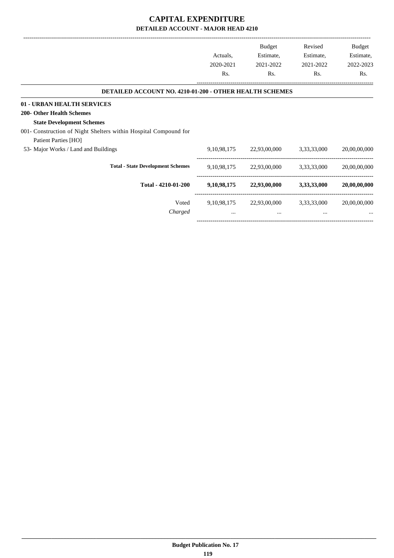|                                                                  |                | <b>Budget</b> | Revised     | Budget       |
|------------------------------------------------------------------|----------------|---------------|-------------|--------------|
|                                                                  | Actuals,       | Estimate,     | Estimate,   | Estimate,    |
|                                                                  | 2020-2021      | 2021-2022     | 2021-2022   | 2022-2023    |
|                                                                  | Rs.            | Rs.           | Rs.         | Rs.          |
| <b>DETAILED ACCOUNT NO. 4210-01-200 - OTHER HEALTH SCHEMES</b>   |                |               |             |              |
| 01 - URBAN HEALTH SERVICES                                       |                |               |             |              |
| <b>200- Other Health Schemes</b>                                 |                |               |             |              |
| <b>State Development Schemes</b>                                 |                |               |             |              |
| 001- Construction of Night Shelters within Hospital Compound for |                |               |             |              |
| Patient Parties [HO]                                             |                |               |             |              |
| 53- Major Works / Land and Buildings                             | 9, 10, 98, 175 | 22,93,00,000  | 3,33,33,000 | 20,00,00,000 |
| <b>Total - State Development Schemes</b>                         | 9, 10, 98, 175 | 22,93,00,000  | 3,33,33,000 | 20,00,00,000 |
| Total - 4210-01-200                                              | 9,10,98,175    | 22,93,00,000  | 3,33,33,000 | 20,00,00,000 |
| Voted                                                            | 9, 10, 98, 175 | 22,93,00,000  | 3,33,33,000 | 20,00,00,000 |
| Charged                                                          | $\cdots$       | $\cdots$      | $\cdots$    |              |

-----------------------------------------------------------------------------------------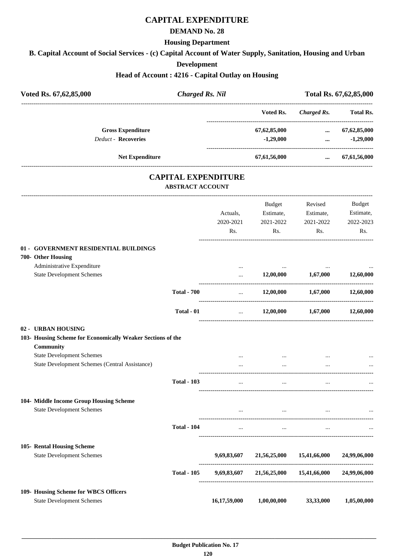# **CAPITAL EXPENDITURE**

### **DEMAND No. 28**

### **Housing Department**

**B. Capital Account of Social Services - (c) Capital Account of Water Supply, Sanitation, Housing and Urban**

## **Development**

## **Head of Account : 4216 - Capital Outlay on Housing**

| Voted Rs. 67,62,85,000                                                                                                        | <b>Charged Rs. Nil</b>                                |                              |                                         | Total Rs. 67,62,85,000                   |                                                |
|-------------------------------------------------------------------------------------------------------------------------------|-------------------------------------------------------|------------------------------|-----------------------------------------|------------------------------------------|------------------------------------------------|
|                                                                                                                               |                                                       |                              | Voted Rs.                               | <b>Charged Rs.</b>                       | <b>Total Rs.</b>                               |
| <b>Gross Expenditure</b><br>Deduct - Recoveries                                                                               |                                                       |                              | 67,62,85,000<br>$-1,29,000$             | $\cdots$<br>$\cdots$                     | 67, 62, 85, 000<br>$-1,29,000$                 |
| <b>Net Expenditure</b>                                                                                                        |                                                       |                              | 67,61,56,000                            | $\ddotsc$                                | 67,61,56,000                                   |
|                                                                                                                               | <b>CAPITAL EXPENDITURE</b><br><b>ABSTRACT ACCOUNT</b> |                              |                                         |                                          |                                                |
|                                                                                                                               |                                                       | Actuals,<br>2020-2021<br>Rs. | Budget<br>Estimate,<br>2021-2022<br>Rs. | Revised<br>Estimate,<br>2021-2022<br>Rs. | <b>Budget</b><br>Estimate,<br>2022-2023<br>Rs. |
| 01 - GOVERNMENT RESIDENTIAL BUILDINGS<br>700- Other Housing<br>Administrative Expenditure<br><b>State Development Schemes</b> |                                                       | <br>$\cdots$                 | 12,00,000                               | 1,67,000                                 | 12,60,000                                      |
|                                                                                                                               | <b>Total - 700</b>                                    | $\ddots$                     |                                         | 12,00,000 1,67,000                       | 12,60,000                                      |
|                                                                                                                               | Total - 01                                            | $\cdots$                     |                                         | $12,00,000$ $1,67,000$                   | 12,60,000                                      |
| 02 - URBAN HOUSING<br>103- Housing Scheme for Economically Weaker Sections of the<br>Community                                |                                                       |                              |                                         |                                          |                                                |
| <b>State Development Schemes</b><br>State Development Schemes (Central Assistance)                                            |                                                       |                              | $\cdots$                                |                                          |                                                |
|                                                                                                                               | <b>Total - 103</b>                                    |                              |                                         |                                          |                                                |
| 104- Middle Income Group Housing Scheme<br><b>State Development Schemes</b>                                                   |                                                       | $\ldots$                     | $\sim$ $\sim$                           | <b>Contract</b>                          |                                                |
|                                                                                                                               | <b>Total - 104</b>                                    |                              | $\cdots$                                | $\ddotsc$                                |                                                |
| 105- Rental Housing Scheme<br><b>State Development Schemes</b>                                                                |                                                       | 9,69,83,607                  | 21,56,25,000                            | 15,41,66,000                             | 24,99,06,000                                   |
|                                                                                                                               | <b>Total - 105</b>                                    | 9,69,83,607                  |                                         | 21,56,25,000 15,41,66,000                | 24,99,06,000                                   |
| 109- Housing Scheme for WBCS Officers<br><b>State Development Schemes</b>                                                     |                                                       | 16,17,59,000                 | 1,00,00,000                             | 33,33,000                                | 1,05,00,000                                    |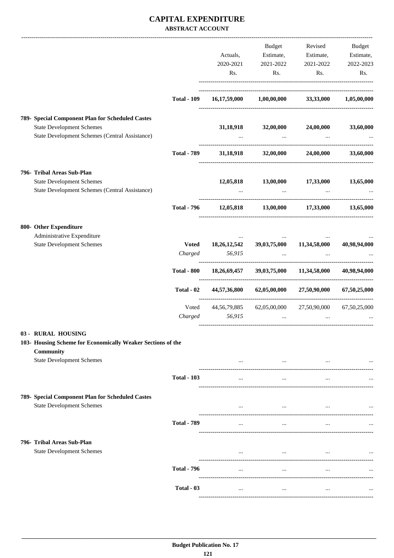## **CAPITAL EXPENDITURE ABSTRACT ACCOUNT**

|                                                                                    |                    | Actuals,     | Budget                                       | Estimate, Estimate, Estimate, | Revised Budget |
|------------------------------------------------------------------------------------|--------------------|--------------|----------------------------------------------|-------------------------------|----------------|
|                                                                                    |                    | 2020-2021    | 2021-2022                                    | 2021-2022                     | 2022-2023      |
|                                                                                    |                    | Rs.          | Rs.                                          | Rs.                           | Rs.            |
|                                                                                    |                    |              |                                              |                               |                |
|                                                                                    | <b>Total - 109</b> |              | $16,17,59,000$ $1,00,00,000$ $33,33,000$     |                               | 1,05,00,000    |
| 789- Special Component Plan for Scheduled Castes                                   |                    |              |                                              |                               |                |
| <b>State Development Schemes</b>                                                   |                    |              | 31,18,918 32,00,000 24,00,000                |                               | 33,60,000      |
| State Development Schemes (Central Assistance)                                     |                    |              | <b>Contract Contract</b>                     |                               |                |
|                                                                                    | <b>Total - 789</b> |              | 31,18,918 32,00,000 24,00,000                |                               | 33,60,000      |
| 796- Tribal Areas Sub-Plan                                                         |                    |              |                                              |                               |                |
| <b>State Development Schemes</b><br>State Development Schemes (Central Assistance) |                    |              | 12,05,818 13,00,000 17,33,000<br>$\cdots$    | $\ddotsc$                     | 13,65,000      |
|                                                                                    | <b>Total - 796</b> |              | 12,05,818 13,00,000 17,33,000 13,65,000      |                               |                |
| 800- Other Expenditure                                                             |                    |              |                                              |                               |                |
| Administrative Expenditure                                                         |                    |              |                                              |                               |                |
| <b>State Development Schemes</b>                                                   |                    |              | Voted 18,26,12,542 39,03,75,000 11,34,58,000 |                               | 40,98,94,000   |
|                                                                                    | Charged            | 56,915       |                                              |                               |                |
|                                                                                    | <b>Total - 800</b> |              | 18,26,69,457 39,03,75,000 11,34,58,000       |                               | 40,98,94,000   |
|                                                                                    | Total - 02         | 44,57,36,800 | 62,05,00,000                                 | 27,50,90,000                  | 67,50,25,000   |
|                                                                                    | Voted              |              | 44,56,79,885 62,05,00,000 27,50,90,000       |                               | 67,50,25,000   |
|                                                                                    | Charged            | 56,915       | $\cdots$                                     | $\ddotsc$                     |                |
| 03 - RURAL HOUSING                                                                 |                    |              |                                              |                               |                |
| 103- Housing Scheme for Economically Weaker Sections of the<br>Community           |                    |              |                                              |                               |                |
| <b>State Development Schemes</b>                                                   |                    |              | $\ddots$                                     | $\cdots$                      |                |
|                                                                                    | <b>Total - 103</b> | $\cdots$     | $\cdots$                                     |                               |                |
| 789- Special Component Plan for Scheduled Castes                                   |                    |              |                                              |                               |                |
| <b>State Development Schemes</b>                                                   |                    | $\cdots$     | $\cdots$                                     | $\sim 100$ and $\sim 100$     |                |
|                                                                                    | <b>Total - 789</b> | $\cdots$     | $\cdots$                                     | $\cdots$                      |                |
| 796- Tribal Areas Sub-Plan                                                         |                    |              |                                              |                               |                |
| <b>State Development Schemes</b>                                                   |                    | $\cdots$     | $\cdots$                                     | $\ddots$                      | $\cdots$       |
|                                                                                    | <b>Total - 796</b> | $\cdots$     | $\cdots$                                     | $\cdots$                      |                |
|                                                                                    | Total - 03         | $\cdots$     | $\ddotsc$                                    | $\ddots$                      |                |
|                                                                                    |                    |              |                                              |                               |                |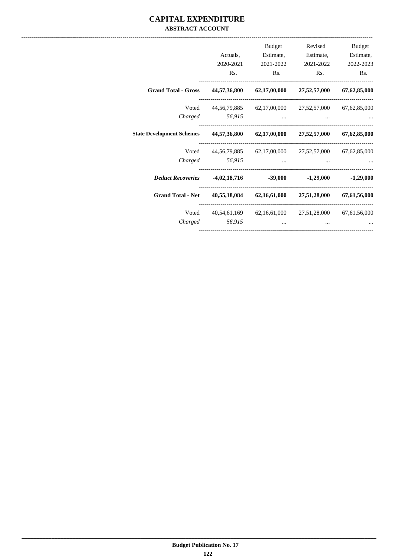## **CAPITAL EXPENDITURE ABSTRACT ACCOUNT**

| Budget                        | Revised                                             | Budget                                                                                                                                                                                                                               |                |                                                                  |
|-------------------------------|-----------------------------------------------------|--------------------------------------------------------------------------------------------------------------------------------------------------------------------------------------------------------------------------------------|----------------|------------------------------------------------------------------|
| Estimate,                     | Estimate,                                           | Estimate,                                                                                                                                                                                                                            | Actuals,       |                                                                  |
| 2022-2023                     | 2021-2022                                           | 2021-2022                                                                                                                                                                                                                            | 2020-2021      |                                                                  |
| Rs.                           | Rs.                                                 | Rs.                                                                                                                                                                                                                                  | Rs.            |                                                                  |
| 67, 62, 85, 000               | 27,52,57,000                                        | 44,57,36,800 62,17,00,000                                                                                                                                                                                                            |                | <b>Grand Total - Gross</b>                                       |
| 67, 62, 85, 000               | 44,56,79,885 62,17,00,000 27,52,57,000              |                                                                                                                                                                                                                                      |                | Voted                                                            |
| and the state of the state of |                                                     | the contract of the contract of the contract of                                                                                                                                                                                      | Charged 56,915 |                                                                  |
| 67, 62, 85, 000               | 44,57,36,800 62,17,00,000 27,52,57,000              |                                                                                                                                                                                                                                      |                | <b>State Development Schemes</b>                                 |
|                               | 44,56,79,885 62,17,00,000 27,52,57,000 67,62,85,000 |                                                                                                                                                                                                                                      |                | Voted                                                            |
|                               | $\ddots$                                            | <u>and the company of the company of the company of the company of the company of the company of the company of the company of the company of the company of the company of the company of the company of the company of the com</u> | Charged 56,915 |                                                                  |
|                               |                                                     |                                                                                                                                                                                                                                      |                | <i>Deduct Recoveries</i> 4,02,18,716 -39,000 -1,29,000 -1,29,000 |
| 67,61,56,000                  | $40,55,18,084$ $62,16,61,000$ $27,51,28,000$        |                                                                                                                                                                                                                                      |                | <b>Grand Total - Net</b>                                         |
| 67, 61, 56, 000               | 40,54,61,169 62,16,61,000 27,51,28,000              |                                                                                                                                                                                                                                      |                | Voted                                                            |
|                               | $\cdots$                                            | $\cdots$                                                                                                                                                                                                                             | 56.915         | Charged                                                          |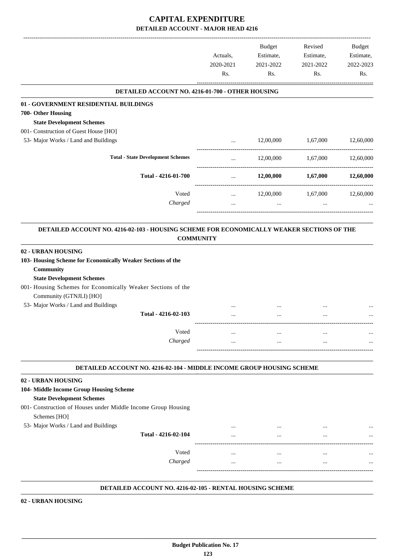|                                                  | Actuals,<br>2020-2021<br>Rs. | Budget<br>Estimate,<br>2021-2022<br>Rs. | Revised<br>Estimate,<br>2021-2022<br>Rs. | Budget<br>Estimate,<br>2022-2023<br>Rs. |
|--------------------------------------------------|------------------------------|-----------------------------------------|------------------------------------------|-----------------------------------------|
| DETAILED ACCOUNT NO. 4216-01-700 - OTHER HOUSING |                              |                                         |                                          |                                         |
| 01 - GOVERNMENT RESIDENTIAL BUILDINGS            |                              |                                         |                                          |                                         |
| 700- Other Housing                               |                              |                                         |                                          |                                         |
| <b>State Development Schemes</b>                 |                              |                                         |                                          |                                         |
| 001- Construction of Guest House [HO]            |                              |                                         |                                          |                                         |
| 53- Major Works / Land and Buildings             |                              | 12,00,000                               | 1,67,000                                 | 12,60,000                               |
| <b>Total - State Development Schemes</b>         | $\cdots$                     | 12,00,000                               | 1,67,000                                 | 12,60,000                               |
| Total - 4216-01-700                              |                              | 12,00,000                               | 1,67,000                                 | 12,60,000                               |
| Voted                                            | $\cdots$                     | 12,00,000                               | 1,67,000                                 | 12,60,000                               |
| Charged                                          |                              |                                         |                                          |                                         |

**COMMUNITY .**

| 02 - URBAN HOUSING                                           |          |          |          |          |
|--------------------------------------------------------------|----------|----------|----------|----------|
| 103- Housing Scheme for Economically Weaker Sections of the  |          |          |          |          |
| Community                                                    |          |          |          |          |
| <b>State Development Schemes</b>                             |          |          |          |          |
| 001- Housing Schemes for Economically Weaker Sections of the |          |          |          |          |
| Community (GTNJLI) [HO]                                      |          |          |          |          |
| 53- Major Works / Land and Buildings                         |          |          |          | $\cdots$ |
| Total - 4216-02-103                                          | $\cdots$ | $\cdots$ | $\cdots$ |          |
|                                                              |          |          |          |          |
| Voted                                                        | $\cdots$ | $\cdots$ |          |          |
| Charged                                                      | $\cdots$ | $\cdots$ | $\cdots$ |          |
|                                                              |          |          |          |          |

#### **DETAILED ACCOUNT NO. 4216-02-104 - MIDDLE INCOME GROUP HOUSING SCHEME .**

### **02 - URBAN HOUSING**

- **104- Middle Income Group Housing Scheme State Development Schemes**
- 001- Construction of Houses under Middle Income Group Housing Schemes [HO]
- 
- 53- Major Works / Land and Buildings ... ... ... ... **Total - 4216-02-104** ... ... ... ... ------------------------------------------------------------------------------------------ Voted ... ... ... ... *Charged* ... ... ... ...

-----------------------------------------------------------------------------------------

.

.

#### **DETAILED ACCOUNT NO. 4216-02-105 - RENTAL HOUSING SCHEME .**

**02 - URBAN HOUSING**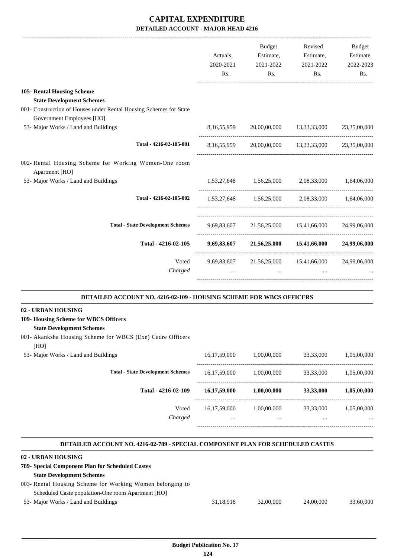| Actuals, | Budget<br>Estimate, | Revised<br>Estimate,                                   | <b>Budget</b><br>Estimate,                                                                                                                                                                                                                                                                                         |
|----------|---------------------|--------------------------------------------------------|--------------------------------------------------------------------------------------------------------------------------------------------------------------------------------------------------------------------------------------------------------------------------------------------------------------------|
| Rs.      | Rs.                 | Rs.                                                    | 2022-2023<br>Rs.                                                                                                                                                                                                                                                                                                   |
|          |                     |                                                        |                                                                                                                                                                                                                                                                                                                    |
|          |                     |                                                        |                                                                                                                                                                                                                                                                                                                    |
|          |                     |                                                        |                                                                                                                                                                                                                                                                                                                    |
|          |                     |                                                        |                                                                                                                                                                                                                                                                                                                    |
|          |                     |                                                        | 23,35,00,000                                                                                                                                                                                                                                                                                                       |
|          |                     |                                                        | 23,35,00,000                                                                                                                                                                                                                                                                                                       |
|          |                     |                                                        |                                                                                                                                                                                                                                                                                                                    |
|          |                     |                                                        |                                                                                                                                                                                                                                                                                                                    |
|          |                     |                                                        |                                                                                                                                                                                                                                                                                                                    |
|          |                     |                                                        |                                                                                                                                                                                                                                                                                                                    |
|          |                     |                                                        |                                                                                                                                                                                                                                                                                                                    |
|          |                     |                                                        | 24,99,06,000                                                                                                                                                                                                                                                                                                       |
|          | 2020-2021           | 2021-2022<br>8,16,55,959<br>8,16,55,959<br>9,69,83,607 | 2021-2022<br>20,00,00,000 13,33,33,000<br>20,00,00,000 13,33,33,000<br>1,53,27,648 1,56,25,000 2,08,33,000 1,64,06,000<br>1,53,27,648 1,56,25,000 2,08,33,000 1,64,06,000<br>9,69,83,607 21,56,25,000 15,41,66,000 24,99,06,000<br>9,69,83,607 21,56,25,000 15,41,66,000 24,99,06,000<br>21,56,25,000 15,41,66,000 |

#### **DETAILED ACCOUNT NO. 4216-02-109 - HOUSING SCHEME FOR WBCS OFFICERS .**

### **02 - URBAN HOUSING**

**109- Housing Scheme for WBCS Officers**

## **State Development Schemes**

001- Akanksha Housing Scheme for WBCS (Exe) Cadre Officers

[HO] 53- Major Works / Land and Buildings 16,17,59,000 1,00,00,000 33,33,000 1,05,00,000 ----------------------------------------------------------------------------------------- **Total - State Development Schemes** 16,17,59,000 1,00,00,000 33,33,000 1,05,00,000 ----------------------------------------------------------------------------------------- **Total - 4216-02-109 16,17,59,000 1,00,00,000 33,33,000 1,05,00,000** ------------------------------------------------------------------------------------------ Voted 16,17,59,000 1,00,00,000 33,33,000 1,05,00,000 *Charged* ... ... ... ... -----------------------------------------------------------------------------------------

#### **DETAILED ACCOUNT NO. 4216-02-789 - SPECIAL COMPONENT PLAN FOR SCHEDULED CASTES .**

.

### **02 - URBAN HOUSING**

| 789- Special Component Plan for Scheduled Castes          |           |           |           |           |
|-----------------------------------------------------------|-----------|-----------|-----------|-----------|
| <b>State Development Schemes</b>                          |           |           |           |           |
| 003- Rental Housing Scheme for Working Women belonging to |           |           |           |           |
| Scheduled Caste population-One room Apartment [HO]        |           |           |           |           |
| 53- Major Works / Land and Buildings                      | 31,18,918 | 32,00,000 | 24,00,000 | 33,60,000 |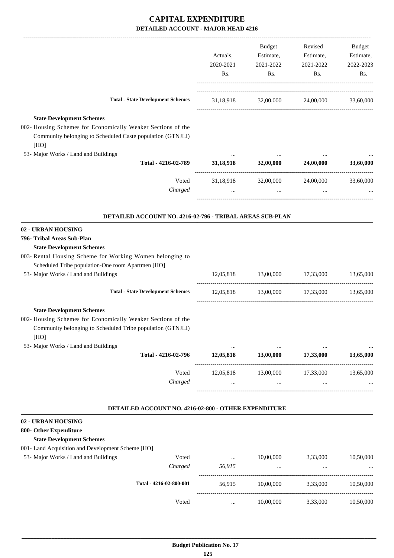|                                                                                                                                                                                                                |                                                          |                                 | Budget                        | Revised                                 | Budget    |
|----------------------------------------------------------------------------------------------------------------------------------------------------------------------------------------------------------------|----------------------------------------------------------|---------------------------------|-------------------------------|-----------------------------------------|-----------|
|                                                                                                                                                                                                                |                                                          | Actuals,                        | Estimate,                     | Estimate,                               | Estimate, |
|                                                                                                                                                                                                                |                                                          | 2020-2021                       | 2021-2022                     | 2021-2022                               | 2022-2023 |
|                                                                                                                                                                                                                |                                                          | Rs.                             | Rs.                           | Rs.                                     | Rs.       |
|                                                                                                                                                                                                                | <b>Total - State Development Schemes</b>                 |                                 |                               | 31,18,918 32,00,000 24,00,000 33,60,000 |           |
|                                                                                                                                                                                                                |                                                          |                                 |                               |                                         |           |
| <b>State Development Schemes</b><br>002- Housing Schemes for Economically Weaker Sections of the<br>Community belonging to Scheduled Caste population (GTNJLI)<br>[HO]<br>53- Major Works / Land and Buildings |                                                          |                                 |                               |                                         |           |
|                                                                                                                                                                                                                | Total - 4216-02-789                                      | $\cdots$<br>31,18,918 32,00,000 | $\cdots$                      | $\cdots$<br>24,00,000                   | 33,60,000 |
|                                                                                                                                                                                                                | Voted                                                    |                                 |                               | 31,18,918 32,00,000 24,00,000           | 33,60,000 |
|                                                                                                                                                                                                                | Charged                                                  | $\cdots$                        | $\cdots$                      |                                         |           |
|                                                                                                                                                                                                                | DETAILED ACCOUNT NO. 4216-02-796 - TRIBAL AREAS SUB-PLAN |                                 |                               |                                         |           |
| 02 - URBAN HOUSING                                                                                                                                                                                             |                                                          |                                 |                               |                                         |           |
| 796- Tribal Areas Sub-Plan                                                                                                                                                                                     |                                                          |                                 |                               |                                         |           |
| <b>State Development Schemes</b>                                                                                                                                                                               |                                                          |                                 |                               |                                         |           |
| 003- Rental Housing Scheme for Working Women belonging to                                                                                                                                                      |                                                          |                                 |                               |                                         |           |
| Scheduled Tribe population-One room Apartmen [HO]                                                                                                                                                              |                                                          |                                 |                               |                                         |           |
| 53- Major Works / Land and Buildings                                                                                                                                                                           |                                                          |                                 | 12,05,818 13,00,000 17,33,000 |                                         | 13,65,000 |
|                                                                                                                                                                                                                | <b>Total - State Development Schemes</b>                 |                                 |                               | 12,05,818 13,00,000 17,33,000 13,65,000 |           |
| <b>State Development Schemes</b>                                                                                                                                                                               |                                                          |                                 |                               |                                         |           |
| 002- Housing Schemes for Economically Weaker Sections of the<br>Community belonging to Scheduled Tribe population (GTNJLI)<br>[HO]                                                                             |                                                          |                                 |                               |                                         |           |
| 53- Major Works / Land and Buildings                                                                                                                                                                           | Total - 4216-02-796                                      | $\cdots$<br>12,05,818           | 13,00,000                     | 17,33,000                               | 13,65,000 |
|                                                                                                                                                                                                                | Voted<br>Charged                                         | 12,05,818<br>$\cdots$           | 13,00,000<br>$\cdots$         | 17,33,000<br>$\cdots$                   | 13,65,000 |
|                                                                                                                                                                                                                | DETAILED ACCOUNT NO. 4216-02-800 - OTHER EXPENDITURE     |                                 |                               |                                         |           |
| 02 - URBAN HOUSING                                                                                                                                                                                             |                                                          |                                 |                               |                                         |           |
| 800- Other Expenditure                                                                                                                                                                                         |                                                          |                                 |                               |                                         |           |
| <b>State Development Schemes</b>                                                                                                                                                                               |                                                          |                                 |                               |                                         |           |
| 001- Land Acquisition and Development Scheme [HO]                                                                                                                                                              |                                                          |                                 |                               |                                         |           |
| 53- Major Works / Land and Buildings                                                                                                                                                                           | Voted                                                    | $\cdots$                        | 10,00,000                     | 3,33,000                                | 10,50,000 |
|                                                                                                                                                                                                                | Charged                                                  | 56,915                          | $\ddots$                      | $\ldots$                                |           |
|                                                                                                                                                                                                                | Total - 4216-02-800-001                                  | 56,915                          | 10,00,000                     | 3,33,000                                | 10,50,000 |
|                                                                                                                                                                                                                | Voted                                                    | $\cdots$                        | 10,00,000                     | 3,33,000                                | 10,50,000 |
|                                                                                                                                                                                                                |                                                          |                                 |                               |                                         |           |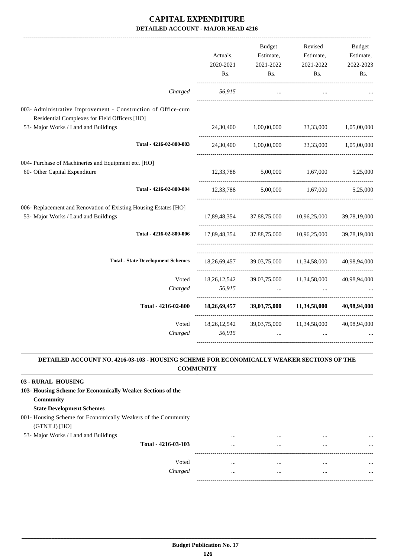|                                                                                                               | Actuals,<br>2020-2021<br>Rs. | <b>Budget</b><br>Estimate,<br>2021-2022<br>Rs. | Revised<br>Estimate,<br>2021-2022<br>Rs.            | <b>Budget</b><br>Estimate,<br>2022-2023<br>Rs. |
|---------------------------------------------------------------------------------------------------------------|------------------------------|------------------------------------------------|-----------------------------------------------------|------------------------------------------------|
| Charged                                                                                                       | 56,915                       | $\cdots$                                       |                                                     |                                                |
| 003- Administrative Improvement - Construction of Office-cum<br>Residential Complexes for Field Officers [HO] |                              |                                                |                                                     |                                                |
| 53- Major Works / Land and Buildings                                                                          | 24,30,400                    | 1,00,00,000 33,33,000                          |                                                     | 1,05,00,000                                    |
| Total - 4216-02-800-003                                                                                       |                              |                                                | 24,30,400 1,00,00,000 33,33,000 1,05,00,000         |                                                |
| 004- Purchase of Machineries and Equipment etc. [HO]<br>60- Other Capital Expenditure                         | 12,33,788                    | 5,00,000                                       | 1,67,000                                            | 5,25,000                                       |
| Total - 4216-02-800-004                                                                                       |                              |                                                | $12,33,788$ $5,00,000$ $1,67,000$                   | 5,25,000                                       |
| 006- Replacement and Renovation of Existing Housing Estates [HO]<br>53- Major Works / Land and Buildings      |                              |                                                | 17,89,48,354 37,88,75,000 10,96,25,000              | 39,78,19,000                                   |
| Total - 4216-02-800-006                                                                                       |                              |                                                | 17,89,48,354 37,88,75,000 10,96,25,000 39,78,19,000 |                                                |
| <b>Total - State Development Schemes</b>                                                                      | 18.26.69.457                 |                                                | 39,03,75,000 11,34,58,000                           | 40.98.94.000                                   |
| Voted<br>Charged                                                                                              | 56,915                       |                                                | 18,26,12,542 39,03,75,000 11,34,58,000 40,98,94,000 |                                                |
|                                                                                                               |                              |                                                |                                                     |                                                |
| Total - 4216-02-800                                                                                           | 18,26,69,457                 |                                                | 39,03,75,000 11,34,58,000                           | 40,98,94,000                                   |
| Voted<br>Charged                                                                                              | 18, 26, 12, 542<br>56,915    | $\cdots$                                       | 39,03,75,000 11,34,58,000<br>$\cdots$               | 40,98,94,000                                   |

### **DETAILED ACCOUNT NO. 4216-03-103 - HOUSING SCHEME FOR ECONOMICALLY WEAKER SECTIONS OF THE COMMUNITY .**

.

| 03 - RURAL HOUSING                                                             |          |          |          |          |
|--------------------------------------------------------------------------------|----------|----------|----------|----------|
| 103- Housing Scheme for Economically Weaker Sections of the                    |          |          |          |          |
| Community                                                                      |          |          |          |          |
| <b>State Development Schemes</b>                                               |          |          |          |          |
| 001- Housing Scheme for Economically Weakers of the Community<br>(GTNJLI) [HO] |          |          |          |          |
| 53- Major Works / Land and Buildings                                           |          | $\cdots$ | $\cdots$ | $\cdots$ |
| Total - 4216-03-103                                                            | $\cdots$ | $\cdots$ | $\cdots$ | $\cdots$ |
| Voted                                                                          |          |          |          |          |
| Charged                                                                        | $\cdots$ | $\cdots$ | $\cdots$ | $\cdots$ |
|                                                                                |          |          |          |          |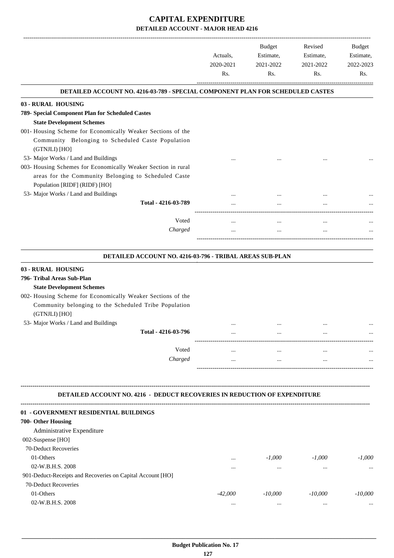|                                                                                  | Actuals,<br>2020-2021 | <b>Budget</b><br>Revised<br>Estimate, | 2021-2022 | Estimate,<br>2021-2022 | Budget<br>Estimate,<br>2022-2023 |
|----------------------------------------------------------------------------------|-----------------------|---------------------------------------|-----------|------------------------|----------------------------------|
|                                                                                  | Rs.                   | Rs.                                   | Rs.       | Rs.                    |                                  |
| DETAILED ACCOUNT NO. 4216-03-789 - SPECIAL COMPONENT PLAN FOR SCHEDULED CASTES   |                       |                                       |           |                        |                                  |
| 03 - RURAL HOUSING                                                               |                       |                                       |           |                        |                                  |
| 789- Special Component Plan for Scheduled Castes                                 |                       |                                       |           |                        |                                  |
| <b>State Development Schemes</b>                                                 |                       |                                       |           |                        |                                  |
| 001- Housing Scheme for Economically Weaker Sections of the                      |                       |                                       |           |                        |                                  |
| Community Belonging to Scheduled Caste Population<br>(GTNJLI) [HO]               |                       |                                       |           |                        |                                  |
| 53- Major Works / Land and Buildings                                             |                       |                                       |           |                        |                                  |
| 003- Housing Schemes for Economically Weaker Section in rural                    |                       |                                       |           |                        |                                  |
| areas for the Community Belonging to Scheduled Caste                             |                       |                                       |           |                        |                                  |
| Population [RIDF] (RIDF) [HO]                                                    |                       |                                       |           |                        |                                  |
| 53- Major Works / Land and Buildings                                             |                       |                                       |           |                        |                                  |
| Total - 4216-03-789                                                              |                       |                                       |           |                        |                                  |
| Voted                                                                            | $\cdots$              | $\cdots$                              | $\cdots$  |                        |                                  |
| Charged                                                                          |                       | $\cdots$                              |           |                        |                                  |
| DETAILED ACCOUNT NO. 4216-03-796 - TRIBAL AREAS SUB-PLAN                         |                       |                                       |           |                        |                                  |
| 03 - RURAL HOUSING                                                               |                       |                                       |           |                        |                                  |
| 796- Tribal Areas Sub-Plan                                                       |                       |                                       |           |                        |                                  |
| <b>State Development Schemes</b>                                                 |                       |                                       |           |                        |                                  |
| 002- Housing Scheme for Economically Weaker Sections of the                      |                       |                                       |           |                        |                                  |
| Community belonging to the Scheduled Tribe Population                            |                       |                                       |           |                        |                                  |
| (GTNJLI) [HO]                                                                    |                       |                                       |           |                        |                                  |
| 53- Major Works / Land and Buildings                                             |                       | $\cdots$                              |           |                        |                                  |
| Total - 4216-03-796                                                              |                       |                                       |           |                        |                                  |
| Voted                                                                            |                       |                                       |           |                        |                                  |
| Charged                                                                          |                       |                                       |           |                        |                                  |
|                                                                                  |                       |                                       |           |                        |                                  |
|                                                                                  |                       |                                       |           |                        |                                  |
| <b>DETAILED ACCOUNT NO. 4216 - DEDUCT RECOVERIES IN REDUCTION OF EXPENDITURE</b> |                       |                                       |           |                        |                                  |
|                                                                                  |                       |                                       |           |                        |                                  |

| <u>ui – Go elaborient albudential bollbingo</u>            |           |           |           |           |
|------------------------------------------------------------|-----------|-----------|-----------|-----------|
| 700- Other Housing                                         |           |           |           |           |
| Administrative Expenditure                                 |           |           |           |           |
| 002-Suspense $[HO]$                                        |           |           |           |           |
| 70-Deduct Recoveries                                       |           |           |           |           |
| 01-Others                                                  | $\cdots$  | $-1.000$  | $-1.000$  | $-1.000$  |
| 02-W.B.H.S. 2008                                           |           | $\cdots$  | $\cdots$  | $\cdots$  |
| 901-Deduct-Receipts and Recoveries on Capital Account [HO] |           |           |           |           |
| 70-Deduct Recoveries                                       |           |           |           |           |
| 01-Others                                                  | $-42,000$ | $-10,000$ | $-10,000$ | $-10,000$ |
| 02-W.B.H.S. 2008                                           |           | $\cdots$  | $\cdots$  | $\cdots$  |
|                                                            |           |           |           |           |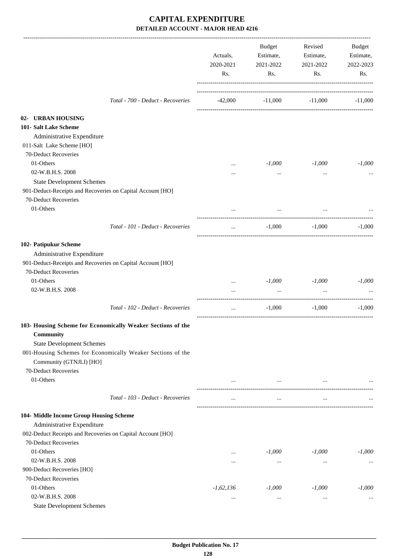|                                                             | Actuals,<br>2020-2021<br>Rs. | Budget<br>Estimate,<br>2021-2022<br>Rs. | Revised<br>Estimate,<br>2021-2022<br>Rs. | Budget<br>Estimate,<br>2022-2023<br>Rs. |
|-------------------------------------------------------------|------------------------------|-----------------------------------------|------------------------------------------|-----------------------------------------|
| Total - 700 - Deduct - Recoveries                           | $-42,000$                    |                                         | $-11,000$ $-11,000$                      | $-11,000$                               |
| 02- URBAN HOUSING                                           |                              |                                         |                                          |                                         |
| 101- Salt Lake Scheme                                       |                              |                                         |                                          |                                         |
| Administrative Expenditure                                  |                              |                                         |                                          |                                         |
| 011-Salt Lake Scheme [HO]                                   |                              |                                         |                                          |                                         |
| 70-Deduct Recoveries                                        |                              |                                         |                                          |                                         |
| 01-Others                                                   | $\cdots$                     | $-1,000$                                | $-1,000$                                 | $-1,000$                                |
| 02-W.B.H.S. 2008                                            | $\cdots$                     | $\cdots$                                | $\cdots$                                 |                                         |
| <b>State Development Schemes</b>                            |                              |                                         |                                          |                                         |
| 901-Deduct-Receipts and Recoveries on Capital Account [HO]  |                              |                                         |                                          |                                         |
| 70-Deduct Recoveries                                        |                              |                                         |                                          |                                         |
| 01-Others                                                   | $\cdots$                     | $\cdots$                                | $\cdots$                                 |                                         |
| Total - 101 - Deduct - Recoveries                           | $\cdots$                     | $-1,000$                                | $-1,000$                                 | $-1,000$                                |
| 102- Patipukur Scheme                                       |                              |                                         |                                          |                                         |
| Administrative Expenditure                                  |                              |                                         |                                          |                                         |
| 901-Deduct-Receipts and Recoveries on Capital Account [HO]  |                              |                                         |                                          |                                         |
| 70-Deduct Recoveries                                        |                              |                                         |                                          |                                         |
| 01-Others                                                   | $\cdots$                     | $-1,000$                                | $-1,000$                                 | $-1,000$                                |
| 02-W.B.H.S. 2008                                            | $\cdots$                     | $\cdots$                                | $\cdots$                                 |                                         |
| Total - 102 - Deduct - Recoveries                           | $\cdots$                     | $-1,000$                                | $-1,000$                                 | $-1,000$                                |
| 103- Housing Scheme for Economically Weaker Sections of the |                              |                                         |                                          |                                         |
| <b>Community</b>                                            |                              |                                         |                                          |                                         |
| <b>State Development Schemes</b>                            |                              |                                         |                                          |                                         |
| 001-Housing Schemes for Economically Weaker Sections of the |                              |                                         |                                          |                                         |
| Community (GTNJLI) [HO]                                     |                              |                                         |                                          |                                         |
| 70-Deduct Recoveries                                        |                              |                                         |                                          |                                         |
| 01-Others                                                   | $\cdots$                     | $\cdots$                                | $\cdots$                                 |                                         |
| Total - 103 - Deduct - Recoveries                           | $\cdots$                     | $\cdots$                                | $\cdots$                                 |                                         |
| 104- Middle Income Group Housing Scheme                     |                              |                                         |                                          |                                         |
| Administrative Expenditure                                  |                              |                                         |                                          |                                         |
| 002-Deduct Receipts and Recoveries on Capital Account [HO]  |                              |                                         |                                          |                                         |
| 70-Deduct Recoveries                                        |                              |                                         |                                          |                                         |
| 01-Others                                                   | $\cdots$                     | $-1,000$                                | $-1,000$                                 | $-1,000$                                |
| 02-W.B.H.S. 2008                                            | $\cdots$                     | $\cdots$                                | $\cdots$                                 | $\cdots$                                |
| 900-Deduct Recoveries [HO]                                  |                              |                                         |                                          |                                         |
| 70-Deduct Recoveries                                        |                              |                                         |                                          |                                         |
| 01-Others                                                   | $-1,62,136$                  | $-1,000$                                | $-1,000$                                 | $-1,000$                                |
| 02-W.B.H.S. 2008                                            | $\ldots$                     | $\cdots$                                | $\cdots$                                 | $\cdots$                                |
| <b>State Development Schemes</b>                            |                              |                                         |                                          |                                         |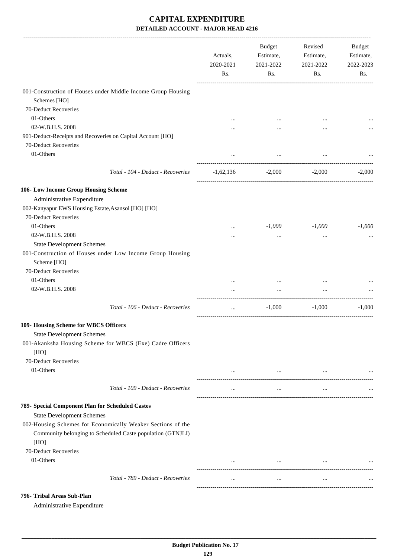|                                                                                                                           | Actuals,<br>2020-2021<br>Rs. | Budget<br>Estimate,<br>2021-2022<br>Rs. | Revised<br>Estimate,<br>2021-2022<br>Rs. | <b>Budget</b><br>Estimate,<br>2022-2023<br>Rs. |
|---------------------------------------------------------------------------------------------------------------------------|------------------------------|-----------------------------------------|------------------------------------------|------------------------------------------------|
| 001-Construction of Houses under Middle Income Group Housing                                                              |                              |                                         |                                          |                                                |
| Schemes [HO]                                                                                                              |                              |                                         |                                          |                                                |
| 70-Deduct Recoveries                                                                                                      |                              |                                         |                                          |                                                |
| 01-Others                                                                                                                 |                              | $\cdots$                                |                                          |                                                |
| 02-W.B.H.S. 2008                                                                                                          |                              |                                         |                                          |                                                |
| 901-Deduct-Receipts and Recoveries on Capital Account [HO]                                                                |                              |                                         |                                          |                                                |
| 70-Deduct Recoveries                                                                                                      |                              |                                         |                                          |                                                |
| 01-Others                                                                                                                 |                              | $\cdots$                                |                                          |                                                |
| Total - 104 - Deduct - Recoveries                                                                                         | $-1,62,136$                  | $-2,000$                                | $-2,000$                                 | $-2,000$                                       |
| 106- Low Income Group Housing Scheme                                                                                      |                              |                                         |                                          |                                                |
| Administrative Expenditure                                                                                                |                              |                                         |                                          |                                                |
| 002-Kanyapur EWS Housing Estate, Asansol [HO] [HO]                                                                        |                              |                                         |                                          |                                                |
| 70-Deduct Recoveries                                                                                                      |                              |                                         |                                          |                                                |
| 01-Others                                                                                                                 | $\cdots$                     | $-1,000$                                | $-1,000$                                 | $-1,000$                                       |
| 02-W.B.H.S. 2008                                                                                                          | $\cdots$                     | $\cdots$                                | $\cdots$                                 |                                                |
| <b>State Development Schemes</b>                                                                                          |                              |                                         |                                          |                                                |
| 001-Construction of Houses under Low Income Group Housing<br>Scheme [HO]                                                  |                              |                                         |                                          |                                                |
| 70-Deduct Recoveries                                                                                                      |                              |                                         |                                          |                                                |
| 01-Others                                                                                                                 |                              | $\cdots$                                | $\cdots$                                 |                                                |
| 02-W.B.H.S. 2008                                                                                                          |                              | $\cdots$                                | $\cdots$                                 |                                                |
| Total - 106 - Deduct - Recoveries                                                                                         | $\cdots$                     | $-1,000$                                | $-1,000$                                 | $-1,000$                                       |
| 109- Housing Scheme for WBCS Officers                                                                                     |                              |                                         |                                          |                                                |
| <b>State Development Schemes</b>                                                                                          |                              |                                         |                                          |                                                |
| 001-Akanksha Housing Scheme for WBCS (Exe) Cadre Officers<br>[HO]                                                         |                              |                                         |                                          |                                                |
| 70-Deduct Recoveries                                                                                                      |                              |                                         |                                          |                                                |
| 01-Others                                                                                                                 | $\cdots$                     | $\ldots$                                | $\ldots$                                 |                                                |
| Total - 109 - Deduct - Recoveries                                                                                         | $\cdots$                     | $\cdots$                                | $\cdots$                                 |                                                |
| 789- Special Component Plan for Scheduled Castes                                                                          |                              |                                         |                                          |                                                |
| <b>State Development Schemes</b>                                                                                          |                              |                                         |                                          |                                                |
| 002-Housing Schemes for Economically Weaker Sections of the<br>Community belonging to Scheduled Caste population (GTNJLI) |                              |                                         |                                          |                                                |
| [HO]                                                                                                                      |                              |                                         |                                          |                                                |
| 70-Deduct Recoveries                                                                                                      |                              |                                         |                                          |                                                |
| 01-Others                                                                                                                 | $\cdots$                     | <b>Section</b> 1999                     | $\cdots$                                 |                                                |
| Total - 789 - Deduct - Recoveries                                                                                         | $\cdots$                     | $\cdots$                                | $\ddotsc$                                |                                                |
|                                                                                                                           |                              |                                         |                                          |                                                |
| 796- Tribal Areas Sub-Plan                                                                                                |                              |                                         |                                          |                                                |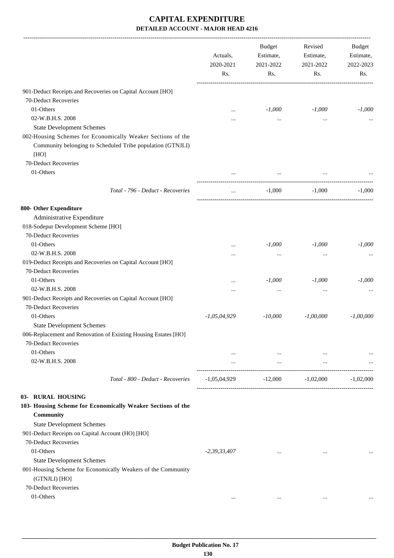|                                                                               | Actuals,<br>2020-2021<br>Rs. | <b>Budget</b><br>Estimate,<br>2021-2022<br>Rs. | Revised<br>Estimate,<br>2021-2022<br>Rs. | Budget<br>Estimate,<br>2022-2023<br>Rs. |
|-------------------------------------------------------------------------------|------------------------------|------------------------------------------------|------------------------------------------|-----------------------------------------|
| 901-Deduct Receipts and Recoveries on Capital Account [HO]                    |                              |                                                |                                          |                                         |
| 70-Deduct Recoveries                                                          |                              |                                                |                                          |                                         |
| 01-Others                                                                     | $\cdots$                     | $-1,000$                                       | $-1,000$                                 | $-1,000$                                |
| 02-W.B.H.S. 2008                                                              |                              |                                                | $\ddotsc$                                |                                         |
| <b>State Development Schemes</b>                                              |                              |                                                |                                          |                                         |
| 002-Housing Schemes for Economically Weaker Sections of the                   |                              |                                                |                                          |                                         |
| Community belonging to Scheduled Tribe population (GTNJLI)                    |                              |                                                |                                          |                                         |
| [HO]                                                                          |                              |                                                |                                          |                                         |
| 70-Deduct Recoveries                                                          |                              |                                                |                                          |                                         |
| 01-Others                                                                     |                              | $\cdots$                                       |                                          |                                         |
| Total - 796 - Deduct - Recoveries                                             | $\cdots$                     | $-1,000$                                       | $-1.000$                                 | $-1.000$                                |
| 800- Other Expenditure                                                        |                              |                                                |                                          |                                         |
| Administrative Expenditure                                                    |                              |                                                |                                          |                                         |
| 018-Sodepur Development Scheme [HO]                                           |                              |                                                |                                          |                                         |
| 70-Deduct Recoveries                                                          |                              |                                                |                                          |                                         |
| 01-Others                                                                     |                              | $-1,000$                                       | $-1,000$                                 | $-1,000$                                |
| 02-W.B.H.S. 2008                                                              |                              | $\cdots$                                       | $\ddotsc$                                |                                         |
| 019-Deduct Receipts and Recoveries on Capital Account [HO]                    |                              |                                                |                                          |                                         |
| 70-Deduct Recoveries                                                          |                              |                                                |                                          |                                         |
| 01-Others                                                                     |                              | $-1,000$                                       | $-1,000$                                 | $-1,000$                                |
| 02-W.B.H.S. 2008                                                              |                              |                                                |                                          |                                         |
| 901-Deduct Receipts and Recoveries on Capital Account [HO]                    |                              |                                                |                                          |                                         |
| 70-Deduct Recoveries                                                          |                              |                                                |                                          |                                         |
| 01-Others                                                                     | $-1,05,04,929$               | $-10,000$                                      | $-1,00,000$                              | $-1,00,000$                             |
| <b>State Development Schemes</b>                                              |                              |                                                |                                          |                                         |
| 006-Replacement and Renovation of Existing Housing Estates [HO]               |                              |                                                |                                          |                                         |
| 70-Deduct Recoveries                                                          |                              |                                                |                                          |                                         |
| 01-Others                                                                     | $\cdots$                     | $\cdots$                                       | $\ldots$                                 |                                         |
| 02-W.B.H.S. 2008                                                              | $\cdots$                     | and the control                                | $\cdots$                                 |                                         |
| Total - 800 - Deduct - Recoveries                                             | $-1,05,04,929$               | $-12,000$                                      | $-1,02,000$                              | $-1,02,000$                             |
| 03- RURAL HOUSING                                                             |                              |                                                |                                          |                                         |
| 103- Housing Scheme for Economically Weaker Sections of the                   |                              |                                                |                                          |                                         |
| <b>Community</b>                                                              |                              |                                                |                                          |                                         |
| <b>State Development Schemes</b>                                              |                              |                                                |                                          |                                         |
| 901-Deduct Receipts on Capital Account (HO) [HO]                              |                              |                                                |                                          |                                         |
| 70-Deduct Recoveries                                                          |                              |                                                |                                          |                                         |
| 01-Others                                                                     | $-2,39,33,407$               | $\cdots$                                       | $\cdots$                                 |                                         |
| <b>State Development Schemes</b>                                              |                              |                                                |                                          |                                         |
| 001-Housing Scheme for Economically Weakers of the Community<br>(GTNJLI) [HO] |                              |                                                |                                          |                                         |
| 70-Deduct Recoveries                                                          |                              |                                                |                                          |                                         |
| 01-Others                                                                     |                              |                                                |                                          |                                         |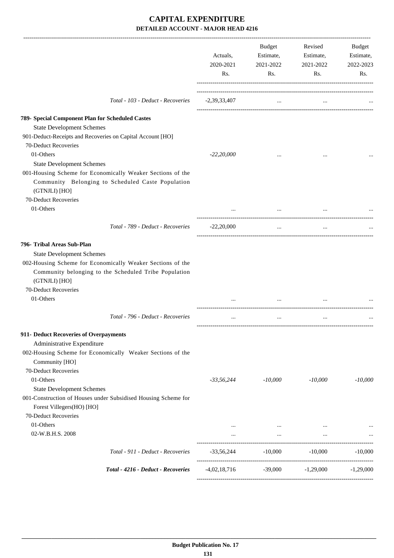|                                                                                                                              | Actuals,<br>2020-2021<br>Rs. | Budget<br>Estimate,<br>2021-2022<br>Rs. | Revised<br>Estimate,<br>2021-2022<br>Rs. | Budget<br>Estimate,<br>2022-2023<br>Rs. |
|------------------------------------------------------------------------------------------------------------------------------|------------------------------|-----------------------------------------|------------------------------------------|-----------------------------------------|
| Total - 103 - Deduct - Recoveries                                                                                            | $-2,39,33,407$               | $\cdots$                                | $\cdots$                                 |                                         |
| 789- Special Component Plan for Scheduled Castes                                                                             |                              |                                         |                                          |                                         |
| <b>State Development Schemes</b>                                                                                             |                              |                                         |                                          |                                         |
| 901-Deduct-Receipts and Recoveries on Capital Account [HO]                                                                   |                              |                                         |                                          |                                         |
| 70-Deduct Recoveries                                                                                                         |                              |                                         |                                          |                                         |
| 01-Others                                                                                                                    | $-22,20,000$                 |                                         |                                          |                                         |
| <b>State Development Schemes</b>                                                                                             |                              |                                         |                                          |                                         |
| 001-Housing Scheme for Economically Weaker Sections of the                                                                   |                              |                                         |                                          |                                         |
| Community Belonging to Scheduled Caste Population                                                                            |                              |                                         |                                          |                                         |
| (GTNJLI) [HO]                                                                                                                |                              |                                         |                                          |                                         |
| 70-Deduct Recoveries                                                                                                         |                              |                                         |                                          |                                         |
| 01-Others                                                                                                                    | $\cdots$                     | $\cdots$                                |                                          |                                         |
| Total - 789 - Deduct - Recoveries                                                                                            | $-22,20,000$                 | $\cdots$                                | $\cdots$                                 |                                         |
| 796- Tribal Areas Sub-Plan<br><b>State Development Schemes</b><br>002-Housing Scheme for Economically Weaker Sections of the |                              |                                         |                                          |                                         |
| Community belonging to the Scheduled Tribe Population<br>(GTNJLI) [HO]                                                       |                              |                                         |                                          |                                         |
| 70-Deduct Recoveries                                                                                                         |                              |                                         |                                          |                                         |
| 01-Others                                                                                                                    |                              |                                         |                                          |                                         |
| Total - 796 - Deduct - Recoveries                                                                                            |                              | $\cdots$                                | $\cdots$                                 |                                         |
| 911- Deduct Recoveries of Overpayments                                                                                       |                              |                                         |                                          |                                         |
| Administrative Expenditure                                                                                                   |                              |                                         |                                          |                                         |
| 002-Housing Scheme for Economically Weaker Sections of the<br>Community [HO]                                                 |                              |                                         |                                          |                                         |
| 70-Deduct Recoveries                                                                                                         |                              |                                         |                                          |                                         |
| 01-Others                                                                                                                    | $-33,56,244$                 | $-10,000$                               | $-10,000$                                | $-10,000$                               |
| <b>State Development Schemes</b>                                                                                             |                              |                                         |                                          |                                         |
| 001-Construction of Houses under Subsidised Housing Scheme for<br>Forest Villegers(HO) [HO]                                  |                              |                                         |                                          |                                         |
| 70-Deduct Recoveries                                                                                                         |                              |                                         |                                          |                                         |
| 01-Others                                                                                                                    | $\cdots$                     | $\ldots$                                | $\cdots$                                 |                                         |
| 02-W.B.H.S. 2008                                                                                                             | $\cdots$                     | $\cdots$                                | $\cdots$                                 |                                         |
| Total - 911 - Deduct - Recoveries                                                                                            | $-33,56,244$                 | $-10,000$                               | $-10,000$                                | $-10,000$                               |
| Total - 4216 - Deduct - Recoveries                                                                                           | $-4,02,18,716$               | -39,000                                 | $-1,29,000$                              | $-1,29,000$                             |
|                                                                                                                              |                              |                                         |                                          |                                         |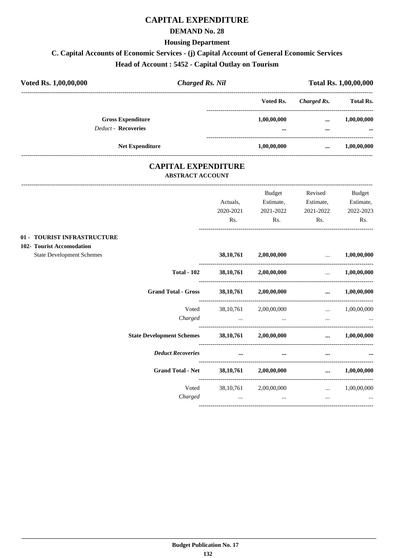# **CAPITAL EXPENDITURE**

## **DEMAND No. 28**

**Housing Department**

# **C. Capital Accounts of Economic Services - (j) Capital Account of General Economic Services**

**Head of Account : 5452 - Capital Outlay on Tourism**

| Voted Rs.<br>Charged Rs.<br><b>Gross Expenditure</b><br>1,00,00,000<br><br><b>Deduct - Recoveries</b><br><br>$\cdots$ | Voted Rs. 1,00,00,000 |  | <b>Charged Rs. Nil</b> |  | <b>Total Rs. 1,00,00,000</b> |                         |
|-----------------------------------------------------------------------------------------------------------------------|-----------------------|--|------------------------|--|------------------------------|-------------------------|
|                                                                                                                       |                       |  |                        |  |                              | <b>Total Rs.</b>        |
|                                                                                                                       |                       |  |                        |  |                              | 1,00,00,000<br>$\cdots$ |
| <b>Net Expenditure</b><br>1,00,00,000<br>                                                                             |                       |  |                        |  |                              | 1,00,00,000             |

## **CAPITAL EXPENDITURE ABSTRACT ACCOUNT**

|                                                          |                                  | Actuals,<br>2020-2021<br>Rs. | <b>Budget</b><br>Estimate,<br>2021-2022<br>Rs. | Revised<br>Estimate,<br>2021-2022<br>Rs.                                                                                                                                                                                             | Budget<br>Estimate,<br>2022-2023<br>Rs. |
|----------------------------------------------------------|----------------------------------|------------------------------|------------------------------------------------|--------------------------------------------------------------------------------------------------------------------------------------------------------------------------------------------------------------------------------------|-----------------------------------------|
| 01 - TOURIST INFRASTRUCTURE<br>102- Tourist Accomodation |                                  |                              |                                                |                                                                                                                                                                                                                                      |                                         |
| <b>State Development Schemes</b>                         |                                  | 38, 10, 761                  | 2,00,00,000                                    | <u>and the company of the company of the company of the company of the company of the company of the company of the company of the company of the company of the company of the company of the company of the company of the com</u> | 1,00,00,000                             |
|                                                          | <b>Total - 102</b>               |                              | 38,10,761 2,00,00,000                          | $\mathbf{r}$                                                                                                                                                                                                                         | 1,00,00,000                             |
|                                                          | <b>Grand Total - Gross</b>       |                              | 38,10,761 2,00,00,000                          | $\cdots$                                                                                                                                                                                                                             | 1,00,00,000                             |
|                                                          | Voted<br>Charged                 | 38, 10, 761<br>$\cdots$      | 2,00,00,000<br>and the state of the state      | and the contract of the contract of<br>$\cdots$                                                                                                                                                                                      | 1,00,00,000                             |
|                                                          | <b>State Development Schemes</b> |                              | $38,10,761$ $2,00,00,000$                      |                                                                                                                                                                                                                                      | $\dots$ 1,00,00,000                     |
|                                                          | <b>Deduct Recoveries</b>         | $\cdots$                     | $\cdots$                                       | $\cdots$                                                                                                                                                                                                                             |                                         |
|                                                          | <b>Grand Total - Net</b>         | 38, 10, 761                  | 2,00,00,000                                    | $\cdots$                                                                                                                                                                                                                             | 1,00,00,000                             |
|                                                          | Voted<br>Charged                 | 38, 10, 761<br>$\cdots$      | 2,00,00,000<br>$\cdots$                        | and the contract of the contract of the<br>$\cdots$                                                                                                                                                                                  | 1,00,00,000<br>$\cdots$                 |
|                                                          |                                  |                              |                                                |                                                                                                                                                                                                                                      |                                         |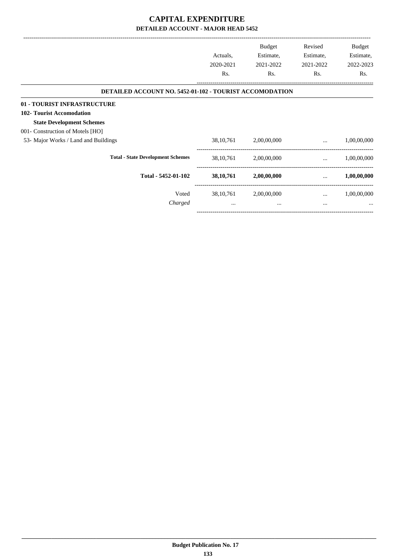|                                                                | Actuals,<br>2020-2021<br>Rs. | Budget<br>Estimate,<br>2021-2022<br>Rs. | Revised<br>Estimate,<br>2021-2022<br>Rs. | Budget<br>Estimate,<br>2022-2023<br>Rs. |
|----------------------------------------------------------------|------------------------------|-----------------------------------------|------------------------------------------|-----------------------------------------|
| <b>DETAILED ACCOUNT NO. 5452-01-102 - TOURIST ACCOMODATION</b> |                              |                                         |                                          |                                         |
| 01 - TOURIST INFRASTRUCTURE                                    |                              |                                         |                                          |                                         |
| 102- Tourist Accomodation                                      |                              |                                         |                                          |                                         |
| <b>State Development Schemes</b>                               |                              |                                         |                                          |                                         |
| 001- Construction of Motels [HO]                               |                              |                                         |                                          |                                         |
| 53- Major Works / Land and Buildings                           | 38, 10, 761                  | 2,00,00,000                             | $\cdots$                                 | 1,00,00,000                             |
| <b>Total - State Development Schemes</b>                       | 38, 10, 761                  | 2,00,00,000                             | $\cdots$                                 | 1,00,00,000                             |
| Total - 5452-01-102                                            | 38, 10, 761                  | 2,00,00,000                             | $\cdots$                                 | 1,00,00,000                             |
| Voted                                                          | 38, 10, 761                  | 2,00,00,000                             | $\cdots$                                 | 1,00,00,000                             |
| Charged                                                        | $\cdots$                     |                                         | $\cdots$                                 | $\cdots$                                |
|                                                                |                              |                                         |                                          |                                         |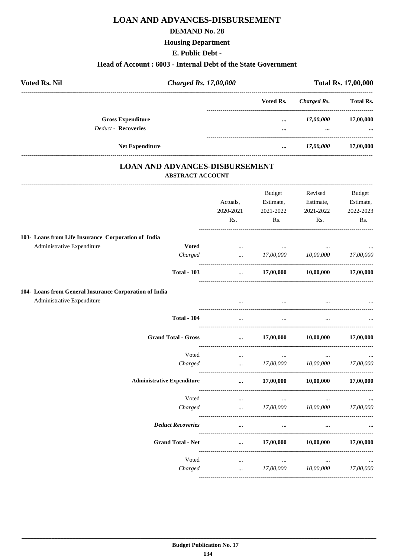# **LOAN AND ADVANCES-DISBURSEMENT**

## **DEMAND No. 28**

## **Housing Department**

### E. Public Debt -

### Head of Account: 6003 - Internal Debt of the State Government

| <b>Voted Rs. Nil</b>                                | <b>Charged Rs. 17,00,000</b> |           | <b>Total Rs. 17,00,000</b> |                  |
|-----------------------------------------------------|------------------------------|-----------|----------------------------|------------------|
|                                                     |                              | Voted Rs. | <b>Charged Rs.</b>         | <b>Total Rs.</b> |
| <b>Gross Expenditure</b>                            |                              | $\cdots$  | 17,00,000                  | 17,00,000        |
| <b>Deduct - Recoveries</b>                          |                              | $\cdots$  |                            |                  |
| <b>Net Expenditure</b>                              |                              | $\cdots$  | 17,00,000                  | 17,00,000        |
| <b>LOAN AND ADVANCES-DISBURSEMENT</b>               | <b>ABSTRACT ACCOUNT</b>      |           |                            |                  |
|                                                     |                              | Budget    | Revised                    | Budget           |
|                                                     | Actuals.                     | Estimate, | Estimate,                  | Estimate,        |
|                                                     | 2020-2021                    | 2021-2022 | 2021-2022                  | 2022-2023        |
|                                                     | Rs.                          | Rs.       | Rs.                        | Rs.              |
| 103- Loans from Life Insurance Corporation of India |                              |           |                            |                  |
| <b>Voted</b><br>Administrative Expenditure          | $\cdots$                     | $\cdots$  |                            | $\cdots$         |
| Charged                                             | $\ddotsc$                    | 17,00,000 | 10,00,000                  | 17,00,000        |
| <b>Total - 103</b>                                  | $\cdots$                     | 17,00,000 | 10,00,000                  | 17,00,000        |

### 104- Loans from General Insurance Corpo

Administrative Expenditure

| oration of India                  |                                     |                                     |                                                                                                                       |           |
|-----------------------------------|-------------------------------------|-------------------------------------|-----------------------------------------------------------------------------------------------------------------------|-----------|
|                                   |                                     |                                     |                                                                                                                       |           |
| <b>Total - 104</b>                | <b><i>Contractor Services</i></b>   |                                     |                                                                                                                       |           |
| <b>Grand Total - Gross</b>        |                                     |                                     | $\dots$ 17,00,000 10,00,000 17,00,000                                                                                 |           |
| Voted                             | <b>Contract Contract</b>            |                                     | فتتقادم والمستحدث والمستحدث والمستحدث والمستحدث والمستحدث والمستحدث والمستحدث والمستحدث والمستحدث والمستحدث والمستحدث |           |
| Charged                           |                                     |                                     | $17,00,000$ $10,00,000$ $17,00,000$                                                                                   |           |
| <b>Administrative Expenditure</b> |                                     |                                     | $\dots$ 17,00,000 10,00,000 17,00,000                                                                                 |           |
| Voted                             | the contract of the contract of     | and the contract of the contract of |                                                                                                                       |           |
| Charged                           | and the contract of the contract of |                                     | 17,00,000 10,00,000 17,00,000                                                                                         |           |
| <b>Deduct Recoveries</b>          | $\ddotsc$                           | $\cdots$                            | $\cdots$                                                                                                              |           |
| <b>Grand Total - Net</b>          |                                     |                                     | $\dots$ 17,00,000 10,00,000 17,00,000                                                                                 |           |
| Voted                             | <b>Contract Contract</b>            |                                     |                                                                                                                       |           |
| Charged                           | $\ddotsc$                           | 17,00,000                           | 10,00,000                                                                                                             | 17,00,000 |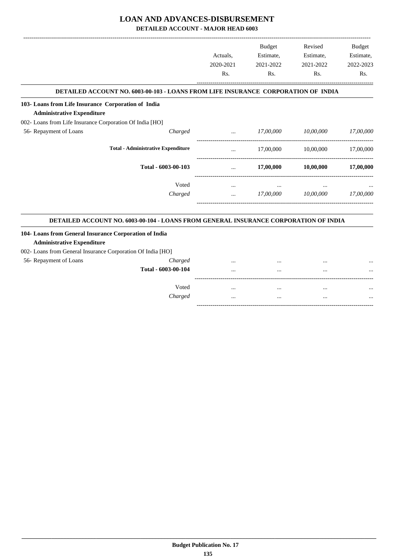# **LOAN AND ADVANCES-DISBURSEMENT**

**DETAILED ACCOUNT - MAJOR HEAD 6003**

|                                                                                                                                                            |                                                | <b>Budget</b> | Revised   | <b>Budget</b> |
|------------------------------------------------------------------------------------------------------------------------------------------------------------|------------------------------------------------|---------------|-----------|---------------|
|                                                                                                                                                            | Actuals.                                       | Estimate,     | Estimate, | Estimate,     |
|                                                                                                                                                            | 2020-2021                                      | 2021-2022     | 2021-2022 | 2022-2023     |
|                                                                                                                                                            | Rs.                                            | Rs.           | Rs.       | Rs.           |
| DETAILED ACCOUNT NO. 6003-00-103 - LOANS FROM LIFE INSURANCE CORPORATION OF INDIA                                                                          |                                                |               |           |               |
| 103- Loans from Life Insurance Corporation of India                                                                                                        |                                                |               |           |               |
| <b>Administrative Expenditure</b>                                                                                                                          |                                                |               |           |               |
| 002- Loans from Life Insurance Corporation Of India [HO]                                                                                                   |                                                |               |           |               |
| 56- Repayment of Loans<br>Charged                                                                                                                          | $\mathbf{r}$ and $\mathbf{r}$ and $\mathbf{r}$ | 17,00,000     | 10,00,000 | 17,00,000     |
| <b>Total - Administrative Expenditure</b>                                                                                                                  | $\cdots$                                       | 17,00,000     | 10,00,000 | 17,00,000     |
| Total - 6003-00-103                                                                                                                                        | $\cdots$                                       | 17,00,000     | 10,00,000 | 17,00,000     |
| Voted                                                                                                                                                      | $\cdots$                                       |               |           |               |
| Charged                                                                                                                                                    | and the state of the                           | 17,00,000     | 10,00,000 | 17,00,000     |
| <b>DETAILED ACCOUNT NO. 6003-00-104 - LOANS FROM GENERAL INSURANCE CORPORATION OF INDIA</b>                                                                |                                                |               |           |               |
| 104- Loans from General Insurance Corporation of India<br><b>Administrative Expenditure</b><br>002- Loans from General Insurance Corporation Of India [HO] |                                                |               |           |               |

| 56- Repayment of Loans | Charged             | $\cdots$ | <br> |  |
|------------------------|---------------------|----------|------|--|
|                        | Total - 6003-00-104 |          | <br> |  |
|                        |                     |          |      |  |
|                        | Voted               |          | <br> |  |
|                        | Charged             |          | <br> |  |
|                        |                     |          |      |  |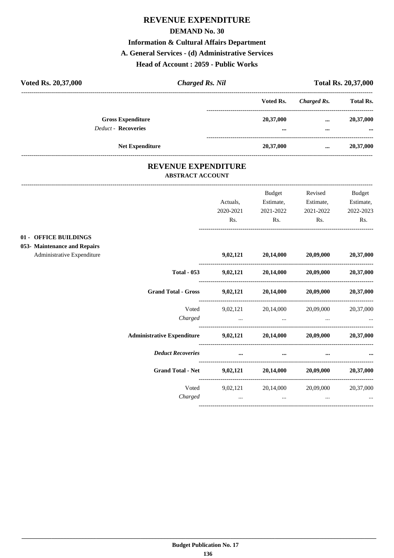# **REVENUE EXPENDITURE**

### **DEMAND No. 30**

## **Information & Cultural Affairs Department**

## **A. General Services - (d) Administrative Services**

## **Head of Account : 2059 - Public Works**

| Voted Rs. 20,37,000 |                                                        | <b>Charged Rs. Nil</b> |                                      |                      | <b>Total Rs. 20,37,000</b> |
|---------------------|--------------------------------------------------------|------------------------|--------------------------------------|----------------------|----------------------------|
|                     |                                                        |                        | Voted Rs.                            | Charged Rs.          | <b>Total Rs.</b>           |
|                     | <b>Gross Expenditure</b><br><b>Deduct - Recoveries</b> |                        | 20,37,000<br>$\bullet\bullet\bullet$ | $\cdots$<br>$\cdots$ | 20,37,000<br>$\cdots$      |
|                     | <b>Net Expenditure</b>                                 |                        | 20,37,000                            | $\cdots$             | 20,37,000                  |

## **REVENUE EXPENDITURE ABSTRACT ACCOUNT**

|                                                                                     |                                                                   | Actuals,<br>2020-2021<br>Rs.                    | Budget<br>Estimate,<br>2021-2022<br>Rs.                                                                                             | Revised<br>Estimate,<br>2021-2022<br>Rs. | <b>Budget</b><br>Estimate,<br>2022-2023<br>Rs. |
|-------------------------------------------------------------------------------------|-------------------------------------------------------------------|-------------------------------------------------|-------------------------------------------------------------------------------------------------------------------------------------|------------------------------------------|------------------------------------------------|
| 01 - OFFICE BUILDINGS<br>053- Maintenance and Repairs<br>Administrative Expenditure |                                                                   |                                                 | $9,02,121$ $20,14,000$ $20,09,000$                                                                                                  |                                          | 20,37,000                                      |
|                                                                                     | <b>Total - 053</b>                                                |                                                 | $9,02,121$ $20,14,000$ $20,09,000$                                                                                                  |                                          | 20,37,000                                      |
|                                                                                     | <b>Grand Total - Gross</b>                                        |                                                 | $9,02,121$ $20,14,000$ $20,09,000$ $20,37,000$                                                                                      |                                          |                                                |
|                                                                                     | Voted<br>Charged                                                  |                                                 | 9,02,121 20,14,000 20,09,000<br>the contract of the contract of the contract of the contract of the contract of the contract of the |                                          | 20,37,000                                      |
|                                                                                     | Administrative Expenditure 9,02,121 20,14,000 20,09,000 20,37,000 |                                                 |                                                                                                                                     |                                          |                                                |
|                                                                                     | <b>Deduct Recoveries</b>                                          | $\cdots$                                        | $\cdots$                                                                                                                            |                                          |                                                |
|                                                                                     | <b>Grand Total - Net</b>                                          |                                                 | $9,02,121$ $20,14,000$ $20,09,000$                                                                                                  |                                          | 20,37,000                                      |
|                                                                                     | Voted<br>Charged                                                  | the contract of the contract of the contract of | 9,02,121 20,14,000<br>$\cdots$                                                                                                      | 20,09,000                                | 20,37,000<br>and the state of the state        |
|                                                                                     |                                                                   |                                                 |                                                                                                                                     |                                          |                                                |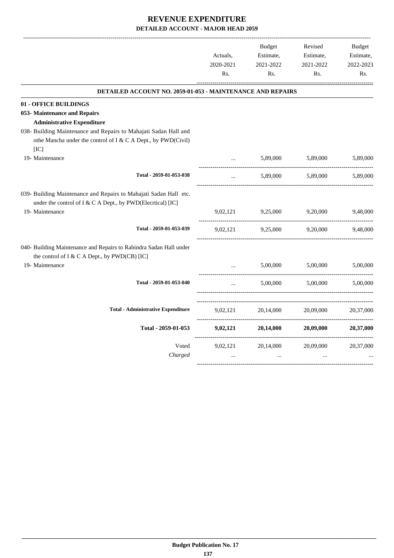-------------------------------------------------------------------------------------------------------------------------------------------------------------------------------

| DETAILED ACCOUNT NO. 2059-01-053 - MAINTENANCE AND REPAIRS<br>01 - OFFICE BUILDINGS                                                                                                     |           |
|-----------------------------------------------------------------------------------------------------------------------------------------------------------------------------------------|-----------|
|                                                                                                                                                                                         |           |
|                                                                                                                                                                                         |           |
| 053- Maintenance and Repairs                                                                                                                                                            |           |
| <b>Administrative Expenditure</b>                                                                                                                                                       |           |
| 038- Building Maintenance and Repairs to Mahajati Sadan Hall and                                                                                                                        |           |
| othe Mancha under the control of I & C A Dept., by PWD(Civil)                                                                                                                           |           |
| [IC]                                                                                                                                                                                    |           |
| 19- Maintenance<br>5,89,000<br>5,89,000                                                                                                                                                 | 5,89,000  |
| Total - 2059-01-053-038<br>5,89,000<br>5,89,000<br>$\ddotsc$                                                                                                                            | 5.89,000  |
| 039- Building Maintenance and Repairs to Mahajati Sadan Hall etc.<br>under the control of I & C A Dept., by PWD(Elecrtical) [IC]<br>19- Maintenance<br>9,02,121<br>9,25,000<br>9,20,000 | 9,48,000  |
|                                                                                                                                                                                         |           |
| Total - 2059-01-053-039<br>9,25,000<br>9,20,000<br>9,02,121                                                                                                                             | 9,48,000  |
| 040- Building Maintenance and Repairs to Rabindra Sadan Hall under<br>the control of I & C A Dept., by PWD(CB) [IC]                                                                     |           |
| 19- Maintenance<br>5,00,000<br>5,00,000<br>$\cdots$                                                                                                                                     | 5,00,000  |
| Total - 2059-01-053-040<br>5,00,000<br>5,00,000<br>$\cdots$                                                                                                                             | 5,00,000  |
| <b>Total - Administrative Expenditure</b><br>9,02,121<br>20,14,000<br>20,09,000                                                                                                         | 20,37,000 |
|                                                                                                                                                                                         |           |
| Total - 2059-01-053<br>9,02,121<br>20,14,000<br>20,09,000                                                                                                                               | 20,37,000 |
| Voted<br>9,02,121<br>20,14,000<br>20,09,000                                                                                                                                             | 20,37,000 |
| Charged<br>$\ddotsc$<br>$\dddotsc$<br>$\dddotsc$                                                                                                                                        |           |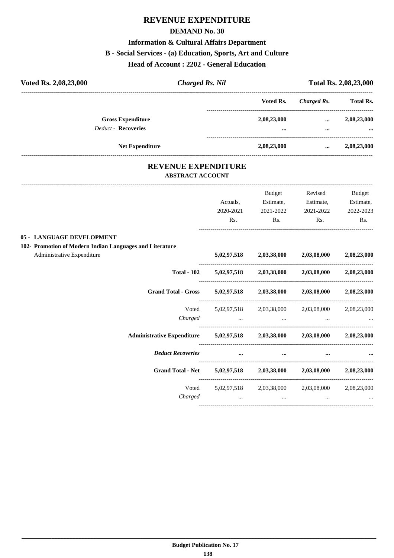# **REVENUE EXPENDITURE**

## **DEMAND No. 30**

## **Information & Cultural Affairs Department**

## **B - Social Services - (a) Education, Sports, Art and Culture**

**Head of Account : 2202 - General Education**

| Voted Rs. 2,08,23,000                                  | <b>Charged Rs. Nil</b> |                         | Total Rs. 2,08,23,000 |                  |  |
|--------------------------------------------------------|------------------------|-------------------------|-----------------------|------------------|--|
|                                                        |                        | Voted Rs.               | Charged Rs.           | <b>Total Rs.</b> |  |
| <b>Gross Expenditure</b><br><b>Deduct - Recoveries</b> |                        | 2,08,23,000<br>$\cdots$ | $\cdots$<br>$\cdots$  | 2,08,23,000<br>  |  |
| <b>Net Expenditure</b>                                 |                        | 2,08,23,000             |                       | 2,08,23,000      |  |
|                                                        |                        |                         |                       |                  |  |

## **REVENUE EXPENDITURE ABSTRACT ACCOUNT**

|                                                                            |           | Budget                                                              | Revised                                                 | <b>Budget</b> |
|----------------------------------------------------------------------------|-----------|---------------------------------------------------------------------|---------------------------------------------------------|---------------|
|                                                                            | Actuals,  | Estimate,                                                           | Estimate,                                               | Estimate,     |
|                                                                            | 2020-2021 | 2021-2022                                                           | 2021-2022                                               | 2022-2023     |
|                                                                            | Rs.       | Rs.                                                                 | Rs.                                                     | Rs.           |
| 05 - LANGUAGE DEVELOPMENT                                                  |           |                                                                     |                                                         |               |
| 102- Promotion of Modern Indian Languages and Literature                   |           |                                                                     |                                                         |               |
| Administrative Expenditure                                                 |           |                                                                     | $5,02,97,518$ $2,03,38,000$ $2,03,08,000$               | 2,08,23,000   |
| <b>Total - 102</b>                                                         |           |                                                                     | $5,02,97,518$ $2,03,38,000$ $2,03,08,000$ $2,08,23,000$ |               |
| <b>Grand Total - Gross</b>                                                 |           |                                                                     | 5,02,97,518 2,03,38,000 2,03,08,000 2,08,23,000         |               |
| Voted                                                                      |           |                                                                     | 5,02,97,518 2,03,38,000 2,03,08,000 2,08,23,000         |               |
| Charged                                                                    |           | the contract of the contract of the contract of the contract of the |                                                         |               |
| Administrative Expenditure 5,02,97,518 2,03,38,000 2,03,08,000 2,08,23,000 |           |                                                                     |                                                         |               |
| <b>Deduct Recoveries</b>                                                   |           |                                                                     |                                                         |               |
| <b>Grand Total - Net</b>                                                   |           |                                                                     | $5,02,97,518$ $2,03,38,000$ $2,03,08,000$ $2,08,23,000$ |               |
| Voted                                                                      |           |                                                                     | 5,02,97,518 2,03,38,000 2,03,08,000                     | 2,08,23,000   |
| Charged                                                                    |           | $\ddots$<br>and the state of the state                              | $\cdots$                                                |               |
|                                                                            |           |                                                                     |                                                         |               |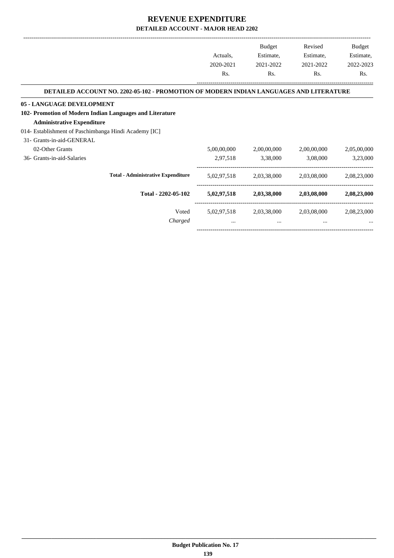-------------------------------------------------------------------------------------------------------------------------------------------------------------------------------

-----------------------------------------------------------------------------------------

|                                                                                        | Actuals,<br>2020-2021<br>Rs. | <b>Budget</b><br>Estimate,<br>2021-2022<br>Rs. | Revised<br>Estimate,<br>2021-2022<br>Rs. | <b>Budget</b><br>Estimate,<br>2022-2023<br>Rs. |
|----------------------------------------------------------------------------------------|------------------------------|------------------------------------------------|------------------------------------------|------------------------------------------------|
| DETAILED ACCOUNT NO. 2202-05-102 - PROMOTION OF MODERN INDIAN LANGUAGES AND LITERATURE |                              |                                                |                                          |                                                |
| 05 - LANGUAGE DEVELOPMENT                                                              |                              |                                                |                                          |                                                |
| 102- Promotion of Modern Indian Languages and Literature                               |                              |                                                |                                          |                                                |
| <b>Administrative Expenditure</b>                                                      |                              |                                                |                                          |                                                |
| 014- Establishment of Paschimbanga Hindi Academy [IC]                                  |                              |                                                |                                          |                                                |
| 31- Grants-in-aid-GENERAL                                                              |                              |                                                |                                          |                                                |
| 02-Other Grants                                                                        | 5,00,00,000                  | 2,00,00,000                                    | 2,00,00,000                              | 2,05,00,000                                    |
| 36- Grants-in-aid-Salaries                                                             | 2,97,518                     | 3,38,000                                       | 3,08,000                                 | 3,23,000                                       |
| <b>Total - Administrative Expenditure</b>                                              | 5,02,97,518                  |                                                | 2.03.38.000 2.03.08.000                  | 2.08.23.000                                    |
| Total - 2202-05-102                                                                    | 5,02,97,518                  | 2,03,38,000                                    | 2,03,08,000                              | 2,08,23,000                                    |
| Voted                                                                                  | 5,02,97,518                  | 2,03,38,000                                    | 2,03,08,000                              | 2,08,23,000                                    |
| Charged                                                                                | $\cdots$                     | $\cdots$                                       | $\cdots$                                 |                                                |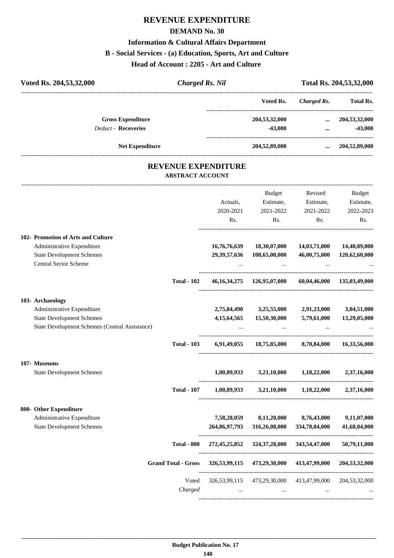# **REVENUE EXPENDITURE**

### **DEMAND No. 30**

### **Information & Cultural Affairs Department**

### **B - Social Services - (a) Education, Sports, Art and Culture**

**Head of Account : 2205 - Art and Culture** 

| Voted Rs. 204,53,32,000                                                                                                              | <b>Charged Rs. Nil</b>  |                                 |                                         |                                          | Total Rs. 204,53,32,000                 |
|--------------------------------------------------------------------------------------------------------------------------------------|-------------------------|---------------------------------|-----------------------------------------|------------------------------------------|-----------------------------------------|
|                                                                                                                                      |                         |                                 | Voted Rs.                               | <b>Charged Rs.</b>                       | Total Rs.                               |
| <b>Gross Expenditure</b><br><b>Deduct - Recoveries</b>                                                                               |                         |                                 | 204,53,32,000<br>$-43,000$              | $\cdots$<br>$\cdots$                     | 204,53,32,000<br>$-43,000$              |
| <b>Net Expenditure</b>                                                                                                               |                         |                                 | 204,52,89,000                           |                                          | $\dots$ 204,52,89,000                   |
|                                                                                                                                      | <b>ABSTRACT ACCOUNT</b> | <b>REVENUE EXPENDITURE</b>      |                                         |                                          |                                         |
|                                                                                                                                      |                         | Actuals,<br>2020-2021<br>Rs.    | Budget<br>Estimate,<br>2021-2022<br>Rs. | Revised<br>Estimate,<br>2021-2022<br>Rs. | Budget<br>Estimate,<br>2022-2023<br>Rs. |
| 102- Promotion of Arts and Culture<br>Administrative Expenditure<br><b>State Development Schemes</b><br><b>Central Sector Scheme</b> |                         | 16,76,76,639<br>29, 39, 57, 636 | 18,30,07,000<br>108,65,00,000           | 14,03,71,000<br>46,00,75,000             | 14,40,89,000<br>120,62,60,000           |
|                                                                                                                                      | <b>Total - 102</b>      |                                 | 46, 16, 34, 275 126, 95, 07, 000        |                                          | 60,04,46,000 135,03,49,000              |
| 103- Archaeology<br>Administrative Expenditure<br><b>State Development Schemes</b><br>State Development Schemes (Central Assistance) |                         | 2,75,84,490<br>4, 15, 64, 565   | 3,25,55,000 2,91,23,000<br>15,50,30,000 | 5,79,61,000                              | 3,04,51,000<br>13,29,05,000             |
|                                                                                                                                      | <b>Total - 103</b>      | 6,91,49,055                     | 18,75,85,000                            | 8,70,84,000                              | 16,33,56,000                            |
| 107- Museums<br><b>State Development Schemes</b>                                                                                     |                         | 1,00,89,933                     | 3,21,10,000                             | 1,18,22,000                              | 2,37,16,000                             |
|                                                                                                                                      | <b>Total - 107</b>      |                                 | $1,00,89,933$ $3,21,10,000$             | 1,18,22,000                              | 2,37,16,000                             |
| 800- Other Expenditure<br>Administrative Expenditure<br><b>State Development Schemes</b>                                             |                         | 7,58,28,059<br>264,86,97,793    | 8,11,20,000<br>316,26,08,000            | 8,76,43,000<br>334,78,04,000             | 9,11,07,000<br>41,68,04,000             |
|                                                                                                                                      | <b>Total - 800</b>      | 272,45,25,852                   | 324, 37, 28, 000                        | 343,54,47,000                            | 50,79,11,000                            |

----------------------------------------------------------------------------------------

---------------------------------------------------------------------------------------- Voted 326,53,99,115 473,29,30,000 413,47,99,000 204,53,32,000 *Charged ... ... ... ...* ----------------------------------------------------------------------------------------

**Grand Total - Gross 326,53,99,115 473,29,30,000 413,47,99,000 204,53,32,000**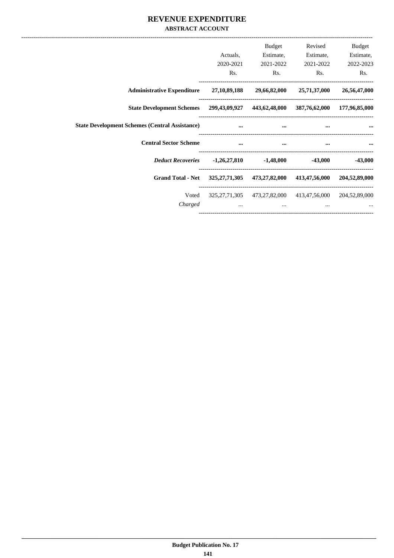## REVENUE EXPENDITURE **ABSTRACT ACCOUNT**

|                                                                                   | Actuals,<br>2020-2021<br>Rs. | Budget<br>Estimate,<br>2021-2022<br>Rs.                                                                                                                                                                                              | Revised<br>Estimate,<br>2021-2022<br>Rs.                            | <b>Budget</b><br>Estimate,<br>2022-2023<br>Rs. |
|-----------------------------------------------------------------------------------|------------------------------|--------------------------------------------------------------------------------------------------------------------------------------------------------------------------------------------------------------------------------------|---------------------------------------------------------------------|------------------------------------------------|
| <b>Administrative Expenditure</b> 27,10,89,188                                    |                              |                                                                                                                                                                                                                                      | 29,66,82,000 25,71,37,000                                           | 26,56,47,000                                   |
| State Development Schemes 299,43,09,927 443,62,48,000 387,76,62,000 177,96,85,000 |                              |                                                                                                                                                                                                                                      |                                                                     |                                                |
| <b>State Development Schemes (Central Assistance)</b>                             | $\ddotsc$                    | $\cdots$                                                                                                                                                                                                                             | $\cdots$                                                            |                                                |
| <b>Central Sector Scheme</b>                                                      | <b><i>Communication</i></b>  | <u>and the company of the company of the company of the company of the company of the company of the company of the company of the company of the company of the company of the company of the company of the company of the com</u> | and the contract of the contract of                                 |                                                |
|                                                                                   |                              |                                                                                                                                                                                                                                      |                                                                     | $-43,000$                                      |
| Grand Total - Net 325,27,71,305 473,27,82,000 413,47,56,000 204,52,89,000         |                              |                                                                                                                                                                                                                                      |                                                                     |                                                |
| Voted<br>Charged                                                                  | $\cdots$                     | $\cdots$                                                                                                                                                                                                                             | 325,27,71,305 473,27,82,000 413,47,56,000 204,52,89,000<br>$\cdots$ |                                                |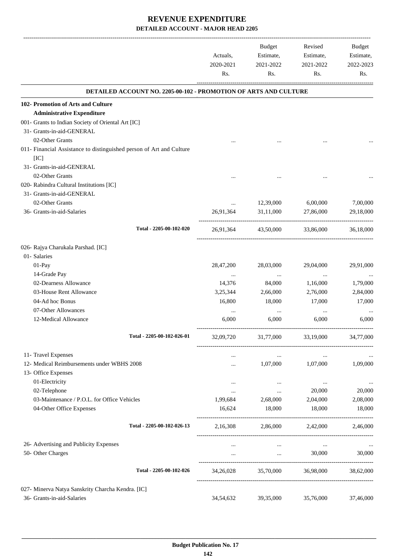-------------------------------------------------------------------------------------------------------------------------------------------------------------------------------

|                                                                              | Actuals,<br>2020-2021<br>Rs. | <b>Budget</b><br>Estimate,<br>2021-2022<br>Rs. | Revised<br>Estimate,<br>2021-2022<br>Rs.                 | <b>Budget</b><br>Estimate,<br>2022-2023<br>Rs. |
|------------------------------------------------------------------------------|------------------------------|------------------------------------------------|----------------------------------------------------------|------------------------------------------------|
| <b>DETAILED ACCOUNT NO. 2205-00-102 - PROMOTION OF ARTS AND CULTURE</b>      |                              |                                                |                                                          |                                                |
| 102- Promotion of Arts and Culture                                           |                              |                                                |                                                          |                                                |
| <b>Administrative Expenditure</b>                                            |                              |                                                |                                                          |                                                |
| 001- Grants to Indian Society of Oriental Art [IC]                           |                              |                                                |                                                          |                                                |
| 31- Grants-in-aid-GENERAL                                                    |                              |                                                |                                                          |                                                |
| 02-Other Grants                                                              |                              |                                                |                                                          |                                                |
| 011- Financial Assistance to distinguished person of Art and Culture<br>[IC] |                              |                                                |                                                          |                                                |
| 31- Grants-in-aid-GENERAL                                                    |                              |                                                |                                                          |                                                |
| 02-Other Grants                                                              |                              |                                                |                                                          |                                                |
| 020- Rabindra Cultural Institutions [IC]                                     |                              |                                                |                                                          |                                                |
| 31- Grants-in-aid-GENERAL                                                    |                              |                                                |                                                          |                                                |
| 02-Other Grants                                                              | $\cdots$                     | 12,39,000                                      | 6,00,000                                                 | 7,00,000                                       |
| 36- Grants-in-aid-Salaries                                                   | 26,91,364                    | 31,11,000                                      | 27,86,000                                                | 29,18,000                                      |
| Total - 2205-00-102-020                                                      | 26,91,364                    | 43,50,000                                      | 33,86,000                                                | 36,18,000                                      |
| 026- Rajya Charukala Parshad. [IC]                                           |                              |                                                |                                                          |                                                |
| 01- Salaries                                                                 |                              |                                                |                                                          |                                                |
| 01-Pay                                                                       | 28,47,200                    | 28,03,000                                      | 29,04,000                                                | 29,91,000                                      |
| 14-Grade Pay                                                                 |                              |                                                | $\cdots$                                                 |                                                |
| 02-Dearness Allowance                                                        | 14,376                       | 84,000                                         | 1,16,000                                                 | 1,79,000                                       |
| 03-House Rent Allowance                                                      | 3,25,344                     | 2,66,000                                       | 2,76,000                                                 | 2,84,000                                       |
| 04-Ad hoc Bonus                                                              | 16,800                       | 18,000                                         | 17,000                                                   | 17,000                                         |
| 07-Other Allowances                                                          |                              | $\cdots$                                       |                                                          |                                                |
| 12-Medical Allowance                                                         | 6,000                        | 6,000                                          | 6,000                                                    | 6,000                                          |
| Total - 2205-00-102-026-01                                                   | 32,09,720                    | 31,77,000                                      | 33,19,000                                                | 34,77,000                                      |
| 11- Travel Expenses                                                          |                              | $\ldots$                                       | $\ldots$                                                 |                                                |
| 12- Medical Reimbursements under WBHS 2008                                   |                              | 1,07,000                                       | 1,07,000                                                 | 1,09,000                                       |
| 13- Office Expenses                                                          |                              |                                                |                                                          |                                                |
| 01-Electricity                                                               |                              | $\cdots$                                       | $\cdots$                                                 | $\cdots$                                       |
| 02-Telephone                                                                 | $\cdots$                     | $\cdots$                                       | 20,000                                                   | 20,000                                         |
| 03-Maintenance / P.O.L. for Office Vehicles                                  | 1,99,684                     | 2,68,000                                       | 2,04,000                                                 | 2,08,000                                       |
| 04-Other Office Expenses                                                     | 16,624                       | 18,000                                         | 18,000                                                   | 18,000                                         |
| Total - 2205-00-102-026-13                                                   |                              | 2,16,308 2,86,000 2,42,000 2,46,000            |                                                          |                                                |
| 26- Advertising and Publicity Expenses                                       |                              | $\cdots$                                       | $\cdots$                                                 |                                                |
| 50- Other Charges                                                            | $\cdots$                     |                                                | 30,000<br>$\mathbf{m}$ and $\mathbf{m}$ and $\mathbf{m}$ | 30,000                                         |
| Total - 2205-00-102-026                                                      | 34,26,028                    |                                                | 35,70,000 36,98,000                                      | 38,62,000                                      |
| 027- Minerva Natya Sanskrity Charcha Kendra. [IC]                            |                              |                                                |                                                          |                                                |
| 36- Grants-in-aid-Salaries                                                   | 34,54,632                    | 39,35,000                                      | 35,76,000                                                | 37,46,000                                      |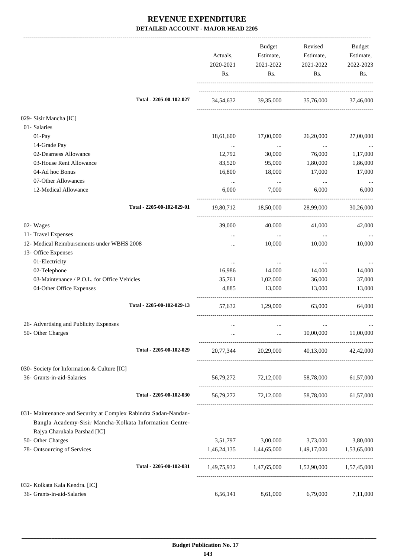|                                                                                                                                                            | Actuals,<br>2020-2021<br>Rs. | Budget<br>Estimate,<br>2021-2022<br>Rs. | Revised<br>Estimate,<br>2021-2022<br>Rs.        | Budget<br>Estimate,<br>2022-2023<br>Rs. |
|------------------------------------------------------------------------------------------------------------------------------------------------------------|------------------------------|-----------------------------------------|-------------------------------------------------|-----------------------------------------|
| Total - 2205-00-102-027                                                                                                                                    | 34,54,632                    |                                         | 39,35,000 35,76,000                             | 37,46,000                               |
| 029- Sisir Mancha [IC]                                                                                                                                     |                              |                                         |                                                 |                                         |
| 01- Salaries                                                                                                                                               |                              |                                         |                                                 |                                         |
| 01-Pay                                                                                                                                                     | 18,61,600                    | 17,00,000                               | 26,20,000                                       | 27,00,000                               |
| 14-Grade Pay                                                                                                                                               | $\ldots$                     | $\ldots$                                | $\ldots$                                        | $\ldots$                                |
| 02-Dearness Allowance                                                                                                                                      | 12,792                       | 30,000                                  | 76,000                                          | 1,17,000                                |
| 03-House Rent Allowance                                                                                                                                    | 83,520                       | 95,000                                  | 1,80,000                                        | 1,86,000                                |
| 04-Ad hoc Bonus                                                                                                                                            | 16,800                       | 18,000                                  | 17,000                                          | 17,000                                  |
| 07-Other Allowances                                                                                                                                        | $\ldots$                     | $\sim 100$ and $\sim 100$               | $\cdots$                                        |                                         |
| 12-Medical Allowance                                                                                                                                       | 6,000                        | 7,000                                   | 6.000                                           | 6,000                                   |
| Total - 2205-00-102-029-01                                                                                                                                 | 19,80,712                    | 18,50,000                               | 28,99,000                                       | 30,26,000                               |
| 02- Wages                                                                                                                                                  | 39,000                       | 40,000                                  | 41,000                                          | 42,000                                  |
| 11- Travel Expenses                                                                                                                                        |                              | $\ddots$                                | $\cdots$                                        |                                         |
| 12- Medical Reimbursements under WBHS 2008                                                                                                                 |                              | 10,000                                  | 10,000                                          | 10,000                                  |
| 13- Office Expenses                                                                                                                                        |                              |                                         |                                                 |                                         |
| 01-Electricity                                                                                                                                             | $\cdots$                     | $\cdots$                                | $\cdots$                                        |                                         |
| 02-Telephone                                                                                                                                               | 16,986                       | 14,000                                  | 14,000                                          | 14,000                                  |
| 03-Maintenance / P.O.L. for Office Vehicles                                                                                                                | 35,761                       | 1,02,000                                | 36,000                                          | 37,000                                  |
| 04-Other Office Expenses                                                                                                                                   | 4,885                        | 13,000                                  | 13,000                                          | 13,000                                  |
| Total - 2205-00-102-029-13                                                                                                                                 | 57,632                       | 1,29,000                                | 63,000                                          | 64,000                                  |
| 26- Advertising and Publicity Expenses                                                                                                                     |                              | $\cdots$                                |                                                 |                                         |
| 50- Other Charges                                                                                                                                          |                              |                                         | 10,00,000                                       | 11,00,000                               |
|                                                                                                                                                            |                              |                                         |                                                 |                                         |
| Total - 2205-00-102-029                                                                                                                                    | 20,77,344                    |                                         | 20,29,000 40,13,000 42,42,000                   |                                         |
| 030- Society for Information & Culture [IC]                                                                                                                |                              |                                         |                                                 |                                         |
| 36- Grants-in-aid-Salaries                                                                                                                                 |                              |                                         | 56,79,272 72,12,000 58,78,000                   | 61,57,000                               |
| Total - 2205-00-102-030                                                                                                                                    |                              |                                         | 56,79,272 72,12,000 58,78,000 61,57,000         |                                         |
| 031- Maintenance and Security at Complex Rabindra Sadan-Nandan-<br>Bangla Academy-Sisir Mancha-Kolkata Information Centre-<br>Rajya Charukala Parshad [IC] |                              |                                         |                                                 |                                         |
| 50- Other Charges                                                                                                                                          | 3,51,797                     | 3,00,000                                | 3,73,000                                        | 3,80,000                                |
| 78- Outsourcing of Services                                                                                                                                |                              | 1,46,24,135 1,44,65,000                 | 1,49,17,000                                     | 1,53,65,000                             |
| Total - 2205-00-102-031                                                                                                                                    |                              |                                         | 1,49,75,932 1,47,65,000 1,52,90,000 1,57,45,000 |                                         |
| 032- Kolkata Kala Kendra. [IC]                                                                                                                             |                              |                                         |                                                 |                                         |
| 36- Grants-in-aid-Salaries                                                                                                                                 | 6,56,141                     | 8,61,000                                | 6,79,000                                        | 7,11,000                                |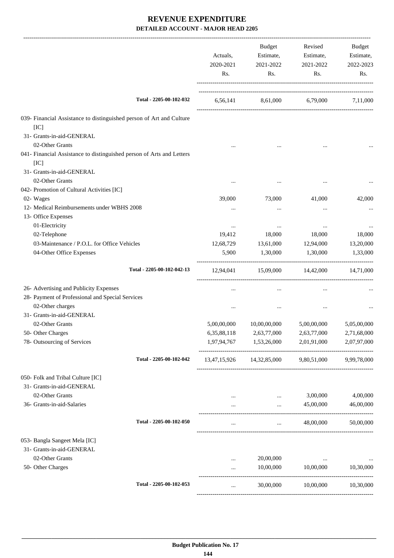|                                                                               | Actuals,<br>2020-2021<br>Rs. | Budget<br>Estimate,<br>2021-2022<br>Rs.                         | Revised<br>Estimate,<br>2021-2022<br>Rs. | Budget<br>Estimate,<br>2022-2023<br>Rs. |
|-------------------------------------------------------------------------------|------------------------------|-----------------------------------------------------------------|------------------------------------------|-----------------------------------------|
| Total - 2205-00-102-032                                                       |                              | 6,56,141 8,61,000 6,79,000 7,11,000                             |                                          |                                         |
| 039- Financial Assistance to distinguished person of Art and Culture          |                              |                                                                 |                                          |                                         |
| [IC]                                                                          |                              |                                                                 |                                          |                                         |
| 31- Grants-in-aid-GENERAL                                                     |                              |                                                                 |                                          |                                         |
| 02-Other Grants                                                               |                              |                                                                 |                                          |                                         |
| 041- Financial Assistance to distinguished person of Arts and Letters<br>[IC] |                              |                                                                 |                                          |                                         |
| 31- Grants-in-aid-GENERAL                                                     |                              |                                                                 |                                          |                                         |
| 02-Other Grants                                                               | $\cdots$                     |                                                                 |                                          | $\cdots$                                |
| 042- Promotion of Cultural Activities [IC]                                    |                              |                                                                 |                                          |                                         |
| 02- Wages                                                                     | 39,000                       | 73,000                                                          | 41,000                                   | 42,000                                  |
| 12- Medical Reimbursements under WBHS 2008                                    |                              |                                                                 | $\ddotsc$                                |                                         |
| 13- Office Expenses                                                           |                              |                                                                 |                                          |                                         |
| 01-Electricity                                                                | $\cdots$                     | $\cdots$                                                        | $\cdots$                                 |                                         |
| 02-Telephone                                                                  | 19,412                       | 18,000                                                          | 18,000                                   | 18,000                                  |
| 03-Maintenance / P.O.L. for Office Vehicles                                   | 12,68,729                    | 13,61,000                                                       | 12,94,000                                | 13,20,000                               |
| 04-Other Office Expenses                                                      | 5,900                        | 1,30,000                                                        | 1,30,000                                 | 1,33,000                                |
| Total - 2205-00-102-042-13                                                    |                              | 12,94,041 15,09,000 14,42,000 14,71,000                         |                                          |                                         |
| 26- Advertising and Publicity Expenses                                        | $\cdots$                     | $\cdots$                                                        | $\cdots$                                 |                                         |
| 28- Payment of Professional and Special Services                              |                              |                                                                 |                                          |                                         |
| 02-Other charges                                                              |                              | $\cdots$                                                        |                                          |                                         |
| 31- Grants-in-aid-GENERAL                                                     |                              |                                                                 |                                          |                                         |
| 02-Other Grants                                                               | 5,00,00,000                  | 10,00,00,000                                                    | 5,00,00,000                              | 5,05,00,000                             |
| 50- Other Charges                                                             | 6, 35, 88, 118               | 2,63,77,000                                                     | 2,63,77,000                              | 2,71,68,000                             |
| 78- Outsourcing of Services                                                   |                              | 1,97,94,767 1,53,26,000                                         | 2,01,91,000                              | 2,07,97,000                             |
| Total - 2205-00-102-042                                                       |                              | 13,47,15,926 14,32,85,000 9,80,51,000 9,99,78,000               |                                          |                                         |
| 050- Folk and Tribal Culture [IC]                                             |                              |                                                                 |                                          |                                         |
| 31- Grants-in-aid-GENERAL                                                     |                              |                                                                 |                                          |                                         |
| 02-Other Grants                                                               |                              | $\cdots$                                                        | 3,00,000                                 | 4,00,000                                |
| 36- Grants-in-aid-Salaries                                                    |                              | $\mathbf{r}$ , $\mathbf{r}$ , $\mathbf{r}$                      | 45,00,000                                | 46,00,000                               |
| Total - 2205-00-102-050                                                       | $\cdots$                     | -----------------------------------<br><b>Section</b> (Section) | 48,00,000                                | 50,00,000                               |
| 053- Bangla Sangeet Mela [IC]                                                 |                              |                                                                 |                                          |                                         |
| 31- Grants-in-aid-GENERAL                                                     |                              |                                                                 |                                          |                                         |
| 02-Other Grants                                                               |                              | 20,00,000                                                       | $\ldots$                                 | $\cdots$                                |
| 50- Other Charges                                                             |                              | 10,00,000                                                       | 10,00,000                                | 10,30,000                               |
| Total - 2205-00-102-053                                                       | $\cdots$                     | 30,00,000                                                       | 10,00,000                                | 10,30,000                               |
|                                                                               |                              |                                                                 |                                          |                                         |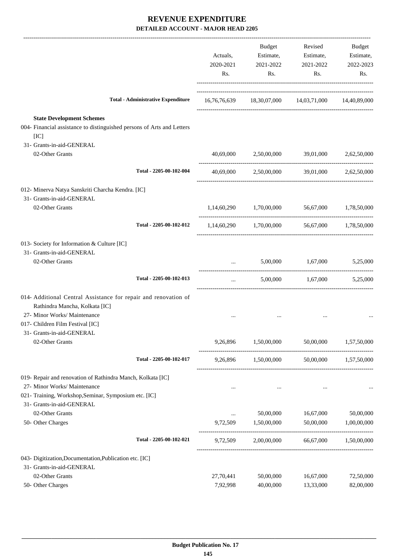|                                                                                                                    | Actuals,<br>2020-2021<br>Rs. | Budget<br>Estimate,<br>2021-2022<br>Rs.             | Revised<br>Estimate,<br>2021-2022<br>Rs. | Budget<br>Estimate,<br>2022-2023<br>Rs. |
|--------------------------------------------------------------------------------------------------------------------|------------------------------|-----------------------------------------------------|------------------------------------------|-----------------------------------------|
| <b>Total - Administrative Expenditure</b>                                                                          |                              | 16,76,76,639 18,30,07,000 14,03,71,000 14,40,89,000 |                                          |                                         |
| <b>State Development Schemes</b><br>004- Financial assistance to distinguished persons of Arts and Letters<br>[IC] |                              |                                                     |                                          |                                         |
| 31- Grants-in-aid-GENERAL                                                                                          |                              |                                                     |                                          |                                         |
| 02-Other Grants                                                                                                    | 40,69,000                    |                                                     | 2,50,00,000 39,01,000 2,62,50,000        |                                         |
| Total - 2205-00-102-004                                                                                            | 40,69,000                    |                                                     | 2,50,00,000 39,01,000 2,62,50,000        |                                         |
| 012- Minerva Natya Sanskriti Charcha Kendra. [IC]                                                                  |                              |                                                     |                                          |                                         |
| 31- Grants-in-aid-GENERAL                                                                                          |                              |                                                     |                                          |                                         |
| 02-Other Grants                                                                                                    |                              | 1,14,60,290 1,70,00,000 56,67,000 1,78,50,000       |                                          |                                         |
| Total - 2205-00-102-012                                                                                            |                              | 1,14,60,290 1,70,00,000                             |                                          | 56,67,000 1,78,50,000                   |
| 013- Society for Information & Culture [IC]                                                                        |                              |                                                     |                                          |                                         |
| 31- Grants-in-aid-GENERAL                                                                                          |                              |                                                     |                                          |                                         |
| 02-Other Grants                                                                                                    |                              | 5,00,000                                            | 1,67,000                                 | 5,25,000                                |
| Total - 2205-00-102-013                                                                                            | $\cdots$                     |                                                     | 5,00,000 1,67,000 5,25,000               |                                         |
| 014- Additional Central Assistance for repair and renovation of                                                    |                              |                                                     |                                          |                                         |
| Rathindra Mancha, Kolkata [IC]                                                                                     |                              |                                                     |                                          |                                         |
| 27- Minor Works/ Maintenance                                                                                       |                              |                                                     |                                          |                                         |
| 017- Children Film Festival [IC]                                                                                   |                              |                                                     |                                          |                                         |
| 31- Grants-in-aid-GENERAL                                                                                          |                              |                                                     |                                          |                                         |
| 02-Other Grants                                                                                                    | 9,26,896                     | 1,50,00,000                                         | 50,00,000                                | 1,57,50,000                             |
| Total - 2205-00-102-017                                                                                            |                              | 9,26,896 1,50,00,000 50,00,000 1,57,50,000          |                                          |                                         |
| 019- Repair and renovation of Rathindra Manch, Kolkata [IC]                                                        |                              |                                                     |                                          |                                         |
| 27- Minor Works/ Maintenance<br>021- Training, Workshop, Seminar, Symposium etc. [IC]                              | $\cdots$                     | $\cdots$                                            |                                          |                                         |
| 31- Grants-in-aid-GENERAL                                                                                          |                              |                                                     |                                          |                                         |
| 02-Other Grants                                                                                                    | $\cdots$                     | 50,00,000                                           | 16,67,000                                | 50,00,000                               |
| 50- Other Charges                                                                                                  |                              | 9,72,509 1,50,00,000                                | 50,00,000                                | 1,00,00,000                             |
| Total - 2205-00-102-021                                                                                            | 9,72,509                     |                                                     | 2,00,00,000 66,67,000 1,50,00,000        |                                         |
| 043- Digitization, Documentation, Publication etc. [IC]                                                            |                              |                                                     |                                          |                                         |
| 31- Grants-in-aid-GENERAL                                                                                          |                              |                                                     |                                          |                                         |
| 02-Other Grants                                                                                                    | 27,70,441                    | 50,00,000                                           | 16,67,000                                | 72,50,000                               |
| 50- Other Charges                                                                                                  | 7,92,998                     | 40,00,000                                           | 13,33,000                                | 82,00,000                               |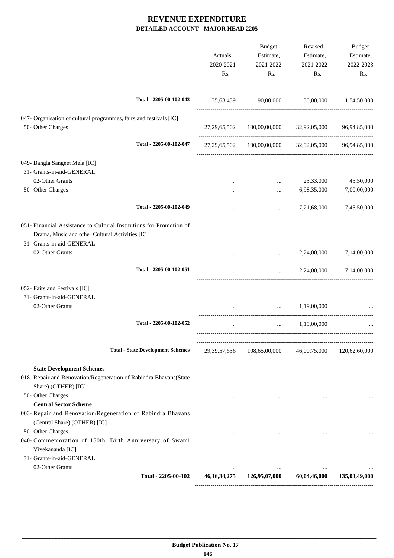|                                                                                                                                                                        | Actuals,<br>2020-2021<br>Rs. | Budget<br>Estimate,<br>2021-2022<br>Rs.                                                                                                                                                                                              | Revised<br>Estimate,<br>2021-2022<br>Rs. | Budget<br>Estimate,<br>2022-2023<br>Rs. |
|------------------------------------------------------------------------------------------------------------------------------------------------------------------------|------------------------------|--------------------------------------------------------------------------------------------------------------------------------------------------------------------------------------------------------------------------------------|------------------------------------------|-----------------------------------------|
| Total - 2205-00-102-043                                                                                                                                                |                              | 35,63,439 90,00,000 30,00,000 1,54,50,000                                                                                                                                                                                            |                                          |                                         |
| 047- Organisation of cultural programmes, fairs and festivals [IC]<br>50- Other Charges                                                                                |                              | 27, 29, 65, 502 100, 00, 00, 000 32, 92, 05, 000 96, 94, 85, 000                                                                                                                                                                     |                                          |                                         |
| Total - 2205-00-102-047                                                                                                                                                |                              | 27, 29, 65, 502 100, 00, 00, 000 32, 92, 05, 000 96, 94, 85, 000                                                                                                                                                                     |                                          |                                         |
| 049- Bangla Sangeet Mela [IC]<br>31- Grants-in-aid-GENERAL<br>02-Other Grants                                                                                          |                              |                                                                                                                                                                                                                                      | 23,33,000                                | 45,50,000                               |
| 50- Other Charges                                                                                                                                                      |                              | $\cdots$<br>$\cdots$                                                                                                                                                                                                                 | 6,98,35,000                              | 7,00,00,000                             |
| Total - 2205-00-102-049                                                                                                                                                |                              |                                                                                                                                                                                                                                      | $\ldots$ 7,21,68,000 7,45,50,000         |                                         |
| 051- Financial Assistance to Cultural Institutions for Promotion of<br>Drama, Music and other Cultural Activities [IC]<br>31- Grants-in-aid-GENERAL<br>02-Other Grants |                              | <u>and the company of the company of the company of the company of the company of the company of the company of the company of the company of the company of the company of the company of the company of the company of the com</u> | 2,24,00,000                              | 7,14,00,000                             |
| Total - 2205-00-102-051                                                                                                                                                | $\cdots$                     |                                                                                                                                                                                                                                      | $2,24,00,000$ $7,14,00,000$              |                                         |
| 052- Fairs and Festivals [IC]<br>31- Grants-in-aid-GENERAL                                                                                                             |                              |                                                                                                                                                                                                                                      |                                          |                                         |
| 02-Other Grants                                                                                                                                                        | $\cdots$                     | <b>Second Contract</b>                                                                                                                                                                                                               | 1,19,00,000                              |                                         |
| Total - 2205-00-102-052                                                                                                                                                |                              | $\cdots$                                                                                                                                                                                                                             | 1,19,00,000                              |                                         |
| <b>Total - State Development Schemes</b>                                                                                                                               |                              | 29,39,57,636 108,65,00,000 46,00,75,000 120,62,60,000                                                                                                                                                                                |                                          |                                         |
| <b>State Development Schemes</b><br>018- Repair and Renovation/Regeneration of Rabindra Bhavans(State<br>Share) (OTHER) [IC]                                           |                              |                                                                                                                                                                                                                                      |                                          |                                         |
| 50- Other Charges<br><b>Central Sector Scheme</b><br>003- Repair and Renovation/Regeneration of Rabindra Bhavans                                                       | $\cdots$                     | $\cdots$                                                                                                                                                                                                                             | $\cdots$                                 |                                         |
| (Central Share) (OTHER) [IC]<br>50- Other Charges<br>040- Commemoration of 150th. Birth Anniversary of Swami<br>Vivekananda [IC]                                       | $\cdots$                     | $\cdots$                                                                                                                                                                                                                             | $\cdots$                                 |                                         |
| 31- Grants-in-aid-GENERAL<br>02-Other Grants                                                                                                                           | $\cdots$                     | $\cdots$                                                                                                                                                                                                                             | $\cdots$                                 |                                         |
| Total - 2205-00-102                                                                                                                                                    | 46, 16, 34, 275              | 126,95,07,000                                                                                                                                                                                                                        | 60,04,46,000                             | 135,03,49,000                           |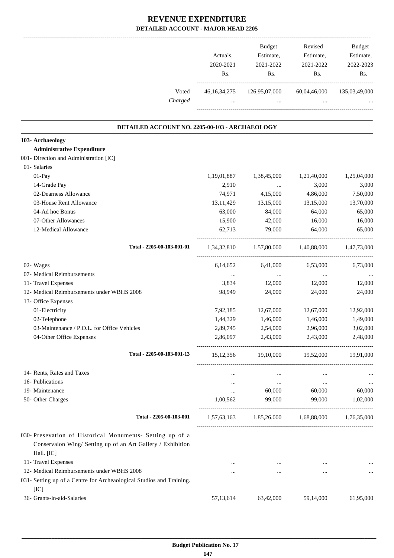|                                                                              | Actuals,<br>2020-2021<br>Rs. | Budget<br>Estimate,<br>2021-2022<br>Rs.               | Revised<br>Estimate,<br>2021-2022<br>Rs. | Budget<br>Estimate,<br>2022-2023<br>Rs. |
|------------------------------------------------------------------------------|------------------------------|-------------------------------------------------------|------------------------------------------|-----------------------------------------|
| Voted                                                                        |                              | 46,16,34,275 126,95,07,000 60,04,46,000 135,03,49,000 |                                          |                                         |
| Charged                                                                      |                              | <b>Sales Control</b>                                  |                                          |                                         |
| DETAILED ACCOUNT NO. 2205-00-103 - ARCHAEOLOGY                               |                              |                                                       |                                          |                                         |
| 103- Archaeology                                                             |                              |                                                       |                                          |                                         |
| <b>Administrative Expenditure</b>                                            |                              |                                                       |                                          |                                         |
| 001- Direction and Administration [IC]                                       |                              |                                                       |                                          |                                         |
| 01- Salaries                                                                 |                              |                                                       |                                          |                                         |
| $01-Pay$                                                                     | 1,19,01,887                  | 1,38,45,000                                           | 1,21,40,000                              | 1,25,04,000                             |
| 14-Grade Pay                                                                 | 2,910                        | $\cdots$                                              | 3,000                                    | 3,000                                   |
| 02-Dearness Allowance                                                        | 74,971                       | 4,15,000                                              | 4,86,000                                 | 7,50,000                                |
| 03-House Rent Allowance                                                      | 13,11,429                    | 13,15,000                                             | 13,15,000                                | 13,70,000                               |
| 04-Ad hoc Bonus                                                              | 63,000                       | 84,000                                                | 64,000                                   | 65,000                                  |
| 07-Other Allowances                                                          | 15,900                       | 42,000                                                | 16,000                                   | 16,000                                  |
| 12-Medical Allowance                                                         | 62,713                       | 79,000                                                | 64,000                                   | 65,000                                  |
| Total - 2205-00-103-001-01                                                   |                              | 1,34,32,810 1,57,80,000 1,40,88,000 1,47,73,000       |                                          |                                         |
| 02- Wages                                                                    | 6,14,652                     | 6,41,000                                              | 6,53,000                                 | 6,73,000                                |
| 07- Medical Reimbursements                                                   | $\cdots$                     | $\ldots$                                              | $\cdots$                                 |                                         |
| 11- Travel Expenses                                                          | 3,834                        | 12,000                                                | 12,000                                   | 12,000                                  |
| 12- Medical Reimbursements under WBHS 2008                                   | 98,949                       | 24,000                                                | 24,000                                   | 24,000                                  |
| 13- Office Expenses                                                          |                              |                                                       |                                          |                                         |
| 01-Electricity                                                               | 7,92,185                     | 12,67,000                                             | 12,67,000                                | 12,92,000                               |
| 02-Telephone                                                                 | 1,44,329                     | 1,46,000                                              | 1,46,000                                 | 1,49,000                                |
| 03-Maintenance / P.O.L. for Office Vehicles                                  | 2,89,745                     | 2,54,000                                              | 2,96,000                                 | 3,02,000                                |
| 04-Other Office Expenses                                                     | 2,86,097                     | 2,43,000                                              | 2,43,000                                 | 2,48,000                                |
| Total - 2205-00-103-001-13                                                   | 15, 12, 356                  | 19,10,000                                             | 19,52,000                                | 19,91,000                               |
| 14- Rents, Rates and Taxes                                                   | $\cdots$                     | $\cdots$                                              | $\cdots$                                 |                                         |
| 16- Publications                                                             | $\cdots$                     | $\cdots$                                              | $\cdots$                                 | $\cdots$                                |
| 19- Maintenance                                                              | $\cdots$                     | 60,000                                                | 60,000                                   | 60,000                                  |
| 50- Other Charges                                                            | 1,00,562                     | 99,000                                                | 99,000                                   | 1,02,000                                |
| Total - 2205-00-103-001                                                      |                              | 1,57,63,163 1,85,26,000 1,68,88,000 1,76,35,000       |                                          |                                         |
| 030- Presevation of Historical Monuments- Setting up of a                    |                              |                                                       |                                          |                                         |
| Conservaion Wing/ Setting up of an Art Gallery / Exhibition<br>Hall. [IC]    |                              |                                                       |                                          |                                         |
| 11- Travel Expenses                                                          |                              |                                                       |                                          |                                         |
| 12- Medical Reimbursements under WBHS 2008                                   |                              |                                                       | $\cdots$                                 |                                         |
| 031- Setting up of a Centre for Archeaological Studios and Training.<br>[IC] |                              |                                                       |                                          |                                         |
| 36- Grants-in-aid-Salaries                                                   | 57,13,614                    | 63,42,000                                             | 59,14,000                                | 61,95,000                               |
|                                                                              |                              |                                                       |                                          |                                         |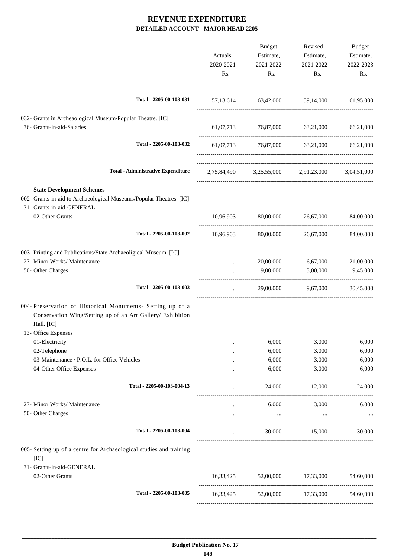|                                                                                                                                        | Actuals,<br>2020-2021<br>Rs. | Budget<br>Estimate,<br>2021-2022<br>Rs. | Revised<br>Estimate,<br>2021-2022<br>Rs.        | Budget<br>Estimate,<br>2022-2023<br>Rs. |
|----------------------------------------------------------------------------------------------------------------------------------------|------------------------------|-----------------------------------------|-------------------------------------------------|-----------------------------------------|
| Total - 2205-00-103-031                                                                                                                |                              |                                         | 57,13,614 63,42,000 59,14,000 61,95,000         |                                         |
| 032- Grants in Archeaological Museum/Popular Theatre. [IC]<br>36- Grants-in-aid-Salaries                                               |                              |                                         | 61,07,713 76,87,000 63,21,000                   | 66,21,000                               |
| Total - 2205-00-103-032                                                                                                                |                              |                                         | 61,07,713 76,87,000 63,21,000 66,21,000         |                                         |
| <b>Total - Administrative Expenditure</b>                                                                                              |                              |                                         | 2,75,84,490 3,25,55,000 2,91,23,000 3,04,51,000 |                                         |
| <b>State Development Schemes</b>                                                                                                       |                              |                                         |                                                 |                                         |
| 002- Grants-in-aid to Archaeological Museums/Popular Theatres. [IC]<br>31- Grants-in-aid-GENERAL                                       |                              |                                         |                                                 |                                         |
| 02-Other Grants                                                                                                                        | 10,96,903                    | 80,00,000                               | 26,67,000                                       | 84,00,000                               |
| Total - 2205-00-103-002                                                                                                                | 10,96,903                    | 80,00,000                               | 26,67,000                                       | 84,00,000                               |
| 003- Printing and Publications/State Archaeoligical Museum. [IC]<br>27- Minor Works/ Maintenance                                       | $\cdots$                     | 20,00,000                               | 6,67,000                                        | 21,00,000                               |
| 50- Other Charges                                                                                                                      |                              | 9,00,000                                | 3,00,000                                        | 9,45,000                                |
| Total - 2205-00-103-003                                                                                                                | $\cdots$                     |                                         | 29,00,000 9,67,000                              | 30,45,000                               |
| 004- Preservation of Historical Monuments- Setting up of a<br>Conservation Wing/Setting up of an Art Gallery/ Exhibition<br>Hall. [IC] |                              |                                         |                                                 |                                         |
| 13- Office Expenses<br>01-Electricity                                                                                                  |                              | 6,000                                   | 3,000                                           | 6,000                                   |
| 02-Telephone                                                                                                                           |                              | 6,000                                   | 3,000                                           | 6,000                                   |
| 03-Maintenance / P.O.L. for Office Vehicles<br>04-Other Office Expenses                                                                | <br>                         | 6,000<br>6,000                          | 3,000<br>3,000                                  | 6,000<br>6,000                          |
|                                                                                                                                        |                              |                                         |                                                 |                                         |
| Total - 2205-00-103-004-13                                                                                                             |                              | 24,000                                  | 12,000                                          | 24,000                                  |
| 27- Minor Works/ Maintenance                                                                                                           | $\cdots$                     | 6,000                                   | 3,000                                           | 6,000                                   |
| 50- Other Charges                                                                                                                      | $\cdots$                     | $\cdots$                                | $\cdots$                                        |                                         |
| Total - 2205-00-103-004                                                                                                                | $\cdots$                     | 30,000                                  | 15,000                                          | 30,000                                  |
| 005- Setting up of a centre for Archaeological studies and training<br>[IC]                                                            |                              |                                         |                                                 |                                         |
| 31- Grants-in-aid-GENERAL<br>02-Other Grants                                                                                           | 16,33,425                    | 52,00,000                               | 17,33,000                                       | 54,60,000                               |
| Total - 2205-00-103-005                                                                                                                |                              | 16,33,425 52,00,000 17,33,000           |                                                 | 54,60,000                               |
|                                                                                                                                        |                              |                                         |                                                 |                                         |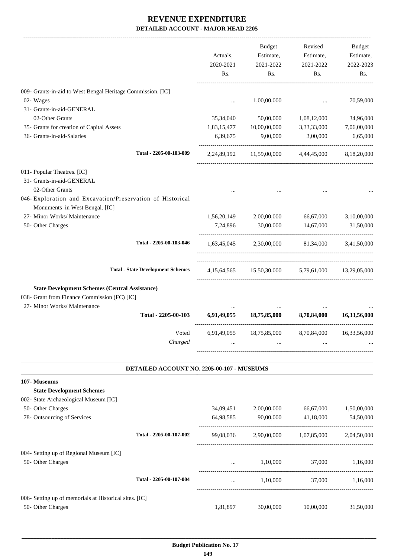|                                                                                              |                                            |             | Budget                                            | Revised     | Budget       |
|----------------------------------------------------------------------------------------------|--------------------------------------------|-------------|---------------------------------------------------|-------------|--------------|
|                                                                                              |                                            | Actuals,    | Estimate,                                         | Estimate,   | Estimate,    |
|                                                                                              |                                            | 2020-2021   | 2021-2022                                         | 2021-2022   | 2022-2023    |
|                                                                                              |                                            | Rs.         | Rs.                                               | Rs.         | Rs.          |
| 009- Grants-in-aid to West Bengal Heritage Commission. [IC]                                  |                                            |             |                                                   |             |              |
| 02- Wages                                                                                    |                                            | $\cdots$    | 1,00,00,000                                       |             | 70,59,000    |
| 31- Grants-in-aid-GENERAL                                                                    |                                            |             |                                                   |             |              |
| 02-Other Grants                                                                              |                                            | 35,34,040   | 50,00,000                                         | 1,08,12,000 | 34,96,000    |
| 35- Grants for creation of Capital Assets                                                    |                                            | 1,83,15,477 | 10,00,00,000                                      | 3,33,33,000 | 7,06,00,000  |
| 36- Grants-in-aid-Salaries                                                                   |                                            | 6,39,675    | 9,00,000                                          | 3,00,000    | 6,65,000     |
|                                                                                              |                                            |             |                                                   |             |              |
|                                                                                              | Total - 2205-00-103-009                    |             | 2,24,89,192 11,59,00,000 4,44,45,000              |             | 8,18,20,000  |
| 011- Popular Theatres. [IC]                                                                  |                                            |             |                                                   |             |              |
| 31- Grants-in-aid-GENERAL                                                                    |                                            |             |                                                   |             |              |
| 02-Other Grants                                                                              |                                            |             |                                                   |             |              |
| 046- Exploration and Excavation/Preservation of Historical<br>Monuments in West Bengal. [IC] |                                            |             |                                                   |             |              |
| 27- Minor Works/ Maintenance                                                                 |                                            |             | 1,56,20,149 2,00,00,000                           | 66,67,000   | 3,10,00,000  |
| 50- Other Charges                                                                            |                                            | 7,24,896    | 30,00,000                                         | 14,67,000   | 31,50,000    |
|                                                                                              | Total - 2205-00-103-046                    |             | 1,63,45,045 2,30,00,000 81,34,000 3,41,50,000     |             |              |
|                                                                                              |                                            |             |                                                   |             |              |
|                                                                                              | <b>Total - State Development Schemes</b>   |             | 4,15,64,565 15,50,30,000 5,79,61,000 13,29,05,000 |             |              |
| <b>State Development Schemes (Central Assistance)</b>                                        |                                            |             |                                                   |             |              |
| 038- Grant from Finance Commission (FC) [IC]                                                 |                                            |             |                                                   |             |              |
| 27- Minor Works/ Maintenance                                                                 |                                            |             |                                                   |             |              |
|                                                                                              | Total - 2205-00-103                        |             | 6,91,49,055 18,75,85,000 8,70,84,000              |             | 16,33,56,000 |
|                                                                                              | Voted                                      |             | 6,91,49,055 18,75,85,000 8,70,84,000              |             | 16,33,56,000 |
|                                                                                              | Charged                                    |             |                                                   |             |              |
|                                                                                              |                                            |             |                                                   |             |              |
|                                                                                              | DETAILED ACCOUNT NO. 2205-00-107 - MUSEUMS |             |                                                   |             |              |
| 107- Museums                                                                                 |                                            |             |                                                   |             |              |
| <b>State Development Schemes</b>                                                             |                                            |             |                                                   |             |              |
| 002- State Archaeological Museum [IC]                                                        |                                            |             |                                                   |             |              |
| 50- Other Charges                                                                            |                                            | 34,09,451   | 2,00,00,000                                       | 66,67,000   | 1,50,00,000  |
| 78- Outsourcing of Services                                                                  |                                            | 64,98,585   | 90,00,000                                         | 41,18,000   | 54,50,000    |
|                                                                                              | Total - 2205-00-107-002                    | 99,08,036   | 2,90,00,000                                       | 1,07,85,000 | 2,04,50,000  |
| 004- Setting up of Regional Museum [IC]                                                      |                                            |             |                                                   |             |              |
| 50- Other Charges                                                                            |                                            |             | 1,10,000                                          | 37,000      | 1,16,000     |
|                                                                                              | Total - 2205-00-107-004                    | .           | 1,10,000                                          | 37,000      | 1,16,000     |
| 006- Setting up of memorials at Historical sites. [IC]                                       |                                            |             |                                                   |             |              |
| 50- Other Charges                                                                            |                                            | 1,81,897    | 30,00,000                                         | 10,00,000   | 31,50,000    |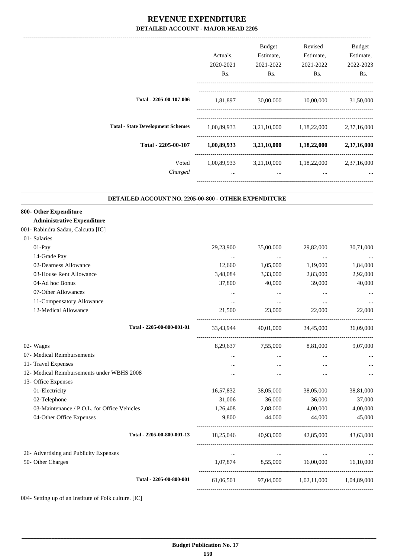|                                                                                                   | Actuals,<br>2020-2021<br>Rs.             | Budget<br>Estimate,<br>2021-2022<br>Rs.                             | Revised<br>Estimate,<br>2021-2022<br>Rs.   | Budget<br>Estimate,<br>2022-2023<br>Rs. |
|---------------------------------------------------------------------------------------------------|------------------------------------------|---------------------------------------------------------------------|--------------------------------------------|-----------------------------------------|
| Total - 2205-00-107-006                                                                           | 1,81,897                                 | 30,00,000                                                           | 10,00,000                                  | 31,50,000                               |
| <b>Total - State Development Schemes</b>                                                          |                                          | 1,00,89,933 3,21,10,000 1,18,22,000 2,37,16,000                     |                                            |                                         |
| Total - 2205-00-107                                                                               |                                          | $1,00,89,933$ $3,21,10,000$ $1,18,22,000$                           |                                            | 2,37,16,000                             |
| Voted<br>Charged                                                                                  | $\cdots$                                 | $1,00,89,933$ $3,21,10,000$ $1,18,22,000$ $2,37,16,000$<br>$\cdots$ | $\cdots$                                   |                                         |
| DETAILED ACCOUNT NO. 2205-00-800 - OTHER EXPENDITURE                                              |                                          |                                                                     |                                            |                                         |
| 800- Other Expenditure<br><b>Administrative Expenditure</b><br>001- Rabindra Sadan, Calcutta [IC] |                                          |                                                                     |                                            |                                         |
| 01- Salaries<br>01-Pay<br>14-Grade Pay                                                            | 29,23,900                                | 35,00,000                                                           | 29,82,000                                  | 30,71,000                               |
| 02-Dearness Allowance<br>03-House Rent Allowance<br>04-Ad hoc Bonus                               | $\ldots$<br>12,660<br>3,48,084<br>37,800 | $\ldots$<br>1,05,000<br>3,33,000<br>40,000                          | $\cdots$<br>1,19,000<br>2,83,000<br>39,000 | 1,84,000<br>2,92,000<br>40,000          |
| 07-Other Allowances<br>11-Compensatory Allowance<br>12-Medical Allowance                          | $\cdots$<br>$\cdots$<br>21,500           | $\cdots$<br>$\ldots$<br>23,000                                      | $\ddotsc$<br>$\cdots$<br>22,000            | 22,000                                  |
| Total - 2205-00-800-001-01                                                                        | 33,43,944                                | 40,01,000                                                           | 34,45,000                                  | 36,09,000                               |
| 02- Wages<br>07- Medical Reimbursements                                                           | 8,29,637<br>                             | 7,55,000<br>$\cdots$                                                | 8,81,000<br>$\cdots$                       | 9,07,000                                |
| 11- Travel Expenses<br>12- Medical Reimbursements under WBHS 2008<br>13- Office Expenses          | $\cdots$<br>$\cdots$                     | $\cdots$<br>                                                        | <br>$\cdots$                               |                                         |
| 01-Electricity<br>02-Telephone                                                                    | 16,57,832<br>31,006                      | 38,05,000<br>36,000                                                 | 38,05,000<br>36,000                        | 38,81,000<br>37,000                     |
| 03-Maintenance / P.O.L. for Office Vehicles<br>04-Other Office Expenses                           | 1,26,408<br>9,800                        | 2,08,000<br>44,000                                                  | 4,00,000<br>44,000                         | 4,00,000<br>45,000                      |
| Total - 2205-00-800-001-13                                                                        | 18,25,046                                | 40,93,000                                                           | 42,85,000                                  | 43,63,000                               |

26- Advertising and Publicity Expenses ... ... ... ...

50- Other Charges 1,07,874 8,55,000 16,00,000 16,10,000

004- Setting up of an Institute of Folk culture. [IC]

----------------------------------------------------------------------------------------

-----------------------------------------------------------------------------------------

**Total - 2205-00-800-001** 61,06,501 97,04,000 1,02,11,000 1,04,89,000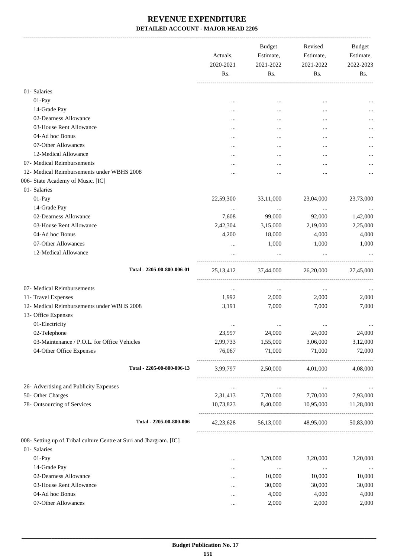-------------------------------------------------------------------------------------------------------------------------------------------------------------------------------

|                                                                     | Actuals,<br>2020-2021<br>Rs. | <b>Budget</b><br>Estimate,<br>2021-2022<br>Rs. | Revised<br>Estimate,<br>2021-2022<br>Rs. | <b>Budget</b><br>Estimate,<br>2022-2023<br>Rs. |
|---------------------------------------------------------------------|------------------------------|------------------------------------------------|------------------------------------------|------------------------------------------------|
| 01- Salaries                                                        |                              |                                                |                                          |                                                |
| 01-Pay                                                              |                              | $\cdots$                                       |                                          |                                                |
| 14-Grade Pay                                                        |                              |                                                |                                          | $\cdots$                                       |
| 02-Dearness Allowance                                               |                              |                                                |                                          |                                                |
| 03-House Rent Allowance                                             |                              |                                                |                                          |                                                |
| 04-Ad hoc Bonus                                                     |                              |                                                |                                          |                                                |
| 07-Other Allowances                                                 |                              |                                                |                                          |                                                |
| 12-Medical Allowance                                                |                              |                                                |                                          |                                                |
| 07- Medical Reimbursements                                          |                              |                                                |                                          |                                                |
| 12- Medical Reimbursements under WBHS 2008                          |                              |                                                |                                          |                                                |
| 006- State Academy of Music. [IC]                                   |                              |                                                |                                          |                                                |
| 01- Salaries                                                        |                              |                                                |                                          |                                                |
| 01-Pay                                                              | 22,59,300                    | 33,11,000                                      | 23,04,000                                | 23,73,000                                      |
| 14-Grade Pay                                                        |                              | $\cdots$                                       | $\cdots$                                 |                                                |
| 02-Dearness Allowance                                               | 7,608                        | 99,000                                         | 92,000                                   | 1,42,000                                       |
| 03-House Rent Allowance                                             | 2,42,304                     | 3,15,000                                       | 2,19,000                                 | 2,25,000                                       |
| 04-Ad hoc Bonus                                                     | 4,200                        | 18,000                                         | 4,000                                    | 4,000                                          |
| 07-Other Allowances                                                 | $\cdots$                     | 1,000                                          | 1,000                                    | 1,000                                          |
| 12-Medical Allowance                                                |                              | $\cdots$                                       | $\cdots$                                 |                                                |
| Total - 2205-00-800-006-01                                          | 25, 13, 412                  | 37,44,000                                      | 26,20,000                                | 27,45,000                                      |
| 07- Medical Reimbursements                                          | $\cdots$                     | $\cdots$                                       | $\cdots$                                 |                                                |
| 11- Travel Expenses                                                 | 1,992                        | 2,000                                          | 2,000                                    | 2,000                                          |
| 12- Medical Reimbursements under WBHS 2008                          | 3,191                        | 7,000                                          | 7,000                                    | 7,000                                          |
| 13- Office Expenses                                                 |                              |                                                |                                          |                                                |
| 01-Electricity                                                      |                              |                                                |                                          |                                                |
| 02-Telephone                                                        | 23,997                       | 24,000                                         | 24,000                                   | 24,000                                         |
| 03-Maintenance / P.O.L. for Office Vehicles                         | 2,99,733                     | 1,55,000                                       | 3,06,000                                 | 3,12,000                                       |
| 04-Other Office Expenses                                            | 76,067                       | 71,000                                         | 71,000                                   | 72,000                                         |
| Total - 2205-00-800-006-13                                          | 3,99,797                     | 2,50,000                                       | 4,01,000                                 | 4.08.000                                       |
| 26- Advertising and Publicity Expenses                              | $\ldots$                     | $\ldots$                                       | $\cdots$                                 |                                                |
| 50- Other Charges                                                   | 2,31,413                     | 7,70,000                                       | 7,70,000                                 | 7,93,000                                       |
| 78- Outsourcing of Services                                         | 10,73,823                    | 8,40,000                                       | 10,95,000                                | 11,28,000                                      |
| Total - 2205-00-800-006                                             | 42, 23, 628                  |                                                | 56,13,000 48,95,000                      | 50,83,000                                      |
| 008- Setting up of Tribal culture Centre at Suri and Jhargram. [IC] |                              |                                                |                                          |                                                |
| 01- Salaries                                                        |                              |                                                |                                          |                                                |
| 01-Pay                                                              |                              | 3,20,000                                       | 3,20,000                                 | 3,20,000                                       |
| 14-Grade Pay                                                        |                              | $\ldots$                                       | $\ldots$                                 | $\ldots$                                       |
| 02-Dearness Allowance                                               | $\cdots$                     | 10,000                                         | 10,000                                   | 10,000                                         |
| 03-House Rent Allowance                                             |                              | 30,000                                         | 30,000                                   | 30,000                                         |
| 04-Ad hoc Bonus                                                     |                              | 4,000                                          | 4,000                                    | 4,000                                          |
| 07-Other Allowances                                                 |                              | 2,000                                          | 2,000                                    | 2,000                                          |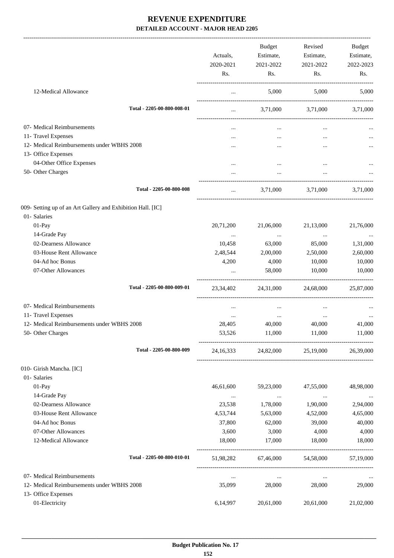|                                                             | Actuals,<br>2020-2021<br>Rs. | <b>Budget</b><br>Estimate,<br>2021-2022<br>Rs. | Revised<br>Estimate,<br>2021-2022<br>Rs. | Budget<br>Estimate,<br>2022-2023<br>Rs. |
|-------------------------------------------------------------|------------------------------|------------------------------------------------|------------------------------------------|-----------------------------------------|
| 12-Medical Allowance                                        | $\cdots$                     | 5,000                                          | 5,000                                    | 5,000                                   |
| Total - 2205-00-800-008-01                                  | $\cdots$                     |                                                | 3,71,000 3,71,000                        | 3,71,000                                |
| 07- Medical Reimbursements                                  |                              |                                                |                                          |                                         |
| 11- Travel Expenses                                         |                              | $\cdots$                                       | $\cdots$                                 |                                         |
| 12- Medical Reimbursements under WBHS 2008                  |                              | $\cdots$                                       | $\cdots$                                 |                                         |
| 13- Office Expenses                                         |                              |                                                |                                          |                                         |
| 04-Other Office Expenses                                    |                              |                                                | $\ddotsc$                                |                                         |
| 50- Other Charges                                           |                              |                                                | $\cdots$                                 |                                         |
| Total - 2205-00-800-008                                     | $\ddotsc$                    |                                                | 3,71,000 3,71,000                        | 3,71,000                                |
| 009- Setting up of an Art Gallery and Exhibition Hall. [IC] |                              |                                                |                                          |                                         |
| 01- Salaries                                                |                              |                                                |                                          |                                         |
| 01-Pay                                                      | 20,71,200                    | 21,06,000                                      | 21,13,000                                | 21,76,000                               |
| 14-Grade Pay                                                | $\cdots$                     | $\cdots$                                       | $\ldots$                                 | $\cdots$                                |
| 02-Dearness Allowance                                       | 10,458                       | 63,000                                         | 85,000                                   | 1,31,000                                |
| 03-House Rent Allowance                                     | 2,48,544                     | 2,00,000                                       | 2,50,000                                 | 2,60,000                                |
| 04-Ad hoc Bonus                                             | 4,200                        | 4,000                                          | 10,000                                   | 10,000                                  |
| 07-Other Allowances                                         |                              | 58,000                                         | 10,000                                   | 10,000                                  |
| Total - 2205-00-800-009-01                                  | 23,34,402                    | 24,31,000                                      | 24,68,000                                | 25,87,000                               |
| 07- Medical Reimbursements                                  | $\cdots$                     | $\cdots$                                       | $\cdots$                                 |                                         |
| 11- Travel Expenses                                         | $\cdots$                     | $\cdots$                                       | $\ldots$                                 |                                         |
| 12- Medical Reimbursements under WBHS 2008                  | 28,405                       | 40,000                                         | 40,000                                   | 41,000                                  |
| 50- Other Charges                                           | 53,526                       | 11,000                                         | 11,000                                   | 11,000                                  |
| Total - 2205-00-800-009                                     | 24, 16, 333                  | 24,82,000                                      | 25,19,000                                | 26,39,000                               |
| 010- Girish Mancha. [IC]                                    |                              |                                                |                                          |                                         |
| 01- Salaries                                                |                              |                                                |                                          |                                         |
| $01-Pay$                                                    | 46,61,600                    | 59,23,000                                      | 47,55,000                                | 48,98,000                               |
| 14-Grade Pay                                                | $\cdots$                     | $\cdots$                                       | $\cdots$                                 | $\cdots$                                |
| 02-Dearness Allowance                                       | 23,538                       | 1,78,000                                       | 1,90,000                                 | 2,94,000                                |
| 03-House Rent Allowance                                     | 4,53,744                     | 5,63,000                                       | 4,52,000                                 | 4,65,000                                |
| 04-Ad hoc Bonus                                             | 37,800                       | 62,000                                         | 39,000                                   | 40,000                                  |
| 07-Other Allowances                                         | 3,600                        | 3,000                                          | 4,000                                    | 4,000                                   |
| 12-Medical Allowance                                        | 18,000                       | 17,000                                         | 18,000                                   | 18,000                                  |
| Total - 2205-00-800-010-01                                  | 51,98,282                    | 67,46,000                                      | 54,58,000                                | 57,19,000                               |
| 07- Medical Reimbursements                                  | $\ldots$                     | $\cdots$                                       | $\ldots$                                 |                                         |
| 12- Medical Reimbursements under WBHS 2008                  | 35,099                       | 28,000                                         | 28,000                                   | 29,000                                  |
| 13- Office Expenses                                         |                              |                                                |                                          |                                         |
| 01-Electricity                                              | 6,14,997                     | 20,61,000                                      | 20,61,000                                | 21,02,000                               |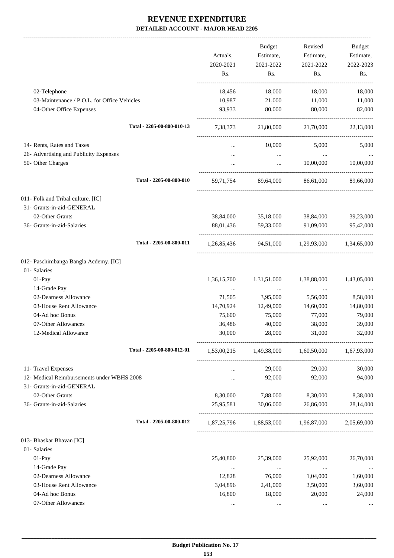-------------------------------------------------------------------------------------------------------------------------------------------------------------------------------

|                                                                                    |                            | Actuals,<br>2020-2021<br>Rs. | <b>Budget</b><br>Estimate,<br>2021-2022<br>Rs.  | Revised<br>Estimate,<br>2021-2022<br>Rs. | <b>Budget</b><br>Estimate,<br>2022-2023<br>Rs. |
|------------------------------------------------------------------------------------|----------------------------|------------------------------|-------------------------------------------------|------------------------------------------|------------------------------------------------|
|                                                                                    |                            |                              |                                                 |                                          |                                                |
| 02-Telephone                                                                       |                            | 18,456                       | 18,000                                          | 18,000                                   | 18,000                                         |
| 03-Maintenance / P.O.L. for Office Vehicles<br>04-Other Office Expenses            |                            | 10,987<br>93,933             | 21,000<br>80,000                                | 11,000<br>80,000                         | 11,000<br>82,000                               |
|                                                                                    | Total - 2205-00-800-010-13 | 7,38,373                     | 21,80,000                                       | 21,70,000                                | 22,13,000                                      |
| 14- Rents, Rates and Taxes                                                         |                            |                              | 10,000                                          | 5,000                                    | 5,000                                          |
| 26- Advertising and Publicity Expenses                                             |                            | $\cdots$                     |                                                 |                                          |                                                |
| 50- Other Charges                                                                  |                            | $\cdots$                     | $\ddots$<br>$\cdots$                            | $\sim 100$ and $\sim 100$<br>10,00,000   | $\ldots$<br>10,00,000                          |
|                                                                                    | Total - 2205-00-800-010    | 59,71,754                    | 89.64.000                                       | 86.61.000                                | 89,66,000                                      |
| 011- Folk and Tribal culture. [IC]<br>31- Grants-in-aid-GENERAL<br>02-Other Grants |                            | 38,84,000                    | 35,18,000                                       | 38,84,000                                | 39,23,000                                      |
| 36- Grants-in-aid-Salaries                                                         |                            | 88,01,436                    | 59,33,000                                       | 91,09,000                                | 95,42,000                                      |
|                                                                                    | Total - 2205-00-800-011    | 1,26,85,436                  |                                                 | 94,51,000 1,29,93,000 1,34,65,000        |                                                |
| 012- Paschimbanga Bangla Acdemy. [IC]<br>01- Salaries                              |                            |                              |                                                 |                                          |                                                |
| 01-Pay                                                                             |                            | 1,36,15,700                  | 1,31,51,000                                     | 1,38,88,000                              | 1,43,05,000                                    |
| 14-Grade Pay                                                                       |                            | $\cdots$                     | $\ldots$                                        | $\cdots$                                 |                                                |
| 02-Dearness Allowance                                                              |                            | 71,505                       | 3,95,000                                        | 5,56,000                                 | 8,58,000                                       |
| 03-House Rent Allowance                                                            |                            | 14,70,924                    | 12,49,000                                       | 14,60,000                                | 14,80,000                                      |
| 04-Ad hoc Bonus                                                                    |                            | 75,600                       | 75,000                                          | 77,000                                   | 79,000                                         |
| 07-Other Allowances                                                                |                            | 36,486                       | 40,000                                          | 38,000                                   | 39,000                                         |
| 12-Medical Allowance                                                               |                            | 30,000                       | 28,000                                          | 31,000                                   | 32,000                                         |
|                                                                                    | Total - 2205-00-800-012-01 |                              | 1,53,00,215 1,49,38,000 1,60,50,000 1,67,93,000 |                                          |                                                |
| 11- Travel Expenses                                                                |                            | $\cdots$                     | 29,000                                          | 29,000                                   | 30,000                                         |
| 12- Medical Reimbursements under WBHS 2008                                         |                            | $\cdots$                     | 92,000                                          | 92,000                                   | 94,000                                         |
| 31- Grants-in-aid-GENERAL                                                          |                            |                              |                                                 |                                          |                                                |
| 02-Other Grants                                                                    |                            | 8,30,000                     | 7,88,000                                        | 8,30,000                                 | 8,38,000                                       |
| 36- Grants-in-aid-Salaries                                                         |                            | 25,95,581                    | 30,06,000                                       | 26,86,000                                | 28,14,000                                      |
|                                                                                    | Total - 2205-00-800-012    |                              | 1,87,25,796 1,88,53,000 1,96,87,000             |                                          | 2,05,69,000                                    |
| 013- Bhaskar Bhavan [IC]                                                           |                            |                              |                                                 |                                          |                                                |
| 01- Salaries                                                                       |                            |                              |                                                 |                                          |                                                |
| 01-Pay                                                                             |                            | 25,40,800                    | 25,39,000                                       | 25,92,000                                | 26,70,000                                      |
| 14-Grade Pay                                                                       |                            | $\cdots$                     | $\ldots$                                        | $\cdots$                                 |                                                |
| 02-Dearness Allowance                                                              |                            | 12,828                       | 76,000                                          | 1,04,000                                 | 1,60,000                                       |
| 03-House Rent Allowance                                                            |                            | 3,04,896                     | 2,41,000                                        | 3,50,000                                 | 3,60,000                                       |
| 04-Ad hoc Bonus                                                                    |                            | 16,800                       | 18,000                                          | 20,000                                   | 24,000                                         |
| 07-Other Allowances                                                                |                            |                              |                                                 |                                          |                                                |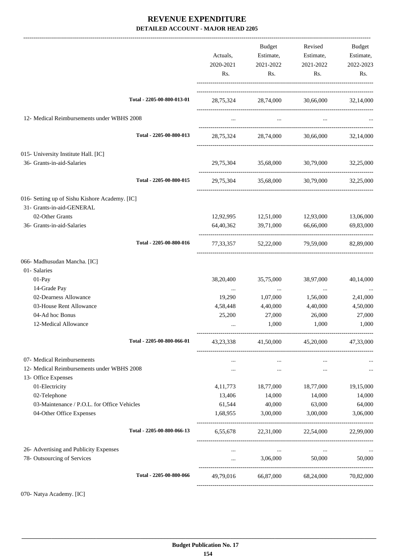|                                                                             |                            | Actuals,<br>2020-2021<br>Rs. | Budget<br>Estimate,<br>2021-2022<br>Rs. | Revised<br>Estimate,<br>2021-2022<br>Rs. | Budget<br>Estimate,<br>2022-2023<br>Rs. |
|-----------------------------------------------------------------------------|----------------------------|------------------------------|-----------------------------------------|------------------------------------------|-----------------------------------------|
|                                                                             | Total - 2205-00-800-013-01 |                              | 28,75,324 28,74,000 30,66,000 32,14,000 |                                          |                                         |
| 12- Medical Reimbursements under WBHS 2008                                  |                            |                              | $\cdots$                                |                                          |                                         |
|                                                                             | Total - 2205-00-800-013    |                              | 28,75,324 28,74,000                     |                                          | 30,66,000 32,14,000                     |
| 015- University Institute Hall. [IC]<br>36- Grants-in-aid-Salaries          |                            | 29,75,304                    |                                         | 35,68,000 30,79,000                      | 32,25,000                               |
|                                                                             | Total - 2205-00-800-015    | 29,75,304                    |                                         | 35,68,000 30,79,000 32,25,000            |                                         |
| 016- Setting up of Sishu Kishore Academy. [IC]<br>31- Grants-in-aid-GENERAL |                            |                              |                                         |                                          |                                         |
| 02-Other Grants                                                             |                            |                              | 12,92,995 12,51,000 12,93,000           |                                          | 13,06,000                               |
| 36- Grants-in-aid-Salaries                                                  |                            | 64,40,362                    | 39,71,000                               | 66,66,000                                | 69,83,000                               |
|                                                                             | Total - 2205-00-800-016    |                              | 77,33,357 52,22,000 79,59,000           |                                          | 82,89,000                               |
| 066- Madhusudan Mancha. [IC]                                                |                            |                              |                                         |                                          |                                         |
| 01- Salaries                                                                |                            |                              |                                         |                                          |                                         |
| 01-Pay<br>14-Grade Pay                                                      |                            | 38,20,400                    | 35,75,000                               | 38,97,000                                | 40,14,000                               |
| 02-Dearness Allowance                                                       |                            | $\cdots$<br>19,290           | $\sim$<br>1,07,000                      | $\ldots$<br>1,56,000                     | $\ldots$<br>2,41,000                    |
| 03-House Rent Allowance                                                     |                            | 4,58,448                     | 4,40,000                                | 4,40,000                                 | 4,50,000                                |
| 04-Ad hoc Bonus                                                             |                            | 25,200                       | 27,000                                  | 26,000                                   | 27,000                                  |
| 12-Medical Allowance                                                        |                            | $\cdots$                     | 1,000                                   | 1,000                                    | 1,000                                   |
|                                                                             | Total - 2205-00-800-066-01 | 43, 23, 338                  | 41,50,000                               | 45,20,000                                | 47,33,000                               |
| 07- Medical Reimbursements                                                  |                            |                              | $\cdots$                                | $\cdots$                                 |                                         |
| 12- Medical Reimbursements under WBHS 2008                                  |                            | $\cdots$                     | $\cdots$                                | $\cdots$                                 |                                         |
| 13- Office Expenses                                                         |                            |                              |                                         |                                          |                                         |
| 01-Electricity                                                              |                            | 4, 11, 773                   | 18,77,000                               | 18,77,000                                | 19,15,000                               |
| 02-Telephone                                                                |                            | 13,406                       | 14,000                                  | 14,000                                   | 14,000                                  |
| 03-Maintenance / P.O.L. for Office Vehicles                                 |                            | 61,544                       | 40,000                                  | 63,000                                   | 64,000                                  |
| 04-Other Office Expenses                                                    |                            | 1,68,955                     | 3,00,000                                | 3,00,000                                 | 3,06,000                                |
|                                                                             | Total - 2205-00-800-066-13 | 6,55,678                     |                                         | 22,31,000 22,54,000 22,99,000            |                                         |
| 26- Advertising and Publicity Expenses                                      |                            | $\cdots$                     | $\cdots$                                | $\cdots$                                 |                                         |
| 78- Outsourcing of Services                                                 |                            | $\cdots$                     | 3,06,000                                | 50,000                                   | 50,000                                  |
|                                                                             | Total - 2205-00-800-066    | 49,79,016                    |                                         | 66,87,000 68,24,000                      | 70,82,000                               |
|                                                                             |                            |                              |                                         |                                          |                                         |

070- Natya Academy. [IC]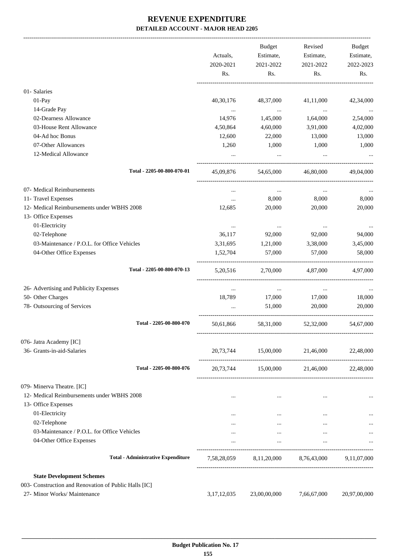|                                                       |                  | Budget              | Revised                             | Budget           |
|-------------------------------------------------------|------------------|---------------------|-------------------------------------|------------------|
|                                                       |                  |                     |                                     |                  |
|                                                       | Actuals,         | Estimate,           | Estimate,                           | Estimate,        |
|                                                       | 2020-2021<br>Rs. | 2021-2022<br>Rs.    | 2021-2022<br>Rs.                    | 2022-2023<br>Rs. |
|                                                       |                  |                     |                                     |                  |
| 01- Salaries                                          |                  |                     |                                     |                  |
| 01-Pay                                                | 40,30,176        | 48,37,000           | 41,11,000                           | 42,34,000        |
| 14-Grade Pay                                          | $\cdots$         | $\ldots$            | $\cdots$                            |                  |
| 02-Dearness Allowance                                 | 14,976           | 1,45,000            | 1,64,000                            | 2,54,000         |
| 03-House Rent Allowance                               | 4,50,864         | 4,60,000            | 3,91,000                            | 4,02,000         |
| 04-Ad hoc Bonus                                       | 12,600           | 22,000              | 13,000                              | 13,000           |
| 07-Other Allowances                                   | 1,260            | 1,000               | 1,000                               | 1,000            |
| 12-Medical Allowance                                  | $\cdots$         | $\cdots$            | $\cdots$                            |                  |
| Total - 2205-00-800-070-01                            | 45,09,876        | 54,65,000           | 46,80,000                           | 49,04,000        |
| 07- Medical Reimbursements                            | $\cdots$         | $\cdots$            | $\cdots$                            |                  |
| 11- Travel Expenses                                   | $\cdots$         | 8,000               | 8,000                               | 8,000            |
| 12- Medical Reimbursements under WBHS 2008            | 12,685           | 20,000              | 20,000                              | 20,000           |
| 13- Office Expenses                                   |                  |                     |                                     |                  |
| 01-Electricity                                        | $\cdots$         | $\cdots$            | $\cdots$                            |                  |
| 02-Telephone                                          | 36,117           | 92,000              | 92,000                              | 94,000           |
| 03-Maintenance / P.O.L. for Office Vehicles           | 3,31,695         | 1,21,000            | 3,38,000                            | 3,45,000         |
| 04-Other Office Expenses                              | 1,52,704         | 57,000              | 57,000                              | 58,000           |
| Total - 2205-00-800-070-13                            | 5, 20, 516       | 2,70,000            | 4,87,000                            | 4.97.000         |
| 26- Advertising and Publicity Expenses                | $\cdots$         | $\cdots$            | $\cdots$                            |                  |
| 50- Other Charges                                     | 18,789           | 17,000              | 17,000                              | 18,000           |
| 78- Outsourcing of Services                           |                  | 51,000              | 20,000                              | 20,000           |
|                                                       |                  |                     |                                     |                  |
| Total - 2205-00-800-070                               | 50,61,866        | 58,31,000           | 52,32,000                           | 54,67,000        |
| 076- Jatra Academy [IC]                               |                  |                     |                                     |                  |
| 36- Grants-in-aid-Salaries                            | 20,73,744        | 15,00,000           | 21,46,000                           | 22,48,000        |
| Total - 2205-00-800-076                               |                  | 20,73,744 15,00,000 | 21,46,000                           | 22,48,000        |
| 079- Minerva Theatre. [IC]                            |                  |                     |                                     |                  |
| 12- Medical Reimbursements under WBHS 2008            |                  | $\cdots$            | $\cdots$                            |                  |
| 13- Office Expenses                                   |                  |                     |                                     |                  |
| 01-Electricity                                        | $\cdots$         | $\cdots$            | $\cdots$                            |                  |
| 02-Telephone                                          |                  | $\cdots$            | $\cdots$                            |                  |
| 03-Maintenance / P.O.L. for Office Vehicles           | $\cdots$         | $\cdots$            | $\cdots$                            |                  |
| 04-Other Office Expenses                              |                  | $\cdots$            | $\cdots$                            |                  |
| <b>Total - Administrative Expenditure</b>             | 7,58,28,059      |                     | 8,11,20,000 8,76,43,000 9,11,07,000 |                  |
| <b>State Development Schemes</b>                      |                  |                     |                                     |                  |
| 003- Construction and Renovation of Public Halls [IC] |                  |                     |                                     |                  |
| 27- Minor Works/ Maintenance                          | 3,17,12,035      | 23,00,00,000        | 7,66,67,000                         | 20,97,00,000     |
|                                                       |                  |                     |                                     |                  |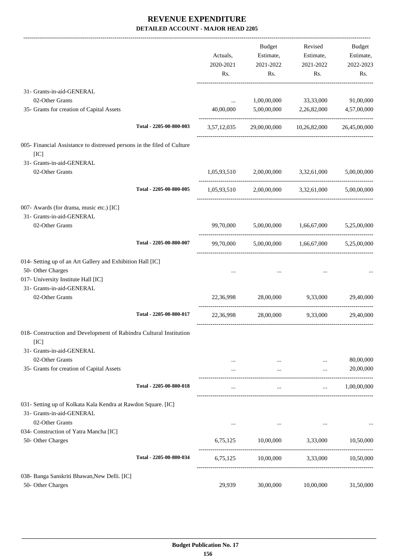|                                                                                            |                         | Actuals,<br>2020-2021<br>Rs. | <b>Budget</b><br>Estimate,<br>2021-2022<br>Rs.  | Revised<br>Estimate,<br>2021-2022<br>Rs. | Budget<br>Estimate,<br>2022-2023<br>Rs. |
|--------------------------------------------------------------------------------------------|-------------------------|------------------------------|-------------------------------------------------|------------------------------------------|-----------------------------------------|
| 31- Grants-in-aid-GENERAL                                                                  |                         |                              |                                                 |                                          |                                         |
| 02-Other Grants                                                                            |                         | $\ddots$                     | 1,00,00,000                                     | 33,33,000                                | 91,00,000                               |
| 35- Grants for creation of Capital Assets                                                  |                         | 40,00,000                    |                                                 | 5,00,00,000 2,26,82,000                  | 4,57,00,000                             |
|                                                                                            | Total - 2205-00-800-003 | 3,57,12,035                  |                                                 | 29,00,00,000 10,26,82,000                | 26,45,00,000                            |
| 005- Financial Assistance to distressed persons in the filed of Culture<br>[IC]            |                         |                              |                                                 |                                          |                                         |
| 31- Grants-in-aid-GENERAL                                                                  |                         |                              |                                                 |                                          |                                         |
| 02-Other Grants                                                                            |                         |                              | 1,05,93,510 2,00,00,000 3,32,61,000 5,00,00,000 |                                          |                                         |
|                                                                                            | Total - 2205-00-800-005 | 1,05,93,510                  | 2,00,00,000                                     | 3,32,61,000                              | 5,00,00,000                             |
| 007- Awards (for drama, music etc.) [IC]                                                   |                         |                              |                                                 |                                          |                                         |
| 31- Grants-in-aid-GENERAL                                                                  |                         |                              |                                                 |                                          |                                         |
| 02-Other Grants                                                                            |                         |                              | 99,70,000 5,00,00,000 1,66,67,000 5,25,00,000   |                                          |                                         |
|                                                                                            | Total - 2205-00-800-007 | 99,70,000                    |                                                 | 5,00,00,000 1,66,67,000 5,25,00,000      |                                         |
| 014- Setting up of an Art Gallery and Exhibition Hall [IC]                                 |                         |                              |                                                 |                                          |                                         |
| 50- Other Charges                                                                          |                         |                              |                                                 |                                          |                                         |
| 017- University Institute Hall [IC]                                                        |                         |                              |                                                 |                                          |                                         |
| 31- Grants-in-aid-GENERAL                                                                  |                         |                              |                                                 |                                          |                                         |
| 02-Other Grants                                                                            |                         | 22,36,998                    | 28,00,000                                       | 9,33,000                                 | 29,40,000                               |
|                                                                                            | Total - 2205-00-800-017 | 22,36,998                    |                                                 | 28,00,000 9.33,000                       | 29,40,000                               |
| 018- Construction and Development of Rabindra Cultural Institution<br>[IC]                 |                         |                              |                                                 |                                          |                                         |
| 31- Grants-in-aid-GENERAL                                                                  |                         |                              |                                                 |                                          |                                         |
| 02-Other Grants                                                                            |                         | $\cdots$                     |                                                 | $\cdots$                                 | 80,00,000                               |
| 35- Grants for creation of Capital Assets                                                  |                         |                              | $\cdots$                                        | $\cdots$                                 | 20,00,000                               |
|                                                                                            | Total - 2205-00-800-018 |                              | $\cdots$                                        | $\cdots$                                 | 1,00,00,000                             |
| 031- Setting up of Kolkata Kala Kendra at Rawdon Square. [IC]<br>31- Grants-in-aid-GENERAL |                         |                              |                                                 |                                          |                                         |
| 02-Other Grants                                                                            |                         | $\cdots$                     | $\ldots$                                        | $\ldots$                                 |                                         |
| 034- Construction of Yatra Mancha [IC]<br>50- Other Charges                                |                         | 6,75,125                     | 10,00,000                                       | 3,33,000                                 | 10,50,000                               |
|                                                                                            |                         |                              |                                                 |                                          |                                         |
|                                                                                            | Total - 2205-00-800-034 | 6,75,125                     | 10,00,000                                       | 3,33,000                                 | 10,50,000                               |
| 038- Banga Sanskriti Bhawan, New Delli. [IC]                                               |                         |                              |                                                 |                                          |                                         |
| 50- Other Charges                                                                          |                         | 29,939                       | 30,00,000                                       | 10,00,000                                | 31,50,000                               |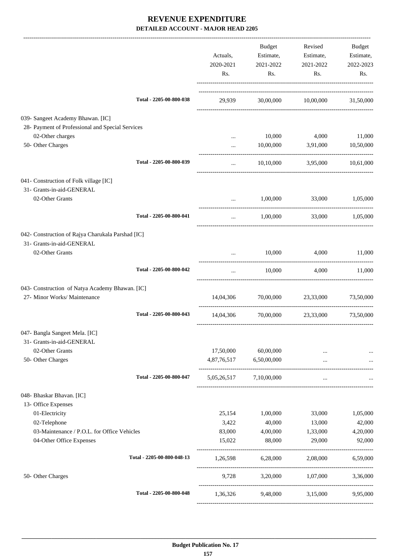|                                                                                 |                            | Actuals,<br>2020-2021<br>Rs. | Budget<br>Estimate,<br>2021-2022<br>Rs. | Revised<br>Estimate,<br>2021-2022<br>Rs. | Budget<br>Estimate,<br>2022-2023<br>Rs. |
|---------------------------------------------------------------------------------|----------------------------|------------------------------|-----------------------------------------|------------------------------------------|-----------------------------------------|
|                                                                                 | Total - 2205-00-800-038    | 29,939                       |                                         | 30,00,000 10,00,000 31,50,000            |                                         |
| 039- Sangeet Academy Bhawan. [IC]                                               |                            |                              |                                         |                                          |                                         |
| 28- Payment of Professional and Special Services                                |                            |                              |                                         |                                          |                                         |
| 02-Other charges<br>50- Other Charges                                           |                            | $\cdots$                     | 10,000                                  | 4,000<br>3,91,000                        | 11,000                                  |
|                                                                                 |                            | $\ddotsc$                    | 10,00,000                               |                                          | 10,50,000                               |
|                                                                                 | Total - 2205-00-800-039    | $\cdots$                     | 10,10,000                               | 3,95,000 10,61,000                       |                                         |
| 041- Construction of Folk village [IC]                                          |                            |                              |                                         |                                          |                                         |
| 31- Grants-in-aid-GENERAL                                                       |                            |                              |                                         |                                          |                                         |
| 02-Other Grants                                                                 |                            | $\cdots$                     | 1,00,000                                | 33,000                                   | 1,05,000                                |
|                                                                                 | Total - 2205-00-800-041    | $\cdots$                     | 1,00,000                                |                                          | 33,000 1,05,000                         |
| 042- Construction of Rajya Charukala Parshad [IC]                               |                            |                              |                                         |                                          |                                         |
| 31- Grants-in-aid-GENERAL                                                       |                            |                              |                                         |                                          |                                         |
| 02-Other Grants                                                                 |                            | $\cdots$                     | 10,000                                  | 4,000                                    | 11,000                                  |
|                                                                                 | Total - 2205-00-800-042    | $\cdots$                     | 10,000                                  |                                          | 4,000 11,000                            |
|                                                                                 |                            |                              |                                         |                                          |                                         |
| 043- Construction of Natya Academy Bhawan. [IC]<br>27- Minor Works/ Maintenance |                            | 14,04,306                    |                                         | 70,00,000 23,33,000                      | 73,50,000                               |
|                                                                                 |                            |                              |                                         |                                          |                                         |
|                                                                                 | Total - 2205-00-800-043    | 14,04,306                    |                                         | 70,00,000 23,33,000                      | 73,50,000                               |
| 047- Bangla Sangeet Mela. [IC]                                                  |                            |                              |                                         |                                          |                                         |
| 31- Grants-in-aid-GENERAL                                                       |                            |                              |                                         |                                          |                                         |
| 02-Other Grants                                                                 |                            | 17,50,000                    | 60,00,000                               |                                          |                                         |
| 50- Other Charges                                                               |                            | 4,87,76,517                  | 6,50,00,000                             | $\cdots$                                 |                                         |
|                                                                                 | Total - 2205-00-800-047    |                              | 5,05,26,517 7,10,00,000                 | $\ddots$                                 |                                         |
| 048- Bhaskar Bhavan. [IC]                                                       |                            |                              |                                         |                                          |                                         |
| 13- Office Expenses                                                             |                            |                              |                                         |                                          |                                         |
| 01-Electricity                                                                  |                            | 25,154                       | 1,00,000                                | 33,000                                   | 1,05,000                                |
| 02-Telephone                                                                    |                            | 3,422                        | 40,000                                  | 13,000                                   | 42,000                                  |
| 03-Maintenance / P.O.L. for Office Vehicles                                     |                            | 83,000                       | 4,00,000                                | 1,33,000                                 | 4,20,000                                |
| 04-Other Office Expenses                                                        |                            | 15,022                       | 88,000                                  | 29,000                                   | 92,000                                  |
|                                                                                 | Total - 2205-00-800-048-13 | 1,26,598                     | 6,28,000                                | 2,08,000                                 | 6,59,000                                |
| 50- Other Charges                                                               |                            | 9,728                        | 3,20,000                                | 1,07,000                                 | 3,36,000                                |
|                                                                                 | Total - 2205-00-800-048    | 1,36,326                     |                                         | 9,48,000 3,15,000                        | 9,95,000                                |
|                                                                                 |                            |                              |                                         |                                          |                                         |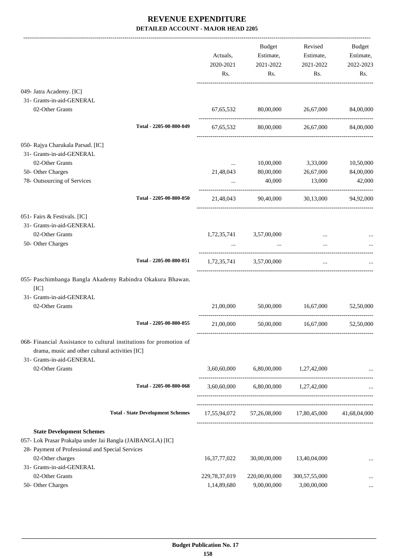|                                                                              |                                          |                 | Budget                                    | Revised                                 | Budget       |
|------------------------------------------------------------------------------|------------------------------------------|-----------------|-------------------------------------------|-----------------------------------------|--------------|
|                                                                              |                                          | Actuals,        | Estimate,                                 | Estimate,                               | Estimate,    |
|                                                                              |                                          | 2020-2021       | 2021-2022                                 | 2021-2022                               | 2022-2023    |
|                                                                              |                                          | Rs.             | Rs.                                       | Rs.                                     | Rs.          |
| 049- Jatra Academy. [IC]                                                     |                                          |                 |                                           |                                         |              |
| 31- Grants-in-aid-GENERAL                                                    |                                          |                 |                                           |                                         |              |
| 02-Other Grants                                                              |                                          |                 |                                           | 67,65,532 80,00,000 26,67,000           | 84,00,000    |
|                                                                              | Total - 2205-00-800-049                  |                 |                                           | 67,65,532 80,00,000 26,67,000 84,00,000 |              |
| 050- Rajya Charukala Parsad. [IC]                                            |                                          |                 |                                           |                                         |              |
| 31- Grants-in-aid-GENERAL                                                    |                                          |                 |                                           |                                         |              |
| 02-Other Grants                                                              |                                          | $\cdots$        | 10,00,000                                 | 3,33,000                                | 10,50,000    |
| 50- Other Charges                                                            |                                          | 21,48,043       | 80,00,000                                 | 26,67,000                               | 84,00,000    |
| 78- Outsourcing of Services                                                  |                                          | $\cdots$        | 40,000                                    | 13,000                                  | 42,000       |
|                                                                              | Total - 2205-00-800-050                  |                 |                                           | 21,48,043 90,40,000 30,13,000 94,92,000 |              |
| 051- Fairs & Festivals. [IC]                                                 |                                          |                 |                                           |                                         |              |
| 31- Grants-in-aid-GENERAL                                                    |                                          |                 |                                           |                                         |              |
| 02-Other Grants                                                              |                                          |                 | 1,72,35,741 3,57,00,000                   | $\cdots$                                |              |
| 50- Other Charges                                                            |                                          | $\cdots$        | $\sim$ $\sim$                             |                                         |              |
|                                                                              | Total - 2205-00-800-051                  |                 | 1,72,35,741 3,57,00,000                   | $\cdots$                                |              |
| 055- Paschimbanga Bangla Akademy Rabindra Okakura Bhawan.<br>[IC]            |                                          |                 |                                           |                                         |              |
| 31- Grants-in-aid-GENERAL                                                    |                                          |                 |                                           |                                         |              |
| 02-Other Grants                                                              |                                          | 21,00,000       | 50,00,000                                 | 16,67,000                               | 52,50,000    |
|                                                                              | Total - 2205-00-800-055                  | 21,00,000       | 50,00,000                                 | 16,67,000                               | 52,50,000    |
| 068- Financial Assistance to cultural institutions for promotion of          |                                          |                 |                                           |                                         |              |
| drama, music and other cultural activities [IC]<br>31- Grants-in-aid-GENERAL |                                          |                 |                                           |                                         |              |
| 02-Other Grants                                                              |                                          | 3,60,60,000     |                                           | 6,80,00,000 1,27,42,000                 |              |
|                                                                              | Total - 2205-00-800-068                  |                 | $3,60,60,000$ $6,80,00,000$ $1,27,42,000$ |                                         |              |
|                                                                              |                                          |                 |                                           |                                         |              |
|                                                                              | <b>Total - State Development Schemes</b> |                 |                                           | 17,55,94,072 57,26,08,000 17,80,45,000  | 41,68,04,000 |
| <b>State Development Schemes</b>                                             |                                          |                 |                                           |                                         |              |
| 057- Lok Prasar Prakalpa under Jai Bangla (JAIBANGLA) [IC]                   |                                          |                 |                                           |                                         |              |
| 28- Payment of Professional and Special Services                             |                                          |                 |                                           |                                         |              |
| 02-Other charges                                                             |                                          | 16, 37, 77, 022 | 30,00,00,000                              | 13,40,04,000                            |              |
| 31- Grants-in-aid-GENERAL                                                    |                                          |                 |                                           |                                         |              |
| 02-Other Grants                                                              |                                          | 229,78,37,019   | 220,00,00,000                             | 300,57,55,000                           |              |
| 50- Other Charges                                                            |                                          | 1,14,89,680     | 9,00,00,000                               | 3,00,00,000                             |              |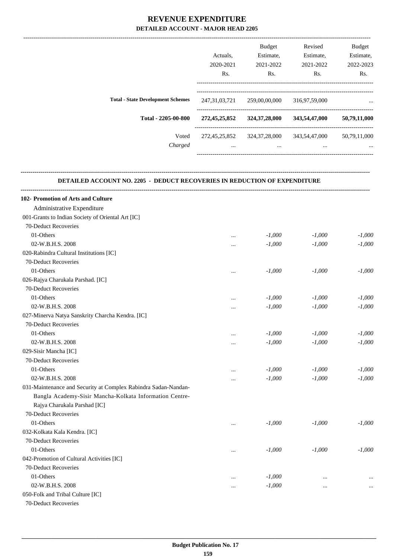|                                          |                  | <b>Budget</b>    | Revised       | <b>Budget</b> |
|------------------------------------------|------------------|------------------|---------------|---------------|
|                                          | Actuals.         | Estimate,        | Estimate,     | Estimate,     |
|                                          | 2020-2021        | 2021-2022        | 2021-2022     | 2022-2023     |
|                                          | R <sub>s</sub> . | Rs.              | Rs.           | Rs.           |
|                                          |                  |                  |               |               |
| <b>Total - State Development Schemes</b> | 247, 31, 03, 721 | 259,00,00,000    | 316,97,59,000 | $\cdots$      |
| Total - 2205-00-800                      | 272,45,25,852    | 324, 37, 28, 000 | 343,54,47,000 | 50,79,11,000  |
| Voted                                    | 272,45,25,852    | 324, 37, 28, 000 | 343,54,47,000 | 50,79,11,000  |
| Charged                                  | $\cdots$         | $\cdots$         | $\cdots$      | $\cdots$      |
|                                          |                  |                  |               |               |

#### **DETAILED ACCOUNT NO. 2205 - DEDUCT RECOVERIES IN REDUCTION OF EXPENDITURE**

**--------------------------------------------------------------------------------------------------------------------------------------------------------------------------------**

**--------------------------------------------------------------------------------------------------------------------------------------------------------------------------------**

| 102- Promotion of Arts and Culture                             |          |          |           |          |
|----------------------------------------------------------------|----------|----------|-----------|----------|
| Administrative Expenditure                                     |          |          |           |          |
| 001-Grants to Indian Society of Oriental Art [IC]              |          |          |           |          |
| 70-Deduct Recoveries                                           |          |          |           |          |
| 01-Others                                                      | $\cdots$ | $-1,000$ | $-1,000$  | $-1,000$ |
| 02-W.B.H.S. 2008                                               |          | $-1,000$ | $-1,000$  | $-1,000$ |
| 020-Rabindra Cultural Institutions [IC]                        |          |          |           |          |
| 70-Deduct Recoveries                                           |          |          |           |          |
| 01-Others                                                      | $\ldots$ | $-1,000$ | $-1,000$  | $-1,000$ |
| 026-Rajya Charukala Parshad. [IC]                              |          |          |           |          |
| 70-Deduct Recoveries                                           |          |          |           |          |
| 01-Others                                                      | $\cdots$ | $-1,000$ | $-1,000$  | $-1,000$ |
| 02-W.B.H.S. 2008                                               |          | $-1,000$ | $-1,000$  | $-1,000$ |
| 027-Minerva Natya Sanskrity Charcha Kendra. [IC]               |          |          |           |          |
| 70-Deduct Recoveries                                           |          |          |           |          |
| 01-Others                                                      | $\ldots$ | $-1,000$ | $-1,000$  | $-1,000$ |
| 02-W.B.H.S. 2008                                               |          | $-1,000$ | $-1,000$  | $-1,000$ |
| 029-Sisir Mancha [IC]                                          |          |          |           |          |
| 70-Deduct Recoveries                                           |          |          |           |          |
| 01-Others                                                      | $\cdots$ | $-1,000$ | $-1,000$  | $-1,000$ |
| 02-W.B.H.S. 2008                                               |          | $-1,000$ | $-1,000$  | $-1,000$ |
| 031-Maintenance and Security at Complex Rabindra Sadan-Nandan- |          |          |           |          |
| Bangla Academy-Sisir Mancha-Kolkata Information Centre-        |          |          |           |          |
| Rajya Charukala Parshad [IC]                                   |          |          |           |          |
| 70-Deduct Recoveries                                           |          |          |           |          |
| 01-Others                                                      |          | $-1,000$ | $-1,000$  | $-1.000$ |
| 032-Kolkata Kala Kendra. [IC]                                  |          |          |           |          |
| 70-Deduct Recoveries                                           |          |          |           |          |
| 01-Others                                                      |          | $-1,000$ | $-1,000$  | $-1,000$ |
| 042-Promotion of Cultural Activities [IC]                      |          |          |           |          |
| 70-Deduct Recoveries                                           |          |          |           |          |
| 01-Others                                                      | $\cdots$ | $-1,000$ | $\ddotsc$ |          |
| 02-W.B.H.S. 2008                                               | $\cdots$ | $-1,000$ | $\cdots$  | $\cdots$ |
| 050-Folk and Tribal Culture [IC]                               |          |          |           |          |
| $\mathbf{a}$ $\mathbf{b}$ $\mathbf{c}$                         |          |          |           |          |

70-Deduct Recoveries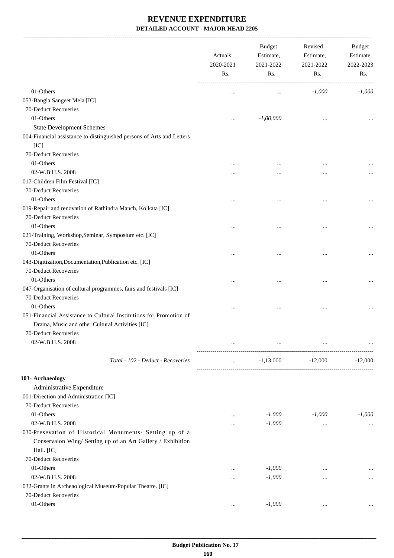-------------------------------------------------------------------------------------------------------------------------------------------------------------------------------

|                                                                                                                       | Actuals,<br>2020-2021<br>Rs. | <b>Budget</b><br>Estimate,<br>2021-2022<br>Rs. | Revised<br>Estimate,<br>2021-2022<br>Rs. | <b>Budget</b><br>Estimate,<br>2022-2023<br>Rs. |
|-----------------------------------------------------------------------------------------------------------------------|------------------------------|------------------------------------------------|------------------------------------------|------------------------------------------------|
| 01-Others                                                                                                             |                              |                                                | $-1,000$                                 | $-1,000$                                       |
| 053-Bangla Sangeet Mela [IC]                                                                                          | $\cdots$                     | $\cdots$                                       |                                          |                                                |
| 70-Deduct Recoveries                                                                                                  |                              |                                                |                                          |                                                |
| 01-Others                                                                                                             | $\cdots$                     | $-1,00,000$                                    |                                          |                                                |
| <b>State Development Schemes</b>                                                                                      |                              |                                                | $\cdots$                                 |                                                |
| 004-Financial assistance to distinguished persons of Arts and Letters                                                 |                              |                                                |                                          |                                                |
| [IC]                                                                                                                  |                              |                                                |                                          |                                                |
| 70-Deduct Recoveries                                                                                                  |                              |                                                |                                          |                                                |
| 01-Others                                                                                                             |                              |                                                |                                          |                                                |
| 02-W.B.H.S. 2008                                                                                                      |                              |                                                |                                          |                                                |
| 017-Children Film Festival [IC]                                                                                       |                              |                                                |                                          |                                                |
| 70-Deduct Recoveries                                                                                                  |                              |                                                |                                          |                                                |
| 01-Others                                                                                                             |                              |                                                |                                          | $\cdots$                                       |
| 019-Repair and renovation of Rathindra Manch, Kolkata [IC]                                                            |                              |                                                |                                          |                                                |
| 70-Deduct Recoveries                                                                                                  |                              |                                                |                                          |                                                |
| 01-Others                                                                                                             |                              |                                                |                                          | $\cdots$                                       |
| 021-Training, Workshop, Seminar, Symposium etc. [IC]                                                                  |                              |                                                |                                          |                                                |
| 70-Deduct Recoveries                                                                                                  |                              |                                                |                                          |                                                |
| 01-Others                                                                                                             |                              |                                                |                                          | $\cdots$                                       |
| 043-Digitization, Documentation, Publication etc. [IC]                                                                |                              |                                                |                                          |                                                |
| 70-Deduct Recoveries                                                                                                  |                              |                                                |                                          |                                                |
| 01-Others                                                                                                             |                              |                                                |                                          | $\cdots$                                       |
| 047-Organisation of cultural programmes, fairs and festivals [IC]                                                     |                              |                                                |                                          |                                                |
| 70-Deduct Recoveries                                                                                                  |                              |                                                |                                          |                                                |
| 01-Others                                                                                                             |                              |                                                |                                          |                                                |
| 051-Financial Assistance to Cultural Institutions for Promotion of<br>Drama, Music and other Cultural Activities [IC] |                              |                                                |                                          |                                                |
| 70-Deduct Recoveries                                                                                                  |                              |                                                |                                          |                                                |
| 02-W.B.H.S. 2008                                                                                                      |                              | $\cdots$                                       |                                          |                                                |
| Total - 102 - Deduct - Recoveries                                                                                     | $\cdots$                     | $-1,13,000$                                    | $-12,000$                                | .<br>$-12,000$                                 |
|                                                                                                                       |                              |                                                |                                          |                                                |
| 103- Archaeology                                                                                                      |                              |                                                |                                          |                                                |
| Administrative Expenditure                                                                                            |                              |                                                |                                          |                                                |
| 001-Direction and Administration [IC]                                                                                 |                              |                                                |                                          |                                                |
| 70-Deduct Recoveries                                                                                                  |                              |                                                |                                          |                                                |
| 01-Others                                                                                                             |                              | $-1,000$                                       | $-1,000$                                 | $-1,000$                                       |
| 02-W.B.H.S. 2008                                                                                                      |                              | $-1,000$                                       | $\cdots$                                 | $\cdots$                                       |
| 030-Presevation of Historical Monuments- Setting up of a                                                              |                              |                                                |                                          |                                                |
| Conservaion Wing/ Setting up of an Art Gallery / Exhibition<br>Hall. [IC]                                             |                              |                                                |                                          |                                                |
| 70-Deduct Recoveries                                                                                                  |                              |                                                |                                          |                                                |
| 01-Others                                                                                                             | $\cdots$                     | $-1,000$                                       |                                          |                                                |
| 02-W.B.H.S. 2008                                                                                                      | $\cdots$                     | $-1,000$                                       |                                          |                                                |
| 032-Grants in Archeaological Museum/Popular Theatre. [IC]                                                             |                              |                                                |                                          |                                                |
| 70-Deduct Recoveries                                                                                                  |                              |                                                |                                          |                                                |
| 01-Others                                                                                                             | $\cdots$                     | $-1,000$                                       | $\cdots$                                 |                                                |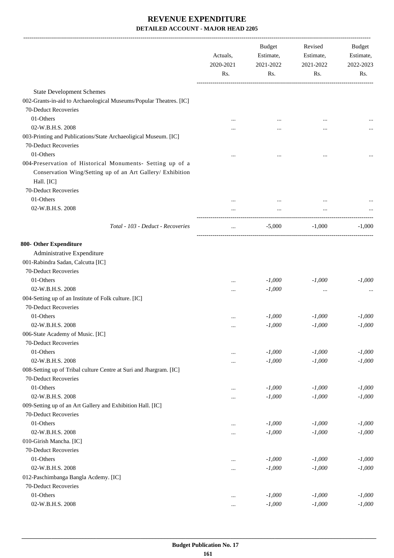|                                                                                                                                       | Actuals,<br>2020-2021<br>Rs. | <b>Budget</b><br>Estimate,<br>2021-2022<br>Rs. | Revised<br>Estimate,<br>2021-2022<br>Rs. | Budget<br>Estimate,<br>2022-2023<br>Rs. |
|---------------------------------------------------------------------------------------------------------------------------------------|------------------------------|------------------------------------------------|------------------------------------------|-----------------------------------------|
| <b>State Development Schemes</b>                                                                                                      |                              |                                                |                                          |                                         |
| 002-Grants-in-aid to Archaeological Museums/Popular Theatres. [IC]                                                                    |                              |                                                |                                          |                                         |
| 70-Deduct Recoveries                                                                                                                  |                              |                                                |                                          |                                         |
| 01-Others                                                                                                                             |                              |                                                |                                          |                                         |
| 02-W.B.H.S. 2008                                                                                                                      |                              |                                                |                                          |                                         |
| 003-Printing and Publications/State Archaeoligical Museum. [IC]                                                                       |                              |                                                |                                          |                                         |
| 70-Deduct Recoveries<br>01-Others                                                                                                     |                              |                                                |                                          |                                         |
|                                                                                                                                       |                              |                                                |                                          |                                         |
| 004-Preservation of Historical Monuments- Setting up of a<br>Conservation Wing/Setting up of an Art Gallery/ Exhibition<br>Hall. [IC] |                              |                                                |                                          |                                         |
| 70-Deduct Recoveries                                                                                                                  |                              |                                                |                                          |                                         |
| 01-Others                                                                                                                             |                              |                                                |                                          |                                         |
| 02-W.B.H.S. 2008                                                                                                                      |                              |                                                |                                          |                                         |
|                                                                                                                                       |                              |                                                |                                          |                                         |
| Total - 103 - Deduct - Recoveries                                                                                                     | $\cdots$                     | $-5,000$                                       | $-1,000$                                 | $-1,000$                                |
| 800- Other Expenditure                                                                                                                |                              |                                                |                                          |                                         |
| Administrative Expenditure                                                                                                            |                              |                                                |                                          |                                         |
| 001-Rabindra Sadan, Calcutta [IC]                                                                                                     |                              |                                                |                                          |                                         |
| 70-Deduct Recoveries                                                                                                                  |                              |                                                |                                          |                                         |
| 01-Others                                                                                                                             |                              | $-1,000$                                       | $-1,000$                                 | $-1,000$                                |
| 02-W.B.H.S. 2008                                                                                                                      |                              | $-1,000$                                       |                                          |                                         |
| 004-Setting up of an Institute of Folk culture. [IC]                                                                                  |                              |                                                |                                          |                                         |
| 70-Deduct Recoveries                                                                                                                  |                              |                                                |                                          |                                         |
| 01-Others                                                                                                                             |                              | $-1,000$                                       | $-1,000$                                 | $-1,000$                                |
| 02-W.B.H.S. 2008                                                                                                                      |                              | $-1,000$                                       | $-1,000$                                 | $-1,000$                                |
| 006-State Academy of Music. [IC]                                                                                                      |                              |                                                |                                          |                                         |
| 70-Deduct Recoveries                                                                                                                  |                              |                                                |                                          |                                         |
| 01-Others                                                                                                                             |                              | $-1,000$                                       | $-1,000$                                 | $-1,000$                                |
| 02-W.B.H.S. 2008                                                                                                                      |                              | $-1,000$                                       | $-1,000$                                 | $-1,000$                                |
| 008-Setting up of Tribal culture Centre at Suri and Jhargram. [IC]                                                                    |                              |                                                |                                          |                                         |
| 70-Deduct Recoveries                                                                                                                  |                              |                                                |                                          |                                         |
| 01-Others                                                                                                                             |                              | $-1,000$                                       | $-1,000$                                 | $-1,000$                                |
| 02-W.B.H.S. 2008                                                                                                                      |                              | $-1,000$                                       | $-1,000$                                 | $-1,000$                                |
| 009-Setting up of an Art Gallery and Exhibition Hall. [IC]                                                                            |                              |                                                |                                          |                                         |
| 70-Deduct Recoveries                                                                                                                  |                              |                                                |                                          |                                         |
| 01-Others                                                                                                                             |                              | $-1,000$                                       | $-1,000$                                 | $-1,000$                                |
| 02-W.B.H.S. 2008                                                                                                                      |                              | $-1,000$                                       | $-1,000$                                 | $-1,000$                                |
| 010-Girish Mancha. [IC]                                                                                                               |                              |                                                |                                          |                                         |
| 70-Deduct Recoveries                                                                                                                  |                              |                                                |                                          |                                         |
| 01-Others                                                                                                                             |                              | $-1,000$                                       | $-1,000$                                 | $-1,000$                                |
| 02-W.B.H.S. 2008                                                                                                                      |                              | $-1,000$                                       | $-1,000$                                 | $-1,000$                                |
| 012-Paschimbanga Bangla Acdemy. [IC]                                                                                                  |                              |                                                |                                          |                                         |
| 70-Deduct Recoveries                                                                                                                  |                              |                                                |                                          |                                         |
| 01-Others                                                                                                                             |                              | $-1,000$                                       | $-1,000$                                 | $-1,000$                                |
| 02-W.B.H.S. 2008                                                                                                                      |                              | $-1,000$                                       | $-1,000$                                 | $-1,000$                                |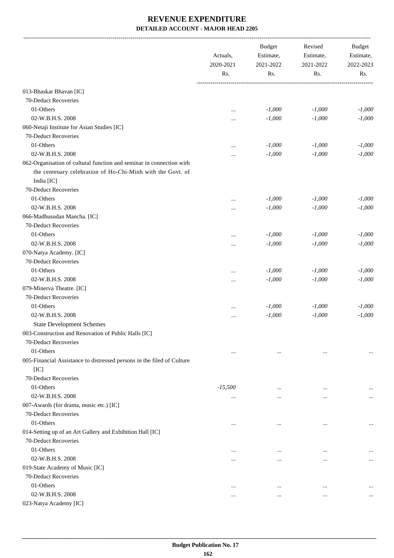-------------------------------------------------------------------------------------------------------------------------------------------------------------------------------

|                                                                        | Actuals,<br>2020-2021<br>Rs. | <b>Budget</b><br>Estimate,<br>2021-2022<br>Rs. | Revised<br>Estimate,<br>2021-2022<br>Rs. | <b>Budget</b><br>Estimate,<br>2022-2023<br>Rs. |
|------------------------------------------------------------------------|------------------------------|------------------------------------------------|------------------------------------------|------------------------------------------------|
| 013-Bhaskar Bhavan [IC]                                                |                              |                                                |                                          |                                                |
| 70-Deduct Recoveries                                                   |                              |                                                |                                          |                                                |
| 01-Others                                                              |                              | $-1,000$                                       | $-1,000$                                 | $-1,000$                                       |
| 02-W.B.H.S. 2008                                                       |                              | $-1,000$                                       | $-1,000$                                 | $-1,000$                                       |
| 060-Netaji Institute for Asian Studies [IC]                            |                              |                                                |                                          |                                                |
| 70-Deduct Recoveries                                                   |                              |                                                |                                          |                                                |
| 01-Others                                                              |                              | $-1,000$                                       | $-1,000$                                 | $-1,000$                                       |
| 02-W.B.H.S. 2008                                                       |                              | $-1,000$                                       | $-1,000$                                 | $-1,000$                                       |
| 062-Organisation of cultural function and seminar in connection with   |                              |                                                |                                          |                                                |
| the centenary celebration of Ho-Chi-Minh with the Govt. of             |                              |                                                |                                          |                                                |
| India [IC]                                                             |                              |                                                |                                          |                                                |
| 70-Deduct Recoveries                                                   |                              |                                                |                                          |                                                |
| 01-Others                                                              |                              | $-1,000$                                       | $-1,000$                                 | $-1,000$                                       |
| 02-W.B.H.S. 2008                                                       |                              | $-1,000$                                       | $-1,000$                                 | $-1,000$                                       |
| 066-Madhusudan Mancha. [IC]                                            |                              |                                                |                                          |                                                |
| 70-Deduct Recoveries                                                   |                              |                                                |                                          |                                                |
| 01-Others                                                              |                              | $-1,000$                                       | $-1,000$                                 | $-1,000$                                       |
| 02-W.B.H.S. 2008                                                       |                              | $-1,000$                                       | $-1,000$                                 | $-1,000$                                       |
| 070-Natya Academy. [IC]                                                |                              |                                                |                                          |                                                |
| 70-Deduct Recoveries                                                   |                              |                                                |                                          |                                                |
| 01-Others                                                              |                              | $-1,000$                                       | $-1,000$                                 | $-1,000$                                       |
| 02-W.B.H.S. 2008                                                       |                              | $-1,000$                                       | $-1,000$                                 | $-1,000$                                       |
| 079-Minerva Theatre. [IC]                                              |                              |                                                |                                          |                                                |
| 70-Deduct Recoveries                                                   |                              |                                                |                                          |                                                |
| 01-Others                                                              |                              | $-1,000$                                       | $-1,000$                                 | $-1,000$                                       |
| 02-W.B.H.S. 2008                                                       |                              | $-1,000$                                       | $-1,000$                                 | $-1,000$                                       |
| <b>State Development Schemes</b>                                       |                              |                                                |                                          |                                                |
| 003-Construction and Renovation of Public Halls [IC]                   |                              |                                                |                                          |                                                |
| 70-Deduct Recoveries                                                   |                              |                                                |                                          |                                                |
| 01-Others                                                              | $\cdots$                     | $\cdots$                                       | $\ddotsc$                                | $\cdots$                                       |
| 005-Financial Assistance to distressed persons in the filed of Culture |                              |                                                |                                          |                                                |
| [IC]                                                                   |                              |                                                |                                          |                                                |
| 70-Deduct Recoveries                                                   |                              |                                                |                                          |                                                |
| 01-Others                                                              | $-15,500$                    | $\cdots$                                       |                                          |                                                |
| 02-W.B.H.S. 2008                                                       | $\cdots$                     | $\cdots$                                       |                                          | $\cdots$                                       |
| 007-Awards (for drama, music etc.) [IC]                                |                              |                                                |                                          |                                                |
| 70-Deduct Recoveries                                                   |                              |                                                |                                          |                                                |
| 01-Others                                                              | $\ddotsc$                    | $\cdots$                                       | $\cdots$                                 | $\ddotsc$                                      |
| 014-Setting up of an Art Gallery and Exhibition Hall [IC]              |                              |                                                |                                          |                                                |
| 70-Deduct Recoveries                                                   |                              |                                                |                                          |                                                |
| 01-Others                                                              |                              | $\ddotsc$                                      | $\ddotsc$                                |                                                |
| 02-W.B.H.S. 2008                                                       |                              | $\ddotsc$                                      | $\ddotsc$                                | $\cdots$                                       |
| 019-State Academy of Music [IC]                                        |                              |                                                |                                          |                                                |
| 70-Deduct Recoveries                                                   |                              |                                                |                                          |                                                |
| 01-Others                                                              | $\cdots$                     | $\cdots$                                       | $\cdots$                                 |                                                |
| 02-W.B.H.S. 2008                                                       | $\cdots$                     | $\cdots$                                       | $\cdots$                                 | $\cdots$                                       |
| 023-Natya Academy [IC]                                                 |                              |                                                |                                          |                                                |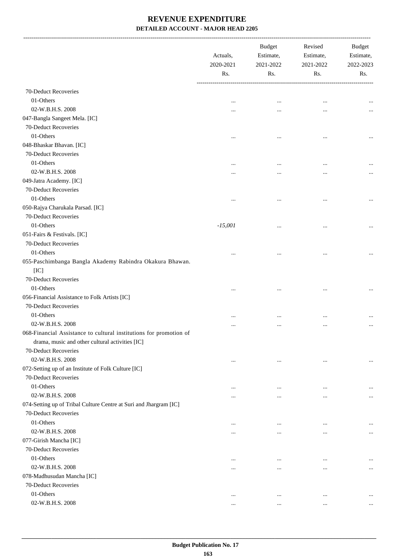|                                                                    | Actuals,<br>2020-2021<br>Rs. | <b>Budget</b><br>Estimate,<br>2021-2022<br>Rs. | Revised<br>Estimate,<br>2021-2022<br>Rs. | <b>Budget</b><br>Estimate,<br>2022-2023<br>Rs. |
|--------------------------------------------------------------------|------------------------------|------------------------------------------------|------------------------------------------|------------------------------------------------|
|                                                                    |                              |                                                |                                          |                                                |
| 70-Deduct Recoveries                                               |                              |                                                |                                          |                                                |
| 01-Others                                                          |                              |                                                |                                          |                                                |
| 02-W.B.H.S. 2008                                                   |                              |                                                |                                          |                                                |
| 047-Bangla Sangeet Mela. [IC]                                      |                              |                                                |                                          |                                                |
| 70-Deduct Recoveries                                               |                              |                                                |                                          |                                                |
| 01-Others                                                          |                              |                                                |                                          | $\cdots$                                       |
| 048-Bhaskar Bhavan. [IC]                                           |                              |                                                |                                          |                                                |
| 70-Deduct Recoveries                                               |                              |                                                |                                          |                                                |
| 01-Others                                                          |                              |                                                |                                          |                                                |
| 02-W.B.H.S. 2008                                                   |                              |                                                |                                          |                                                |
| 049-Jatra Academy. [IC]                                            |                              |                                                |                                          |                                                |
| 70-Deduct Recoveries                                               |                              |                                                |                                          |                                                |
| 01-Others                                                          |                              |                                                |                                          |                                                |
| 050-Rajya Charukala Parsad. [IC]                                   |                              |                                                |                                          |                                                |
| 70-Deduct Recoveries                                               |                              |                                                |                                          |                                                |
| 01-Others                                                          | $-15,001$                    |                                                |                                          |                                                |
| 051-Fairs & Festivals. [IC]                                        |                              |                                                |                                          |                                                |
| 70-Deduct Recoveries                                               |                              |                                                |                                          |                                                |
| 01-Others                                                          |                              |                                                |                                          |                                                |
| 055-Paschimbanga Bangla Akademy Rabindra Okakura Bhawan.           |                              |                                                |                                          |                                                |
| [IC]                                                               |                              |                                                |                                          |                                                |
| 70-Deduct Recoveries                                               |                              |                                                |                                          |                                                |
| 01-Others                                                          |                              |                                                |                                          |                                                |
| 056-Financial Assistance to Folk Artists [IC]                      |                              |                                                |                                          |                                                |
| 70-Deduct Recoveries                                               |                              |                                                |                                          |                                                |
| 01-Others                                                          |                              |                                                | $\ddotsc$                                |                                                |
| 02-W.B.H.S. 2008                                                   |                              |                                                | $\ddotsc$                                |                                                |
| 068-Financial Assistance to cultural institutions for promotion of |                              |                                                |                                          |                                                |
| drama, music and other cultural activities [IC]                    |                              |                                                |                                          |                                                |
| 70-Deduct Recoveries                                               |                              |                                                |                                          |                                                |
| 02-W.B.H.S. 2008                                                   | $\cdots$                     | $\cdots$                                       | $\cdots$                                 | $\cdots$                                       |
| 072-Setting up of an Institute of Folk Culture [IC]                |                              |                                                |                                          |                                                |
| 70-Deduct Recoveries                                               |                              |                                                |                                          |                                                |
| 01-Others                                                          | $\ddotsc$                    | $\ddotsc$                                      | $\ddotsc$                                |                                                |
| 02-W.B.H.S. 2008                                                   |                              |                                                | $\ddotsc$                                | $\cdots$                                       |
| 074-Setting up of Tribal Culture Centre at Suri and Jhargram [IC]  |                              |                                                |                                          |                                                |
| 70-Deduct Recoveries                                               |                              |                                                |                                          |                                                |
| 01-Others                                                          |                              |                                                |                                          |                                                |
| 02-W.B.H.S. 2008                                                   |                              | $\ddotsc$                                      | $\ddotsc$                                |                                                |
| 077-Girish Mancha [IC]                                             |                              | $\ddotsc$                                      | $\ddotsc$                                | $\cdots$                                       |
| 70-Deduct Recoveries                                               |                              |                                                |                                          |                                                |
| 01-Others                                                          |                              |                                                |                                          |                                                |
|                                                                    | $\ddotsc$                    | $\ddotsc$                                      | $\ddotsc$                                |                                                |
| 02-W.B.H.S. 2008                                                   |                              |                                                | $\cdots$                                 | $\cdots$                                       |
| 078-Madhusudan Mancha [IC]                                         |                              |                                                |                                          |                                                |
| 70-Deduct Recoveries                                               |                              |                                                |                                          |                                                |
| 01-Others                                                          | $\cdots$                     | $\cdots$                                       | $\ddotsc$                                |                                                |
| 02-W.B.H.S. 2008                                                   | $\cdots$                     | $\cdots$                                       | $\cdots$                                 | $\cdots$                                       |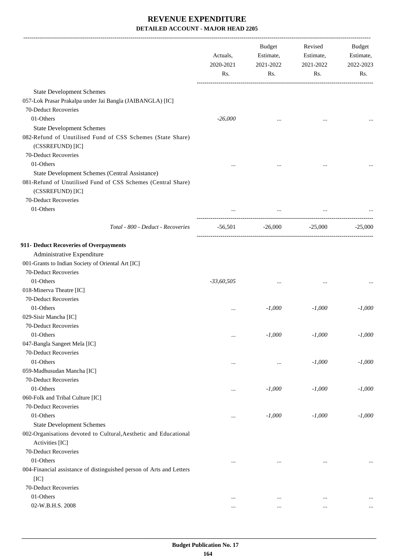|                                                                                     | Actuals,<br>2020-2021<br>Rs. | Budget<br>Estimate,<br>2021-2022<br>Rs. | Revised<br>Estimate,<br>2021-2022<br>Rs. | Budget<br>Estimate,<br>2022-2023<br>Rs. |
|-------------------------------------------------------------------------------------|------------------------------|-----------------------------------------|------------------------------------------|-----------------------------------------|
| <b>State Development Schemes</b>                                                    |                              |                                         |                                          |                                         |
| 057-Lok Prasar Prakalpa under Jai Bangla (JAIBANGLA) [IC]                           |                              |                                         |                                          |                                         |
| 70-Deduct Recoveries                                                                |                              |                                         |                                          |                                         |
| 01-Others                                                                           | $-26,000$                    |                                         |                                          |                                         |
| <b>State Development Schemes</b>                                                    |                              |                                         |                                          |                                         |
| 082-Refund of Unutilised Fund of CSS Schemes (State Share)<br>(CSSREFUND) [IC]      |                              |                                         |                                          |                                         |
| 70-Deduct Recoveries                                                                |                              |                                         |                                          |                                         |
| 01-Others                                                                           | $\cdots$                     |                                         | $\cdots$                                 |                                         |
| State Development Schemes (Central Assistance)                                      |                              |                                         |                                          |                                         |
| 081-Refund of Unutilised Fund of CSS Schemes (Central Share)<br>(CSSREFUND) [IC]    |                              |                                         |                                          |                                         |
| 70-Deduct Recoveries                                                                |                              |                                         |                                          |                                         |
| 01-Others                                                                           | $\cdots$                     | $\cdots$                                |                                          |                                         |
| Total - 800 - Deduct - Recoveries                                                   | $-56,501$                    |                                         | $-26,000$ $-25,000$                      | $-25,000$                               |
| 911- Deduct Recoveries of Overpayments                                              |                              |                                         |                                          |                                         |
| Administrative Expenditure                                                          |                              |                                         |                                          |                                         |
| 001-Grants to Indian Society of Oriental Art [IC]                                   |                              |                                         |                                          |                                         |
| 70-Deduct Recoveries                                                                |                              |                                         |                                          |                                         |
| 01-Others                                                                           | $-33,60,505$                 |                                         |                                          |                                         |
| 018-Minerva Theatre [IC]                                                            |                              |                                         |                                          |                                         |
| 70-Deduct Recoveries                                                                |                              |                                         |                                          |                                         |
| 01-Others                                                                           | $\cdots$                     | $-1,000$                                | $-1,000$                                 | $-1,000$                                |
| 029-Sisir Mancha [IC]                                                               |                              |                                         |                                          |                                         |
| 70-Deduct Recoveries                                                                |                              |                                         |                                          |                                         |
| 01-Others                                                                           | $\cdots$                     | $-1,000$                                | $-1,000$                                 | $-1,000$                                |
| 047-Bangla Sangeet Mela [IC]                                                        |                              |                                         |                                          |                                         |
| 70-Deduct Recoveries                                                                |                              |                                         |                                          |                                         |
| 01-Others                                                                           | $\cdots$                     |                                         | $-1,000$                                 | $-1,000$                                |
| 059-Madhusudan Mancha [IC]                                                          |                              |                                         |                                          |                                         |
| 70-Deduct Recoveries                                                                |                              |                                         |                                          |                                         |
| 01-Others                                                                           | $\cdots$                     | $-1,000$                                | $-1,000$                                 | $-1,000$                                |
| 060-Folk and Tribal Culture [IC]                                                    |                              |                                         |                                          |                                         |
| 70-Deduct Recoveries                                                                |                              |                                         |                                          |                                         |
| 01-Others                                                                           | $\cdots$                     | $-1,000$                                | $-1,000$                                 | $-1,000$                                |
| <b>State Development Schemes</b>                                                    |                              |                                         |                                          |                                         |
| 002-Organisations devoted to Cultural, Aesthetic and Educational<br>Activities [IC] |                              |                                         |                                          |                                         |
| 70-Deduct Recoveries                                                                |                              |                                         |                                          |                                         |
| 01-Others                                                                           | $\ddotsc$                    |                                         | $\ddotsc$                                |                                         |
| 004-Financial assistance of distinguished person of Arts and Letters                |                              |                                         |                                          |                                         |
| [IC]                                                                                |                              |                                         |                                          |                                         |
| 70-Deduct Recoveries                                                                |                              |                                         |                                          |                                         |
| 01-Others                                                                           | $\ddotsc$                    | $\cdots$                                | $\cdots$                                 | $\cdots$                                |
| 02-W.B.H.S. 2008                                                                    | $\cdots$                     | $\cdots$                                | $\cdots$                                 |                                         |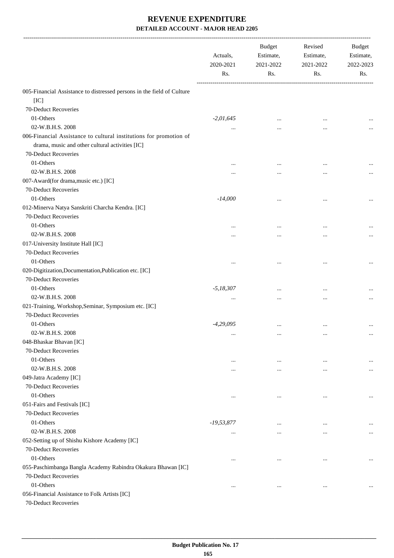|                                                                        | Actuals,<br>2020-2021<br>Rs. | <b>Budget</b><br>Estimate,<br>2021-2022<br>Rs. | Revised<br>Estimate,<br>2021-2022<br>Rs. | Budget<br>Estimate,<br>2022-2023<br>Rs. |
|------------------------------------------------------------------------|------------------------------|------------------------------------------------|------------------------------------------|-----------------------------------------|
| 005-Financial Assistance to distressed persons in the field of Culture |                              |                                                |                                          |                                         |
| [IC]                                                                   |                              |                                                |                                          |                                         |
| 70-Deduct Recoveries                                                   |                              |                                                |                                          |                                         |
| 01-Others                                                              | $-2,01,645$                  | $\ddotsc$                                      | $\ddotsc$                                |                                         |
| 02-W.B.H.S. 2008                                                       |                              |                                                |                                          |                                         |
| 006-Financial Assistance to cultural institutions for promotion of     |                              |                                                |                                          |                                         |
| drama, music and other cultural activities [IC]                        |                              |                                                |                                          |                                         |
| 70-Deduct Recoveries                                                   |                              |                                                |                                          |                                         |
| 01-Others                                                              |                              |                                                | $\cdots$                                 |                                         |
| 02-W.B.H.S. 2008                                                       |                              |                                                | $\cdots$                                 |                                         |
| 007-Award(for drama, music etc.) [IC]                                  |                              |                                                |                                          |                                         |
| 70-Deduct Recoveries                                                   |                              |                                                |                                          |                                         |
| 01-Others                                                              | $-14,000$                    | $\ddotsc$                                      |                                          | $\cdots$                                |
| 012-Minerva Natya Sanskriti Charcha Kendra. [IC]                       |                              |                                                |                                          |                                         |
| 70-Deduct Recoveries                                                   |                              |                                                |                                          |                                         |
| 01-Others                                                              |                              |                                                |                                          |                                         |
| 02-W.B.H.S. 2008                                                       |                              |                                                |                                          |                                         |
| 017-University Institute Hall [IC]                                     |                              |                                                |                                          |                                         |
| 70-Deduct Recoveries                                                   |                              |                                                |                                          |                                         |
| 01-Others                                                              |                              |                                                |                                          |                                         |
| 020-Digitization, Documentation, Publication etc. [IC]                 |                              |                                                |                                          |                                         |
| 70-Deduct Recoveries                                                   |                              |                                                |                                          |                                         |
| 01-Others                                                              | $-5,18,307$                  | $\cdots$                                       |                                          |                                         |
| 02-W.B.H.S. 2008                                                       |                              | $\ddotsc$                                      | $\ddotsc$                                |                                         |
| 021-Training, Workshop, Seminar, Symposium etc. [IC]                   |                              |                                                |                                          |                                         |
| 70-Deduct Recoveries                                                   |                              |                                                |                                          |                                         |
| 01-Others                                                              | $-4,29,095$                  | $\cdots$                                       | $\ddotsc$                                |                                         |
| 02-W.B.H.S. 2008                                                       | $\cdots$                     | $\cdots$                                       | $\cdots$                                 | $\cdots$                                |
| 048-Bhaskar Bhavan [IC]                                                |                              |                                                |                                          |                                         |
| 70-Deduct Recoveries                                                   |                              |                                                |                                          |                                         |
| 01-Others                                                              | $\cdots$                     | $\cdots$                                       | $\ddotsc$                                | $\cdots$                                |
| 02-W.B.H.S. 2008                                                       |                              | $\cdots$                                       |                                          | $\cdots$                                |
| 049-Jatra Academy [IC]                                                 |                              |                                                |                                          |                                         |
| 70-Deduct Recoveries                                                   |                              |                                                |                                          |                                         |
| 01-Others                                                              | $\cdots$                     | $\cdots$                                       | $\ddotsc$                                | $\ldots$                                |
| 051-Fairs and Festivals [IC]                                           |                              |                                                |                                          |                                         |
| 70-Deduct Recoveries                                                   |                              |                                                |                                          |                                         |
| 01-Others                                                              | $-19,53,877$                 | $\cdots$                                       | $\cdots$                                 | $\cdots$                                |
| 02-W.B.H.S. 2008                                                       | $\cdots$                     | $\cdots$                                       | $\cdots$                                 | $\cdots$                                |
| 052-Setting up of Shishu Kishore Academy [IC]                          |                              |                                                |                                          |                                         |
| 70-Deduct Recoveries                                                   |                              |                                                |                                          |                                         |
| 01-Others                                                              | $\cdots$                     | $\cdots$                                       | $\ddotsc$                                | $\ldots$                                |
| 055-Paschimbanga Bangla Academy Rabindra Okakura Bhawan [IC]           |                              |                                                |                                          |                                         |
| 70-Deduct Recoveries                                                   |                              |                                                |                                          |                                         |
| 01-Others                                                              | $\cdots$                     | $\cdots$                                       | $\cdots$                                 | $\cdots$                                |
| 056-Financial Assistance to Folk Artists [IC]<br>70-Deduct Recoveries  |                              |                                                |                                          |                                         |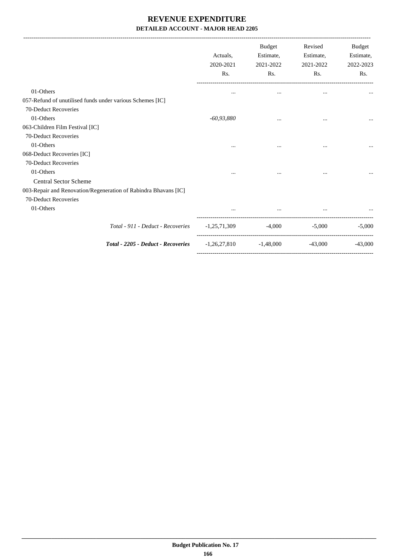| Actuals.<br>2020-2021<br>Rs. | <b>Budget</b><br>Estimate,<br>2021-2022<br>Rs. | Revised<br>Estimate,<br>2021-2022<br>Rs. | <b>Budget</b><br>Estimate,<br>2022-2023<br>Rs. |
|------------------------------|------------------------------------------------|------------------------------------------|------------------------------------------------|
| $\cdots$                     | $\cdots$                                       | $\cdots$                                 |                                                |
|                              |                                                |                                          |                                                |
|                              |                                                |                                          |                                                |
| $-60,93,880$                 | $\cdots$                                       | $\cdots$                                 |                                                |
|                              |                                                |                                          |                                                |
|                              |                                                |                                          |                                                |
| $\cdots$                     | $\cdots$                                       | $\cdots$                                 |                                                |
|                              |                                                |                                          |                                                |
|                              |                                                |                                          |                                                |
|                              |                                                | $\cdots$                                 |                                                |
|                              |                                                |                                          |                                                |
|                              |                                                |                                          |                                                |
|                              |                                                |                                          |                                                |
|                              | $\cdots$                                       |                                          |                                                |
| $-1,25,71,309$               |                                                | $-5,000$                                 | $-5.000$                                       |
| $-1,26,27,810$               | $-1,48,000$                                    | $-43,000$                                | $-43,000$                                      |
|                              |                                                |                                          | $-4,000$                                       |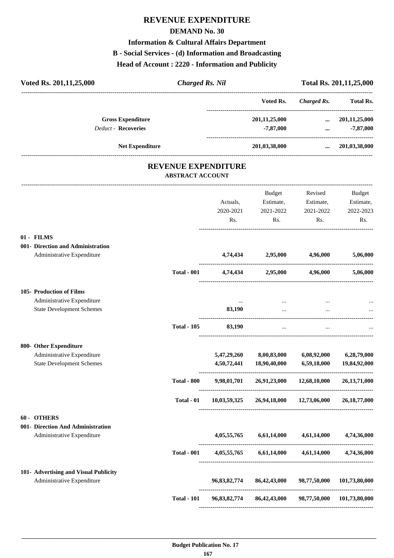# **REVENUE EXPENDITURE**

#### **DEMAND No. 30**

#### **Information & Cultural Affairs Department**

#### **B - Social Services - (d) Information and Broadcasting**

**Head of Account : 2220 - Information and Publicity**

| Voted Rs. 201, 11, 25, 000                                      | <b>Charged Rs. Nil</b>                                |                  |                                           |                                           | Total Rs. 201, 11, 25, 000 |
|-----------------------------------------------------------------|-------------------------------------------------------|------------------|-------------------------------------------|-------------------------------------------|----------------------------|
|                                                                 |                                                       |                  | Voted Rs.                                 | -------------------<br><b>Charged Rs.</b> | Total Rs.                  |
| <b>Gross Expenditure</b>                                        |                                                       |                  | 201,11,25,000                             | $\cdots$                                  | 201,11,25,000              |
| <b>Deduct - Recoveries</b>                                      |                                                       |                  | $-7,87,000$                               | $\cdots$ . The set of $\mathbb{R}^n$      | -7,87,000                  |
| <b>Net Expenditure</b>                                          |                                                       |                  | 201,03,38,000                             |                                           | $\ldots$ 201,03,38,000     |
|                                                                 | <b>REVENUE EXPENDITURE</b><br><b>ABSTRACT ACCOUNT</b> |                  |                                           |                                           |                            |
|                                                                 |                                                       |                  |                                           |                                           |                            |
|                                                                 |                                                       |                  | Budget                                    | Revised                                   | Budget                     |
|                                                                 |                                                       | Actuals,         | Estimate,                                 | Estimate,                                 | Estimate,                  |
|                                                                 |                                                       | 2020-2021<br>Rs. | 2021-2022<br>Rs.                          | 2021-2022<br>Rs.                          | 2022-2023<br>Rs.           |
|                                                                 |                                                       |                  |                                           |                                           |                            |
| 01 - FILMS                                                      |                                                       |                  |                                           |                                           |                            |
| 001- Direction and Administration<br>Administrative Expenditure |                                                       |                  | 4,74,434 2,95,000 4,96,000                |                                           | 5,06,000                   |
|                                                                 |                                                       |                  |                                           |                                           |                            |
|                                                                 | <b>Total - 001</b>                                    |                  | 4,74,434 2,95,000 4,96,000                |                                           | 5,06,000                   |
| 105- Production of Films                                        |                                                       |                  |                                           |                                           |                            |
| Administrative Expenditure                                      |                                                       | $\cdots$         |                                           |                                           |                            |
| <b>State Development Schemes</b>                                |                                                       | 83,190           | $\cdots$                                  |                                           |                            |
|                                                                 | <b>Total - 105</b>                                    | 83,190           | $\cdots$                                  |                                           |                            |
| 800- Other Expenditure                                          |                                                       |                  |                                           |                                           |                            |
| Administrative Expenditure                                      |                                                       | 5,47,29,260      | 8,00,83,000                               | 6,08,92,000                               | 6,28,79,000                |
| <b>State Development Schemes</b>                                |                                                       | 4,50,72,441      | 18,90,40,000                              | 6,59,18,000                               | 19,84,92,000               |
|                                                                 | <b>Total - 800</b>                                    |                  | 9,98,01,701 26,91,23,000 12,68,10,000     |                                           | 26, 13, 71, 000            |
|                                                                 | Total - 01                                            |                  | 10,03,59,325 26,94,18,000                 | 12,73,06,000                              | 26, 18, 77, 000            |
| 60 - OTHERS                                                     |                                                       |                  |                                           |                                           |                            |
| 001- Direction And Administration                               |                                                       |                  |                                           |                                           |                            |
| Administrative Expenditure                                      |                                                       | 4,05,55,765      | 6,61,14,000                               | 4,61,14,000                               | 4,74,36,000                |
|                                                                 | <b>Total - 001</b>                                    |                  | $4,05,55,765$ $6,61,14,000$ $4,61,14,000$ |                                           | 4,74,36,000                |
| 101- Advertising and Visual Publicity                           |                                                       |                  |                                           |                                           |                            |
| Administrative Expenditure                                      |                                                       | 96,83,82,774     | 86,42,43,000                              | 98,77,50,000                              | 101,73,80,000              |
|                                                                 | <b>Total - 101</b>                                    | 96,83,82,774     | 86,42,43,000                              | 98,77,50,000                              | 101,73,80,000              |

----------------------------------------------------------------------------------------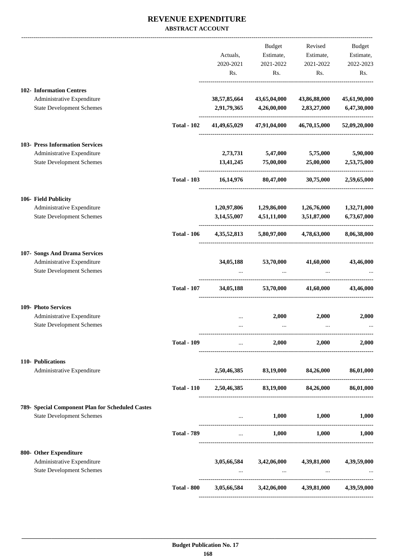#### **REVENUE EXPENDITURE ABSTRACT ACCOUNT**

|                                                                |                    |                                      | Budget                                                                                                                                                                                                                           | Revised                                         | Budget       |
|----------------------------------------------------------------|--------------------|--------------------------------------|----------------------------------------------------------------------------------------------------------------------------------------------------------------------------------------------------------------------------------|-------------------------------------------------|--------------|
|                                                                |                    | Actuals,                             | Estimate,                                                                                                                                                                                                                        | Estimate,                                       | Estimate,    |
|                                                                |                    | 2020-2021                            | 2021-2022                                                                                                                                                                                                                        | 2021-2022                                       | 2022-2023    |
|                                                                |                    | Rs.                                  | Rs.                                                                                                                                                                                                                              | Rs.                                             | Rs.          |
| 102- Information Centres                                       |                    |                                      |                                                                                                                                                                                                                                  |                                                 |              |
| Administrative Expenditure                                     |                    | 38,57,85,664                         | 43,65,04,000                                                                                                                                                                                                                     | 43,86,88,000                                    | 45,61,90,000 |
| <b>State Development Schemes</b>                               |                    | 2,91,79,365                          | 4,26,00,000                                                                                                                                                                                                                      | 2,83,27,000                                     | 6,47,30,000  |
|                                                                | <b>Total - 102</b> | 41,49,65,029                         | 47,91,04,000                                                                                                                                                                                                                     | 46,70,15,000                                    | 52,09,20,000 |
| 103- Press Information Services                                |                    |                                      |                                                                                                                                                                                                                                  |                                                 |              |
| Administrative Expenditure                                     |                    |                                      | 2,73,731 5,47,000                                                                                                                                                                                                                | 5,75,000                                        | 5,90,000     |
| <b>State Development Schemes</b>                               |                    | 13,41,245                            | 75,00,000                                                                                                                                                                                                                        | 25,00,000                                       | 2,53,75,000  |
|                                                                | <b>Total - 103</b> | 16,14,976                            |                                                                                                                                                                                                                                  | 80,47,000 30,75,000                             | 2,59,65,000  |
| 106- Field Publicity                                           |                    |                                      |                                                                                                                                                                                                                                  |                                                 |              |
| Administrative Expenditure                                     |                    | 1,20,97,806                          | 1,29,86,000 1,26,76,000                                                                                                                                                                                                          |                                                 | 1,32,71,000  |
| <b>State Development Schemes</b>                               |                    | 3,14,55,007                          | 4,51,11,000                                                                                                                                                                                                                      | 3,51,87,000                                     | 6,73,67,000  |
|                                                                | <b>Total - 106</b> | 4, 35, 52, 813                       | 5,80,97,000                                                                                                                                                                                                                      | 4,78,63,000                                     | 8,06,38,000  |
| 107- Songs And Drama Services                                  |                    |                                      |                                                                                                                                                                                                                                  |                                                 |              |
| Administrative Expenditure                                     |                    | 34,05,188                            | 53,70,000                                                                                                                                                                                                                        | 41,60,000                                       | 43,46,000    |
| <b>State Development Schemes</b>                               |                    |                                      |                                                                                                                                                                                                                                  |                                                 |              |
|                                                                | <b>Total - 107</b> | 34,05,188                            | 53,70,000                                                                                                                                                                                                                        | 41,60,000                                       | 43,46,000    |
| 109- Photo Services                                            |                    |                                      |                                                                                                                                                                                                                                  |                                                 |              |
| Administrative Expenditure<br><b>State Development Schemes</b> |                    |                                      | 2,000                                                                                                                                                                                                                            | 2,000                                           | 2,000        |
|                                                                |                    |                                      | $\cdots$                                                                                                                                                                                                                         | $\cdots$                                        |              |
|                                                                | <b>Total - 109</b> |                                      | and the state of the                                                                                                                                                                                                             | $2,000$ $2,000$                                 | 2,000        |
| 110- Publications                                              |                    |                                      |                                                                                                                                                                                                                                  |                                                 |              |
| Administrative Expenditure                                     |                    |                                      |                                                                                                                                                                                                                                  | 2,50,46,385 83,19,000 84,26,000 86,01,000       |              |
|                                                                | <b>Total - 110</b> |                                      | 2,50,46,385 83,19,000 84,26,000                                                                                                                                                                                                  |                                                 | 86,01,000    |
| 789- Special Component Plan for Scheduled Castes               |                    |                                      |                                                                                                                                                                                                                                  |                                                 |              |
| <b>State Development Schemes</b>                               |                    | ------------------------------------ | $\mathbf{r}$                                                                                                                                                                                                                     | $1,000$ $1,000$                                 | 1,000        |
|                                                                | <b>Total - 789</b> |                                      | $\mathbf{r}$ , and the set of the set of the set of the set of the set of the set of the set of the set of the set of the set of the set of the set of the set of the set of the set of the set of the set of the set of the set | $1,000$ $1,000$ $1,000$                         |              |
| 800- Other Expenditure                                         |                    |                                      |                                                                                                                                                                                                                                  |                                                 |              |
| Administrative Expenditure<br><b>State Development Schemes</b> |                    |                                      | $3,05,66,584$ $3,42,06,000$ $4,39,81,000$<br><b>Contract Contract</b>                                                                                                                                                            | $\sim$ $\sim$ $\sim$                            | 4,39,59,000  |
|                                                                | <b>Total - 800</b> |                                      |                                                                                                                                                                                                                                  | 3,05,66,584 3,42,06,000 4,39,81,000 4,39,59,000 |              |
|                                                                |                    |                                      |                                                                                                                                                                                                                                  |                                                 |              |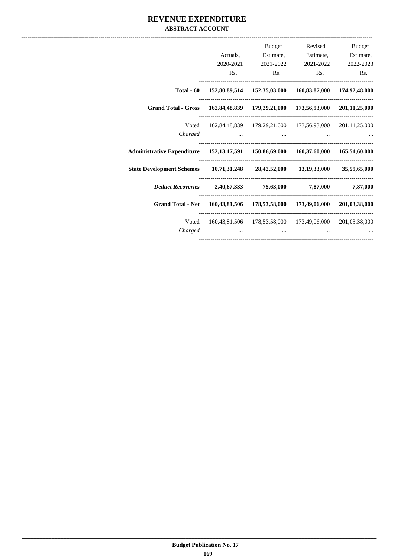#### **REVENUE EXPENDITURE ABSTRACT ACCOUNT**

|                                                                                    |                                                                    | <b>Budget</b>  | Revised                                                 | Budget              |
|------------------------------------------------------------------------------------|--------------------------------------------------------------------|----------------|---------------------------------------------------------|---------------------|
|                                                                                    | Actuals,                                                           | Estimate,      |                                                         | Estimate, Estimate, |
|                                                                                    | 2020-2021                                                          | 2021-2022      | 2021-2022                                               | 2022-2023           |
|                                                                                    | Rs.                                                                | $\mathbf{Rs.}$ | Rs.                                                     | Rs.                 |
|                                                                                    | Total - 60 152,80,89,514 152,35,03,000 160,83,87,000 174,92,48,000 |                |                                                         |                     |
| Grand Total - Gross 162,84,48,839 179,29,21,000 173,56,93,000 201,11,25,000        |                                                                    |                |                                                         |                     |
| Voted                                                                              | 162,84,48,839 179,29,21,000 173,56,93,000 201,11,25,000            |                |                                                         |                     |
|                                                                                    | Charged                                                            |                |                                                         |                     |
| Administrative Expenditure 152,13,17,591 150,86,69,000 160,37,60,000 165,51,60,000 |                                                                    |                |                                                         |                     |
| State Development Schemes 10,71,31,248 28,42,52,000 13,19,33,000 35,59,65,000      |                                                                    |                |                                                         |                     |
|                                                                                    |                                                                    |                |                                                         | $-7.87,000$         |
| Grand Total - Net 160,43,81,506 178,53,58,000 173,49,06,000 201,03,38,000          |                                                                    |                |                                                         |                     |
| Voted                                                                              |                                                                    |                | 160,43,81,506 178,53,58,000 173,49,06,000 201,03,38,000 |                     |
| Charged                                                                            | $\cdots$                                                           | $\cdots$       | $\cdots$                                                |                     |
|                                                                                    |                                                                    |                |                                                         |                     |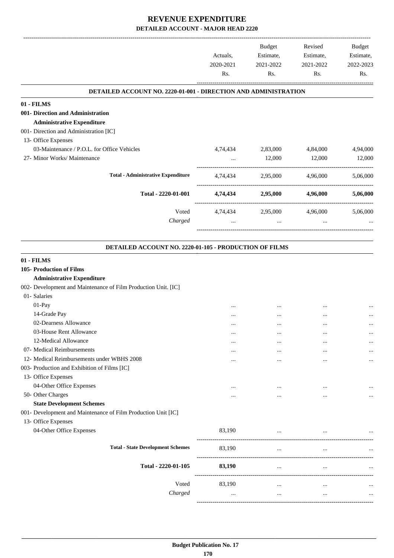|                                                                 | Actuals,<br>2020-2021<br>Rs. | <b>Budget</b><br>Estimate,<br>2021-2022<br>Rs. | Revised<br>Estimate,<br>2021-2022<br>Rs. | Budget<br>Estimate,<br>2022-2023<br>Rs. |
|-----------------------------------------------------------------|------------------------------|------------------------------------------------|------------------------------------------|-----------------------------------------|
| DETAILED ACCOUNT NO. 2220-01-001 - DIRECTION AND ADMINISTRATION |                              |                                                |                                          |                                         |
| 01 - FILMS                                                      |                              |                                                |                                          |                                         |
| 001- Direction and Administration                               |                              |                                                |                                          |                                         |
| <b>Administrative Expenditure</b>                               |                              |                                                |                                          |                                         |
| 001- Direction and Administration [IC]                          |                              |                                                |                                          |                                         |
| 13- Office Expenses                                             |                              |                                                |                                          |                                         |
| 03-Maintenance / P.O.L. for Office Vehicles                     | 4,74,434                     | 2,83,000                                       | 4,84,000                                 | 4,94,000                                |
| 27- Minor Works/ Maintenance                                    | $\cdots$                     | 12,000                                         | 12,000                                   | 12,000                                  |
| <b>Total - Administrative Expenditure</b>                       |                              | 4,74,434 2,95,000 4,96,000                     |                                          | 5,06,000                                |
| Total - 2220-01-001                                             |                              | 4,74,434 2,95,000                              | 4,96,000                                 | 5,06,000                                |
| Voted                                                           | 4,74,434                     | 2,95,000                                       | 4,96,000                                 | 5,06,000                                |
| Charged                                                         | $\cdots$                     | $\ddotsc$                                      | $\cdots$                                 |                                         |
|                                                                 |                              |                                                |                                          |                                         |
| DETAILED ACCOUNT NO. 2220-01-105 - PRODUCTION OF FILMS          |                              |                                                |                                          |                                         |
| 01 - FILMS                                                      |                              |                                                |                                          |                                         |
| 105- Production of Films                                        |                              |                                                |                                          |                                         |
| <b>Administrative Expenditure</b>                               |                              |                                                |                                          |                                         |
| 002- Development and Maintenance of Film Production Unit. [IC]  |                              |                                                |                                          |                                         |
| 01- Salaries                                                    |                              |                                                |                                          |                                         |
| 01-Pay                                                          |                              |                                                |                                          |                                         |
| 14-Grade Pay                                                    |                              |                                                | $\cdots$                                 |                                         |
| 02-Dearness Allowance                                           | $\cdots$                     | $\cdots$                                       |                                          |                                         |
| 03-House Rent Allowance                                         |                              |                                                |                                          |                                         |
| 12-Medical Allowance                                            |                              | $\ddotsc$                                      |                                          |                                         |
| 07- Medical Reimbursements                                      | $\cdots$                     |                                                | $\cdots$                                 |                                         |
| 12- Medical Reimbursements under WBHS 2008                      | $\cdots$                     |                                                | $\cdots$                                 |                                         |
| 003- Production and Exhibition of Films [IC]                    |                              |                                                |                                          |                                         |
| 13- Office Expenses                                             |                              |                                                |                                          |                                         |
| 04-Other Office Expenses                                        |                              |                                                |                                          |                                         |
| 50- Other Charges                                               | $\cdots$                     |                                                |                                          |                                         |
| <b>State Development Schemes</b>                                |                              |                                                |                                          |                                         |
| 001- Development and Maintenance of Film Production Unit [IC]   |                              |                                                |                                          |                                         |
| 13- Office Expenses                                             |                              |                                                |                                          |                                         |
| 04-Other Office Expenses                                        | 83,190                       | $\cdots$                                       |                                          |                                         |
| <b>Total - State Development Schemes</b>                        | 83,190                       | $\cdots$                                       | $\cdots$                                 |                                         |
| Total - 2220-01-105                                             | 83,190                       | $\cdots$                                       | $\cdots$                                 |                                         |
| Voted                                                           | 83,190                       | $\cdots$                                       | $\cdots$                                 |                                         |
| Charged                                                         | $\cdots$                     | $\cdots$                                       | $\cdots$                                 |                                         |
|                                                                 |                              |                                                |                                          |                                         |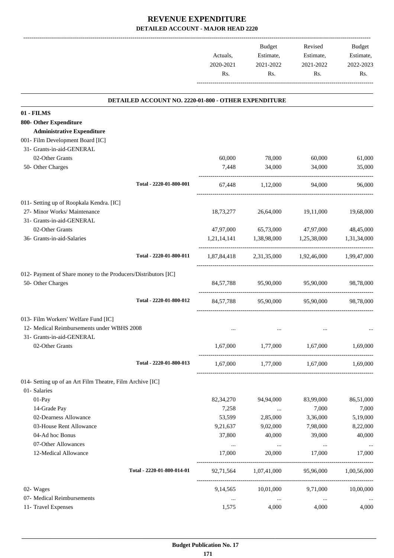|           | <b>Budget</b> | Revised   | <b>Budget</b> |
|-----------|---------------|-----------|---------------|
| Actuals,  | Estimate,     | Estimate, | Estimate,     |
| 2020-2021 | 2021-2022     | 2021-2022 | 2022-2023     |
| Rs.       | Rs.           | Rs.       | Rs.           |
|           |               |           |               |

.

|                                                                | DETAILED ACCOUNT NO. 2220-01-800 - OTHER EXPENDITURE |           |                                     |                                                 |             |
|----------------------------------------------------------------|------------------------------------------------------|-----------|-------------------------------------|-------------------------------------------------|-------------|
| 01 - FILMS                                                     |                                                      |           |                                     |                                                 |             |
| 800- Other Expenditure                                         |                                                      |           |                                     |                                                 |             |
| <b>Administrative Expenditure</b>                              |                                                      |           |                                     |                                                 |             |
| 001- Film Development Board [IC]                               |                                                      |           |                                     |                                                 |             |
| 31- Grants-in-aid-GENERAL                                      |                                                      |           |                                     |                                                 |             |
| 02-Other Grants                                                |                                                      | 60,000    | 78,000                              | 60,000                                          | 61,000      |
| 50- Other Charges                                              |                                                      | 7,448     | 34,000                              | 34,000                                          | 35,000      |
|                                                                | Total - 2220-01-800-001                              |           | 67,448 1,12,000                     | 94,000                                          | 96,000      |
| 011- Setting up of Roopkala Kendra. [IC]                       |                                                      |           |                                     |                                                 |             |
| 27- Minor Works/ Maintenance                                   |                                                      | 18,73,277 | 26,64,000                           | 19,11,000                                       | 19,68,000   |
| 31- Grants-in-aid-GENERAL                                      |                                                      |           |                                     |                                                 |             |
| 02-Other Grants                                                |                                                      | 47,97,000 | 65,73,000                           | 47,97,000                                       | 48,45,000   |
| 36- Grants-in-aid-Salaries                                     |                                                      |           | 1,21,14,141 1,38,98,000 1,25,38,000 |                                                 | 1,31,34,000 |
|                                                                | Total - 2220-01-800-011                              |           |                                     | 1,87,84,418 2,31,35,000 1,92,46,000 1,99,47,000 |             |
| 012- Payment of Share money to the Producers/Distributors [IC] |                                                      |           |                                     |                                                 |             |
| 50- Other Charges                                              |                                                      |           |                                     | 84,57,788 95,90,000 95,90,000                   | 98,78,000   |
|                                                                | Total - 2220-01-800-012                              |           | 84,57,788 95,90,000 95,90,000       |                                                 | 98,78,000   |
| 013- Film Workers' Welfare Fund [IC]                           |                                                      |           |                                     |                                                 |             |
| 12- Medical Reimbursements under WBHS 2008                     |                                                      | $\cdots$  |                                     |                                                 |             |
| 31- Grants-in-aid-GENERAL                                      |                                                      |           |                                     |                                                 |             |
| 02-Other Grants                                                |                                                      | 1,67,000  | 1,77,000                            | 1,67,000                                        | 1,69,000    |
|                                                                | Total - 2220-01-800-013                              |           |                                     | 1,67,000 1,77,000 1,67,000                      | 1,69,000    |
| 014- Setting up of an Art Film Theatre, Film Archive [IC]      |                                                      |           |                                     |                                                 |             |
| 01- Salaries                                                   |                                                      |           |                                     |                                                 |             |
| 01-Pay                                                         |                                                      | 82,34,270 | 94,94,000                           | 83,99,000                                       | 86,51,000   |
| 14-Grade Pay                                                   |                                                      | 7,258     | $\cdots$                            | 7,000                                           | 7,000       |
| 02-Dearness Allowance                                          |                                                      | 53,599    | 2,85,000                            | 3,36,000                                        | 5,19,000    |
| 03-House Rent Allowance                                        |                                                      | 9,21,637  | 9,02,000                            | 7,98,000                                        | 8,22,000    |
| 04-Ad hoc Bonus                                                |                                                      | 37,800    | 40,000                              | 39,000                                          | 40,000      |
| 07-Other Allowances                                            |                                                      | $\cdots$  | $\ldots$                            | $\cdots$                                        |             |
| 12-Medical Allowance                                           |                                                      | 17,000    | 20,000                              | 17,000                                          | 17,000      |
|                                                                | Total - 2220-01-800-014-01                           | 92,71,564 | 1,07,41,000                         | 95,96,000                                       | 1,00,56,000 |
| 02- Wages                                                      |                                                      | 9,14,565  | 10,01,000                           | 9,71,000                                        | 10,00,000   |
| 07- Medical Reimbursements                                     |                                                      | $\cdots$  | $\ldots$                            | $\ldots$                                        |             |
| 11- Travel Expenses                                            |                                                      | 1,575     | 4,000                               | 4,000                                           | 4,000       |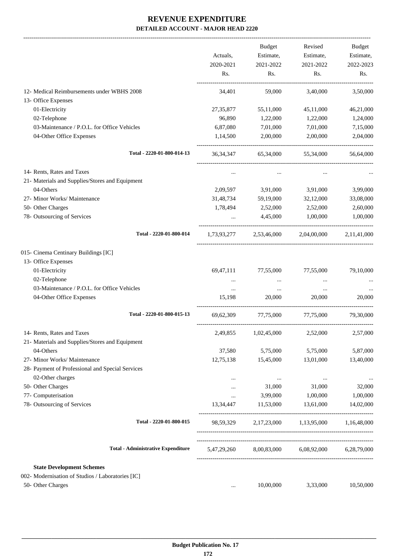|                                                   | Actuals,<br>2020-2021<br>Rs. | <b>Budget</b><br>Estimate,<br>2021-2022<br>Rs. | Revised<br>Estimate,<br>2021-2022<br>Rs. | Budget<br>Estimate,<br>2022-2023<br>Rs. |
|---------------------------------------------------|------------------------------|------------------------------------------------|------------------------------------------|-----------------------------------------|
| 12- Medical Reimbursements under WBHS 2008        | 34,401                       | 59,000                                         | 3,40,000                                 | 3,50,000                                |
| 13- Office Expenses                               |                              |                                                |                                          |                                         |
| 01-Electricity                                    | 27,35,877                    | 55,11,000                                      | 45,11,000                                | 46,21,000                               |
| 02-Telephone                                      | 96,890                       | 1,22,000                                       | 1,22,000                                 | 1,24,000                                |
| 03-Maintenance / P.O.L. for Office Vehicles       | 6,87,080                     | 7,01,000                                       | 7,01,000                                 | 7,15,000                                |
| 04-Other Office Expenses                          | 1,14,500                     | 2,00,000                                       | 2,00,000                                 | 2,04,000                                |
| Total - 2220-01-800-014-13                        | 36, 34, 347                  | 65,34,000                                      | 55,34,000                                | 56,64,000                               |
| 14- Rents, Rates and Taxes                        | $\cdots$                     | $\cdots$                                       | $\cdots$                                 |                                         |
| 21- Materials and Supplies/Stores and Equipment   |                              |                                                |                                          |                                         |
| 04-Others                                         | 2,09,597                     | 3,91,000                                       | 3,91,000                                 | 3,99,000                                |
| 27- Minor Works/ Maintenance                      | 31,48,734                    | 59,19,000                                      | 32,12,000                                | 33,08,000                               |
| 50- Other Charges                                 | 1,78,494                     | 2,52,000                                       | 2,52,000                                 | 2,60,000                                |
| 78- Outsourcing of Services                       |                              | 4,45,000                                       | 1,00,000                                 | 1,00,000                                |
| Total - 2220-01-800-014                           | 1,73,93,277                  | 2,53,46,000                                    | 2,04,00,000                              | 2,11,41,000                             |
| 015- Cinema Centinary Buildings [IC]              |                              |                                                |                                          |                                         |
| 13- Office Expenses                               |                              |                                                |                                          |                                         |
| 01-Electricity                                    | 69,47,111                    | 77,55,000                                      | 77,55,000                                | 79,10,000                               |
| 02-Telephone                                      | $\cdots$                     | $\cdots$                                       | $\cdots$                                 |                                         |
| 03-Maintenance / P.O.L. for Office Vehicles       | $\cdots$                     | $\ldots$                                       | $\cdots$                                 |                                         |
| 04-Other Office Expenses                          | 15,198                       | 20,000                                         | 20,000                                   | 20,000                                  |
| Total - 2220-01-800-015-13                        | 69, 62, 309                  | 77,75,000                                      | 77,75,000                                | 79,30,000                               |
| 14- Rents, Rates and Taxes                        | 2,49,855                     | 1,02,45,000                                    | 2,52,000                                 | 2,57,000                                |
| 21- Materials and Supplies/Stores and Equipment   |                              |                                                |                                          |                                         |
| 04-Others                                         | 37,580                       | 5,75,000                                       | 5,75,000                                 | 5,87,000                                |
| 27- Minor Works/ Maintenance                      | 12,75,138                    | 15,45,000                                      | 13,01,000                                | 13,40,000                               |
| 28- Payment of Professional and Special Services  |                              |                                                |                                          |                                         |
| 02-Other charges                                  | $\ddotsc$                    | $\cdots$                                       | $\ddotsc$                                |                                         |
| 50- Other Charges                                 |                              | 31,000                                         | 31,000                                   | 32,000                                  |
| 77- Computerisation                               | $\cdots$                     | 3,99,000                                       | 1,00,000                                 | 1,00,000                                |
| 78- Outsourcing of Services                       | 13,34,447                    | 11,53,000                                      | 13,61,000                                | 14,02,000                               |
| Total - 2220-01-800-015                           | 98,59,329                    |                                                | 2,17,23,000 1,13,95,000 1,16,48,000      |                                         |
| <b>Total - Administrative Expenditure</b>         | 5,47,29,260                  |                                                | 8,00,83,000 6,08,92,000                  | 6,28,79,000                             |
| <b>State Development Schemes</b>                  |                              |                                                |                                          |                                         |
| 002- Modernisation of Studios / Laboratories [IC] |                              |                                                |                                          |                                         |
| 50- Other Charges                                 | $\ddotsc$                    | 10,00,000                                      | 3,33,000                                 | 10,50,000                               |
|                                                   |                              |                                                |                                          |                                         |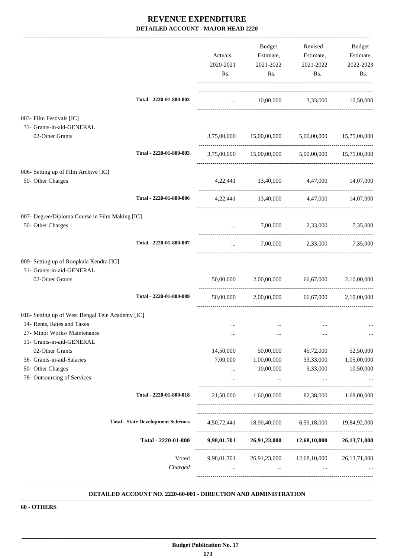|                                                                                                                |                                          | Actuals,<br>2020-2021<br>Rs. | Budget<br>Estimate,<br>2021-2022<br>Rs.                           | Revised<br>Estimate,<br>2021-2022<br>Rs. | Budget<br>Estimate,<br>2022-2023<br>Rs. |
|----------------------------------------------------------------------------------------------------------------|------------------------------------------|------------------------------|-------------------------------------------------------------------|------------------------------------------|-----------------------------------------|
|                                                                                                                | Total - 2220-01-800-002                  | <b>Section</b> (Section)     |                                                                   | 10,00,000 3,33,000 10,50,000             |                                         |
| 003- Film Festivals [IC]<br>31- Grants-in-aid-GENERAL                                                          |                                          |                              |                                                                   |                                          |                                         |
| 02-Other Grants                                                                                                |                                          |                              | 3,75,00,000 15,00,00,000 5,00,00,000 15,75,00,000                 |                                          |                                         |
|                                                                                                                | Total - 2220-01-800-003                  |                              | 3,75,00,000 15,00,00,000 5,00,00,000 15,75,00,000                 |                                          |                                         |
| 006- Setting up of Film Archive [IC]<br>50- Other Charges                                                      |                                          |                              | 4,22,441 13,40,000 4,47,000 14,07,000                             |                                          |                                         |
|                                                                                                                | Total - 2220-01-800-006                  |                              | 4,22,441 13,40,000 4,47,000 14,07,000                             |                                          |                                         |
| 007- Degree/Diploma Course in Film Making [IC]<br>50- Other Charges                                            |                                          | $\cdots$                     |                                                                   | 7,00,000 2,33,000                        | 7,35,000                                |
|                                                                                                                | Total - 2220-01-800-007                  | $\cdots$                     |                                                                   | 7,00,000 2,33,000 7,35,000               |                                         |
| 009- Setting up of Roopkala Kendra [IC]<br>31- Grants-in-aid-GENERAL<br>02-Other Grants                        |                                          | 50,00,000                    | 2,00,00,000 66,67,000 2,10,00,000                                 |                                          |                                         |
|                                                                                                                | Total - 2220-01-800-009                  | 50,00,000                    | 2,00,00,000                                                       | 66,67,000                                | 2,10,00,000                             |
| 018- Setting up of West Bengal Tele Academy [IC]<br>14- Rents, Rates and Taxes<br>27- Minor Works/ Maintenance |                                          | $\cdots$<br>$\cdots$         | $\cdots$<br>$\ldots$                                              | $\ddotsc$<br>$\cdots$                    |                                         |
| 31- Grants-in-aid-GENERAL                                                                                      |                                          | 14,50,000                    |                                                                   | 45,72,000                                |                                         |
| 02-Other Grants<br>36- Grants-in-aid-Salaries                                                                  |                                          | 7,00,000                     | 50,00,000<br>1,00,00,000                                          | 33,33,000                                | 52,50,000<br>1,05,00,000                |
| 50- Other Charges<br>78- Outsourcing of Services                                                               |                                          | $\cdots$                     | 10,00,000<br>$\cdots$                                             | 3,33,000<br>$\cdots$                     | 10,50,000                               |
|                                                                                                                | Total - 2220-01-800-018                  | 21,50,000                    |                                                                   | 1,60,00,000 82,38,000 1,68,00,000        |                                         |
|                                                                                                                | <b>Total - State Development Schemes</b> |                              | 4,50,72,441 18,90,40,000 6,59,18,000 19,84,92,000                 |                                          |                                         |
|                                                                                                                | Total - 2220-01-800                      |                              | 9,98,01,701 26,91,23,000 12,68,10,000 26,13,71,000                |                                          |                                         |
|                                                                                                                | Voted<br>Charged                         | $\cdots$                     | 9,98,01,701  26,91,23,000  12,68,10,000  26,13,71,000<br>$\cdots$ | $\cdots$                                 |                                         |

#### **DETAILED ACCOUNT NO. 2220-60-001 - DIRECTION AND ADMINISTRATION .**

**60 - OTHERS**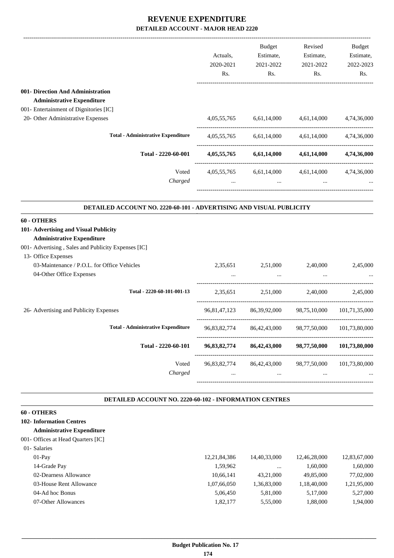|                                                                            | Actuals,                                   | <b>Budget</b>                                                                                      | Revised<br>Estimate,<br>Estimate, | Budget<br>Estimate, |
|----------------------------------------------------------------------------|--------------------------------------------|----------------------------------------------------------------------------------------------------|-----------------------------------|---------------------|
|                                                                            | 2020-2021                                  | 2021-2022                                                                                          | 2021-2022                         | 2022-2023           |
|                                                                            | Rs.                                        | Rs.                                                                                                | Rs.                               | Rs.                 |
| 001- Direction And Administration<br><b>Administrative Expenditure</b>     |                                            |                                                                                                    |                                   |                     |
| 001- Entertainment of Dignitories [IC]                                     |                                            |                                                                                                    |                                   |                     |
| 20- Other Administrative Expenses                                          | 4,05,55,765                                |                                                                                                    | 6,61,14,000 4,61,14,000           | 4,74,36,000         |
| <b>Total - Administrative Expenditure</b>                                  |                                            | 4,05,55,765 6,61,14,000 4,61,14,000 4,74,36,000                                                    |                                   |                     |
| Total - 2220-60-001                                                        |                                            | 4,05,55,765 6,61,14,000 4,61,14,000 4,74,36,000                                                    |                                   |                     |
| Voted<br>Charged                                                           | <b>Contract Contract Contract Contract</b> | 4,05,55,765 6,61,14,000 4,61,14,000 4,74,36,000<br>the contract of the contract of the contract of | $\cdots$                          |                     |
| <b>DETAILED ACCOUNT NO. 2220-60-101 - ADVERTISING AND VISUAL PUBLICITY</b> |                                            |                                                                                                    |                                   |                     |
| 60 - OTHERS                                                                |                                            |                                                                                                    |                                   |                     |
| 101- Advertising and Visual Publicity                                      |                                            |                                                                                                    |                                   |                     |
| <b>Administrative Expenditure</b>                                          |                                            |                                                                                                    |                                   |                     |
| 001- Advertising, Sales and Publicity Expenses [IC]                        |                                            |                                                                                                    |                                   |                     |
| 13- Office Expenses                                                        |                                            |                                                                                                    |                                   |                     |
| 03-Maintenance / P.O.L. for Office Vehicles                                |                                            | 2,35,651 2,51,000                                                                                  | 2,40,000                          | 2,45,000            |
| 04-Other Office Expenses                                                   |                                            |                                                                                                    |                                   |                     |
| Total - 2220-60-101-001-13                                                 |                                            | 2,35,651 2,51,000 2,40,000                                                                         |                                   | 2,45,000            |
| 26- Advertising and Publicity Expenses                                     |                                            | 96,81,47,123 86,39,92,000 98,75,10,000 101,71,35,000                                               |                                   |                     |
| <b>Total - Administrative Expenditure</b>                                  | 96,83,82,774                               | 86,42,43,000                                                                                       | 98,77,50,000                      | 101,73,80,000       |
| Total - 2220-60-101                                                        | 96,83,82,774                               | 86,42,43,000                                                                                       | 98,77,50,000                      | 101,73,80,000       |
| Voted                                                                      | 96,83,82,774                               | 86, 42, 43, 000                                                                                    | 98,77,50,000                      | 101,73,80,000       |
| Charged                                                                    |                                            | $\cdots$                                                                                           |                                   |                     |
| <b>DETAILED ACCOUNT NO. 2220-60-102 - INFORMATION CENTRES</b>              |                                            |                                                                                                    |                                   |                     |
| 60 - OTHERS                                                                |                                            |                                                                                                    |                                   |                     |
| <b>102- Information Centres</b>                                            |                                            |                                                                                                    |                                   |                     |
| <b>Administrative Expenditure</b>                                          |                                            |                                                                                                    |                                   |                     |

#### 001- Offices at Head Quarters [IC]

| 01- Salaries            |                 |              |              |              |
|-------------------------|-----------------|--------------|--------------|--------------|
| $01-Pav$                | 12, 21, 84, 386 | 14,40,33,000 | 12.46.28.000 | 12,83,67,000 |
| 14-Grade Pay            | 1.59.962        | $\cdots$     | 1.60.000     | 1,60,000     |
| 02-Dearness Allowance   | 10.66.141       | 43.21.000    | 49,85,000    | 77,02,000    |
| 03-House Rent Allowance | 1,07,66,050     | 1,36,83,000  | 1,18,40,000  | 1,21,95,000  |
| 04-Ad hoc Bonus         | 5.06.450        | 5,81,000     | 5.17.000     | 5,27,000     |
| 07-Other Allowances     | 1,82,177        | 5.55,000     | 1,88,000     | 1,94,000     |
|                         |                 |              |              |              |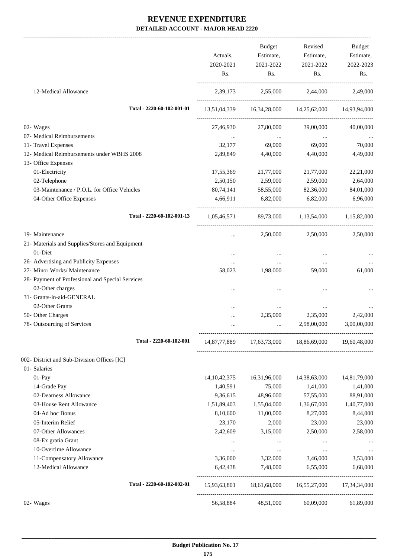|                                                  |                 | Budget              | Revised                                             | Budget       |
|--------------------------------------------------|-----------------|---------------------|-----------------------------------------------------|--------------|
|                                                  | Actuals,        | Estimate,           | Estimate,                                           | Estimate,    |
|                                                  | 2020-2021       | 2021-2022           | 2021-2022                                           | 2022-2023    |
|                                                  | Rs.             | Rs.                 | Rs.                                                 | Rs.          |
| 12-Medical Allowance                             |                 |                     | 2,39,173 2,55,000 2,44,000                          | 2,49,000     |
| Total - 2220-60-102-001-01                       |                 |                     | 13,51,04,339 16,34,28,000 14,25,62,000 14,93,94,000 |              |
| 02- Wages                                        |                 | 27,46,930 27,80,000 | 39,00,000                                           | 40,00,000    |
| 07- Medical Reimbursements                       |                 | $\sim 10^{-11}$     | $\ldots$                                            |              |
| 11- Travel Expenses                              | 32,177          | 69,000              | 69,000                                              | 70,000       |
| 12- Medical Reimbursements under WBHS 2008       | 2,89,849        | 4,40,000            | 4,40,000                                            | 4,49,000     |
| 13- Office Expenses                              |                 |                     |                                                     |              |
| 01-Electricity                                   | 17,55,369       | 21,77,000           | 21,77,000                                           | 22,21,000    |
| 02-Telephone                                     | 2,50,150        | 2,59,000            | 2,59,000                                            | 2,64,000     |
| 03-Maintenance / P.O.L. for Office Vehicles      | 80,74,141       | 58,55,000           | 82,36,000                                           | 84,01,000    |
| 04-Other Office Expenses                         | 4,66,911        | 6,82,000            | 6,82,000                                            | 6,96,000     |
| Total - 2220-60-102-001-13                       |                 |                     | 1,05,46,571 89,73,000 1,13,54,000 1,15,82,000       |              |
| 19- Maintenance                                  | $\cdots$        | 2,50,000            | 2,50,000                                            | 2,50,000     |
| 21- Materials and Supplies/Stores and Equipment  |                 |                     |                                                     |              |
| 01-Diet                                          | $\cdots$        | $\cdots$            | $\cdots$                                            |              |
| 26- Advertising and Publicity Expenses           | $\cdots$        | $\cdots$            | $\cdots$                                            | $\cdots$     |
| 27- Minor Works/ Maintenance                     | 58,023          | 1,98,000            | 59,000                                              | 61,000       |
| 28- Payment of Professional and Special Services |                 |                     |                                                     |              |
| 02-Other charges                                 |                 |                     |                                                     |              |
| 31- Grants-in-aid-GENERAL                        |                 |                     |                                                     |              |
| 02-Other Grants                                  |                 | $\cdots$            | $\cdots$                                            |              |
| 50- Other Charges                                |                 | 2,35,000            | 2,35,000                                            | 2,42,000     |
| 78- Outsourcing of Services                      |                 | $\cdots$            | 2,98,00,000                                         | 3,00,00,000  |
| Total - 2220-60-102-001                          | 14,87,77,889    | 17,63,73,000        | 18,86,69,000                                        | 19,60,48,000 |
| 002- District and Sub-Division Offices [IC]      |                 |                     |                                                     |              |
| 01- Salaries                                     |                 |                     |                                                     |              |
| 01-Pay                                           | 14, 10, 42, 375 | 16,31,96,000        | 14,38,63,000                                        | 14,81,79,000 |
| 14-Grade Pay                                     | 1,40,591        | 75,000              | 1,41,000                                            | 1,41,000     |
| 02-Dearness Allowance                            | 9,36,615        | 48,96,000           | 57,55,000                                           | 88,91,000    |
| 03-House Rent Allowance                          | 1,51,89,403     | 1,55,04,000         | 1,36,67,000                                         | 1,40,77,000  |
| 04-Ad hoc Bonus                                  | 8,10,600        | 11,00,000           | 8,27,000                                            | 8,44,000     |
| 05-Interim Relief                                | 23,170          | 2,000               | 23,000                                              | 23,000       |
| 07-Other Allowances                              | 2,42,609        | 3,15,000            | 2,50,000                                            | 2,58,000     |
| 08-Ex gratia Grant                               | $\cdots$        | $\cdots$            | $\cdots$                                            |              |
| 10-Overtime Allowance                            | $\cdots$        | $\cdots$            | $\ddotsc$                                           | $\cdots$     |
| 11-Compensatory Allowance                        | 3,36,000        | 3,32,000            | 3,46,000                                            | 3,53,000     |
| 12-Medical Allowance                             | 6,42,438        | 7,48,000            | 6,55,000                                            | 6,68,000     |
| Total - 2220-60-102-002-01                       |                 |                     | 15,93,63,801 18,61,68,000 16,55,27,000              | 17,34,34,000 |
| 02- Wages                                        | 56,58,884       | 48,51,000           | 60,09,000                                           | 61,89,000    |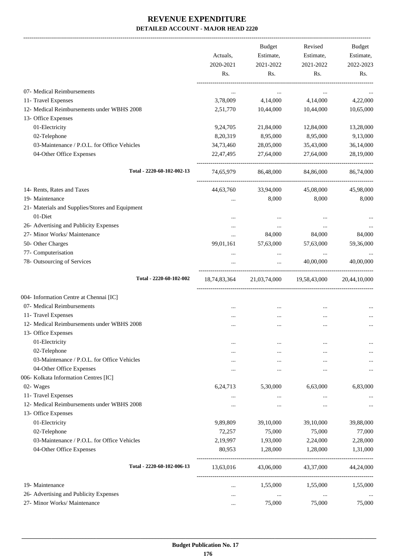-------------------------------------------------------------------------------------------------------------------------------------------------------------------------------

|                                                 | Actuals,<br>2020-2021<br>Rs. | <b>Budget</b><br>Estimate,<br>2021-2022<br>Rs. | Revised<br>Estimate,<br>2021-2022<br>Rs. | <b>Budget</b><br>Estimate,<br>2022-2023<br>Rs. |
|-------------------------------------------------|------------------------------|------------------------------------------------|------------------------------------------|------------------------------------------------|
| 07- Medical Reimbursements                      | $\cdots$                     | $\cdots$                                       | $\cdots$                                 |                                                |
| 11- Travel Expenses                             | 3,78,009                     | 4,14,000                                       | 4,14,000                                 | 4,22,000                                       |
| 12- Medical Reimbursements under WBHS 2008      | 2,51,770                     | 10,44,000                                      | 10,44,000                                | 10,65,000                                      |
| 13- Office Expenses                             |                              |                                                |                                          |                                                |
| 01-Electricity                                  | 9,24,705                     | 21,84,000                                      | 12,84,000                                | 13,28,000                                      |
| 02-Telephone                                    | 8,20,319                     | 8,95,000                                       | 8,95,000                                 | 9,13,000                                       |
| 03-Maintenance / P.O.L. for Office Vehicles     | 34,73,460                    | 28,05,000                                      | 35,43,000                                | 36,14,000                                      |
| 04-Other Office Expenses                        | 22,47,495                    | 27,64,000                                      | 27,64,000                                | 28,19,000                                      |
| Total - 2220-60-102-002-13                      | 74,65,979                    | 86,48,000                                      | 84,86,000                                | 86,74,000                                      |
| 14- Rents, Rates and Taxes                      | 44,63,760                    | 33,94,000                                      | 45,08,000                                | 45,98,000                                      |
| 19- Maintenance                                 | $\ddotsc$                    | 8,000                                          | 8,000                                    | 8,000                                          |
| 21- Materials and Supplies/Stores and Equipment |                              |                                                |                                          |                                                |
| 01-Diet                                         |                              | $\ddotsc$                                      | $\ddotsc$                                |                                                |
| 26- Advertising and Publicity Expenses          | $\ddotsc$                    | $\ldots$                                       | $\cdots$                                 |                                                |
| 27- Minor Works/ Maintenance                    | $\ddotsc$                    | 84,000                                         | 84,000                                   | 84,000                                         |
| 50- Other Charges                               | 99,01,161                    | 57,63,000                                      | 57,63,000                                | 59,36,000                                      |
| 77- Computerisation                             | $\cdots$                     | $\ldots$                                       | $\cdots$                                 |                                                |
| 78- Outsourcing of Services                     | $\cdots$                     | $\cdots$                                       | 40,00,000                                | 40,00,000                                      |
| Total - 2220-60-102-002                         | 18,74,83,364                 | 21,03,74,000                                   | 19,58,43,000                             | 20,44,10,000                                   |
| 004- Information Centre at Chennai [IC]         |                              |                                                |                                          |                                                |
| 07- Medical Reimbursements                      |                              |                                                |                                          |                                                |
| 11- Travel Expenses                             | $\ddotsc$                    | $\cdots$                                       | $\ddotsc$                                |                                                |
| 12- Medical Reimbursements under WBHS 2008      | $\cdots$                     |                                                | $\ddotsc$                                |                                                |
| 13- Office Expenses                             |                              |                                                |                                          |                                                |
| 01-Electricity                                  | $\cdots$                     | $\cdots$                                       |                                          |                                                |
| 02-Telephone                                    | $\cdots$                     | $\cdots$                                       | $\cdots$                                 |                                                |
| 03-Maintenance / P.O.L. for Office Vehicles     | $\cdots$                     | $\cdots$                                       | $\cdots$                                 |                                                |
| 04-Other Office Expenses                        | $\ddotsc$                    |                                                | $\ddotsc$                                |                                                |
| 006- Kolkata Information Centres [IC]           |                              |                                                |                                          |                                                |
| 02- Wages                                       | 6,24,713                     | 5,30,000                                       | 6,63,000                                 | 6,83,000                                       |
| 11- Travel Expenses                             | $\cdots$                     |                                                | $\cdots$                                 |                                                |
| 12- Medical Reimbursements under WBHS 2008      | $\ddotsc$                    | $\cdots$                                       | $\ddotsc$                                |                                                |
| 13- Office Expenses                             |                              |                                                |                                          |                                                |
| 01-Electricity                                  | 9,89,809                     | 39,10,000                                      | 39,10,000                                | 39,88,000                                      |
| 02-Telephone                                    | 72,257                       | 75,000                                         | 75,000                                   | 77,000                                         |
| 03-Maintenance / P.O.L. for Office Vehicles     | 2,19,997                     | 1,93,000                                       | 2,24,000                                 | 2,28,000                                       |
| 04-Other Office Expenses                        | 80,953                       | 1,28,000                                       | 1,28,000                                 | 1,31,000                                       |
| Total - 2220-60-102-006-13                      | 13,63,016                    | 43,06,000                                      | 43,37,000                                | 44,24,000                                      |
| 19- Maintenance                                 | $\ddotsc$                    | 1,55,000                                       | 1,55,000                                 | 1,55,000                                       |
| 26- Advertising and Publicity Expenses          | $\ddotsc$                    | $\cdots$                                       | $\cdots$                                 |                                                |
| 27- Minor Works/ Maintenance                    | $\ddotsc$                    | 75,000                                         | 75,000                                   | 75,000                                         |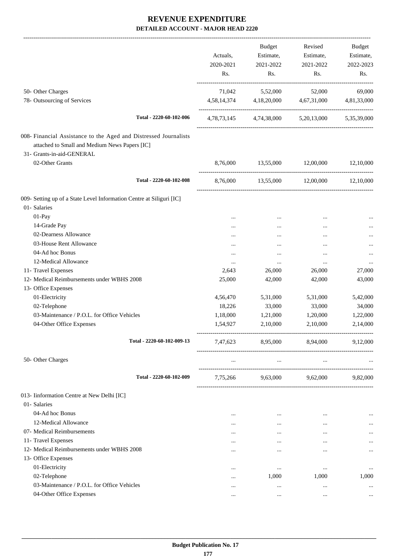-------------------------------------------------------------------------------------------------------------------------------------------------------------------------------

|                                                                                                                   | Actuals,<br>2020-2021<br>Rs. | <b>Budget</b><br>Estimate,<br>2021-2022<br>Rs. | Revised<br>Estimate,<br>2021-2022<br>Rs.        | <b>Budget</b><br>Estimate,<br>2022-2023<br>Rs. |
|-------------------------------------------------------------------------------------------------------------------|------------------------------|------------------------------------------------|-------------------------------------------------|------------------------------------------------|
| 50- Other Charges<br>78- Outsourcing of Services                                                                  | 71,042                       | 5,52,000                                       | 52,000<br>4,67,31,000                           | 69,000                                         |
|                                                                                                                   |                              | 4,58,14,374 4,18,20,000                        |                                                 | 4,81,33,000                                    |
| Total - 2220-60-102-006                                                                                           |                              |                                                | 4,78,73,145 4,74,38,000 5,20,13,000 5,35,39,000 |                                                |
| 008- Financial Assistance to the Aged and Distressed Journalists<br>attached to Small and Medium News Papers [IC] |                              |                                                |                                                 |                                                |
| 31- Grants-in-aid-GENERAL<br>02-Other Grants                                                                      | 8,76,000                     | 13,55,000 12,00,000                            |                                                 | 12,10,000                                      |
| Total - 2220-60-102-008                                                                                           |                              | 8,76,000 13,55,000 12,00,000                   |                                                 | 12,10,000                                      |
| 009- Setting up of a State Level Information Centre at Siliguri [IC]<br>01- Salaries                              |                              |                                                |                                                 |                                                |
| 01-Pay                                                                                                            | $\cdots$                     | $\cdots$                                       | $\cdots$                                        |                                                |
| 14-Grade Pay                                                                                                      | $\cdots$                     |                                                | $\cdots$                                        |                                                |
| 02-Dearness Allowance                                                                                             | $\cdots$                     |                                                | $\cdots$                                        |                                                |
| 03-House Rent Allowance                                                                                           |                              |                                                |                                                 |                                                |
| 04-Ad hoc Bonus                                                                                                   |                              | $\cdots$                                       |                                                 |                                                |
| 12-Medical Allowance                                                                                              |                              | $\cdots$                                       | $\cdots$                                        | $\ddotsc$                                      |
| 11- Travel Expenses                                                                                               | 2,643                        | 26,000                                         | 26,000                                          | 27,000                                         |
| 12- Medical Reimbursements under WBHS 2008                                                                        | 25,000                       | 42,000                                         | 42,000                                          | 43,000                                         |
| 13- Office Expenses                                                                                               |                              |                                                |                                                 |                                                |
| 01-Electricity                                                                                                    | 4,56,470                     | 5,31,000                                       | 5,31,000                                        | 5,42,000                                       |
| 02-Telephone                                                                                                      | 18,226                       | 33,000                                         | 33,000                                          | 34,000                                         |
| 03-Maintenance / P.O.L. for Office Vehicles                                                                       | 1,18,000                     | 1,21,000                                       | 1,20,000                                        | 1,22,000                                       |
| 04-Other Office Expenses                                                                                          | 1,54,927                     | 2,10,000                                       | 2,10,000                                        | 2,14,000                                       |
| Total - 2220-60-102-009-13                                                                                        | 7,47,623                     | 8,95,000                                       | 8,94,000                                        | 9,12,000                                       |
| 50- Other Charges                                                                                                 |                              |                                                |                                                 |                                                |
| Total - 2220-60-102-009                                                                                           | 7,75,266                     | 9,63,000                                       | 9,62,000                                        | 9,82,000                                       |
| 013- Iinformation Centre at New Delhi [IC]                                                                        |                              |                                                |                                                 |                                                |
| 01- Salaries                                                                                                      |                              |                                                |                                                 |                                                |
| 04-Ad hoc Bonus                                                                                                   |                              | $\cdots$                                       |                                                 |                                                |
| 12-Medical Allowance                                                                                              |                              |                                                | $\cdots$                                        |                                                |
| 07- Medical Reimbursements                                                                                        |                              |                                                |                                                 |                                                |
| 11- Travel Expenses                                                                                               | $\cdots$                     |                                                | $\cdots$                                        |                                                |
| 12- Medical Reimbursements under WBHS 2008                                                                        |                              |                                                |                                                 |                                                |
| 13- Office Expenses                                                                                               |                              |                                                |                                                 |                                                |
| 01-Electricity                                                                                                    |                              | $\cdots$                                       | $\ddotsc$                                       | $\cdots$                                       |
| 02-Telephone                                                                                                      | $\cdots$                     | 1,000                                          | 1,000                                           | 1,000                                          |
| 03-Maintenance / P.O.L. for Office Vehicles                                                                       |                              | $\cdots$                                       |                                                 |                                                |
| 04-Other Office Expenses                                                                                          | $\cdots$                     | $\cdots$                                       | $\ddotsc$                                       |                                                |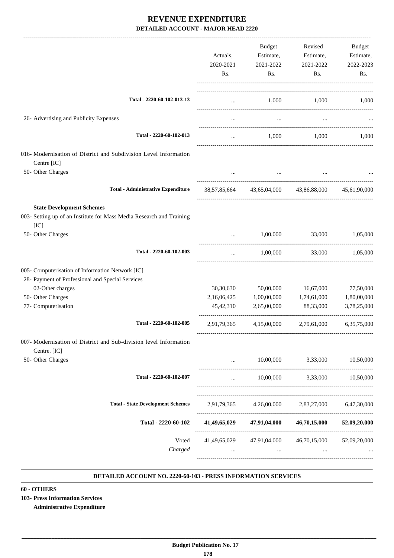|                                                                                                                  | Actuals,<br>2020-2021<br>Rs. | Budget<br>Estimate,<br>2021-2022<br>Rs. | Revised<br>Estimate,<br>2021-2022<br>Rs.           | <b>Budget</b><br>Estimate,<br>2022-2023<br>Rs. |
|------------------------------------------------------------------------------------------------------------------|------------------------------|-----------------------------------------|----------------------------------------------------|------------------------------------------------|
| Total - 2220-60-102-013-13                                                                                       | $\cdots$                     |                                         | 1,000 1,000                                        | 1,000                                          |
| 26- Advertising and Publicity Expenses                                                                           |                              | $\cdots$                                |                                                    |                                                |
| Total - 2220-60-102-013                                                                                          |                              | 1,000                                   | 1,000                                              | 1,000                                          |
| 016- Modernisation of District and Subdivision Level Information<br>Centre [IC]<br>50- Other Charges             |                              |                                         |                                                    |                                                |
| <b>Total - Administrative Expenditure</b>                                                                        |                              |                                         | 38,57,85,664 43,65,04,000 43,86,88,000             | 45.61.90.000                                   |
| <b>State Development Schemes</b><br>003- Setting up of an Institute for Mass Media Research and Training<br>[IC] |                              |                                         |                                                    |                                                |
| 50- Other Charges                                                                                                | $\cdots$                     | 1,00,000                                | 33,000                                             | 1,05,000                                       |
| Total - 2220-60-102-003                                                                                          | $\cdots$                     | 1,00,000                                | 33,000                                             | 1,05,000                                       |
| 005- Computerisation of Information Network [IC]<br>28- Payment of Professional and Special Services             |                              |                                         |                                                    |                                                |
| 02-Other charges                                                                                                 | 30,30,630                    | 50,00,000                               | 16,67,000                                          | 77,50,000                                      |
| 50- Other Charges<br>77- Computerisation                                                                         | 2,16,06,425<br>45, 42, 310   | 1,00,00,000<br>2,65,00,000              | 1,74,61,000<br>88,33,000                           | 1,80,00,000<br>3,78,25,000                     |
| Total - 2220-60-102-005                                                                                          | 2,91,79,365                  | 4,15,00,000                             | 2,79,61,000                                        | 6,35,75,000                                    |
| 007- Modernisation of District and Sub-division level Information<br>Centre. [IC]                                |                              |                                         |                                                    |                                                |
| 50- Other Charges                                                                                                | $\cdots$                     |                                         | 10,00,000 3,33,000                                 | 10,50,000                                      |
| Total - 2220-60-102-007                                                                                          | $\cdots$                     |                                         | 10,00,000 3,33,000 10,50,000                       |                                                |
| <b>Total - State Development Schemes</b>                                                                         | 2,91,79,365                  | 4,26,00,000                             | 2,83,27,000                                        | 6,47,30,000                                    |
| Total - 2220-60-102                                                                                              |                              |                                         | 41,49,65,029 47,91,04,000 46,70,15,000             | 52,09,20,000                                   |
| Voted<br>Charged                                                                                                 |                              | <b>ARCHITECT</b>                        | 41,49,65,029 47,91,04,000 46,70,15,000<br>$\cdots$ | 52,09,20,000                                   |

#### **DETAILED ACCOUNT NO. 2220-60-103 - PRESS INFORMATION SERVICES .**

#### **60 - OTHERS**

**103- Press Information Services**

**Administrative Expenditure**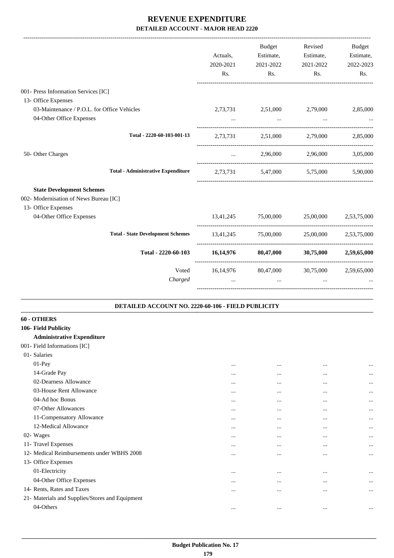|                                             |                                                    | Actuals,<br>2020-2021<br>Rs. | Budget<br>Estimate,<br>2021-2022<br>Rs.           | Revised<br>Estimate,<br>2021-2022<br>Rs. | Budget<br>Estimate,<br>2022-2023<br>Rs. |
|---------------------------------------------|----------------------------------------------------|------------------------------|---------------------------------------------------|------------------------------------------|-----------------------------------------|
| 001- Press Information Services [IC]        |                                                    |                              |                                                   |                                          |                                         |
| 13- Office Expenses                         |                                                    |                              |                                                   |                                          |                                         |
| 03-Maintenance / P.O.L. for Office Vehicles |                                                    |                              | 2,73,731 2,51,000 2,79,000                        |                                          | 2,85,000                                |
| 04-Other Office Expenses                    |                                                    | $\cdots$                     | $\cdots$                                          | $\cdots$                                 |                                         |
|                                             | Total - 2220-60-103-001-13                         |                              | 2,73,731 2,51,000 2,79,000 2,85,000               |                                          |                                         |
| 50- Other Charges                           |                                                    | $\cdots$                     |                                                   | 2,96,000 2,96,000                        | 3,05,000                                |
|                                             | <b>Total - Administrative Expenditure</b>          |                              | 2,73,731 5,47,000 5,75,000 5,90,000               |                                          |                                         |
| <b>State Development Schemes</b>            |                                                    |                              |                                                   |                                          |                                         |
| 002- Modernisation of News Bureau [IC]      |                                                    |                              |                                                   |                                          |                                         |
| 13- Office Expenses                         |                                                    |                              |                                                   |                                          |                                         |
| 04-Other Office Expenses                    |                                                    |                              | $13,41,245$ $75,00,000$ $25,00,000$ $2,53,75,000$ |                                          |                                         |
|                                             | <b>Total - State Development Schemes</b>           |                              | 13,41,245 75,00,000 25,00,000 2,53,75,000         |                                          |                                         |
|                                             | Total - 2220-60-103                                |                              | $16,14,976$ $80,47,000$ $30,75,000$ $2,59,65,000$ |                                          |                                         |
|                                             | Voted                                              |                              | 16,14,976 80,47,000 30,75,000 2,59,65,000         |                                          |                                         |
|                                             | Charged                                            | $\ddotsc$                    | $\cdots$                                          | $\ddotsc$                                |                                         |
|                                             | DETAILED ACCOUNT NO. 2220-60-106 - FIELD PUBLICITY |                              |                                                   |                                          |                                         |
| 60 - OTHERS                                 |                                                    |                              |                                                   |                                          |                                         |
| 106- Field Publicity                        |                                                    |                              |                                                   |                                          |                                         |
| <b>Administrative Expenditure</b>           |                                                    |                              |                                                   |                                          |                                         |
| 001- Field Informations [IC]                |                                                    |                              |                                                   |                                          |                                         |
| 01- Salaries                                |                                                    |                              |                                                   |                                          |                                         |
| $01-Pay$                                    |                                                    | $\cdots$                     | $\ddotsc$                                         | $\cdots$                                 | $\cdots$                                |
| 14-Grade Pay                                |                                                    | $\cdots$                     |                                                   | $\cdots$                                 | $\cdots$                                |
| 02-Dearness Allowance                       |                                                    | $\cdots$                     | $\cdots$                                          | $\cdots$                                 | $\cdots$                                |
| 03-House Rent Allowance                     |                                                    | $\cdots$                     | $\cdots$                                          | $\cdots$                                 | $\cdots$                                |
| 04-Ad hoc Bonus                             |                                                    | $\cdots$                     |                                                   | $\ddotsc$                                | $\cdots$                                |
| $07$ Other Allewanees                       |                                                    |                              |                                                   |                                          |                                         |

| 07-Other Allowances                             | $\cdots$ | $\cdots$ | $\cdots$ | $\cdots$ |
|-------------------------------------------------|----------|----------|----------|----------|
| 11-Compensatory Allowance                       | $\cdots$ | $\cdots$ | $\cdots$ | $\cdots$ |
| 12-Medical Allowance                            |          | $\cdots$ |          | $\cdots$ |
| 02- Wages                                       | $\cdots$ | $\cdots$ | $\cdots$ | $\cdots$ |
| 11- Travel Expenses                             |          | $\cdots$ | $\cdots$ | $\cdots$ |
| 12- Medical Reimbursements under WBHS 2008      | $\cdots$ | $\cdots$ | $\cdots$ | $\cdots$ |
| 13- Office Expenses                             |          |          |          |          |
| 01-Electricity                                  | $\cdots$ | $\cdots$ | $\cdots$ | $\cdots$ |
| 04-Other Office Expenses                        |          | $\cdots$ |          | $\cdots$ |
| 14- Rents, Rates and Taxes                      | $\cdots$ | $\cdots$ | $\cdots$ | $\cdots$ |
| 21- Materials and Supplies/Stores and Equipment |          |          |          |          |
| 04-Others                                       |          | $\cdots$ | $\cdots$ |          |
|                                                 |          |          |          |          |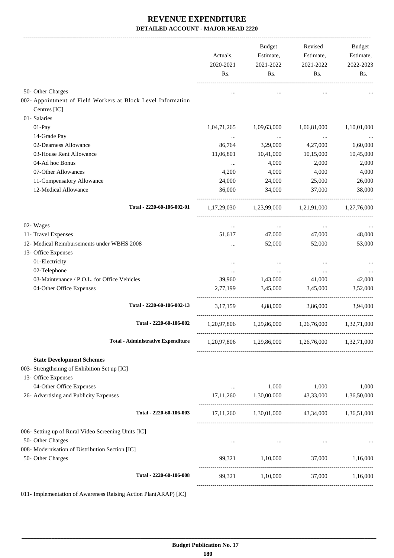|                                                                              | Actuals,<br>2020-2021<br>Rs. | Budget<br>Estimate,<br>2021-2022<br>Rs. | Revised<br>Estimate,<br>2021-2022<br>Rs.        | Budget<br>Estimate,<br>2022-2023<br>Rs. |
|------------------------------------------------------------------------------|------------------------------|-----------------------------------------|-------------------------------------------------|-----------------------------------------|
| 50- Other Charges                                                            |                              |                                         |                                                 |                                         |
| 002- Appointment of Field Workers at Block Level Information<br>Centres [IC] |                              |                                         |                                                 |                                         |
| 01- Salaries                                                                 |                              |                                         |                                                 |                                         |
| 01-Pay                                                                       | 1,04,71,265                  | 1,09,63,000                             | 1,06,81,000                                     | 1,10,01,000                             |
| 14-Grade Pay                                                                 | $\cdots$                     | $\ldots$                                | $\ldots$                                        |                                         |
| 02-Dearness Allowance                                                        | 86,764                       | 3,29,000                                | 4,27,000                                        | 6,60,000                                |
| 03-House Rent Allowance                                                      | 11,06,801                    | 10,41,000                               | 10,15,000                                       | 10,45,000                               |
| 04-Ad hoc Bonus                                                              | $\cdots$                     | 4,000                                   | 2,000                                           | 2,000                                   |
| 07-Other Allowances                                                          | 4,200                        | 4,000                                   | 4,000                                           | 4,000                                   |
| 11-Compensatory Allowance                                                    | 24,000                       | 24,000                                  | 25,000                                          | 26,000                                  |
| 12-Medical Allowance                                                         | 36,000                       | 34,000                                  | 37,000                                          | 38,000                                  |
| Total - 2220-60-106-002-01                                                   |                              |                                         | 1,17,29,030 1,23,99,000 1,21,91,000 1,27,76,000 |                                         |
| 02- Wages                                                                    | $\cdots$                     | <b>Section</b>                          | $\mathbf{z}$ and $\mathbf{z}$                   |                                         |
| 11- Travel Expenses                                                          | 51,617                       | 47,000                                  | 47,000                                          | 48,000                                  |
| 12- Medical Reimbursements under WBHS 2008                                   |                              | 52,000                                  | 52,000                                          | 53,000                                  |
| 13- Office Expenses                                                          |                              |                                         |                                                 |                                         |
| 01-Electricity                                                               | $\cdots$                     | $\cdots$                                | $\cdots$                                        |                                         |
| 02-Telephone                                                                 | $\cdots$                     | $\cdots$                                | $\cdots$                                        |                                         |
| 03-Maintenance / P.O.L. for Office Vehicles                                  | 39,960                       | 1,43,000                                | 41,000                                          | 42,000                                  |
| 04-Other Office Expenses                                                     | 2,77,199                     | 3,45,000                                | 3,45,000                                        | 3,52,000                                |
| Total - 2220-60-106-002-13                                                   | 3, 17, 159                   | 4,88,000                                | 3,86,000                                        | 3,94,000                                |
| Total - 2220-60-106-002                                                      |                              |                                         | 1,20,97,806 1,29,86,000 1,26,76,000 1,32,71,000 |                                         |
| <b>Total - Administrative Expenditure</b>                                    |                              |                                         | 1,20,97,806 1,29,86,000 1,26,76,000 1,32,71,000 |                                         |
| <b>State Development Schemes</b>                                             |                              |                                         |                                                 |                                         |
| 003- Strengthening of Exhibition Set up [IC]                                 |                              |                                         |                                                 |                                         |
| 13- Office Expenses                                                          |                              |                                         |                                                 |                                         |
| 04-Other Office Expenses                                                     | $\cdots$                     | 1,000                                   | 1,000                                           | 1,000                                   |
| 26- Advertising and Publicity Expenses                                       |                              |                                         | 17,11,260 1,30,00,000 43,33,000 1,36,50,000     |                                         |
| Total - 2220-60-106-003                                                      |                              |                                         | 17,11,260 1,30,01,000 43,34,000 1,36,51,000     |                                         |
| 006- Setting up of Rural Video Screening Units [IC]                          |                              |                                         |                                                 |                                         |
| 50- Other Charges                                                            | $\cdots$                     | $\cdots$                                | $\cdots$                                        |                                         |
| 008- Modernisation of Distribution Section [IC]                              |                              |                                         |                                                 |                                         |
| 50- Other Charges                                                            |                              | 99,321 1,10,000                         | 37,000 1,16,000                                 |                                         |
| Total - 2220-60-106-008                                                      | 99,321                       | 1,10,000                                |                                                 | 37,000 1,16,000                         |
|                                                                              |                              |                                         |                                                 |                                         |

011- Implementation of Awareness Raising Action Plan(ARAP) [IC]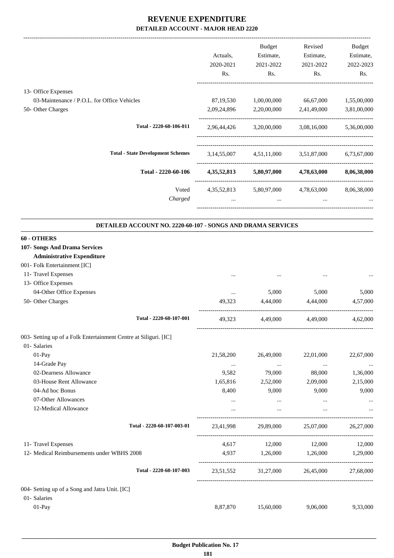|                                                                  | Actuals,<br>2020-2021<br>Rs. | Budget<br>Estimate,<br>2021-2022<br>Rs. | Revised<br>Estimate,<br>2021-2022<br>Rs. | Budget<br>Estimate,<br>2022-2023<br>Rs. |
|------------------------------------------------------------------|------------------------------|-----------------------------------------|------------------------------------------|-----------------------------------------|
| 13- Office Expenses                                              |                              |                                         |                                          |                                         |
| 03-Maintenance / P.O.L. for Office Vehicles                      | 87, 19, 530                  | 1,00,00,000                             | 66,67,000                                | 1,55,00,000                             |
| 50- Other Charges                                                | 2,09,24,896                  | 2,20,00,000                             | 2,41,49,000                              | 3,81,00,000                             |
| Total - 2220-60-106-011                                          |                              |                                         | 2,96,44,426 3,20,00,000 3,08,16,000      | 5,36,00,000                             |
| <b>Total - State Development Schemes</b>                         |                              |                                         | 3,14,55,007 4,51,11,000 3,51,87,000      | 6,73,67,000                             |
| Total - 2220-60-106                                              |                              |                                         | 4,35,52,813 5,80,97,000 4,78,63,000      | 8,06,38,000                             |
| Voted                                                            |                              |                                         | 4,35,52,813 5,80,97,000 4,78,63,000      | 8,06,38,000                             |
| Charged                                                          | $\cdots$                     | $\cdots$                                | $\cdots$                                 |                                         |
| DETAILED ACCOUNT NO. 2220-60-107 - SONGS AND DRAMA SERVICES      |                              |                                         |                                          |                                         |
| 60 - OTHERS                                                      |                              |                                         |                                          |                                         |
| 107- Songs And Drama Services                                    |                              |                                         |                                          |                                         |
| <b>Administrative Expenditure</b>                                |                              |                                         |                                          |                                         |
| 001- Folk Entertainment [IC]<br>11- Travel Expenses              |                              |                                         |                                          |                                         |
| 13- Office Expenses                                              |                              |                                         |                                          |                                         |
| 04-Other Office Expenses                                         | $\cdots$                     | 5,000                                   | 5,000                                    | 5,000                                   |
| 50- Other Charges                                                | 49.323                       | 4,44,000                                | 4,44,000                                 | 4,57,000                                |
| Total - 2220-60-107-001                                          | 49,323                       | 4,49,000                                | 4,49,000                                 | 4,62,000                                |
| 003- Setting up of a Folk Entertainment Centre at Siliguri. [IC] |                              |                                         |                                          |                                         |
| 01- Salaries                                                     |                              |                                         |                                          |                                         |
| 01-Pay                                                           | 21,58,200                    | 26,49,000                               | 22,01,000                                | 22,67,000                               |
| 14-Grade Pay<br>02-Dearness Allowance                            | $\cdots$<br>9,582            | $\ldots$<br>79,000                      | $\cdots$                                 | $\ldots$                                |
| 03-House Rent Allowance                                          | 1,65,816                     | 2,52,000                                | 88,000<br>2,09,000                       | 1,36,000<br>2,15,000                    |
| 04-Ad hoc Bonus                                                  | 8,400                        | 9,000                                   | 9,000                                    | 9,000                                   |
| 07-Other Allowances                                              | $\cdots$                     | $\cdots$                                | $\ldots$                                 |                                         |
| 12-Medical Allowance                                             |                              | $\cdots$                                | $\cdots$                                 |                                         |
| Total - 2220-60-107-003-01                                       | 23,41,998                    | 29,89,000                               | 25,07,000                                | 26,27,000                               |
| 11- Travel Expenses                                              | 4,617                        | 12,000                                  | 12,000                                   | 12,000                                  |
| 12- Medical Reimbursements under WBHS 2008                       | 4,937                        | 1,26,000                                | 1,26,000                                 | 1,29,000                                |
| Total - 2220-60-107-003                                          | 23,51,552                    |                                         | 31,27,000 26,45,000                      | 27,68,000                               |
| 004- Setting up of a Song and Jatra Unit. [IC]                   |                              |                                         |                                          |                                         |
| 01- Salaries                                                     |                              |                                         |                                          |                                         |
| 01-Pay                                                           | 8,87,870                     | 15,60,000                               | 9,06,000                                 | 9,33,000                                |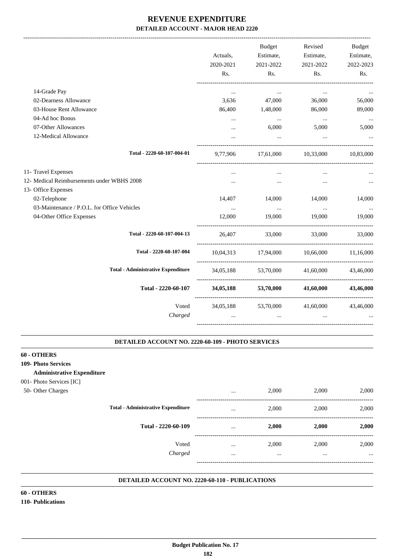|                                             | Actuals,<br>2020-2021<br>Rs. | Budget<br>Estimate,<br>2021-2022<br>Rs. | Revised<br>Estimate,<br>2021-2022<br>Rs. | Budget<br>Estimate,<br>2022-2023<br>Rs. |
|---------------------------------------------|------------------------------|-----------------------------------------|------------------------------------------|-----------------------------------------|
| 14-Grade Pay                                | $\cdots$                     | $\cdots$                                | $\cdots$                                 |                                         |
| 02-Dearness Allowance                       | 3,636                        | 47,000                                  | 36,000                                   | 56,000                                  |
| 03-House Rent Allowance                     | 86,400                       | 1,48,000                                | 86,000                                   | 89,000                                  |
| 04-Ad hoc Bonus                             | $\cdots$                     | $\sim$                                  | $\sim 100$ and $\sim 100$                | $\cdots$                                |
| 07-Other Allowances                         | $\cdots$                     | 6,000                                   | 5,000                                    | 5,000                                   |
| 12-Medical Allowance                        |                              | $\cdots$                                | $\cdots$                                 |                                         |
| Total - 2220-60-107-004-01                  | 9,77,906                     |                                         | 17,61,000 10,33,000 10,83,000            |                                         |
| 11- Travel Expenses                         |                              |                                         |                                          |                                         |
| 12- Medical Reimbursements under WBHS 2008  |                              |                                         | $\ddotsc$                                |                                         |
| 13- Office Expenses                         |                              |                                         |                                          |                                         |
| 02-Telephone                                | 14,407                       | 14,000                                  | 14,000                                   | 14,000                                  |
| 03-Maintenance / P.O.L. for Office Vehicles | $\cdots$                     | $\cdots$                                | $\cdots$                                 | $\ddots$                                |
| 04-Other Office Expenses                    | 12,000                       | 19,000                                  | 19,000                                   | 19,000                                  |
| Total - 2220-60-107-004-13                  |                              | 26,407 33,000 33,000                    |                                          | 33,000                                  |
| Total - 2220-60-107-004                     |                              |                                         | 10,04,313 17,94,000 10,66,000 11,16,000  |                                         |
| <b>Total - Administrative Expenditure</b>   |                              |                                         | 34,05,188 53,70,000 41,60,000            | 43,46,000                               |
| Total - 2220-60-107                         | 34,05,188                    | 53,70,000                               | 41.60.000                                | 43.46,000                               |
| Voted                                       |                              |                                         | 34,05,188 53,70,000 41,60,000            | 43,46,000                               |
| Charged                                     | $\cdots$                     | $\cdots$                                | $\cdots$                                 |                                         |
|                                             |                              |                                         |                                          |                                         |

#### **DETAILED ACCOUNT NO. 2220-60-109 - PHOTO SERVICES .**

#### **60 - OTHERS**

- **109- Photo Services**
	- **Administrative Expenditure**
- 001- Photo Services [IC]
- 50- Other Charges

|                                           | $\cdots$             | 2,000             | 2,000             | 2,000             |
|-------------------------------------------|----------------------|-------------------|-------------------|-------------------|
| <b>Total - Administrative Expenditure</b> | $\cdots$             | 2,000             | 2,000             | 2,000             |
| Total - 2220-60-109                       | $\cdots$             | 2,000             | 2,000             | 2,000             |
| Voted<br>Charged                          | $\cdots$<br>$\cdots$ | 2,000<br>$\cdots$ | 2,000<br>$\cdots$ | 2,000<br>$\cdots$ |
|                                           |                      |                   |                   |                   |

.

.

#### **DETAILED ACCOUNT NO. 2220-60-110 - PUBLICATIONS .**

**60 - OTHERS 110- Publications**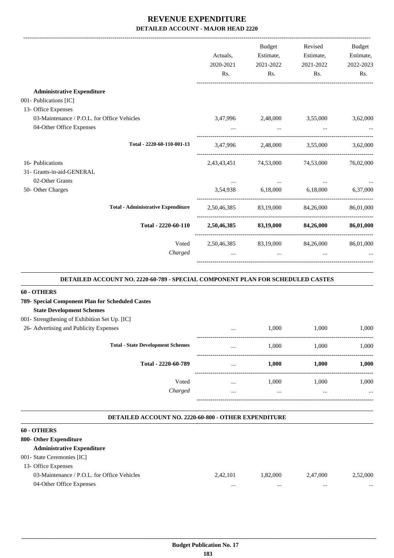|                                             | Actuals,<br>2020-2021<br>Rs. | Budget<br>Estimate,<br>2021-2022<br>Rs. | Revised<br>Estimate,<br>2021-2022<br>Rs. | <b>Budget</b><br>Estimate,<br>2022-2023<br>Rs. |
|---------------------------------------------|------------------------------|-----------------------------------------|------------------------------------------|------------------------------------------------|
|                                             |                              |                                         |                                          |                                                |
| <b>Administrative Expenditure</b>           |                              |                                         |                                          |                                                |
| 001- Publications [IC]                      |                              |                                         |                                          |                                                |
| 13- Office Expenses                         |                              |                                         |                                          |                                                |
| 03-Maintenance / P.O.L. for Office Vehicles | 3,47,996                     | 2,48,000                                | 3,55,000                                 | 3,62,000                                       |
| 04-Other Office Expenses                    |                              |                                         |                                          |                                                |
| Total - 2220-60-110-001-13                  |                              | 3,47,996 2,48,000                       | 3,55,000                                 | 3,62,000                                       |
| 16- Publications                            | 2,43,43,451                  | 74,53,000                               | 74,53,000                                | 76,02,000                                      |
| 31- Grants-in-aid-GENERAL                   |                              |                                         |                                          |                                                |
| 02-Other Grants                             |                              | $\cdots$                                |                                          |                                                |
| 50- Other Charges                           |                              |                                         | 3,54,938 6,18,000 6,18,000               | 6,37,000                                       |
| <b>Total - Administrative Expenditure</b>   | 2,50,46,385                  |                                         | 83,19,000 84,26,000                      | 86,01,000                                      |
| Total - 2220-60-110                         |                              | 2,50,46,385 83,19,000 84,26,000         |                                          | 86,01,000                                      |
| Voted                                       |                              |                                         | 2,50,46,385 83,19,000 84,26,000          | 86,01,000                                      |
| Charged                                     |                              | $\cdots$                                |                                          |                                                |
|                                             |                              |                                         |                                          |                                                |

#### **DETAILED ACCOUNT NO. 2220-60-789 - SPECIAL COMPONENT PLAN FOR SCHEDULED CASTES .**

#### **60 - OTHERS**

26- Advertising and

| 789- Special Component Plan for Scheduled Castes |
|--------------------------------------------------|
| <b>State Development Schemes</b>                 |
| 001- Strengthening of Exhibition Set Up. [IC]    |

| <b>Publicity Expenses</b>                | $\cdots$ | 1,000    | 1,000 | 1,000    |
|------------------------------------------|----------|----------|-------|----------|
| <b>Total - State Development Schemes</b> | $\cdots$ | 1,000    | 1,000 | 1,000    |
| Total - 2220-60-789                      | $\cdots$ | 1,000    | 1,000 | 1,000    |
| Voted                                    | $\cdots$ | 1,000    | 1,000 | 1,000    |
| Charged                                  | $\cdots$ | $\cdots$ |       | $\cdots$ |

-----------------------------------------------------------------------------------------

.

#### **DETAILED ACCOUNT NO. 2220-60-800 - OTHER EXPENDITURE**

| 60 - OTHERS                                 |          |          |          |          |
|---------------------------------------------|----------|----------|----------|----------|
| 800- Other Expenditure                      |          |          |          |          |
| <b>Administrative Expenditure</b>           |          |          |          |          |
| 001- State Ceremonies [IC]                  |          |          |          |          |
| 13- Office Expenses                         |          |          |          |          |
| 03-Maintenance / P.O.L. for Office Vehicles | 2.42.101 | 1.82,000 | 2.47,000 | 2,52,000 |
| 04-Other Office Expenses                    | $\cdots$ | $\cdots$ |          | $\cdots$ |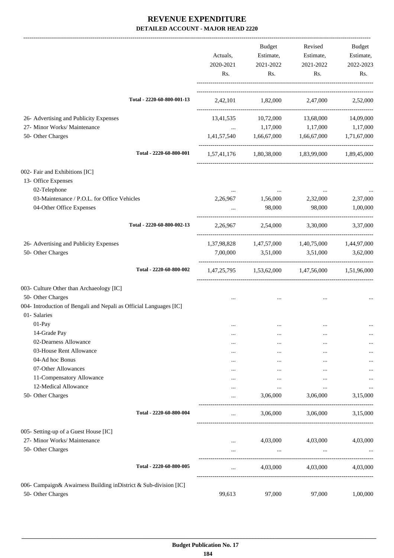|                                                                       |                            |                                                |                      | Revised                                         |                  |
|-----------------------------------------------------------------------|----------------------------|------------------------------------------------|----------------------|-------------------------------------------------|------------------|
|                                                                       |                            |                                                | Budget<br>Estimate,  |                                                 | Budget           |
|                                                                       |                            | Actuals,                                       |                      | Estimate,                                       | Estimate,        |
|                                                                       |                            | 2020-2021<br>Rs.                               | 2021-2022<br>Rs.     | 2021-2022<br>Rs.                                | 2022-2023<br>Rs. |
|                                                                       |                            |                                                |                      |                                                 |                  |
|                                                                       | Total - 2220-60-800-001-13 |                                                |                      | 2,42,101 1,82,000 2,47,000 2,52,000             |                  |
| 26- Advertising and Publicity Expenses                                |                            | 13,41,535                                      |                      | 10,72,000 13,68,000                             | 14,09,000        |
| 27- Minor Works/ Maintenance                                          |                            | $\mathbf{1}$ and $\mathbf{1}$ and $\mathbf{1}$ |                      | 1,17,000 1,17,000                               | 1,17,000         |
| 50- Other Charges                                                     |                            |                                                |                      | 1,41,57,540 1,66,67,000 1,66,67,000 1,71,67,000 |                  |
|                                                                       | Total - 2220-60-800-001    |                                                |                      | 1,57,41,176 1,80,38,000 1,83,99,000 1,89,45,000 |                  |
| 002- Fair and Exhibitions [IC]<br>13- Office Expenses<br>02-Telephone |                            |                                                | $\sim$ $\sim$ $\sim$ |                                                 |                  |
| 03-Maintenance / P.O.L. for Office Vehicles                           |                            | 2,26,967                                       | 1,56,000             | 2,32,000                                        | 2,37,000         |
| 04-Other Office Expenses                                              |                            |                                                | 98,000               | 98,000                                          | 1,00,000         |
|                                                                       | Total - 2220-60-800-002-13 | 2,26,967                                       |                      | 2,54,000 3,30,000                               | 3,37,000         |
| 26- Advertising and Publicity Expenses                                |                            |                                                |                      | 1,37,98,828 1,47,57,000 1,40,75,000 1,44,97,000 |                  |
| 50- Other Charges                                                     |                            |                                                |                      | 7,00,000 3,51,000 3,51,000                      | 3,62,000         |
|                                                                       | Total - 2220-60-800-002    |                                                |                      | 1,47,25,795 1,53,62,000 1,47,56,000 1,51,96,000 |                  |
| 003- Culture Other than Archaeology [IC]                              |                            |                                                |                      |                                                 |                  |
| 50- Other Charges                                                     |                            |                                                |                      |                                                 |                  |
| 004- Introduction of Bengali and Nepali as Official Languages [IC]    |                            |                                                |                      |                                                 |                  |
| 01- Salaries                                                          |                            |                                                |                      |                                                 |                  |
| 01-Pay                                                                |                            |                                                |                      | $\ddotsc$                                       |                  |
| 14-Grade Pay                                                          |                            | $\cdots$                                       |                      |                                                 |                  |
| 02-Dearness Allowance                                                 |                            | $\cdots$                                       | $\cdots$             | $\ddotsc$                                       |                  |
| 03-House Rent Allowance                                               |                            | $\cdots$                                       | $\cdots$             | $\cdots$                                        |                  |
| 04-Ad hoc Bonus                                                       |                            | $\cdots$                                       |                      | $\ddotsc$                                       | $\cdots$         |
| 07-Other Allowances                                                   |                            | $\cdots$                                       | $\cdots$             |                                                 |                  |
| 11-Compensatory Allowance<br>12-Medical Allowance                     |                            | $\cdots$                                       |                      |                                                 |                  |
| 50- Other Charges                                                     |                            | $\ddotsc$<br>$\ddotsc$                         | $\cdots$<br>3,06,000 | $\cdots$<br>3,06,000                            | 3,15,000         |
|                                                                       | Total - 2220-60-800-004    | $\ddotsc$                                      | 3,06,000             | 3,06,000                                        | 3,15,000         |
| 005- Setting-up of a Guest House [IC]                                 |                            |                                                |                      |                                                 |                  |
| 27- Minor Works/ Maintenance                                          |                            | $\cdots$                                       | 4,03,000             | 4,03,000                                        | 4,03,000         |
| 50- Other Charges                                                     |                            |                                                |                      | $\cdots$                                        |                  |
|                                                                       | Total - 2220-60-800-005    | $\cdots$                                       | 4,03,000             | 4,03,000                                        | 4,03,000         |
| 006- Campaign& Awairness Building inDistrict & Sub-division [IC]      |                            |                                                |                      |                                                 |                  |
| 50- Other Charges                                                     |                            | 99,613                                         | 97,000               | 97,000                                          | 1,00,000         |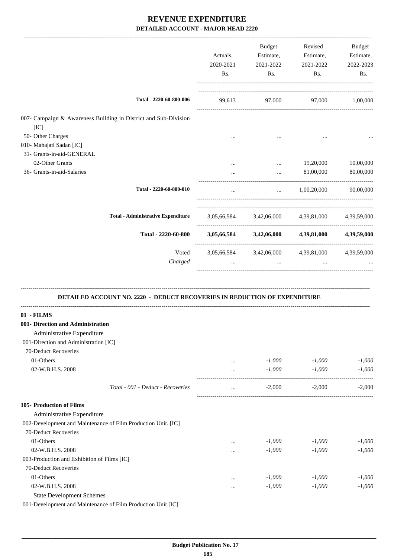|                                                                                                  | Actuals,<br>2020-2021<br>Rs. | Budget<br>Estimate,<br>2021-2022<br>Rs. | Revised<br>Estimate,<br>2021-2022<br>Rs.        | <b>Budget</b><br>Estimate,<br>2022-2023<br>Rs. |
|--------------------------------------------------------------------------------------------------|------------------------------|-----------------------------------------|-------------------------------------------------|------------------------------------------------|
|                                                                                                  |                              |                                         |                                                 |                                                |
| Total - 2220-60-800-006                                                                          | 99,613                       |                                         | 97,000 97,000 1,00,000                          |                                                |
| 007- Campaign & Awareness Building in District and Sub-Division                                  |                              |                                         |                                                 |                                                |
| [IC]                                                                                             |                              |                                         |                                                 |                                                |
| 50- Other Charges                                                                                |                              |                                         |                                                 |                                                |
| 010- Mahajati Sadan [IC]                                                                         |                              |                                         |                                                 |                                                |
| 31- Grants-in-aid-GENERAL                                                                        |                              |                                         |                                                 |                                                |
| 02-Other Grants                                                                                  |                              | $\cdots$                                | 19,20,000                                       | 10,00,000                                      |
| 36- Grants-in-aid-Salaries                                                                       |                              | $\cdots$                                | 81,00,000                                       | 80,00,000                                      |
| Total - 2220-60-800-010                                                                          |                              |                                         | $\ldots$ 1,00,20,000 90,00,000                  |                                                |
| <b>Total - Administrative Expenditure</b>                                                        |                              |                                         | 3,05,66,584 3,42,06,000 4,39,81,000 4,39,59,000 |                                                |
| Total - 2220-60-800                                                                              |                              | 3,05,66,584 3,42,06,000                 | 4,39,81,000                                     | 4,39,59,000                                    |
|                                                                                                  |                              |                                         |                                                 |                                                |
| Voted                                                                                            |                              |                                         | 3,05,66,584 3,42,06,000 4,39,81,000 4,39,59,000 |                                                |
| Charged                                                                                          |                              |                                         |                                                 |                                                |
| DETAILED ACCOUNT NO. 2220 - DEDUCT RECOVERIES IN REDUCTION OF EXPENDITURE<br>01 - FILMS          |                              |                                         |                                                 |                                                |
| 001- Direction and Administration                                                                |                              |                                         |                                                 |                                                |
| Administrative Expenditure                                                                       |                              |                                         |                                                 |                                                |
| 001-Direction and Administration [IC]                                                            |                              |                                         |                                                 |                                                |
| 70-Deduct Recoveries                                                                             |                              |                                         |                                                 |                                                |
| 01-Others                                                                                        | $\cdots$                     | $-1,000$                                | $-1,000$                                        | $-1,000$                                       |
| 02-W.B.H.S. 2008                                                                                 | $\cdots$                     | $-1,000$                                | $-1,000$                                        | $-1,000$                                       |
|                                                                                                  |                              |                                         | --------------------<br>----------------------- |                                                |
| Total - 001 - Deduct - Recoveries                                                                | $\cdots$                     | $-2,000$                                | $-2,000$                                        | $-2,000$                                       |
| 105- Production of Films                                                                         |                              |                                         |                                                 |                                                |
| Administrative Expenditure                                                                       |                              |                                         |                                                 |                                                |
| 002-Development and Maintenance of Film Production Unit. [IC]                                    |                              |                                         |                                                 |                                                |
| 70-Deduct Recoveries                                                                             |                              |                                         |                                                 |                                                |
| 01-Others                                                                                        |                              |                                         |                                                 |                                                |
|                                                                                                  |                              | $-1,000$                                | $-1,000$                                        | $-1,000$                                       |
| 02-W.B.H.S. 2008                                                                                 | $\cdots$                     | $-1,000$                                | $-1,000$                                        | $-1,000$                                       |
| 003-Production and Exhibition of Films [IC]                                                      |                              |                                         |                                                 |                                                |
| 70-Deduct Recoveries                                                                             |                              |                                         |                                                 |                                                |
| 01-Others                                                                                        |                              | $-1,000$                                | $-1,000$                                        | $-1,000$                                       |
| 02-W.B.H.S. 2008                                                                                 |                              | $-1,000$                                | $-1,000$                                        | $-1,000$                                       |
| <b>State Development Schemes</b><br>001-Development and Maintenance of Film Production Unit [IC] |                              |                                         |                                                 |                                                |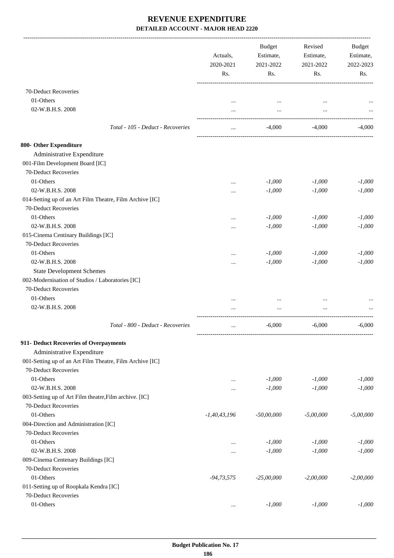|                                                          | Actuals,<br>2020-2021<br>Rs. | <b>Budget</b><br>Estimate,<br>2021-2022<br>Rs. | Revised<br>Estimate,<br>2021-2022<br>Rs. | Budget<br>Estimate,<br>2022-2023<br>Rs. |
|----------------------------------------------------------|------------------------------|------------------------------------------------|------------------------------------------|-----------------------------------------|
| 70-Deduct Recoveries                                     |                              |                                                |                                          |                                         |
| 01-Others                                                |                              |                                                |                                          |                                         |
| 02-W.B.H.S. 2008                                         |                              | $\cdots$                                       | $\cdots$                                 |                                         |
| Total - 105 - Deduct - Recoveries                        | $\cdots$                     | -4.000                                         | -4,000                                   | $-4,000$                                |
| 800- Other Expenditure                                   |                              |                                                |                                          |                                         |
| Administrative Expenditure                               |                              |                                                |                                          |                                         |
| 001-Film Development Board [IC]                          |                              |                                                |                                          |                                         |
| 70-Deduct Recoveries                                     |                              |                                                |                                          |                                         |
| 01-Others                                                |                              | $-1,000$                                       | $-1,000$                                 | $-1,000$                                |
| 02-W.B.H.S. 2008                                         | $\cdots$                     |                                                |                                          |                                         |
|                                                          | $\cdots$                     | $-1,000$                                       | $-1,000$                                 | $-1,000$                                |
| 014-Setting up of an Art Film Theatre, Film Archive [IC] |                              |                                                |                                          |                                         |
| 70-Deduct Recoveries                                     |                              |                                                |                                          |                                         |
| 01-Others                                                | $\cdots$                     | $-1,000$                                       | $-1,000$                                 | $-1,000$                                |
| 02-W.B.H.S. 2008                                         | $\cdots$                     | $-1,000$                                       | $-1,000$                                 | $-1,000$                                |
| 015-Cinema Centinary Buildings [IC]                      |                              |                                                |                                          |                                         |
| 70-Deduct Recoveries                                     |                              |                                                |                                          |                                         |
| 01-Others                                                | $\cdots$                     | $-1,000$                                       | $-1,000$                                 | $-1,000$                                |
| 02-W.B.H.S. 2008                                         |                              | $-1,000$                                       | $-1,000$                                 | $-1,000$                                |
| <b>State Development Schemes</b>                         |                              |                                                |                                          |                                         |
| 002-Modernisation of Studios / Laboratories [IC]         |                              |                                                |                                          |                                         |
| 70-Deduct Recoveries                                     |                              |                                                |                                          |                                         |
| 01-Others                                                |                              |                                                |                                          |                                         |
| 02-W.B.H.S. 2008                                         |                              |                                                |                                          |                                         |
| Total - 800 - Deduct - Recoveries                        | $\cdots$                     | $-6,000$                                       | $-6,000$                                 | $-6,000$                                |
| 911- Deduct Recoveries of Overpayments                   |                              |                                                |                                          |                                         |
| Administrative Expenditure                               |                              |                                                |                                          |                                         |
| 001-Setting up of an Art Film Theatre, Film Archive [IC] |                              |                                                |                                          |                                         |
| 70-Deduct Recoveries                                     |                              |                                                |                                          |                                         |
| 01-Others                                                |                              | $-1,000$                                       | $-1,000$                                 | $-1,000$                                |
| 02-W.B.H.S. 2008                                         |                              | $-1,000$                                       | $-1,000$                                 | $-1,000$                                |
| 003-Setting up of Art Film theatre, Film archive. [IC]   |                              |                                                |                                          |                                         |
| 70-Deduct Recoveries                                     |                              |                                                |                                          |                                         |
| 01-Others                                                | $-1,40,43,196$               | $-50,00,000$                                   | $-5,00,000$                              | $-5,00,000$                             |
| 004-Direction and Administration [IC]                    |                              |                                                |                                          |                                         |
| 70-Deduct Recoveries                                     |                              |                                                |                                          |                                         |
|                                                          |                              |                                                |                                          |                                         |
| 01-Others                                                | $\cdots$                     | $-1,000$                                       | $-1,000$                                 | $-1,000$                                |
| 02-W.B.H.S. 2008                                         |                              | $-1,000$                                       | $-1,000$                                 | $-1,000$                                |
| 009-Cinema Centenary Buildings [IC]                      |                              |                                                |                                          |                                         |
| 70-Deduct Recoveries                                     |                              |                                                |                                          |                                         |
| 01-Others                                                | $-94,73,575$                 | $-25,00,000$                                   | $-2,00,000$                              | $-2,00,000$                             |
| 011-Setting up of Roopkala Kendra [IC]                   |                              |                                                |                                          |                                         |
| 70-Deduct Recoveries                                     |                              |                                                |                                          |                                         |
| 01-Others                                                | $\ldots$                     | $-1,000$                                       | $-1,000$                                 | $-1,000$                                |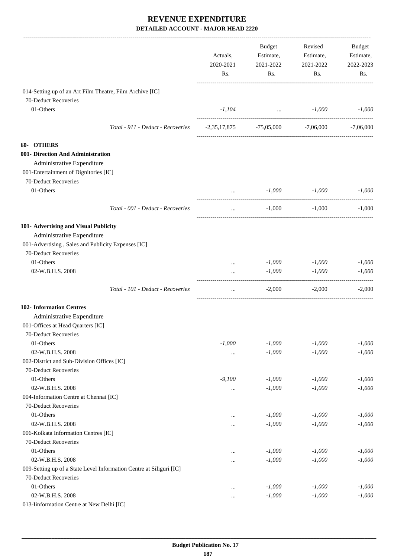|                                                                     | Actuals,<br>2020-2021<br>Rs. | Budget<br>Estimate,<br>2021-2022<br>Rs. | Revised<br>Estimate,<br>2021-2022<br>Rs. | Budget<br>Estimate,<br>2022-2023<br>Rs. |
|---------------------------------------------------------------------|------------------------------|-----------------------------------------|------------------------------------------|-----------------------------------------|
|                                                                     |                              |                                         |                                          |                                         |
| 014-Setting up of an Art Film Theatre, Film Archive [IC]            |                              |                                         |                                          |                                         |
| 70-Deduct Recoveries                                                |                              |                                         |                                          |                                         |
| 01-Others                                                           |                              | $-1,104$ $-1,000$                       |                                          | $-1,000$                                |
| Total - 911 - Deduct - Recoveries                                   |                              | $-2,35,17,875$ $-75,05,000$ $-7,06,000$ |                                          | $-7,06,000$                             |
| <b>60- OTHERS</b>                                                   |                              |                                         |                                          |                                         |
| 001- Direction And Administration                                   |                              |                                         |                                          |                                         |
| Administrative Expenditure                                          |                              |                                         |                                          |                                         |
| 001-Entertainment of Dignitories [IC]                               |                              |                                         |                                          |                                         |
| 70-Deduct Recoveries                                                |                              |                                         |                                          |                                         |
| 01-Others                                                           |                              | -1,000                                  | $-1,000$                                 | $-1.000$                                |
| Total - 001 - Deduct - Recoveries                                   | $\cdots$                     | $-1,000$                                | $-1,000$                                 | $-1,000$                                |
| 101- Advertising and Visual Publicity                               |                              |                                         |                                          |                                         |
| Administrative Expenditure                                          |                              |                                         |                                          |                                         |
| 001-Advertising, Sales and Publicity Expenses [IC]                  |                              |                                         |                                          |                                         |
| 70-Deduct Recoveries                                                |                              |                                         |                                          |                                         |
| 01-Others                                                           |                              | $-1,000$                                | $-1,000$                                 | $-1,000$                                |
| 02-W.B.H.S. 2008                                                    |                              | $-1,000$                                | $-1,000$                                 | $-1,000$                                |
| Total - 101 - Deduct - Recoveries                                   | $\cdots$                     | $-2,000$                                | $-2,000$                                 | $-2,000$                                |
| <b>102-</b> Information Centres                                     |                              |                                         |                                          |                                         |
| Administrative Expenditure                                          |                              |                                         |                                          |                                         |
| 001-Offices at Head Quarters [IC]                                   |                              |                                         |                                          |                                         |
| 70-Deduct Recoveries                                                |                              |                                         |                                          |                                         |
| 01-Others                                                           | $-1,000$                     | $-1,000$                                | $-1,000$                                 | $-1,000$                                |
| 02-W.B.H.S. 2008                                                    | $\cdots$                     | $-1,000$                                | $-1,000$                                 | $-1,000$                                |
| 002-District and Sub-Division Offices [IC]                          |                              |                                         |                                          |                                         |
| 70-Deduct Recoveries                                                |                              |                                         |                                          |                                         |
| 01-Others                                                           | $-9,100$                     | $-1,000$                                | $-1,000$                                 | $-1,000$                                |
| 02-W.B.H.S. 2008                                                    | $\cdots$                     | $-1,000$                                | $-1,000$                                 | $-1,000$                                |
| 004-Information Centre at Chennai [IC]                              |                              |                                         |                                          |                                         |
| 70-Deduct Recoveries                                                |                              |                                         |                                          |                                         |
| 01-Others                                                           | $\cdots$                     | $-1,000$                                | $-1,000$                                 | $-1,000$                                |
| 02-W.B.H.S. 2008                                                    |                              | $-1,000$                                | $-1,000$                                 | $-1,000$                                |
| 006-Kolkata Information Centres [IC]                                |                              |                                         |                                          |                                         |
| 70-Deduct Recoveries                                                |                              |                                         |                                          |                                         |
| 01-Others                                                           |                              | $-1,000$                                | $-1,000$                                 | $-1,000$                                |
| 02-W.B.H.S. 2008                                                    | $\cdots$                     | $-1,000$                                | $-1,000$                                 | $-1,000$                                |
| 009-Setting up of a State Level Information Centre at Siliguri [IC] |                              |                                         |                                          |                                         |
| 70-Deduct Recoveries                                                |                              |                                         |                                          |                                         |
| 01-Others                                                           |                              | $-1,000$                                | $-1,000$                                 | $-1,000$                                |
| 02-W.B.H.S. 2008                                                    |                              | $-1,000$                                | $-1,000$                                 | $-1,000$                                |
| 013-Iinformation Centre at New Delhi [IC]                           |                              |                                         |                                          |                                         |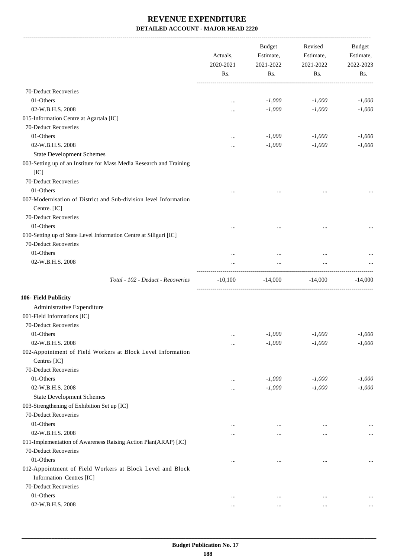-------------------------------------------------------------------------------------------------------------------------------------------------------------------------------

|                                                                                  | Actuals,<br>2020-2021<br>Rs. | <b>Budget</b><br>Estimate,<br>2021-2022<br>Rs. | Revised<br>Estimate,<br>2021-2022<br>Rs. | <b>Budget</b><br>Estimate,<br>2022-2023<br>Rs. |
|----------------------------------------------------------------------------------|------------------------------|------------------------------------------------|------------------------------------------|------------------------------------------------|
| 70-Deduct Recoveries                                                             |                              |                                                |                                          |                                                |
| 01-Others                                                                        |                              | $-1,000$                                       | $-1,000$                                 | $-1,000$                                       |
| 02-W.B.H.S. 2008                                                                 |                              | $-1,000$                                       | $-1,000$                                 | $-1,000$                                       |
| 015-Information Centre at Agartala [IC]                                          |                              |                                                |                                          |                                                |
| 70-Deduct Recoveries                                                             |                              |                                                |                                          |                                                |
| 01-Others                                                                        |                              | $-1,000$                                       | $-1,000$                                 | $-1,000$                                       |
| 02-W.B.H.S. 2008                                                                 |                              | $-1,000$                                       | $-1,000$                                 | $-1,000$                                       |
| <b>State Development Schemes</b>                                                 |                              |                                                |                                          |                                                |
| 003-Setting up of an Institute for Mass Media Research and Training<br>[IC]      |                              |                                                |                                          |                                                |
| 70-Deduct Recoveries                                                             |                              |                                                |                                          |                                                |
| 01-Others                                                                        | $\cdots$                     | $\ddotsc$                                      |                                          |                                                |
| 007-Modernisation of District and Sub-division level Information<br>Centre. [IC] |                              |                                                |                                          |                                                |
| 70-Deduct Recoveries                                                             |                              |                                                |                                          |                                                |
| 01-Others                                                                        | $\ddotsc$                    | $\cdots$                                       |                                          |                                                |
| 010-Setting up of State Level Information Centre at Siliguri [IC]                |                              |                                                |                                          |                                                |
| 70-Deduct Recoveries                                                             |                              |                                                |                                          |                                                |
| 01-Others                                                                        |                              | $\cdots$                                       |                                          |                                                |
| 02-W.B.H.S. 2008                                                                 | $\cdots$                     | $\cdots$                                       | $\cdots$                                 |                                                |
| Total - 102 - Deduct - Recoveries                                                | $-10,100$                    | $-14,000$                                      | $-14,000$                                | $-14,000$                                      |
| 106- Field Publicity                                                             |                              |                                                |                                          |                                                |
| Administrative Expenditure                                                       |                              |                                                |                                          |                                                |
| 001-Field Informations [IC]                                                      |                              |                                                |                                          |                                                |
| 70-Deduct Recoveries                                                             |                              |                                                |                                          |                                                |
| 01-Others                                                                        |                              | $-1,000$                                       | $-1,000$                                 | $-1,000$                                       |
| 02-W.B.H.S. 2008                                                                 | $\cdots$                     | $-1,000$                                       | $-1,000$                                 | $-1,000$                                       |
|                                                                                  |                              |                                                |                                          |                                                |
| 002-Appointment of Field Workers at Block Level Information<br>Centres [IC]      |                              |                                                |                                          |                                                |
| 70-Deduct Recoveries                                                             |                              |                                                |                                          |                                                |
| 01-Others                                                                        |                              | $-1,000$                                       | $-1,000$                                 | $-1,000$                                       |
| 02-W.B.H.S. 2008                                                                 |                              |                                                |                                          |                                                |
|                                                                                  | $\ddotsc$                    | $-1,000$                                       | $-1,000$                                 | $-1,000$                                       |
| <b>State Development Schemes</b>                                                 |                              |                                                |                                          |                                                |
| 003-Strengthening of Exhibition Set up [IC]                                      |                              |                                                |                                          |                                                |
| 70-Deduct Recoveries                                                             |                              |                                                |                                          |                                                |
| 01-Others                                                                        |                              | $\cdots$                                       | $\ddotsc$                                | $\ldots$                                       |
| 02-W.B.H.S. 2008                                                                 | .                            |                                                |                                          | $\ldots$                                       |
| 011-Implementation of Awareness Raising Action Plan(ARAP) [IC]                   |                              |                                                |                                          |                                                |
| 70-Deduct Recoveries                                                             |                              |                                                |                                          |                                                |
| 01-Others                                                                        | $\ddotsc$                    | $\cdots$                                       | $\ddotsc$                                | $\ldots$                                       |
| 012-Appointment of Field Workers at Block Level and Block                        |                              |                                                |                                          |                                                |
| Information Centres [IC]                                                         |                              |                                                |                                          |                                                |
| 70-Deduct Recoveries                                                             |                              |                                                |                                          |                                                |
| 01-Others                                                                        | $\ddotsc$                    | $\cdots$                                       | $\cdots$                                 | $\cdots$                                       |
| 02-W.B.H.S. 2008                                                                 |                              | $\cdots$                                       | $\cdots$                                 | $\cdots$                                       |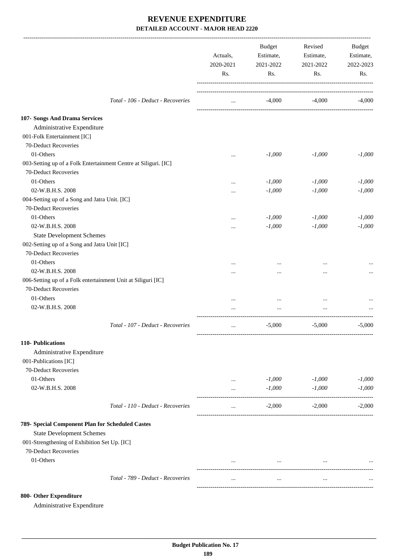|                                                                 | Actuals,<br>2020-2021<br>Rs. | <b>Budget</b><br>Estimate,<br>2021-2022<br>Rs. | Revised<br>Estimate,<br>2021-2022<br>Rs. | Budget<br>Estimate,<br>2022-2023<br>Rs. |
|-----------------------------------------------------------------|------------------------------|------------------------------------------------|------------------------------------------|-----------------------------------------|
| Total - 106 - Deduct - Recoveries                               | $\cdots$                     | $-4,000$                                       | $-4,000$                                 | $-4,000$                                |
| 107- Songs And Drama Services                                   |                              |                                                |                                          |                                         |
| Administrative Expenditure                                      |                              |                                                |                                          |                                         |
| 001-Folk Entertainment [IC]                                     |                              |                                                |                                          |                                         |
| 70-Deduct Recoveries                                            |                              |                                                |                                          |                                         |
| 01-Others                                                       | $\cdots$                     | $-1,000$                                       | $-1,000$                                 | $-1,000$                                |
| 003-Setting up of a Folk Entertainment Centre at Siliguri. [IC] |                              |                                                |                                          |                                         |
| 70-Deduct Recoveries                                            |                              |                                                |                                          |                                         |
| 01-Others                                                       | $\cdots$                     | $-1,000$                                       | $-1,000$                                 | $-1,000$                                |
| 02-W.B.H.S. 2008                                                |                              | $-1,000$                                       | $-1,000$                                 | $-1,000$                                |
| 004-Setting up of a Song and Jatra Unit. [IC]                   |                              |                                                |                                          |                                         |
| 70-Deduct Recoveries                                            |                              |                                                |                                          |                                         |
| 01-Others                                                       |                              | $-1,000$                                       | $-1,000$                                 | $-1,000$                                |
| 02-W.B.H.S. 2008                                                | $\cdots$                     | $-1,000$                                       | $-1,000$                                 | $-1,000$                                |
| <b>State Development Schemes</b>                                |                              |                                                |                                          |                                         |
| 002-Setting up of a Song and Jatra Unit [IC]                    |                              |                                                |                                          |                                         |
| 70-Deduct Recoveries                                            |                              |                                                |                                          |                                         |
| 01-Others                                                       |                              |                                                |                                          |                                         |
| 02-W.B.H.S. 2008                                                |                              |                                                |                                          |                                         |
| 006-Setting up of a Folk entertainment Unit at Siliguri [IC]    |                              |                                                |                                          |                                         |
| 70-Deduct Recoveries                                            |                              |                                                |                                          |                                         |
| 01-Others                                                       |                              |                                                |                                          |                                         |
| 02-W.B.H.S. 2008                                                |                              |                                                |                                          |                                         |
| Total - 107 - Deduct - Recoveries                               | $\cdots$                     | $-5,000$                                       | $-5,000$                                 | $-5,000$                                |
| 110- Publications                                               |                              |                                                |                                          |                                         |
| Administrative Expenditure                                      |                              |                                                |                                          |                                         |
| 001-Publications [IC]                                           |                              |                                                |                                          |                                         |
| 70-Deduct Recoveries                                            |                              |                                                |                                          |                                         |
| 01-Others                                                       | $\cdots$                     | $-1,000$                                       | $-1,000$                                 | $-1,000$                                |
| 02-W.B.H.S. 2008                                                | $\cdots$                     | $-1,000$                                       | $-1,000$                                 | $-1,000$                                |
| Total - 110 - Deduct - Recoveries                               | $\cdots$                     | $-2,000$                                       | $-2,000$                                 | $-2,000$                                |
| 789- Special Component Plan for Scheduled Castes                |                              |                                                |                                          |                                         |
| <b>State Development Schemes</b>                                |                              |                                                |                                          |                                         |
| 001-Strengthening of Exhibition Set Up. [IC]                    |                              |                                                |                                          |                                         |
| 70-Deduct Recoveries                                            |                              |                                                |                                          |                                         |
| 01-Others                                                       | $\cdots$                     | $\cdots$                                       | $\cdots$                                 |                                         |
|                                                                 |                              |                                                |                                          |                                         |
| Total - 789 - Deduct - Recoveries                               | $\cdots$                     | $\cdots$                                       | $\cdots$                                 |                                         |

#### **800- Other Expenditure**

Administrative Expenditure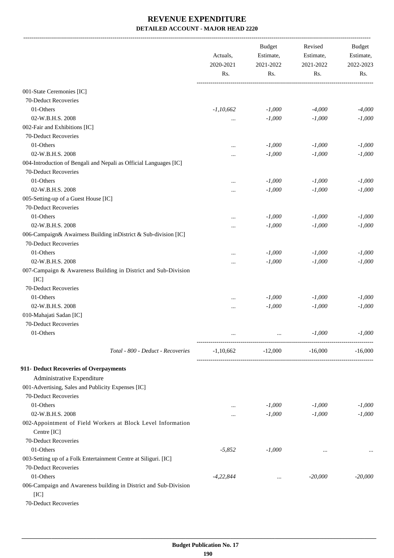|                                                                                                  | Actuals,    | <b>Budget</b><br>Revised<br>Estimate,<br>Estimate,<br>2020-2021<br>2021-2022<br>2021-2022 |           |           | Budget<br>Estimate,<br>2022-2023 |
|--------------------------------------------------------------------------------------------------|-------------|-------------------------------------------------------------------------------------------|-----------|-----------|----------------------------------|
|                                                                                                  | Rs.         | Rs.                                                                                       | Rs.       | Rs.       |                                  |
| 001-State Ceremonies [IC]                                                                        |             |                                                                                           |           |           |                                  |
| 70-Deduct Recoveries                                                                             |             |                                                                                           |           |           |                                  |
| 01-Others                                                                                        | $-1,10,662$ | $-1,000$                                                                                  | $-4,000$  | $-4,000$  |                                  |
| 02-W.B.H.S. 2008                                                                                 | $\cdots$    | $-1,000$                                                                                  | $-1,000$  | $-1,000$  |                                  |
| 002-Fair and Exhibitions [IC]                                                                    |             |                                                                                           |           |           |                                  |
| 70-Deduct Recoveries                                                                             |             |                                                                                           |           |           |                                  |
| 01-Others                                                                                        |             | $-1,000$                                                                                  | $-1,000$  | $-1,000$  |                                  |
| 02-W.B.H.S. 2008                                                                                 | $\ddotsc$   | $-1,000$                                                                                  | $-1,000$  | $-1,000$  |                                  |
| 004-Introduction of Bengali and Nepali as Official Languages [IC]                                |             |                                                                                           |           |           |                                  |
| 70-Deduct Recoveries                                                                             |             |                                                                                           |           |           |                                  |
| 01-Others                                                                                        |             | $-1,000$                                                                                  | $-1,000$  | $-1,000$  |                                  |
| 02-W.B.H.S. 2008                                                                                 |             | $-1,000$                                                                                  | $-1,000$  | $-1,000$  |                                  |
| 005-Setting-up of a Guest House [IC]                                                             |             |                                                                                           |           |           |                                  |
| 70-Deduct Recoveries                                                                             |             |                                                                                           |           |           |                                  |
| 01-Others                                                                                        |             | $-1,000$                                                                                  | $-1,000$  | $-1,000$  |                                  |
| 02-W.B.H.S. 2008                                                                                 |             | $-1,000$                                                                                  | $-1,000$  | $-1,000$  |                                  |
| 006-Campaign& Awairness Building inDistrict & Sub-division [IC]                                  |             |                                                                                           |           |           |                                  |
| 70-Deduct Recoveries                                                                             |             |                                                                                           |           |           |                                  |
| 01-Others                                                                                        |             | $-1,000$                                                                                  | $-1,000$  | $-1,000$  |                                  |
| 02-W.B.H.S. 2008                                                                                 |             | $-1,000$                                                                                  | $-1,000$  | $-1,000$  |                                  |
| 007-Campaign & Awareness Building in District and Sub-Division<br>[IC]                           |             |                                                                                           |           |           |                                  |
| 70-Deduct Recoveries                                                                             |             |                                                                                           |           |           |                                  |
| 01-Others                                                                                        | $\ddotsc$   | $-1,000$                                                                                  | $-1,000$  | $-1,000$  |                                  |
| 02-W.B.H.S. 2008                                                                                 |             | $-1,000$                                                                                  | $-1,000$  | $-1,000$  |                                  |
| 010-Mahajati Sadan [IC]                                                                          |             |                                                                                           |           |           |                                  |
| 70-Deduct Recoveries                                                                             |             |                                                                                           |           |           |                                  |
| 01-Others                                                                                        |             |                                                                                           | $-1,000$  | $-1,000$  |                                  |
| Total - 800 - Deduct - Recoveries                                                                | $-1,10,662$ | $-12,000$                                                                                 | $-16,000$ | $-16,000$ |                                  |
| 911- Deduct Recoveries of Overpayments                                                           |             |                                                                                           |           |           |                                  |
| Administrative Expenditure                                                                       |             |                                                                                           |           |           |                                  |
| 001-Advertising, Sales and Publicity Expenses [IC]                                               |             |                                                                                           |           |           |                                  |
| 70-Deduct Recoveries                                                                             |             |                                                                                           |           |           |                                  |
| 01-Others                                                                                        | $\cdots$    | $-1,000$                                                                                  | $-1,000$  | $-1,000$  |                                  |
| 02-W.B.H.S. 2008                                                                                 |             | $-1,000$                                                                                  | $-1,000$  | $-1,000$  |                                  |
| 002-Appointment of Field Workers at Block Level Information<br>Centre [IC]                       |             |                                                                                           |           |           |                                  |
| 70-Deduct Recoveries                                                                             |             |                                                                                           |           |           |                                  |
| 01-Others                                                                                        | $-5,852$    | $-1,000$                                                                                  | $\ddotsc$ |           |                                  |
| 003-Setting up of a Folk Entertainment Centre at Siliguri. [IC]                                  |             |                                                                                           |           |           |                                  |
| 70-Deduct Recoveries                                                                             |             |                                                                                           |           |           |                                  |
| 01-Others                                                                                        | $-4,22,844$ | $\cdots$                                                                                  | $-20,000$ | $-20,000$ |                                  |
| 006-Campaign and Awareness building in District and Sub-Division<br>[IC]<br>70-Deduct Recoveries |             |                                                                                           |           |           |                                  |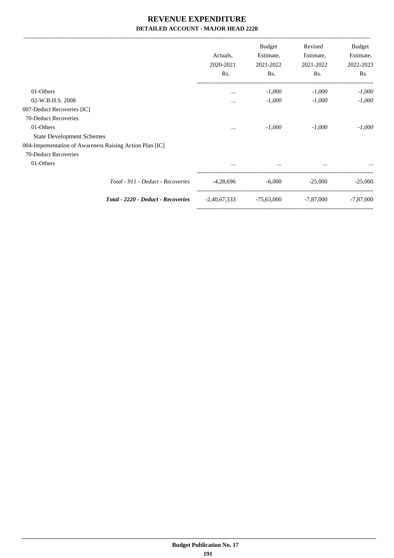|                                                         | Actuals,<br>2020-2021<br>Rs. | Budget<br>Estimate,<br>2021-2022<br>Rs. | Revised<br>Estimate,<br>2021-2022<br>Rs. | Budget<br>Estimate,<br>2022-2023<br>Rs. |
|---------------------------------------------------------|------------------------------|-----------------------------------------|------------------------------------------|-----------------------------------------|
| 01-Others                                               | $\cdots$                     | $-1,000$                                | $-1,000$                                 | $-1,000$                                |
| 02-W.B.H.S. 2008                                        |                              | $-1,000$                                | $-1,000$                                 | $-1,000$                                |
| 007-Deduct Recoveries [IC]                              |                              |                                         |                                          |                                         |
| 70-Deduct Recoveries                                    |                              |                                         |                                          |                                         |
| 01-Others                                               | $\cdots$                     | $-1,000$                                | $-1,000$                                 | $-1,000$                                |
| <b>State Development Schemes</b>                        |                              |                                         |                                          |                                         |
| 004-Impementation of Awareness Raising Action Plan [IC] |                              |                                         |                                          |                                         |
| 70-Deduct Recoveries                                    |                              |                                         |                                          |                                         |
| 01-Others                                               | $\cdots$                     | $\cdots$                                |                                          |                                         |
| Total - 911 - Deduct - Recoveries                       | $-4,28,696$                  | $-6,000$                                | $-25,000$                                | $-25,000$                               |
| Total - 2220 - Deduct - Recoveries                      | $-2,40,67,333$               | $-75,63,000$                            | $-7,87,000$                              | $-7,87,000$                             |

-----------------------------------------------------------------------------------------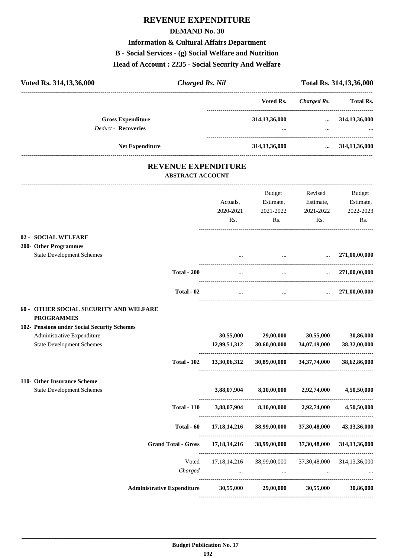# **REVENUE EXPENDITURE**

#### **DEMAND No. 30**

#### **Information & Cultural Affairs Department**

#### **B - Social Services - (g) Social Welfare and Nutrition**

#### **Head of Account : 2235 - Social Security And Welfare**

| Voted Rs. 314,13,36,000                                                                                       | <b>Charged Rs. Nil</b>       |                                         |                                          | Total Rs. 314, 13, 36, 000              |  |  |
|---------------------------------------------------------------------------------------------------------------|------------------------------|-----------------------------------------|------------------------------------------|-----------------------------------------|--|--|
|                                                                                                               |                              | Voted Rs.                               | <b>Charged Rs.</b>                       | Total Rs.                               |  |  |
| <b>Gross Expenditure</b><br><b>Deduct - Recoveries</b>                                                        |                              | 314, 13, 36, 000                        | $\cdots$<br>$\cdots$                     | 314,13,36,000                           |  |  |
|                                                                                                               |                              |                                         | __________________________________       |                                         |  |  |
| Net Expenditure                                                                                               |                              | 314, 13, 36, 000                        | $\cdots$                                 | 314, 13, 36, 000                        |  |  |
| <b>REVENUE EXPENDITURE</b><br><b>ABSTRACT ACCOUNT</b>                                                         |                              |                                         |                                          |                                         |  |  |
|                                                                                                               | Actuals,<br>2020-2021<br>Rs. | Budget<br>Estimate,<br>2021-2022<br>Rs. | Revised<br>Estimate,<br>2021-2022<br>Rs. | Budget<br>Estimate,<br>2022-2023<br>Rs. |  |  |
| 02 - SOCIAL WELFARE<br>200- Other Programmes                                                                  |                              |                                         |                                          |                                         |  |  |
| <b>State Development Schemes</b>                                                                              |                              | $\cdots$                                | $\sim 10^{-10}$                          | 271,00,00,000                           |  |  |
| <b>Total - 200</b>                                                                                            |                              | $\cdots$                                | $\cdots$                                 | 271,00,00,000                           |  |  |
| Total - 02                                                                                                    | $\cdots$                     | $\ddotsc$                               |                                          | $\ldots$ 271,00,00,000                  |  |  |
| 60 - OTHER SOCIAL SECURITY AND WELFARE<br><b>PROGRAMMES</b>                                                   |                              |                                         |                                          |                                         |  |  |
| 102- Pensions under Social Security Schemes<br>Administrative Expenditure<br><b>State Development Schemes</b> | 30,55,000<br>12,99,51,312    | 29,00,000<br>30,60,00,000               | 30,55,000<br>34,07,19,000                | 30,86,000<br>38,32,00,000               |  |  |
| <b>Total - 102</b>                                                                                            | 13,30,06,312                 | 30,89,00,000                            | 34,37,74,000                             | 38,62,86,000                            |  |  |
| 110- Other Insurance Scheme<br><b>State Development Schemes</b>                                               | 3,88,07,904                  | 8,10,00,000                             | 2,92,74,000                              | 4,50,50,000                             |  |  |
| <b>Total - 110</b>                                                                                            | 3,88,07,904                  | 8,10,00,000                             | 2,92,74,000                              | 4,50,50,000                             |  |  |
| Total - 60                                                                                                    | 17, 18, 14, 216              | 38,99,00,000                            | 37,30,48,000                             | 43,13,36,000                            |  |  |
| <b>Grand Total - Gross</b>                                                                                    | 17, 18, 14, 216              | 38,99,00,000                            | 37,30,48,000                             | 314, 13, 36, 000                        |  |  |
| Voted<br>Charged                                                                                              | 17, 18, 14, 216<br>$\cdots$  |                                         | 38,99,00,000 37,30,48,000                | 314, 13, 36, 000                        |  |  |
| <b>Administrative Expenditure</b>                                                                             | 30,55,000                    | 29,00,000                               | 30,55,000                                | 30,86,000                               |  |  |

----------------------------------------------------------------------------------------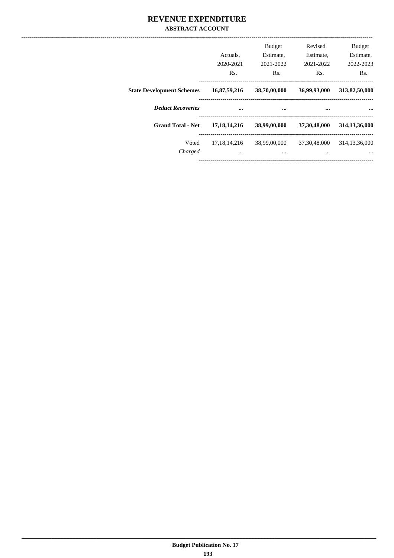#### REVENUE EXPENDITURE **ABSTRACT ACCOUNT**

|                                  | Actuals.<br>2020-2021<br>Rs. | <b>Budget</b><br>Estimate.<br>2021-2022<br>Rs. | Revised<br>Estimate.<br>2021-2022<br>Rs. | <b>Budget</b><br>Estimate,<br>2022-2023<br>Rs. |
|----------------------------------|------------------------------|------------------------------------------------|------------------------------------------|------------------------------------------------|
| <b>State Development Schemes</b> | 16,87,59,216                 | 38,70,00,000                                   | 36,99,93,000                             | 313,82,50,000                                  |
| <b>Deduct Recoveries</b>         |                              |                                                |                                          |                                                |
| <b>Grand Total - Net</b>         | 17, 18, 14, 216              | 38,99,00,000                                   | 37,30,48,000                             | 314, 13, 36, 000                               |
| Voted                            | 17, 18, 14, 216              | 38,99,00,000                                   | 37, 30, 48, 000                          | 314, 13, 36, 000                               |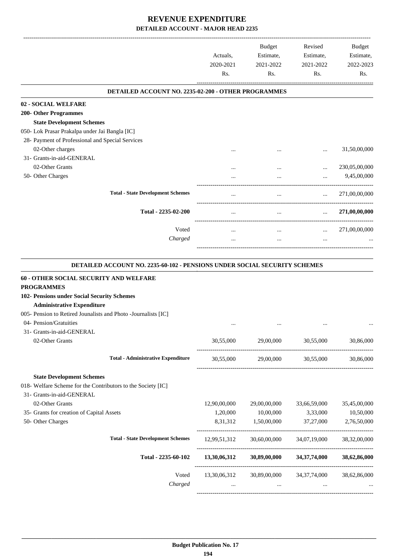-------------------------------------------------------------------------------------------------------------------------------------------------------------------------------

|                                                                                                                                                                                                | Actuals.<br>2020-2021<br>Rs. | <b>Budget</b><br>Estimate,<br>2021-2022<br>Rs. | Revised<br>Estimate,<br>2021-2022<br>Rs. | <b>Budget</b><br>Estimate,<br>2022-2023<br>Rs. |
|------------------------------------------------------------------------------------------------------------------------------------------------------------------------------------------------|------------------------------|------------------------------------------------|------------------------------------------|------------------------------------------------|
| DETAILED ACCOUNT NO. 2235-02-200 - OTHER PROGRAMMES                                                                                                                                            |                              |                                                |                                          |                                                |
| 02 - SOCIAL WELFARE                                                                                                                                                                            |                              |                                                |                                          |                                                |
| <b>200- Other Programmes</b>                                                                                                                                                                   |                              |                                                |                                          |                                                |
| <b>State Development Schemes</b>                                                                                                                                                               |                              |                                                |                                          |                                                |
| 050- Lok Prasar Prakalpa under Jai Bangla [IC]                                                                                                                                                 |                              |                                                |                                          |                                                |
| 28- Payment of Professional and Special Services                                                                                                                                               |                              |                                                |                                          |                                                |
| 02-Other charges                                                                                                                                                                               |                              |                                                | $\cdots$                                 | 31,50,00,000                                   |
| 31- Grants-in-aid-GENERAL                                                                                                                                                                      |                              |                                                |                                          |                                                |
| 02-Other Grants                                                                                                                                                                                |                              |                                                | $\cdots$                                 | 230,05,00,000                                  |
| 50- Other Charges                                                                                                                                                                              |                              | $\cdots$                                       | $\cdots$                                 | 9,45,00,000                                    |
| <b>Total - State Development Schemes</b>                                                                                                                                                       |                              |                                                | $\cdots$                                 | 271,00,00,000                                  |
| Total - 2235-02-200                                                                                                                                                                            | $\cdots$                     | $\cdots$                                       | $\cdots$                                 | 271,00,00,000                                  |
| Voted                                                                                                                                                                                          |                              | $\cdots$                                       | $\cdots$                                 | 271,00,00,000                                  |
| Charged                                                                                                                                                                                        |                              | $\cdots$                                       | $\cdots$                                 |                                                |
| <b>DETAILED ACCOUNT NO. 2235-60-102 - PENSIONS UNDER SOCIAL SECURITY SCHEMES</b><br>60 - OTHER SOCIAL SECURITY AND WELFARE<br><b>PROGRAMMES</b><br>102- Pensions under Social Security Schemes |                              |                                                |                                          |                                                |
| <b>Administrative Expenditure</b>                                                                                                                                                              |                              |                                                |                                          |                                                |

| 005- Pension to Retired Jounalists and Photo - Journalists [IC] |              |              |                 |                 |
|-----------------------------------------------------------------|--------------|--------------|-----------------|-----------------|
| 04- Pension/Gratuities                                          | $\cdots$     | $\cdots$     | $\cdots$        |                 |
| 31- Grants-in-aid-GENERAL                                       |              |              |                 |                 |
| 02-Other Grants                                                 | 30,55,000    | 29,00,000    | 30,55,000       | 30,86,000       |
| <b>Total - Administrative Expenditure</b>                       | 30,55,000    | 29,00,000    | 30,55,000       | 30,86,000       |
| <b>State Development Schemes</b>                                |              |              |                 |                 |
| 018- Welfare Scheme for the Contributors to the Society [IC]    |              |              |                 |                 |
| 31- Grants-in-aid-GENERAL                                       |              |              |                 |                 |
| 02-Other Grants                                                 | 12,90,00,000 | 29,00,00,000 | 33,66,59,000    | 35,45,00,000    |
| 35- Grants for creation of Capital Assets                       | 1,20,000     | 10,00,000    | 3,33,000        | 10,50,000       |
| 50- Other Charges                                               | 8, 31, 312   | 1,50,00,000  | 37,27,000       | 2,76,50,000     |
| <b>Total - State Development Schemes</b>                        | 12,99,51,312 | 30,60,00,000 | 34,07,19,000    | 38, 32, 00, 000 |
| Total - 2235-60-102                                             | 13,30,06,312 | 30,89,00,000 | 34, 37, 74, 000 | 38,62,86,000    |
| Voted                                                           | 13,30,06,312 | 30,89,00,000 | 34,37,74,000    | 38,62,86,000    |
| Charged                                                         | $\cdots$     | $\cdots$     |                 |                 |
|                                                                 |              |              |                 |                 |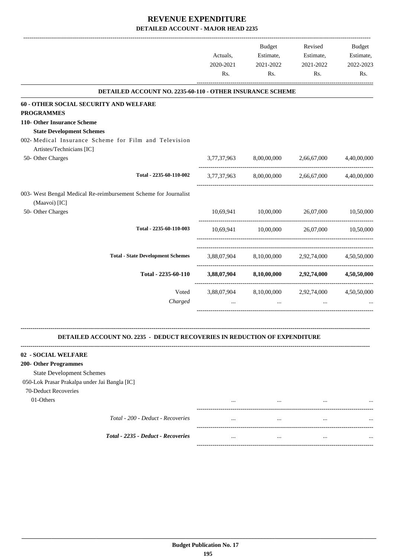| DETAILED ACCOUNT NO. 2235-60-110 - OTHER INSURANCE SCHEME<br>60 - OTHER SOCIAL SECURITY AND WELFARE<br><b>PROGRAMMES</b><br>110- Other Insurance Scheme<br><b>State Development Schemes</b><br>002- Medical Insurance Scheme for Film and Television<br>Artistes/Technicians [IC]<br>50- Other Charges<br>3,77,37,963<br>8,00,00,000<br>2,66,67,000<br>Total - 2235-60-110-002<br>3,77,37,963 8,00,00,000 2,66,67,000<br>003- West Bengal Medical Re-reimbursement Scheme for Journalist<br>(Maavoi) [IC]<br>50- Other Charges<br>10,00,000 26,07,000<br>10,69,941<br>10,50,000<br>Total - 2235-60-110-003<br>10,69,941 10,00,000<br>26,07,000 10,50,000<br><b>Total - State Development Schemes</b><br>3,88,07,904 8,10,00,000 2,92,74,000 4,50,50,000<br>Total - 2235-60-110<br>3,88,07,904 8,10,00,000 2,92,74,000<br>Voted<br>3,88,07,904 8,10,00,000 2,92,74,000<br>Charged<br>$\cdots$<br><b>DETAILED ACCOUNT NO. 2235 - DEDUCT RECOVERIES IN REDUCTION OF EXPENDITURE</b><br>02 - SOCIAL WELFARE<br>200- Other Programmes<br><b>State Development Schemes</b><br>050-Lok Prasar Prakalpa under Jai Bangla [IC]<br>70-Deduct Recoveries<br>01-Others<br> | Actuals,<br>2020-2021<br>Rs. | Budget<br>Estimate,<br>2021-2022<br>Rs. | Revised<br>Estimate,<br>2021-2022<br>Rs. | Budget<br>Estimate,<br>2022-2023<br>Rs. |
|----------------------------------------------------------------------------------------------------------------------------------------------------------------------------------------------------------------------------------------------------------------------------------------------------------------------------------------------------------------------------------------------------------------------------------------------------------------------------------------------------------------------------------------------------------------------------------------------------------------------------------------------------------------------------------------------------------------------------------------------------------------------------------------------------------------------------------------------------------------------------------------------------------------------------------------------------------------------------------------------------------------------------------------------------------------------------------------------------------------------------------------------------------------|------------------------------|-----------------------------------------|------------------------------------------|-----------------------------------------|
|                                                                                                                                                                                                                                                                                                                                                                                                                                                                                                                                                                                                                                                                                                                                                                                                                                                                                                                                                                                                                                                                                                                                                                |                              |                                         |                                          |                                         |
|                                                                                                                                                                                                                                                                                                                                                                                                                                                                                                                                                                                                                                                                                                                                                                                                                                                                                                                                                                                                                                                                                                                                                                |                              |                                         |                                          |                                         |
|                                                                                                                                                                                                                                                                                                                                                                                                                                                                                                                                                                                                                                                                                                                                                                                                                                                                                                                                                                                                                                                                                                                                                                |                              |                                         |                                          |                                         |
|                                                                                                                                                                                                                                                                                                                                                                                                                                                                                                                                                                                                                                                                                                                                                                                                                                                                                                                                                                                                                                                                                                                                                                |                              |                                         |                                          |                                         |
|                                                                                                                                                                                                                                                                                                                                                                                                                                                                                                                                                                                                                                                                                                                                                                                                                                                                                                                                                                                                                                                                                                                                                                |                              |                                         |                                          |                                         |
|                                                                                                                                                                                                                                                                                                                                                                                                                                                                                                                                                                                                                                                                                                                                                                                                                                                                                                                                                                                                                                                                                                                                                                |                              |                                         |                                          | 4,40,00,000                             |
|                                                                                                                                                                                                                                                                                                                                                                                                                                                                                                                                                                                                                                                                                                                                                                                                                                                                                                                                                                                                                                                                                                                                                                |                              |                                         |                                          | 4,40,00,000                             |
|                                                                                                                                                                                                                                                                                                                                                                                                                                                                                                                                                                                                                                                                                                                                                                                                                                                                                                                                                                                                                                                                                                                                                                |                              |                                         |                                          |                                         |
|                                                                                                                                                                                                                                                                                                                                                                                                                                                                                                                                                                                                                                                                                                                                                                                                                                                                                                                                                                                                                                                                                                                                                                |                              |                                         |                                          |                                         |
|                                                                                                                                                                                                                                                                                                                                                                                                                                                                                                                                                                                                                                                                                                                                                                                                                                                                                                                                                                                                                                                                                                                                                                |                              |                                         |                                          |                                         |
|                                                                                                                                                                                                                                                                                                                                                                                                                                                                                                                                                                                                                                                                                                                                                                                                                                                                                                                                                                                                                                                                                                                                                                |                              |                                         |                                          |                                         |
|                                                                                                                                                                                                                                                                                                                                                                                                                                                                                                                                                                                                                                                                                                                                                                                                                                                                                                                                                                                                                                                                                                                                                                |                              |                                         |                                          |                                         |
|                                                                                                                                                                                                                                                                                                                                                                                                                                                                                                                                                                                                                                                                                                                                                                                                                                                                                                                                                                                                                                                                                                                                                                |                              |                                         |                                          | 4,50,50,000                             |
|                                                                                                                                                                                                                                                                                                                                                                                                                                                                                                                                                                                                                                                                                                                                                                                                                                                                                                                                                                                                                                                                                                                                                                |                              |                                         |                                          | 4,50,50,000                             |
|                                                                                                                                                                                                                                                                                                                                                                                                                                                                                                                                                                                                                                                                                                                                                                                                                                                                                                                                                                                                                                                                                                                                                                |                              |                                         |                                          |                                         |
|                                                                                                                                                                                                                                                                                                                                                                                                                                                                                                                                                                                                                                                                                                                                                                                                                                                                                                                                                                                                                                                                                                                                                                |                              |                                         |                                          |                                         |
|                                                                                                                                                                                                                                                                                                                                                                                                                                                                                                                                                                                                                                                                                                                                                                                                                                                                                                                                                                                                                                                                                                                                                                |                              |                                         |                                          |                                         |
|                                                                                                                                                                                                                                                                                                                                                                                                                                                                                                                                                                                                                                                                                                                                                                                                                                                                                                                                                                                                                                                                                                                                                                |                              |                                         |                                          |                                         |
|                                                                                                                                                                                                                                                                                                                                                                                                                                                                                                                                                                                                                                                                                                                                                                                                                                                                                                                                                                                                                                                                                                                                                                |                              |                                         |                                          |                                         |
|                                                                                                                                                                                                                                                                                                                                                                                                                                                                                                                                                                                                                                                                                                                                                                                                                                                                                                                                                                                                                                                                                                                                                                |                              |                                         |                                          |                                         |
|                                                                                                                                                                                                                                                                                                                                                                                                                                                                                                                                                                                                                                                                                                                                                                                                                                                                                                                                                                                                                                                                                                                                                                |                              |                                         |                                          |                                         |
|                                                                                                                                                                                                                                                                                                                                                                                                                                                                                                                                                                                                                                                                                                                                                                                                                                                                                                                                                                                                                                                                                                                                                                |                              |                                         |                                          |                                         |

*Total - 200 - Deduct - Recoveries* ... ... ... ...

*Total - 2235 - Deduct - Recoveries* ... ... ... ...

| <br>         | $\cdots$<br>         |
|--------------|----------------------|
| <br>$\cdots$ | $\cdots$<br>$\cdots$ |
|              |                      |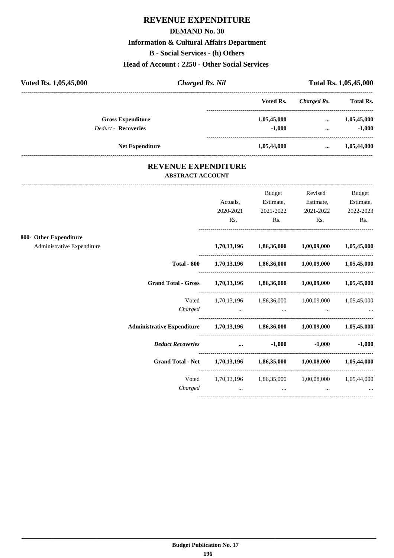# **REVENUE EXPENDITURE**

#### **DEMAND No. 30**

#### **Information & Cultural Affairs Department**

**B - Social Services - (h) Others**

**Head of Account : 2250 - Other Social Services** 

| Voted Rs. 1,05,45,000 |                            | <b>Charged Rs. Nil</b>     |             | Total Rs. 1,05,45,000 |                  |
|-----------------------|----------------------------|----------------------------|-------------|-----------------------|------------------|
|                       |                            |                            | Voted Rs.   | Charged Rs.           | <b>Total Rs.</b> |
|                       | <b>Gross Expenditure</b>   |                            | 1,05,45,000 | $\cdots$              | 1,05,45,000      |
|                       | <b>Deduct - Recoveries</b> |                            | $-1,000$    | $\cdots$              | $-1,000$         |
|                       | <b>Net Expenditure</b>     |                            | 1,05,44,000 |                       | 1,05,44,000      |
|                       |                            | <b>REVENUE EXPENDITURE</b> |             |                       |                  |

# **ABSTRACT ACCOUNT**

---------------------------------------------------------------------------------------------------------------------------------------------------------------------------------

|                                                      |                                                                            | Actuals,<br>2020-2021<br>Rs.                         | <b>Budget</b><br>Estimate,<br>2021-2022<br>Rs.                      | Revised<br>Estimate,<br>2021-2022<br>Rs.                      | <b>Budget</b><br>Estimate,<br>2022-2023<br>Rs.                                                                                                                                                                                    |
|------------------------------------------------------|----------------------------------------------------------------------------|------------------------------------------------------|---------------------------------------------------------------------|---------------------------------------------------------------|-----------------------------------------------------------------------------------------------------------------------------------------------------------------------------------------------------------------------------------|
| 800- Other Expenditure<br>Administrative Expenditure |                                                                            |                                                      | 1,70,13,196 1,86,36,000 1,00,09,000 1,05,45,000                     |                                                               |                                                                                                                                                                                                                                   |
|                                                      |                                                                            |                                                      | Total - 800 $1,70,13,196$ $1,86,36,000$ $1,00,09,000$ $1,05,45,000$ |                                                               |                                                                                                                                                                                                                                   |
|                                                      | <b>Grand Total - Gross</b>                                                 |                                                      | 1,70,13,196 1,86,36,000 1,00,09,000 1,05,45,000                     |                                                               |                                                                                                                                                                                                                                   |
|                                                      | Voted<br>Charged                                                           | and the company of the company of the company of the | 1,70,13,196 1,86,36,000 1,00,09,000 1,05,45,000                     | $\mathbf{r}$ and $\mathbf{r}$ are all the set of $\mathbf{r}$ | $\mathbf{r}$ , and the contract of the contract of the contract of the contract of the contract of the contract of the contract of the contract of the contract of the contract of the contract of the contract of the contract o |
|                                                      | Administrative Expenditure 1,70,13,196 1,86,36,000 1,00,09,000 1,05,45,000 |                                                      |                                                                     |                                                               |                                                                                                                                                                                                                                   |
|                                                      | <b>Deduct Recoveries</b>                                                   | and the contract of the contract of the              | $-1,000$                                                            |                                                               | $-1,000$ $-1,000$                                                                                                                                                                                                                 |
|                                                      | <b>Grand Total - Net</b>                                                   |                                                      | 1,70,13,196 1,86,35,000 1,00,08,000 1,05,44,000                     |                                                               |                                                                                                                                                                                                                                   |
|                                                      | Voted<br>Charged                                                           | $\cdots$                                             | 1,70,13,196 1,86,35,000 1,00,08,000 1,05,44,000<br>$\cdots$         | $\cdots$                                                      |                                                                                                                                                                                                                                   |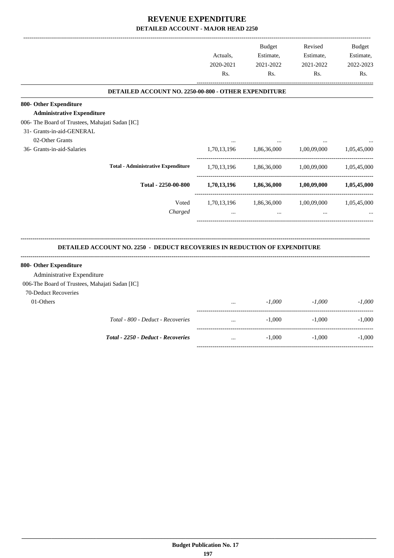-------------------------------------------------------------------------------------------------------------------------------------------------------------------------------

|                                                 |                                                                                  | Actuals.<br>2020-2021<br>Rs. | <b>Budget</b><br>Estimate,<br>2021-2022<br>Rs. | Revised<br>Estimate,<br>2021-2022<br>Rs. | <b>Budget</b><br>Estimate,<br>2022-2023<br>Rs. |
|-------------------------------------------------|----------------------------------------------------------------------------------|------------------------------|------------------------------------------------|------------------------------------------|------------------------------------------------|
|                                                 | DETAILED ACCOUNT NO. 2250-00-800 - OTHER EXPENDITURE                             |                              |                                                |                                          |                                                |
| 800- Other Expenditure                          |                                                                                  |                              |                                                |                                          |                                                |
| <b>Administrative Expenditure</b>               |                                                                                  |                              |                                                |                                          |                                                |
| 006- The Board of Trustees, Mahajati Sadan [IC] |                                                                                  |                              |                                                |                                          |                                                |
| 31- Grants-in-aid-GENERAL                       |                                                                                  |                              |                                                |                                          |                                                |
| 02-Other Grants                                 |                                                                                  |                              |                                                |                                          |                                                |
| 36- Grants-in-aid-Salaries                      |                                                                                  | 1,70,13,196                  | 1,86,36,000                                    | 1,00,09,000                              | 1,05,45,000                                    |
|                                                 | <b>Total - Administrative Expenditure</b>                                        | 1,70,13,196                  |                                                | 1,86,36,000 1,00,09,000                  | 1,05,45,000                                    |
|                                                 | Total - 2250-00-800                                                              | 1,70,13,196                  | 1,86,36,000                                    | $1{,}00{,}09{,}000$                      | 1,05,45,000                                    |
|                                                 | Voted                                                                            |                              | 1,70,13,196 1,86,36,000                        | 1,00,09,000                              | 1,05,45,000                                    |
|                                                 | Charged                                                                          |                              | $\ddotsc$                                      |                                          |                                                |
|                                                 | <b>DETAILED ACCOUNT NO. 2250 - DEDUCT RECOVERIES IN REDUCTION OF EXPENDITURE</b> |                              |                                                |                                          |                                                |
| 800- Other Expenditure                          |                                                                                  |                              |                                                |                                          |                                                |
| Administrative Expenditure                      |                                                                                  |                              |                                                |                                          |                                                |
| 006-The Board of Trustees, Mahajati Sadan [IC]  |                                                                                  |                              |                                                |                                          |                                                |
| 70-Deduct Recoveries                            |                                                                                  |                              |                                                |                                          |                                                |
| 01-Others                                       |                                                                                  |                              | $-1.000$                                       | $-1,000$                                 | $-1.000$                                       |
|                                                 | Total - 800 - Deduct - Recoveries                                                |                              | $-1,000$                                       | ---------------------<br>$-1,000$        | -------------------<br>$-1,000$                |
|                                                 | Total - 2250 - Deduct - Recoveries                                               | $\ddots$                     | $-1,000$                                       | $-1,000$                                 | $-1,000$                                       |
|                                                 |                                                                                  |                              |                                                |                                          |                                                |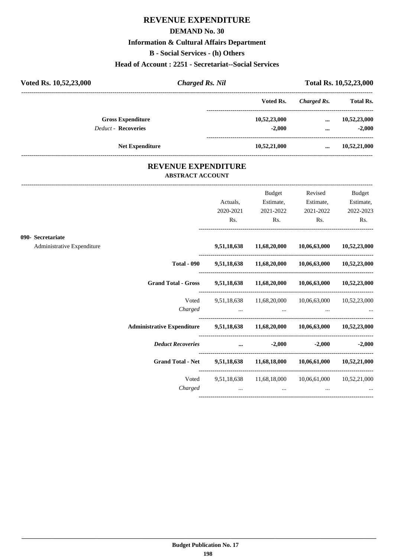# **REVENUE EXPENDITURE**

#### **DEMAND No. 30**

# **Information & Cultural Affairs Department**

**B - Social Services - (h) Others**

#### **Head of Account : 2251 - Secretariat--Social Services**

| Voted Rs. 10,52,23,000 | <b>Charged Rs. Nil</b>     |              | Total Rs. 10,52,23,000 |                  |
|------------------------|----------------------------|--------------|------------------------|------------------|
|                        |                            | Voted Rs.    | Charged Rs.            | <b>Total Rs.</b> |
|                        | <b>Gross Expenditure</b>   | 10,52,23,000 | $\cdots$               | 10,52,23,000     |
|                        | <b>Deduct - Recoveries</b> | $-2.000$     |                        | $-2,000$         |
|                        | <b>Net Expenditure</b>     | 10,52,21,000 | $\cdots$               | 10,52,21,000     |
|                        | <b>REVENUE EXPENDITURE</b> |              |                        |                  |

# **ABSTRACT ACCOUNT**

---------------------------------------------------------------------------------------------------------------------------------------------------------------------------------

|                            |                                                                                                                                                                                                                                |           | Budget                              | Revised                                                        | <b>Budget</b>     |
|----------------------------|--------------------------------------------------------------------------------------------------------------------------------------------------------------------------------------------------------------------------------|-----------|-------------------------------------|----------------------------------------------------------------|-------------------|
|                            |                                                                                                                                                                                                                                | Actuals,  | Estimate,                           | Estimate,                                                      | Estimate,         |
|                            |                                                                                                                                                                                                                                | 2020-2021 | 2021-2022                           | 2021-2022                                                      | 2022-2023         |
|                            |                                                                                                                                                                                                                                | Rs.       | $\mathbf{Rs.}$                      | $\mathbf{Rs.}$                                                 | Rs.               |
| 090- Secretariate          |                                                                                                                                                                                                                                |           |                                     |                                                                |                   |
| Administrative Expenditure |                                                                                                                                                                                                                                |           |                                     | 9,51,18,638 11,68,20,000 10,06,63,000 10,52,23,000             |                   |
|                            |                                                                                                                                                                                                                                |           |                                     | Total - 090 9,51,18,638 11,68,20,000 10,06,63,000 10,52,23,000 |                   |
|                            | Grand Total - Gross 9,51,18,638 11,68,20,000 10,06,63,000 10,52,23,000                                                                                                                                                         |           |                                     |                                                                |                   |
|                            |                                                                                                                                                                                                                                |           |                                     | Voted 9,51,18,638 11,68,20,000 10,06,63,000 10,52,23,000       |                   |
|                            |                                                                                                                                                                                                                                |           |                                     | Charged                                                        |                   |
|                            | Administrative Expenditure 9,51,18,638 11,68,20,000 10,06,63,000 10,52,23,000                                                                                                                                                  |           |                                     |                                                                |                   |
|                            | Deduct Recoveries and the control of the control of the control of the control of the control of the control of the control of the control of the control of the control of the control of the control of the control of the c |           |                                     |                                                                | $-2,000$ $-2,000$ |
|                            | Grand Total - Net 9,51,18,638 11,68,18,000 10,06,61,000 10,52,21,000                                                                                                                                                           |           |                                     |                                                                |                   |
|                            |                                                                                                                                                                                                                                |           |                                     | Voted 9,51,18,638 11,68,18,000 10,06,61,000 10,52,21,000       |                   |
|                            | Charged                                                                                                                                                                                                                        |           | the contract of the contract of the | $\cdots$                                                       |                   |
|                            |                                                                                                                                                                                                                                |           |                                     |                                                                |                   |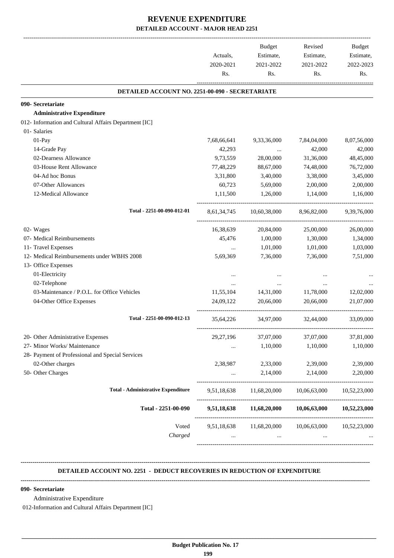| Rs.<br>7,68,66,641<br>42,293 | Rs.<br>DETAILED ACCOUNT NO. 2251-00-090 - SECRETARIATE<br>9,33,36,000 | Rs.<br>7,84,04,000                                          | Rs.                                                                                                                                                                                              |
|------------------------------|-----------------------------------------------------------------------|-------------------------------------------------------------|--------------------------------------------------------------------------------------------------------------------------------------------------------------------------------------------------|
|                              |                                                                       |                                                             |                                                                                                                                                                                                  |
|                              |                                                                       |                                                             |                                                                                                                                                                                                  |
|                              |                                                                       |                                                             |                                                                                                                                                                                                  |
|                              |                                                                       |                                                             |                                                                                                                                                                                                  |
|                              |                                                                       |                                                             |                                                                                                                                                                                                  |
|                              |                                                                       |                                                             |                                                                                                                                                                                                  |
|                              |                                                                       |                                                             | 8,07,56,000                                                                                                                                                                                      |
|                              | $\cdots$                                                              | 42,000                                                      | 42,000                                                                                                                                                                                           |
| 9,73,559                     | 28,00,000                                                             | 31,36,000                                                   | 48,45,000                                                                                                                                                                                        |
| 77,48,229                    | 88,67,000                                                             | 74,48,000                                                   | 76,72,000                                                                                                                                                                                        |
| 3,31,800                     | 3,40,000                                                              | 3,38,000                                                    | 3,45,000                                                                                                                                                                                         |
| 60,723                       | 5,69,000                                                              | 2,00,000                                                    | 2,00,000                                                                                                                                                                                         |
| 1,11,500                     | 1,26,000                                                              | 1,14,000                                                    | 1,16,000                                                                                                                                                                                         |
|                              |                                                                       |                                                             | 9,39,76,000                                                                                                                                                                                      |
|                              | 20,84,000                                                             |                                                             | 26,00,000                                                                                                                                                                                        |
| 45,476                       | 1,00,000                                                              | 1,30,000                                                    | 1,34,000                                                                                                                                                                                         |
| $\cdots$                     | 1,01,000                                                              | 1,01,000                                                    | 1,03,000                                                                                                                                                                                         |
| 5,69,369                     | 7,36,000                                                              | 7,36,000                                                    | 7,51,000                                                                                                                                                                                         |
|                              |                                                                       |                                                             |                                                                                                                                                                                                  |
| $\cdots$                     |                                                                       |                                                             |                                                                                                                                                                                                  |
| $\cdots$                     |                                                                       |                                                             |                                                                                                                                                                                                  |
| 11,55,104                    | 14,31,000                                                             | 11,78,000                                                   | 12,02,000                                                                                                                                                                                        |
| 24,09,122                    | 20,66,000                                                             | 20,66,000                                                   | 21,07,000                                                                                                                                                                                        |
|                              |                                                                       | 32,44,000                                                   | 33,09,000                                                                                                                                                                                        |
| 29,27,196                    | 37,07,000                                                             | 37,07,000                                                   | 37,81,000                                                                                                                                                                                        |
| $\ldots$                     | 1,10,000                                                              | 1,10,000                                                    | 1,10,000                                                                                                                                                                                         |
|                              |                                                                       |                                                             |                                                                                                                                                                                                  |
| 2,38,987                     | 2,33,000                                                              | 2,39,000                                                    | 2,39,000                                                                                                                                                                                         |
| $\cdots$                     | 2,14,000                                                              | 2,14,000                                                    | 2,20,000                                                                                                                                                                                         |
|                              |                                                                       |                                                             | 10,52,23,000                                                                                                                                                                                     |
|                              |                                                                       |                                                             |                                                                                                                                                                                                  |
|                              |                                                                       |                                                             |                                                                                                                                                                                                  |
|                              | 9,51,18,638<br>$\cdots$                                               | 16,38,639<br>35,64,226 34,97,000<br>9,51,18,638<br>$\cdots$ | 8,61,34,745 10,60,38,000<br>8,96,82,000<br>25,00,000<br>11,68,20,000 10,06,63,000<br>11,68,20,000<br>10,06,63,000 10,52,23,000<br>9,51,18,638 11,68,20,000 10,06,63,000 10,52,23,000<br>$\cdots$ |

#### **DETAILED ACCOUNT NO. 2251 - DEDUCT RECOVERIES IN REDUCTION OF EXPENDITURE**

**--------------------------------------------------------------------------------------------------------------------------------------------------------------------------------**

**--------------------------------------------------------------------------------------------------------------------------------------------------------------------------------**

 **\_\_\_\_\_\_\_\_\_\_\_\_\_\_\_\_\_\_\_\_\_\_\_\_\_\_\_\_\_\_\_\_\_\_\_\_\_\_\_\_\_\_\_\_\_\_\_\_\_\_\_\_\_\_\_\_\_\_\_\_\_\_\_\_\_\_\_\_\_\_\_\_\_\_\_\_\_\_\_\_\_\_\_\_\_\_\_\_\_\_\_\_\_\_\_\_\_\_\_\_\_\_\_\_\_\_\_\_\_\_\_\_\_\_\_\_\_\_\_**

#### **090- Secretariate**

Administrative Expenditure

012-Information and Cultural Affairs Department [IC]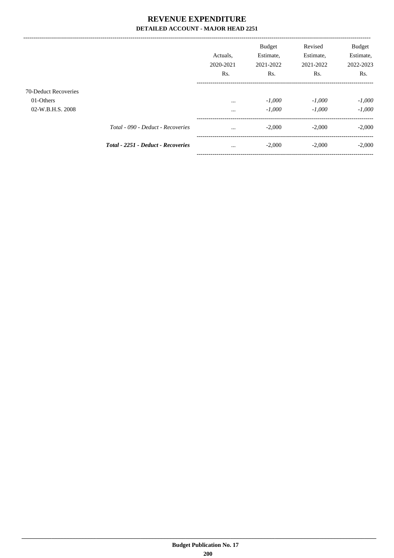|                      |                                           | Actuals.<br>2020-2021 | <b>Budget</b><br>Estimate,<br>2021-2022 | Revised<br>Estimate,<br>2021-2022 | <b>Budget</b><br>Estimate,<br>2022-2023 |
|----------------------|-------------------------------------------|-----------------------|-----------------------------------------|-----------------------------------|-----------------------------------------|
|                      |                                           | Rs.                   | Rs.                                     | Rs.                               | Rs.                                     |
| 70-Deduct Recoveries |                                           |                       |                                         |                                   |                                         |
| 01-Others            |                                           | $\cdots$              | $-1,000$                                | $-1,000$                          | $-1,000$                                |
| 02-W.B.H.S. 2008     |                                           | $\cdots$              | $-1,000$                                | $-1,000$                          | $-1,000$                                |
|                      | Total - 090 - Deduct - Recoveries         | $\cdots$              | $-2,000$                                | $-2,000$                          | $-2,000$                                |
|                      | <b>Total - 2251 - Deduct - Recoveries</b> | $\cdots$              | $-2,000$                                | $-2,000$                          | $-2,000$                                |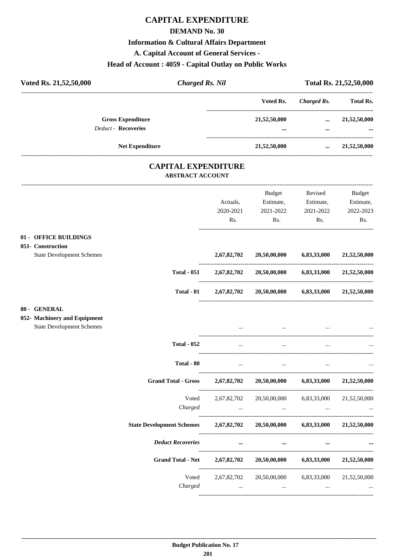### **CAPITAL EXPENDITURE**

#### **DEMAND No. 30**

#### **Information & Cultural Affairs Department**

A. Capital Account of General Services -

#### Head of Account: 4059 - Capital Outlay on Public Works

| Voted Rs. 21,52,50,000                                                           | <b>Charged Rs. Nil</b>   |                                         | Total Rs. 21,52,50,000                                              |                                                   |                                         |
|----------------------------------------------------------------------------------|--------------------------|-----------------------------------------|---------------------------------------------------------------------|---------------------------------------------------|-----------------------------------------|
|                                                                                  |                          |                                         | Voted Rs.                                                           | <b>Charged Rs.</b>                                | <b>Total Rs.</b>                        |
| <b>Gross Expenditure</b><br><b>Deduct - Recoveries</b>                           |                          |                                         | 21,52,50,000                                                        | $\cdots$<br>$\cdots$                              | 21,52,50,000                            |
| <b>Net Expenditure</b>                                                           |                          |                                         | 21,52,50,000                                                        | -----------------------                           | $\ldots$ 21,52,50,000                   |
|                                                                                  | <b>ABSTRACT ACCOUNT</b>  | <b>CAPITAL EXPENDITURE</b>              |                                                                     |                                                   |                                         |
|                                                                                  |                          | Actuals,<br>2020-2021<br>Rs.            | Budget<br>Estimate,<br>2021-2022<br>Rs.                             | Revised<br>Estimate,<br>2021-2022<br>Rs.          | Budget<br>Estimate,<br>2022-2023<br>Rs. |
| 01 - OFFICE BUILDINGS<br>051- Construction<br><b>State Development Schemes</b>   |                          | 2,67,82,702                             | 20,50,00,000                                                        | 6,83,33,000                                       | 21,52,50,000                            |
|                                                                                  | <b>Total - 051</b>       | 2,67,82,702                             | 20,50,00,000                                                        | 6,83,33,000                                       | 21,52,50,000                            |
|                                                                                  | Total - 01               | 2,67,82,702                             | 20,50,00,000                                                        | 6,83,33,000                                       | 21,52,50,000                            |
| 80 - GENERAL<br>052- Machinery and Equipment<br><b>State Development Schemes</b> |                          |                                         |                                                                     |                                                   |                                         |
|                                                                                  | <b>Total - 052</b>       | $\cdots$                                | $\cdots$                                                            |                                                   |                                         |
|                                                                                  | Total - 80               | $\cdots$                                | $\cdots$                                                            | $\cdots$                                          |                                         |
| <b>Grand Total - Gross</b>                                                       |                          | 2,67,82,702                             | 20,50,00,000                                                        |                                                   | 6,83,33,000 21,52,50,000                |
|                                                                                  | Voted<br>Charged         | 2,67,82,702<br><b>Contract Contract</b> | $\sim 100$ and $\sim 100$                                           | 20,50,00,000 6,83,33,000 21,52,50,000<br>$\ldots$ |                                         |
| <b>State Development Schemes</b>                                                 |                          |                                         | 2,67,82,702 20,50,00,000 6,83,33,000 21,52,50,000                   |                                                   |                                         |
|                                                                                  | <b>Deduct Recoveries</b> | $\cdots$                                | $\cdots$                                                            | $\cdots$                                          |                                         |
|                                                                                  |                          |                                         | Grand Total - Net 2,67,82,702 20,50,00,000 6,83,33,000 21,52,50,000 |                                                   |                                         |
|                                                                                  | Voted<br>Charged         | 2,67,82,702<br>$\ldots$                 | $\sim$ . $\sim$                                                     | 20,50,00,000 6,83,33,000<br>$\ldots$              | 21,52,50,000                            |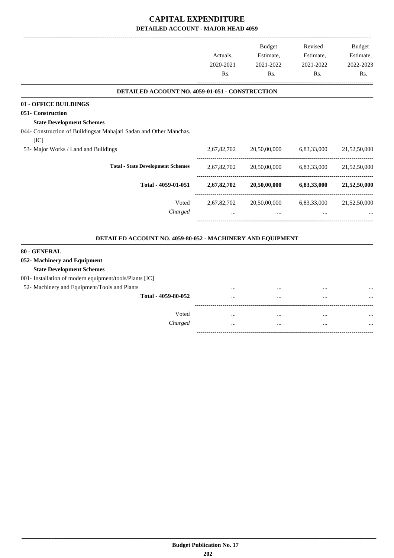-------------------------------------------------------------------------------------------------------------------------------------------------------------------------------

|                                                                            | Actuals,<br>2020-2021 | <b>Budget</b><br>Estimate,<br>2021-2022 | Revised<br>Estimate,<br>2021-2022                                                           | <b>Budget</b><br>Estimate,<br>2022-2023 |
|----------------------------------------------------------------------------|-----------------------|-----------------------------------------|---------------------------------------------------------------------------------------------|-----------------------------------------|
|                                                                            | Rs.                   | Rs.                                     | Rs.                                                                                         | Rs.                                     |
| DETAILED ACCOUNT NO. 4059-01-051 - CONSTRUCTION                            |                       |                                         |                                                                                             |                                         |
| 01 - OFFICE BUILDINGS                                                      |                       |                                         |                                                                                             |                                         |
| 051- Construction                                                          |                       |                                         |                                                                                             |                                         |
| <b>State Development Schemes</b>                                           |                       |                                         |                                                                                             |                                         |
| 044- Construction of Buildingsat Mahajati Sadan and Other Manchas.<br>[IC] |                       |                                         |                                                                                             |                                         |
| 53- Major Works / Land and Buildings                                       | 2,67,82,702           | 20,50,00,000                            | 6,83,33,000                                                                                 | 21,52,50,000                            |
| <b>Total - State Development Schemes</b>                                   | 2,67,82,702           | 20,50,00,000                            | 6,83,33,000<br>6,83,33,000<br>6,83,33,000<br>$\cdots$<br>$\ddotsc$<br>$\cdots$<br>$\ddotsc$ | 21,52,50,000                            |
| Total - 4059-01-051                                                        | 2,67,82,702           | 20,50,00,000                            |                                                                                             | 21,52,50,000                            |
| Voted                                                                      | 2,67,82,702           | 20,50,00,000                            |                                                                                             | 21,52,50,000                            |
| Charged                                                                    | $\cdots$              | $\ddotsc$                               |                                                                                             |                                         |
| DETAILED ACCOUNT NO. 4059-80-052 - MACHINERY AND EQUIPMENT                 |                       |                                         |                                                                                             |                                         |
| 80 - GENERAL                                                               |                       |                                         |                                                                                             |                                         |
| 052- Machinery and Equipment<br><b>State Development Schemes</b>           |                       |                                         |                                                                                             |                                         |
| 001- Installation of modern equipment/tools/Plants [IC]                    |                       |                                         |                                                                                             |                                         |
| 52- Machinery and Equipment/Tools and Plants                               |                       |                                         |                                                                                             |                                         |
| Total - 4059-80-052                                                        |                       | $\ddotsc$                               |                                                                                             |                                         |
| Voted                                                                      |                       | $\cdots$                                |                                                                                             |                                         |
| Charged                                                                    |                       | $\cdots$                                |                                                                                             |                                         |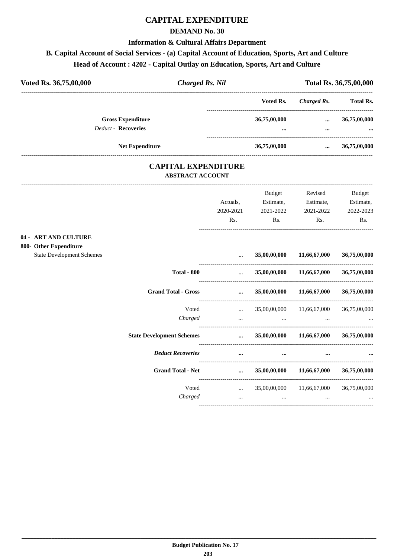## **CAPITAL EXPENDITURE**

#### **DEMAND No. 30**

#### **Information & Cultural Affairs Department**

# **B. Capital Account of Social Services - (a) Capital Account of Education, Sports, Art and Culture**

|  | Head of Account : 4202 - Capital Outlay on Education, Sports, Art and Culture |  |
|--|-------------------------------------------------------------------------------|--|
|--|-------------------------------------------------------------------------------|--|

| Voted Rs. 36,75,00,000                                 | <b>Charged Rs. Nil</b> |                          |                      | Total Rs. 36,75,00,000   |
|--------------------------------------------------------|------------------------|--------------------------|----------------------|--------------------------|
|                                                        |                        | Voted Rs.                | Charged Rs.          | <b>Total Rs.</b>         |
| <b>Gross Expenditure</b><br><b>Deduct - Recoveries</b> |                        | 36,75,00,000<br>$\cdots$ | $\cdots$<br>$\cdots$ | 36,75,00,000<br>$\cdots$ |
|                                                        | <b>Net Expenditure</b> | 36,75,00,000             | $\cdots$             | 36,75,00,000             |

#### **CAPITAL EXPENDITURE ABSTRACT ACCOUNT**

---------------------------------------------------------------------------------------------------------------------------------------------------------------------------------

| $04 -$ | <b>ART AND CULTURE</b>           |                                  | Actuals,<br>2020-2021<br>Rs.                   | <b>Budget</b><br>Estimate,<br>2021-2022<br>Rs. | Revised<br>Estimate,<br>2021-2022<br>Rs. | <b>Budget</b><br>Estimate,<br>2022-2023<br>Rs. |
|--------|----------------------------------|----------------------------------|------------------------------------------------|------------------------------------------------|------------------------------------------|------------------------------------------------|
|        | 800- Other Expenditure           |                                  |                                                |                                                |                                          |                                                |
|        | <b>State Development Schemes</b> |                                  | $\cdots$                                       | 35,00,00,000                                   | 11,66,67,000                             | 36,75,00,000                                   |
|        |                                  | <b>Total - 800</b>               | $\cdots$                                       | 35,00,00,000                                   | 11,66,67,000                             | 36,75,00,000                                   |
|        |                                  | <b>Grand Total - Gross</b>       | $\cdots$                                       | 35,00,00,000                                   | 11,66,67,000                             | 36,75,00,000                                   |
|        |                                  | Voted                            | $\mathbf{r}$ , and the state of $\mathbf{r}$   | 35,00,00,000                                   | 11,66,67,000                             | 36,75,00,000                                   |
|        |                                  | Charged                          | $\cdots$                                       | $\cdots$                                       |                                          |                                                |
|        |                                  | <b>State Development Schemes</b> | $\cdots$                                       | 35,00,00,000                                   | 11,66,67,000                             | 36,75,00,000                                   |
|        |                                  | <b>Deduct Recoveries</b>         | $\cdots$                                       | $\cdots$                                       | $\ddotsc$                                |                                                |
|        |                                  | <b>Grand Total - Net</b>         | $\cdots$                                       | 35,00,00,000                                   | 11,66,67,000                             | 36,75,00,000                                   |
|        |                                  | Voted                            | $\mathbf{r}$ and $\mathbf{r}$ and $\mathbf{r}$ | 35,00,00,000                                   | 11,66,67,000                             | 36,75,00,000                                   |
|        |                                  | Charged                          | $\cdots$                                       | $\ddots$                                       | $\cdots$                                 |                                                |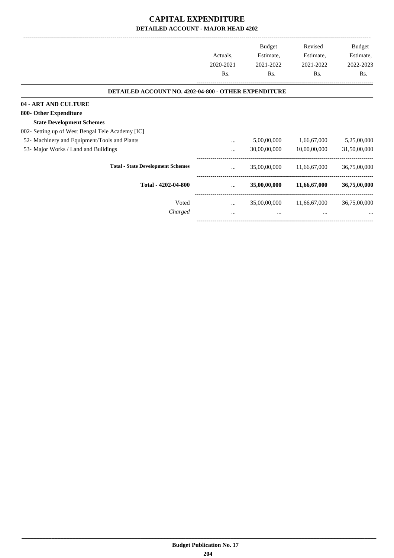|                                                      |           | <b>Budget</b> | Revised      | Budget       |
|------------------------------------------------------|-----------|---------------|--------------|--------------|
|                                                      | Actuals,  | Estimate,     | Estimate,    | Estimate,    |
|                                                      | 2020-2021 | 2021-2022     | 2021-2022    | 2022-2023    |
|                                                      | Rs.       | Rs.           | Rs.          | Rs.          |
| DETAILED ACCOUNT NO. 4202-04-800 - OTHER EXPENDITURE |           |               |              |              |
| 04 - ART AND CULTURE                                 |           |               |              |              |
| 800- Other Expenditure                               |           |               |              |              |
| <b>State Development Schemes</b>                     |           |               |              |              |
| 002- Setting up of West Bengal Tele Academy [IC]     |           |               |              |              |
| 52- Machinery and Equipment/Tools and Plants         |           | 5,00,00,000   | 1,66,67,000  | 5,25,00,000  |
| 53- Major Works / Land and Buildings                 | $\cdots$  | 30,00,00,000  | 10,00,00,000 | 31,50,00,000 |
| <b>Total - State Development Schemes</b>             |           | 35,00,00,000  | 11,66,67,000 | 36,75,00,000 |
| Total - 4202-04-800                                  | $\cdots$  | 35,00,00,000  | 11,66,67,000 | 36,75,00,000 |
| Voted                                                | $\cdots$  | 35,00,00,000  | 11,66,67,000 | 36,75,00,000 |
| Charged                                              | $\cdots$  |               | $\cdots$     |              |
|                                                      |           |               |              |              |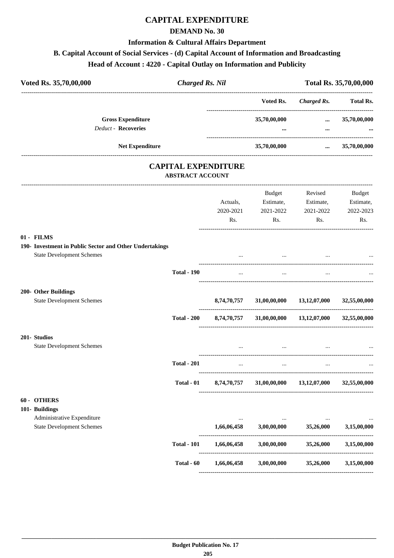## **CAPITAL EXPENDITURE**

#### **DEMAND No. 30**

#### **Information & Cultural Affairs Department**

## **B. Capital Account of Social Services - (d) Capital Account of Information and Broadcasting**

## **Head of Account : 4220 - Capital Outlay on Information and Publicity**

|                    |                    | Voted Rs.                                                    | <b>Charged Rs.</b> | <b>Total Rs.</b>                                                                                                                         |
|--------------------|--------------------|--------------------------------------------------------------|--------------------|------------------------------------------------------------------------------------------------------------------------------------------|
|                    |                    | 35,70,00,000                                                 | $\cdots$           | 35,70,00,000                                                                                                                             |
|                    |                    |                                                              |                    |                                                                                                                                          |
|                    |                    | 35,70,00,000                                                 | $\cdots$           | 35,70,00,000                                                                                                                             |
|                    |                    |                                                              |                    |                                                                                                                                          |
|                    |                    | Budget                                                       | Revised            | <b>Budget</b>                                                                                                                            |
|                    | Actuals,           |                                                              | Estimate,          | Estimate,                                                                                                                                |
|                    | 2020-2021          |                                                              | 2021-2022          | 2022-2023                                                                                                                                |
|                    |                    |                                                              |                    | Rs.                                                                                                                                      |
|                    |                    |                                                              |                    |                                                                                                                                          |
|                    |                    |                                                              |                    |                                                                                                                                          |
|                    |                    |                                                              |                    |                                                                                                                                          |
|                    |                    |                                                              |                    |                                                                                                                                          |
|                    | $\cdots$           | $\cdots$                                                     | $\cdots$           |                                                                                                                                          |
|                    |                    |                                                              |                    |                                                                                                                                          |
|                    |                    |                                                              |                    | 32,55,00,000                                                                                                                             |
|                    |                    |                                                              |                    |                                                                                                                                          |
| <b>Total - 200</b> |                    |                                                              |                    | 32,55,00,000                                                                                                                             |
|                    |                    |                                                              |                    |                                                                                                                                          |
|                    |                    |                                                              |                    |                                                                                                                                          |
| <b>Total - 201</b> | $\cdots$           | $\cdots$                                                     | $\cdots$           |                                                                                                                                          |
| Total - 01         | 8,74,70,757        | 31,00,00,000                                                 | 13,12,07,000       | 32,55,00,000                                                                                                                             |
|                    |                    |                                                              |                    |                                                                                                                                          |
|                    |                    |                                                              |                    |                                                                                                                                          |
|                    |                    |                                                              |                    |                                                                                                                                          |
|                    | 1,66,06,458        | 3,00,00,000                                                  |                    | 3,15,00,000                                                                                                                              |
| <b>Total - 101</b> | 1,66,06,458        | 3,00,00,000                                                  | 35,26,000          | 3,15,00,000                                                                                                                              |
| Total - 60         | 1,66,06,458        | 3,00,00,000                                                  | 35,26,000          | 3,15,00,000                                                                                                                              |
|                    | <b>Total - 190</b> | <b>CAPITAL EXPENDITURE</b><br><b>ABSTRACT ACCOUNT</b><br>Rs. | Rs.                | $\cdots$<br>Estimate,<br>2021-2022<br>Rs.<br>8,74,70,757 31,00,00,000 13,12,07,000<br>8,74,70,757 31,00,00,000 13,12,07,000<br>35,26,000 |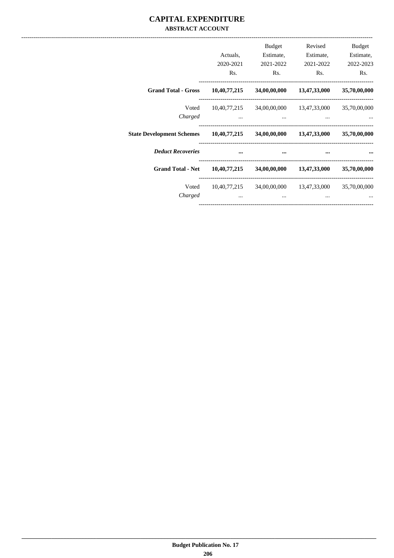#### **CAPITAL EXPENDITURE ABSTRACT ACCOUNT**

|                                                                               | Actuals,<br>2020-2021<br>Rs. | <b>Budget</b><br>Estimate,<br>2021-2022<br>Rs.                          | Revised<br>Estimate,<br>2021-2022<br>R <sub>s</sub> . | <b>Budget</b><br>Estimate,<br>2022-2023<br>Rs. |
|-------------------------------------------------------------------------------|------------------------------|-------------------------------------------------------------------------|-------------------------------------------------------|------------------------------------------------|
| <b>Grand Total - Gross</b>                                                    |                              | $10,40,77,215$ $34,00,00,000$ $13,47,33,000$ $35,70,00,000$             |                                                       |                                                |
| Voted<br>Charged                                                              |                              | 10,40,77,215 34,00,00,000 13,47,33,000 35,70,00,000                     |                                                       |                                                |
| State Development Schemes 10,40,77,215 34,00,00,000 13,47,33,000 35,70,00,000 |                              |                                                                         |                                                       |                                                |
| <b>Deduct Recoveries</b>                                                      | $\cdots$                     | $\cdots$                                                                | $\sim$ $\sim$                                         |                                                |
| Grand Total - Net 10,40,77,215                                                |                              |                                                                         | 34,00,00,000 13,47,33,000 35,70,00,000                |                                                |
| Voted<br>Charged                                                              | $\cdots$                     | $10,40,77,215$ $34,00,00,000$ $13,47,33,000$ $35,70,00,000$<br>$\cdots$ |                                                       |                                                |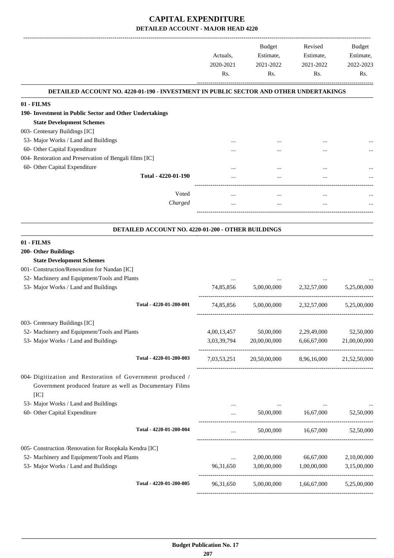|                                                                                              |                                                    | Actuals,<br>2020-2021<br>Rs. | Budget<br>Estimate,<br>2021-2022<br>Rs.           | Revised<br>Estimate,<br>2021-2022<br>Rs. | Budget<br>Estimate,<br>2022-2023<br>Rs. |
|----------------------------------------------------------------------------------------------|----------------------------------------------------|------------------------------|---------------------------------------------------|------------------------------------------|-----------------------------------------|
| <b>DETAILED ACCOUNT NO. 4220-01-190 - INVESTMENT IN PUBLIC SECTOR AND OTHER UNDERTAKINGS</b> |                                                    |                              |                                                   |                                          |                                         |
| 01 - FILMS                                                                                   |                                                    |                              |                                                   |                                          |                                         |
| 190- Investment in Public Sector and Other Undertakings                                      |                                                    |                              |                                                   |                                          |                                         |
| <b>State Development Schemes</b>                                                             |                                                    |                              |                                                   |                                          |                                         |
| 003- Centenary Buildings [IC]                                                                |                                                    |                              |                                                   |                                          |                                         |
| 53- Major Works / Land and Buildings                                                         |                                                    |                              |                                                   |                                          |                                         |
| 60- Other Capital Expenditure                                                                |                                                    |                              |                                                   |                                          |                                         |
| 004- Restoration and Preservation of Bengali films [IC]                                      |                                                    |                              |                                                   |                                          |                                         |
| 60- Other Capital Expenditure                                                                | Total - 4220-01-190                                |                              |                                                   |                                          |                                         |
|                                                                                              |                                                    |                              |                                                   |                                          |                                         |
|                                                                                              | Voted                                              | $\cdots$                     | $\cdots$                                          | $\cdots$                                 |                                         |
|                                                                                              | Charged                                            | $\cdots$                     |                                                   | $\cdots$                                 |                                         |
|                                                                                              |                                                    |                              |                                                   |                                          |                                         |
|                                                                                              | DETAILED ACCOUNT NO. 4220-01-200 - OTHER BUILDINGS |                              |                                                   |                                          |                                         |
| 01 - FILMS                                                                                   |                                                    |                              |                                                   |                                          |                                         |
| 200- Other Buildings                                                                         |                                                    |                              |                                                   |                                          |                                         |
| <b>State Development Schemes</b>                                                             |                                                    |                              |                                                   |                                          |                                         |
| 001- Construction/Renovation for Nandan [IC]                                                 |                                                    |                              |                                                   |                                          |                                         |
| 52- Machinery and Equipment/Tools and Plants                                                 |                                                    | $\cdots$                     |                                                   |                                          |                                         |
| 53- Major Works / Land and Buildings                                                         |                                                    | 74,85,856                    | 5,00,00,000                                       | 2,32,57,000                              | 5,25,00,000                             |
|                                                                                              | Total - 4220-01-200-001                            | 74,85,856                    | 5,00,00,000                                       | 2,32,57,000                              | 5,25,00,000                             |
| 003- Centenary Buildings [IC]                                                                |                                                    |                              |                                                   |                                          |                                         |
| 52- Machinery and Equipment/Tools and Plants                                                 |                                                    | 4,00,13,457                  | 50,00,000                                         | 2,29,49,000                              | 52,50,000                               |
| 53- Major Works / Land and Buildings                                                         |                                                    | 3,03,39,794                  | 20,00,00,000                                      | 6,66,67,000                              | 21,00,00,000                            |
|                                                                                              |                                                    |                              |                                                   |                                          |                                         |
|                                                                                              | Total - 4220-01-200-003                            |                              | 7,03,53,251 20,50,00,000 8,96,16,000 21,52,50,000 |                                          |                                         |
| 004- Digitization and Restoration of Government produced /                                   |                                                    |                              |                                                   |                                          |                                         |
| Government produced feature as well as Documentary Films                                     |                                                    |                              |                                                   |                                          |                                         |
| [IC]                                                                                         |                                                    |                              |                                                   |                                          |                                         |
| 53- Major Works / Land and Buildings                                                         |                                                    | $\cdots$                     | $\sim 100$ and $\sim 100$                         |                                          | $\cdots$                                |
| 60- Other Capital Expenditure                                                                |                                                    | $\cdots$                     |                                                   |                                          | 52,50,000                               |
|                                                                                              | Total - 4220-01-200-004                            | $\cdots$                     |                                                   | 50,00,000   16,67,000   52,50,000        |                                         |
|                                                                                              |                                                    |                              |                                                   |                                          |                                         |
| 005- Construction /Renovation for Roopkala Kendra [IC]                                       |                                                    |                              |                                                   |                                          |                                         |
| 52- Machinery and Equipment/Tools and Plants                                                 |                                                    | $\cdots$                     | 2,00,00,000                                       | 66,67,000                                | 2,10,00,000                             |
| 53- Major Works / Land and Buildings                                                         |                                                    | 96,31,650                    |                                                   | 3,00,00,000 1,00,00,000                  | 3,15,00,000                             |
|                                                                                              | Total - 4220-01-200-005                            | 96,31,650                    | 5,00,00,000                                       | 1,66,67,000                              | 5,25,00,000                             |
|                                                                                              |                                                    |                              |                                                   |                                          |                                         |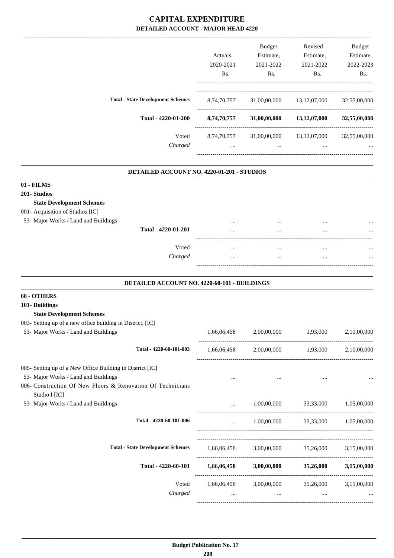|                                          | Actuals.<br>2020-2021   | <b>Budget</b><br>Estimate,<br>2021-2022 | Revised<br>Estimate,<br>2021-2022 | Budget<br>Estimate,<br>2022-2023 |
|------------------------------------------|-------------------------|-----------------------------------------|-----------------------------------|----------------------------------|
|                                          | Rs.                     | Rs.                                     | Rs.                               | Rs.                              |
| <b>Total - State Development Schemes</b> | 8,74,70,757             | 31,00,00,000                            | 13, 12, 07, 000                   | 32,55,00,000                     |
| Total - 4220-01-200                      | 8,74,70,757             | 31,00,00,000                            | 13,12,07,000                      | 32,55,00,000                     |
| Voted<br>Charged                         | 8,74,70,757<br>$\cdots$ | 31,00,00,000<br>$\cdots$                | 13, 12, 07, 000<br>$\cdots$       | 32,55,00,000<br>                 |
|                                          |                         |                                         |                                   |                                  |

#### **DETAILED ACCOUNT NO. 4220-01-201 - STUDIOS .**

| 01 - FILMS                           |         |          |          |      |
|--------------------------------------|---------|----------|----------|------|
| 201- Studios                         |         |          |          |      |
| <b>State Development Schemes</b>     |         |          |          |      |
| 001- Acquisition of Studios [IC]     |         |          |          |      |
| 53- Major Works / Land and Buildings |         |          | $\cdots$ | <br> |
| Total - 4220-01-201                  |         |          | $\cdots$ | <br> |
|                                      |         |          |          |      |
|                                      | Voted   | $\cdots$ |          | <br> |
|                                      | Charged | $\cdots$ |          | <br> |
|                                      |         |          |          |      |
|                                      |         |          |          |      |

#### **DETAILED ACCOUNT NO. 4220-60-101 - BUILDINGS .**

# **60 - OTHERS**

### **101- Buildings State Development Schemes** 003- Setting up of a new office building in District. [IC] 53- Major Works / Land and Buildings 1,66,06,458 2,00,00,000 1,93,000 2,10,00,000 ---------------------------------------------------------------------------------------- **Total - 4220-60-101-003** 1,66,06,458 2,00,00,000 1,93,000 2,10,00,000 ----------------------------------------------------------------------------------------- 005- Setting up of a New Office Building in District [IC] 53- Major Works / Land and Buildings ... ... ... ... 006- Construction Of New Floors & Renovation Of Technicians Studio I [IC] 53- Major Works / Land and Buildings ... 1,00,00,000 33,33,000 1,05,00,000 ---------------------------------------------------------------------------------------- **Total - 4220-60-101-006** ... 1,00,00,000 33,33,000 1,05,00,000 ----------------------------------------------------------------------------------------- ----------------------------------------------------------------------------------------- **Total - State Development Schemes** 1,66,06,458 3,00,00,000 35,26,000 3,15,00,000 ----------------------------------------------------------------------------------------- **Total - 4220-60-101 1,66,06,458 3,00,00,000 35,26,000 3,15,00,000** ------------------------------------------------------------------------------------------ Voted 1,66,06,458 3,00,00,000 35,26,000 3,15,00,000 *Charged* ... ... ... ... -----------------------------------------------------------------------------------------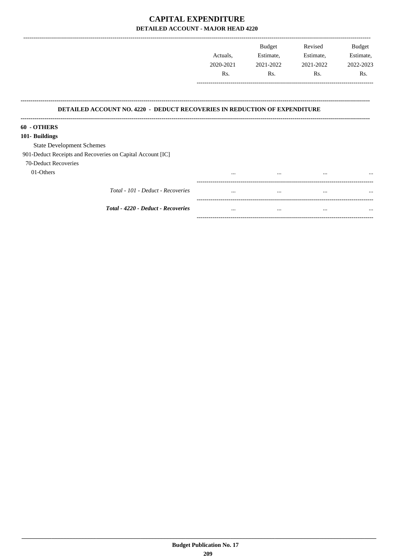|                                                                                  | Actuals.<br>2020-2021 | <b>Budget</b><br>Estimate,<br>2021-2022 | Revised<br>Estimate,<br>2021-2022 | <b>Budget</b><br>Estimate,<br>2022-2023 |
|----------------------------------------------------------------------------------|-----------------------|-----------------------------------------|-----------------------------------|-----------------------------------------|
|                                                                                  | Rs.                   | Rs.                                     | Rs.                               | Rs.                                     |
| <b>DETAILED ACCOUNT NO. 4220 - DEDUCT RECOVERIES IN REDUCTION OF EXPENDITURE</b> |                       |                                         |                                   |                                         |
| 60 - OTHERS                                                                      |                       |                                         |                                   |                                         |
| 101- Buildings                                                                   |                       |                                         |                                   |                                         |
| <b>State Development Schemes</b>                                                 |                       |                                         |                                   |                                         |
| 901-Deduct Receipts and Recoveries on Capital Account [IC]                       |                       |                                         |                                   |                                         |
| 70-Deduct Recoveries                                                             |                       |                                         |                                   |                                         |
| 01-Others                                                                        | $\cdots$              | $\cdots$                                | $\cdots$                          | $\cdots$                                |
| Total - 101 - Deduct - Recoveries                                                | $\cdots$              | $\cdots$                                | $\cdots$                          | $\cdots$                                |

Total - 4220 - Deduct - Recoveries

 $\mathcal{L}(\mathbf{m})$  and  $\mathcal{L}(\mathbf{m})$  .

 $\sim 10^{11}$  km s  $^{-1}$  km s  $^{-1}$ 

 $\dddotsc$ 

 $\label{eq:1} \frac{1}{2} \sum_{i=1}^n \frac{1}{2} \sum_{j=1}^n \frac{1}{2} \sum_{j=1}^n \frac{1}{2} \sum_{j=1}^n \frac{1}{2} \sum_{j=1}^n \frac{1}{2} \sum_{j=1}^n \frac{1}{2} \sum_{j=1}^n \frac{1}{2} \sum_{j=1}^n \frac{1}{2} \sum_{j=1}^n \frac{1}{2} \sum_{j=1}^n \frac{1}{2} \sum_{j=1}^n \frac{1}{2} \sum_{j=1}^n \frac{1}{2} \sum_{j=1}^n \frac{1}{$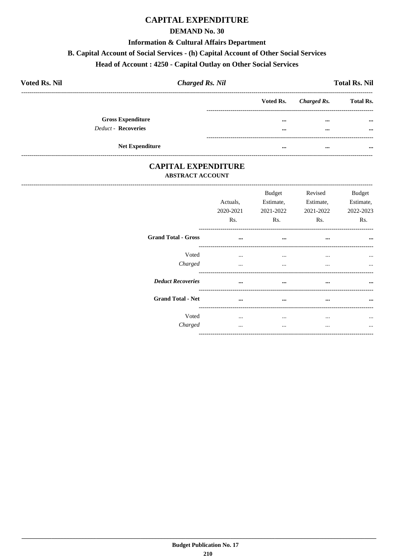### **CAPITAL EXPENDITURE**

#### **DEMAND No. 30**

#### **Information & Cultural Affairs Department**

#### B. Capital Account of Social Services - (h) Capital Account of Other Social Services

## Head of Account: 4250 - Capital Outlay on Other Social Services

| <b>Voted Rs. Nil</b>     | <b>Charged Rs. Nil</b> |           |             | <b>Total Rs. Nil</b> |
|--------------------------|------------------------|-----------|-------------|----------------------|
|                          |                        | Voted Rs. | Charged Rs. | <b>Total Rs.</b>     |
| <b>Gross Expenditure</b> |                        |           | $\cdots$    | $\cdots$             |
| Deduct - Recoveries      |                        |           | $\cdots$    | $\cdots$             |
| <b>Net Expenditure</b>   |                        |           | $\cdots$    |                      |

#### **CAPITAL EXPENDITURE ABSTRACT ACCOUNT**

|                            | Actuals,<br>2020-2021<br>Rs. | <b>Budget</b><br>Estimate,<br>2021-2022<br>Rs. | Revised<br>Estimate,<br>2021-2022<br>Rs. | <b>Budget</b><br>Estimate,<br>2022-2023<br>Rs. |
|----------------------------|------------------------------|------------------------------------------------|------------------------------------------|------------------------------------------------|
| <b>Grand Total - Gross</b> | $\cdots$                     | $\cdots$                                       | $\cdots$                                 |                                                |
| Voted<br>Charged           | $\cdots$<br>$\cdots$         | $\cdots$<br>$\cdots$                           | $\cdots$<br>$\cdots$                     | $\cdots$<br>$\cdots$                           |
| <b>Deduct Recoveries</b>   | $\cdots$                     | $\cdots$                                       | $\cdots$                                 | $\cdots$                                       |
| <b>Grand Total - Net</b>   | $\ddotsc$                    | $\cdots$                                       | $\cdots$                                 | $\cdots$                                       |
| Voted<br>Charged           | $\cdots$<br>                 | <br>$\cdots$                                   | $\cdots$<br>                             | $\ddotsc$<br>$\ddotsc$                         |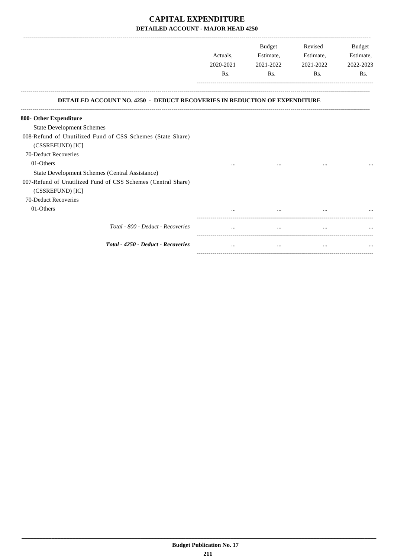-------------------------------------------------------------------------------------------------------------------------------------------------------------------------------

|                                                                                                | Actuals.<br>2020-2021<br>Rs. | <b>Budget</b><br>Estimate,<br>2021-2022<br>R <sub>s</sub> . | Revised<br>Estimate,<br>2021-2022<br>Rs. | <b>Budget</b><br>Estimate,<br>2022-2023<br>Rs. |
|------------------------------------------------------------------------------------------------|------------------------------|-------------------------------------------------------------|------------------------------------------|------------------------------------------------|
| <b>DETAILED ACCOUNT NO. 4250 - DEDUCT RECOVERIES IN REDUCTION OF EXPENDITURE</b>               |                              |                                                             |                                          |                                                |
| 800- Other Expenditure                                                                         |                              |                                                             |                                          |                                                |
| <b>State Development Schemes</b><br>008-Refund of Unutilized Fund of CSS Schemes (State Share) |                              |                                                             |                                          |                                                |
| (CSSREFUND) [IC]                                                                               |                              |                                                             |                                          |                                                |
| 70-Deduct Recoveries                                                                           |                              |                                                             |                                          |                                                |
| 01-Others                                                                                      |                              |                                                             |                                          |                                                |
|                                                                                                |                              |                                                             |                                          |                                                |
| State Development Schemes (Central Assistance)                                                 |                              |                                                             |                                          |                                                |
| 007-Refund of Unutilized Fund of CSS Schemes (Central Share)                                   |                              |                                                             |                                          |                                                |
| (CSSREFUND) [IC]                                                                               |                              |                                                             |                                          |                                                |
| 70-Deduct Recoveries                                                                           |                              |                                                             |                                          |                                                |
| 01-Others                                                                                      |                              |                                                             |                                          |                                                |
| Total - 800 - Deduct - Recoveries                                                              |                              |                                                             |                                          |                                                |
| Total - 4250 - Deduct - Recoveries                                                             |                              |                                                             | $\cdots$                                 |                                                |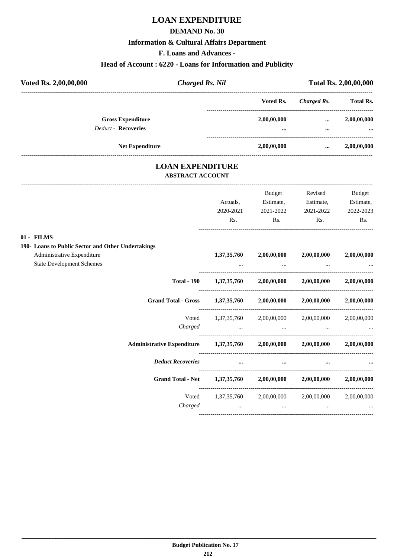## **LOAN EXPENDITURE**

#### **DEMAND No. 30**

#### **Information & Cultural Affairs Department**

**F. Loans and Advances -**

#### **Head of Account : 6220 - Loans for Information and Publicity**

| Voted Rs. 2,00,00,000      |                          | <b>Charged Rs. Nil</b> |              | <b>Total Rs. 2,00,00,000</b> |  |  |
|----------------------------|--------------------------|------------------------|--------------|------------------------------|--|--|
|                            |                          | Voted Rs.              | Charged Rs.  | <b>Total Rs.</b>             |  |  |
|                            | <b>Gross Expenditure</b> | 2,00,00,000            | $\cdots$     | 2,00,00,000                  |  |  |
| <b>Deduct - Recoveries</b> |                          |                        | $\cdots$<br> | $\cdots$                     |  |  |
|                            | <b>Net Expenditure</b>   | 2,00,00,000            | $\cdots$     | 2,00,00,000                  |  |  |

#### **LOAN EXPENDITURE ABSTRACT ACCOUNT**

---------------------------------------------------------------------------------------------------------------------------------------------------------------------------------

|                                                                            | Actuals,<br>2020-2021 | Budget<br>Estimate,<br>2021-2022 | Revised<br>Estimate,<br>2021-2022                                                                                                  | Budget<br>Estimate,<br>2022-2023 |
|----------------------------------------------------------------------------|-----------------------|----------------------------------|------------------------------------------------------------------------------------------------------------------------------------|----------------------------------|
|                                                                            | Rs.                   | Rs.                              | Rs.                                                                                                                                | Rs.                              |
| 01 - FILMS<br>190- Loans to Public Sector and Other Undertakings           |                       |                                  |                                                                                                                                    |                                  |
| Administrative Expenditure<br><b>State Development Schemes</b>             | 1,37,35,760           | 2,00,00,000                      | 2,00,00,000<br>and the contract of the contract of the contract of the contract of the contract of the contract of the contract of | 2,00,00,000                      |
|                                                                            |                       |                                  | Total - 190 $1,37,35,760$ $2,00,00,000$ $2,00,00,000$ $2,00,00,000$                                                                |                                  |
| Grand Total - Gross 1,37,35,760 2,00,00,000 2,00,00,000 2,00,00,000        |                       |                                  |                                                                                                                                    |                                  |
|                                                                            |                       |                                  | Voted $1,37,35,760$ $2,00,00,000$ $2,00,00,000$ $2,00,00,000$<br>$Charged$ $\dots$ $\dots$ $\dots$ $\dots$                         |                                  |
| Administrative Expenditure 1,37,35,760 2,00,00,000 2,00,00,000 2,00,00,000 |                       |                                  |                                                                                                                                    |                                  |
| <b>Deduct Recoveries</b>                                                   |                       |                                  |                                                                                                                                    |                                  |
| Grand Total - Net 1,37,35,760 2,00,00,000 2,00,00,000 2,00,00,000          |                       |                                  |                                                                                                                                    |                                  |
| Voted                                                                      |                       |                                  | 1,37,35,760 2,00,00,000 2,00,00,000 2,00,00,000<br>$Charged$ $\dots$ $\dots$ $\dots$ $\dots$                                       |                                  |
|                                                                            |                       |                                  |                                                                                                                                    |                                  |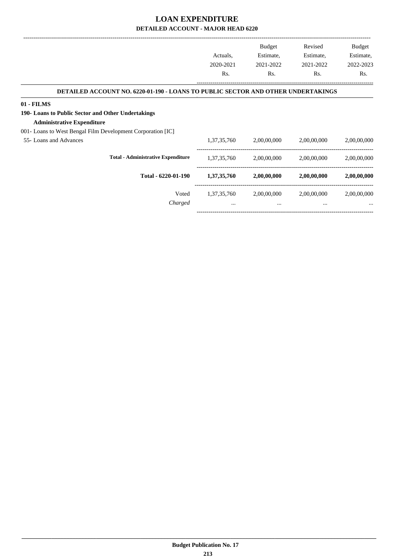|                                                                                  |             | <b>Budget</b> | Revised     | Budget      |
|----------------------------------------------------------------------------------|-------------|---------------|-------------|-------------|
|                                                                                  | Actuals,    | Estimate,     | Estimate,   | Estimate,   |
|                                                                                  | 2020-2021   | 2021-2022     | 2021-2022   | 2022-2023   |
|                                                                                  | Rs.         | Rs.           | Rs.         | Rs.         |
| DETAILED ACCOUNT NO. 6220-01-190 - LOANS TO PUBLIC SECTOR AND OTHER UNDERTAKINGS |             |               |             |             |
| $01 - FILMS$                                                                     |             |               |             |             |
| 190- Loans to Public Sector and Other Undertakings                               |             |               |             |             |
| <b>Administrative Expenditure</b>                                                |             |               |             |             |
| 001- Loans to West Bengal Film Development Corporation [IC]                      |             |               |             |             |
| 55- Loans and Advances                                                           | 1,37,35,760 | 2,00,00,000   | 2,00,00,000 | 2,00,00,000 |
| <b>Total - Administrative Expenditure</b>                                        | 1,37,35,760 | 2,00,00,000   | 2,00,00,000 | 2,00,00,000 |
| Total - 6220-01-190                                                              | 1,37,35,760 | 2,00,00,000   | 2,00,00,000 | 2,00,00,000 |
| Voted                                                                            | 1,37,35,760 | 2,00,00,000   | 2,00,00,000 | 2,00,00,000 |
| Charged                                                                          |             | $\cdots$      | $\cdots$    |             |
|                                                                                  |             |               |             |             |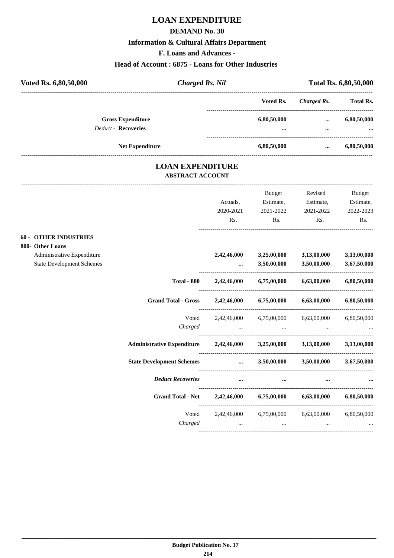## **LOAN EXPENDITURE**

#### **DEMAND No. 30**

#### **Information & Cultural Affairs Department**

**F. Loans and Advances -**

#### **Head of Account : 6875 - Loans for Other Industries**

| Voted Rs. 6,80,50,000 |                                                        | <b>Charged Rs. Nil</b> |                 |                      | Total Rs. 6,80,50,000   |
|-----------------------|--------------------------------------------------------|------------------------|-----------------|----------------------|-------------------------|
|                       |                                                        |                        | Voted Rs.       | Charged Rs.          | <b>Total Rs.</b>        |
|                       | <b>Gross Expenditure</b><br><b>Deduct - Recoveries</b> |                        | 6,80,50,000<br> | $\cdots$<br>$\cdots$ | 6,80,50,000<br>$\cdots$ |
|                       | <b>Net Expenditure</b>                                 |                        | 6,80,50,000     | $\cdots$             | 6,80,50,000             |

#### **LOAN EXPENDITURE ABSTRACT ACCOUNT**

---------------------------------------------------------------------------------------------------------------------------------------------------------------------------------

|                                  |                                                                            | Actuals,  | Budget<br>Estimate, | Revised<br>Estimate,                                    | <b>Budget</b><br>Estimate, |
|----------------------------------|----------------------------------------------------------------------------|-----------|---------------------|---------------------------------------------------------|----------------------------|
|                                  |                                                                            | 2020-2021 | 2021-2022           | 2021-2022                                               | 2022-2023                  |
|                                  |                                                                            | Rs.       | Rs.                 | Rs.                                                     | Rs.                        |
| <b>60 - OTHER INDUSTRIES</b>     |                                                                            |           |                     |                                                         |                            |
| 800- Other Loans                 |                                                                            |           |                     |                                                         |                            |
| Administrative Expenditure       |                                                                            |           |                     | 2,42,46,000 3,25,00,000 3,13,00,000                     | 3,13,00,000                |
| <b>State Development Schemes</b> |                                                                            |           |                     | $3,50,00,000$ $3,50,00,000$ $3,67,50,000$               |                            |
|                                  | <b>Total - 800</b>                                                         |           |                     | $2,42,46,000$ $6,75,00,000$ $6,63,00,000$ $6,80,50,000$ |                            |
|                                  | <b>Grand Total - Gross</b>                                                 |           |                     | 2,42,46,000 6,75,00,000 6,63,00,000 6,80,50,000         |                            |
|                                  |                                                                            |           |                     | Voted 2,42,46,000 6,75,00,000 6,63,00,000 6,80,50,000   |                            |
|                                  | Charged                                                                    |           |                     |                                                         |                            |
|                                  | Administrative Expenditure 2,42,46,000 3,25,00,000 3,13,00,000 3,13,00,000 |           |                     |                                                         |                            |
|                                  | State Development Schemes  3,50,00,000 3,50,00,000 3,67,50,000             |           |                     |                                                         |                            |
|                                  | <b>Deduct Recoveries</b>                                                   | $\cdots$  | $\cdots$            |                                                         |                            |
|                                  | Grand Total - Net 2,42,46,000 6,75,00,000 6,63,00,000 6,80,50,000          |           |                     |                                                         |                            |
|                                  |                                                                            |           |                     | Voted 2,42,46,000 6,75,00,000 6,63,00,000 6,80,50,000   |                            |
|                                  |                                                                            |           |                     | $Charged$ $\dots$ $\dots$ $\dots$ $\dots$               |                            |
|                                  |                                                                            |           |                     |                                                         |                            |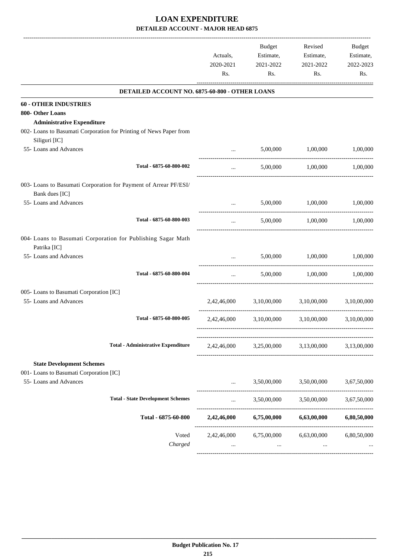|                                         |                                                                    | Actuals,<br>2020-2021<br>Rs. | Budget<br>Estimate,<br>2021-2022<br>Rs. | Revised<br>Estimate,<br>2021-2022<br>Rs.        | Budget<br>Estimate,<br>2022-2023<br>Rs. |
|-----------------------------------------|--------------------------------------------------------------------|------------------------------|-----------------------------------------|-------------------------------------------------|-----------------------------------------|
|                                         | DETAILED ACCOUNT NO. 6875-60-800 - OTHER LOANS                     |                              |                                         |                                                 |                                         |
| <b>60 - OTHER INDUSTRIES</b>            |                                                                    |                              |                                         |                                                 |                                         |
| 800- Other Loans                        |                                                                    |                              |                                         |                                                 |                                         |
| <b>Administrative Expenditure</b>       |                                                                    |                              |                                         |                                                 |                                         |
| Siliguri [IC]                           | 002- Loans to Basumati Corporation for Printing of News Paper from |                              |                                         |                                                 |                                         |
| 55- Loans and Advances                  |                                                                    | $\cdots$                     | 5,00,000                                | 1,00,000                                        | 1,00,000                                |
|                                         | Total - 6875-60-800-002                                            | $\cdots$                     |                                         | 5,00,000 1,00,000                               | 1,00,000                                |
|                                         | 003- Loans to Basumati Corporation for Payment of Arrear PF/ESI/   |                              |                                         |                                                 |                                         |
| Bank dues [IC]                          |                                                                    |                              |                                         |                                                 |                                         |
| 55- Loans and Advances                  |                                                                    | $\cdots$                     | 5,00,000                                | 1,00,000                                        | 1,00,000                                |
|                                         | Total - 6875-60-800-003                                            | $\cdots$                     |                                         | 5,00,000 1,00,000                               | 1,00,000                                |
|                                         | 004- Loans to Basumati Corporation for Publishing Sagar Math       |                              |                                         |                                                 |                                         |
| Patrika [IC]<br>55- Loans and Advances  |                                                                    | $\cdots$                     | 5,00,000                                | 1,00,000                                        | 1,00,000                                |
|                                         | Total - 6875-60-800-004                                            | $\cdots$                     | 5,00,000                                | 1,00,000                                        | 1,00,000                                |
| 005- Loans to Basumati Corporation [IC] |                                                                    |                              |                                         |                                                 |                                         |
| 55- Loans and Advances                  |                                                                    | 2,42,46,000                  | 3,10,00,000                             | 3,10,00,000                                     | 3.10.00.000                             |
|                                         | Total - 6875-60-800-005                                            |                              |                                         | 2,42,46,000 3,10,00,000 3,10,00,000 3,10,00,000 |                                         |
|                                         | <b>Total - Administrative Expenditure</b>                          | 2,42,46,000                  |                                         | 3,25,00,000 3,13,00,000                         | 3,13,00,000                             |
| <b>State Development Schemes</b>        |                                                                    |                              |                                         |                                                 |                                         |
| 001- Loans to Basumati Corporation [IC] |                                                                    |                              |                                         |                                                 |                                         |
| 55- Loans and Advances                  |                                                                    | $\cdots$                     | 3,50,00,000                             | 3,50,00,000                                     | 3,67,50,000                             |
|                                         | <b>Total - State Development Schemes</b>                           | $\cdots$                     | 3,50,00,000                             | 3,50,00,000                                     | 3,67,50,000                             |
|                                         | Total - 6875-60-800                                                |                              | 2,42,46,000 6,75,00,000                 | 6,63,00,000                                     | 6,80,50,000                             |
|                                         | Voted                                                              | 2,42,46,000                  | 6,75,00,000                             | 6,63,00,000                                     | 6,80,50,000                             |
|                                         | Charged                                                            | $\cdots$                     | $\cdots$                                |                                                 |                                         |
|                                         |                                                                    |                              |                                         |                                                 |                                         |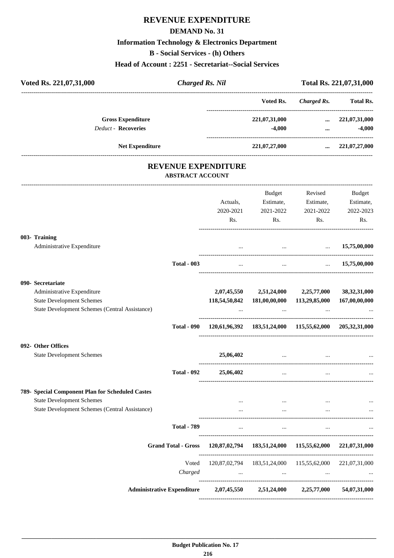## **REVENUE EXPENDITURE**

#### **DEMAND No. 31**

## **Information Technology & Electronics Department**

**B - Social Services - (h) Others**

#### **Head of Account : 2251 - Secretariat--Social Services**

| Voted Rs. 221,07,31,000                                                                                                                | <b>Charged Rs. Nil</b>                                |                      |                                                                                                             |                                                     | Total Rs. 221,07,31,000                   |
|----------------------------------------------------------------------------------------------------------------------------------------|-------------------------------------------------------|----------------------|-------------------------------------------------------------------------------------------------------------|-----------------------------------------------------|-------------------------------------------|
|                                                                                                                                        |                                                       |                      |                                                                                                             | Voted Rs. Charged Rs. Total Rs.                     |                                           |
| <b>Gross Expenditure</b><br><b>Deduct - Recoveries</b>                                                                                 |                                                       |                      |                                                                                                             | 221,07,31,000  221,07,31,000<br>$-4,000$            | $-4,000$<br>$\mathbf{m}$ and $\mathbf{m}$ |
| <b>Net Expenditure</b>                                                                                                                 |                                                       |                      | 221,07,27,000                                                                                               |                                                     | $\ldots$ 221,07,27,000                    |
|                                                                                                                                        | <b>REVENUE EXPENDITURE</b><br><b>ABSTRACT ACCOUNT</b> |                      |                                                                                                             |                                                     |                                           |
|                                                                                                                                        |                                                       | Actuals,             | Estimate, Estimate,<br>2020-2021 2021-2022 2021-2022<br>$\mathbf{Rs.}$                                      | Budget Revised<br>Rs. Rs.                           | Budget<br>Estimate,<br>2022-2023<br>Rs.   |
| 003- Training<br>Administrative Expenditure                                                                                            |                                                       |                      | $\qquad \qquad \dots \qquad \qquad \dots \qquad \qquad 15,75,00,000$                                        |                                                     |                                           |
|                                                                                                                                        | <b>Total - 003</b>                                    | $\cdots$             |                                                                                                             | $\ldots$ 15,75,00,000                               |                                           |
| 090- Secretariate<br>Administrative Expenditure<br><b>State Development Schemes</b><br>State Development Schemes (Central Assistance)  |                                                       |                      | 2,07,45,550 2,51,24,000 2,25,77,000 38,32,31,000<br>118,54,50,842 181,00,00,000 113,29,85,000 167,00,00,000 | the contract of the contract of the contract of the |                                           |
|                                                                                                                                        |                                                       |                      | Total - 090 120,61,96,392 183,51,24,000 115,55,62,000 205,32,31,000                                         |                                                     |                                           |
| 092- Other Offices<br><b>State Development Schemes</b>                                                                                 |                                                       | 25,06,402            |                                                                                                             | the contract of the contract of the contract of the |                                           |
|                                                                                                                                        | <b>Total - 092</b>                                    | 25,06,402            | $\ddotsc$                                                                                                   |                                                     |                                           |
| 789- Special Component Plan for Scheduled Castes<br><b>State Development Schemes</b><br>State Development Schemes (Central Assistance) |                                                       | $\cdots$<br>$\cdots$ | $\ddotsc$<br>$\cdots$                                                                                       | $\cdots$<br>$\cdots$                                | $\cdots$                                  |
|                                                                                                                                        | <b>Total - 789</b>                                    | $\cdots$             | $\cdots$                                                                                                    | $\cdots$                                            |                                           |
|                                                                                                                                        | <b>Grand Total - Gross</b>                            |                      | 120,87,02,794 183,51,24,000 115,55,62,000 221,07,31,000                                                     |                                                     |                                           |
|                                                                                                                                        | Voted<br>Charged                                      |                      | 120,87,02,794  183,51,24,000  115,55,62,000  221,07,31,000<br><b>Second Contract Contract</b>               | the contract of the contract of                     | <b>Contract Contract</b>                  |
|                                                                                                                                        | <b>Administrative Expenditure</b>                     | 2,07,45,550          | 2,51,24,000                                                                                                 | 2,25,77,000                                         | 54,07,31,000                              |

----------------------------------------------------------------------------------------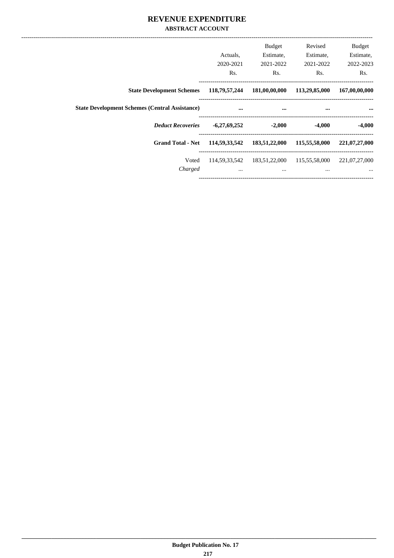#### **REVENUE EXPENDITURE ABSTRACT ACCOUNT**

|                                                       | Actuals.<br>2020-2021<br>Rs. | <b>Budget</b><br>Estimate,<br>2021-2022<br>Rs. | Revised<br>Estimate,<br>2021-2022<br>Rs. | <b>Budget</b><br>Estimate,<br>2022-2023<br>Rs. |
|-------------------------------------------------------|------------------------------|------------------------------------------------|------------------------------------------|------------------------------------------------|
| <b>State Development Schemes</b>                      | 118,79,57,244                | 181,00,00,000                                  | 113,29,85,000                            | 167,00,00,000                                  |
| <b>State Development Schemes (Central Assistance)</b> | $\cdots$                     | $\cdots$                                       | $\cdots$                                 | $\cdots$                                       |
| <b>Deduct Recoveries</b>                              | $-6,27,69,252$               | $-2,000$                                       | $-4,000$                                 | $-4,000$                                       |
| <b>Grand Total - Net</b>                              | 114,59,33,542                | 183,51,22,000                                  | 115,55,58,000                            | 221,07,27,000                                  |
| Voted<br>Charged                                      | $\cdots$                     | 114,59,33,542 183,51,22,000<br>$\cdots$        | 115,55,58,000<br>$\cdots$                | 221,07,27,000<br>$\cdots$                      |
|                                                       |                              |                                                |                                          |                                                |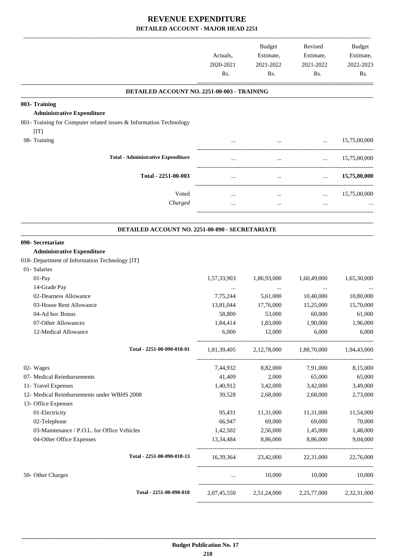|                                                                    | Actuals,<br>2020-2021<br>Rs. | Budget<br>Estimate,<br>2021-2022<br>Rs.         | Revised<br>Estimate,<br>2021-2022<br>Rs. | <b>Budget</b><br>Estimate,<br>2022-2023<br>Rs. |
|--------------------------------------------------------------------|------------------------------|-------------------------------------------------|------------------------------------------|------------------------------------------------|
| DETAILED ACCOUNT NO. 2251-00-003 - TRAINING                        |                              |                                                 |                                          |                                                |
| 003- Training                                                      |                              |                                                 |                                          |                                                |
| <b>Administrative Expenditure</b>                                  |                              |                                                 |                                          |                                                |
| 001- Training for Computer related issues & Information Technology |                              |                                                 |                                          |                                                |
| [IT]                                                               |                              |                                                 |                                          |                                                |
| 98- Training                                                       |                              | $\cdots$                                        |                                          | $\ldots$ 15,75,00,000                          |
| <b>Total - Administrative Expenditure</b>                          |                              | $\cdots$                                        | $\cdots$                                 | 15,75,00,000                                   |
| Total - 2251-00-003                                                |                              | $\cdots$                                        | $\cdots$                                 | 15,75,00,000                                   |
| Voted                                                              | $\cdots$                     | $\cdots$                                        | $\cdots$                                 | 15,75,00,000                                   |
| Charged                                                            |                              | $\cdots$                                        | $\cdots$                                 |                                                |
|                                                                    |                              |                                                 |                                          |                                                |
| DETAILED ACCOUNT NO. 2251-00-090 - SECRETARIATE                    |                              |                                                 |                                          |                                                |
| 090- Secretariate                                                  |                              |                                                 |                                          |                                                |
| <b>Administrative Expenditure</b>                                  |                              |                                                 |                                          |                                                |
| 018- Department of Information Technology [IT]                     |                              |                                                 |                                          |                                                |
| 01- Salaries                                                       |                              |                                                 |                                          |                                                |
| 01-Pay                                                             | 1,57,33,903                  | 1,86,93,000                                     | 1,60,49,000                              | 1,65,30,000                                    |
| 14-Grade Pay                                                       | $\cdots$                     |                                                 |                                          |                                                |
| 02-Dearness Allowance                                              | 7,75,244                     | 5,61,000                                        | 10,40,000                                | 10,80,000                                      |
| 03-House Rent Allowance                                            | 13,81,044                    | 17,76,000                                       | 15,25,000                                | 15,70,000                                      |
| 04-Ad hoc Bonus                                                    | 58,800                       | 53,000                                          | 60,000                                   | 61,000                                         |
| 07-Other Allowances                                                | 1,84,414                     | 1,83,000                                        | 1,90,000                                 | 1,96,000                                       |
| 12-Medical Allowance                                               | 6,000                        | 12,000                                          | 6,000                                    | 6,000                                          |
| Total - 2251-00-090-018-01                                         |                              | 1,81,39,405 2,12,78,000 1,88,70,000 1,94,43,000 |                                          |                                                |
| 02- Wages                                                          | 7,44,932                     | 8,82,000                                        | 7,91,000                                 | 8,15,000                                       |
| 07- Medical Reimbursements                                         | 41,409                       | 2,000                                           | 65,000                                   | 65,000                                         |
| 11- Travel Expenses                                                | 1,40,912                     | 3,42,000                                        | 3,42,000                                 | 3,49,000                                       |
| 12- Medical Reimbursements under WBHS 2008                         | 39,528                       | 2,68,000                                        | 2,68,000                                 | 2,73,000                                       |
| 13- Office Expenses                                                |                              |                                                 |                                          |                                                |
| 01-Electricity                                                     | 95,431                       | 11,31,000                                       | 11,31,000                                | 11,54,000                                      |
| 02-Telephone                                                       | 66,947                       | 69,000                                          | 69,000                                   | 70,000                                         |
| 03-Maintenance / P.O.L. for Office Vehicles                        | 1,42,502                     | 2,56,000                                        | 1,45,000                                 | 1,48,000                                       |
| 04-Other Office Expenses                                           | 13,34,484                    | 8,86,000                                        | 8,86,000                                 | 9,04,000                                       |
| Total - 2251-00-090-018-13                                         |                              | 16,39,364 23,42,000 22,31,000 22,76,000         |                                          |                                                |
| 50- Other Charges                                                  | $\cdots$                     |                                                 | 10,000 10,000 10,000                     |                                                |
| Total - 2251-00-090-018                                            |                              | 2,07,45,550 2,51,24,000 2,25,77,000 2,32,31,000 |                                          |                                                |
|                                                                    |                              |                                                 |                                          |                                                |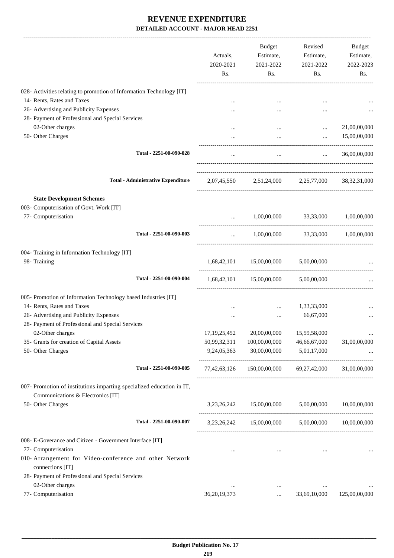|                                                                                                            | Actuals,<br>2020-2021<br>Rs. | Budget<br>Estimate,<br>2021-2022<br>Rs.                   | Revised<br>Estimate,<br>2021-2022<br>Rs. | Budget<br>Estimate,<br>2022-2023<br>Rs. |
|------------------------------------------------------------------------------------------------------------|------------------------------|-----------------------------------------------------------|------------------------------------------|-----------------------------------------|
| 028- Activities relating to promotion of Information Technology [IT]                                       |                              |                                                           |                                          |                                         |
| 14- Rents, Rates and Taxes                                                                                 |                              |                                                           |                                          |                                         |
| 26- Advertising and Publicity Expenses                                                                     |                              |                                                           | $\cdots$                                 |                                         |
| 28- Payment of Professional and Special Services                                                           |                              |                                                           |                                          |                                         |
| 02-Other charges                                                                                           |                              |                                                           | $\cdots$                                 | 21,00,00,000                            |
| 50- Other Charges                                                                                          |                              | $\cdots$                                                  | $\cdots$                                 | 15,00,00,000                            |
| Total - 2251-00-090-028                                                                                    | $\cdots$                     | $\cdots$                                                  | $\cdots$                                 | 36,00,00,000                            |
| <b>Total - Administrative Expenditure</b>                                                                  |                              | 2,07,45,550 2,51,24,000 2,25,77,000 38,32,31,000          |                                          |                                         |
| <b>State Development Schemes</b>                                                                           |                              |                                                           |                                          |                                         |
| 003- Computerisation of Govt. Work [IT]                                                                    |                              |                                                           |                                          |                                         |
| 77- Computerisation                                                                                        | $\ddotsc$                    | 1,00,00,000 33,33,000 1,00,00,000                         |                                          |                                         |
| Total - 2251-00-090-003                                                                                    | $\cdots$                     |                                                           | 1,00,00,000 33,33,000 1,00,00,000        |                                         |
| 004- Training in Information Technology [IT]                                                               |                              |                                                           |                                          |                                         |
| 98- Training                                                                                               |                              | 1,68,42,101 15,00,00,000                                  | 5,00,00,000                              |                                         |
| Total - 2251-00-090-004                                                                                    |                              | 1,68,42,101 15,00,00,000 5,00,00,000                      |                                          |                                         |
| 005- Promotion of Information Technology based Industries [IT]                                             |                              |                                                           |                                          |                                         |
| 14- Rents, Rates and Taxes                                                                                 |                              | $\cdots$                                                  | 1,33,33,000                              |                                         |
| 26- Advertising and Publicity Expenses                                                                     | $\cdots$                     | $\cdots$                                                  | 66,67,000                                |                                         |
| 28- Payment of Professional and Special Services                                                           |                              |                                                           |                                          |                                         |
| 02-Other charges                                                                                           | 17, 19, 25, 452              | 20,00,00,000                                              | 15,59,58,000                             | $\cdots$                                |
| 35- Grants for creation of Capital Assets                                                                  | 50,99,32,311                 | 100,00,00,000                                             | 46,66,67,000                             | 31,00,00,000                            |
| 50- Other Charges                                                                                          | 9,24,05,363                  | 30,00,00,000                                              | 5,01,17,000                              |                                         |
| Total - 2251-00-090-005                                                                                    |                              | 77,42,63,126 150,00,00,000 69,27,42,000 31,00,00,000      |                                          |                                         |
| 007- Promotion of institutions imparting specialized education in IT,<br>Communications & Electronics [IT] |                              |                                                           |                                          |                                         |
| 50- Other Charges                                                                                          |                              | $3,23,26,242$ $15,00,00,000$ $5,00,00,000$ $10,00,00,000$ |                                          |                                         |
| Total - 2251-00-090-007                                                                                    |                              | 3,23,26,242 15,00,00,000 5,00,00,000 10,00,00,000         |                                          |                                         |
| 008- E-Goverance and Citizen - Government Interface [IT]                                                   |                              |                                                           |                                          |                                         |
| 77- Computerisation                                                                                        | $\cdots$                     | $\cdots$                                                  |                                          | $\cdots$                                |
| 010- Arrangement for Video-conference and other Network<br>connections [IT]                                |                              |                                                           |                                          |                                         |
| 28- Payment of Professional and Special Services                                                           |                              |                                                           |                                          |                                         |
| 02-Other charges                                                                                           |                              | $\cdots$                                                  | $\ddotsc$                                |                                         |
| 77- Computerisation                                                                                        | 36, 20, 19, 373              | $\cdots$                                                  | 33,69,10,000                             | 125,00,00,000                           |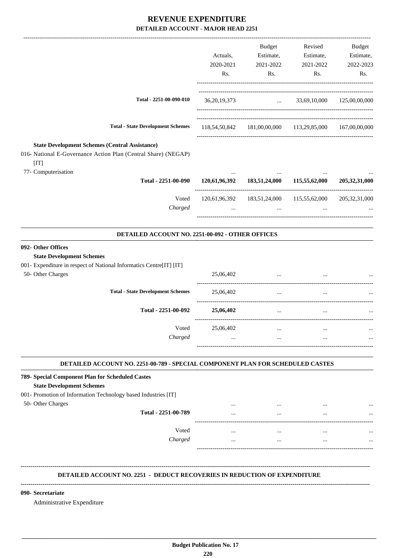|                                                                                                                                                                             |                                                  | Actuals,<br>2020-2021<br>Rs. | Budget<br>Estimate,<br>2021-2022<br>Rs.                              | Revised<br>Estimate,<br>2021-2022<br>Rs. | Budget<br>Estimate,<br>2022-2023<br>Rs. |
|-----------------------------------------------------------------------------------------------------------------------------------------------------------------------------|--------------------------------------------------|------------------------------|----------------------------------------------------------------------|------------------------------------------|-----------------------------------------|
|                                                                                                                                                                             | Total - 2251-00-090-010                          | 36, 20, 19, 373              |                                                                      | $\ldots$ 33,69,10,000 125,00,00,000      |                                         |
|                                                                                                                                                                             | <b>Total - State Development Schemes</b>         |                              | 118,54,50,842 181,00,00,000 113,29,85,000 167,00,00,000              |                                          |                                         |
| <b>State Development Schemes (Central Assistance)</b><br>016- National E-Governance Action Plan (Central Share) (NEGAP)<br>[IT]<br>77- Computerisation                      |                                                  |                              |                                                                      |                                          |                                         |
|                                                                                                                                                                             | Total - 2251-00-090                              |                              | 120,61,96,392 183,51,24,000 115,55,62,000                            |                                          | 205,32,31,000                           |
|                                                                                                                                                                             | Voted<br>Charged                                 |                              | 120,61,96,392 183,51,24,000 115,55,62,000 205,32,31,000<br>$\ddotsc$ | $\cdots$                                 |                                         |
|                                                                                                                                                                             | DETAILED ACCOUNT NO. 2251-00-092 - OTHER OFFICES |                              |                                                                      |                                          |                                         |
| 092- Other Offices<br><b>State Development Schemes</b><br>001- Expenditure in respect of National Informatics Centre[IT] [IT]<br>50- Other Charges                          |                                                  | 25,06,402                    | $\cdots$                                                             |                                          |                                         |
|                                                                                                                                                                             | <b>Total - State Development Schemes</b>         | 25,06,402                    | $\overline{\phantom{a}}$                                             |                                          |                                         |
|                                                                                                                                                                             | Total - 2251-00-092                              | 25,06,402                    | $\cdots$                                                             | $\cdots$                                 |                                         |
|                                                                                                                                                                             | Voted<br>Charged                                 | 25,06,402                    | $\cdots$                                                             | $\cdots$                                 |                                         |
| DETAILED ACCOUNT NO. 2251-00-789 - SPECIAL COMPONENT PLAN FOR SCHEDULED CASTES                                                                                              |                                                  |                              |                                                                      |                                          |                                         |
| 789- Special Component Plan for Scheduled Castes<br><b>State Development Schemes</b><br>001- Promotion of Information Technology based Industries [IT]<br>50- Other Charges |                                                  |                              |                                                                      |                                          |                                         |
|                                                                                                                                                                             | Total - 2251-00-789                              |                              |                                                                      |                                          |                                         |
|                                                                                                                                                                             | Voted<br>Charged                                 | $\cdots$<br>$\cdots$         | $\cdots$<br>$\cdots$                                                 | $\cdots$<br>$\cdots$                     |                                         |

#### **DETAILED ACCOUNT NO. 2251 - DEDUCT RECOVERIES IN REDUCTION OF EXPENDITURE**

 **\_\_\_\_\_\_\_\_\_\_\_\_\_\_\_\_\_\_\_\_\_\_\_\_\_\_\_\_\_\_\_\_\_\_\_\_\_\_\_\_\_\_\_\_\_\_\_\_\_\_\_\_\_\_\_\_\_\_\_\_\_\_\_\_\_\_\_\_\_\_\_\_\_\_\_\_\_\_\_\_\_\_\_\_\_\_\_\_\_\_\_\_\_\_\_\_\_\_\_\_\_\_\_\_\_\_\_\_\_\_\_\_\_\_\_\_\_\_\_**

**--------------------------------------------------------------------------------------------------------------------------------------------------------------------------------**

#### **090- Secretariate**

Administrative Expenditure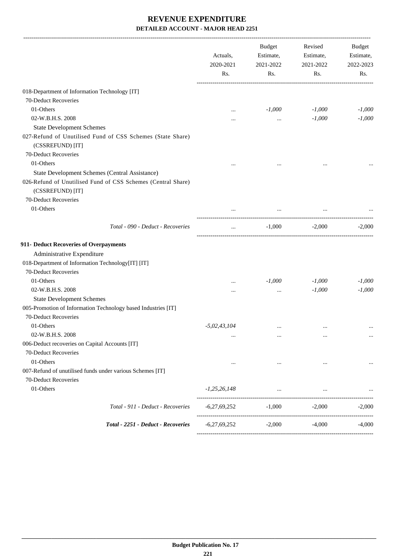|                                                                                  | Actuals,<br>2020-2021 | Budget<br>Estimate,<br>2021-2022 | Revised<br>Estimate,<br>2021-2022 | Budget<br>Estimate,<br>2022-2023 |
|----------------------------------------------------------------------------------|-----------------------|----------------------------------|-----------------------------------|----------------------------------|
|                                                                                  | Rs.                   | Rs.                              | Rs.                               | Rs.                              |
| 018-Department of Information Technology [IT]                                    |                       |                                  |                                   |                                  |
| 70-Deduct Recoveries                                                             |                       |                                  |                                   |                                  |
| 01-Others                                                                        | $\cdots$              | $-1,000$                         | $-1,000$                          | $-1,000$                         |
| 02-W.B.H.S. 2008                                                                 |                       | $\cdots$                         | $-1,000$                          | $-1,000$                         |
| <b>State Development Schemes</b>                                                 |                       |                                  |                                   |                                  |
| 027-Refund of Unutilised Fund of CSS Schemes (State Share)<br>(CSSREFUND) [IT]   |                       |                                  |                                   |                                  |
| 70-Deduct Recoveries                                                             |                       |                                  |                                   |                                  |
| 01-Others                                                                        |                       |                                  |                                   |                                  |
| <b>State Development Schemes (Central Assistance)</b>                            |                       |                                  |                                   |                                  |
| 026-Refund of Unutilised Fund of CSS Schemes (Central Share)<br>(CSSREFUND) [IT] |                       |                                  |                                   |                                  |
| 70-Deduct Recoveries                                                             |                       |                                  |                                   |                                  |
| 01-Others                                                                        | $\cdots$              | $\cdots$                         |                                   |                                  |
| Total - 090 - Deduct - Recoveries                                                | $\cdots$              | $-1,000$                         | $-2,000$                          | $-2,000$                         |
| 911- Deduct Recoveries of Overpayments                                           |                       |                                  |                                   |                                  |
| Administrative Expenditure                                                       |                       |                                  |                                   |                                  |
| 018-Department of Information Technology[IT] [IT]                                |                       |                                  |                                   |                                  |
| 70-Deduct Recoveries                                                             |                       |                                  |                                   |                                  |
| 01-Others                                                                        |                       | $-1,000$                         | $-1,000$                          | $-1,000$                         |
| 02-W.B.H.S. 2008                                                                 | $\cdots$              | $\cdots$                         | $-1,000$                          | $-1,000$                         |
| <b>State Development Schemes</b>                                                 |                       |                                  |                                   |                                  |
| 005-Promotion of Information Technology based Industries [IT]                    |                       |                                  |                                   |                                  |
| 70-Deduct Recoveries                                                             |                       |                                  |                                   |                                  |
| 01-Others                                                                        | $-5,02,43,104$        | $\cdots$                         |                                   |                                  |
| 02-W.B.H.S. 2008                                                                 | $\ddotsc$             | $\cdots$                         | $\ddotsc$                         | $\cdots$                         |
| 006-Deduct recoveries on Capital Accounts [IT]                                   |                       |                                  |                                   |                                  |
| 70-Deduct Recoveries<br>01-Others                                                | $\ddotsc$             |                                  | $\cdots$                          |                                  |
| 007-Refund of unutilised funds under various Schemes [IT]                        |                       |                                  |                                   |                                  |
| 70-Deduct Recoveries                                                             |                       |                                  |                                   |                                  |
| 01-Others                                                                        | $-1,25,26,148$        | $\cdots$                         | $\cdots$                          |                                  |
| Total - 911 - Deduct - Recoveries                                                | $-6,27,69,252$        | $-1,000$                         | $-2,000$                          | $-2,000$                         |
| Total - 2251 - Deduct - Recoveries                                               | $-6,27,69,252$        | $-2,000$                         | $-4,000$                          | $-4,000$                         |
|                                                                                  |                       |                                  |                                   |                                  |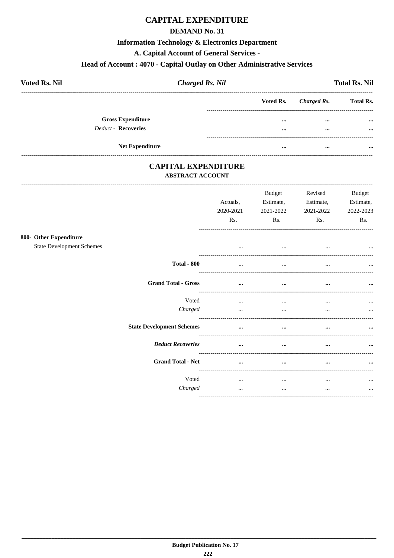## **CAPITAL EXPENDITURE**

#### **DEMAND No. 31**

#### **Information Technology & Electronics Department**

A. Capital Account of General Services -

## Head of Account: 4070 - Capital Outlay on Other Administrative Services

| <b>Voted Rs. Nil</b>     | <b>Charged Rs. Nil</b> |          |                       | <b>Total Rs. Nil</b> |
|--------------------------|------------------------|----------|-----------------------|----------------------|
|                          |                        |          | Voted Rs. Charged Rs. | <b>Total Rs.</b>     |
| <b>Gross Expenditure</b> |                        |          | $\cdots$              | $\cdots$             |
| Deduct - Recoveries      |                        |          | $\cdots$              | $\cdots$             |
| <b>Net Expenditure</b>   |                        | $\cdots$ | $\cdots$              |                      |

#### **CAPITAL EXPENDITURE ABSTRACT ACCOUNT**

--------------------------------------

 $800 -$ 

|                                  | Actuals,<br>2020-2021<br>Rs. | <b>Budget</b><br>Estimate,<br>2021-2022<br>Rs. | Revised<br>Estimate,<br>2021-2022<br>Rs. | <b>Budget</b><br>Estimate,<br>2022-2023<br>Rs. |
|----------------------------------|------------------------------|------------------------------------------------|------------------------------------------|------------------------------------------------|
| <b>Other Expenditure</b>         |                              |                                                |                                          |                                                |
| <b>State Development Schemes</b> | $\cdots$                     |                                                | $\cdots$                                 |                                                |
| <b>Total - 800</b>               |                              | $\ddotsc$                                      | $\cdots$                                 |                                                |
| <b>Grand Total - Gross</b>       | $\cdots$                     | $\cdots$                                       | $\cdots$                                 | $\cdots$                                       |
| Voted<br>Charged                 | $\cdots$<br>$\cdots$         | $\ddotsc$<br>$\cdots$                          | $\cdots$<br>$\cdots$                     | $\cdots$<br>$\cdots$                           |
| <b>State Development Schemes</b> | $\cdots$                     | $\cdots$                                       | $\cdots$                                 | $\cdots$                                       |
| <b>Deduct Recoveries</b>         | $\cdots$                     | $\cdots$                                       | $\cdots$                                 | $\cdots$                                       |
| <b>Grand Total - Net</b>         | $\cdots$                     | $\cdots$                                       | $\cdots$                                 | $\cdots$                                       |
| Voted<br>Charged                 | $\cdots$<br>$\cdots$         | $\cdots$<br>$\cdots$                           | $\cdots$<br>$\cdots$                     | $\cdots$<br>$\cdots$                           |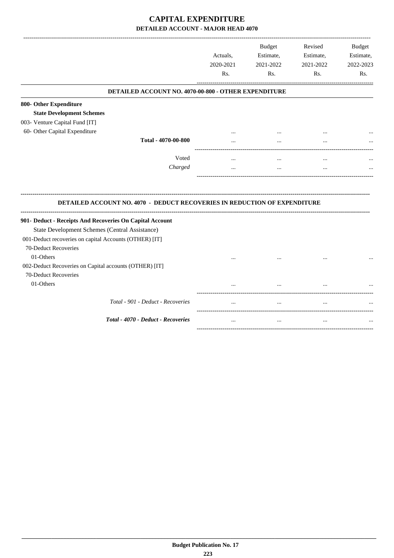## **CAPITAL EXPENDITURE DETAILED ACCOUNT - MAJOR HEAD 4070**

|                                                                                  | Actuals,<br>2020-2021<br>Rs. | <b>Budget</b><br>Estimate,<br>2021-2022<br>Rs. | Revised<br>Estimate,<br>2021-2022<br>Rs. | Budget<br>Estimate,<br>2022-2023<br>Rs. |
|----------------------------------------------------------------------------------|------------------------------|------------------------------------------------|------------------------------------------|-----------------------------------------|
| DETAILED ACCOUNT NO. 4070-00-800 - OTHER EXPENDITURE                             |                              |                                                |                                          |                                         |
| 800- Other Expenditure                                                           |                              |                                                |                                          |                                         |
| <b>State Development Schemes</b>                                                 |                              |                                                |                                          |                                         |
| 003- Venture Capital Fund [IT]                                                   |                              |                                                |                                          |                                         |
| 60- Other Capital Expenditure                                                    |                              |                                                |                                          |                                         |
| Total - 4070-00-800                                                              |                              |                                                | $\ddotsc$                                |                                         |
| Voted                                                                            | $\cdots$                     | $\ddotsc$                                      | $\ddotsc$                                |                                         |
| Charged                                                                          | $\cdots$                     | $\ddotsc$                                      | $\ddotsc$                                |                                         |
|                                                                                  |                              |                                                |                                          |                                         |
| <b>DETAILED ACCOUNT NO. 4070 - DEDUCT RECOVERIES IN REDUCTION OF EXPENDITURE</b> |                              |                                                |                                          |                                         |
| 901- Deduct - Receipts And Recoveries On Capital Account                         |                              |                                                |                                          |                                         |
| State Development Schemes (Central Assistance)                                   |                              |                                                |                                          |                                         |
| 001-Deduct recoveries on capital Accounts (OTHER) [IT]                           |                              |                                                |                                          |                                         |
| 70-Deduct Recoveries                                                             |                              |                                                |                                          |                                         |
| 01-Others                                                                        |                              |                                                |                                          |                                         |
| 002-Deduct Recoveries on Capital accounts (OTHER) [IT]                           |                              |                                                |                                          |                                         |
| 70-Deduct Recoveries                                                             |                              |                                                |                                          |                                         |
| 01-Others                                                                        |                              | $\cdots$                                       |                                          |                                         |
| Total - 901 - Deduct - Recoveries                                                |                              | $\ddotsc$                                      |                                          |                                         |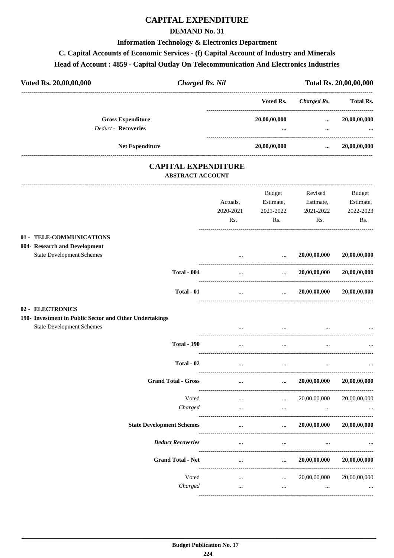#### **CAPITAL EXPENDITURE**

#### **DEMAND No. 31**

#### **Information Technology & Electronics Department**

## C. Capital Accounts of Economic Services - (f) Capital Account of Industry and Minerals

#### Head of Account: 4859 - Capital Outlay On Telecommunication And Electronics Industries

| Voted Rs. 20,00,00,000                                                                                          | <b>Charged Rs. Nil</b>  |                  |                      |                                          | Total Rs. 20,00,00,000 |
|-----------------------------------------------------------------------------------------------------------------|-------------------------|------------------|----------------------|------------------------------------------|------------------------|
|                                                                                                                 |                         |                  | Voted Rs.            | <b>Charged Rs.</b>                       | Total Rs.              |
| <b>Gross Expenditure</b>                                                                                        |                         |                  | 20,00,00,000         | $\cdots$                                 | 20,00,00,000           |
| <b>Deduct - Recoveries</b>                                                                                      |                         |                  |                      | $\cdots$                                 |                        |
| Net Expenditure                                                                                                 |                         |                  | 20,00,00,000         | ____________________________<br>$\cdots$ | 20,00,00,000           |
| <b>CAPITAL EXPENDITURE</b>                                                                                      | <b>ABSTRACT ACCOUNT</b> |                  |                      |                                          |                        |
|                                                                                                                 |                         |                  | Budget               | Revised                                  | <b>Budget</b>          |
|                                                                                                                 |                         | Actuals,         | Estimate,            | Estimate,                                | Estimate,              |
|                                                                                                                 |                         | 2020-2021<br>Rs. | 2021-2022            | 2021-2022                                | 2022-2023<br>Rs.       |
|                                                                                                                 |                         |                  | Rs.                  | Rs.                                      |                        |
| 01 - TELE-COMMUNICATIONS<br>004- Research and Development<br><b>State Development Schemes</b>                   |                         |                  |                      | 20,00,00,000                             | 20,00,00,000           |
|                                                                                                                 |                         |                  | $\cdots$             |                                          |                        |
|                                                                                                                 | <b>Total - 004</b>      |                  | $\cdots$             | 20,00,00,000                             | 20,00,00,000           |
|                                                                                                                 | Total - 01              | $\cdots$         | <b>Section</b>       | 20,00,00,000                             | 20,00,00,000           |
| 02 - ELECTRONICS<br>190- Investment in Public Sector and Other Undertakings<br><b>State Development Schemes</b> |                         |                  | $\cdots$             |                                          |                        |
|                                                                                                                 | <b>Total - 190</b>      | $\cdots$         | $\ddotsc$            |                                          |                        |
|                                                                                                                 | Total - 02              |                  |                      |                                          | $\cdots$               |
|                                                                                                                 |                         | $\cdots$         | $\cdots$             | $\cdots$                                 |                        |
| <b>Grand Total - Gross</b>                                                                                      |                         |                  | $\cdots$             | 20,00,00,000                             | 20,00,00,000           |
|                                                                                                                 | Voted                   | $\cdots$         | $\ldots$             | 20,00,00,000                             | 20,00,00,000           |
|                                                                                                                 | Charged                 | $\cdots$         | $\cdots$             | $\cdots$                                 |                        |
| <b>State Development Schemes</b>                                                                                |                         | $\cdots$         | $\cdots$             | 20,00,00,000                             | 20,00,00,000           |
| <b>Deduct Recoveries</b>                                                                                        |                         | $\cdots$         | $\cdots$             | $\cdots$                                 |                        |
| <b>Grand Total - Net</b>                                                                                        |                         |                  | $\cdots$             | 20,00,00,000                             | 20,00,00,000           |
|                                                                                                                 | Voted                   |                  |                      |                                          |                        |
|                                                                                                                 | Charged                 | <br>$\cdots$     | $\cdots$<br>$\cdots$ | 20,00,00,000<br>$\cdots$                 | 20,00,00,000           |

 $\cdots$ 

 $\cdots$ 

 $\cdots$ 

 $\ddotsc$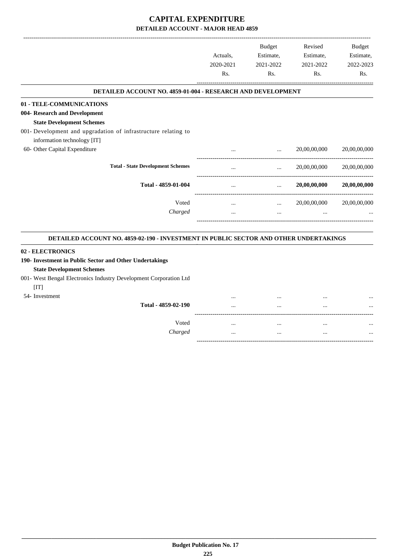## **CAPITAL EXPENDITURE DETAILED ACCOUNT - MAJOR HEAD 4859**

|                                                                | Actuals.<br>2020-2021<br>Rs. | <b>Budget</b><br>Estimate,<br>2021-2022<br>R <sub>s</sub> . | Revised<br>Estimate,<br>2021-2022<br>Rs. | Budget<br>Estimate,<br>2022-2023<br>Rs. |
|----------------------------------------------------------------|------------------------------|-------------------------------------------------------------|------------------------------------------|-----------------------------------------|
| DETAILED ACCOUNT NO. 4859-01-004 - RESEARCH AND DEVELOPMENT    |                              |                                                             |                                          |                                         |
| 01 - TELE-COMMUNICATIONS<br>004- Research and Development      |                              |                                                             |                                          |                                         |
| <b>State Development Schemes</b>                               |                              |                                                             |                                          |                                         |
| 001- Development and upgradation of infrastructure relating to |                              |                                                             |                                          |                                         |
| information technology [IT]                                    |                              |                                                             |                                          |                                         |
| 60- Other Capital Expenditure                                  |                              |                                                             | 20,00,00,000                             | 20,00,00,000                            |
| <b>Total - State Development Schemes</b>                       | $\cdots$                     | $\cdots$                                                    | 20,00,00,000                             | 20,00,00,000                            |
| Total - 4859-01-004                                            |                              | $\cdots$                                                    | 20,00,00,000                             | 20,00,00,000                            |
| Voted                                                          | $\cdots$                     | $\cdots$                                                    | 20,00,00,000                             | 20,00,00,000                            |
| Charged                                                        | $\cdots$                     | $\cdots$                                                    |                                          |                                         |
|                                                                |                              |                                                             |                                          |                                         |

#### **DETAILED ACCOUNT NO. 4859-02-190 - INVESTMENT IN PUBLIC SECTOR AND OTHER UNDERTAKINGS .**

#### **02 - ELECTRONICS**

#### **190- Investment in Public Sector and Other Undertakings**

#### **State Development Schemes**

#### 001- West Bengal Electronics Industry Development Corporation Ltd

#### $[IT]$

| 54- Investment |                     |          | <br> |  |
|----------------|---------------------|----------|------|--|
|                | Total - 4859-02-190 |          | <br> |  |
|                |                     |          |      |  |
|                | Voted               | $\cdots$ | <br> |  |
|                | Charged             |          | <br> |  |
|                |                     |          |      |  |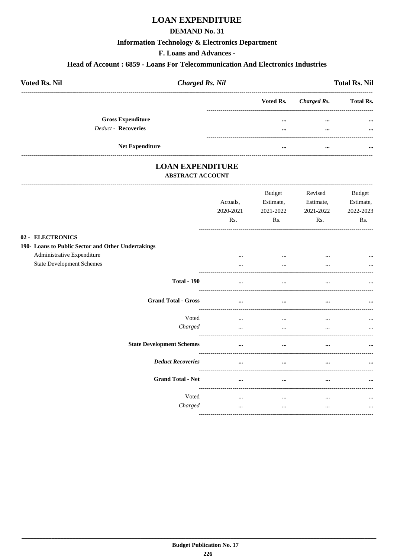## **LOAN EXPENDITURE**

#### **DEMAND No. 31**

#### **Information Technology & Electronics Department**

F. Loans and Advances -

#### Head of Account: 6859 - Loans For Telecommunication And Electronics Industries

| <b>Voted Rs. Nil</b>     | <b>Charged Rs. Nil</b> |                         |             | <b>Total Rs. Nil</b> |
|--------------------------|------------------------|-------------------------|-------------|----------------------|
|                          |                        | Voted Rs.               | Charged Rs. | <b>Total Rs.</b>     |
| <b>Gross Expenditure</b> |                        | $\bullet\bullet\bullet$ | $\cdots$    | $\cdots$             |
| Deduct - Recoveries      |                        | $\bullet\bullet\bullet$ | $\cdots$    | $\cdots$             |
| <b>Net Expenditure</b>   |                        | $\cdots$                | $\cdots$    | $\cdots$             |

# **LOAN EXPENDITURE**

#### **ABSTRACT ACCOUNT**

--------------------------------------

|                                                                                                      | Actuals,<br>2020-2021<br>Rs. | <b>Budget</b><br>Estimate,<br>2021-2022<br>Rs. | Revised<br>Estimate,<br>2021-2022<br>Rs. | <b>Budget</b><br>Estimate,<br>2022-2023<br>Rs. |
|------------------------------------------------------------------------------------------------------|------------------------------|------------------------------------------------|------------------------------------------|------------------------------------------------|
| 02 - ELECTRONICS<br>190- Loans to Public Sector and Other Undertakings<br>Administrative Expenditure | $\cdots$                     | $\cdots$                                       |                                          |                                                |
| <b>State Development Schemes</b><br><b>Total - 190</b>                                               | $\cdots$                     | $\cdots$                                       |                                          |                                                |
| <b>Grand Total - Gross</b>                                                                           | $\cdots$                     | $\cdots$                                       |                                          | $\cdots$                                       |
| Voted<br>Charged                                                                                     | $\cdots$<br>$\cdots$         | $\cdots$<br>$\cdots$                           | $\cdots$                                 | $\ddotsc$<br>$\cdots$                          |
| <b>State Development Schemes</b><br><b>Deduct Recoveries</b>                                         | $\cdots$<br>$\cdots$         | $\cdots$<br>$\cdots$                           |                                          |                                                |
| <b>Grand Total - Net</b>                                                                             | $\ddotsc$                    | $\cdots$                                       | $\ddotsc$                                | $\cdots$                                       |
| Voted<br>Charged                                                                                     | $\cdots$<br>$\cdots$         | $\cdots$<br>$\cdots$                           | $\cdots$<br>$\cdots$                     | $\cdots$<br>$\cdots$                           |